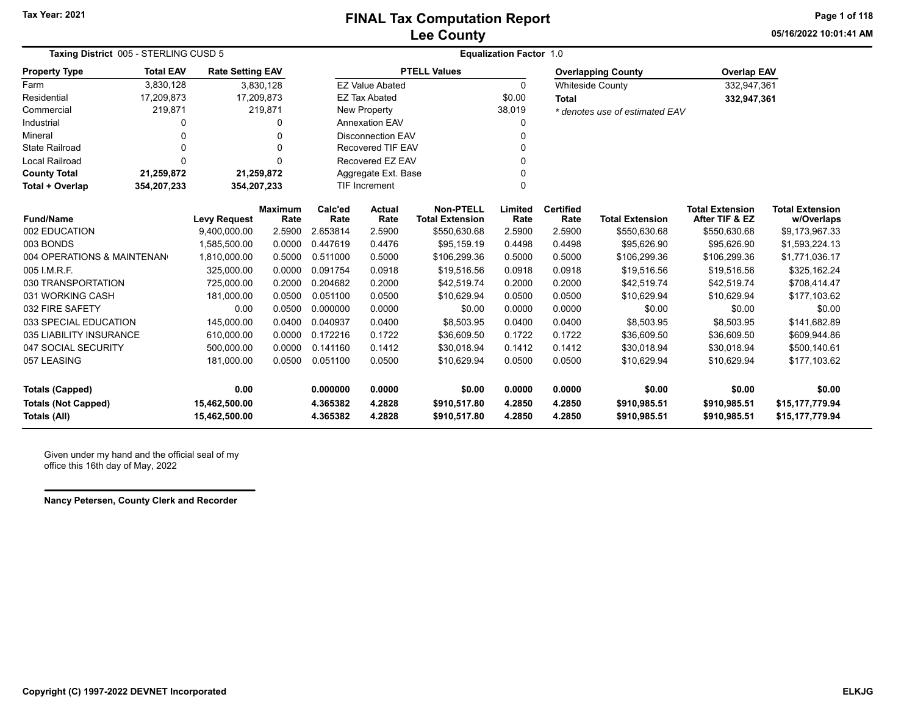## **Lee County FINAL Tax Computation Report**

**05/16/2022 10:01:41 AMPage 1 of 118**

| Taxing District 005 - STERLING CUSD 5 |                          |                         |                        | <b>Equalization Factor 1.0</b> |                          |                                            |                 |                          |                                |                                          |                                      |  |
|---------------------------------------|--------------------------|-------------------------|------------------------|--------------------------------|--------------------------|--------------------------------------------|-----------------|--------------------------|--------------------------------|------------------------------------------|--------------------------------------|--|
| <b>Property Type</b>                  | <b>Total EAV</b>         | <b>Rate Setting EAV</b> |                        |                                |                          | <b>PTELL Values</b>                        |                 |                          | <b>Overlapping County</b>      | <b>Overlap EAV</b>                       |                                      |  |
| Farm                                  | 3,830,128                |                         | 3,830,128              |                                | <b>EZ Value Abated</b>   |                                            | 0               |                          | <b>Whiteside County</b>        | 332,947,361                              |                                      |  |
| Residential                           | 17,209,873               |                         | 17,209,873             |                                | <b>EZ Tax Abated</b>     |                                            | \$0.00          | Total                    |                                | 332,947,361                              |                                      |  |
| Commercial                            | 219,871                  |                         | 219,871                |                                | New Property             |                                            | 38,019          |                          | * denotes use of estimated EAV |                                          |                                      |  |
| Industrial                            |                          |                         | 0                      |                                | <b>Annexation EAV</b>    |                                            | 0               |                          |                                |                                          |                                      |  |
| Mineral                               |                          |                         | $\Omega$               |                                | <b>Disconnection EAV</b> |                                            | 0               |                          |                                |                                          |                                      |  |
| <b>State Railroad</b>                 | $\mathbf{0}$             |                         | $\Omega$               |                                | <b>Recovered TIF EAV</b> |                                            | 0               |                          |                                |                                          |                                      |  |
| <b>Local Railroad</b>                 | $\Omega$                 |                         | $\Omega$               |                                | Recovered EZ EAV         |                                            | 0               |                          |                                |                                          |                                      |  |
| <b>County Total</b>                   | 21,259,872<br>21,259,872 |                         |                        |                                | Aggregate Ext. Base      |                                            | 0               |                          |                                |                                          |                                      |  |
| Total + Overlap                       | 354,207,233              | 354,207,233             |                        | TIF Increment                  |                          | $\Omega$                                   |                 |                          |                                |                                          |                                      |  |
| <b>Fund/Name</b>                      |                          | <b>Levy Request</b>     | <b>Maximum</b><br>Rate | Calc'ed<br>Rate                | Actual<br>Rate           | <b>Non-PTELL</b><br><b>Total Extension</b> | Limited<br>Rate | <b>Certified</b><br>Rate | <b>Total Extension</b>         | <b>Total Extension</b><br>After TIF & EZ | <b>Total Extension</b><br>w/Overlaps |  |
| 002 EDUCATION                         |                          | 9,400,000.00            | 2.5900                 | 2.653814                       | 2.5900                   | \$550,630.68                               | 2.5900          | 2.5900                   | \$550,630.68                   | \$550,630.68                             | \$9,173,967.33                       |  |
| 003 BONDS                             |                          | 1,585,500.00            | 0.0000                 | 0.447619                       | 0.4476                   | \$95,159.19                                | 0.4498          | 0.4498                   | \$95,626.90                    | \$95,626.90                              | \$1,593,224.13                       |  |
| 004 OPERATIONS & MAINTENAN            |                          | 1,810,000.00            | 0.5000                 | 0.511000                       | 0.5000                   | \$106,299.36                               | 0.5000          | 0.5000                   | \$106,299.36                   | \$106,299.36                             | \$1,771,036.17                       |  |
| 005 I.M.R.F.                          |                          | 325,000.00              | 0.0000                 | 0.091754                       | 0.0918                   | \$19,516.56                                | 0.0918          | 0.0918                   | \$19,516.56                    | \$19,516.56                              | \$325,162.24                         |  |
| 030 TRANSPORTATION                    |                          | 725,000.00              | 0.2000                 | 0.204682                       | 0.2000                   | \$42,519.74                                | 0.2000          | 0.2000                   | \$42,519.74                    | \$42,519.74                              | \$708,414.47                         |  |
| 031 WORKING CASH                      |                          | 181,000.00              | 0.0500                 | 0.051100                       | 0.0500                   | \$10,629.94                                | 0.0500          | 0.0500                   | \$10,629.94                    | \$10,629.94                              | \$177,103.62                         |  |
| 032 FIRE SAFETY                       |                          | 0.00                    | 0.0500                 | 0.000000                       | 0.0000                   | \$0.00                                     | 0.0000          | 0.0000                   | \$0.00                         | \$0.00                                   | \$0.00                               |  |
| 033 SPECIAL EDUCATION                 |                          | 145.000.00              | 0.0400                 | 0.040937                       | 0.0400                   | \$8,503.95                                 | 0.0400          | 0.0400                   | \$8,503.95                     | \$8,503.95                               | \$141.682.89                         |  |
| 035 LIABILITY INSURANCE               |                          | 610,000.00              | 0.0000                 | 0.172216                       | 0.1722                   | \$36,609.50                                | 0.1722          | 0.1722                   | \$36,609.50                    | \$36,609.50                              | \$609,944.86                         |  |
| 047 SOCIAL SECURITY                   |                          | 500,000.00              | 0.0000                 | 0.141160                       | 0.1412                   | \$30,018.94                                | 0.1412          | 0.1412                   | \$30,018.94                    | \$30,018.94                              | \$500,140.61                         |  |
| 057 LEASING                           |                          | 181,000.00              | 0.0500                 | 0.051100                       | 0.0500                   | \$10,629.94                                | 0.0500          | 0.0500                   | \$10,629.94                    | \$10,629.94                              | \$177,103.62                         |  |
| <b>Totals (Capped)</b>                |                          | 0.00                    |                        | 0.000000                       | 0.0000                   | \$0.00                                     | 0.0000          | 0.0000                   | \$0.00                         | \$0.00                                   | \$0.00                               |  |
| <b>Totals (Not Capped)</b>            |                          | 15,462,500.00           |                        | 4.365382                       | 4.2828                   | \$910,517.80                               | 4.2850          | 4.2850                   | \$910,985.51                   | \$910,985.51                             | \$15,177,779.94                      |  |
| <b>Totals (All)</b>                   |                          | 15,462,500.00           |                        | 4.365382                       | 4.2828                   | \$910,517.80                               | 4.2850          | 4.2850                   | \$910,985.51                   | \$910,985.51                             | \$15,177,779.94                      |  |

Given under my hand and the official seal of my office this 16th day of May, 2022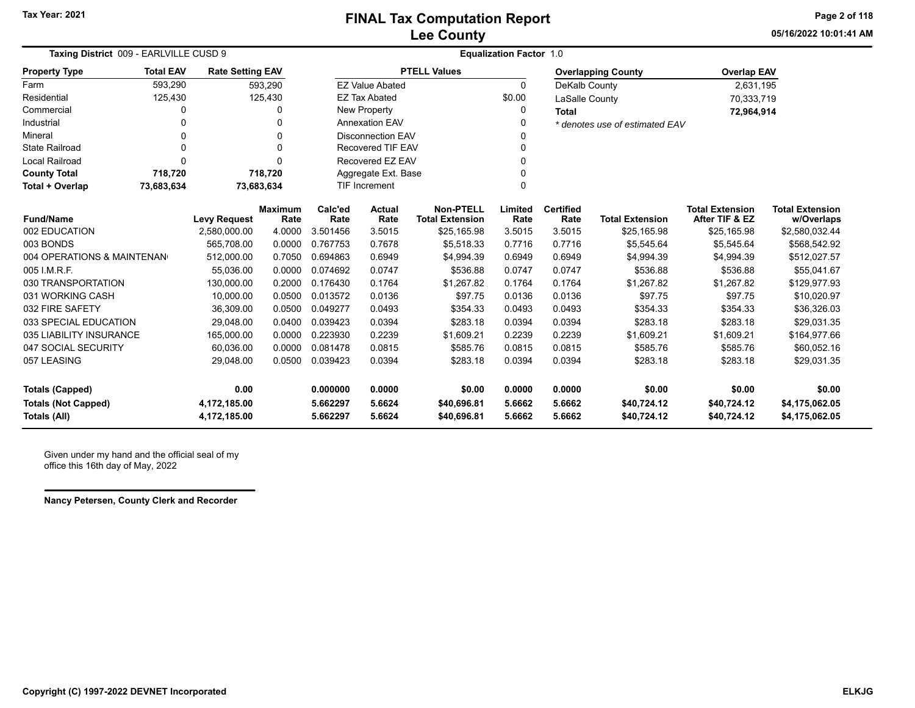**05/16/2022 10:01:41 AMPage 2 of 118**

| Taxing District 009 - EARLVILLE CUSD 9     |                  |                              |                        | <b>Equalization Factor 1.0</b> |                          |                                            |                  |                          |                                |                                          |                                      |
|--------------------------------------------|------------------|------------------------------|------------------------|--------------------------------|--------------------------|--------------------------------------------|------------------|--------------------------|--------------------------------|------------------------------------------|--------------------------------------|
| <b>Property Type</b>                       | <b>Total EAV</b> | <b>Rate Setting EAV</b>      |                        |                                |                          | <b>PTELL Values</b>                        |                  |                          | <b>Overlapping County</b>      | <b>Overlap EAV</b>                       |                                      |
| Farm                                       | 593,290          |                              | 593,290                |                                | <b>EZ Value Abated</b>   |                                            | $\Omega$         | DeKalb County            |                                | 2,631,195                                |                                      |
| Residential                                | 125,430          |                              | 125,430                |                                | <b>EZ Tax Abated</b>     |                                            | \$0.00           | LaSalle County           |                                | 70,333,719                               |                                      |
| Commercial                                 | 0                |                              | $\Omega$               |                                | New Property             |                                            | $\Omega$         | <b>Total</b>             |                                | 72,964,914                               |                                      |
| Industrial                                 |                  |                              | 0                      |                                | <b>Annexation EAV</b>    |                                            |                  |                          | * denotes use of estimated EAV |                                          |                                      |
| Mineral                                    | 0                |                              | $\Omega$               |                                | <b>Disconnection EAV</b> |                                            |                  |                          |                                |                                          |                                      |
| <b>State Railroad</b>                      | 0                |                              | 0                      |                                | <b>Recovered TIF EAV</b> |                                            |                  |                          |                                |                                          |                                      |
| Local Railroad                             | $\Omega$         |                              | $\Omega$               |                                | Recovered EZ EAV         |                                            |                  |                          |                                |                                          |                                      |
| <b>County Total</b>                        | 718,720          |                              | 718,720                |                                | Aggregate Ext. Base      |                                            |                  |                          |                                |                                          |                                      |
| Total + Overlap                            | 73,683,634       |                              | 73,683,634             |                                | <b>TIF Increment</b>     |                                            | $\Omega$         |                          |                                |                                          |                                      |
| <b>Fund/Name</b>                           |                  | <b>Levy Request</b>          | <b>Maximum</b><br>Rate | Calc'ed<br>Rate                | <b>Actual</b><br>Rate    | <b>Non-PTELL</b><br><b>Total Extension</b> | Limited<br>Rate  | <b>Certified</b><br>Rate | <b>Total Extension</b>         | <b>Total Extension</b><br>After TIF & EZ | <b>Total Extension</b><br>w/Overlaps |
| 002 EDUCATION                              |                  | 2,580,000.00                 | 4.0000                 | 3.501456                       | 3.5015                   | \$25,165.98                                | 3.5015           | 3.5015                   | \$25,165.98                    | \$25,165.98                              | \$2,580,032.44                       |
| 003 BONDS                                  |                  | 565,708.00                   | 0.0000                 | 0.767753                       | 0.7678                   | \$5,518.33                                 | 0.7716           | 0.7716                   | \$5,545.64                     | \$5,545.64                               | \$568,542.92                         |
| 004 OPERATIONS & MAINTENAN                 |                  | 512.000.00                   | 0.7050                 | 0.694863                       | 0.6949                   | \$4,994.39                                 | 0.6949           | 0.6949                   | \$4,994.39                     | \$4,994.39                               | \$512,027.57                         |
| 005 I.M.R.F.                               |                  | 55.036.00                    | 0.0000                 | 0.074692                       | 0.0747                   | \$536.88                                   | 0.0747           | 0.0747                   | \$536.88                       | \$536.88                                 | \$55,041.67                          |
| 030 TRANSPORTATION                         |                  | 130.000.00                   | 0.2000                 | 0.176430                       | 0.1764                   | \$1,267.82                                 | 0.1764           | 0.1764                   | \$1,267.82                     | \$1,267.82                               | \$129,977.93                         |
| 031 WORKING CASH                           |                  | 10,000.00                    | 0.0500                 | 0.013572                       | 0.0136                   | \$97.75                                    | 0.0136           | 0.0136                   | \$97.75                        | \$97.75                                  | \$10,020.97                          |
| 032 FIRE SAFETY                            |                  | 36,309.00                    | 0.0500                 | 0.049277                       | 0.0493                   | \$354.33                                   | 0.0493           | 0.0493                   | \$354.33                       | \$354.33                                 | \$36,326.03                          |
| 033 SPECIAL EDUCATION                      |                  | 29,048.00                    | 0.0400                 | 0.039423                       | 0.0394                   | \$283.18                                   | 0.0394           | 0.0394                   | \$283.18                       | \$283.18                                 | \$29,031.35                          |
| 035 LIABILITY INSURANCE                    |                  | 165,000.00                   | 0.0000                 | 0.223930                       | 0.2239                   | \$1,609.21                                 | 0.2239           | 0.2239                   | \$1,609.21                     | \$1,609.21                               | \$164,977.66                         |
| 047 SOCIAL SECURITY                        |                  | 60,036.00                    | 0.0000                 | 0.081478                       | 0.0815                   | \$585.76                                   | 0.0815           | 0.0815                   | \$585.76                       | \$585.76                                 | \$60,052.16                          |
| 057 LEASING                                |                  | 29,048.00                    | 0.0500                 | 0.039423                       | 0.0394                   | \$283.18                                   | 0.0394           | 0.0394                   | \$283.18                       | \$283.18                                 | \$29,031.35                          |
| <b>Totals (Capped)</b>                     |                  | 0.00                         |                        | 0.000000                       | 0.0000                   | \$0.00                                     | 0.0000           | 0.0000                   | \$0.00                         | \$0.00                                   | \$0.00                               |
| <b>Totals (Not Capped)</b><br>Totals (All) |                  | 4,172,185.00<br>4,172,185.00 |                        | 5.662297<br>5.662297           | 5.6624<br>5.6624         | \$40,696.81<br>\$40,696.81                 | 5.6662<br>5.6662 | 5.6662<br>5.6662         | \$40,724.12<br>\$40,724.12     | \$40,724.12<br>\$40,724.12               | \$4,175,062.05<br>\$4,175,062.05     |

Given under my hand and the official seal of my office this 16th day of May, 2022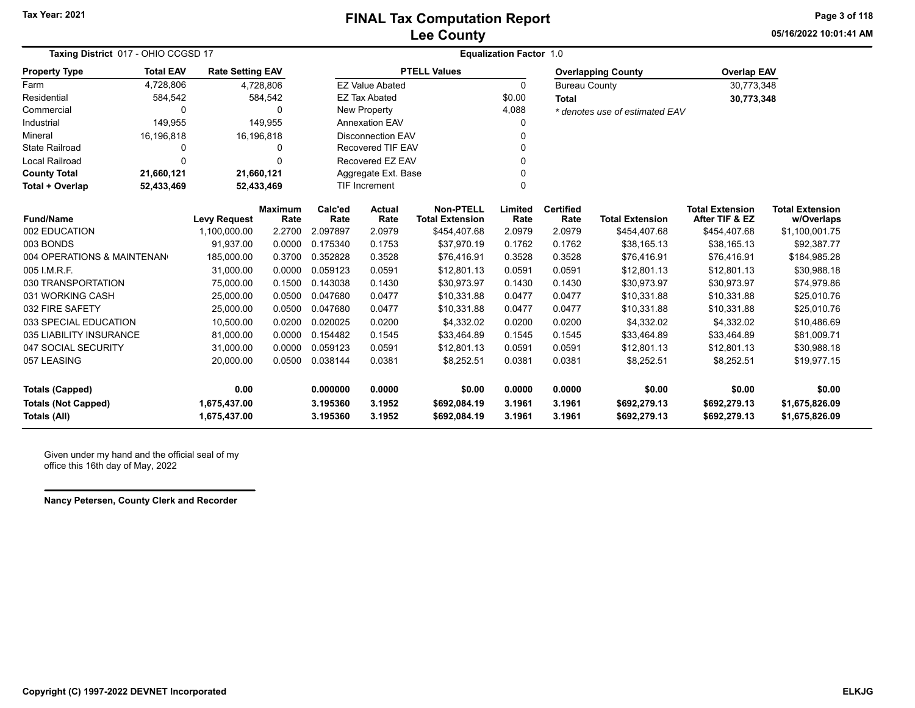**05/16/2022 10:01:41 AMPage 3 of 118**

| Taxing District 017 - OHIO CCGSD 17 |                          |                         |                        |                 |                          |                                            | <b>Equalization Factor 1.0</b> |                          |                                |                                          |                                      |
|-------------------------------------|--------------------------|-------------------------|------------------------|-----------------|--------------------------|--------------------------------------------|--------------------------------|--------------------------|--------------------------------|------------------------------------------|--------------------------------------|
| <b>Property Type</b>                | <b>Total EAV</b>         | <b>Rate Setting EAV</b> |                        |                 |                          | <b>PTELL Values</b>                        |                                |                          | <b>Overlapping County</b>      | <b>Overlap EAV</b>                       |                                      |
| Farm                                | 4,728,806                |                         | 4,728,806              |                 | <b>EZ Value Abated</b>   |                                            | 0                              | <b>Bureau County</b>     |                                | 30,773,348                               |                                      |
| Residential                         | 584,542                  |                         | 584,542                |                 | <b>EZ Tax Abated</b>     |                                            | \$0.00                         | <b>Total</b>             |                                | 30,773,348                               |                                      |
| Commercial                          | 0                        |                         | 0                      |                 | New Property             |                                            | 4,088                          |                          | * denotes use of estimated EAV |                                          |                                      |
| Industrial                          | 149,955                  |                         | 149,955                |                 | <b>Annexation EAV</b>    |                                            |                                |                          |                                |                                          |                                      |
| Mineral                             | 16,196,818               | 16,196,818              |                        |                 | <b>Disconnection EAV</b> |                                            | O                              |                          |                                |                                          |                                      |
| <b>State Railroad</b>               | 0                        |                         | 0                      |                 | <b>Recovered TIF EAV</b> |                                            |                                |                          |                                |                                          |                                      |
| Local Railroad                      | $\Omega$                 |                         | $\Omega$               |                 | Recovered EZ EAV         |                                            | U                              |                          |                                |                                          |                                      |
| <b>County Total</b>                 | 21,660,121               | 21,660,121              |                        |                 | Aggregate Ext. Base      |                                            |                                |                          |                                |                                          |                                      |
| Total + Overlap                     | 52,433,469<br>52,433,469 |                         |                        |                 | TIF Increment            |                                            | $\Omega$                       |                          |                                |                                          |                                      |
| <b>Fund/Name</b>                    |                          | <b>Levy Request</b>     | <b>Maximum</b><br>Rate | Calc'ed<br>Rate | <b>Actual</b><br>Rate    | <b>Non-PTELL</b><br><b>Total Extension</b> | Limited<br>Rate                | <b>Certified</b><br>Rate | <b>Total Extension</b>         | <b>Total Extension</b><br>After TIF & EZ | <b>Total Extension</b><br>w/Overlaps |
| 002 EDUCATION                       |                          | 1,100,000.00            | 2.2700                 | 2.097897        | 2.0979                   | \$454,407.68                               | 2.0979                         | 2.0979                   | \$454,407.68                   | \$454,407.68                             | \$1,100,001.75                       |
| 003 BONDS                           |                          | 91,937.00               | 0.0000                 | 0.175340        | 0.1753                   | \$37,970.19                                | 0.1762                         | 0.1762                   | \$38,165.13                    | \$38,165.13                              | \$92,387.77                          |
| 004 OPERATIONS & MAINTENAN          |                          | 185,000.00              | 0.3700                 | 0.352828        | 0.3528                   | \$76,416.91                                | 0.3528                         | 0.3528                   | \$76,416.91                    | \$76,416.91                              | \$184,985.28                         |
| 005 I.M.R.F.                        |                          | 31,000.00               | 0.0000                 | 0.059123        | 0.0591                   | \$12,801.13                                | 0.0591                         | 0.0591                   | \$12,801.13                    | \$12,801.13                              | \$30,988.18                          |
| 030 TRANSPORTATION                  |                          | 75,000.00               | 0.1500                 | 0.143038        | 0.1430                   | \$30,973.97                                | 0.1430                         | 0.1430                   | \$30,973.97                    | \$30,973.97                              | \$74,979.86                          |
| 031 WORKING CASH                    |                          | 25,000.00               | 0.0500                 | 0.047680        | 0.0477                   | \$10,331.88                                | 0.0477                         | 0.0477                   | \$10,331.88                    | \$10,331.88                              | \$25,010.76                          |
| 032 FIRE SAFETY                     |                          | 25,000.00               | 0.0500                 | 0.047680        | 0.0477                   | \$10,331.88                                | 0.0477                         | 0.0477                   | \$10,331.88                    | \$10,331.88                              | \$25,010.76                          |
| 033 SPECIAL EDUCATION               |                          | 10,500.00               | 0.0200                 | 0.020025        | 0.0200                   | \$4,332.02                                 | 0.0200                         | 0.0200                   | \$4,332.02                     | \$4,332.02                               | \$10,486.69                          |
| 035 LIABILITY INSURANCE             |                          | 81,000.00               | 0.0000                 | 0.154482        | 0.1545                   | \$33,464.89                                | 0.1545                         | 0.1545                   | \$33,464.89                    | \$33,464.89                              | \$81,009.71                          |
| 047 SOCIAL SECURITY                 |                          | 31,000.00               | 0.0000                 | 0.059123        | 0.0591                   | \$12,801.13                                | 0.0591                         | 0.0591                   | \$12,801.13                    | \$12,801.13                              | \$30,988.18                          |
| 057 LEASING                         |                          | 20,000.00               | 0.0500                 | 0.038144        | 0.0381                   | \$8,252.51                                 | 0.0381                         | 0.0381                   | \$8,252.51                     | \$8,252.51                               | \$19,977.15                          |
| <b>Totals (Capped)</b>              |                          | 0.00                    |                        | 0.000000        | 0.0000                   | \$0.00                                     | 0.0000                         | 0.0000                   | \$0.00                         | \$0.00                                   | \$0.00                               |
| <b>Totals (Not Capped)</b>          |                          | 1,675,437.00            |                        | 3.195360        | 3.1952                   | \$692,084.19                               | 3.1961                         | 3.1961                   | \$692,279.13                   | \$692,279.13                             | \$1,675,826.09                       |
| Totals (All)                        |                          | 1,675,437.00            |                        | 3.195360        | 3.1952                   | \$692,084.19                               | 3.1961                         | 3.1961                   | \$692,279.13                   | \$692,279.13                             | \$1,675,826.09                       |

Given under my hand and the official seal of my office this 16th day of May, 2022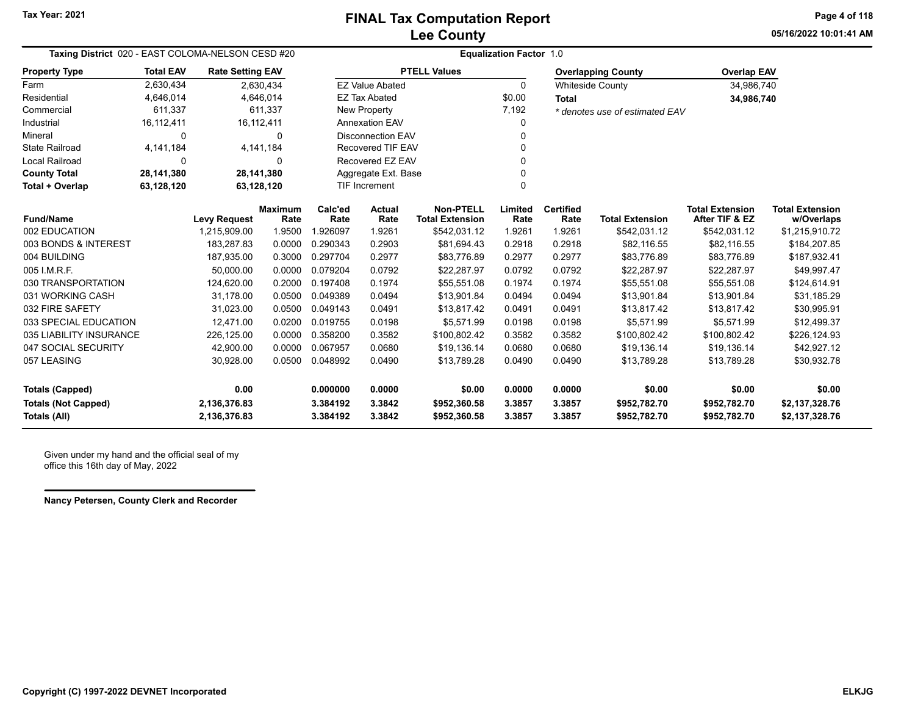**05/16/2022 10:01:41 AMPage 4 of 118**

| Taxing District 020 - EAST COLOMA-NELSON CESD #20 |                          |                              |                        |                      | <b>Equalization Factor 1.0</b> |                                            |                  |                          |                                |                                          |                                      |  |  |  |
|---------------------------------------------------|--------------------------|------------------------------|------------------------|----------------------|--------------------------------|--------------------------------------------|------------------|--------------------------|--------------------------------|------------------------------------------|--------------------------------------|--|--|--|
| <b>Property Type</b>                              | <b>Total EAV</b>         | <b>Rate Setting EAV</b>      |                        |                      |                                | <b>PTELL Values</b>                        |                  |                          | <b>Overlapping County</b>      | <b>Overlap EAV</b>                       |                                      |  |  |  |
| Farm                                              | 2,630,434                |                              | 2,630,434              |                      | <b>EZ Value Abated</b>         |                                            | $\Omega$         |                          | <b>Whiteside County</b>        | 34,986,740                               |                                      |  |  |  |
| Residential                                       | 4,646,014                |                              | 4,646,014              |                      | <b>EZ Tax Abated</b>           |                                            | \$0.00           | <b>Total</b>             |                                | 34,986,740                               |                                      |  |  |  |
| Commercial                                        | 611,337                  |                              | 611,337                |                      | New Property                   |                                            | 7,192            |                          | * denotes use of estimated EAV |                                          |                                      |  |  |  |
| Industrial                                        | 16,112,411               |                              | 16, 112, 411           |                      | Annexation EAV                 |                                            | 0                |                          |                                |                                          |                                      |  |  |  |
| Mineral                                           | 0                        |                              | 0                      |                      | <b>Disconnection EAV</b>       |                                            | 0                |                          |                                |                                          |                                      |  |  |  |
| <b>State Railroad</b>                             | 4, 141, 184              |                              | 4,141,184              |                      | <b>Recovered TIF EAV</b>       |                                            | 0                |                          |                                |                                          |                                      |  |  |  |
| Local Railroad                                    | $\Omega$                 |                              | 0                      |                      | Recovered EZ EAV               |                                            | $\Omega$         |                          |                                |                                          |                                      |  |  |  |
| <b>County Total</b>                               | 28,141,380<br>28,141,380 |                              |                        |                      | Aggregate Ext. Base            |                                            | 0                |                          |                                |                                          |                                      |  |  |  |
| 63,128,120<br>Total + Overlap                     |                          |                              | 63,128,120             |                      | TIF Increment                  |                                            | $\Omega$         |                          |                                |                                          |                                      |  |  |  |
| <b>Fund/Name</b>                                  |                          | <b>Levy Request</b>          | <b>Maximum</b><br>Rate | Calc'ed<br>Rate      | <b>Actual</b><br>Rate          | <b>Non-PTELL</b><br><b>Total Extension</b> | Limited<br>Rate  | <b>Certified</b><br>Rate | <b>Total Extension</b>         | <b>Total Extension</b><br>After TIF & EZ | <b>Total Extension</b><br>w/Overlaps |  |  |  |
| 002 EDUCATION                                     |                          | 1,215,909.00                 | 1.9500                 | 1.926097             | 1.9261                         | \$542,031.12                               | 1.9261           | 1.9261                   | \$542,031.12                   | \$542,031.12                             | \$1,215,910.72                       |  |  |  |
| 003 BONDS & INTEREST                              |                          | 183,287.83                   | 0.0000                 | 0.290343             | 0.2903                         | \$81,694.43                                | 0.2918           | 0.2918                   | \$82,116.55                    | \$82,116.55                              | \$184,207.85                         |  |  |  |
| 004 BUILDING                                      |                          | 187,935.00                   | 0.3000                 | 0.297704             | 0.2977                         | \$83,776.89                                | 0.2977           | 0.2977                   | \$83,776.89                    | \$83,776.89                              | \$187,932.41                         |  |  |  |
| 005 I.M.R.F.                                      |                          | 50,000.00                    | 0.0000                 | 0.079204             | 0.0792                         | \$22,287.97                                | 0.0792           | 0.0792                   | \$22,287.97                    | \$22,287.97                              | \$49,997.47                          |  |  |  |
| 030 TRANSPORTATION                                |                          | 124,620.00                   | 0.2000                 | 0.197408             | 0.1974                         | \$55,551.08                                | 0.1974           | 0.1974                   | \$55,551.08                    | \$55,551.08                              | \$124,614.91                         |  |  |  |
| 031 WORKING CASH                                  |                          | 31,178.00                    | 0.0500                 | 0.049389             | 0.0494                         | \$13,901.84                                | 0.0494           | 0.0494                   | \$13,901.84                    | \$13,901.84                              | \$31,185.29                          |  |  |  |
| 032 FIRE SAFETY                                   |                          | 31,023.00                    | 0.0500                 | 0.049143             | 0.0491                         | \$13,817.42                                | 0.0491           | 0.0491                   | \$13,817.42                    | \$13,817.42                              | \$30,995.91                          |  |  |  |
| 033 SPECIAL EDUCATION                             |                          | 12,471.00                    | 0.0200                 | 0.019755             | 0.0198                         | \$5,571.99                                 | 0.0198           | 0.0198                   | \$5,571.99                     | \$5,571.99                               | \$12,499.37                          |  |  |  |
| 035 LIABILITY INSURANCE                           |                          | 226,125.00                   | 0.0000                 | 0.358200             | 0.3582                         | \$100,802.42                               | 0.3582           | 0.3582                   | \$100,802.42                   | \$100,802.42                             | \$226,124.93                         |  |  |  |
| 047 SOCIAL SECURITY                               |                          | 42,900.00                    | 0.0000                 | 0.067957             | 0.0680                         | \$19,136.14                                | 0.0680           | 0.0680                   | \$19,136.14                    | \$19,136.14                              | \$42,927.12                          |  |  |  |
| 057 LEASING                                       |                          | 30,928.00                    | 0.0500                 | 0.048992             | 0.0490                         | \$13,789.28                                | 0.0490           | 0.0490                   | \$13,789.28                    | \$13,789.28                              | \$30,932.78                          |  |  |  |
| <b>Totals (Capped)</b>                            |                          | 0.00                         |                        | 0.000000             | 0.0000                         | \$0.00                                     | 0.0000           | 0.0000                   | \$0.00                         | \$0.00                                   | \$0.00                               |  |  |  |
| <b>Totals (Not Capped)</b><br><b>Totals (All)</b> |                          | 2,136,376.83<br>2,136,376.83 |                        | 3.384192<br>3.384192 | 3.3842<br>3.3842               | \$952,360.58<br>\$952,360.58               | 3.3857<br>3.3857 | 3.3857<br>3.3857         | \$952,782.70<br>\$952,782.70   | \$952,782.70<br>\$952,782.70             | \$2,137,328.76<br>\$2,137,328.76     |  |  |  |

Given under my hand and the official seal of my office this 16th day of May, 2022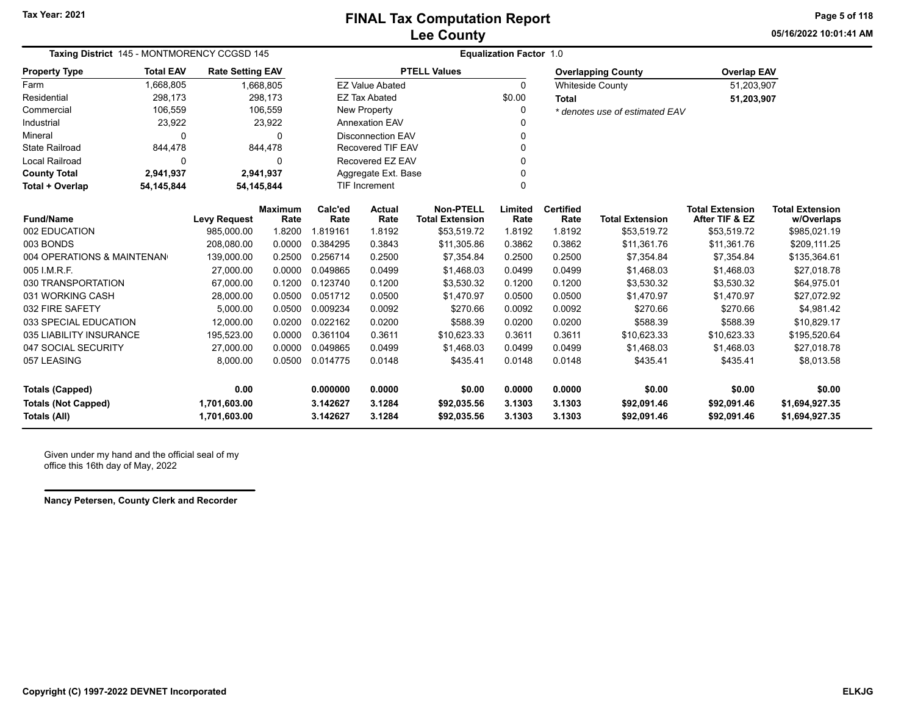**05/16/2022 10:01:41 AMPage 5 of 118**

| Taxing District 145 - MONTMORENCY CCGSD 145 |                          |                         |                        | <b>Equalization Factor 1.0</b> |                          |                                            |                                     |                          |                           |                                          |                                      |  |
|---------------------------------------------|--------------------------|-------------------------|------------------------|--------------------------------|--------------------------|--------------------------------------------|-------------------------------------|--------------------------|---------------------------|------------------------------------------|--------------------------------------|--|
| <b>Property Type</b>                        | <b>Total EAV</b>         | <b>Rate Setting EAV</b> |                        |                                |                          | <b>PTELL Values</b>                        |                                     |                          | <b>Overlapping County</b> | <b>Overlap EAV</b>                       |                                      |  |
| Farm                                        | 1,668,805                |                         | 1,668,805              |                                | <b>EZ Value Abated</b>   |                                            | 0                                   |                          | <b>Whiteside County</b>   | 51,203,907                               |                                      |  |
| Residential                                 | 298,173                  |                         | 298,173                |                                | <b>EZ Tax Abated</b>     |                                            | \$0.00                              | <b>Total</b>             |                           | 51,203,907                               |                                      |  |
| Commercial                                  | 106,559                  |                         | 106,559                |                                | New Property             |                                            | 0<br>* denotes use of estimated EAV |                          |                           |                                          |                                      |  |
| Industrial                                  | 23,922                   |                         | 23,922                 |                                | <b>Annexation EAV</b>    |                                            |                                     |                          |                           |                                          |                                      |  |
| Mineral                                     | 0                        |                         | $\Omega$               |                                | <b>Disconnection EAV</b> |                                            | 0                                   |                          |                           |                                          |                                      |  |
| <b>State Railroad</b>                       | 844,478                  |                         | 844,478                |                                | Recovered TIF EAV        |                                            | 0                                   |                          |                           |                                          |                                      |  |
| <b>Local Railroad</b>                       | 0                        |                         | $\Omega$               |                                | Recovered EZ EAV         |                                            | 0                                   |                          |                           |                                          |                                      |  |
| <b>County Total</b>                         | 2,941,937<br>2,941,937   |                         |                        | Aggregate Ext. Base            |                          | 0                                          |                                     |                          |                           |                                          |                                      |  |
| Total + Overlap                             | 54,145,844<br>54,145,844 |                         |                        |                                | TIF Increment            |                                            | 0                                   |                          |                           |                                          |                                      |  |
| <b>Fund/Name</b>                            |                          | <b>Levy Request</b>     | <b>Maximum</b><br>Rate | Calc'ed<br>Rate                | Actual<br>Rate           | <b>Non-PTELL</b><br><b>Total Extension</b> | Limited<br>Rate                     | <b>Certified</b><br>Rate | <b>Total Extension</b>    | <b>Total Extension</b><br>After TIF & EZ | <b>Total Extension</b><br>w/Overlaps |  |
| 002 EDUCATION                               |                          | 985,000.00              | 1.8200                 | 1.819161                       | 1.8192                   | \$53,519.72                                | 1.8192                              | 1.8192                   | \$53,519.72               | \$53,519.72                              | \$985,021.19                         |  |
| 003 BONDS                                   |                          | 208,080.00              | 0.0000                 | 0.384295                       | 0.3843                   | \$11,305.86                                | 0.3862                              | 0.3862                   | \$11,361.76               | \$11,361.76                              | \$209,111.25                         |  |
| 004 OPERATIONS & MAINTENAN                  |                          | 139,000.00              | 0.2500                 | 0.256714                       | 0.2500                   | \$7,354.84                                 | 0.2500                              | 0.2500                   | \$7,354.84                | \$7,354.84                               | \$135,364.61                         |  |
| 005 I.M.R.F.                                |                          | 27,000.00               | 0.0000                 | 0.049865                       | 0.0499                   | \$1,468.03                                 | 0.0499                              | 0.0499                   | \$1,468.03                | \$1,468.03                               | \$27,018.78                          |  |
| 030 TRANSPORTATION                          |                          | 67,000.00               | 0.1200                 | 0.123740                       | 0.1200                   | \$3,530.32                                 | 0.1200                              | 0.1200                   | \$3,530.32                | \$3,530.32                               | \$64,975.01                          |  |
| 031 WORKING CASH                            |                          | 28,000.00               | 0.0500                 | 0.051712                       | 0.0500                   | \$1,470.97                                 | 0.0500                              | 0.0500                   | \$1,470.97                | \$1,470.97                               | \$27,072.92                          |  |
| 032 FIRE SAFETY                             |                          | 5,000.00                | 0.0500                 | 0.009234                       | 0.0092                   | \$270.66                                   | 0.0092                              | 0.0092                   | \$270.66                  | \$270.66                                 | \$4,981.42                           |  |
| 033 SPECIAL EDUCATION                       |                          | 12,000.00               | 0.0200                 | 0.022162                       | 0.0200                   | \$588.39                                   | 0.0200                              | 0.0200                   | \$588.39                  | \$588.39                                 | \$10,829.17                          |  |
| 035 LIABILITY INSURANCE                     |                          | 195,523.00              | 0.0000                 | 0.361104                       | 0.3611                   | \$10,623.33                                | 0.3611                              | 0.3611                   | \$10,623.33               | \$10,623.33                              | \$195,520.64                         |  |
| 047 SOCIAL SECURITY                         |                          | 27,000.00               | 0.0000                 | 0.049865                       | 0.0499                   | \$1,468.03                                 | 0.0499                              | 0.0499                   | \$1,468.03                | \$1,468.03                               | \$27,018.78                          |  |
| 057 LEASING                                 |                          | 8,000.00                | 0.0500                 | 0.014775                       | 0.0148                   | \$435.41                                   | 0.0148                              | 0.0148                   | \$435.41                  | \$435.41                                 | \$8.013.58                           |  |
| <b>Totals (Capped)</b>                      |                          | 0.00                    |                        | 0.000000                       | 0.0000                   | \$0.00                                     | 0.0000                              | 0.0000                   | \$0.00                    | \$0.00                                   | \$0.00                               |  |
| <b>Totals (Not Capped)</b>                  |                          | 1,701,603.00            |                        | 3.142627                       | 3.1284                   | \$92,035.56                                | 3.1303                              | 3.1303                   | \$92,091.46               | \$92,091.46                              | \$1,694,927.35                       |  |
| Totals (All)                                |                          | 1,701,603.00            |                        | 3.142627                       | 3.1284                   | \$92,035.56                                | 3.1303                              | 3.1303                   | \$92,091.46               | \$92,091.46                              | \$1,694,927.35                       |  |

Given under my hand and the official seal of my office this 16th day of May, 2022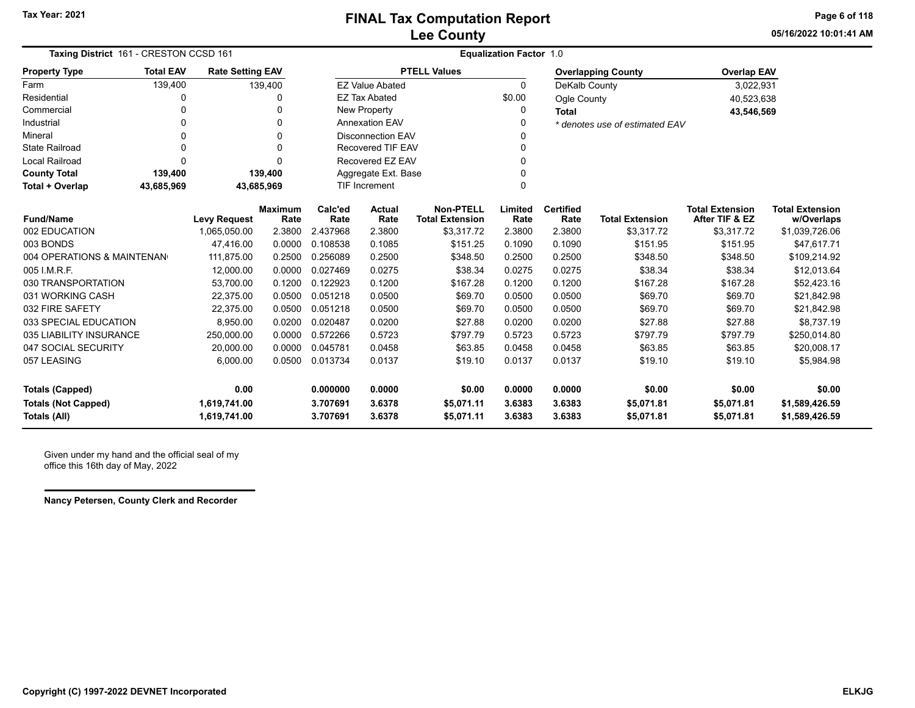**05/16/2022 10:01:41 AMPage 6 of 118**

| <b>Taxing District 161 - CRESTON CCSD 161</b> |                                                                   |                     |                        |                 |                          |                                            | <b>Equalization Factor 1.0</b> |                          |                                |                                          |                                      |
|-----------------------------------------------|-------------------------------------------------------------------|---------------------|------------------------|-----------------|--------------------------|--------------------------------------------|--------------------------------|--------------------------|--------------------------------|------------------------------------------|--------------------------------------|
| <b>Property Type</b>                          | <b>Total EAV</b><br><b>Rate Setting EAV</b><br>139,400<br>139,400 |                     |                        |                 |                          | <b>PTELL Values</b>                        |                                |                          | <b>Overlapping County</b>      | <b>Overlap EAV</b>                       |                                      |
| Farm                                          |                                                                   |                     |                        |                 | <b>EZ Value Abated</b>   |                                            | $\Omega$                       | DeKalb County            |                                | 3,022,931                                |                                      |
| Residential                                   |                                                                   |                     | 0                      |                 | <b>EZ Tax Abated</b>     |                                            | \$0.00                         | Ogle County              |                                | 40,523,638                               |                                      |
| Commercial                                    | $\mathbf 0$                                                       |                     | 0                      |                 | New Property             |                                            | 0                              | <b>Total</b>             |                                | 43,546,569                               |                                      |
| Industrial                                    | $\Omega$                                                          |                     | 0                      |                 | <b>Annexation EAV</b>    |                                            | $\Omega$                       |                          | * denotes use of estimated EAV |                                          |                                      |
| Mineral                                       | $\Omega$                                                          |                     | 0                      |                 | <b>Disconnection EAV</b> |                                            | 0                              |                          |                                |                                          |                                      |
| State Railroad                                | $\Omega$                                                          |                     | 0                      |                 | <b>Recovered TIF EAV</b> |                                            | $\Omega$                       |                          |                                |                                          |                                      |
| <b>Local Railroad</b>                         | $\Omega$                                                          |                     | 0                      |                 | Recovered EZ EAV         |                                            | 0                              |                          |                                |                                          |                                      |
| <b>County Total</b>                           | 139,400                                                           |                     | 139,400                |                 | Aggregate Ext. Base      |                                            | 0                              |                          |                                |                                          |                                      |
| Total + Overlap                               | 43,685,969                                                        | 43,685,969          |                        |                 | <b>TIF Increment</b>     |                                            | 0                              |                          |                                |                                          |                                      |
| <b>Fund/Name</b>                              |                                                                   | <b>Levy Request</b> | <b>Maximum</b><br>Rate | Calc'ed<br>Rate | <b>Actual</b><br>Rate    | <b>Non-PTELL</b><br><b>Total Extension</b> | Limited<br>Rate                | <b>Certified</b><br>Rate | <b>Total Extension</b>         | <b>Total Extension</b><br>After TIF & EZ | <b>Total Extension</b><br>w/Overlaps |
| 002 EDUCATION                                 |                                                                   | 1,065,050.00        | 2.3800                 | 2.437968        | 2.3800                   | \$3,317.72                                 | 2.3800                         | 2.3800                   | \$3,317.72                     | \$3,317.72                               | \$1,039,726.06                       |
| 003 BONDS                                     |                                                                   | 47.416.00           | 0.0000                 | 0.108538        | 0.1085                   | \$151.25                                   | 0.1090                         | 0.1090                   | \$151.95                       | \$151.95                                 | \$47,617.71                          |
| 004 OPERATIONS & MAINTENAN                    |                                                                   | 111,875.00          | 0.2500                 | 0.256089        | 0.2500                   | \$348.50                                   | 0.2500                         | 0.2500                   | \$348.50                       | \$348.50                                 | \$109,214.92                         |
| 005 I.M.R.F.                                  |                                                                   | 12,000.00           | 0.0000                 | 0.027469        | 0.0275                   | \$38.34                                    | 0.0275                         | 0.0275                   | \$38.34                        | \$38.34                                  | \$12,013.64                          |
| 030 TRANSPORTATION                            |                                                                   | 53,700.00           | 0.1200                 | 0.122923        | 0.1200                   | \$167.28                                   | 0.1200                         | 0.1200                   | \$167.28                       | \$167.28                                 | \$52,423.16                          |
| 031 WORKING CASH                              |                                                                   | 22,375.00           | 0.0500                 | 0.051218        | 0.0500                   | \$69.70                                    | 0.0500                         | 0.0500                   | \$69.70                        | \$69.70                                  | \$21,842.98                          |
| 032 FIRE SAFETY                               |                                                                   | 22,375.00           | 0.0500                 | 0.051218        | 0.0500                   | \$69.70                                    | 0.0500                         | 0.0500                   | \$69.70                        | \$69.70                                  | \$21,842.98                          |
| 033 SPECIAL EDUCATION                         |                                                                   | 8,950.00            | 0.0200                 | 0.020487        | 0.0200                   | \$27.88                                    | 0.0200                         | 0.0200                   | \$27.88                        | \$27.88                                  | \$8,737.19                           |
| 035 LIABILITY INSURANCE                       |                                                                   | 250,000.00          | 0.0000                 | 0.572266        | 0.5723                   | \$797.79                                   | 0.5723                         | 0.5723                   | \$797.79                       | \$797.79                                 | \$250,014.80                         |
| 047 SOCIAL SECURITY                           |                                                                   | 20,000.00           | 0.0000                 | 0.045781        | 0.0458                   | \$63.85                                    | 0.0458                         | 0.0458                   | \$63.85                        | \$63.85                                  | \$20,008.17                          |
| 057 LEASING                                   |                                                                   | 6,000.00            | 0.0500                 | 0.013734        | 0.0137                   | \$19.10                                    | 0.0137                         | 0.0137                   | \$19.10                        | \$19.10                                  | \$5,984.98                           |
| <b>Totals (Capped)</b>                        |                                                                   | 0.00                |                        | 0.000000        | 0.0000                   | \$0.00                                     | 0.0000                         | 0.0000                   | \$0.00                         | \$0.00                                   | \$0.00                               |
| <b>Totals (Not Capped)</b>                    |                                                                   | 1,619,741.00        |                        | 3.707691        | 3.6378                   | \$5,071.11                                 | 3.6383                         | 3.6383                   | \$5,071.81                     | \$5,071.81                               | \$1,589,426.59                       |
| Totals (All)                                  |                                                                   | 1,619,741.00        |                        | 3.707691        | 3.6378                   | \$5,071.11                                 | 3.6383                         | 3.6383                   | \$5,071.81                     | \$5,071.81                               | \$1,589,426.59                       |

Given under my hand and the official seal of my office this 16th day of May, 2022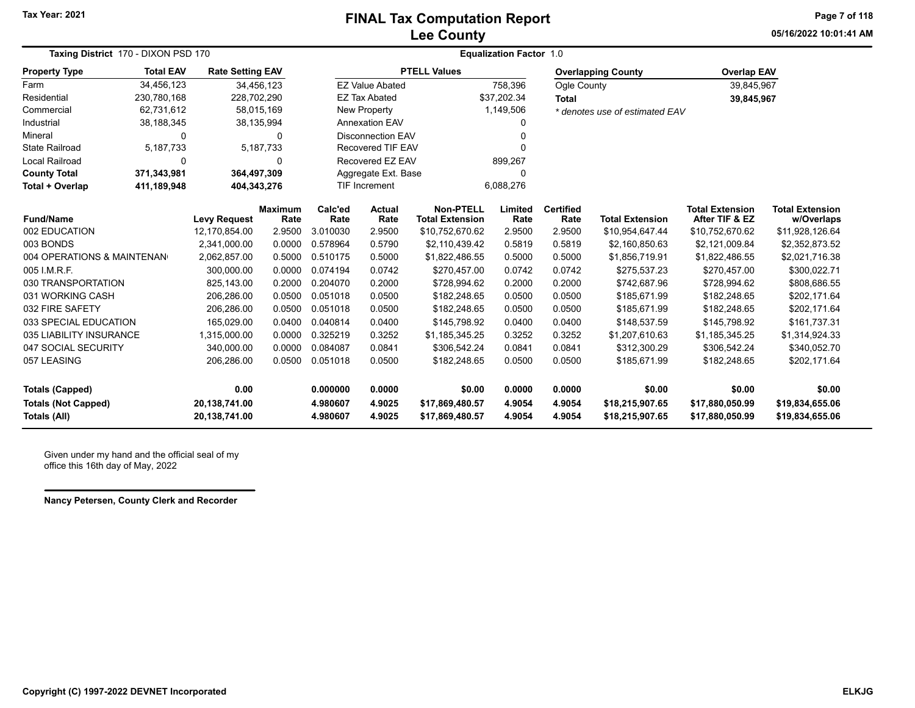## **Lee County FINAL Tax Computation Report**

**05/16/2022 10:01:41 AMPage 7 of 118**

| Taxing District 170 - DIXON PSD 170        |                            |                                |                        | <b>Equalization Factor 1.0</b> |                          |                                            |                  |                          |                                    |                                          |                                      |  |  |
|--------------------------------------------|----------------------------|--------------------------------|------------------------|--------------------------------|--------------------------|--------------------------------------------|------------------|--------------------------|------------------------------------|------------------------------------------|--------------------------------------|--|--|
| <b>Property Type</b>                       | <b>Total EAV</b>           | <b>Rate Setting EAV</b>        |                        |                                |                          | <b>PTELL Values</b>                        |                  |                          | <b>Overlapping County</b>          | <b>Overlap EAV</b>                       |                                      |  |  |
| Farm                                       | 34,456,123                 | 34,456,123                     |                        |                                | <b>EZ Value Abated</b>   |                                            | 758,396          | Ogle County              |                                    | 39,845,967                               |                                      |  |  |
| Residential                                | 230,780,168                | 228,702,290                    |                        |                                | <b>EZ Tax Abated</b>     |                                            | \$37,202.34      | <b>Total</b>             |                                    | 39,845,967                               |                                      |  |  |
| Commercial                                 | 62,731,612                 | 58,015,169                     |                        |                                | <b>New Property</b>      |                                            | 1,149,506        |                          | * denotes use of estimated EAV     |                                          |                                      |  |  |
| Industrial                                 | 38,188,345                 | 38,135,994                     |                        |                                | <b>Annexation EAV</b>    |                                            |                  |                          |                                    |                                          |                                      |  |  |
| <b>Mineral</b>                             |                            |                                | O                      |                                | <b>Disconnection EAV</b> |                                            |                  |                          |                                    |                                          |                                      |  |  |
| <b>State Railroad</b>                      | 5,187,733                  |                                | 5,187,733              |                                | <b>Recovered TIF EAV</b> |                                            |                  |                          |                                    |                                          |                                      |  |  |
| Local Railroad                             | 0                          |                                | 0                      |                                | Recovered EZ EAV         |                                            | 899,267          |                          |                                    |                                          |                                      |  |  |
| <b>County Total</b>                        | 371,343,981                | 364,497,309                    |                        |                                | Aggregate Ext. Base      |                                            | 0                |                          |                                    |                                          |                                      |  |  |
| Total + Overlap                            | 411,189,948<br>404,343,276 |                                |                        |                                | <b>TIF Increment</b>     |                                            | 6,088,276        |                          |                                    |                                          |                                      |  |  |
| <b>Fund/Name</b>                           |                            | <b>Levy Request</b>            | <b>Maximum</b><br>Rate | Calc'ed<br>Rate                | <b>Actual</b><br>Rate    | <b>Non-PTELL</b><br><b>Total Extension</b> | Limited<br>Rate  | <b>Certified</b><br>Rate | <b>Total Extension</b>             | <b>Total Extension</b><br>After TIF & EZ | <b>Total Extension</b><br>w/Overlaps |  |  |
| 002 EDUCATION                              |                            | 12,170,854.00                  | 2.9500                 | 3.010030                       | 2.9500                   | \$10,752,670.62                            | 2.9500           | 2.9500                   | \$10,954,647.44                    | \$10,752,670.62                          | \$11,928,126.64                      |  |  |
| 003 BONDS                                  |                            | 2,341,000.00                   | 0.0000                 | 0.578964                       | 0.5790                   | \$2,110,439.42                             | 0.5819           | 0.5819                   | \$2,160,850.63                     | \$2,121,009.84                           | \$2,352,873.52                       |  |  |
| 004 OPERATIONS & MAINTENAN                 |                            | 2,062,857.00                   | 0.5000                 | 0.510175                       | 0.5000                   | \$1,822,486.55                             | 0.5000           | 0.5000                   | \$1,856,719.91                     | \$1,822,486.55                           | \$2,021,716.38                       |  |  |
| 005 I.M.R.F.                               |                            | 300,000.00                     | 0.0000                 | 0.074194                       | 0.0742                   | \$270,457.00                               | 0.0742           | 0.0742                   | \$275,537.23                       | \$270,457.00                             | \$300,022.71                         |  |  |
| 030 TRANSPORTATION                         |                            | 825,143.00                     | 0.2000                 | 0.204070                       | 0.2000                   | \$728,994.62                               | 0.2000           | 0.2000                   | \$742,687.96                       | \$728,994.62                             | \$808,686.55                         |  |  |
| 031 WORKING CASH                           |                            | 206,286.00                     | 0.0500                 | 0.051018                       | 0.0500                   | \$182,248.65                               | 0.0500           | 0.0500                   | \$185,671.99                       | \$182,248.65                             | \$202,171.64                         |  |  |
| 032 FIRE SAFETY                            |                            | 206,286.00                     | 0.0500                 | 0.051018                       | 0.0500                   | \$182,248.65                               | 0.0500           | 0.0500                   | \$185,671.99                       | \$182,248.65                             | \$202,171.64                         |  |  |
| 033 SPECIAL EDUCATION                      |                            | 165,029.00                     | 0.0400                 | 0.040814                       | 0.0400                   | \$145,798.92                               | 0.0400           | 0.0400                   | \$148,537.59                       | \$145,798.92                             | \$161,737.31                         |  |  |
| 035 LIABILITY INSURANCE                    |                            | 1,315,000.00                   | 0.0000                 | 0.325219                       | 0.3252                   | \$1,185,345.25                             | 0.3252           | 0.3252                   | \$1,207,610.63                     | \$1,185,345.25                           | \$1,314,924.33                       |  |  |
| 047 SOCIAL SECURITY                        |                            | 340,000.00                     | 0.0000                 | 0.084087                       | 0.0841                   | \$306,542.24                               | 0.0841           | 0.0841                   | \$312,300.29                       | \$306,542.24                             | \$340,052.70                         |  |  |
| 057 LEASING                                |                            | 206,286.00                     | 0.0500                 | 0.051018                       | 0.0500                   | \$182,248.65                               | 0.0500           | 0.0500                   | \$185,671.99                       | \$182,248.65                             | \$202,171.64                         |  |  |
| <b>Totals (Capped)</b>                     |                            | 0.00                           |                        | 0.000000                       | 0.0000                   | \$0.00                                     | 0.0000           | 0.0000                   | \$0.00                             | \$0.00                                   | \$0.00                               |  |  |
| <b>Totals (Not Capped)</b><br>Totals (All) |                            | 20,138,741.00<br>20,138,741.00 |                        | 4.980607<br>4.980607           | 4.9025<br>4.9025         | \$17,869,480.57<br>\$17,869,480.57         | 4.9054<br>4.9054 | 4.9054<br>4.9054         | \$18,215,907.65<br>\$18,215,907.65 | \$17,880,050.99<br>\$17,880,050.99       | \$19,834,655.06<br>\$19,834,655.06   |  |  |

Given under my hand and the official seal of my office this 16th day of May, 2022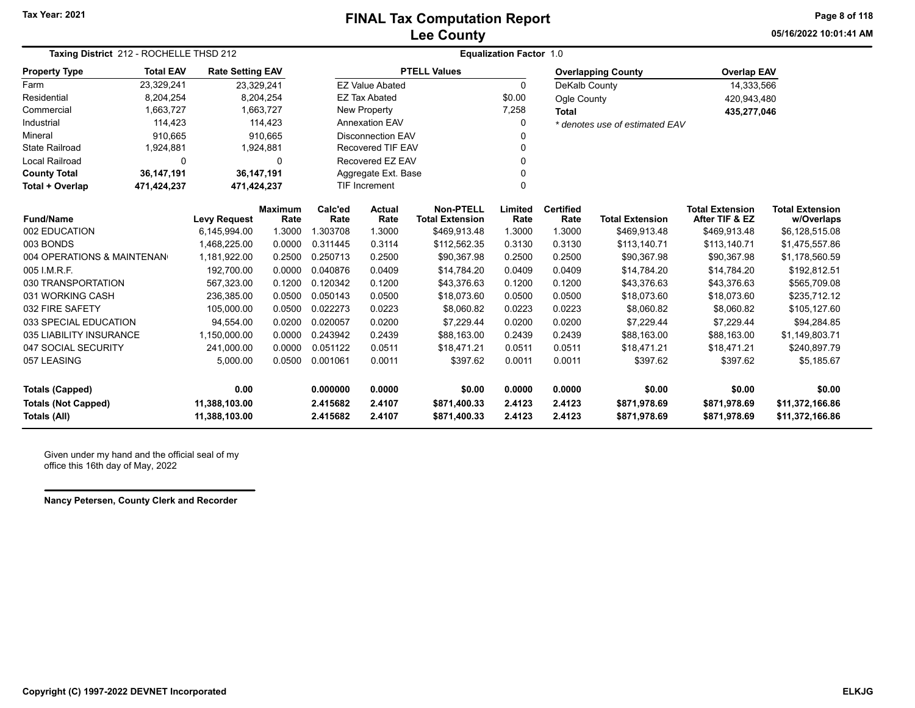## **Lee County FINAL Tax Computation Report**

**05/16/2022 10:01:41 AMPage 8 of 118**

| Taxing District 212 - ROCHELLE THSD 212 |                            |                         |                        | <b>Equalization Factor 1.0</b> |                          |                                            |                 |                          |                                |                                          |                                      |  |
|-----------------------------------------|----------------------------|-------------------------|------------------------|--------------------------------|--------------------------|--------------------------------------------|-----------------|--------------------------|--------------------------------|------------------------------------------|--------------------------------------|--|
| <b>Property Type</b>                    | <b>Total EAV</b>           | <b>Rate Setting EAV</b> |                        |                                |                          | <b>PTELL Values</b>                        |                 |                          | <b>Overlapping County</b>      | <b>Overlap EAV</b>                       |                                      |  |
| Farm                                    | 23,329,241                 | 23,329,241              |                        |                                | <b>EZ Value Abated</b>   |                                            | $\mathbf{0}$    | DeKalb County            |                                | 14,333,566                               |                                      |  |
| Residential                             | 8,204,254                  |                         | 8,204,254              |                                | <b>EZ Tax Abated</b>     |                                            | \$0.00          | Ogle County              |                                | 420,943,480                              |                                      |  |
| Commercial                              | 1,663,727                  |                         | 1,663,727              |                                | New Property             |                                            | 7,258           | <b>Total</b>             |                                | 435,277,046                              |                                      |  |
| Industrial                              | 114,423                    |                         | 114,423                |                                | <b>Annexation EAV</b>    |                                            | 0               |                          | * denotes use of estimated EAV |                                          |                                      |  |
| Mineral                                 | 910,665                    |                         | 910,665                |                                | <b>Disconnection EAV</b> |                                            |                 |                          |                                |                                          |                                      |  |
| <b>State Railroad</b>                   | 1,924,881                  |                         | 1,924,881              |                                | <b>Recovered TIF EAV</b> |                                            | 0               |                          |                                |                                          |                                      |  |
| <b>Local Railroad</b>                   | 0                          |                         | $\Omega$               |                                | Recovered EZ EAV         |                                            | U               |                          |                                |                                          |                                      |  |
| <b>County Total</b>                     | 36,147,191<br>36,147,191   |                         |                        |                                | Aggregate Ext. Base      |                                            | 0               |                          |                                |                                          |                                      |  |
| Total + Overlap                         | 471,424,237<br>471,424,237 |                         |                        |                                | <b>TIF Increment</b>     |                                            | 0               |                          |                                |                                          |                                      |  |
| <b>Fund/Name</b>                        |                            | <b>Levy Request</b>     | <b>Maximum</b><br>Rate | Calc'ed<br>Rate                | <b>Actual</b><br>Rate    | <b>Non-PTELL</b><br><b>Total Extension</b> | Limited<br>Rate | <b>Certified</b><br>Rate | <b>Total Extension</b>         | <b>Total Extension</b><br>After TIF & EZ | <b>Total Extension</b><br>w/Overlaps |  |
| 002 EDUCATION                           |                            | 6,145,994.00            | 1.3000                 | 1.303708                       | 1.3000                   | \$469,913.48                               | 1.3000          | 1.3000                   | \$469,913.48                   | \$469,913.48                             | \$6,128,515.08                       |  |
| 003 BONDS                               |                            | 1,468,225.00            | 0.0000                 | 0.311445                       | 0.3114                   | \$112,562.35                               | 0.3130          | 0.3130                   | \$113,140.71                   | \$113,140.71                             | \$1,475,557.86                       |  |
| 004 OPERATIONS & MAINTENAN              |                            | 1,181,922.00            | 0.2500                 | 0.250713                       | 0.2500                   | \$90,367.98                                | 0.2500          | 0.2500                   | \$90,367.98                    | \$90,367.98                              | \$1,178,560.59                       |  |
| 005 I.M.R.F.                            |                            | 192.700.00              | 0.0000                 | 0.040876                       | 0.0409                   | \$14,784.20                                | 0.0409          | 0.0409                   | \$14,784.20                    | \$14,784.20                              | \$192,812.51                         |  |
| 030 TRANSPORTATION                      |                            | 567,323.00              | 0.1200                 | 0.120342                       | 0.1200                   | \$43,376.63                                | 0.1200          | 0.1200                   | \$43,376.63                    | \$43,376.63                              | \$565,709.08                         |  |
| 031 WORKING CASH                        |                            | 236,385.00              | 0.0500                 | 0.050143                       | 0.0500                   | \$18,073.60                                | 0.0500          | 0.0500                   | \$18,073.60                    | \$18,073.60                              | \$235,712.12                         |  |
| 032 FIRE SAFETY                         |                            | 105,000.00              | 0.0500                 | 0.022273                       | 0.0223                   | \$8,060.82                                 | 0.0223          | 0.0223                   | \$8,060.82                     | \$8,060.82                               | \$105,127.60                         |  |
| 033 SPECIAL EDUCATION                   |                            | 94,554.00               | 0.0200                 | 0.020057                       | 0.0200                   | \$7.229.44                                 | 0.0200          | 0.0200                   | \$7,229.44                     | \$7,229.44                               | \$94,284.85                          |  |
| 035 LIABILITY INSURANCE                 |                            | 1,150,000.00            | 0.0000                 | 0.243942                       | 0.2439                   | \$88,163.00                                | 0.2439          | 0.2439                   | \$88,163.00                    | \$88,163.00                              | \$1,149,803.71                       |  |
| 047 SOCIAL SECURITY                     |                            | 241,000.00              | 0.0000                 | 0.051122                       | 0.0511                   | \$18,471.21                                | 0.0511          | 0.0511                   | \$18,471.21                    | \$18,471.21                              | \$240,897.79                         |  |
| 057 LEASING                             |                            | 5,000.00                | 0.0500                 | 0.001061                       | 0.0011                   | \$397.62                                   | 0.0011          | 0.0011                   | \$397.62                       | \$397.62                                 | \$5,185.67                           |  |
| <b>Totals (Capped)</b>                  |                            | 0.00                    |                        | 0.000000                       | 0.0000                   | \$0.00                                     | 0.0000          | 0.0000                   | \$0.00                         | \$0.00                                   | \$0.00                               |  |
| <b>Totals (Not Capped)</b>              |                            | 11,388,103.00           |                        | 2.415682                       | 2.4107                   | \$871,400.33                               | 2.4123          | 2.4123                   | \$871,978.69                   | \$871,978.69                             | \$11,372,166.86                      |  |
| Totals (All)                            |                            | 11,388,103.00           |                        | 2.415682                       | 2.4107                   | \$871,400.33                               | 2.4123          | 2.4123                   | \$871,978.69                   | \$871,978.69                             | \$11,372,166.86                      |  |

Given under my hand and the official seal of my office this 16th day of May, 2022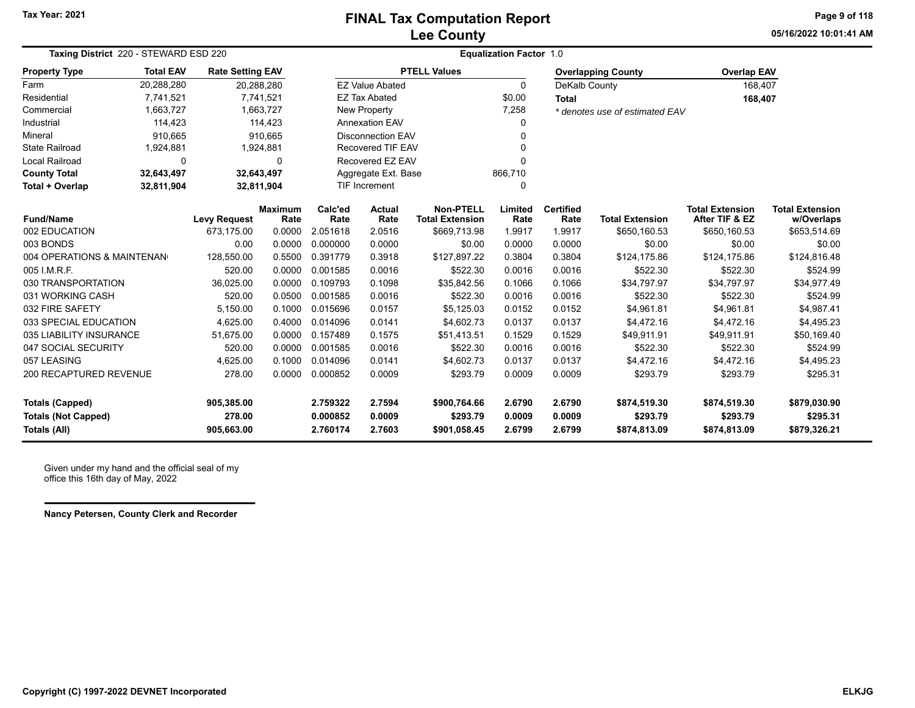### **Lee County FINAL Tax Computation Report**

**05/16/2022 10:01:41 AMPage 9 of 118**

| Taxing District 220 - STEWARD ESD 220<br><b>Property Type</b> |                                                                                                          |            |                                                                                                                                                  | <b>Equalization Factor 1.0</b> |                                                                                                             |                                                                                                                                        |                          |                        |                                                            |                                                                                            |  |
|---------------------------------------------------------------|----------------------------------------------------------------------------------------------------------|------------|--------------------------------------------------------------------------------------------------------------------------------------------------|--------------------------------|-------------------------------------------------------------------------------------------------------------|----------------------------------------------------------------------------------------------------------------------------------------|--------------------------|------------------------|------------------------------------------------------------|--------------------------------------------------------------------------------------------|--|
| <b>Total EAV</b>                                              |                                                                                                          |            |                                                                                                                                                  |                                |                                                                                                             |                                                                                                                                        |                          |                        |                                                            |                                                                                            |  |
| 20,288,280                                                    |                                                                                                          |            |                                                                                                                                                  |                                |                                                                                                             | $\Omega$                                                                                                                               |                          |                        |                                                            |                                                                                            |  |
| 7,741,521                                                     |                                                                                                          |            |                                                                                                                                                  |                                |                                                                                                             | \$0.00                                                                                                                                 | <b>Total</b>             |                        |                                                            |                                                                                            |  |
| 1,663,727                                                     |                                                                                                          |            |                                                                                                                                                  |                                |                                                                                                             | 7,258                                                                                                                                  |                          |                        |                                                            |                                                                                            |  |
| 114,423                                                       |                                                                                                          |            |                                                                                                                                                  |                                |                                                                                                             | 0                                                                                                                                      |                          |                        |                                                            |                                                                                            |  |
| 910,665                                                       |                                                                                                          |            |                                                                                                                                                  |                                |                                                                                                             | 0                                                                                                                                      |                          |                        |                                                            |                                                                                            |  |
| 1,924,881                                                     |                                                                                                          |            |                                                                                                                                                  |                                |                                                                                                             |                                                                                                                                        |                          |                        |                                                            |                                                                                            |  |
| 0                                                             |                                                                                                          | 0          |                                                                                                                                                  |                                |                                                                                                             |                                                                                                                                        |                          |                        |                                                            |                                                                                            |  |
| 32,643,497                                                    |                                                                                                          |            |                                                                                                                                                  |                                |                                                                                                             | 866,710                                                                                                                                |                          |                        |                                                            |                                                                                            |  |
| 32,811,904                                                    |                                                                                                          |            |                                                                                                                                                  |                                |                                                                                                             | 0                                                                                                                                      |                          |                        |                                                            |                                                                                            |  |
|                                                               | <b>Levy Request</b>                                                                                      | Rate       | Calc'ed<br>Rate                                                                                                                                  | <b>Actual</b><br>Rate          | <b>Non-PTELL</b><br><b>Total Extension</b>                                                                  | Limited<br>Rate                                                                                                                        | <b>Certified</b><br>Rate | <b>Total Extension</b> | <b>Total Extension</b><br>After TIF & EZ                   | <b>Total Extension</b><br>w/Overlaps                                                       |  |
|                                                               | 673,175.00                                                                                               | 0.0000     | 2.051618                                                                                                                                         | 2.0516                         | \$669,713.98                                                                                                | 1.9917                                                                                                                                 | 1.9917                   | \$650,160.53           | \$650,160.53                                               | \$653,514.69                                                                               |  |
|                                                               | 0.00                                                                                                     | 0.0000     | 0.000000                                                                                                                                         | 0.0000                         | \$0.00                                                                                                      | 0.0000                                                                                                                                 | 0.0000                   | \$0.00                 | \$0.00                                                     | \$0.00                                                                                     |  |
|                                                               | 128,550.00                                                                                               | 0.5500     | 0.391779                                                                                                                                         | 0.3918                         | \$127,897.22                                                                                                | 0.3804                                                                                                                                 | 0.3804                   | \$124,175.86           | \$124,175.86                                               | \$124,816.48                                                                               |  |
|                                                               | 520.00                                                                                                   | 0.0000     | 0.001585                                                                                                                                         | 0.0016                         | \$522.30                                                                                                    | 0.0016                                                                                                                                 | 0.0016                   | \$522.30               | \$522.30                                                   | \$524.99                                                                                   |  |
|                                                               | 36,025.00                                                                                                | 0.0000     | 0.109793                                                                                                                                         | 0.1098                         | \$35,842.56                                                                                                 | 0.1066                                                                                                                                 | 0.1066                   | \$34,797.97            | \$34,797.97                                                | \$34,977.49                                                                                |  |
|                                                               | 520.00                                                                                                   | 0.0500     | 0.001585                                                                                                                                         | 0.0016                         | \$522.30                                                                                                    | 0.0016                                                                                                                                 | 0.0016                   | \$522.30               | \$522.30                                                   | \$524.99                                                                                   |  |
|                                                               | 5,150.00                                                                                                 | 0.1000     | 0.015696                                                                                                                                         | 0.0157                         | \$5,125.03                                                                                                  | 0.0152                                                                                                                                 | 0.0152                   | \$4,961.81             | \$4,961.81                                                 | \$4,987.41                                                                                 |  |
|                                                               | 4,625.00                                                                                                 | 0.4000     | 0.014096                                                                                                                                         | 0.0141                         | \$4.602.73                                                                                                  | 0.0137                                                                                                                                 | 0.0137                   | \$4,472.16             | \$4,472.16                                                 | \$4,495.23                                                                                 |  |
|                                                               | 51,675.00                                                                                                | 0.0000     | 0.157489                                                                                                                                         | 0.1575                         | \$51,413.51                                                                                                 | 0.1529                                                                                                                                 | 0.1529                   | \$49,911.91            | \$49,911.91                                                | \$50,169.40                                                                                |  |
|                                                               | 520.00                                                                                                   | 0.0000     | 0.001585                                                                                                                                         | 0.0016                         | \$522.30                                                                                                    | 0.0016                                                                                                                                 | 0.0016                   | \$522.30               | \$522.30                                                   | \$524.99                                                                                   |  |
|                                                               | 4,625.00                                                                                                 | 0.1000     | 0.014096                                                                                                                                         | 0.0141                         | \$4,602.73                                                                                                  | 0.0137                                                                                                                                 | 0.0137                   | \$4,472.16             | \$4,472.16                                                 | \$4,495.23                                                                                 |  |
|                                                               | 278.00                                                                                                   | 0.0000     | 0.000852                                                                                                                                         | 0.0009                         | \$293.79                                                                                                    | 0.0009                                                                                                                                 | 0.0009                   | \$293.79               | \$293.79                                                   | \$295.31                                                                                   |  |
|                                                               | 905,385.00                                                                                               |            | 2.759322                                                                                                                                         | 2.7594                         | \$900,764.66                                                                                                | 2.6790                                                                                                                                 | 2.6790                   | \$874,519.30           | \$874,519.30                                               | \$879,030.90                                                                               |  |
|                                                               | 278.00                                                                                                   |            | 0.000852                                                                                                                                         | 0.0009                         | \$293.79                                                                                                    | 0.0009                                                                                                                                 | 0.0009                   | \$293.79               | \$293.79                                                   | \$295.31<br>\$879,326.21                                                                   |  |
| 030 TRANSPORTATION                                            | 004 OPERATIONS & MAINTENAN<br>033 SPECIAL EDUCATION<br>035 LIABILITY INSURANCE<br>200 RECAPTURED REVENUE | 905,663.00 | <b>Rate Setting EAV</b><br>20,288,280<br>7,741,521<br>1,663,727<br>114,423<br>910,665<br>1,924,881<br>32,643,497<br>32,811,904<br><b>Maximum</b> | 2.760174                       | <b>EZ Value Abated</b><br><b>EZ Tax Abated</b><br>New Property<br>Annexation EAV<br>TIF Increment<br>2.7603 | <b>PTELL Values</b><br><b>Disconnection EAV</b><br><b>Recovered TIF EAV</b><br>Recovered EZ EAV<br>Aggregate Ext. Base<br>\$901,058.45 | 2.6799                   | 2.6799                 | <b>Overlapping County</b><br>DeKalb County<br>\$874,813.09 | <b>Overlap EAV</b><br>168,407<br>168,407<br>* denotes use of estimated EAV<br>\$874,813.09 |  |

Given under my hand and the official seal of my office this 16th day of May, 2022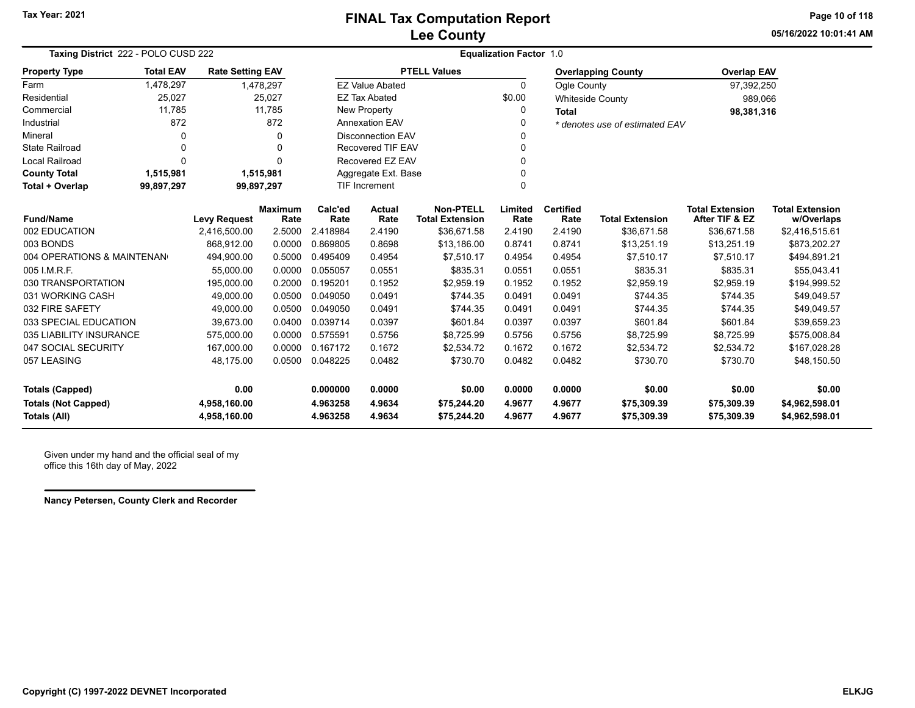**05/16/2022 10:01:41 AMPage 10 of 118**

| Taxing District 222 - POLO CUSD 222 |                                                                                                  |                         |                                  | <b>Equalization Factor 1.0</b>   |                          |                                            |                 |                          |                                |                                          |                                      |
|-------------------------------------|--------------------------------------------------------------------------------------------------|-------------------------|----------------------------------|----------------------------------|--------------------------|--------------------------------------------|-----------------|--------------------------|--------------------------------|------------------------------------------|--------------------------------------|
| <b>Property Type</b>                | <b>Total EAV</b>                                                                                 | <b>Rate Setting EAV</b> |                                  |                                  |                          | <b>PTELL Values</b>                        |                 |                          | <b>Overlapping County</b>      | <b>Overlap EAV</b>                       |                                      |
| Farm                                | 1,478,297                                                                                        |                         | 1,478,297                        |                                  | <b>EZ Value Abated</b>   |                                            | $\Omega$        | Ogle County              |                                | 97,392,250                               |                                      |
| Residential                         | 25,027                                                                                           |                         | 25,027                           |                                  | <b>EZ Tax Abated</b>     |                                            | \$0.00          |                          | <b>Whiteside County</b>        | 989,066                                  |                                      |
| Commercial                          | 11,785                                                                                           |                         | 11,785                           |                                  | New Property             |                                            | 0               | <b>Total</b>             |                                | 98,381,316                               |                                      |
| Industrial                          | 872                                                                                              |                         | 872                              |                                  | <b>Annexation EAV</b>    |                                            | 0               |                          | * denotes use of estimated EAV |                                          |                                      |
| Mineral                             | 0                                                                                                |                         | $\Omega$                         |                                  | <b>Disconnection EAV</b> |                                            | 0               |                          |                                |                                          |                                      |
| <b>State Railroad</b>               | 0                                                                                                |                         | $\Omega$                         |                                  | <b>Recovered TIF EAV</b> |                                            | 0               |                          |                                |                                          |                                      |
| <b>Local Railroad</b>               | $\Omega$                                                                                         |                         | $\Omega$                         |                                  | Recovered EZ EAV         |                                            | 0               |                          |                                |                                          |                                      |
| <b>County Total</b>                 | 1,515,981                                                                                        |                         | Aggregate Ext. Base<br>1,515,981 |                                  |                          |                                            | 0               |                          |                                |                                          |                                      |
| Total + Overlap                     | 99,897,297                                                                                       |                         | 99,897,297                       | <b>TIF Increment</b><br>$\Omega$ |                          |                                            |                 |                          |                                |                                          |                                      |
| <b>Fund/Name</b>                    |                                                                                                  | <b>Levy Request</b>     | <b>Maximum</b><br>Rate           | Calc'ed<br>Rate                  | <b>Actual</b><br>Rate    | <b>Non-PTELL</b><br><b>Total Extension</b> | Limited<br>Rate | <b>Certified</b><br>Rate | <b>Total Extension</b>         | <b>Total Extension</b><br>After TIF & EZ | <b>Total Extension</b><br>w/Overlaps |
| 002 EDUCATION                       |                                                                                                  | 2,416,500.00            | 2.5000                           | 2.418984                         | 2.4190                   | \$36,671.58                                | 2.4190          | 2.4190                   | \$36,671.58                    | \$36,671.58                              | \$2,416,515.61                       |
| 003 BONDS                           |                                                                                                  | 868,912.00              | 0.0000                           | 0.869805                         | 0.8698                   | \$13,186.00                                | 0.8741          | 0.8741                   | \$13,251.19                    | \$13,251.19                              | \$873,202.27                         |
|                                     | 004 OPERATIONS & MAINTENAN<br>0.4954<br>494,900.00<br>0.5000<br>0.495409<br>\$7,510.17<br>0.4954 |                         | 0.4954                           | \$7,510.17                       | \$7,510.17               | \$494,891.21                               |                 |                          |                                |                                          |                                      |
| 005 I.M.R.F.                        |                                                                                                  | 55,000.00               | 0.0000                           | 0.055057                         | 0.0551                   | \$835.31                                   | 0.0551          | 0.0551                   | \$835.31                       | \$835.31                                 | \$55,043.41                          |
| 030 TRANSPORTATION                  |                                                                                                  | 195,000.00              | 0.2000                           | 0.195201                         | 0.1952                   | \$2,959.19                                 | 0.1952          | 0.1952                   | \$2,959.19                     | \$2,959.19                               | \$194,999.52                         |
| 031 WORKING CASH                    |                                                                                                  | 49,000.00               | 0.0500                           | 0.049050                         | 0.0491                   | \$744.35                                   | 0.0491          | 0.0491                   | \$744.35                       | \$744.35                                 | \$49,049.57                          |
| 032 FIRE SAFETY                     |                                                                                                  | 49,000.00               | 0.0500                           | 0.049050                         | 0.0491                   | \$744.35                                   | 0.0491          | 0.0491                   | \$744.35                       | \$744.35                                 | \$49,049.57                          |
| 033 SPECIAL EDUCATION               |                                                                                                  | 39,673.00               | 0.0400                           | 0.039714                         | 0.0397                   | \$601.84                                   | 0.0397          | 0.0397                   | \$601.84                       | \$601.84                                 | \$39,659.23                          |
| 035 LIABILITY INSURANCE             |                                                                                                  | 575,000.00              | 0.0000                           | 0.575591                         | 0.5756                   | \$8,725.99                                 | 0.5756          | 0.5756                   | \$8,725.99                     | \$8,725.99                               | \$575,008.84                         |
| 047 SOCIAL SECURITY                 |                                                                                                  | 167,000.00              | 0.0000                           | 0.167172                         | 0.1672                   | \$2,534.72                                 | 0.1672          | 0.1672                   | \$2,534.72                     | \$2,534.72                               | \$167,028.28                         |
| 057 LEASING                         |                                                                                                  | 48,175.00               | 0.0500                           | 0.048225                         | 0.0482                   | \$730.70                                   | 0.0482          | 0.0482                   | \$730.70                       | \$730.70                                 | \$48,150.50                          |
| <b>Totals (Capped)</b>              |                                                                                                  | 0.00                    |                                  | 0.000000                         | 0.0000                   | \$0.00                                     | 0.0000          | 0.0000                   | \$0.00                         | \$0.00                                   | \$0.00                               |
| <b>Totals (Not Capped)</b>          |                                                                                                  | 4,958,160.00            |                                  | 4.963258                         | 4.9634                   | \$75,244.20                                | 4.9677          | 4.9677                   | \$75,309.39                    | \$75,309.39                              | \$4,962,598.01                       |
| <b>Totals (All)</b>                 |                                                                                                  | 4,958,160.00            |                                  | 4.963258                         | 4.9634                   | \$75,244.20                                | 4.9677          | 4.9677                   | \$75,309.39                    | \$75,309.39                              | \$4,962,598.01                       |

Given under my hand and the official seal of my office this 16th day of May, 2022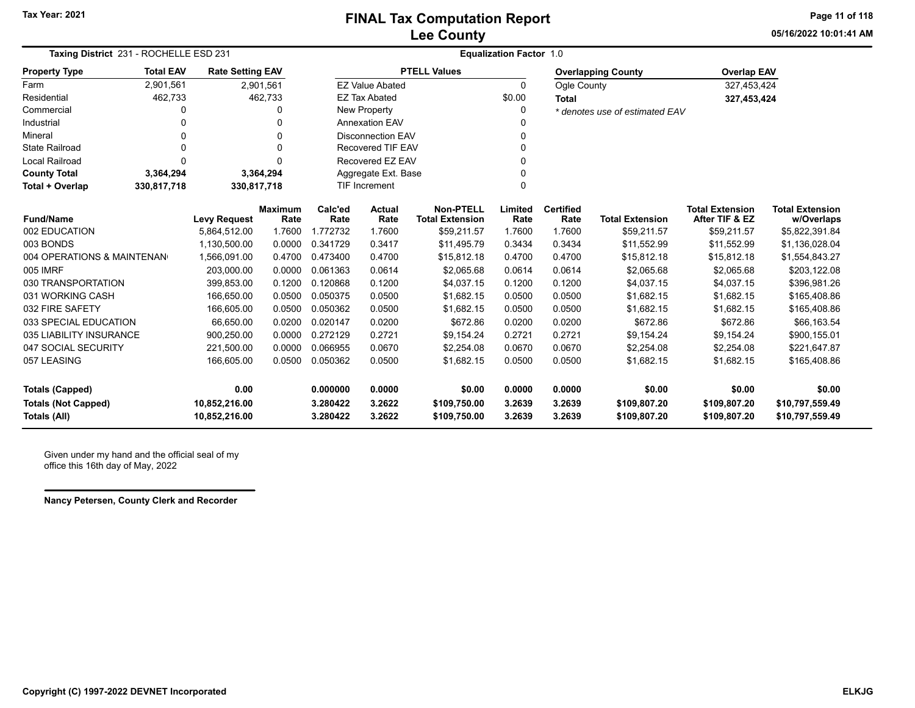**05/16/2022 10:01:41 AMPage 11 of 118**

| Taxing District 231 - ROCHELLE ESD 231     |                            |                                |                        |                      |                          |                                            | <b>Equalization Factor 1.0</b> |                          |                                |                                          |                                      |
|--------------------------------------------|----------------------------|--------------------------------|------------------------|----------------------|--------------------------|--------------------------------------------|--------------------------------|--------------------------|--------------------------------|------------------------------------------|--------------------------------------|
| <b>Property Type</b>                       | <b>Total EAV</b>           | <b>Rate Setting EAV</b>        |                        |                      |                          | <b>PTELL Values</b>                        |                                |                          | <b>Overlapping County</b>      | <b>Overlap EAV</b>                       |                                      |
| Farm                                       | 2,901,561                  |                                | 2,901,561              |                      | <b>EZ Value Abated</b>   |                                            | $\Omega$                       | Ogle County              |                                | 327,453,424                              |                                      |
| Residential                                | 462,733                    |                                | 462,733                |                      | <b>EZ Tax Abated</b>     |                                            | \$0.00                         | <b>Total</b>             |                                | 327,453,424                              |                                      |
| Commercial                                 | 0                          |                                | 0                      |                      | New Property             |                                            |                                |                          | * denotes use of estimated EAV |                                          |                                      |
| Industrial                                 |                            |                                |                        |                      | <b>Annexation EAV</b>    |                                            |                                |                          |                                |                                          |                                      |
| Mineral                                    | 0                          |                                | 0                      |                      | <b>Disconnection EAV</b> |                                            |                                |                          |                                |                                          |                                      |
| <b>State Railroad</b>                      | $\Omega$                   |                                | 0                      |                      | Recovered TIF EAV        |                                            |                                |                          |                                |                                          |                                      |
| <b>Local Railroad</b>                      | $\Omega$                   |                                | O                      |                      | Recovered EZ EAV         |                                            |                                |                          |                                |                                          |                                      |
| <b>County Total</b>                        | 3,364,294                  | 3,364,294                      |                        |                      | Aggregate Ext. Base      |                                            |                                |                          |                                |                                          |                                      |
| Total + Overlap                            | 330,817,718<br>330,817,718 |                                |                        |                      | TIF Increment            |                                            |                                |                          |                                |                                          |                                      |
| <b>Fund/Name</b>                           |                            | <b>Levy Request</b>            | <b>Maximum</b><br>Rate | Calc'ed<br>Rate      | <b>Actual</b><br>Rate    | <b>Non-PTELL</b><br><b>Total Extension</b> | Limited<br>Rate                | <b>Certified</b><br>Rate | <b>Total Extension</b>         | <b>Total Extension</b><br>After TIF & EZ | <b>Total Extension</b><br>w/Overlaps |
| 002 EDUCATION                              |                            | 5,864,512.00                   | 1.7600                 | 1.772732             | 1.7600                   | \$59,211.57                                | 1.7600                         | 1.7600                   | \$59,211.57                    | \$59,211.57                              | \$5,822,391.84                       |
| 003 BONDS                                  |                            | 1,130,500.00                   | 0.0000                 | 0.341729             | 0.3417                   | \$11,495.79                                | 0.3434                         | 0.3434                   | \$11,552.99                    | \$11,552.99                              | \$1,136,028.04                       |
| 004 OPERATIONS & MAINTENAN                 |                            | 1,566,091.00                   | 0.4700                 | 0.473400             | 0.4700                   | \$15,812.18                                | 0.4700                         | 0.4700                   | \$15,812.18                    | \$15,812.18                              | \$1,554,843.27                       |
| 005 IMRF                                   |                            | 203,000.00                     | 0.0000                 | 0.061363             | 0.0614                   | \$2,065.68                                 | 0.0614                         | 0.0614                   | \$2,065.68                     | \$2,065.68                               | \$203,122.08                         |
| 030 TRANSPORTATION                         |                            | 399.853.00                     | 0.1200                 | 0.120868             | 0.1200                   | \$4,037.15                                 | 0.1200                         | 0.1200                   | \$4,037.15                     | \$4,037.15                               | \$396,981.26                         |
| 031 WORKING CASH                           |                            | 166,650.00                     | 0.0500                 | 0.050375             | 0.0500                   | \$1,682.15                                 | 0.0500                         | 0.0500                   | \$1,682.15                     | \$1,682.15                               | \$165,408.86                         |
| 032 FIRE SAFETY                            |                            | 166,605.00                     | 0.0500                 | 0.050362             | 0.0500                   | \$1,682.15                                 | 0.0500                         | 0.0500                   | \$1,682.15                     | \$1,682.15                               | \$165,408.86                         |
| 033 SPECIAL EDUCATION                      |                            | 66,650.00                      | 0.0200                 | 0.020147             | 0.0200                   | \$672.86                                   | 0.0200                         | 0.0200                   | \$672.86                       | \$672.86                                 | \$66,163.54                          |
| 035 LIABILITY INSURANCE                    |                            | 900,250.00                     | 0.0000                 | 0.272129             | 0.2721                   | \$9,154.24                                 | 0.2721                         | 0.2721                   | \$9,154.24                     | \$9,154.24                               | \$900,155.01                         |
| 047 SOCIAL SECURITY                        |                            | 221,500.00                     | 0.0000                 | 0.066955             | 0.0670                   | \$2,254.08                                 | 0.0670                         | 0.0670                   | \$2,254.08                     | \$2,254.08                               | \$221,647.87                         |
| 057 LEASING                                |                            | 166,605.00                     | 0.0500                 | 0.050362             | 0.0500                   | \$1,682.15                                 | 0.0500                         | 0.0500                   | \$1,682.15                     | \$1,682.15                               | \$165,408.86                         |
| <b>Totals (Capped)</b>                     |                            | 0.00                           |                        | 0.000000             | 0.0000                   | \$0.00                                     | 0.0000                         | 0.0000                   | \$0.00                         | \$0.00                                   | \$0.00                               |
| <b>Totals (Not Capped)</b><br>Totals (All) |                            | 10,852,216.00<br>10,852,216.00 |                        | 3.280422<br>3.280422 | 3.2622<br>3.2622         | \$109,750.00<br>\$109,750.00               | 3.2639<br>3.2639               | 3.2639<br>3.2639         | \$109,807.20<br>\$109,807.20   | \$109,807.20<br>\$109,807.20             | \$10,797,559.49<br>\$10,797,559.49   |

Given under my hand and the official seal of my office this 16th day of May, 2022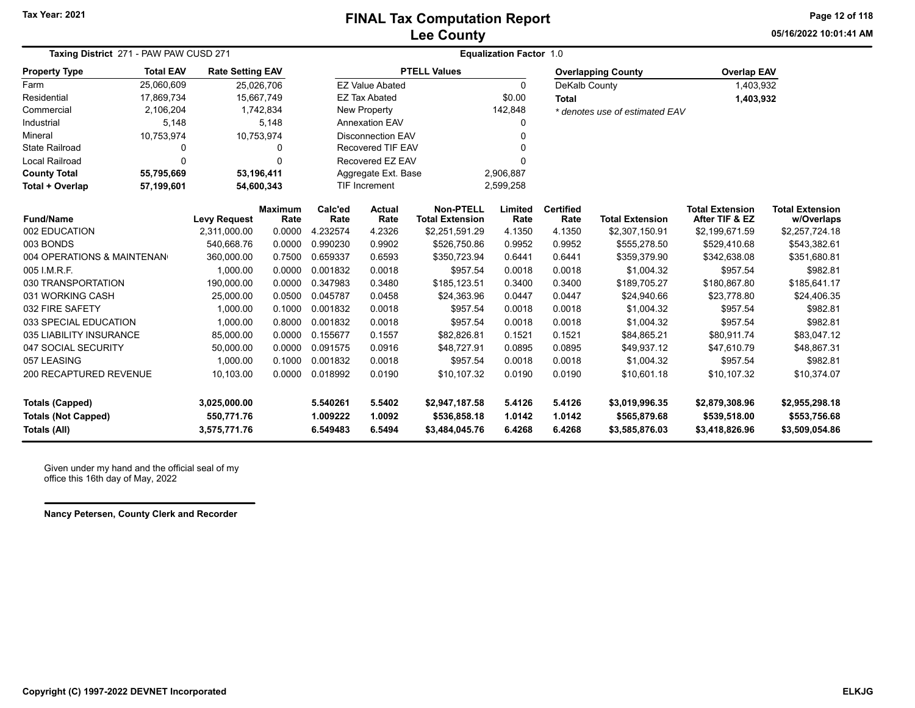### **Lee County FINAL Tax Computation Report**

**05/16/2022 10:01:41 AMPage 12 of 118**

| Taxing District 271 - PAW PAW CUSD 271                                                                                      |              |                                            |                        | <b>Equalization Factor 1.0</b>   |                            |                                                  |                            |                            |                                                  |                                                  |                                                  |  |
|-----------------------------------------------------------------------------------------------------------------------------|--------------|--------------------------------------------|------------------------|----------------------------------|----------------------------|--------------------------------------------------|----------------------------|----------------------------|--------------------------------------------------|--------------------------------------------------|--------------------------------------------------|--|
| <b>Total EAV</b><br><b>Property Type</b><br><b>Rate Setting EAV</b><br>25.060.609<br>25,026,706<br>17,869,734<br>15,667,749 |              |                                            |                        |                                  |                            | <b>PTELL Values</b>                              |                            |                            | <b>Overlapping County</b>                        | <b>Overlap EAV</b>                               |                                                  |  |
| Farm                                                                                                                        |              |                                            |                        |                                  | <b>EZ Value Abated</b>     |                                                  | 0                          | DeKalb County              |                                                  | 1,403,932                                        |                                                  |  |
| Residential                                                                                                                 |              |                                            |                        |                                  | <b>EZ Tax Abated</b>       |                                                  | \$0.00                     | <b>Total</b>               |                                                  | 1,403,932                                        |                                                  |  |
| Commercial                                                                                                                  | 2,106,204    |                                            | 1,742,834              |                                  | <b>New Property</b>        |                                                  | 142,848                    |                            | * denotes use of estimated EAV                   |                                                  |                                                  |  |
| Industrial                                                                                                                  | 5,148        |                                            | 5,148                  |                                  | <b>Annexation EAV</b>      |                                                  | 0                          |                            |                                                  |                                                  |                                                  |  |
| Mineral                                                                                                                     | 10,753,974   |                                            | 10,753,974             |                                  | <b>Disconnection EAV</b>   |                                                  |                            |                            |                                                  |                                                  |                                                  |  |
| <b>State Railroad</b>                                                                                                       | 0            |                                            | 0                      |                                  | <b>Recovered TIF EAV</b>   |                                                  | U                          |                            |                                                  |                                                  |                                                  |  |
| <b>Local Railroad</b>                                                                                                       | $\mathbf{0}$ |                                            | $\Omega$               |                                  | Recovered EZ EAV           |                                                  |                            |                            |                                                  |                                                  |                                                  |  |
| <b>County Total</b>                                                                                                         | 55,795,669   |                                            | 53,196,411             |                                  | Aggregate Ext. Base        |                                                  | 2,906,887                  |                            |                                                  |                                                  |                                                  |  |
| <b>TIF Increment</b><br>54,600,343<br>Total + Overlap<br>57,199,601                                                         |              |                                            |                        |                                  | 2,599,258                  |                                                  |                            |                            |                                                  |                                                  |                                                  |  |
| <b>Fund/Name</b>                                                                                                            |              | <b>Levy Request</b>                        | <b>Maximum</b><br>Rate | Calc'ed<br>Rate                  | <b>Actual</b><br>Rate      | <b>Non-PTELL</b><br><b>Total Extension</b>       | Limited<br>Rate            | <b>Certified</b><br>Rate   | <b>Total Extension</b>                           | <b>Total Extension</b><br>After TIF & EZ         | <b>Total Extension</b><br>w/Overlaps             |  |
| 002 EDUCATION                                                                                                               |              | 2,311,000.00                               | 0.0000                 | 4.232574                         | 4.2326                     | \$2,251,591.29                                   | 4.1350                     | 4.1350                     | \$2,307,150.91                                   | \$2,199,671.59                                   | \$2,257,724.18                                   |  |
| 003 BONDS                                                                                                                   |              | 540,668.76                                 | 0.0000                 | 0.990230                         | 0.9902                     | \$526,750.86                                     | 0.9952                     | 0.9952                     | \$555,278.50                                     | \$529,410.68                                     | \$543,382.61                                     |  |
| 004 OPERATIONS & MAINTENAN                                                                                                  |              | 360,000.00                                 | 0.7500                 | 0.659337                         | 0.6593                     | \$350,723.94                                     | 0.6441                     | 0.6441                     | \$359,379.90                                     | \$342,638.08                                     | \$351,680.81                                     |  |
| 005 I.M.R.F.                                                                                                                |              | 1,000.00                                   | 0.0000                 | 0.001832                         | 0.0018                     | \$957.54                                         | 0.0018                     | 0.0018                     | \$1,004.32                                       | \$957.54                                         | \$982.81                                         |  |
| 030 TRANSPORTATION                                                                                                          |              | 190,000.00                                 | 0.0000                 | 0.347983                         | 0.3480                     | \$185,123.51                                     | 0.3400                     | 0.3400                     | \$189,705.27                                     | \$180,867.80                                     | \$185,641.17                                     |  |
| 031 WORKING CASH                                                                                                            |              | 25,000.00                                  | 0.0500                 | 0.045787                         | 0.0458                     | \$24,363.96                                      | 0.0447                     | 0.0447                     | \$24,940.66                                      | \$23,778.80                                      | \$24,406.35                                      |  |
| 032 FIRE SAFETY                                                                                                             |              | 1,000.00                                   | 0.1000                 | 0.001832                         | 0.0018                     | \$957.54                                         | 0.0018                     | 0.0018                     | \$1,004.32                                       | \$957.54                                         | \$982.81                                         |  |
| 033 SPECIAL EDUCATION                                                                                                       |              | 1,000.00                                   | 0.8000                 | 0.001832                         | 0.0018                     | \$957.54                                         | 0.0018                     | 0.0018                     | \$1,004.32                                       | \$957.54                                         | \$982.81                                         |  |
| 035 LIABILITY INSURANCE                                                                                                     |              | 85,000.00                                  | 0.0000                 | 0.155677                         | 0.1557                     | \$82,826.81                                      | 0.1521                     | 0.1521                     | \$84,865.21                                      | \$80,911.74                                      | \$83,047.12                                      |  |
| 047 SOCIAL SECURITY                                                                                                         |              | 50,000.00                                  | 0.0000                 | 0.091575                         | 0.0916                     | \$48,727.91                                      | 0.0895                     | 0.0895                     | \$49,937.12                                      | \$47,610.79                                      | \$48,867.31                                      |  |
| 057 LEASING                                                                                                                 |              | 1,000.00                                   | 0.1000                 | 0.001832                         | 0.0018                     | \$957.54                                         | 0.0018                     | 0.0018                     | \$1,004.32                                       | \$957.54                                         | \$982.81                                         |  |
| 200 RECAPTURED REVENUE                                                                                                      |              | 10,103.00                                  | 0.0000                 | 0.018992                         | 0.0190                     | \$10,107.32                                      | 0.0190                     | 0.0190                     | \$10,601.18                                      | \$10,107.32                                      | \$10,374.07                                      |  |
| <b>Totals (Capped)</b><br><b>Totals (Not Capped)</b><br>Totals (All)                                                        |              | 3,025,000.00<br>550,771.76<br>3,575,771.76 |                        | 5.540261<br>1.009222<br>6.549483 | 5.5402<br>1.0092<br>6.5494 | \$2,947,187.58<br>\$536,858.18<br>\$3,484,045.76 | 5.4126<br>1.0142<br>6.4268 | 5.4126<br>1.0142<br>6.4268 | \$3,019,996.35<br>\$565,879.68<br>\$3,585,876.03 | \$2,879,308.96<br>\$539,518.00<br>\$3,418,826.96 | \$2,955,298.18<br>\$553,756.68<br>\$3,509,054.86 |  |

Given under my hand and the official seal of my office this 16th day of May, 2022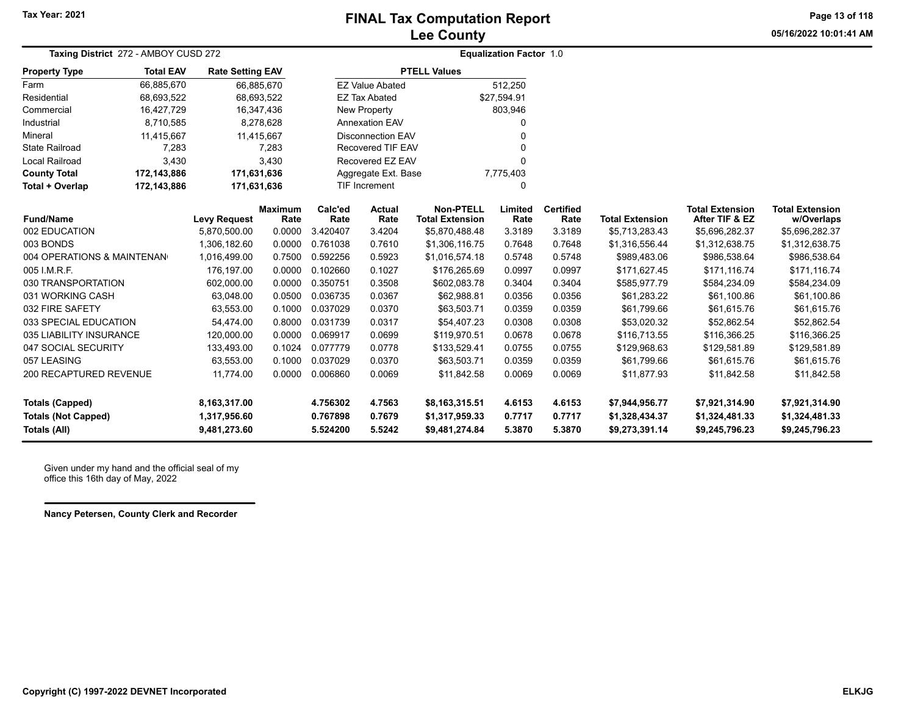**05/16/2022 10:01:41 AMPage 13 of 118**

| Taxing District 272 - AMBOY CUSD 272                                        |                            |                                              |                        |                                  | <b>Equalization Factor 1.0</b> |                                                    |                            |                            |                                                    |                                                    |                                                    |
|-----------------------------------------------------------------------------|----------------------------|----------------------------------------------|------------------------|----------------------------------|--------------------------------|----------------------------------------------------|----------------------------|----------------------------|----------------------------------------------------|----------------------------------------------------|----------------------------------------------------|
| <b>Property Type</b>                                                        | <b>Total EAV</b>           | <b>Rate Setting EAV</b>                      |                        |                                  |                                | <b>PTELL Values</b>                                |                            |                            |                                                    |                                                    |                                                    |
| Farm                                                                        | 66,885,670                 | 66,885,670                                   |                        |                                  | <b>EZ Value Abated</b>         |                                                    | 512,250                    |                            |                                                    |                                                    |                                                    |
| Residential                                                                 | 68,693,522                 | 68,693,522                                   |                        |                                  | <b>EZ Tax Abated</b>           |                                                    | \$27,594.91                |                            |                                                    |                                                    |                                                    |
| Commercial                                                                  | 16,427,729                 | 16,347,436                                   |                        |                                  | New Property                   |                                                    | 803,946                    |                            |                                                    |                                                    |                                                    |
| Industrial                                                                  | 8,710,585                  |                                              | 8,278,628              |                                  | <b>Annexation EAV</b>          |                                                    | 0                          |                            |                                                    |                                                    |                                                    |
| Mineral                                                                     | 11,415,667                 | 11,415,667                                   |                        |                                  | <b>Disconnection EAV</b>       |                                                    | 0                          |                            |                                                    |                                                    |                                                    |
| <b>State Railroad</b>                                                       | 7,283                      |                                              | 7,283                  |                                  | <b>Recovered TIF EAV</b>       |                                                    | 0                          |                            |                                                    |                                                    |                                                    |
| <b>Local Railroad</b>                                                       | 3,430                      |                                              | 3,430                  |                                  | Recovered EZ EAV               |                                                    | 0                          |                            |                                                    |                                                    |                                                    |
| <b>County Total</b>                                                         | 172,143,886<br>171,631,636 |                                              |                        |                                  | Aggregate Ext. Base            |                                                    | 7,775,403                  |                            |                                                    |                                                    |                                                    |
| Total + Overlap                                                             | 172,143,886                | 171,631,636                                  |                        |                                  | TIF Increment                  |                                                    | 0                          |                            |                                                    |                                                    |                                                    |
| <b>Fund/Name</b>                                                            |                            | <b>Levy Request</b>                          | <b>Maximum</b><br>Rate | Calc'ed<br>Rate                  | Actual<br>Rate                 | <b>Non-PTELL</b><br><b>Total Extension</b>         | Limited<br>Rate            | <b>Certified</b><br>Rate   | <b>Total Extension</b>                             | <b>Total Extension</b><br>After TIF & EZ           | <b>Total Extension</b><br>w/Overlaps               |
| 002 EDUCATION                                                               |                            | 5,870,500.00                                 | 0.0000                 | 3.420407                         | 3.4204                         | \$5,870,488.48                                     | 3.3189                     | 3.3189                     | \$5,713,283.43                                     | \$5,696,282.37                                     | \$5,696,282.37                                     |
| 003 BONDS                                                                   |                            | 1.306.182.60                                 | 0.0000                 | 0.761038                         | 0.7610                         | \$1,306,116.75                                     | 0.7648                     | 0.7648                     | \$1,316,556.44                                     | \$1,312,638.75                                     | \$1,312,638.75                                     |
| 004 OPERATIONS & MAINTENAN                                                  |                            | 1,016,499.00                                 | 0.7500                 | 0.592256                         | 0.5923                         | \$1,016,574.18                                     | 0.5748                     | 0.5748                     | \$989,483.06                                       | \$986,538.64                                       | \$986,538.64                                       |
| 005 I.M.R.F.                                                                |                            | 176.197.00                                   | 0.0000                 | 0.102660                         | 0.1027                         | \$176,265.69                                       | 0.0997                     | 0.0997                     | \$171,627.45                                       | \$171,116.74                                       | \$171,116.74                                       |
| 030 TRANSPORTATION                                                          |                            | 602,000.00                                   | 0.0000                 | 0.350751                         | 0.3508                         | \$602,083.78                                       | 0.3404                     | 0.3404                     | \$585,977.79                                       | \$584,234.09                                       | \$584,234.09                                       |
| 031 WORKING CASH                                                            |                            | 63,048.00                                    | 0.0500                 | 0.036735                         | 0.0367                         | \$62,988.81                                        | 0.0356                     | 0.0356                     | \$61,283.22                                        | \$61,100.86                                        | \$61,100.86                                        |
| 032 FIRE SAFETY                                                             |                            | 63,553.00                                    | 0.1000                 | 0.037029                         | 0.0370                         | \$63,503.71                                        | 0.0359                     | 0.0359                     | \$61,799.66                                        | \$61,615.76                                        | \$61,615.76                                        |
| 033 SPECIAL EDUCATION                                                       |                            | 54,474.00                                    | 0.8000                 | 0.031739                         | 0.0317                         | \$54,407.23                                        | 0.0308                     | 0.0308                     | \$53,020.32                                        | \$52,862.54                                        | \$52,862.54                                        |
| 035 LIABILITY INSURANCE                                                     |                            | 120,000.00                                   | 0.0000                 | 0.069917                         | 0.0699                         | \$119,970.51                                       | 0.0678                     | 0.0678                     | \$116,713.55                                       | \$116,366.25                                       | \$116,366.25                                       |
| 047 SOCIAL SECURITY                                                         |                            | 133,493.00                                   | 0.1024                 | 0.077779                         | 0.0778                         | \$133,529.41                                       | 0.0755                     | 0.0755                     | \$129,968.63                                       | \$129,581.89                                       | \$129,581.89                                       |
| 057 LEASING                                                                 |                            | 63,553.00                                    | 0.1000                 | 0.037029                         | 0.0370                         | \$63,503.71                                        | 0.0359                     | 0.0359                     | \$61,799.66                                        | \$61,615.76                                        | \$61,615.76                                        |
| 200 RECAPTURED REVENUE                                                      |                            | 11,774.00                                    | 0.0000                 | 0.006860                         | 0.0069                         | \$11,842.58                                        | 0.0069                     | 0.0069                     | \$11,877.93                                        | \$11,842.58                                        | \$11,842.58                                        |
| <b>Totals (Capped)</b><br><b>Totals (Not Capped)</b><br><b>Totals (All)</b> |                            | 8,163,317.00<br>1,317,956.60<br>9,481,273.60 |                        | 4.756302<br>0.767898<br>5.524200 | 4.7563<br>0.7679<br>5.5242     | \$8,163,315.51<br>\$1,317,959.33<br>\$9,481,274.84 | 4.6153<br>0.7717<br>5.3870 | 4.6153<br>0.7717<br>5.3870 | \$7,944,956.77<br>\$1,328,434.37<br>\$9,273,391.14 | \$7,921,314.90<br>\$1,324,481.33<br>\$9,245,796.23 | \$7,921,314.90<br>\$1,324,481.33<br>\$9,245,796.23 |

Given under my hand and the official seal of my office this 16th day of May, 2022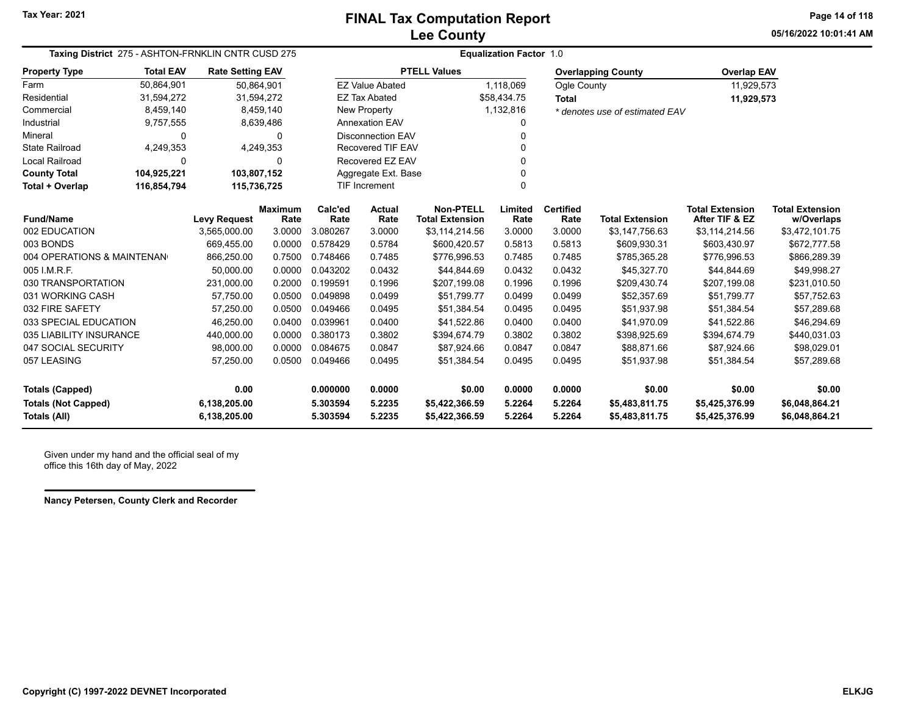**05/16/2022 10:01:41 AMPage 14 of 118**

| Taxing District 275 - ASHTON-FRNKLIN CNTR CUSD 275 |                            |                         |                        |                 | <b>Equalization Factor 1.0</b> |                                     |                 |                          |                                |                                          |                                      |  |  |
|----------------------------------------------------|----------------------------|-------------------------|------------------------|-----------------|--------------------------------|-------------------------------------|-----------------|--------------------------|--------------------------------|------------------------------------------|--------------------------------------|--|--|
| <b>Property Type</b>                               | <b>Total EAV</b>           | <b>Rate Setting EAV</b> |                        |                 |                                | <b>PTELL Values</b>                 |                 |                          | <b>Overlapping County</b>      | <b>Overlap EAV</b>                       |                                      |  |  |
| Farm                                               | 50,864,901                 | 50,864,901              |                        |                 | <b>EZ Value Abated</b>         |                                     | 1,118,069       | Ogle County              |                                | 11,929,573                               |                                      |  |  |
| Residential                                        | 31,594,272                 | 31,594,272              |                        |                 | <b>EZ Tax Abated</b>           |                                     | \$58,434.75     | <b>Total</b>             |                                | 11,929,573                               |                                      |  |  |
| Commercial                                         | 8,459,140                  |                         | 8,459,140              |                 | <b>New Property</b>            |                                     | 1,132,816       |                          | * denotes use of estimated EAV |                                          |                                      |  |  |
| Industrial                                         | 9,757,555                  |                         | 8,639,486              |                 | Annexation EAV                 |                                     | 0               |                          |                                |                                          |                                      |  |  |
| Mineral                                            | 0                          |                         |                        |                 | <b>Disconnection EAV</b>       |                                     | O               |                          |                                |                                          |                                      |  |  |
| <b>State Railroad</b>                              | 4,249,353                  |                         | 4,249,353              |                 | Recovered TIF EAV              |                                     |                 |                          |                                |                                          |                                      |  |  |
| Local Railroad                                     | $\mathbf 0$                |                         | $\Omega$               |                 | Recovered EZ EAV               |                                     |                 |                          |                                |                                          |                                      |  |  |
| <b>County Total</b>                                | 104,925,221                | 103,807,152             |                        |                 | Aggregate Ext. Base            |                                     | 0               |                          |                                |                                          |                                      |  |  |
| Total + Overlap                                    | 116,854,794<br>115,736,725 |                         |                        |                 | <b>TIF Increment</b>           |                                     | $\Omega$        |                          |                                |                                          |                                      |  |  |
| <b>Fund/Name</b>                                   |                            | <b>Levy Request</b>     | <b>Maximum</b><br>Rate | Calc'ed<br>Rate | Actual<br>Rate                 | Non-PTELL<br><b>Total Extension</b> | Limited<br>Rate | <b>Certified</b><br>Rate | <b>Total Extension</b>         | <b>Total Extension</b><br>After TIF & EZ | <b>Total Extension</b><br>w/Overlaps |  |  |
| 002 EDUCATION                                      |                            | 3,565,000.00            | 3.0000                 | 3.080267        | 3.0000                         | \$3,114,214.56                      | 3.0000          | 3.0000                   | \$3,147,756.63                 | \$3,114,214.56                           | \$3,472,101.75                       |  |  |
| 003 BONDS                                          |                            | 669,455.00              | 0.0000                 | 0.578429        | 0.5784                         | \$600,420.57                        | 0.5813          | 0.5813                   | \$609,930.31                   | \$603,430.97                             | \$672,777.58                         |  |  |
| 004 OPERATIONS & MAINTENAN                         |                            | 866,250.00              | 0.7500                 | 0.748466        | 0.7485                         | \$776,996.53                        | 0.7485          | 0.7485                   | \$785,365.28                   | \$776,996.53                             | \$866,289.39                         |  |  |
| 005 I.M.R.F.                                       |                            | 50,000.00               | 0.0000                 | 0.043202        | 0.0432                         | \$44,844.69                         | 0.0432          | 0.0432                   | \$45,327.70                    | \$44.844.69                              | \$49,998.27                          |  |  |
| 030 TRANSPORTATION                                 |                            | 231,000.00              | 0.2000                 | 0.199591        | 0.1996                         | \$207,199.08                        | 0.1996          | 0.1996                   | \$209,430.74                   | \$207,199.08                             | \$231,010.50                         |  |  |
| 031 WORKING CASH                                   |                            | 57,750.00               | 0.0500                 | 0.049898        | 0.0499                         | \$51,799.77                         | 0.0499          | 0.0499                   | \$52,357.69                    | \$51,799.77                              | \$57,752.63                          |  |  |
| 032 FIRE SAFETY                                    |                            | 57,250.00               | 0.0500                 | 0.049466        | 0.0495                         | \$51,384.54                         | 0.0495          | 0.0495                   | \$51,937.98                    | \$51,384.54                              | \$57,289.68                          |  |  |
| 033 SPECIAL EDUCATION                              |                            | 46,250.00               | 0.0400                 | 0.039961        | 0.0400                         | \$41,522.86                         | 0.0400          | 0.0400                   | \$41,970.09                    | \$41,522.86                              | \$46,294.69                          |  |  |
| 035 LIABILITY INSURANCE                            |                            | 440,000.00              | 0.0000                 | 0.380173        | 0.3802                         | \$394,674.79                        | 0.3802          | 0.3802                   | \$398,925.69                   | \$394,674.79                             | \$440,031.03                         |  |  |
| 047 SOCIAL SECURITY                                |                            | 98,000.00               | 0.0000                 | 0.084675        | 0.0847                         | \$87,924.66                         | 0.0847          | 0.0847                   | \$88,871.66                    | \$87,924.66                              | \$98,029.01                          |  |  |
| 057 LEASING                                        |                            | 57,250.00               | 0.0500                 | 0.049466        | 0.0495                         | \$51,384.54                         | 0.0495          | 0.0495                   | \$51,937.98                    | \$51,384.54                              | \$57,289.68                          |  |  |
| <b>Totals (Capped)</b>                             |                            | 0.00                    |                        | 0.000000        | 0.0000                         | \$0.00                              | 0.0000          | 0.0000                   | \$0.00                         | \$0.00                                   | \$0.00                               |  |  |
| <b>Totals (Not Capped)</b>                         |                            | 6,138,205.00            |                        | 5.303594        | 5.2235                         | \$5,422,366.59                      | 5.2264          | 5.2264                   | \$5,483,811.75                 | \$5,425,376.99                           | \$6,048,864.21                       |  |  |
| <b>Totals (All)</b>                                |                            | 6,138,205.00            |                        | 5.303594        | 5.2235                         | \$5,422,366.59                      | 5.2264          | 5.2264                   | \$5,483,811.75                 | \$5,425,376.99                           | \$6,048,864.21                       |  |  |

Given under my hand and the official seal of my office this 16th day of May, 2022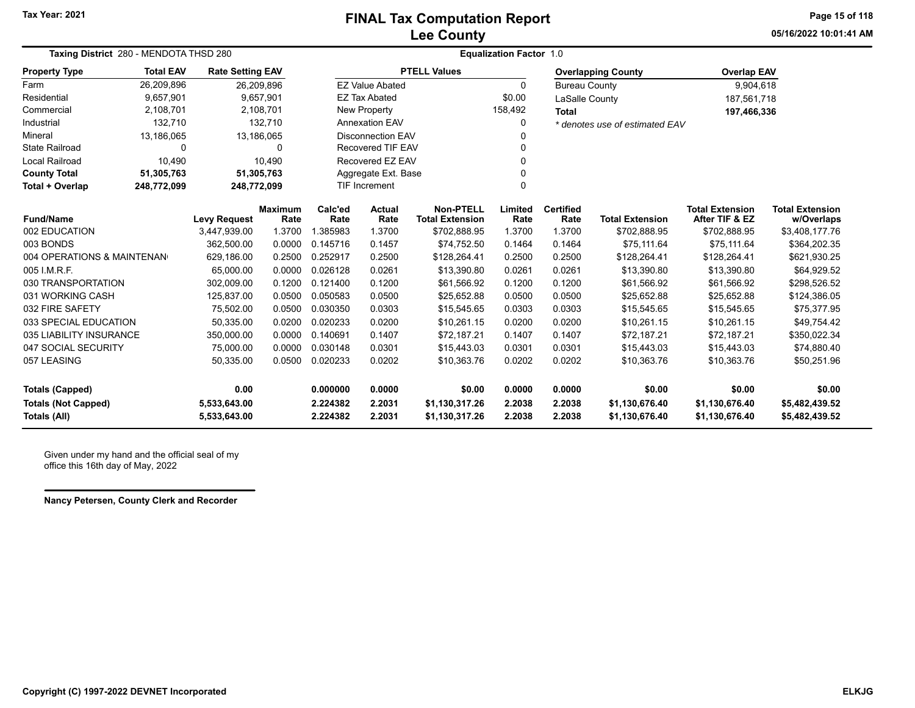**05/16/2022 10:01:41 AMPage 15 of 118**

| Taxing District 280 - MENDOTA THSD 280<br><b>Rate Setting EAV</b> |                  |                     |                        |                 |                          |                                            | <b>Equalization Factor 1.0</b> |                          |                                |                                          |                                      |
|-------------------------------------------------------------------|------------------|---------------------|------------------------|-----------------|--------------------------|--------------------------------------------|--------------------------------|--------------------------|--------------------------------|------------------------------------------|--------------------------------------|
| <b>Property Type</b>                                              | <b>Total EAV</b> |                     |                        |                 |                          | <b>PTELL Values</b>                        |                                |                          | <b>Overlapping County</b>      | <b>Overlap EAV</b>                       |                                      |
| Farm                                                              | 26,209,896       | 26,209,896          |                        |                 | <b>EZ Value Abated</b>   |                                            | $\Omega$                       | <b>Bureau County</b>     |                                | 9,904,618                                |                                      |
| Residential                                                       | 9,657,901        |                     | 9,657,901              |                 | <b>EZ Tax Abated</b>     |                                            | \$0.00                         | LaSalle County           |                                | 187,561,718                              |                                      |
| Commercial                                                        | 2,108,701        |                     | 2,108,701              |                 | <b>New Property</b>      |                                            | 158,492                        | <b>Total</b>             |                                | 197,466,336                              |                                      |
| Industrial                                                        | 132,710          |                     | 132,710                |                 | Annexation EAV           |                                            | 0                              |                          | * denotes use of estimated EAV |                                          |                                      |
| Mineral                                                           | 13,186,065       | 13,186,065          |                        |                 | <b>Disconnection EAV</b> |                                            | 0                              |                          |                                |                                          |                                      |
| <b>State Railroad</b>                                             | 0                |                     | 0                      |                 | <b>Recovered TIF EAV</b> |                                            | 0                              |                          |                                |                                          |                                      |
| Local Railroad                                                    | 10,490           |                     | 10,490                 |                 | Recovered EZ EAV         |                                            | 0                              |                          |                                |                                          |                                      |
| <b>County Total</b>                                               | 51,305,763       | 51,305,763          |                        |                 | Aggregate Ext. Base      |                                            | 0                              |                          |                                |                                          |                                      |
| Total + Overlap                                                   | 248,772,099      | 248,772,099         |                        |                 | <b>TIF Increment</b>     |                                            | 0                              |                          |                                |                                          |                                      |
| <b>Fund/Name</b>                                                  |                  | <b>Levy Request</b> | <b>Maximum</b><br>Rate | Calc'ed<br>Rate | <b>Actual</b><br>Rate    | <b>Non-PTELL</b><br><b>Total Extension</b> | Limited<br>Rate                | <b>Certified</b><br>Rate | <b>Total Extension</b>         | <b>Total Extension</b><br>After TIF & EZ | <b>Total Extension</b><br>w/Overlaps |
| 002 EDUCATION                                                     |                  | 3,447,939.00        | 1.3700                 | 1.385983        | 1.3700                   | \$702,888.95                               | 1.3700                         | 1.3700                   | \$702,888.95                   | \$702,888.95                             | \$3,408,177.76                       |
| 003 BONDS                                                         |                  | 362.500.00          | 0.0000                 | 0.145716        | 0.1457                   | \$74,752.50                                | 0.1464                         | 0.1464                   | \$75,111.64                    | \$75,111.64                              | \$364,202.35                         |
| 004 OPERATIONS & MAINTENAN                                        |                  | 629,186.00          | 0.2500                 | 0.252917        | 0.2500                   | \$128,264.41                               | 0.2500                         | 0.2500                   | \$128,264.41                   | \$128,264.41                             | \$621,930.25                         |
| 005 I.M.R.F.                                                      |                  | 65,000.00           | 0.0000                 | 0.026128        | 0.0261                   | \$13,390.80                                | 0.0261                         | 0.0261                   | \$13,390.80                    | \$13,390.80                              | \$64,929.52                          |
| 030 TRANSPORTATION                                                |                  | 302,009.00          | 0.1200                 | 0.121400        | 0.1200                   | \$61,566.92                                | 0.1200                         | 0.1200                   | \$61,566.92                    | \$61,566.92                              | \$298,526.52                         |
| 031 WORKING CASH                                                  |                  | 125,837.00          | 0.0500                 | 0.050583        | 0.0500                   | \$25,652.88                                | 0.0500                         | 0.0500                   | \$25,652.88                    | \$25,652.88                              | \$124,386.05                         |
| 032 FIRE SAFETY                                                   |                  | 75,502.00           | 0.0500                 | 0.030350        | 0.0303                   | \$15,545.65                                | 0.0303                         | 0.0303                   | \$15,545.65                    | \$15,545.65                              | \$75,377.95                          |
| 033 SPECIAL EDUCATION                                             |                  | 50,335.00           | 0.0200                 | 0.020233        | 0.0200                   | \$10,261.15                                | 0.0200                         | 0.0200                   | \$10,261.15                    | \$10,261.15                              | \$49,754.42                          |
| 035 LIABILITY INSURANCE                                           |                  | 350,000.00          | 0.0000                 | 0.140691        | 0.1407                   | \$72,187.21                                | 0.1407                         | 0.1407                   | \$72,187.21                    | \$72,187.21                              | \$350,022.34                         |
| 047 SOCIAL SECURITY                                               |                  | 75,000.00           | 0.0000                 | 0.030148        | 0.0301                   | \$15,443.03                                | 0.0301                         | 0.0301                   | \$15,443.03                    | \$15,443.03                              | \$74,880.40                          |
| 057 LEASING                                                       |                  | 50,335.00           | 0.0500                 | 0.020233        | 0.0202                   | \$10,363.76                                | 0.0202                         | 0.0202                   | \$10,363.76                    | \$10,363.76                              | \$50,251.96                          |
| <b>Totals (Capped)</b>                                            |                  | 0.00                |                        | 0.000000        | 0.0000                   | \$0.00                                     | 0.0000                         | 0.0000                   | \$0.00                         | \$0.00                                   | \$0.00                               |
| <b>Totals (Not Capped)</b>                                        |                  | 5,533,643.00        |                        | 2.224382        | 2.2031                   | \$1,130,317.26                             | 2.2038                         | 2.2038                   | \$1,130,676.40                 | \$1,130,676.40                           | \$5,482,439.52                       |
| <b>Totals (All)</b>                                               |                  | 5,533,643.00        |                        | 2.224382        | 2.2031                   | \$1,130,317.26                             | 2.2038                         | 2.2038                   | \$1,130,676.40                 | \$1,130,676.40                           | \$5,482,439.52                       |

Given under my hand and the official seal of my office this 16th day of May, 2022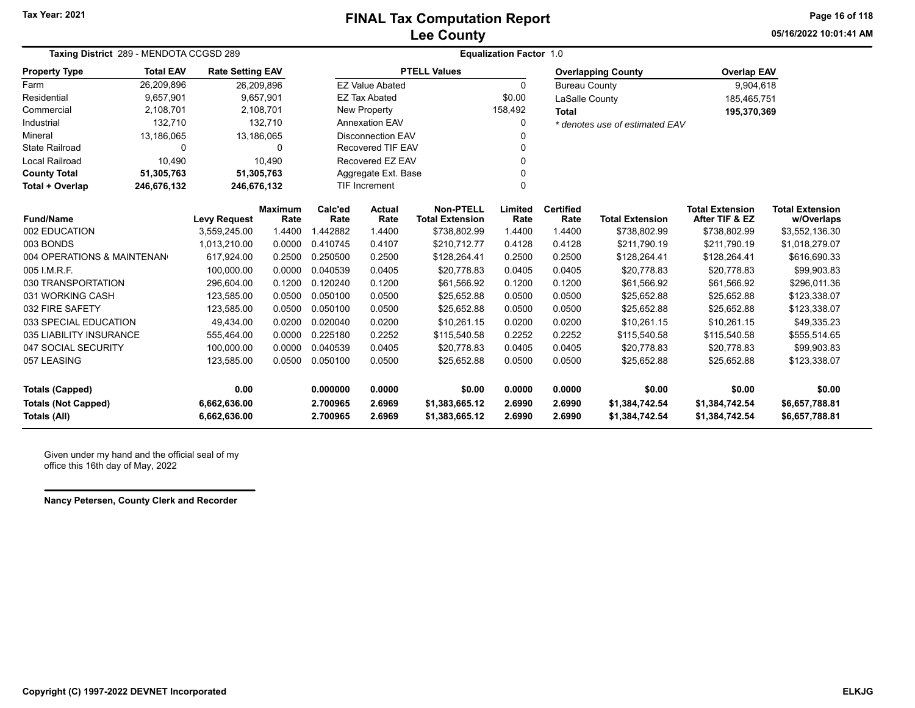**05/16/2022 10:01:41 AMPage 16 of 118**

| Taxing District 289 - MENDOTA CCGSD 289<br><b>Property Type</b> |                                                                                                                             |                                     |                                                                                                                                                   | <b>Equalization Factor 1.0</b> |                                                                                                                           |                                                                                                                                          |                          |                        |                                                                                       |                                                  |  |
|-----------------------------------------------------------------|-----------------------------------------------------------------------------------------------------------------------------|-------------------------------------|---------------------------------------------------------------------------------------------------------------------------------------------------|--------------------------------|---------------------------------------------------------------------------------------------------------------------------|------------------------------------------------------------------------------------------------------------------------------------------|--------------------------|------------------------|---------------------------------------------------------------------------------------|--------------------------------------------------|--|
| <b>Total EAV</b>                                                |                                                                                                                             |                                     |                                                                                                                                                   |                                |                                                                                                                           |                                                                                                                                          |                          |                        | <b>Overlap EAV</b>                                                                    |                                                  |  |
| 26,209,896                                                      |                                                                                                                             |                                     |                                                                                                                                                   |                                |                                                                                                                           | $\Omega$                                                                                                                                 |                          |                        | 9,904,618                                                                             |                                                  |  |
| 9,657,901                                                       |                                                                                                                             |                                     |                                                                                                                                                   |                                |                                                                                                                           | \$0.00                                                                                                                                   |                          |                        | 185,465,751                                                                           |                                                  |  |
| 2,108,701                                                       |                                                                                                                             |                                     |                                                                                                                                                   |                                |                                                                                                                           | 158,492                                                                                                                                  | <b>Total</b>             |                        | 195,370,369                                                                           |                                                  |  |
| 132,710                                                         |                                                                                                                             |                                     |                                                                                                                                                   |                                |                                                                                                                           | 0                                                                                                                                        |                          |                        |                                                                                       |                                                  |  |
| 13,186,065                                                      |                                                                                                                             |                                     |                                                                                                                                                   |                                |                                                                                                                           | 0                                                                                                                                        |                          |                        |                                                                                       |                                                  |  |
| $\Omega$                                                        |                                                                                                                             | 0                                   |                                                                                                                                                   |                                |                                                                                                                           | 0                                                                                                                                        |                          |                        |                                                                                       |                                                  |  |
| 10.490                                                          |                                                                                                                             |                                     |                                                                                                                                                   |                                |                                                                                                                           | 0                                                                                                                                        |                          |                        |                                                                                       |                                                  |  |
| 51,305,763                                                      |                                                                                                                             |                                     |                                                                                                                                                   |                                |                                                                                                                           | 0                                                                                                                                        |                          |                        |                                                                                       |                                                  |  |
| 246,676,132                                                     |                                                                                                                             |                                     |                                                                                                                                                   |                                |                                                                                                                           | 0                                                                                                                                        |                          |                        |                                                                                       |                                                  |  |
|                                                                 |                                                                                                                             | Rate                                | Calc'ed<br>Rate                                                                                                                                   | Actual<br>Rate                 | <b>Non-PTELL</b><br><b>Total Extension</b>                                                                                | Limited<br>Rate                                                                                                                          | <b>Certified</b><br>Rate | <b>Total Extension</b> | <b>Total Extension</b><br>After TIF & EZ                                              | <b>Total Extension</b><br>w/Overlaps             |  |
|                                                                 | 3,559,245.00                                                                                                                | 1.4400                              | .442882                                                                                                                                           | 1.4400                         | \$738,802.99                                                                                                              | 1.4400                                                                                                                                   | 1.4400                   | \$738,802.99           | \$738,802.99                                                                          | \$3,552,136.30                                   |  |
|                                                                 | 1,013,210.00                                                                                                                | 0.0000                              | 0.410745                                                                                                                                          | 0.4107                         | \$210,712.77                                                                                                              | 0.4128                                                                                                                                   | 0.4128                   | \$211,790.19           | \$211,790.19                                                                          | \$1,018,279.07                                   |  |
|                                                                 | 617,924.00                                                                                                                  | 0.2500                              | 0.250500                                                                                                                                          | 0.2500                         | \$128,264.41                                                                                                              | 0.2500                                                                                                                                   | 0.2500                   | \$128,264.41           | \$128,264.41                                                                          | \$616,690.33                                     |  |
|                                                                 | 100,000.00                                                                                                                  | 0.0000                              | 0.040539                                                                                                                                          | 0.0405                         | \$20,778.83                                                                                                               | 0.0405                                                                                                                                   | 0.0405                   | \$20,778.83            | \$20,778.83                                                                           | \$99,903.83                                      |  |
|                                                                 | 296,604.00                                                                                                                  | 0.1200                              | 0.120240                                                                                                                                          | 0.1200                         | \$61,566.92                                                                                                               | 0.1200                                                                                                                                   | 0.1200                   | \$61,566.92            | \$61,566.92                                                                           | \$296,011.36                                     |  |
|                                                                 | 123,585.00                                                                                                                  | 0.0500                              | 0.050100                                                                                                                                          | 0.0500                         | \$25,652.88                                                                                                               | 0.0500                                                                                                                                   | 0.0500                   | \$25,652.88            | \$25,652.88                                                                           | \$123,338.07                                     |  |
|                                                                 | 123,585.00                                                                                                                  | 0.0500                              | 0.050100                                                                                                                                          | 0.0500                         | \$25,652.88                                                                                                               | 0.0500                                                                                                                                   | 0.0500                   | \$25,652.88            | \$25,652.88                                                                           | \$123,338.07                                     |  |
|                                                                 | 49.434.00                                                                                                                   | 0.0200                              | 0.020040                                                                                                                                          | 0.0200                         | \$10,261.15                                                                                                               | 0.0200                                                                                                                                   | 0.0200                   | \$10,261.15            | \$10,261.15                                                                           | \$49,335.23                                      |  |
|                                                                 | 555,464.00                                                                                                                  | 0.0000                              | 0.225180                                                                                                                                          | 0.2252                         | \$115,540.58                                                                                                              | 0.2252                                                                                                                                   | 0.2252                   | \$115,540.58           | \$115,540.58                                                                          | \$555,514.65                                     |  |
|                                                                 | 100,000.00                                                                                                                  | 0.0000                              | 0.040539                                                                                                                                          | 0.0405                         | \$20,778.83                                                                                                               | 0.0405                                                                                                                                   | 0.0405                   | \$20,778.83            | \$20,778.83                                                                           | \$99,903.83                                      |  |
|                                                                 | 123,585.00                                                                                                                  | 0.0500                              | 0.050100                                                                                                                                          | 0.0500                         | \$25,652.88                                                                                                               | 0.0500                                                                                                                                   | 0.0500                   | \$25,652.88            | \$25,652.88                                                                           | \$123,338.07                                     |  |
|                                                                 | 0.00                                                                                                                        |                                     | 0.000000                                                                                                                                          | 0.0000                         | \$0.00                                                                                                                    | 0.0000                                                                                                                                   | 0.0000                   | \$0.00                 | \$0.00                                                                                | \$0.00                                           |  |
|                                                                 | 6,662,636.00                                                                                                                |                                     | 2.700965                                                                                                                                          | 2.6969                         | \$1,383,665.12                                                                                                            | 2.6990                                                                                                                                   | 2.6990                   | \$1,384,742.54         | \$1,384,742.54                                                                        | \$6,657,788.81<br>\$6,657,788.81                 |  |
|                                                                 | 004 OPERATIONS & MAINTENAN<br>030 TRANSPORTATION<br>033 SPECIAL EDUCATION<br>035 LIABILITY INSURANCE<br>047 SOCIAL SECURITY | <b>Levy Request</b><br>6,662,636.00 | <b>Rate Setting EAV</b><br>26,209,896<br>9,657,901<br>2,108,701<br>132.710<br>13,186,065<br>10.490<br>51,305,763<br>246,676,132<br><b>Maximum</b> | 2.700965                       | <b>EZ Value Abated</b><br><b>EZ Tax Abated</b><br>New Property<br><b>Annexation EAV</b><br><b>TIF Increment</b><br>2.6969 | <b>PTELL Values</b><br><b>Disconnection EAV</b><br><b>Recovered TIF EAV</b><br>Recovered EZ EAV<br>Aggregate Ext. Base<br>\$1,383,665.12 | 2.6990                   | 2.6990                 | <b>Overlapping County</b><br><b>Bureau County</b><br>LaSalle County<br>\$1,384,742.54 | * denotes use of estimated EAV<br>\$1,384,742.54 |  |

Given under my hand and the official seal of my office this 16th day of May, 2022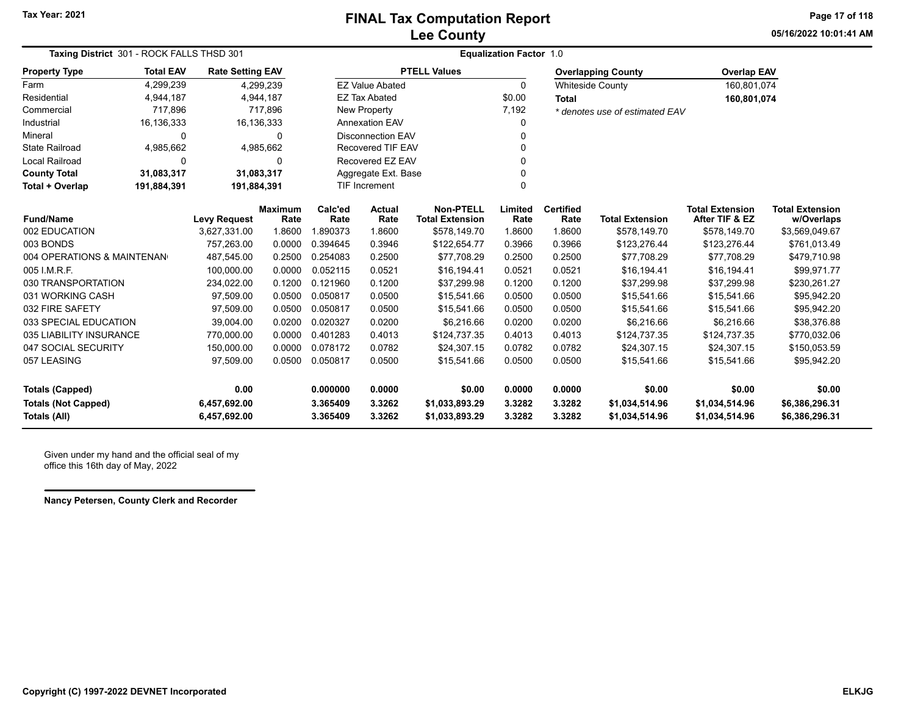**05/16/2022 10:01:41 AMPage 17 of 118**

| Taxing District 301 - ROCK FALLS THSD 301 |                  |                         |                        | <b>Equalization Factor 1.0</b> |                          |                                            |                 |                          |                                |                                          |                                      |  |  |
|-------------------------------------------|------------------|-------------------------|------------------------|--------------------------------|--------------------------|--------------------------------------------|-----------------|--------------------------|--------------------------------|------------------------------------------|--------------------------------------|--|--|
| <b>Property Type</b>                      | <b>Total EAV</b> | <b>Rate Setting EAV</b> |                        |                                |                          | <b>PTELL Values</b>                        |                 |                          | <b>Overlapping County</b>      | <b>Overlap EAV</b>                       |                                      |  |  |
| Farm                                      | 4,299,239        |                         | 4,299,239              |                                | <b>EZ Value Abated</b>   |                                            | $\Omega$        |                          | <b>Whiteside County</b>        | 160,801,074                              |                                      |  |  |
| Residential                               | 4,944,187        |                         | 4,944,187              |                                | <b>EZ Tax Abated</b>     |                                            | \$0.00          | <b>Total</b>             |                                | 160,801,074                              |                                      |  |  |
| Commercial                                | 717,896          |                         | 717,896                |                                | New Property             |                                            | 7,192           |                          | * denotes use of estimated EAV |                                          |                                      |  |  |
| Industrial                                | 16,136,333       |                         | 16,136,333             |                                | <b>Annexation EAV</b>    |                                            |                 |                          |                                |                                          |                                      |  |  |
| Mineral                                   | 0                |                         | 0                      |                                | <b>Disconnection EAV</b> |                                            |                 |                          |                                |                                          |                                      |  |  |
| <b>State Railroad</b>                     | 4,985,662        |                         | 4,985,662              |                                | <b>Recovered TIF EAV</b> |                                            |                 |                          |                                |                                          |                                      |  |  |
| <b>Local Railroad</b>                     | 0                |                         | 0                      |                                | Recovered EZ EAV         |                                            |                 |                          |                                |                                          |                                      |  |  |
| <b>County Total</b>                       | 31,083,317       |                         | 31,083,317             |                                | Aggregate Ext. Base      |                                            |                 |                          |                                |                                          |                                      |  |  |
| Total + Overlap                           | 191,884,391      | 191,884,391             |                        |                                | TIF Increment            |                                            | 0               |                          |                                |                                          |                                      |  |  |
| <b>Fund/Name</b>                          |                  | <b>Levy Request</b>     | <b>Maximum</b><br>Rate | Calc'ed<br>Rate                | Actual<br>Rate           | <b>Non-PTELL</b><br><b>Total Extension</b> | Limited<br>Rate | <b>Certified</b><br>Rate | <b>Total Extension</b>         | <b>Total Extension</b><br>After TIF & EZ | <b>Total Extension</b><br>w/Overlaps |  |  |
| 002 EDUCATION                             |                  | 3,627,331.00            | 1.8600                 | .890373                        | 1.8600                   | \$578,149.70                               | 1.8600          | 1.8600                   | \$578,149.70                   | \$578,149.70                             | \$3,569,049.67                       |  |  |
| 003 BONDS                                 |                  | 757,263.00              | 0.0000                 | 0.394645                       | 0.3946                   | \$122,654.77                               | 0.3966          | 0.3966                   | \$123,276.44                   | \$123,276.44                             | \$761,013.49                         |  |  |
| 004 OPERATIONS & MAINTENAN                |                  | 487,545.00              | 0.2500                 | 0.254083                       | 0.2500                   | \$77,708.29                                | 0.2500          | 0.2500                   | \$77,708.29                    | \$77,708.29                              | \$479,710.98                         |  |  |
| 005 I.M.R.F.                              |                  | 100,000.00              | 0.0000                 | 0.052115                       | 0.0521                   | \$16,194.41                                | 0.0521          | 0.0521                   | \$16,194.41                    | \$16,194.41                              | \$99,971.77                          |  |  |
| 030 TRANSPORTATION                        |                  | 234,022.00              | 0.1200                 | 0.121960                       | 0.1200                   | \$37,299.98                                | 0.1200          | 0.1200                   | \$37,299.98                    | \$37,299.98                              | \$230,261.27                         |  |  |
| 031 WORKING CASH                          |                  | 97,509.00               | 0.0500                 | 0.050817                       | 0.0500                   | \$15,541.66                                | 0.0500          | 0.0500                   | \$15,541.66                    | \$15,541.66                              | \$95,942.20                          |  |  |
| 032 FIRE SAFETY                           |                  | 97,509.00               | 0.0500                 | 0.050817                       | 0.0500                   | \$15,541.66                                | 0.0500          | 0.0500                   | \$15,541.66                    | \$15,541.66                              | \$95,942.20                          |  |  |
| 033 SPECIAL EDUCATION                     |                  | 39,004.00               | 0.0200                 | 0.020327                       | 0.0200                   | \$6,216.66                                 | 0.0200          | 0.0200                   | \$6,216.66                     | \$6,216.66                               | \$38,376.88                          |  |  |
| 035 LIABILITY INSURANCE                   |                  | 770,000.00              | 0.0000                 | 0.401283                       | 0.4013                   | \$124,737.35                               | 0.4013          | 0.4013                   | \$124,737.35                   | \$124,737.35                             | \$770,032.06                         |  |  |
| 047 SOCIAL SECURITY                       |                  | 150,000.00              | 0.0000                 | 0.078172                       | 0.0782                   | \$24,307.15                                | 0.0782          | 0.0782                   | \$24,307.15                    | \$24,307.15                              | \$150,053.59                         |  |  |
| 057 LEASING                               |                  | 97,509.00               | 0.0500                 | 0.050817                       | 0.0500                   | \$15,541.66                                | 0.0500          | 0.0500                   | \$15,541.66                    | \$15,541.66                              | \$95,942.20                          |  |  |
| <b>Totals (Capped)</b>                    |                  | 0.00                    |                        | 0.000000                       | 0.0000                   | \$0.00                                     | 0.0000          | 0.0000                   | \$0.00                         | \$0.00                                   | \$0.00                               |  |  |
| <b>Totals (Not Capped)</b>                |                  | 6,457,692.00            |                        | 3.365409                       | 3.3262                   | \$1,033,893.29                             | 3.3282          | 3.3282                   | \$1,034,514.96                 | \$1,034,514.96                           | \$6,386,296.31                       |  |  |
| <b>Totals (All)</b>                       |                  | 6,457,692.00            |                        | 3.365409                       | 3.3262                   | \$1,033,893.29                             | 3.3282          | 3.3282                   | \$1,034,514.96                 | \$1,034,514.96                           | \$6,386,296.31                       |  |  |

Given under my hand and the official seal of my office this 16th day of May, 2022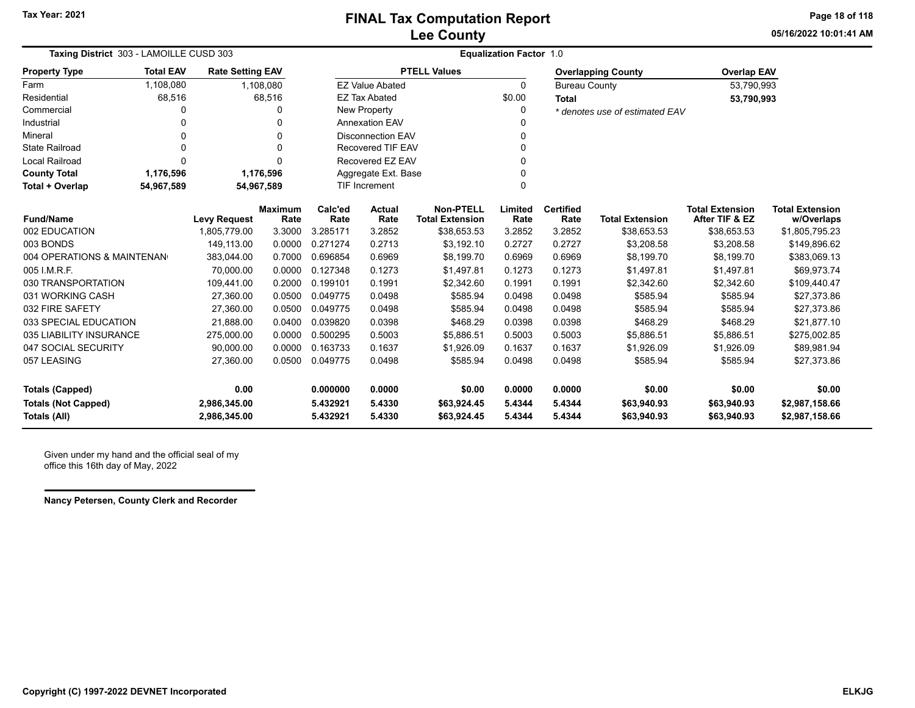**05/16/2022 10:01:41 AMPage 18 of 118**

| Taxing District 303 - LAMOILLE CUSD 303 |                                                       |                         |                        | <b>Equalization Factor 1.0</b> |                          |                                            |                 |                          |                                |                                          |                                      |  |
|-----------------------------------------|-------------------------------------------------------|-------------------------|------------------------|--------------------------------|--------------------------|--------------------------------------------|-----------------|--------------------------|--------------------------------|------------------------------------------|--------------------------------------|--|
| <b>Property Type</b>                    | <b>Total EAV</b>                                      | <b>Rate Setting EAV</b> |                        |                                |                          | <b>PTELL Values</b>                        |                 |                          | <b>Overlapping County</b>      | <b>Overlap EAV</b>                       |                                      |  |
| Farm                                    | 1,108,080                                             |                         | 1,108,080              |                                | <b>EZ Value Abated</b>   |                                            | $\Omega$        | <b>Bureau County</b>     |                                | 53,790,993                               |                                      |  |
| Residential                             | 68,516                                                |                         | 68,516                 |                                | <b>EZ Tax Abated</b>     |                                            | \$0.00          | <b>Total</b>             |                                | 53,790,993                               |                                      |  |
| Commercial                              | 0                                                     |                         | 0                      |                                | New Property             |                                            |                 |                          | * denotes use of estimated EAV |                                          |                                      |  |
| Industrial                              | 0                                                     |                         | 0                      |                                | <b>Annexation EAV</b>    |                                            |                 |                          |                                |                                          |                                      |  |
| Mineral                                 | 0                                                     |                         | 0                      |                                | <b>Disconnection EAV</b> |                                            |                 |                          |                                |                                          |                                      |  |
| <b>State Railroad</b>                   | 0                                                     |                         | $\Omega$               |                                | <b>Recovered TIF EAV</b> |                                            |                 |                          |                                |                                          |                                      |  |
| <b>Local Railroad</b>                   | O                                                     |                         | $\Omega$               |                                | Recovered EZ EAV         |                                            |                 |                          |                                |                                          |                                      |  |
| <b>County Total</b>                     | 1,176,596                                             |                         | 1,176,596              |                                | Aggregate Ext. Base      |                                            |                 |                          |                                |                                          |                                      |  |
| Total + Overlap                         | <b>TIF Increment</b><br>0<br>54,967,589<br>54,967,589 |                         |                        |                                |                          |                                            |                 |                          |                                |                                          |                                      |  |
| <b>Fund/Name</b>                        |                                                       | <b>Levy Request</b>     | <b>Maximum</b><br>Rate | Calc'ed<br>Rate                | <b>Actual</b><br>Rate    | <b>Non-PTELL</b><br><b>Total Extension</b> | Limited<br>Rate | <b>Certified</b><br>Rate | <b>Total Extension</b>         | <b>Total Extension</b><br>After TIF & EZ | <b>Total Extension</b><br>w/Overlaps |  |
| 002 EDUCATION                           |                                                       | 1,805,779.00            | 3.3000                 | 3.285171                       | 3.2852                   | \$38,653.53                                | 3.2852          | 3.2852                   | \$38,653.53                    | \$38,653.53                              | \$1,805,795.23                       |  |
| 003 BONDS                               |                                                       | 149.113.00              | 0.0000                 | 0.271274                       | 0.2713                   | \$3,192.10                                 | 0.2727          | 0.2727                   | \$3,208.58                     | \$3,208.58                               | \$149,896.62                         |  |
| 004 OPERATIONS & MAINTENAN              |                                                       | 383,044.00              | 0.7000                 | 0.696854                       | 0.6969                   | \$8,199.70                                 | 0.6969          | 0.6969                   | \$8,199.70                     | \$8,199.70                               | \$383,069.13                         |  |
| 005 I.M.R.F.                            |                                                       | 70,000.00               | 0.0000                 | 0.127348                       | 0.1273                   | \$1,497.81                                 | 0.1273          | 0.1273                   | \$1,497.81                     | \$1,497.81                               | \$69,973.74                          |  |
| 030 TRANSPORTATION                      |                                                       | 109,441.00              | 0.2000                 | 0.199101                       | 0.1991                   | \$2,342.60                                 | 0.1991          | 0.1991                   | \$2,342.60                     | \$2,342.60                               | \$109,440.47                         |  |
| 031 WORKING CASH                        |                                                       | 27,360.00               | 0.0500                 | 0.049775                       | 0.0498                   | \$585.94                                   | 0.0498          | 0.0498                   | \$585.94                       | \$585.94                                 | \$27,373.86                          |  |
| 032 FIRE SAFETY                         |                                                       | 27,360.00               | 0.0500                 | 0.049775                       | 0.0498                   | \$585.94                                   | 0.0498          | 0.0498                   | \$585.94                       | \$585.94                                 | \$27,373.86                          |  |
| 033 SPECIAL EDUCATION                   |                                                       | 21,888.00               | 0.0400                 | 0.039820                       | 0.0398                   | \$468.29                                   | 0.0398          | 0.0398                   | \$468.29                       | \$468.29                                 | \$21,877.10                          |  |
| 035 LIABILITY INSURANCE                 |                                                       | 275,000.00              | 0.0000                 | 0.500295                       | 0.5003                   | \$5,886.51                                 | 0.5003          | 0.5003                   | \$5,886.51                     | \$5,886.51                               | \$275,002.85                         |  |
| 047 SOCIAL SECURITY                     |                                                       | 90,000.00               | 0.0000                 | 0.163733                       | 0.1637                   | \$1,926.09                                 | 0.1637          | 0.1637                   | \$1,926.09                     | \$1,926.09                               | \$89,981.94                          |  |
| 057 LEASING                             |                                                       | 27,360.00               | 0.0500                 | 0.049775                       | 0.0498                   | \$585.94                                   | 0.0498          | 0.0498                   | \$585.94                       | \$585.94                                 | \$27,373.86                          |  |
| Totals (Capped)                         |                                                       | 0.00                    |                        | 0.000000                       | 0.0000                   | \$0.00                                     | 0.0000          | 0.0000                   | \$0.00                         | \$0.00                                   | \$0.00                               |  |
| <b>Totals (Not Capped)</b>              |                                                       | 2,986,345.00            |                        | 5.432921                       | 5.4330                   | \$63,924.45                                | 5.4344          | 5.4344                   | \$63,940.93                    | \$63,940.93                              | \$2,987,158.66                       |  |
| <b>Totals (All)</b>                     |                                                       | 2,986,345.00            |                        | 5.432921                       | 5.4330                   | \$63,924.45                                | 5.4344          | 5.4344                   | \$63,940.93                    | \$63,940.93                              | \$2,987,158.66                       |  |

Given under my hand and the official seal of my office this 16th day of May, 2022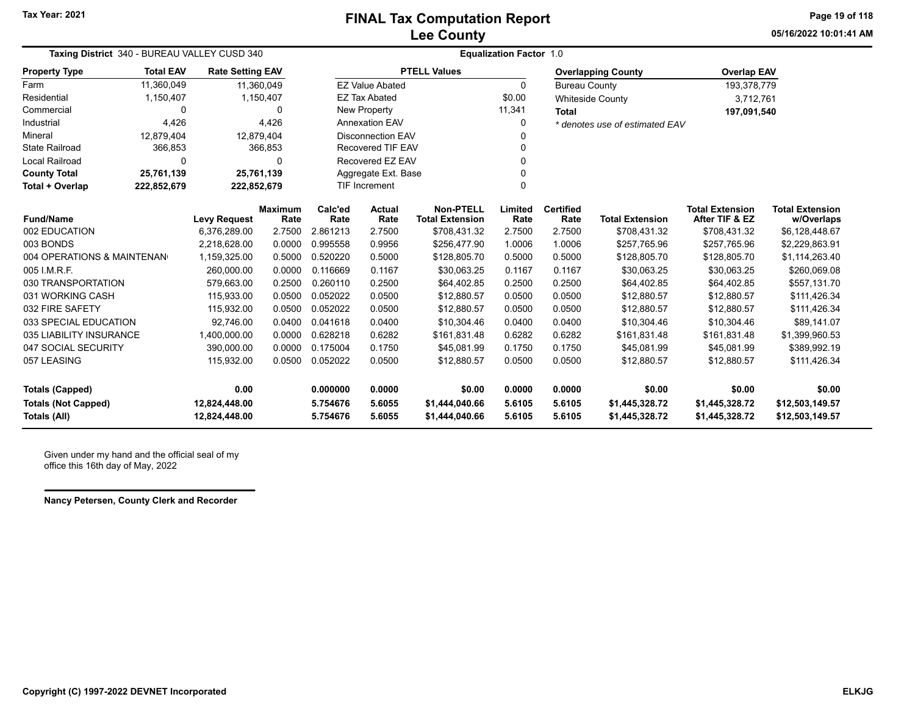**05/16/2022 10:01:41 AMPage 19 of 118**

| Taxing District 340 - BUREAU VALLEY CUSD 340<br><b>Total EAV</b><br><b>Property Type</b><br><b>Rate Setting EAV</b><br>Farm<br>11,360,049<br>11,360,049 |              |                     |                        |                 |                          |                                            | <b>Equalization Factor 1.0</b> |                          |                                |                                          |                                      |
|---------------------------------------------------------------------------------------------------------------------------------------------------------|--------------|---------------------|------------------------|-----------------|--------------------------|--------------------------------------------|--------------------------------|--------------------------|--------------------------------|------------------------------------------|--------------------------------------|
|                                                                                                                                                         |              |                     |                        |                 |                          | <b>PTELL Values</b>                        |                                |                          | <b>Overlapping County</b>      | <b>Overlap EAV</b>                       |                                      |
|                                                                                                                                                         |              |                     |                        |                 | <b>EZ Value Abated</b>   |                                            | $\mathbf{0}$                   | <b>Bureau County</b>     |                                | 193,378,779                              |                                      |
| Residential                                                                                                                                             | 1,150,407    |                     | 1,150,407              |                 | <b>EZ Tax Abated</b>     |                                            | \$0.00                         |                          | <b>Whiteside County</b>        | 3,712,761                                |                                      |
| Commercial                                                                                                                                              | 0            |                     | 0                      |                 | New Property             |                                            | 11,341                         | <b>Total</b>             |                                | 197,091,540                              |                                      |
| Industrial                                                                                                                                              | 4,426        |                     | 4,426                  |                 | <b>Annexation EAV</b>    |                                            | 0                              |                          | * denotes use of estimated EAV |                                          |                                      |
| Mineral                                                                                                                                                 | 12,879,404   | 12,879,404          |                        |                 | <b>Disconnection EAV</b> |                                            | 0                              |                          |                                |                                          |                                      |
| State Railroad                                                                                                                                          | 366,853      |                     | 366,853                |                 | <b>Recovered TIF EAV</b> |                                            | 0                              |                          |                                |                                          |                                      |
| <b>Local Railroad</b>                                                                                                                                   | $\mathbf{0}$ |                     | 0                      |                 | Recovered EZ EAV         |                                            | 0                              |                          |                                |                                          |                                      |
| <b>County Total</b>                                                                                                                                     | 25,761,139   | 25,761,139          |                        |                 | Aggregate Ext. Base      |                                            | 0                              |                          |                                |                                          |                                      |
| Total + Overlap<br>222,852,679<br>222,852,679                                                                                                           |              |                     | TIF Increment          |                 | $\Omega$                 |                                            |                                |                          |                                |                                          |                                      |
| <b>Fund/Name</b>                                                                                                                                        |              | <b>Levy Request</b> | <b>Maximum</b><br>Rate | Calc'ed<br>Rate | <b>Actual</b><br>Rate    | <b>Non-PTELL</b><br><b>Total Extension</b> | Limited<br>Rate                | <b>Certified</b><br>Rate | <b>Total Extension</b>         | <b>Total Extension</b><br>After TIF & EZ | <b>Total Extension</b><br>w/Overlaps |
| 002 EDUCATION                                                                                                                                           |              | 6,376,289.00        | 2.7500                 | 2.861213        | 2.7500                   | \$708,431.32                               | 2.7500                         | 2.7500                   | \$708,431.32                   | \$708,431.32                             | \$6,128,448.67                       |
| 003 BONDS                                                                                                                                               |              | 2,218,628.00        | 0.0000                 | 0.995558        | 0.9956                   | \$256,477.90                               | 1.0006                         | 1.0006                   | \$257,765.96                   | \$257,765.96                             | \$2,229,863.91                       |
| 004 OPERATIONS & MAINTENAN                                                                                                                              |              | 1,159,325.00        | 0.5000                 | 0.520220        | 0.5000                   | \$128,805.70                               | 0.5000                         | 0.5000                   | \$128,805.70                   | \$128,805.70                             | \$1,114,263.40                       |
| 005 I.M.R.F.                                                                                                                                            |              | 260,000.00          | 0.0000                 | 0.116669        | 0.1167                   | \$30,063.25                                | 0.1167                         | 0.1167                   | \$30,063.25                    | \$30,063.25                              | \$260,069.08                         |
| 030 TRANSPORTATION                                                                                                                                      |              | 579.663.00          | 0.2500                 | 0.260110        | 0.2500                   | \$64,402.85                                | 0.2500                         | 0.2500                   | \$64,402.85                    | \$64,402.85                              | \$557,131.70                         |
| 031 WORKING CASH                                                                                                                                        |              | 115,933.00          | 0.0500                 | 0.052022        | 0.0500                   | \$12,880.57                                | 0.0500                         | 0.0500                   | \$12,880.57                    | \$12,880.57                              | \$111,426.34                         |
| 032 FIRE SAFETY                                                                                                                                         |              | 115,932.00          | 0.0500                 | 0.052022        | 0.0500                   | \$12,880.57                                | 0.0500                         | 0.0500                   | \$12,880.57                    | \$12,880.57                              | \$111,426.34                         |
| 033 SPECIAL EDUCATION                                                                                                                                   |              | 92,746.00           | 0.0400                 | 0.041618        | 0.0400                   | \$10,304.46                                | 0.0400                         | 0.0400                   | \$10,304.46                    | \$10,304.46                              | \$89,141.07                          |
| 035 LIABILITY INSURANCE                                                                                                                                 |              | 1,400,000.00        | 0.0000                 | 0.628218        | 0.6282                   | \$161,831.48                               | 0.6282                         | 0.6282                   | \$161,831.48                   | \$161,831.48                             | \$1,399,960.53                       |
| 047 SOCIAL SECURITY                                                                                                                                     |              | 390,000.00          | 0.0000                 | 0.175004        | 0.1750                   | \$45,081.99                                | 0.1750                         | 0.1750                   | \$45,081.99                    | \$45,081.99                              | \$389,992.19                         |
| 057 LEASING                                                                                                                                             |              | 115,932.00          | 0.0500                 | 0.052022        | 0.0500                   | \$12,880.57                                | 0.0500                         | 0.0500                   | \$12,880.57                    | \$12,880.57                              | \$111,426.34                         |
| <b>Totals (Capped)</b>                                                                                                                                  |              | 0.00                |                        | 0.000000        | 0.0000                   | \$0.00                                     | 0.0000                         | 0.0000                   | \$0.00                         | \$0.00                                   | \$0.00                               |
| <b>Totals (Not Capped)</b>                                                                                                                              |              | 12,824,448.00       |                        | 5.754676        | 5.6055                   | \$1,444,040.66                             | 5.6105                         | 5.6105                   | \$1,445,328.72                 | \$1,445,328.72                           | \$12,503,149.57                      |
| Totals (All)                                                                                                                                            |              | 12,824,448.00       |                        | 5.754676        | 5.6055                   | \$1,444,040.66                             | 5.6105                         | 5.6105                   | \$1,445,328.72                 | \$1,445,328.72                           | \$12,503,149.57                      |

Given under my hand and the official seal of my office this 16th day of May, 2022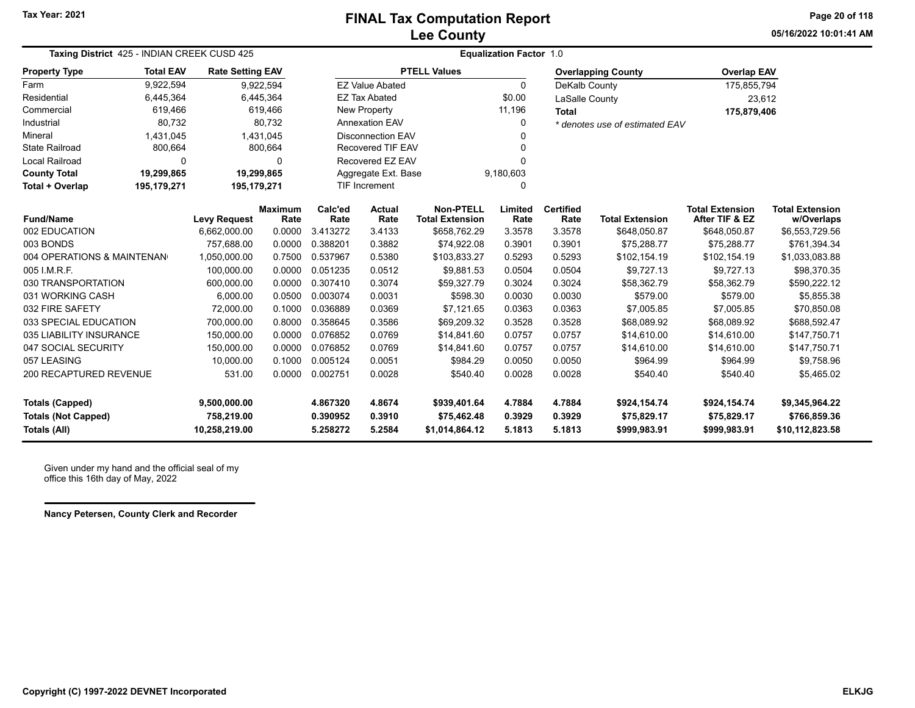**05/16/2022 10:01:41 AMPage 20 of 118**

| Taxing District 425 - INDIAN CREEK CUSD 425                                 |                  |                                             |                        | <b>Equalization Factor 1.0</b>   |                            |                                               |                            |                            |                                             |                                             |                                                   |
|-----------------------------------------------------------------------------|------------------|---------------------------------------------|------------------------|----------------------------------|----------------------------|-----------------------------------------------|----------------------------|----------------------------|---------------------------------------------|---------------------------------------------|---------------------------------------------------|
| <b>Property Type</b>                                                        | <b>Total EAV</b> | <b>Rate Setting EAV</b>                     |                        |                                  |                            | <b>PTELL Values</b>                           |                            |                            | <b>Overlapping County</b>                   | <b>Overlap EAV</b>                          |                                                   |
| Farm                                                                        | 9,922,594        |                                             | 9,922,594              |                                  | <b>EZ Value Abated</b>     |                                               | $\Omega$                   | DeKalb County              |                                             | 175,855,794                                 |                                                   |
| Residential                                                                 | 6,445,364        |                                             | 6,445,364              |                                  | <b>EZ Tax Abated</b>       |                                               | \$0.00                     | LaSalle County             |                                             | 23,612                                      |                                                   |
| Commercial                                                                  | 619,466          |                                             | 619,466                |                                  | <b>New Property</b>        |                                               | 11,196                     | <b>Total</b>               |                                             | 175,879,406                                 |                                                   |
| Industrial                                                                  | 80,732           |                                             | 80,732                 |                                  | <b>Annexation EAV</b>      |                                               | $\Omega$                   |                            | * denotes use of estimated EAV              |                                             |                                                   |
| Mineral                                                                     | 1,431,045        |                                             | 1,431,045              |                                  | <b>Disconnection EAV</b>   |                                               |                            |                            |                                             |                                             |                                                   |
| <b>State Railroad</b>                                                       | 800,664          |                                             | 800,664                |                                  | <b>Recovered TIF EAV</b>   |                                               | n                          |                            |                                             |                                             |                                                   |
| <b>Local Railroad</b>                                                       | $\Omega$         |                                             | 0                      |                                  | Recovered EZ EAV           |                                               |                            |                            |                                             |                                             |                                                   |
| <b>County Total</b>                                                         | 19,299,865       |                                             | 19,299,865             |                                  | Aggregate Ext. Base        |                                               | 9,180,603                  |                            |                                             |                                             |                                                   |
| Total + Overlap                                                             | 195,179,271      | 195,179,271                                 |                        |                                  | <b>TIF Increment</b>       | $\Omega$                                      |                            |                            |                                             |                                             |                                                   |
| <b>Fund/Name</b>                                                            |                  | <b>Levy Request</b>                         | <b>Maximum</b><br>Rate | Calc'ed<br>Rate                  | <b>Actual</b><br>Rate      | <b>Non-PTELL</b><br><b>Total Extension</b>    | Limited<br>Rate            | <b>Certified</b><br>Rate   | <b>Total Extension</b>                      | <b>Total Extension</b><br>After TIF & EZ    | <b>Total Extension</b><br>w/Overlaps              |
| 002 EDUCATION                                                               |                  | 6,662,000.00                                | 0.0000                 | 3.413272                         | 3.4133                     | \$658,762.29                                  | 3.3578                     | 3.3578                     | \$648,050.87                                | \$648,050.87                                | \$6,553,729.56                                    |
| 003 BONDS                                                                   |                  | 757,688.00                                  | 0.0000                 | 0.388201                         | 0.3882                     | \$74,922.08                                   | 0.3901                     | 0.3901                     | \$75,288.77                                 | \$75,288.77                                 | \$761,394.34                                      |
| 004 OPERATIONS & MAINTENAN                                                  |                  | 1,050,000.00                                | 0.7500                 | 0.537967                         | 0.5380                     | \$103,833.27                                  | 0.5293                     | 0.5293                     | \$102,154.19                                | \$102,154.19                                | \$1,033,083.88                                    |
| 005 I.M.R.F.                                                                |                  | 100.000.00                                  | 0.0000                 | 0.051235                         | 0.0512                     | \$9,881.53                                    | 0.0504                     | 0.0504                     | \$9,727.13                                  | \$9,727.13                                  | \$98,370.35                                       |
| 030 TRANSPORTATION                                                          |                  | 600,000.00                                  | 0.0000                 | 0.307410                         | 0.3074                     | \$59,327.79                                   | 0.3024                     | 0.3024                     | \$58,362.79                                 | \$58,362.79                                 | \$590,222.12                                      |
| 031 WORKING CASH                                                            |                  | 6.000.00                                    | 0.0500                 | 0.003074                         | 0.0031                     | \$598.30                                      | 0.0030                     | 0.0030                     | \$579.00                                    | \$579.00                                    | \$5,855.38                                        |
| 032 FIRE SAFETY                                                             |                  | 72,000.00                                   | 0.1000                 | 0.036889                         | 0.0369                     | \$7,121.65                                    | 0.0363                     | 0.0363                     | \$7,005.85                                  | \$7,005.85                                  | \$70,850.08                                       |
| 033 SPECIAL EDUCATION                                                       |                  | 700,000.00                                  | 0.8000                 | 0.358645                         | 0.3586                     | \$69,209.32                                   | 0.3528                     | 0.3528                     | \$68,089.92                                 | \$68,089.92                                 | \$688,592.47                                      |
| 035 LIABILITY INSURANCE                                                     |                  | 150,000.00                                  | 0.0000                 | 0.076852                         | 0.0769                     | \$14,841.60                                   | 0.0757                     | 0.0757                     | \$14,610.00                                 | \$14,610.00                                 | \$147,750.71                                      |
| 047 SOCIAL SECURITY                                                         |                  | 150,000.00                                  | 0.0000                 | 0.076852                         | 0.0769                     | \$14,841.60                                   | 0.0757                     | 0.0757                     | \$14,610.00                                 | \$14.610.00                                 | \$147,750.71                                      |
| 057 LEASING                                                                 |                  | 10,000.00                                   | 0.1000                 | 0.005124                         | 0.0051                     | \$984.29                                      | 0.0050                     | 0.0050                     | \$964.99                                    | \$964.99                                    | \$9,758.96                                        |
| 200 RECAPTURED REVENUE                                                      |                  | 531.00                                      | 0.0000                 | 0.002751                         | 0.0028                     | \$540.40                                      | 0.0028                     | 0.0028                     | \$540.40                                    | \$540.40                                    | \$5,465.02                                        |
| <b>Totals (Capped)</b><br><b>Totals (Not Capped)</b><br><b>Totals (All)</b> |                  | 9,500,000.00<br>758,219.00<br>10,258,219.00 |                        | 4.867320<br>0.390952<br>5.258272 | 4.8674<br>0.3910<br>5.2584 | \$939,401.64<br>\$75,462.48<br>\$1,014,864.12 | 4.7884<br>0.3929<br>5.1813 | 4.7884<br>0.3929<br>5.1813 | \$924,154.74<br>\$75,829.17<br>\$999,983.91 | \$924,154.74<br>\$75,829.17<br>\$999,983.91 | \$9,345,964.22<br>\$766,859.36<br>\$10,112,823.58 |

Given under my hand and the official seal of my office this 16th day of May, 2022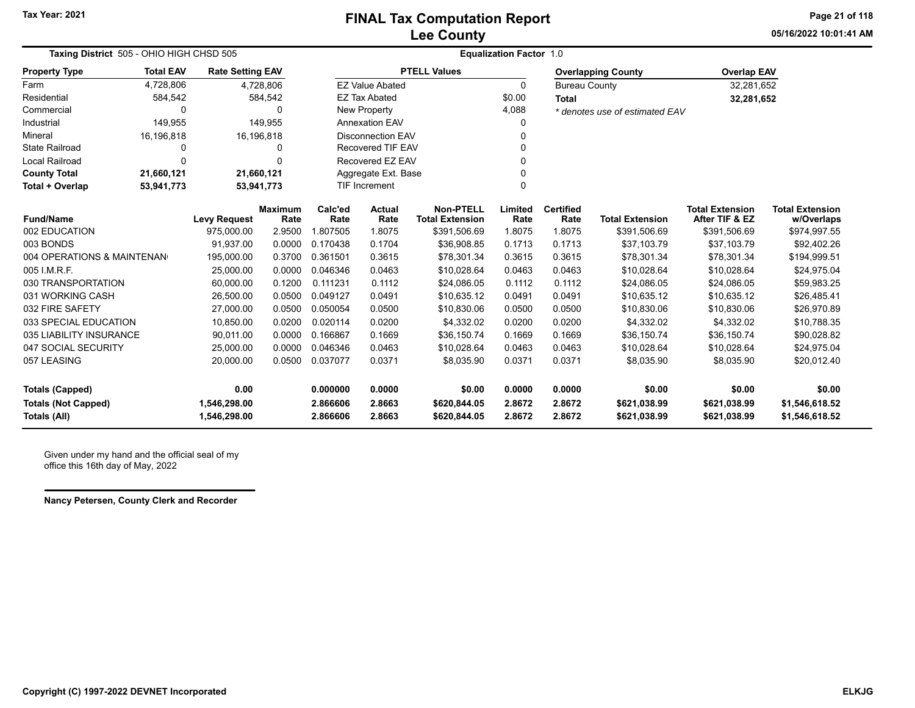**05/16/2022 10:01:41 AMPage 21 of 118**

| Taxing District 505 - OHIO HIGH CHSD 505          |                                                       |                              |                        | <b>Equalization Factor 1.0</b> |                          |                                            |                  |                          |                                |                                          |                                      |
|---------------------------------------------------|-------------------------------------------------------|------------------------------|------------------------|--------------------------------|--------------------------|--------------------------------------------|------------------|--------------------------|--------------------------------|------------------------------------------|--------------------------------------|
| <b>Property Type</b>                              | <b>Total EAV</b>                                      | <b>Rate Setting EAV</b>      |                        |                                |                          | <b>PTELL Values</b>                        |                  |                          | <b>Overlapping County</b>      | <b>Overlap EAV</b>                       |                                      |
| Farm                                              | 4,728,806                                             |                              | 4,728,806              |                                | <b>EZ Value Abated</b>   |                                            | $\Omega$         | <b>Bureau County</b>     |                                | 32,281,652                               |                                      |
| Residential                                       | 584,542                                               |                              | 584,542                |                                | <b>EZ Tax Abated</b>     |                                            | \$0.00           | <b>Total</b>             |                                | 32,281,652                               |                                      |
| Commercial                                        | 0                                                     |                              | 0                      |                                | <b>New Property</b>      |                                            | 4,088            |                          | * denotes use of estimated EAV |                                          |                                      |
| Industrial                                        | 149,955                                               |                              | 149,955                |                                | <b>Annexation EAV</b>    |                                            | 0                |                          |                                |                                          |                                      |
| Mineral                                           | 16,196,818                                            |                              | 16,196,818             |                                | <b>Disconnection EAV</b> |                                            | 0                |                          |                                |                                          |                                      |
| <b>State Railroad</b>                             | 0                                                     |                              | 0                      |                                | <b>Recovered TIF EAV</b> |                                            | 0                |                          |                                |                                          |                                      |
| <b>Local Railroad</b>                             | $\Omega$                                              |                              | $\Omega$               |                                | Recovered EZ EAV         |                                            |                  |                          |                                |                                          |                                      |
| <b>County Total</b>                               | 21,660,121                                            | 21,660,121                   |                        |                                | Aggregate Ext. Base      |                                            | 0                |                          |                                |                                          |                                      |
| Total + Overlap                                   | <b>TIF Increment</b><br>0<br>53,941,773<br>53,941,773 |                              |                        |                                |                          |                                            |                  |                          |                                |                                          |                                      |
| <b>Fund/Name</b>                                  |                                                       | <b>Levy Request</b>          | <b>Maximum</b><br>Rate | Calc'ed<br>Rate                | <b>Actual</b><br>Rate    | <b>Non-PTELL</b><br><b>Total Extension</b> | Limited<br>Rate  | <b>Certified</b><br>Rate | <b>Total Extension</b>         | <b>Total Extension</b><br>After TIF & EZ | <b>Total Extension</b><br>w/Overlaps |
| 002 EDUCATION                                     |                                                       | 975,000.00                   | 2.9500                 | 1.807505                       | 1.8075                   | \$391,506.69                               | 1.8075           | 1.8075                   | \$391,506.69                   | \$391,506.69                             | \$974,997.55                         |
| 003 BONDS                                         |                                                       | 91,937.00                    | 0.0000                 | 0.170438                       | 0.1704                   | \$36,908.85                                | 0.1713           | 0.1713                   | \$37,103.79                    | \$37,103.79                              | \$92,402.26                          |
| 004 OPERATIONS & MAINTENAN                        |                                                       | 195,000.00                   | 0.3700                 | 0.361501                       | 0.3615                   | \$78,301.34                                | 0.3615           | 0.3615                   | \$78,301.34                    | \$78,301.34                              | \$194,999.51                         |
| 005 I.M.R.F.                                      |                                                       | 25,000.00                    | 0.0000                 | 0.046346                       | 0.0463                   | \$10,028.64                                | 0.0463           | 0.0463                   | \$10,028.64                    | \$10,028.64                              | \$24,975.04                          |
| 030 TRANSPORTATION                                |                                                       | 60,000.00                    | 0.1200                 | 0.111231                       | 0.1112                   | \$24,086.05                                | 0.1112           | 0.1112                   | \$24,086.05                    | \$24,086.05                              | \$59,983.25                          |
| 031 WORKING CASH                                  |                                                       | 26,500.00                    | 0.0500                 | 0.049127                       | 0.0491                   | \$10,635.12                                | 0.0491           | 0.0491                   | \$10,635.12                    | \$10,635.12                              | \$26,485.41                          |
| 032 FIRE SAFETY                                   |                                                       | 27,000.00                    | 0.0500                 | 0.050054                       | 0.0500                   | \$10,830.06                                | 0.0500           | 0.0500                   | \$10,830.06                    | \$10,830.06                              | \$26,970.89                          |
| 033 SPECIAL EDUCATION                             |                                                       | 10,850.00                    | 0.0200                 | 0.020114                       | 0.0200                   | \$4,332.02                                 | 0.0200           | 0.0200                   | \$4,332.02                     | \$4,332.02                               | \$10,788.35                          |
| 035 LIABILITY INSURANCE                           |                                                       | 90,011.00                    | 0.0000                 | 0.166867                       | 0.1669                   | \$36,150.74                                | 0.1669           | 0.1669                   | \$36,150.74                    | \$36,150.74                              | \$90,028.82                          |
| 047 SOCIAL SECURITY                               |                                                       | 25,000.00                    | 0.0000                 | 0.046346                       | 0.0463                   | \$10,028.64                                | 0.0463           | 0.0463                   | \$10,028.64                    | \$10,028.64                              | \$24,975.04                          |
| 057 LEASING                                       |                                                       | 20,000.00                    | 0.0500                 | 0.037077                       | 0.0371                   | \$8,035.90                                 | 0.0371           | 0.0371                   | \$8,035.90                     | \$8,035.90                               | \$20,012.40                          |
| <b>Totals (Capped)</b>                            |                                                       | 0.00                         |                        | 0.000000                       | 0.0000                   | \$0.00                                     | 0.0000           | 0.0000                   | \$0.00                         | \$0.00                                   | \$0.00                               |
| <b>Totals (Not Capped)</b><br><b>Totals (All)</b> |                                                       | 1,546,298.00<br>1,546,298.00 |                        | 2.866606<br>2.866606           | 2.8663<br>2.8663         | \$620,844.05<br>\$620,844.05               | 2.8672<br>2.8672 | 2.8672<br>2.8672         | \$621,038.99<br>\$621,038.99   | \$621,038.99<br>\$621,038.99             | \$1,546,618.52<br>\$1,546,618.52     |

Given under my hand and the official seal of my office this 16th day of May, 2022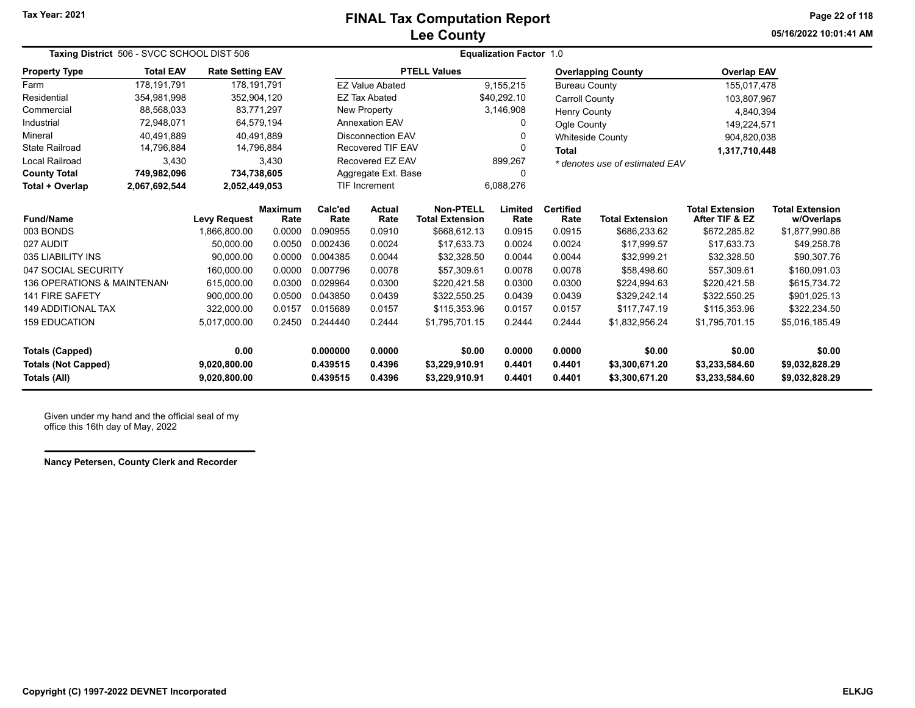## **Lee County FINAL Tax Computation Report**

**05/16/2022 10:01:41 AMPage 22 of 118**

| Taxing District 506 - SVCC SCHOOL DIST 506 |                  |                              |                        | <b>Equalization Factor 1.0</b> |                          |                                     |                  |                          |                                  |                                          |                                      |
|--------------------------------------------|------------------|------------------------------|------------------------|--------------------------------|--------------------------|-------------------------------------|------------------|--------------------------|----------------------------------|------------------------------------------|--------------------------------------|
| <b>Property Type</b>                       | <b>Total EAV</b> | <b>Rate Setting EAV</b>      |                        |                                |                          | <b>PTELL Values</b>                 |                  |                          | <b>Overlapping County</b>        | <b>Overlap EAV</b>                       |                                      |
| Farm                                       | 178,191,791      |                              | 178,191,791            |                                | <b>EZ Value Abated</b>   |                                     | 9,155,215        | <b>Bureau County</b>     |                                  | 155,017,478                              |                                      |
| Residential                                | 354,981,998      |                              | 352,904,120            |                                | <b>EZ Tax Abated</b>     |                                     | \$40,292.10      | <b>Carroll County</b>    |                                  | 103,807,967                              |                                      |
| Commercial                                 | 88,568,033       |                              | 83,771,297             |                                | New Property             |                                     | 3,146,908        | <b>Henry County</b>      |                                  | 4,840,394                                |                                      |
| Industrial                                 | 72,948,071       |                              | 64,579,194             |                                | <b>Annexation EAV</b>    |                                     | 0                | Ogle County              |                                  | 149,224,571                              |                                      |
| Mineral                                    | 40.491.889       |                              | 40.491.889             |                                | <b>Disconnection EAV</b> |                                     | 0                | <b>Whiteside County</b>  |                                  | 904,820,038                              |                                      |
| <b>State Railroad</b>                      | 14,796,884       |                              | 14,796,884             |                                | <b>Recovered TIF EAV</b> |                                     | $\Omega$         | <b>Total</b>             |                                  | 1,317,710,448                            |                                      |
| Local Railroad                             | 3,430            |                              | 3,430                  |                                | Recovered EZ EAV         |                                     | 899,267          |                          | * denotes use of estimated EAV   |                                          |                                      |
| <b>County Total</b>                        | 749,982,096      |                              | 734,738,605            |                                | Aggregate Ext. Base      |                                     | 0                |                          |                                  |                                          |                                      |
| Total + Overlap                            | 2,067,692,544    | 2,052,449,053                |                        |                                | <b>TIF Increment</b>     | 6,088,276                           |                  |                          |                                  |                                          |                                      |
| <b>Fund/Name</b>                           |                  | <b>Levy Request</b>          | <b>Maximum</b><br>Rate | Calc'ed<br>Rate                | <b>Actual</b><br>Rate    | Non-PTELL<br><b>Total Extension</b> | Limited<br>Rate  | <b>Certified</b><br>Rate | <b>Total Extension</b>           | <b>Total Extension</b><br>After TIF & EZ | <b>Total Extension</b><br>w/Overlaps |
| 003 BONDS                                  |                  | 1,866,800.00                 | 0.0000                 | 0.090955                       | 0.0910                   | \$668,612.13                        | 0.0915           | 0.0915                   | \$686,233.62                     | \$672,285.82                             | \$1,877,990.88                       |
| 027 AUDIT                                  |                  | 50.000.00                    | 0.0050                 | 0.002436                       | 0.0024                   | \$17,633.73                         | 0.0024           | 0.0024                   | \$17,999.57                      | \$17,633.73                              | \$49,258.78                          |
| 035 LIABILITY INS                          |                  | 90,000.00                    | 0.0000                 | 0.004385                       | 0.0044                   | \$32,328.50                         | 0.0044           | 0.0044                   | \$32,999.21                      | \$32,328.50                              | \$90,307.76                          |
| 047 SOCIAL SECURITY                        |                  | 160,000.00                   | 0.0000                 | 0.007796                       | 0.0078                   | \$57,309.61                         | 0.0078           | 0.0078                   | \$58,498.60                      | \$57,309.61                              | \$160,091.03                         |
| <b>136 OPERATIONS &amp; MAINTENAN</b>      |                  | 615,000.00                   | 0.0300                 | 0.029964                       | 0.0300                   | \$220,421.58                        | 0.0300           | 0.0300                   | \$224,994.63                     | \$220,421.58                             | \$615,734.72                         |
| <b>141 FIRE SAFETY</b>                     |                  | 900,000.00                   | 0.0500                 | 0.043850                       | 0.0439                   | \$322,550.25                        | 0.0439           | 0.0439                   | \$329,242.14                     | \$322,550.25                             | \$901,025.13                         |
| <b>149 ADDITIONAL TAX</b>                  |                  | 322,000.00                   | 0.0157                 | 0.015689                       | 0.0157                   | \$115,353.96                        | 0.0157           | 0.0157                   | \$117,747.19                     | \$115,353.96                             | \$322,234.50                         |
| <b>159 EDUCATION</b>                       |                  | 5,017,000.00                 | 0.2450                 | 0.244440                       | 0.2444                   | \$1,795,701.15                      | 0.2444           | 0.2444                   | \$1,832,956.24                   | \$1,795,701.15                           | \$5,016,185.49                       |
| <b>Totals (Capped)</b>                     |                  | 0.00                         |                        | 0.000000                       | 0.0000                   | \$0.00                              | 0.0000           | 0.0000                   | \$0.00                           | \$0.00                                   | \$0.00                               |
| <b>Totals (Not Capped)</b><br>Totals (All) |                  | 9,020,800.00<br>9,020,800.00 |                        | 0.439515<br>0.439515           | 0.4396<br>0.4396         | \$3,229,910.91<br>\$3,229,910.91    | 0.4401<br>0.4401 | 0.4401<br>0.4401         | \$3,300,671.20<br>\$3,300,671.20 | \$3,233,584.60<br>\$3,233,584.60         | \$9,032,828.29<br>\$9,032,828.29     |

Given under my hand and the official seal of my office this 16th day of May, 2022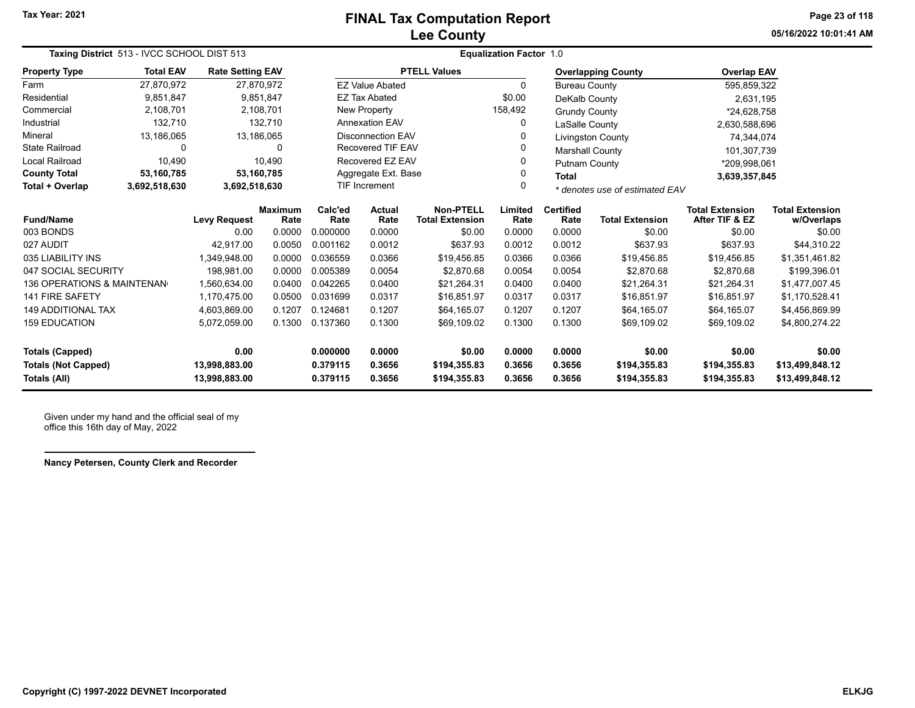## **Lee County FINAL Tax Computation Report**

**05/16/2022 10:01:41 AMPage 23 of 118**

| Taxing District 513 - IVCC SCHOOL DIST 513 |                  |                                                                         |                        | <b>Equalization Factor 1.0</b> |                                                             |                                            |                  |                          |                              |                                          |                                      |  |
|--------------------------------------------|------------------|-------------------------------------------------------------------------|------------------------|--------------------------------|-------------------------------------------------------------|--------------------------------------------|------------------|--------------------------|------------------------------|------------------------------------------|--------------------------------------|--|
| <b>Property Type</b>                       | <b>Total EAV</b> | <b>Rate Setting EAV</b>                                                 |                        |                                |                                                             | <b>PTELL Values</b>                        |                  |                          | <b>Overlapping County</b>    | <b>Overlap EAV</b>                       |                                      |  |
| Farm                                       | 27.870.972       |                                                                         | 27,870,972             |                                | <b>EZ Value Abated</b>                                      |                                            | 0                | <b>Bureau County</b>     |                              | 595,859,322                              |                                      |  |
| Residential                                | 9,851,847        |                                                                         | 9,851,847              |                                | <b>EZ Tax Abated</b>                                        |                                            | \$0.00           | DeKalb County            |                              | 2,631,195                                |                                      |  |
| Commercial                                 | 2,108,701        |                                                                         | 2,108,701              |                                | New Property                                                |                                            | 158,492          | <b>Grundy County</b>     |                              | *24.628.758                              |                                      |  |
| Industrial                                 | 132,710          |                                                                         | 132,710                |                                | <b>Annexation EAV</b>                                       |                                            | 0                | LaSalle County           |                              | 2,630,588,696                            |                                      |  |
| Mineral                                    | 13,186,065       |                                                                         | 13,186,065             |                                | <b>Disconnection EAV</b>                                    |                                            | 0                |                          | Livingston County            | 74,344,074                               |                                      |  |
| <b>State Railroad</b>                      | 0                |                                                                         | $\Omega$               |                                | <b>Recovered TIF EAV</b>                                    |                                            | 0                | <b>Marshall County</b>   |                              | 101,307,739                              |                                      |  |
| <b>Local Railroad</b>                      | 10,490           |                                                                         | 10,490                 |                                | Recovered EZ EAV                                            |                                            | 0                | <b>Putnam County</b>     |                              | *209,998,061                             |                                      |  |
| <b>County Total</b>                        | 53,160,785       | Aggregate Ext. Base<br>53,160,785<br>0<br><b>Total</b><br>3,692,518,630 |                        |                                |                                                             | 3,639,357,845                              |                  |                          |                              |                                          |                                      |  |
| Total + Overlap                            | 3,692,518,630    |                                                                         |                        |                                | <b>TIF Increment</b><br>0<br>* denotes use of estimated EAV |                                            |                  |                          |                              |                                          |                                      |  |
| <b>Fund/Name</b>                           |                  | <b>Levy Request</b>                                                     | <b>Maximum</b><br>Rate | Calc'ed<br>Rate                | <b>Actual</b><br>Rate                                       | <b>Non-PTELL</b><br><b>Total Extension</b> | Limited<br>Rate  | <b>Certified</b><br>Rate | <b>Total Extension</b>       | <b>Total Extension</b><br>After TIF & EZ | <b>Total Extension</b><br>w/Overlaps |  |
| 003 BONDS                                  |                  | 0.00                                                                    | 0.0000                 | 0.000000                       | 0.0000                                                      | \$0.00                                     | 0.0000           | 0.0000                   | \$0.00                       | \$0.00                                   | \$0.00                               |  |
| 027 AUDIT                                  |                  | 42.917.00                                                               | 0.0050                 | 0.001162                       | 0.0012                                                      | \$637.93                                   | 0.0012           | 0.0012                   | \$637.93                     | \$637.93                                 | \$44,310.22                          |  |
| 035 LIABILITY INS                          |                  | 1,349,948.00                                                            | 0.0000                 | 0.036559                       | 0.0366                                                      | \$19,456.85                                | 0.0366           | 0.0366                   | \$19,456.85                  | \$19,456.85                              | \$1,351,461.82                       |  |
| 047 SOCIAL SECURITY                        |                  | 198,981.00                                                              | 0.0000                 | 0.005389                       | 0.0054                                                      | \$2,870.68                                 | 0.0054           | 0.0054                   | \$2,870.68                   | \$2,870.68                               | \$199,396.01                         |  |
| 136 OPERATIONS & MAINTENAN                 |                  | 1.560.634.00                                                            | 0.0400                 | 0.042265                       | 0.0400                                                      | \$21,264.31                                | 0.0400           | 0.0400                   | \$21.264.31                  | \$21.264.31                              | \$1,477,007.45                       |  |
| <b>141 FIRE SAFETY</b>                     |                  | 1,170,475.00                                                            | 0.0500                 | 0.031699                       | 0.0317                                                      | \$16,851.97                                | 0.0317           | 0.0317                   | \$16,851.97                  | \$16,851.97                              | \$1,170,528.41                       |  |
| <b>149 ADDITIONAL TAX</b>                  |                  | 4,603,869.00                                                            | 0.1207                 | 0.124681                       | 0.1207                                                      | \$64.165.07                                | 0.1207           | 0.1207                   | \$64.165.07                  | \$64,165.07                              | \$4,456,869.99                       |  |
| <b>159 EDUCATION</b>                       |                  | 5,072,059.00                                                            | 0.1300                 | 0.137360                       | 0.1300                                                      | \$69,109.02                                | 0.1300           | 0.1300                   | \$69,109.02                  | \$69,109.02                              | \$4,800,274.22                       |  |
| <b>Totals (Capped)</b>                     |                  | 0.00                                                                    |                        | 0.000000                       | 0.0000                                                      | \$0.00                                     | 0.0000           | 0.0000                   | \$0.00                       | \$0.00                                   | \$0.00                               |  |
| <b>Totals (Not Capped)</b><br>Totals (All) |                  | 13,998,883.00<br>13,998,883.00                                          |                        | 0.379115<br>0.379115           | 0.3656<br>0.3656                                            | \$194,355.83<br>\$194,355.83               | 0.3656<br>0.3656 | 0.3656<br>0.3656         | \$194,355.83<br>\$194,355.83 | \$194,355.83<br>\$194,355.83             | \$13,499,848.12<br>\$13,499,848.12   |  |

Given under my hand and the official seal of my office this 16th day of May, 2022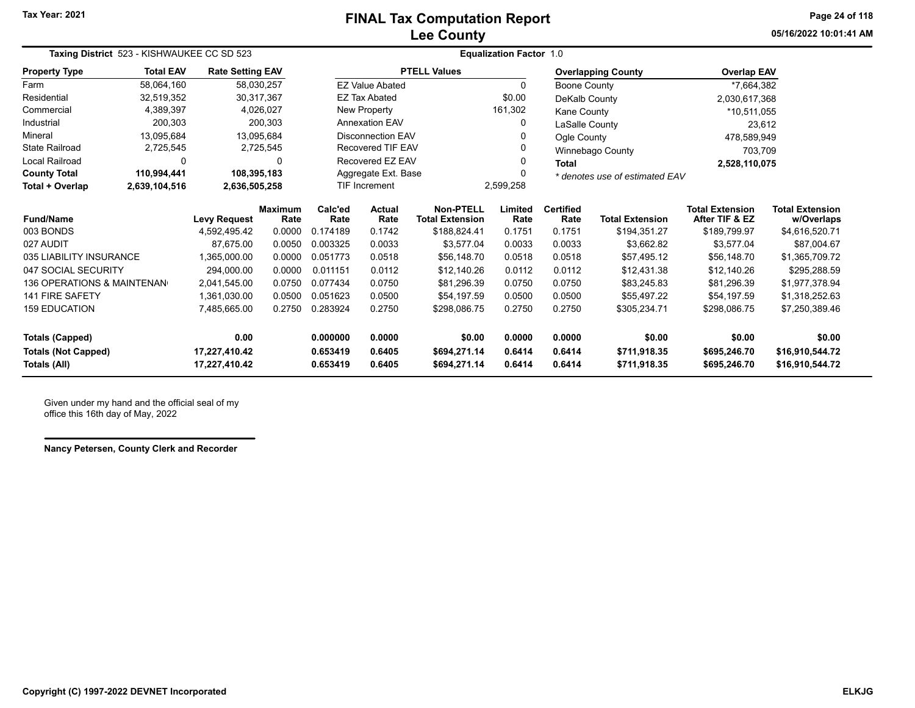### **Lee County FINAL Tax Computation Report**

**05/16/2022 10:01:41 AMPage 24 of 118**

| Taxing District 523 - KISHWAUKEE CC SD 523 |                  |                         |                        | <b>Equalization Factor 1.0</b> |                                                       |                                     |                 |                          |                           |                                          |                                      |
|--------------------------------------------|------------------|-------------------------|------------------------|--------------------------------|-------------------------------------------------------|-------------------------------------|-----------------|--------------------------|---------------------------|------------------------------------------|--------------------------------------|
| <b>Property Type</b>                       | <b>Total EAV</b> | <b>Rate Setting EAV</b> |                        |                                |                                                       | <b>PTELL Values</b>                 |                 |                          | <b>Overlapping County</b> | <b>Overlap EAV</b>                       |                                      |
| Farm                                       | 58,064,160       |                         | 58,030,257             |                                | <b>EZ Value Abated</b>                                |                                     | 0               | Boone County             |                           | *7,664,382                               |                                      |
| Residential                                | 32,519,352       |                         | 30,317,367             |                                | <b>EZ Tax Abated</b>                                  |                                     | \$0.00          | DeKalb County            |                           | 2,030,617,368                            |                                      |
| Commercial                                 | 4,389,397        |                         | 4,026,027              |                                | New Property                                          |                                     | 161,302         | Kane County              |                           | *10,511,055                              |                                      |
| Industrial                                 | 200,303          |                         | 200,303                |                                | <b>Annexation EAV</b>                                 |                                     | U               | LaSalle County           |                           | 23.612                                   |                                      |
| Mineral                                    | 13.095.684       |                         | 13.095.684             |                                | <b>Disconnection EAV</b>                              |                                     |                 | Ogle County              |                           | 478,589,949                              |                                      |
| <b>State Railroad</b>                      | 2,725,545        |                         | 2,725,545              |                                | Recovered TIF EAV                                     |                                     |                 |                          | Winnebago County          | 703,709                                  |                                      |
| <b>Local Railroad</b>                      | 0                |                         | 0                      |                                | Recovered EZ EAV                                      |                                     |                 | Total                    |                           | 2,528,110,075                            |                                      |
| <b>County Total</b>                        | 110,994,441      | 108.395.183             |                        |                                | Aggregate Ext. Base<br>* denotes use of estimated EAV |                                     |                 |                          |                           |                                          |                                      |
| Total + Overlap                            | 2,639,104,516    | 2,636,505,258           |                        | 2,599,258<br>TIF Increment     |                                                       |                                     |                 |                          |                           |                                          |                                      |
| <b>Fund/Name</b>                           |                  | <b>Levy Request</b>     | <b>Maximum</b><br>Rate | Calc'ed<br>Rate                | <b>Actual</b><br>Rate                                 | Non-PTELL<br><b>Total Extension</b> | Limited<br>Rate | <b>Certified</b><br>Rate | <b>Total Extension</b>    | <b>Total Extension</b><br>After TIF & EZ | <b>Total Extension</b><br>w/Overlaps |
| 003 BONDS                                  |                  | 4,592,495.42            | 0.0000                 | 0.174189                       | 0.1742                                                | \$188,824.41                        | 0.1751          | 0.1751                   | \$194,351.27              | \$189,799.97                             | \$4,616,520.71                       |
| 027 AUDIT                                  |                  | 87.675.00               | 0.0050                 | 0.003325                       | 0.0033                                                | \$3,577.04                          | 0.0033          | 0.0033                   | \$3,662.82                | \$3,577.04                               | \$87,004.67                          |
| 035 LIABILITY INSURANCE                    |                  | 1,365,000.00            | 0.0000                 | 0.051773                       | 0.0518                                                | \$56,148.70                         | 0.0518          | 0.0518                   | \$57,495.12               | \$56,148.70                              | \$1,365,709.72                       |
| 047 SOCIAL SECURITY                        |                  | 294.000.00              | 0.0000                 | 0.011151                       | 0.0112                                                | \$12,140.26                         | 0.0112          | 0.0112                   | \$12,431.38               | \$12,140.26                              | \$295,288.59                         |
| 136 OPERATIONS & MAINTENAN                 |                  | 2,041,545.00            | 0.0750                 | 0.077434                       | 0.0750                                                | \$81,296.39                         | 0.0750          | 0.0750                   | \$83,245.83               | \$81,296.39                              | \$1,977,378.94                       |
| <b>141 FIRE SAFETY</b>                     |                  | 1,361,030.00            | 0.0500                 | 0.051623                       | 0.0500                                                | \$54,197.59                         | 0.0500          | 0.0500                   | \$55,497.22               | \$54,197.59                              | \$1,318,252.63                       |
| <b>159 EDUCATION</b>                       |                  | 7,485,665.00            | 0.2750                 | 0.283924                       | 0.2750                                                | \$298,086.75                        | 0.2750          | 0.2750                   | \$305,234.71              | \$298,086.75                             | \$7,250,389.46                       |
| <b>Totals (Capped)</b>                     |                  | 0.00                    |                        | 0.000000                       | 0.0000                                                | \$0.00                              | 0.0000          | 0.0000                   | \$0.00                    | \$0.00                                   | \$0.00                               |
| <b>Totals (Not Capped)</b>                 |                  | 17,227,410.42           |                        | 0.653419                       | 0.6405                                                | \$694,271.14                        | 0.6414          | 0.6414                   | \$711,918.35              | \$695,246.70                             | \$16,910,544.72                      |
| Totals (All)                               |                  | 17,227,410.42           |                        | 0.653419                       | 0.6405                                                | \$694,271.14                        | 0.6414          | 0.6414                   | \$711,918.35              | \$695,246.70                             | \$16,910,544.72                      |

Given under my hand and the official seal of my office this 16th day of May, 2022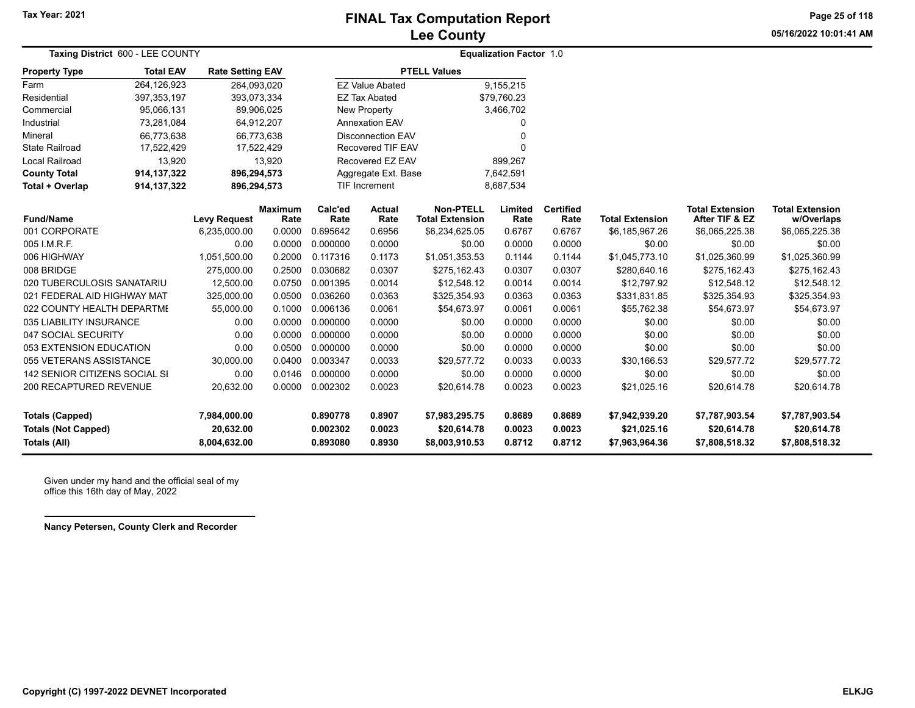# **Lee County FINAL Tax Computation Report**

**05/16/2022 10:01:41 AMPage 25 of 118**

| Taxing District 600 - LEE COUNTY |                  |                         |                        |                 |                          |                                            | <b>Equalization Factor 1.0</b> |                          |                        |                                          |                                      |
|----------------------------------|------------------|-------------------------|------------------------|-----------------|--------------------------|--------------------------------------------|--------------------------------|--------------------------|------------------------|------------------------------------------|--------------------------------------|
| <b>Property Type</b>             | <b>Total EAV</b> | <b>Rate Setting EAV</b> |                        |                 |                          | <b>PTELL Values</b>                        |                                |                          |                        |                                          |                                      |
| Farm                             | 264,126,923      | 264,093,020             |                        |                 | <b>EZ Value Abated</b>   |                                            | 9,155,215                      |                          |                        |                                          |                                      |
| Residential                      | 397, 353, 197    | 393,073,334             |                        |                 | <b>EZ Tax Abated</b>     |                                            | \$79,760.23                    |                          |                        |                                          |                                      |
| Commercial                       | 95,066,131       | 89,906,025              |                        |                 | New Property             |                                            | 3,466,702                      |                          |                        |                                          |                                      |
| Industrial                       | 73,281,084       | 64,912,207              |                        |                 | Annexation EAV           |                                            | 0                              |                          |                        |                                          |                                      |
| Mineral                          | 66,773,638       | 66,773,638              |                        |                 | <b>Disconnection EAV</b> |                                            | $\Omega$                       |                          |                        |                                          |                                      |
| <b>State Railroad</b>            | 17,522,429       |                         | 17,522,429             |                 | <b>Recovered TIF EAV</b> |                                            | $\Omega$                       |                          |                        |                                          |                                      |
| <b>Local Railroad</b>            | 13,920           |                         | 13,920                 |                 | Recovered EZ EAV         |                                            | 899,267                        |                          |                        |                                          |                                      |
| <b>County Total</b>              | 914, 137, 322    | 896,294,573             |                        |                 | Aggregate Ext. Base      |                                            | 7,642,591                      |                          |                        |                                          |                                      |
| Total + Overlap                  | 914, 137, 322    | 896,294,573             |                        |                 | <b>TIF Increment</b>     |                                            | 8,687,534                      |                          |                        |                                          |                                      |
| <b>Fund/Name</b>                 |                  | <b>Levy Request</b>     | <b>Maximum</b><br>Rate | Calc'ed<br>Rate | <b>Actual</b><br>Rate    | <b>Non-PTELL</b><br><b>Total Extension</b> | Limited<br>Rate                | <b>Certified</b><br>Rate | <b>Total Extension</b> | <b>Total Extension</b><br>After TIF & EZ | <b>Total Extension</b><br>w/Overlaps |
| 001 CORPORATE                    |                  | 6,235,000.00            | 0.0000                 | 0.695642        | 0.6956                   | \$6,234,625.05                             | 0.6767                         | 0.6767                   | \$6,185,967.26         | \$6,065,225.38                           | \$6,065,225.38                       |
| 005 I.M.R.F.                     |                  | 0.00                    | 0.0000                 | 0.000000        | 0.0000                   | \$0.00                                     | 0.0000                         | 0.0000                   | \$0.00                 | \$0.00                                   | \$0.00                               |
| 006 HIGHWAY                      |                  | 1,051,500.00            | 0.2000                 | 0.117316        | 0.1173                   | \$1,051,353.53                             | 0.1144                         | 0.1144                   | \$1,045,773.10         | \$1,025,360.99                           | \$1,025,360.99                       |
| 008 BRIDGE                       |                  | 275,000.00              | 0.2500                 | 0.030682        | 0.0307                   | \$275,162.43                               | 0.0307                         | 0.0307                   | \$280,640.16           | \$275,162.43                             | \$275,162.43                         |
| 020 TUBERCULOSIS SANATARIU       |                  | 12,500.00               | 0.0750                 | 0.001395        | 0.0014                   | \$12,548.12                                | 0.0014                         | 0.0014                   | \$12,797.92            | \$12,548.12                              | \$12,548.12                          |
| 021 FEDERAL AID HIGHWAY MAT      |                  | 325,000.00              | 0.0500                 | 0.036260        | 0.0363                   | \$325,354.93                               | 0.0363                         | 0.0363                   | \$331,831.85           | \$325,354.93                             | \$325,354.93                         |
| 022 COUNTY HEALTH DEPARTMI       |                  | 55,000.00               | 0.1000                 | 0.006136        | 0.0061                   | \$54,673.97                                | 0.0061                         | 0.0061                   | \$55,762.38            | \$54,673.97                              | \$54,673.97                          |
| 035 LIABILITY INSURANCE          |                  | 0.00                    | 0.0000                 | 0.000000        | 0.0000                   | \$0.00                                     | 0.0000                         | 0.0000                   | \$0.00                 | \$0.00                                   | \$0.00                               |
| 047 SOCIAL SECURITY              |                  | 0.00                    | 0.0000                 | 0.000000        | 0.0000                   | \$0.00                                     | 0.0000                         | 0.0000                   | \$0.00                 | \$0.00                                   | \$0.00                               |
| 053 EXTENSION EDUCATION          |                  | 0.00                    | 0.0500                 | 0.000000        | 0.0000                   | \$0.00                                     | 0.0000                         | 0.0000                   | \$0.00                 | \$0.00                                   | \$0.00                               |
| 055 VETERANS ASSISTANCE          |                  | 30.000.00               | 0.0400                 | 0.003347        | 0.0033                   | \$29.577.72                                | 0.0033                         | 0.0033                   | \$30,166.53            | \$29.577.72                              | \$29,577.72                          |
| 142 SENIOR CITIZENS SOCIAL SI    |                  | 0.00                    | 0.0146                 | 0.000000        | 0.0000                   | \$0.00                                     | 0.0000                         | 0.0000                   | \$0.00                 | \$0.00                                   | \$0.00                               |
| <b>200 RECAPTURED REVENUE</b>    |                  | 20,632.00               | 0.0000                 | 0.002302        | 0.0023                   | \$20,614.78                                | 0.0023                         | 0.0023                   | \$21,025.16            | \$20,614.78                              | \$20,614.78                          |
| <b>Totals (Capped)</b>           |                  | 7,984,000.00            |                        | 0.890778        | 0.8907                   | \$7,983,295.75                             | 0.8689                         | 0.8689                   | \$7,942,939.20         | \$7,787,903.54                           | \$7,787,903.54                       |
| <b>Totals (Not Capped)</b>       |                  | 20,632.00               |                        | 0.002302        | 0.0023                   | \$20,614.78                                | 0.0023                         | 0.0023                   | \$21,025.16            | \$20,614.78                              | \$20,614.78                          |
| Totals (All)                     |                  | 8,004,632.00            |                        | 0.893080        | 0.8930                   | \$8,003,910.53                             | 0.8712                         | 0.8712                   | \$7,963,964.36         | \$7,808,518.32                           | \$7,808,518.32                       |

Given under my hand and the official seal of my office this 16th day of May, 2022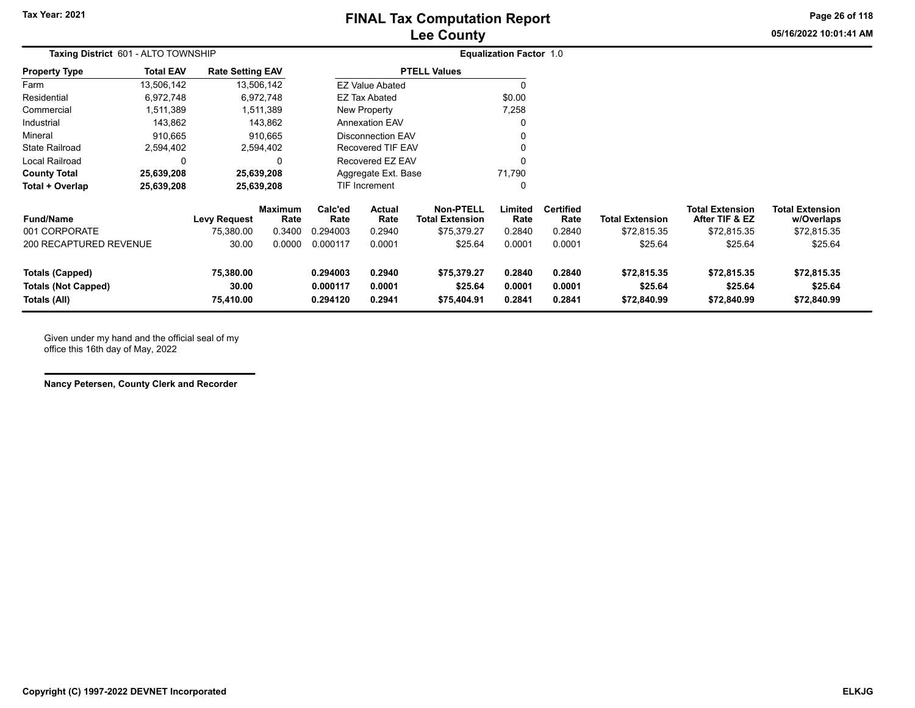**05/16/2022 10:01:41 AMPage 26 of 118**

| Taxing District 601 - ALTO TOWNSHIP                                  |                  | <b>Equalization Factor 1.0</b>  |                        |                                  |                                                      |                                            |                            |                            |                                       |                                          |                                       |
|----------------------------------------------------------------------|------------------|---------------------------------|------------------------|----------------------------------|------------------------------------------------------|--------------------------------------------|----------------------------|----------------------------|---------------------------------------|------------------------------------------|---------------------------------------|
| <b>Property Type</b>                                                 | <b>Total EAV</b> | <b>Rate Setting EAV</b>         |                        |                                  |                                                      | <b>PTELL Values</b>                        |                            |                            |                                       |                                          |                                       |
| Farm                                                                 | 13,506,142       |                                 | 13,506,142             |                                  | <b>EZ Value Abated</b>                               |                                            |                            |                            |                                       |                                          |                                       |
| Residential                                                          | 6,972,748        |                                 | 6,972,748              |                                  | <b>EZ Tax Abated</b>                                 |                                            | \$0.00                     |                            |                                       |                                          |                                       |
| Commercial                                                           | 1,511,389        |                                 | 1,511,389              |                                  | New Property                                         |                                            | 7,258                      |                            |                                       |                                          |                                       |
| Industrial                                                           | 143,862          |                                 | 143,862                |                                  | <b>Annexation EAV</b>                                |                                            |                            |                            |                                       |                                          |                                       |
| Mineral                                                              | 910,665          |                                 | 910,665                |                                  | <b>Disconnection EAV</b><br><b>Recovered TIF EAV</b> |                                            |                            |                            |                                       |                                          |                                       |
| <b>State Railroad</b>                                                | 2,594,402        |                                 | 2,594,402              |                                  |                                                      |                                            |                            |                            |                                       |                                          |                                       |
| Local Railroad                                                       | 0                |                                 | 0                      |                                  | Recovered EZ EAV                                     |                                            |                            |                            |                                       |                                          |                                       |
| <b>County Total</b>                                                  | 25,639,208       |                                 | 25,639,208             |                                  | 71,790<br>Aggregate Ext. Base                        |                                            |                            |                            |                                       |                                          |                                       |
| Total + Overlap                                                      | 25,639,208       |                                 | 25,639,208             |                                  | <b>TIF Increment</b>                                 |                                            |                            |                            |                                       |                                          |                                       |
| <b>Fund/Name</b>                                                     |                  | <b>Levy Request</b>             | <b>Maximum</b><br>Rate | Calc'ed<br>Rate                  | <b>Actual</b><br>Rate                                | <b>Non-PTELL</b><br><b>Total Extension</b> | Limited<br>Rate            | <b>Certified</b><br>Rate   | <b>Total Extension</b>                | <b>Total Extension</b><br>After TIF & EZ | <b>Total Extension</b><br>w/Overlaps  |
| 001 CORPORATE                                                        |                  | 75,380.00                       | 0.3400                 | 0.294003                         | 0.2940                                               | \$75,379.27                                | 0.2840                     | 0.2840                     | \$72,815.35                           | \$72,815.35                              | \$72,815.35                           |
| <b>200 RECAPTURED REVENUE</b>                                        |                  | 30.00                           | 0.0000                 | 0.000117                         | 0.0001                                               | \$25.64                                    | 0.0001                     | 0.0001                     | \$25.64                               | \$25.64                                  | \$25.64                               |
| <b>Totals (Capped)</b><br><b>Totals (Not Capped)</b><br>Totals (All) |                  | 75,380.00<br>30.00<br>75,410.00 |                        | 0.294003<br>0.000117<br>0.294120 | 0.2940<br>0.0001<br>0.2941                           | \$75,379.27<br>\$25.64<br>\$75,404.91      | 0.2840<br>0.0001<br>0.2841 | 0.2840<br>0.0001<br>0.2841 | \$72,815.35<br>\$25.64<br>\$72,840.99 | \$72,815.35<br>\$25.64<br>\$72,840.99    | \$72,815.35<br>\$25.64<br>\$72,840.99 |

Given under my hand and the official seal of my office this 16th day of May, 2022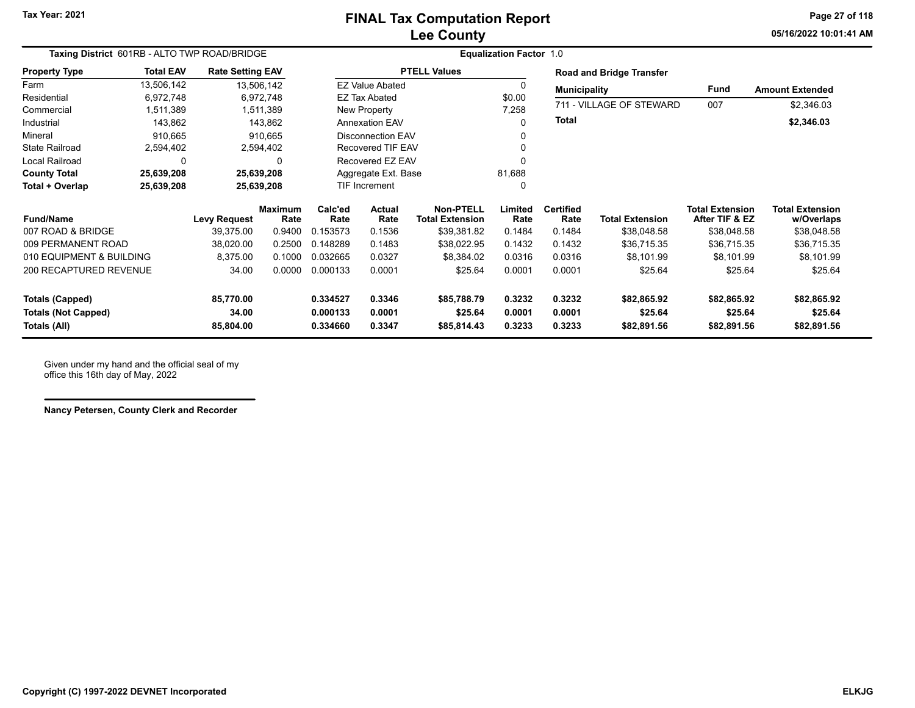### **Lee County FINAL Tax Computation Report**

**05/16/2022 10:01:41 AMPage 27 of 118**

| Taxing District 601RB - ALTO TWP ROAD/BRIDGE |                  |                         |                 | <b>Equalization Factor 1.0</b> |                        |                                            |                 |                          |                                 |                                          |                                      |  |
|----------------------------------------------|------------------|-------------------------|-----------------|--------------------------------|------------------------|--------------------------------------------|-----------------|--------------------------|---------------------------------|------------------------------------------|--------------------------------------|--|
| <b>Property Type</b>                         | <b>Total EAV</b> | <b>Rate Setting EAV</b> |                 |                                |                        | <b>PTELL Values</b>                        |                 |                          | <b>Road and Bridge Transfer</b> |                                          |                                      |  |
| Farm                                         | 13,506,142       | 13,506,142              |                 |                                | <b>EZ Value Abated</b> |                                            | 0               | <b>Municipality</b>      |                                 | <b>Fund</b>                              | <b>Amount Extended</b>               |  |
| Residential                                  | 6,972,748        |                         | 6,972,748       |                                | <b>EZ Tax Abated</b>   |                                            | \$0.00          | 711 - VILLAGE OF STEWARD |                                 | 007                                      |                                      |  |
| Commercial                                   | 1,511,389        |                         | 1,511,389       |                                | New Property           |                                            | 7,258           |                          |                                 |                                          | \$2,346.03                           |  |
| Industrial                                   | 143,862          |                         | 143,862         |                                | <b>Annexation EAV</b>  |                                            | 0               | <b>Total</b>             |                                 |                                          | \$2,346.03                           |  |
| Mineral                                      | 910,665          |                         | 910,665         |                                | Disconnection EAV      |                                            | 0               |                          |                                 |                                          |                                      |  |
| <b>State Railroad</b>                        | 2,594,402        |                         | 2,594,402       |                                | Recovered TIF EAV      |                                            | $\mathbf{0}$    |                          |                                 |                                          |                                      |  |
| Local Railroad                               | 0                |                         | $\Omega$        |                                | Recovered EZ EAV       |                                            | $\Omega$        |                          |                                 |                                          |                                      |  |
| <b>County Total</b>                          | 25,639,208       | 25,639,208              |                 |                                | Aggregate Ext. Base    |                                            | 81,688          |                          |                                 |                                          |                                      |  |
| Total + Overlap                              | 25,639,208       | 25,639,208              |                 |                                | <b>TIF Increment</b>   |                                            | 0               |                          |                                 |                                          |                                      |  |
| <b>Fund/Name</b>                             |                  | <b>Levy Request</b>     | Maximum<br>Rate | Calc'ed<br>Rate                | <b>Actual</b><br>Rate  | <b>Non-PTELL</b><br><b>Total Extension</b> | Limited<br>Rate | <b>Certified</b><br>Rate | <b>Total Extension</b>          | <b>Total Extension</b><br>After TIF & EZ | <b>Total Extension</b><br>w/Overlaps |  |
| 007 ROAD & BRIDGE                            |                  | 39,375.00               | 0.9400          | 0.153573                       | 0.1536                 | \$39,381.82                                | 0.1484          | 0.1484                   | \$38,048.58                     | \$38,048.58                              | \$38,048.58                          |  |
| 009 PERMANENT ROAD                           |                  | 38,020.00               | 0.2500          | 0.148289                       | 0.1483                 | \$38,022.95                                | 0.1432          | 0.1432                   | \$36,715.35                     | \$36,715.35                              | \$36,715.35                          |  |
| 010 EQUIPMENT & BUILDING                     |                  | 8,375.00                | 0.1000          | 0.032665                       | 0.0327                 | \$8,384.02                                 | 0.0316          | 0.0316                   | \$8,101.99                      | \$8,101.99                               | \$8,101.99                           |  |
| 200 RECAPTURED REVENUE                       |                  | 34.00                   | 0.0000          | 0.000133                       | 0.0001                 | \$25.64                                    | 0.0001          | 0.0001                   | \$25.64                         | \$25.64                                  | \$25.64                              |  |
| <b>Totals (Capped)</b>                       |                  | 85,770.00               |                 | 0.334527                       | 0.3346                 | \$85,788.79                                | 0.3232          | 0.3232                   | \$82,865.92                     | \$82,865.92                              | \$82,865.92                          |  |
| 34.00<br><b>Totals (Not Capped)</b>          |                  |                         | 0.000133        | 0.0001                         | \$25.64                | 0.0001                                     | 0.0001          | \$25.64                  | \$25.64                         | \$25.64                                  |                                      |  |
| Totals (All)                                 |                  | 85,804.00               |                 | 0.334660                       | 0.3347                 | \$85,814.43                                | 0.3233          | 0.3233                   | \$82,891.56                     | \$82,891.56                              | \$82,891.56                          |  |

Given under my hand and the official seal of my office this 16th day of May, 2022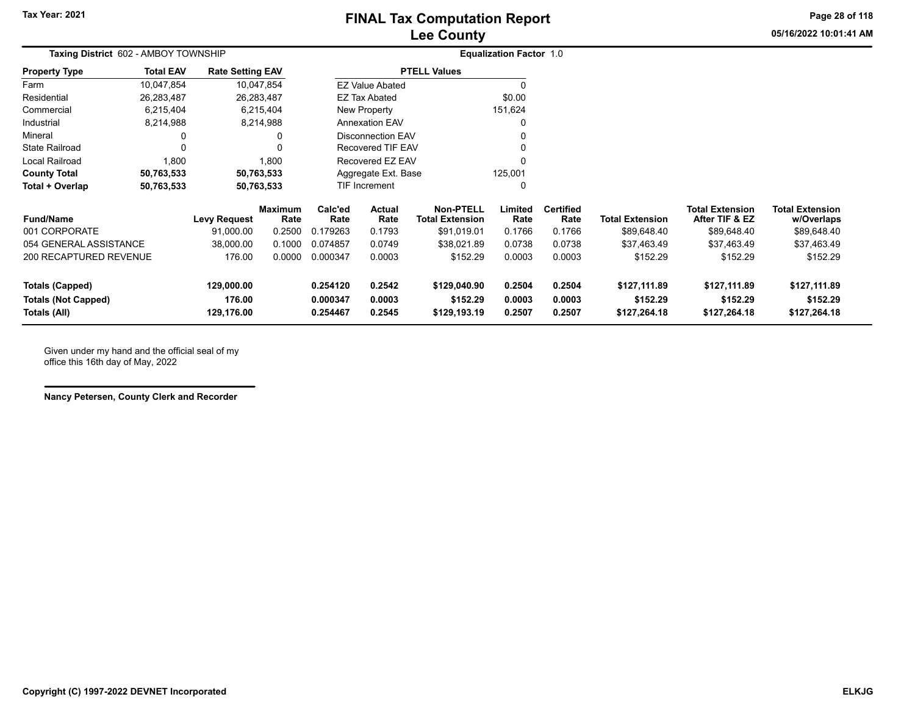# **Lee County FINAL Tax Computation Report**

**05/16/2022 10:01:41 AMPage 28 of 118**

| Taxing District 602 - AMBOY TOWNSHIP |                      |                                   |                                                                                                           |                                | <b>Equalization Factor 1.0</b>                                   |                                                                                                                                           |                          |                          |                                          |                                      |              |
|--------------------------------------|----------------------|-----------------------------------|-----------------------------------------------------------------------------------------------------------|--------------------------------|------------------------------------------------------------------|-------------------------------------------------------------------------------------------------------------------------------------------|--------------------------|--------------------------|------------------------------------------|--------------------------------------|--------------|
| <b>Total EAV</b>                     |                      |                                   |                                                                                                           |                                |                                                                  |                                                                                                                                           |                          |                          |                                          |                                      |              |
| 10,047,854                           |                      |                                   |                                                                                                           |                                |                                                                  | 0                                                                                                                                         |                          |                          |                                          |                                      |              |
| 26,283,487                           |                      |                                   |                                                                                                           |                                |                                                                  | \$0.00                                                                                                                                    |                          |                          |                                          |                                      |              |
| 6,215,404                            |                      |                                   |                                                                                                           |                                |                                                                  | 151,624                                                                                                                                   |                          |                          |                                          |                                      |              |
| 8,214,988                            |                      |                                   |                                                                                                           |                                |                                                                  | 0                                                                                                                                         |                          |                          |                                          |                                      |              |
| 0                                    |                      | 0                                 |                                                                                                           |                                |                                                                  | 0                                                                                                                                         |                          |                          |                                          |                                      |              |
| 0                                    |                      | 0                                 |                                                                                                           |                                |                                                                  |                                                                                                                                           |                          |                          |                                          |                                      |              |
| 1,800                                |                      | 1,800                             |                                                                                                           |                                |                                                                  | $\Omega$                                                                                                                                  |                          |                          |                                          |                                      |              |
| 50,763,533                           |                      |                                   |                                                                                                           | 125,001<br>Aggregate Ext. Base |                                                                  |                                                                                                                                           |                          |                          |                                          |                                      |              |
| 50,763,533                           |                      |                                   | TIF Increment<br>0                                                                                        |                                |                                                                  |                                                                                                                                           |                          |                          |                                          |                                      |              |
|                                      |                      | <b>Maximum</b><br>Rate            | Calc'ed<br>Rate                                                                                           | <b>Actual</b><br>Rate          | <b>Non-PTELL</b><br><b>Total Extension</b>                       | Limited<br>Rate                                                                                                                           | <b>Certified</b><br>Rate | <b>Total Extension</b>   | <b>Total Extension</b><br>After TIF & EZ | <b>Total Extension</b><br>w/Overlaps |              |
|                                      | 91,000.00            | 0.2500                            | 0.179263                                                                                                  | 0.1793                         | \$91,019.01                                                      | 0.1766                                                                                                                                    | 0.1766                   | \$89,648.40              | \$89,648.40                              | \$89,648.40                          |              |
| 054 GENERAL ASSISTANCE               | 38,000.00            | 0.1000                            | 0.074857                                                                                                  | 0.0749                         | \$38,021.89                                                      | 0.0738                                                                                                                                    | 0.0738                   | \$37,463.49              | \$37,463.49                              | \$37,463.49                          |              |
| 200 RECAPTURED REVENUE               | 176.00               | 0.0000                            | 0.000347                                                                                                  | 0.0003                         | \$152.29                                                         | 0.0003                                                                                                                                    | 0.0003                   | \$152.29                 | \$152.29                                 | \$152.29                             |              |
|                                      | 129,000.00<br>176.00 |                                   | 0.254120<br>0.000347                                                                                      | 0.2542<br>0.0003               | \$129,040.90<br>\$152.29                                         | 0.2504<br>0.0003                                                                                                                          | 0.2504<br>0.0003         | \$127,111.89<br>\$152.29 | \$127,111.89<br>\$152.29                 | \$127,111.89<br>\$152.29             |              |
|                                      |                      | <b>Levy Request</b><br>129,176.00 | <b>Rate Setting EAV</b><br>10,047,854<br>26,283,487<br>6,215,404<br>8,214,988<br>50,763,533<br>50,763,533 | 0.254467                       | EZ Tax Abated<br>New Property<br><b>Annexation EAV</b><br>0.2545 | <b>PTELL Values</b><br><b>EZ Value Abated</b><br><b>Disconnection EAV</b><br><b>Recovered TIF EAV</b><br>Recovered EZ EAV<br>\$129,193.19 | 0.2507                   | 0.2507                   | \$127,264.18                             | \$127,264.18                         | \$127,264.18 |

Given under my hand and the official seal of my office this 16th day of May, 2022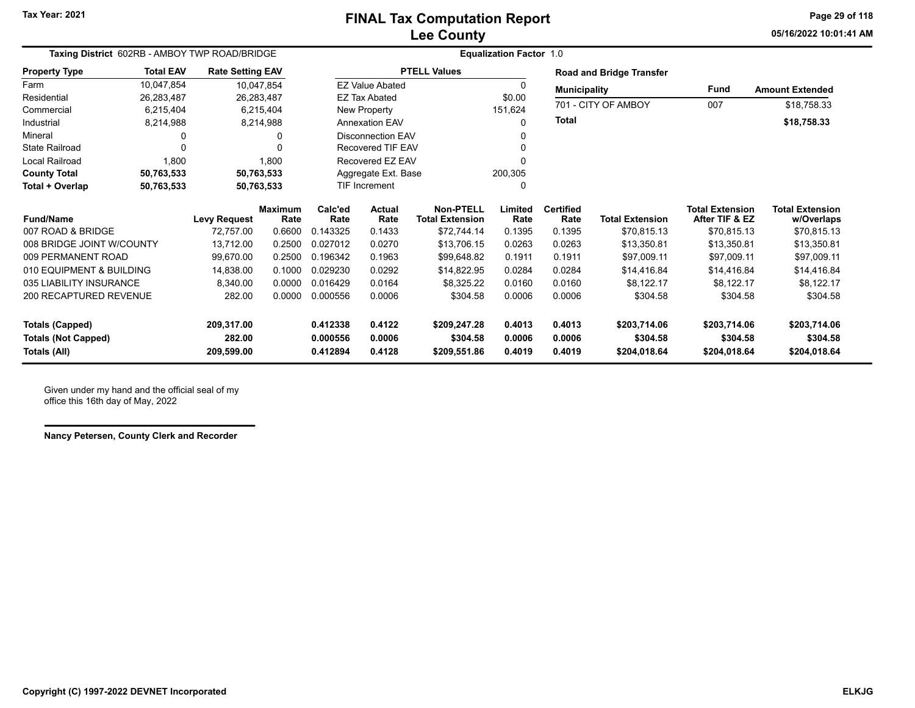**05/16/2022 10:01:41 AMPage 29 of 118**

|                               | Taxing District 602RB - AMBOY TWP ROAD/BRIDGE |                         |                        |                 | <b>Equalization Factor 1.0</b> |                                            |                 |                          |                                 |                                          |                                      |  |
|-------------------------------|-----------------------------------------------|-------------------------|------------------------|-----------------|--------------------------------|--------------------------------------------|-----------------|--------------------------|---------------------------------|------------------------------------------|--------------------------------------|--|
| <b>Property Type</b>          | <b>Total EAV</b>                              | <b>Rate Setting EAV</b> |                        |                 |                                | <b>PTELL Values</b>                        |                 |                          | <b>Road and Bridge Transfer</b> |                                          |                                      |  |
| Farm                          | 10,047,854                                    |                         | 10,047,854             |                 | <b>EZ Value Abated</b>         |                                            | $\Omega$        | <b>Municipality</b>      |                                 | Fund                                     | <b>Amount Extended</b>               |  |
| Residential                   | 26.283.487                                    |                         | 26,283,487             |                 | <b>EZ Tax Abated</b>           |                                            | \$0.00          | 701 - CITY OF AMBOY      |                                 | 007                                      |                                      |  |
| Commercial                    | 6,215,404                                     |                         | 6,215,404              |                 | New Property                   |                                            | 151,624         |                          |                                 |                                          | \$18,758.33                          |  |
| Industrial                    | 8,214,988                                     |                         | 8,214,988              |                 | <b>Annexation EAV</b>          |                                            | 0               | <b>Total</b>             |                                 |                                          | \$18,758.33                          |  |
| Mineral                       | 0                                             |                         |                        |                 | <b>Disconnection EAV</b>       |                                            |                 |                          |                                 |                                          |                                      |  |
| <b>State Railroad</b>         | $\Omega$                                      |                         |                        |                 | <b>Recovered TIF EAV</b>       |                                            |                 |                          |                                 |                                          |                                      |  |
| <b>Local Railroad</b>         | 1,800                                         |                         | 1,800                  |                 | Recovered EZ EAV               |                                            |                 |                          |                                 |                                          |                                      |  |
| <b>County Total</b>           | 50,763,533                                    |                         | 50,763,533             |                 | Aggregate Ext. Base            |                                            | 200,305         |                          |                                 |                                          |                                      |  |
| Total + Overlap               | 50,763,533                                    |                         | 50,763,533             |                 | <b>TIF Increment</b>           |                                            | 0               |                          |                                 |                                          |                                      |  |
| <b>Fund/Name</b>              |                                               | <b>Levy Request</b>     | <b>Maximum</b><br>Rate | Calc'ed<br>Rate | Actual<br>Rate                 | <b>Non-PTELL</b><br><b>Total Extension</b> | Limited<br>Rate | <b>Certified</b><br>Rate | <b>Total Extension</b>          | <b>Total Extension</b><br>After TIF & EZ | <b>Total Extension</b><br>w/Overlaps |  |
| 007 ROAD & BRIDGE             |                                               | 72,757.00               | 0.6600                 | 0.143325        | 0.1433                         | \$72,744.14                                | 0.1395          | 0.1395                   | \$70,815.13                     | \$70,815.13                              | \$70,815.13                          |  |
| 008 BRIDGE JOINT W/COUNTY     |                                               | 13,712.00               | 0.2500                 | 0.027012        | 0.0270                         | \$13,706.15                                | 0.0263          | 0.0263                   | \$13,350.81                     | \$13,350.81                              | \$13,350.81                          |  |
| 009 PERMANENT ROAD            |                                               | 99,670.00               | 0.2500                 | 0.196342        | 0.1963                         | \$99,648.82                                | 0.1911          | 0.1911                   | \$97,009.11                     | \$97,009.11                              | \$97,009.11                          |  |
| 010 EQUIPMENT & BUILDING      |                                               | 14,838.00               | 0.1000                 | 0.029230        | 0.0292                         | \$14,822.95                                | 0.0284          | 0.0284                   | \$14,416.84                     | \$14,416.84                              | \$14,416.84                          |  |
| 035 LIABILITY INSURANCE       |                                               | 8,340.00                | 0.0000                 | 0.016429        | 0.0164                         | \$8,325.22                                 | 0.0160          | 0.0160                   | \$8,122.17                      | \$8,122.17                               | \$8,122.17                           |  |
| <b>200 RECAPTURED REVENUE</b> |                                               | 282.00                  | 0.0000                 | 0.000556        | 0.0006                         | \$304.58                                   | 0.0006          | 0.0006                   | \$304.58                        | \$304.58                                 | \$304.58                             |  |
| <b>Totals (Capped)</b>        |                                               | 209,317.00              |                        | 0.412338        | 0.4122                         | \$209,247.28                               | 0.4013          | 0.4013                   | \$203,714.06                    | \$203,714.06                             | \$203,714.06                         |  |
| <b>Totals (Not Capped)</b>    |                                               |                         |                        | 0.000556        | 0.0006                         | \$304.58                                   | 0.0006          | 0.0006                   | \$304.58                        | \$304.58                                 | \$304.58                             |  |
| Totals (All)                  |                                               | 209,599.00              |                        | 0.412894        | 0.4128                         | \$209,551.86                               | 0.4019          | 0.4019                   | \$204,018.64                    | \$204,018.64                             | \$204,018.64                         |  |

Given under my hand and the official seal of my office this 16th day of May, 2022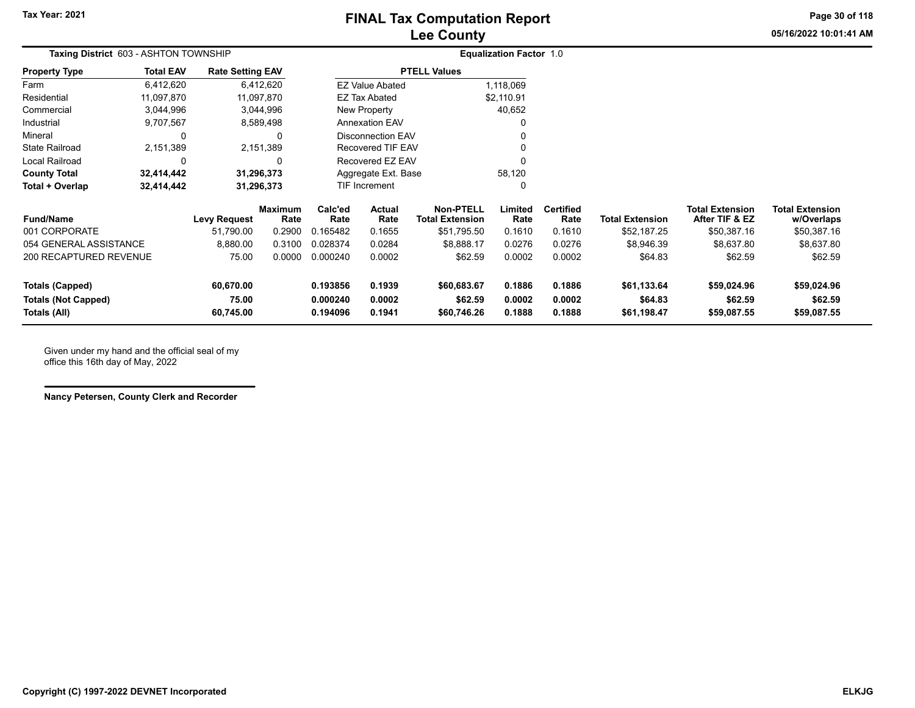# **Lee County FINAL Tax Computation Report**

**05/16/2022 10:01:41 AMPage 30 of 118**

| Taxing District 603 - ASHTON TOWNSHIP |                        |                         |                        |                               | <b>Equalization Factor 1.0</b> |                                            |                 |                          |                        |                                          |                                      |
|---------------------------------------|------------------------|-------------------------|------------------------|-------------------------------|--------------------------------|--------------------------------------------|-----------------|--------------------------|------------------------|------------------------------------------|--------------------------------------|
| <b>Property Type</b>                  | <b>Total EAV</b>       | <b>Rate Setting EAV</b> |                        |                               |                                | <b>PTELL Values</b>                        |                 |                          |                        |                                          |                                      |
| Farm                                  | 6,412,620              |                         | 6,412,620              |                               | <b>EZ Value Abated</b>         |                                            | 1,118,069       |                          |                        |                                          |                                      |
| Residential                           | 11,097,870             |                         | 11,097,870             |                               | EZ Tax Abated                  |                                            | \$2,110.91      |                          |                        |                                          |                                      |
| Commercial                            | 3,044,996              |                         | 3,044,996              |                               | New Property                   |                                            | 40,652          |                          |                        |                                          |                                      |
| Industrial                            | 9,707,567              |                         | 8,589,498              |                               | <b>Annexation EAV</b>          |                                            |                 |                          |                        |                                          |                                      |
| Mineral                               | 0                      |                         |                        |                               | <b>Disconnection EAV</b>       |                                            |                 |                          |                        |                                          |                                      |
| <b>State Railroad</b>                 | 2,151,389<br>2,151,389 |                         | Recovered TIF EAV      |                               |                                |                                            |                 |                          |                        |                                          |                                      |
| Local Railroad                        | $\mathbf 0$            |                         | 0                      |                               | Recovered EZ EAV               |                                            |                 |                          |                        |                                          |                                      |
| <b>County Total</b>                   | 32,414,442             |                         | 31,296,373             | 58,120<br>Aggregate Ext. Base |                                |                                            |                 |                          |                        |                                          |                                      |
| Total + Overlap                       | 32,414,442             |                         | 31,296,373             |                               | TIF Increment                  | 0                                          |                 |                          |                        |                                          |                                      |
| <b>Fund/Name</b>                      |                        | <b>Levy Request</b>     | <b>Maximum</b><br>Rate | Calc'ed<br>Rate               | Actual<br>Rate                 | <b>Non-PTELL</b><br><b>Total Extension</b> | Limited<br>Rate | <b>Certified</b><br>Rate | <b>Total Extension</b> | <b>Total Extension</b><br>After TIF & EZ | <b>Total Extension</b><br>w/Overlaps |
| 001 CORPORATE                         |                        | 51,790.00               | 0.2900                 | 0.165482                      | 0.1655                         | \$51,795.50                                | 0.1610          | 0.1610                   | \$52,187.25            | \$50,387.16                              | \$50,387.16                          |
| 054 GENERAL ASSISTANCE                |                        | 8,880.00                | 0.3100                 | 0.028374                      | 0.0284                         | \$8,888.17                                 | 0.0276          | 0.0276                   | \$8,946.39             | \$8,637.80                               | \$8,637.80                           |
| <b>200 RECAPTURED REVENUE</b>         |                        | 75.00                   | 0.0000                 | 0.000240                      | 0.0002                         | \$62.59                                    | 0.0002          | 0.0002                   | \$64.83                | \$62.59                                  | \$62.59                              |
| 60,670.00<br><b>Totals (Capped)</b>   |                        |                         | 0.193856               | 0.1939                        | \$60,683.67                    | 0.1886                                     | 0.1886          | \$61,133.64              | \$59,024.96            | \$59,024.96                              |                                      |
| <b>Totals (Not Capped)</b>            |                        | 75.00                   |                        | 0.000240                      | 0.0002                         | \$62.59                                    | 0.0002          | 0.0002                   | \$64.83                | \$62.59                                  | \$62.59                              |
| Totals (All)                          |                        | 60,745.00               |                        | 0.194096                      | 0.1941                         | \$60,746.26                                | 0.1888          | 0.1888                   | \$61,198.47            | \$59,087.55                              | \$59,087.55                          |

Given under my hand and the official seal of my office this 16th day of May, 2022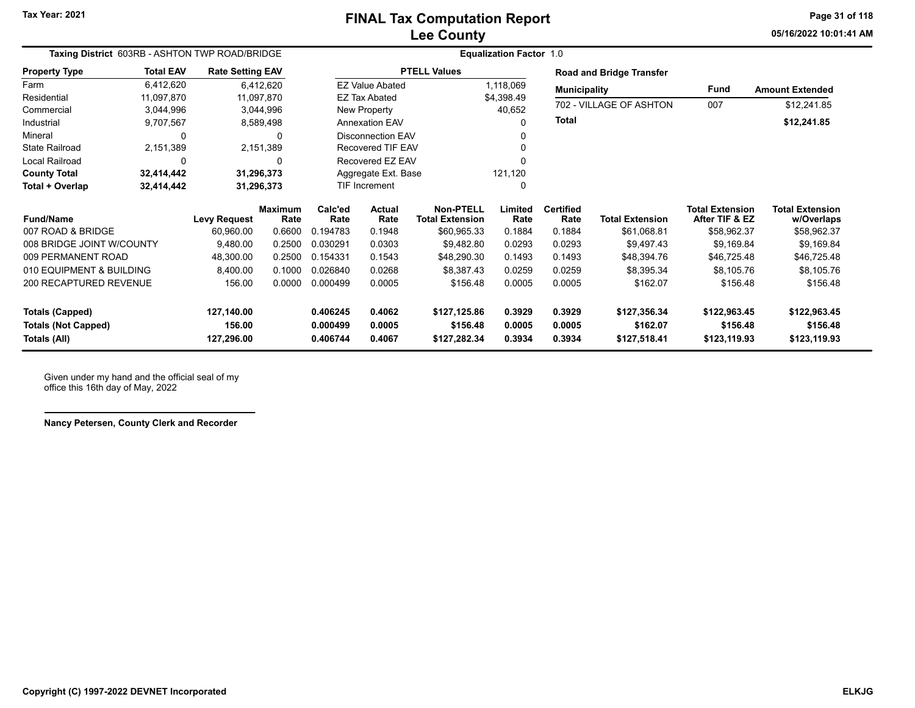**05/16/2022 10:01:41 AMPage 31 of 118**

| Taxing District 603RB - ASHTON TWP ROAD/BRIDGE |                  |                         |                        | <b>Equalization Factor 1.0</b> |                        |                                            |                 |                          |                                 |                                          |                                      |  |  |
|------------------------------------------------|------------------|-------------------------|------------------------|--------------------------------|------------------------|--------------------------------------------|-----------------|--------------------------|---------------------------------|------------------------------------------|--------------------------------------|--|--|
| <b>Property Type</b>                           | <b>Total EAV</b> | <b>Rate Setting EAV</b> |                        |                                |                        | <b>PTELL Values</b>                        |                 |                          | <b>Road and Bridge Transfer</b> |                                          |                                      |  |  |
| Farm                                           | 6,412,620        |                         | 6,412,620              |                                | <b>EZ Value Abated</b> |                                            | 1,118,069       | <b>Municipality</b>      |                                 | Fund                                     | <b>Amount Extended</b>               |  |  |
| Residential                                    | 11,097,870       | 11,097,870              |                        |                                | <b>EZ Tax Abated</b>   |                                            | \$4,398.49      |                          | 702 - VILLAGE OF ASHTON         |                                          |                                      |  |  |
| Commercial                                     | 3,044,996        |                         | 3,044,996              |                                | New Property           |                                            | 40,652          |                          |                                 | 007                                      | \$12,241.85                          |  |  |
| Industrial                                     | 9,707,567        |                         | 8,589,498              |                                | <b>Annexation EAV</b>  |                                            | O               | <b>Total</b>             |                                 |                                          | \$12,241.85                          |  |  |
| Mineral                                        | $\Omega$         |                         | O                      | <b>Disconnection EAV</b>       |                        |                                            |                 |                          |                                 |                                          |                                      |  |  |
| <b>State Railroad</b>                          | 2,151,389        |                         | 2,151,389              | <b>Recovered TIF EAV</b>       |                        |                                            | ŋ               |                          |                                 |                                          |                                      |  |  |
| <b>Local Railroad</b>                          | 0                |                         |                        | Recovered EZ EAV               |                        |                                            |                 |                          |                                 |                                          |                                      |  |  |
| <b>County Total</b>                            | 32,414,442       | 31,296,373              |                        | Aggregate Ext. Base            |                        |                                            | 121,120         |                          |                                 |                                          |                                      |  |  |
| Total + Overlap                                | 32,414,442       | 31,296,373              |                        | TIF Increment                  |                        |                                            | 0               |                          |                                 |                                          |                                      |  |  |
| <b>Fund/Name</b>                               |                  | <b>Levy Request</b>     | <b>Maximum</b><br>Rate | Calc'ed<br>Rate                | <b>Actual</b><br>Rate  | <b>Non-PTELL</b><br><b>Total Extension</b> | Limited<br>Rate | <b>Certified</b><br>Rate | <b>Total Extension</b>          | <b>Total Extension</b><br>After TIF & EZ | <b>Total Extension</b><br>w/Overlaps |  |  |
| 007 ROAD & BRIDGE                              |                  | 60,960.00               | 0.6600                 | 0.194783                       | 0.1948                 | \$60,965.33                                | 0.1884          | 0.1884                   | \$61,068.81                     | \$58,962.37                              | \$58,962.37                          |  |  |
| 008 BRIDGE JOINT W/COUNTY                      |                  | 9,480.00                | 0.2500                 | 0.030291                       | 0.0303                 | \$9,482.80                                 | 0.0293          | 0.0293                   | \$9,497.43                      | \$9,169.84                               | \$9,169.84                           |  |  |
| 009 PERMANENT ROAD                             |                  | 48,300.00               | 0.2500                 | 0.154331                       | 0.1543                 | \$48,290.30                                | 0.1493          | 0.1493                   | \$48,394.76                     | \$46,725.48                              | \$46,725.48                          |  |  |
| 010 EQUIPMENT & BUILDING                       |                  | 8,400.00                | 0.1000                 | 0.026840                       | 0.0268                 | \$8,387.43                                 | 0.0259          | 0.0259                   | \$8,395.34                      | \$8,105.76                               | \$8,105.76                           |  |  |
| 200 RECAPTURED REVENUE                         |                  | 156.00                  | 0.0000                 | 0.000499                       | 0.0005                 | \$156.48                                   | 0.0005          | 0.0005                   | \$162.07                        | \$156.48                                 | \$156.48                             |  |  |
| <b>Totals (Capped)</b>                         |                  | 127,140.00              |                        | 0.406245                       | 0.4062                 | \$127,125.86                               | 0.3929          | 0.3929                   | \$127,356.34                    | \$122,963.45                             | \$122,963.45                         |  |  |
| <b>Totals (Not Capped)</b>                     |                  | 156.00                  |                        | 0.000499                       | 0.0005                 | \$156.48                                   | 0.0005          | 0.0005                   | \$162.07                        | \$156.48                                 | \$156.48                             |  |  |
| Totals (All)                                   |                  | 127,296.00              |                        | 0.406744                       | 0.4067                 | \$127,282.34                               | 0.3934          | 0.3934                   | \$127,518.41                    | \$123,119.93                             | \$123,119.93                         |  |  |

Given under my hand and the official seal of my office this 16th day of May, 2022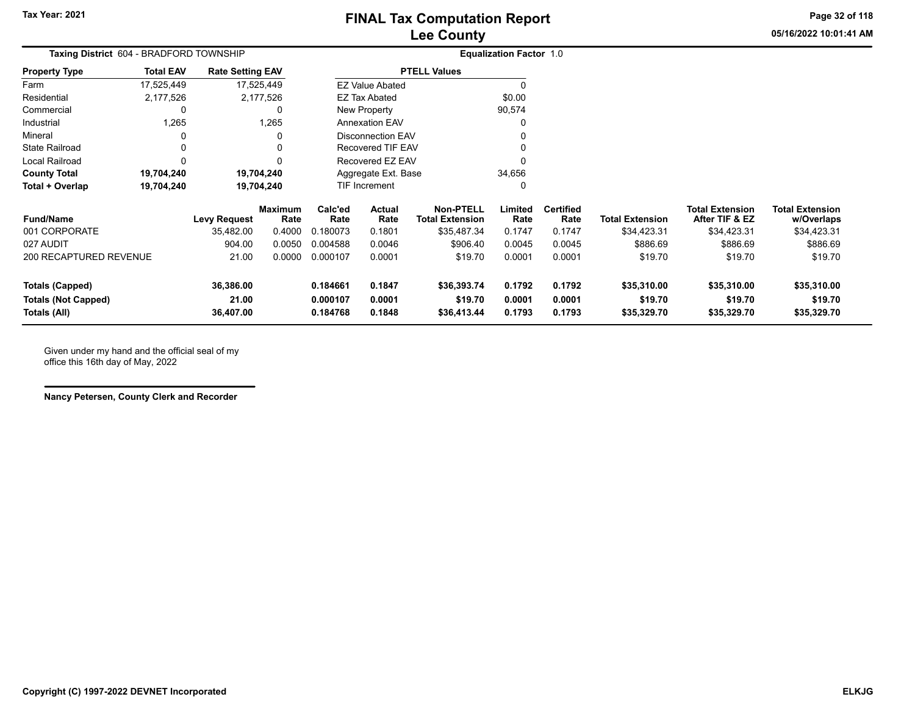**05/16/2022 10:01:41 AMPage 32 of 118**

| <b>Taxing District</b> 604 - BRADFORD TOWNSHIP |                                                                                  |                                               |                                                                                |                                                                                                                                                  |                   |                                |                                          |                                      |
|------------------------------------------------|----------------------------------------------------------------------------------|-----------------------------------------------|--------------------------------------------------------------------------------|--------------------------------------------------------------------------------------------------------------------------------------------------|-------------------|--------------------------------|------------------------------------------|--------------------------------------|
| <b>Rate Setting EAV</b>                        |                                                                                  |                                               |                                                                                |                                                                                                                                                  |                   |                                |                                          |                                      |
| 17,525,449                                     |                                                                                  |                                               |                                                                                |                                                                                                                                                  |                   |                                |                                          |                                      |
| 2,177,526                                      |                                                                                  |                                               |                                                                                | \$0.00                                                                                                                                           |                   |                                |                                          |                                      |
| 0                                              |                                                                                  |                                               |                                                                                | 90,574                                                                                                                                           |                   |                                |                                          |                                      |
| 1,265                                          |                                                                                  |                                               |                                                                                |                                                                                                                                                  |                   |                                |                                          |                                      |
| 0                                              |                                                                                  |                                               |                                                                                |                                                                                                                                                  |                   |                                |                                          |                                      |
|                                                |                                                                                  |                                               |                                                                                |                                                                                                                                                  |                   |                                |                                          |                                      |
|                                                |                                                                                  |                                               |                                                                                |                                                                                                                                                  |                   |                                |                                          |                                      |
| 19,704,240                                     |                                                                                  |                                               |                                                                                | 34,656                                                                                                                                           |                   |                                |                                          |                                      |
| 19,704,240                                     |                                                                                  |                                               |                                                                                | O                                                                                                                                                |                   |                                |                                          |                                      |
| <b>Levy Request</b>                            | Calc'ed<br>Rate                                                                  | Actual<br>Rate                                | <b>Non-PTELL</b><br><b>Total Extension</b>                                     | Limited<br>Rate                                                                                                                                  | Certified<br>Rate | <b>Total Extension</b>         | <b>Total Extension</b><br>After TIF & EZ | <b>Total Extension</b><br>w/Overlaps |
| 35,482.00                                      | 0.180073                                                                         | 0.1801                                        | \$35,487.34                                                                    | 0.1747                                                                                                                                           | 0.1747            | \$34,423.31                    | \$34,423.31                              | \$34,423.31                          |
| 904.00                                         | 0.004588                                                                         | 0.0046                                        | \$906.40                                                                       | 0.0045                                                                                                                                           | 0.0045            | \$886.69                       | \$886.69                                 | \$886.69                             |
| 21.00                                          | 0.000107                                                                         | 0.0001                                        | \$19.70                                                                        | 0.0001                                                                                                                                           | 0.0001            | \$19.70                        | \$19.70                                  | \$19.70                              |
| 36,386.00                                      | 0.184661                                                                         | 0.1847                                        | \$36,393.74                                                                    | 0.1792                                                                                                                                           | 0.1792            | \$35,310.00                    | \$35,310.00                              | \$35,310.00                          |
| 21.00<br>36,407.00                             | 0.000107<br>0.184768                                                             | 0.0001<br>0.1848                              | \$19.70<br>\$36,413.44                                                         | 0.0001<br>0.1793                                                                                                                                 | 0.0001<br>0.1793  | \$19.70<br>\$35,329.70         | \$19.70<br>\$35,329.70                   | \$19.70<br>\$35,329.70               |
|                                                | <b>Total EAV</b><br>17,525,449<br>2,177,526<br>1,265<br>19,704,240<br>19,704,240 | Maximum<br>Rate<br>0.4000<br>0.0050<br>0.0000 | EZ Tax Abated<br>New Property<br><b>Annexation EAV</b><br><b>TIF Increment</b> | <b>PTELL Values</b><br><b>EZ Value Abated</b><br><b>Disconnection EAV</b><br><b>Recovered TIF EAV</b><br>Recovered EZ EAV<br>Aggregate Ext. Base |                   | <b>Equalization Factor 1.0</b> |                                          |                                      |

Given under my hand and the official seal of my office this 16th day of May, 2022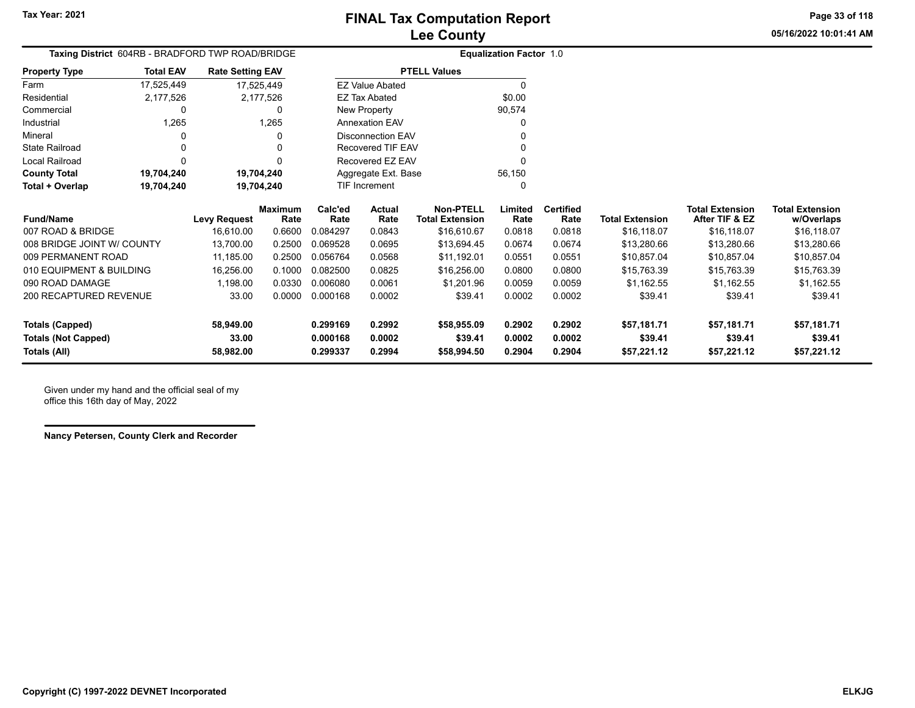**05/16/2022 10:01:41 AMPage 33 of 118**

| <b>Taxing District</b> 604RB - BRADFORD TWP ROAD/BRIDGE |                  |                         |                 |                 |                        | <b>Equalization Factor 1.0</b>             |                 |                          |                        |                                          |                                      |
|---------------------------------------------------------|------------------|-------------------------|-----------------|-----------------|------------------------|--------------------------------------------|-----------------|--------------------------|------------------------|------------------------------------------|--------------------------------------|
| <b>Property Type</b>                                    | <b>Total EAV</b> | <b>Rate Setting EAV</b> |                 |                 |                        | <b>PTELL Values</b>                        |                 |                          |                        |                                          |                                      |
| Farm                                                    | 17,525,449       |                         | 17,525,449      |                 | <b>EZ Value Abated</b> |                                            | $\Omega$        |                          |                        |                                          |                                      |
| Residential                                             | 2,177,526        |                         | 2,177,526       |                 | <b>EZ Tax Abated</b>   |                                            | \$0.00          |                          |                        |                                          |                                      |
| Commercial                                              | 0                |                         | 0               |                 | New Property           |                                            | 90,574          |                          |                        |                                          |                                      |
| Industrial                                              | 1,265            |                         | 1,265           |                 | <b>Annexation EAV</b>  |                                            | U               |                          |                        |                                          |                                      |
| Mineral                                                 | 0                |                         | 0               |                 | Disconnection EAV      |                                            |                 |                          |                        |                                          |                                      |
| <b>State Railroad</b>                                   | 0                |                         | 0               |                 | Recovered TIF EAV      |                                            |                 |                          |                        |                                          |                                      |
| Local Railroad                                          | $\Omega$         |                         | 0               |                 | Recovered EZ EAV       |                                            |                 |                          |                        |                                          |                                      |
| <b>County Total</b>                                     | 19,704,240       |                         | 19,704,240      |                 | Aggregate Ext. Base    |                                            | 56,150          |                          |                        |                                          |                                      |
| Total + Overlap                                         | 19,704,240       |                         | 19,704,240      |                 | <b>TIF Increment</b>   |                                            | 0               |                          |                        |                                          |                                      |
| <b>Fund/Name</b>                                        |                  | <b>Levy Request</b>     | Maximum<br>Rate | Calc'ed<br>Rate | Actual<br>Rate         | <b>Non-PTELL</b><br><b>Total Extension</b> | Limited<br>Rate | <b>Certified</b><br>Rate | <b>Total Extension</b> | <b>Total Extension</b><br>After TIF & EZ | <b>Total Extension</b><br>w/Overlaps |
| 007 ROAD & BRIDGE                                       |                  | 16,610.00               | 0.6600          | 0.084297        | 0.0843                 | \$16,610.67                                | 0.0818          | 0.0818                   | \$16,118.07            | \$16,118.07                              | \$16,118.07                          |
| 008 BRIDGE JOINT W/ COUNTY                              |                  | 13,700.00               | 0.2500          | 0.069528        | 0.0695                 | \$13,694.45                                | 0.0674          | 0.0674                   | \$13,280.66            | \$13,280.66                              | \$13,280.66                          |
| 009 PERMANENT ROAD                                      |                  | 11,185.00               | 0.2500          | 0.056764        | 0.0568                 | \$11,192.01                                | 0.0551          | 0.0551                   | \$10,857.04            | \$10,857.04                              | \$10,857.04                          |
| 010 EQUIPMENT & BUILDING                                |                  | 16,256.00               | 0.1000          | 0.082500        | 0.0825                 | \$16,256.00                                | 0.0800          | 0.0800                   | \$15,763.39            | \$15,763.39                              | \$15,763.39                          |
| 090 ROAD DAMAGE                                         |                  | 1,198.00                | 0.0330          | 0.006080        | 0.0061                 | \$1,201.96                                 | 0.0059          | 0.0059                   | \$1,162.55             | \$1,162.55                               | \$1,162.55                           |
| 200 RECAPTURED REVENUE                                  |                  | 33.00                   | 0.0000          | 0.000168        | 0.0002                 | \$39.41                                    | 0.0002          | 0.0002                   | \$39.41                | \$39.41                                  | \$39.41                              |
| <b>Totals (Capped)</b>                                  |                  | 58,949.00               |                 | 0.299169        | 0.2992                 | \$58,955.09                                | 0.2902          | 0.2902                   | \$57,181.71            | \$57,181.71                              | \$57,181.71                          |
| <b>Totals (Not Capped)</b>                              |                  | 33.00                   |                 | 0.000168        | 0.0002                 | \$39.41                                    | 0.0002          | 0.0002                   | \$39.41                | \$39.41                                  | \$39.41                              |
| Totals (All)                                            |                  | 58,982.00               |                 | 0.299337        | 0.2994                 | \$58,994.50                                | 0.2904          | 0.2904                   | \$57,221.12            | \$57,221.12                              | \$57,221.12                          |

Given under my hand and the official seal of my office this 16th day of May, 2022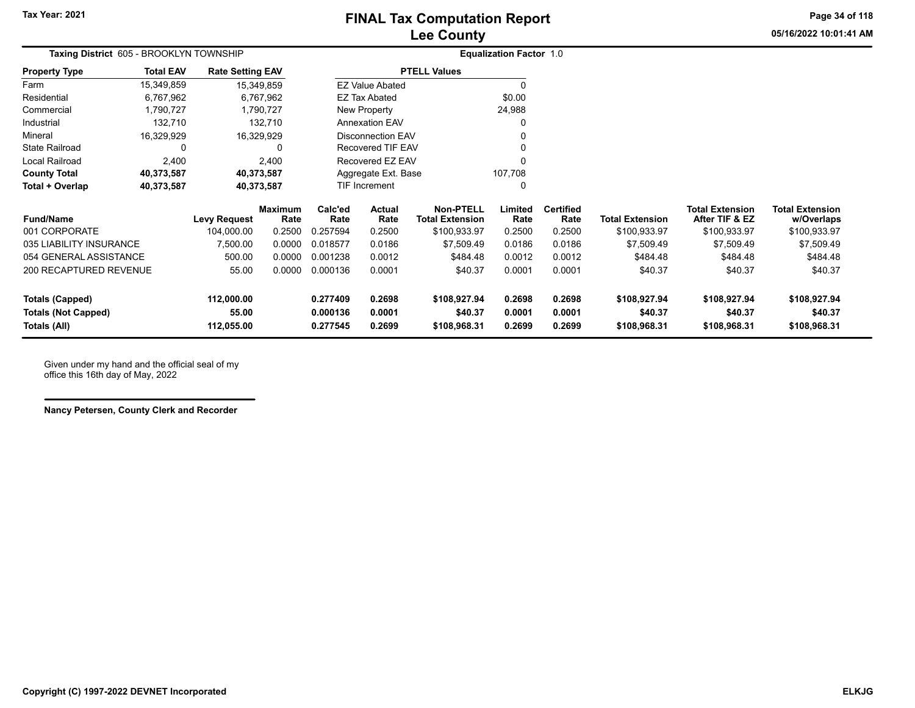**Page 34 of 118**

| 05/16/2022 10:01:41 AM |
|------------------------|
|                        |

|                       | Taxing District 605 - BROOKLYN TOWNSHIP |                         |                        | <b>Equalization Factor 1.0</b> |
|-----------------------|-----------------------------------------|-------------------------|------------------------|--------------------------------|
| <b>Property Type</b>  | <b>Total EAV</b>                        | <b>Rate Setting EAV</b> | <b>PTELL Values</b>    |                                |
| Farm                  | 15,349,859                              | 15,349,859              | <b>EZ Value Abated</b> | 0                              |
| Residential           | 6,767,962                               | 6,767,962               | EZ Tax Abated          | \$0.00                         |
| Commercial            | 1,790,727                               | 1,790,727               | New Property           | 24,988                         |
| Industrial            | 132.710                                 | 132.710                 | <b>Annexation EAV</b>  | 0                              |
| Mineral               | 16.329.929                              | 16.329.929              | Disconnection EAV      | 0                              |
| <b>State Railroad</b> | 0                                       |                         | Recovered TIF EAV      | 0                              |
| Local Railroad        | 2.400                                   | 2.400                   | Recovered EZ EAV       | 0                              |
| <b>County Total</b>   | 40,373,587                              | 40,373,587              | Aggregate Ext. Base    | 107.708                        |
| Total + Overlap       | 40,373,587                              | 40,373,587              | <b>TIF Increment</b>   | 0                              |

| <b>Fund/Name</b>                                                     | <b>Levy Request</b>               | <b>Maximum</b><br>Rate | Calc'ed<br>Rate                  | Actual<br>Rate             | Non-PTELL<br>Total Extension            | Limited<br>Rate            | <b>Certified</b><br>Rate   | <b>Total Extension</b>                  | <b>Total Extension</b><br>After TIF & EZ | <b>Total Extension</b><br>w/Overlaps    |
|----------------------------------------------------------------------|-----------------------------------|------------------------|----------------------------------|----------------------------|-----------------------------------------|----------------------------|----------------------------|-----------------------------------------|------------------------------------------|-----------------------------------------|
| 001 CORPORATE                                                        | 104.000.00                        | 0.2500                 | 0.257594                         | 0.2500                     | \$100.933.97                            | 0.2500                     | 0.2500                     | \$100,933.97                            | \$100,933.97                             | \$100,933.97                            |
| 035 LIABILITY INSURANCE                                              | 7.500.00                          | 0.0000                 | 0.018577                         | 0.0186                     | \$7.509.49                              | 0.0186                     | 0.0186                     | \$7.509.49                              | \$7,509.49                               | \$7,509.49                              |
| 054 GENERAL ASSISTANCE                                               | 500.00                            | 0.0000                 | 0.001238                         | 0.0012                     | \$484.48                                | 0.0012                     | 0.0012                     | \$484.48                                | \$484.48                                 | \$484.48                                |
| 200 RECAPTURED REVENUE                                               | 55.00                             | 0.0000                 | 0.000136                         | 0.0001                     | \$40.37                                 | 0.0001                     | 0.0001                     | \$40.37                                 | \$40.37                                  | \$40.37                                 |
| <b>Totals (Capped)</b><br><b>Totals (Not Capped)</b><br>Totals (All) | 112.000.00<br>55.00<br>112.055.00 |                        | 0.277409<br>0.000136<br>0.277545 | 0.2698<br>0.0001<br>0.2699 | \$108,927.94<br>\$40.37<br>\$108,968.31 | 0.2698<br>0.0001<br>0.2699 | 0.2698<br>0.0001<br>0.2699 | \$108,927.94<br>\$40.37<br>\$108.968.31 | \$108.927.94<br>\$40.37<br>\$108.968.31  | \$108,927.94<br>\$40.37<br>\$108.968.31 |

Given under my hand and the official seal of my office this 16th day of May, 2022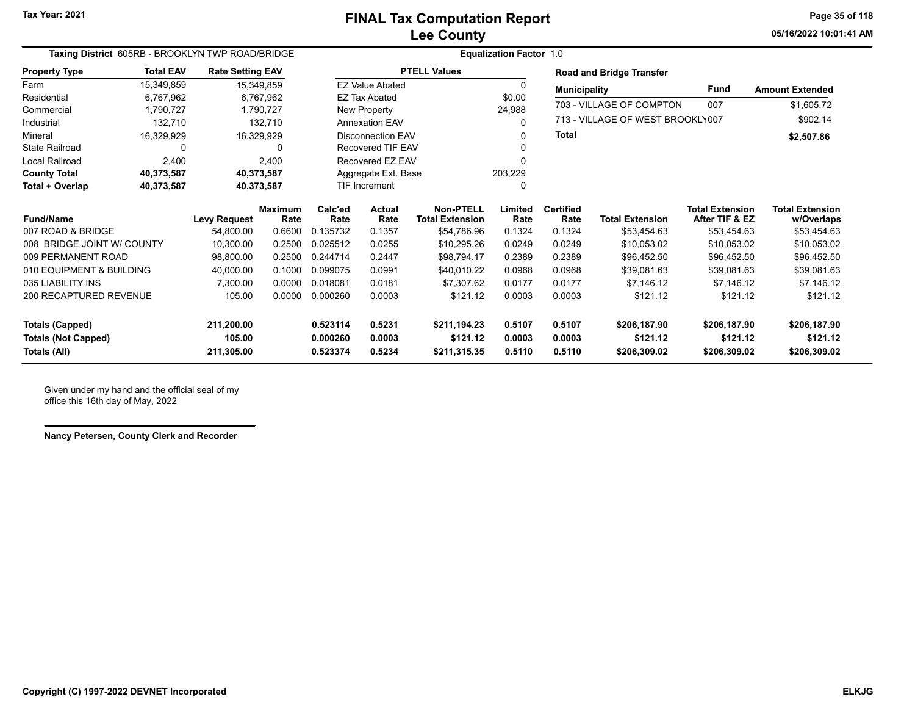**05/16/2022 10:01:41 AMPage 35 of 118**

| Taxing District 605RB - BROOKLYN TWP ROAD/BRIDGE |                        |                         |                        |                          | <b>Equalization Factor 1.0</b> |                                            |                 |                                    |                                 |                                          |                                      |  |
|--------------------------------------------------|------------------------|-------------------------|------------------------|--------------------------|--------------------------------|--------------------------------------------|-----------------|------------------------------------|---------------------------------|------------------------------------------|--------------------------------------|--|
| <b>Property Type</b>                             | <b>Total EAV</b>       | <b>Rate Setting EAV</b> |                        |                          |                                | <b>PTELL Values</b>                        |                 |                                    | <b>Road and Bridge Transfer</b> |                                          |                                      |  |
| Farm                                             | 15,349,859             | 15,349,859              |                        | <b>EZ Value Abated</b>   |                                |                                            | $\Omega$        | <b>Fund</b><br><b>Municipality</b> |                                 |                                          | <b>Amount Extended</b>               |  |
| Residential                                      | 6,767,962<br>6,767,962 |                         |                        | <b>EZ Tax Abated</b>     |                                |                                            | \$0.00          | 703 - VILLAGE OF COMPTON<br>007    |                                 |                                          |                                      |  |
| Commercial                                       | 1,790,727              | 1,790,727               |                        |                          | New Property                   |                                            | 24,988          |                                    |                                 |                                          | \$1,605.72                           |  |
| Industrial                                       | 132,710                | 132,710                 |                        | <b>Annexation EAV</b>    |                                |                                            | 0               | 713 - VILLAGE OF WEST BROOKLY007   |                                 |                                          | \$902.14                             |  |
| Mineral                                          | 16,329,929             | 16,329,929              |                        | <b>Disconnection EAV</b> |                                |                                            | 0               | <b>Total</b>                       |                                 |                                          | \$2,507.86                           |  |
| <b>State Railroad</b><br>0                       |                        | 0                       |                        | Recovered TIF EAV        |                                |                                            |                 |                                    |                                 |                                          |                                      |  |
| Local Railroad                                   | 2,400                  | 2.400                   |                        |                          | Recovered EZ EAV               |                                            | 0               |                                    |                                 |                                          |                                      |  |
| <b>County Total</b>                              | 40,373,587             | 40,373,587              |                        |                          | Aggregate Ext. Base            |                                            | 203,229         |                                    |                                 |                                          |                                      |  |
| Total + Overlap                                  | 40,373,587             | 40,373,587              |                        | <b>TIF Increment</b>     |                                |                                            | 0               |                                    |                                 |                                          |                                      |  |
| <b>Fund/Name</b>                                 |                        | <b>Levy Request</b>     | <b>Maximum</b><br>Rate | Calc'ed<br>Rate          | Actual<br>Rate                 | <b>Non-PTELL</b><br><b>Total Extension</b> | Limited<br>Rate | <b>Certified</b><br>Rate           | <b>Total Extension</b>          | <b>Total Extension</b><br>After TIF & EZ | <b>Total Extension</b><br>w/Overlaps |  |
| 007 ROAD & BRIDGE                                |                        | 54,800.00               | 0.6600                 | 0.135732                 | 0.1357                         | \$54,786.96                                | 0.1324          | 0.1324                             | \$53,454.63                     | \$53,454.63                              | \$53,454.63                          |  |
| 008 BRIDGE JOINT W/ COUNTY                       |                        | 10,300.00               | 0.2500                 | 0.025512                 | 0.0255                         | \$10,295.26                                | 0.0249          | 0.0249                             | \$10,053.02                     | \$10,053.02                              | \$10,053.02                          |  |
| 009 PERMANENT ROAD                               |                        | 98,800.00               | 0.2500                 | 0.244714                 | 0.2447                         | \$98,794.17                                | 0.2389          | 0.2389                             | \$96,452.50                     | \$96,452.50                              | \$96,452.50                          |  |
| 010 EQUIPMENT & BUILDING                         |                        | 40,000.00               | 0.1000                 | 0.099075                 | 0.0991                         | \$40,010.22                                | 0.0968          | 0.0968                             | \$39,081.63                     | \$39,081.63                              | \$39,081.63                          |  |
| 035 LIABILITY INS                                |                        | 7.300.00                | 0.0000                 | 0.018081                 | 0.0181                         | \$7.307.62                                 | 0.0177          | 0.0177                             | \$7,146.12                      | \$7,146.12                               | \$7,146.12                           |  |
| 200 RECAPTURED REVENUE                           |                        | 105.00                  | 0.0000                 | 0.000260                 | 0.0003                         | \$121.12                                   | 0.0003          | 0.0003                             | \$121.12                        | \$121.12                                 | \$121.12                             |  |
| <b>Totals (Capped)</b>                           |                        | 211,200.00              |                        | 0.523114                 | 0.5231                         | \$211,194.23                               | 0.5107          | 0.5107                             | \$206,187.90                    | \$206,187.90                             | \$206,187.90                         |  |
| <b>Totals (Not Capped)</b>                       |                        | 105.00                  |                        | 0.000260                 | 0.0003                         | \$121.12                                   | 0.0003          | 0.0003                             | \$121.12                        | \$121.12                                 | \$121.12                             |  |
| Totals (All)                                     |                        | 211,305.00              |                        | 0.523374                 | 0.5234                         | \$211,315.35                               | 0.5110          | 0.5110                             | \$206,309.02                    | \$206,309.02                             | \$206,309.02                         |  |

Given under my hand and the official seal of my office this 16th day of May, 2022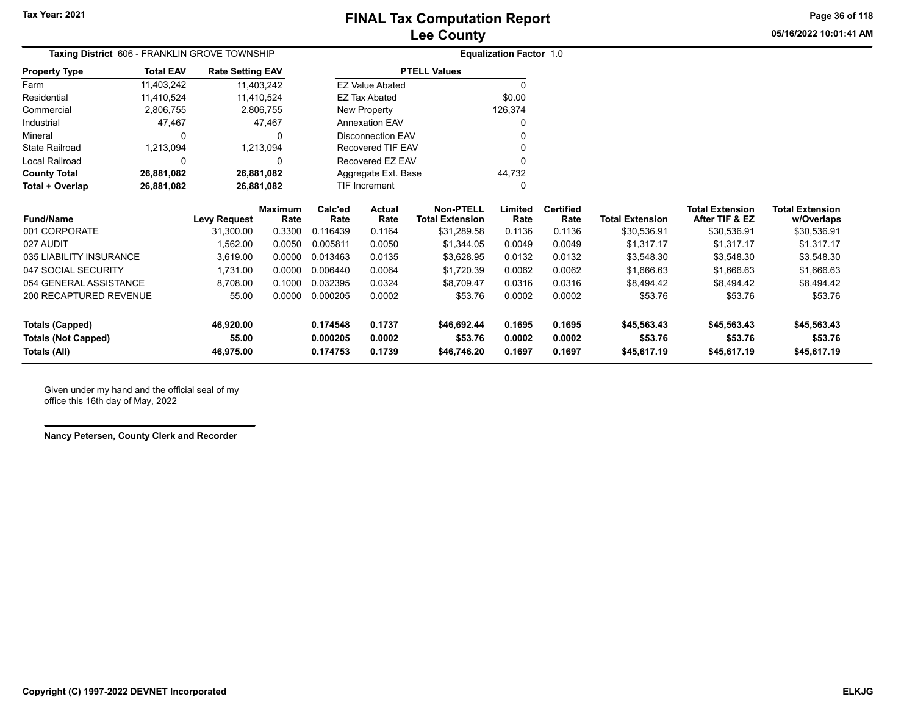**05/16/2022 10:01:41 AMPage 36 of 118**

| Taxing District 606 - FRANKLIN GROVE TOWNSHIP |                  |                         |                 |                  |                          |                                            | <b>Equalization Factor 1.0</b> |                          |                        |                                          |                                      |
|-----------------------------------------------|------------------|-------------------------|-----------------|------------------|--------------------------|--------------------------------------------|--------------------------------|--------------------------|------------------------|------------------------------------------|--------------------------------------|
| <b>Property Type</b>                          | <b>Total EAV</b> | <b>Rate Setting EAV</b> |                 |                  |                          | <b>PTELL Values</b>                        |                                |                          |                        |                                          |                                      |
| Farm                                          | 11,403,242       | 11,403,242              |                 |                  | <b>EZ Value Abated</b>   |                                            | 0                              |                          |                        |                                          |                                      |
| Residential                                   | 11,410,524       | 11,410,524              |                 |                  | <b>EZ Tax Abated</b>     |                                            | \$0.00                         |                          |                        |                                          |                                      |
| Commercial                                    | 2,806,755        | 2,806,755               |                 |                  | New Property             |                                            | 126,374                        |                          |                        |                                          |                                      |
| Industrial                                    | 47,467           | 47,467                  |                 |                  | <b>Annexation EAV</b>    |                                            |                                |                          |                        |                                          |                                      |
| Mineral                                       | 0                | 0                       |                 |                  | <b>Disconnection EAV</b> |                                            |                                |                          |                        |                                          |                                      |
| <b>State Railroad</b>                         | 1,213,094        | 1,213,094               |                 |                  | Recovered TIF EAV        |                                            |                                |                          |                        |                                          |                                      |
| Local Railroad                                | ŋ                | n                       |                 | Recovered EZ EAV |                          |                                            |                                |                          |                        |                                          |                                      |
| <b>County Total</b>                           | 26,881,082       |                         | 26,881,082      |                  | Aggregate Ext. Base      |                                            | 44,732                         |                          |                        |                                          |                                      |
| Total + Overlap                               | 26,881,082       | 26,881,082              |                 |                  | <b>TIF Increment</b>     |                                            | O                              |                          |                        |                                          |                                      |
| <b>Fund/Name</b>                              |                  | <b>Levy Request</b>     | Maximum<br>Rate | Calc'ed<br>Rate  | Actual<br>Rate           | <b>Non-PTELL</b><br><b>Total Extension</b> | Limited<br>Rate                | <b>Certified</b><br>Rate | <b>Total Extension</b> | <b>Total Extension</b><br>After TIF & EZ | <b>Total Extension</b><br>w/Overlaps |
| 001 CORPORATE                                 |                  | 31.300.00               | 0.3300          | 0.116439         | 0.1164                   | \$31,289.58                                | 0.1136                         | 0.1136                   | \$30,536.91            | \$30,536.91                              | \$30,536.91                          |
| 027 AUDIT                                     |                  | 1.562.00                | 0.0050          | 0.005811         | 0.0050                   | \$1,344.05                                 | 0.0049                         | 0.0049                   | \$1,317.17             | \$1,317.17                               | \$1,317.17                           |
| 035 LIABILITY INSURANCE                       |                  | 3.619.00                | 0.0000          | 0.013463         | 0.0135                   | \$3,628.95                                 | 0.0132                         | 0.0132                   | \$3,548.30             | \$3,548.30                               | \$3,548.30                           |
| 047 SOCIAL SECURITY                           |                  | 1.731.00                | 0.0000          | 0.006440         | 0.0064                   | \$1,720.39                                 | 0.0062                         | 0.0062                   | \$1,666.63             | \$1,666.63                               | \$1,666.63                           |
| 054 GENERAL ASSISTANCE                        |                  | 8,708.00                | 0.1000          | 0.032395         | 0.0324                   | \$8,709.47                                 | 0.0316                         | 0.0316                   | \$8,494.42             | \$8,494.42                               | \$8,494.42                           |
| 200 RECAPTURED REVENUE                        |                  | 55.00                   | 0.0000          | 0.000205         | 0.0002                   | \$53.76                                    | 0.0002                         | 0.0002                   | \$53.76                | \$53.76                                  | \$53.76                              |
| <b>Totals (Capped)</b>                        |                  | 46,920.00               |                 | 0.174548         | 0.1737                   | \$46,692.44                                | 0.1695                         | 0.1695                   | \$45,563.43            | \$45,563.43                              | \$45,563.43                          |
| <b>Totals (Not Capped)</b>                    |                  | 55.00                   |                 | 0.000205         | 0.0002                   | \$53.76                                    | 0.0002                         | 0.0002                   | \$53.76                | \$53.76                                  | \$53.76                              |
| Totals (All)                                  |                  | 46,975.00               |                 | 0.174753         | 0.1739                   | \$46,746.20                                | 0.1697                         | 0.1697                   | \$45,617.19            | \$45,617.19                              | \$45,617.19                          |

Given under my hand and the official seal of my office this 16th day of May, 2022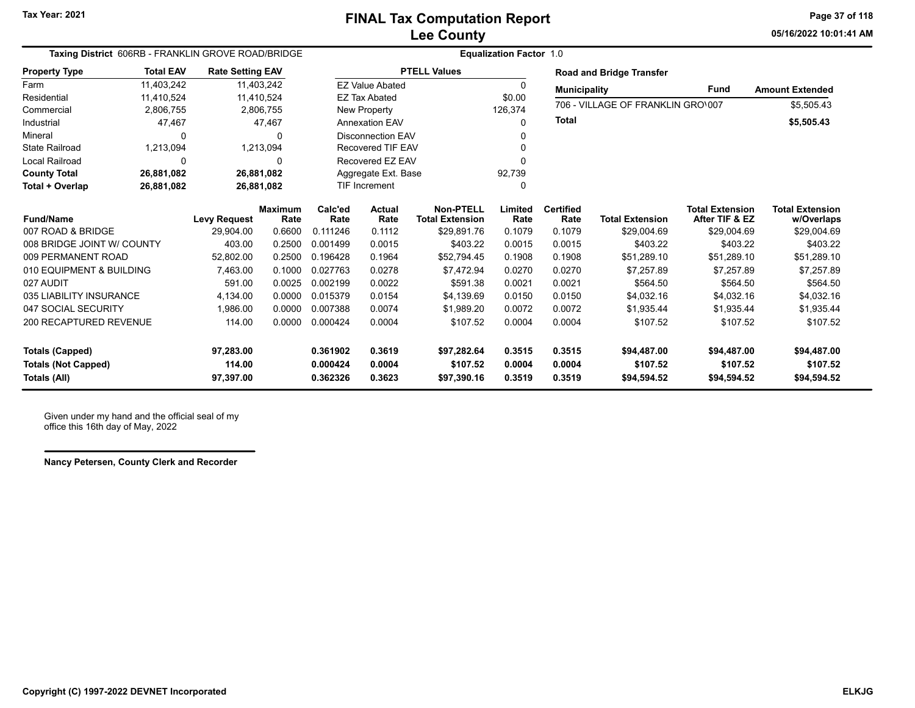**05/16/2022 10:01:41 AMPage 37 of 118**

| Taxing District 606RB - FRANKLIN GROVE ROAD/BRIDGE |                  |                         |                        | <b>Equalization Factor 1.0</b> |                                |                                     |                 |                          |                                   |                                          |                                      |  |
|----------------------------------------------------|------------------|-------------------------|------------------------|--------------------------------|--------------------------------|-------------------------------------|-----------------|--------------------------|-----------------------------------|------------------------------------------|--------------------------------------|--|
| <b>Property Type</b>                               | <b>Total EAV</b> | <b>Rate Setting EAV</b> |                        |                                |                                | <b>PTELL Values</b>                 |                 |                          | <b>Road and Bridge Transfer</b>   |                                          |                                      |  |
| Farm                                               | 11.403.242       |                         | 11,403,242             |                                | <b>EZ Value Abated</b>         |                                     | 0               | <b>Municipality</b>      |                                   | <b>Fund</b>                              | <b>Amount Extended</b>               |  |
| Residential                                        | 11,410,524       |                         | 11,410,524             |                                | <b>EZ Tax Abated</b><br>\$0.00 |                                     |                 |                          | 706 - VILLAGE OF FRANKLIN GRO\007 |                                          |                                      |  |
| Commercial                                         | 2,806,755        |                         | 2,806,755              |                                | 126,374<br>New Property        |                                     |                 |                          |                                   |                                          | \$5,505.43                           |  |
| Industrial                                         | 47,467           |                         | 47,467                 |                                | <b>Annexation EAV</b>          |                                     | 0               | Total                    |                                   |                                          | \$5,505.43                           |  |
| Mineral                                            | 0                |                         |                        |                                | <b>Disconnection EAV</b>       |                                     |                 |                          |                                   |                                          |                                      |  |
| <b>State Railroad</b>                              | 1,213,094        |                         | 1,213,094              |                                | <b>Recovered TIF EAV</b>       |                                     | O               |                          |                                   |                                          |                                      |  |
| Local Railroad                                     | $\Omega$         |                         | O                      |                                | Recovered EZ EAV               |                                     |                 |                          |                                   |                                          |                                      |  |
| <b>County Total</b>                                | 26,881,082       |                         | 26,881,082             |                                | Aggregate Ext. Base            |                                     | 92,739          |                          |                                   |                                          |                                      |  |
| Total + Overlap                                    | 26,881,082       |                         | 26,881,082             |                                | <b>TIF Increment</b>           |                                     | $\mathbf{0}$    |                          |                                   |                                          |                                      |  |
| <b>Fund/Name</b>                                   |                  | <b>Levy Request</b>     | <b>Maximum</b><br>Rate | Calc'ed<br>Rate                | Actual<br>Rate                 | Non-PTELL<br><b>Total Extension</b> | Limited<br>Rate | <b>Certified</b><br>Rate | <b>Total Extension</b>            | <b>Total Extension</b><br>After TIF & EZ | <b>Total Extension</b><br>w/Overlaps |  |
| 007 ROAD & BRIDGE                                  |                  | 29,904.00               | 0.6600                 | 0.111246                       | 0.1112                         | \$29,891.76                         | 0.1079          | 0.1079                   | \$29,004.69                       | \$29,004.69                              | \$29,004.69                          |  |
| 008 BRIDGE JOINT W/ COUNTY                         |                  | 403.00                  | 0.2500                 | 0.001499                       | 0.0015                         | \$403.22                            | 0.0015          | 0.0015                   | \$403.22                          | \$403.22                                 | \$403.22                             |  |
| 009 PERMANENT ROAD                                 |                  | 52,802.00               | 0.2500                 | 0.196428                       | 0.1964                         | \$52.794.45                         | 0.1908          | 0.1908                   | \$51,289.10                       | \$51,289.10                              | \$51,289.10                          |  |
| 010 EQUIPMENT & BUILDING                           |                  | 7,463.00                | 0.1000                 | 0.027763                       | 0.0278                         | \$7,472.94                          | 0.0270          | 0.0270                   | \$7,257.89                        | \$7,257.89                               | \$7,257.89                           |  |
| 027 AUDIT                                          |                  | 591.00                  | 0.0025                 | 0.002199                       | 0.0022                         | \$591.38                            | 0.0021          | 0.0021                   | \$564.50                          | \$564.50                                 | \$564.50                             |  |
| 035 LIABILITY INSURANCE                            |                  | 4,134.00                | 0.0000                 | 0.015379                       | 0.0154                         | \$4.139.69                          | 0.0150          | 0.0150                   | \$4,032.16                        | \$4,032.16                               | \$4,032.16                           |  |
| 047 SOCIAL SECURITY                                |                  | 1,986.00                | 0.0000                 | 0.007388                       | 0.0074                         | \$1,989.20                          | 0.0072          | 0.0072                   | \$1,935.44                        | \$1,935.44                               | \$1,935.44                           |  |
| <b>200 RECAPTURED REVENUE</b>                      |                  | 114.00                  | 0.0000                 | 0.000424                       | 0.0004                         | \$107.52                            | 0.0004          | 0.0004                   | \$107.52                          | \$107.52                                 | \$107.52                             |  |
| <b>Totals (Capped)</b>                             |                  | 97,283.00               |                        | 0.361902                       | 0.3619                         | \$97,282.64                         | 0.3515          | 0.3515                   | \$94,487.00                       | \$94,487.00                              | \$94,487.00                          |  |
| <b>Totals (Not Capped)</b>                         |                  | 114.00                  |                        | 0.000424                       | 0.0004                         | \$107.52                            | 0.0004          | 0.0004                   | \$107.52                          | \$107.52                                 | \$107.52                             |  |
| 0.362326<br>0.3623<br>Totals (All)<br>97,397.00    |                  |                         | \$97,390.16            | 0.3519                         | 0.3519                         | \$94,594.52                         | \$94,594.52     | \$94,594.52              |                                   |                                          |                                      |  |

Given under my hand and the official seal of my office this 16th day of May, 2022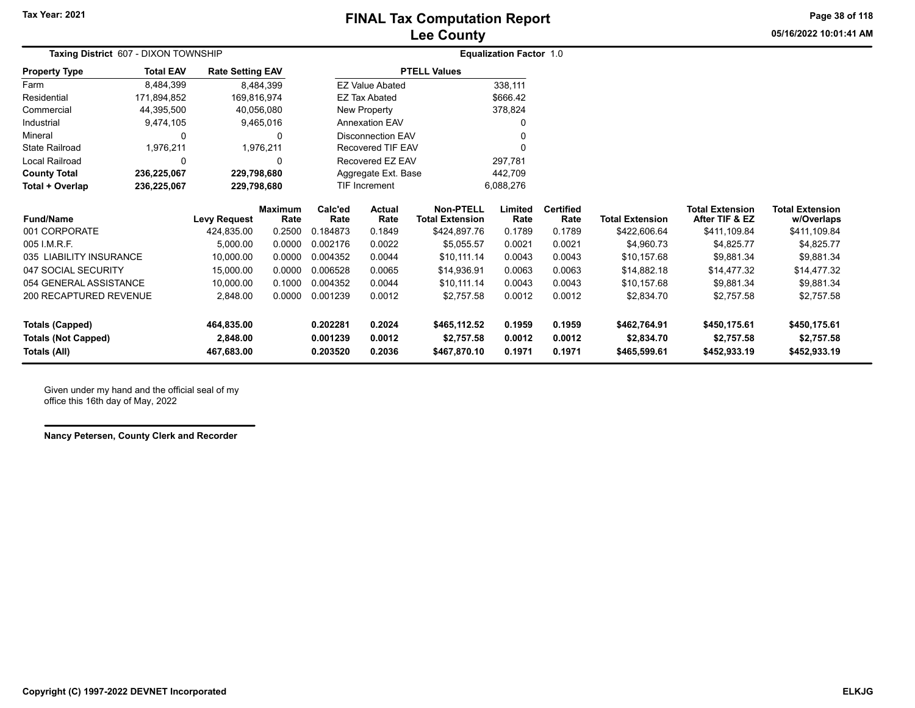**05/16/2022 10:01:41 AMPage 38 of 118**

|                            | Taxing District 607 - DIXON TOWNSHIP |                         |                        | <b>Equalization Factor 1.0</b> |                          |                                            |                 |                          |                        |                                          |                                      |
|----------------------------|--------------------------------------|-------------------------|------------------------|--------------------------------|--------------------------|--------------------------------------------|-----------------|--------------------------|------------------------|------------------------------------------|--------------------------------------|
| <b>Property Type</b>       | <b>Total EAV</b>                     | <b>Rate Setting EAV</b> |                        |                                |                          | <b>PTELL Values</b>                        |                 |                          |                        |                                          |                                      |
| Farm                       | 8,484,399                            |                         | 8,484,399              |                                | <b>EZ Value Abated</b>   |                                            | 338,111         |                          |                        |                                          |                                      |
| Residential                | 171,894,852                          | 169,816,974             |                        |                                | <b>EZ Tax Abated</b>     |                                            | \$666.42        |                          |                        |                                          |                                      |
| Commercial                 | 44,395,500                           | 40,056,080              |                        |                                | New Property             |                                            | 378,824         |                          |                        |                                          |                                      |
| Industrial                 | 9,474,105                            |                         | 9,465,016              |                                | <b>Annexation EAV</b>    |                                            |                 |                          |                        |                                          |                                      |
| Mineral                    | 0                                    |                         |                        |                                | <b>Disconnection EAV</b> |                                            |                 |                          |                        |                                          |                                      |
| <b>State Railroad</b>      | 1,976,211                            |                         | 1,976,211              |                                | Recovered TIF EAV        |                                            |                 |                          |                        |                                          |                                      |
| <b>Local Railroad</b>      | 0                                    |                         |                        |                                | Recovered EZ EAV         |                                            | 297,781         |                          |                        |                                          |                                      |
| <b>County Total</b>        | 236,225,067                          | 229,798,680             |                        |                                | Aggregate Ext. Base      |                                            | 442,709         |                          |                        |                                          |                                      |
| Total + Overlap            | 236,225,067                          | 229,798,680             |                        |                                | TIF Increment            |                                            | 6,088,276       |                          |                        |                                          |                                      |
| <b>Fund/Name</b>           |                                      | <b>Levy Request</b>     | <b>Maximum</b><br>Rate | Calc'ed<br>Rate                | <b>Actual</b><br>Rate    | <b>Non-PTELL</b><br><b>Total Extension</b> | Limited<br>Rate | <b>Certified</b><br>Rate | <b>Total Extension</b> | <b>Total Extension</b><br>After TIF & EZ | <b>Total Extension</b><br>w/Overlaps |
| 001 CORPORATE              |                                      | 424,835.00              | 0.2500                 | 0.184873                       | 0.1849                   | \$424,897.76                               | 0.1789          | 0.1789                   | \$422,606.64           | \$411,109.84                             | \$411,109.84                         |
| 005 I.M.R.F.               |                                      | 5.000.00                | 0.0000                 | 0.002176                       | 0.0022                   | \$5,055.57                                 | 0.0021          | 0.0021                   | \$4,960.73             | \$4,825.77                               | \$4,825.77                           |
| 035 LIABILITY INSURANCE    |                                      | 10,000.00               | 0.0000                 | 0.004352                       | 0.0044                   | \$10,111.14                                | 0.0043          | 0.0043                   | \$10,157.68            | \$9,881.34                               | \$9,881.34                           |
| 047 SOCIAL SECURITY        |                                      | 15,000.00               | 0.0000                 | 0.006528                       | 0.0065                   | \$14,936.91                                | 0.0063          | 0.0063                   | \$14,882.18            | \$14,477.32                              | \$14,477.32                          |
| 054 GENERAL ASSISTANCE     |                                      | 10,000.00               | 0.1000                 | 0.004352                       | 0.0044                   | \$10,111.14                                | 0.0043          | 0.0043                   | \$10,157.68            | \$9,881.34                               | \$9,881.34                           |
| 200 RECAPTURED REVENUE     |                                      | 2,848.00                | 0.0000                 | 0.001239                       | 0.0012                   | \$2,757.58                                 | 0.0012          | 0.0012                   | \$2,834.70             | \$2,757.58                               | \$2,757.58                           |
| <b>Totals (Capped)</b>     |                                      | 464,835.00              |                        | 0.202281                       | 0.2024                   | \$465,112.52                               | 0.1959          | 0.1959                   | \$462,764.91           | \$450,175.61                             | \$450,175.61                         |
| <b>Totals (Not Capped)</b> |                                      | 2,848.00                |                        | 0.001239                       | 0.0012                   | \$2,757.58                                 | 0.0012          | 0.0012                   | \$2,834.70             | \$2,757.58                               | \$2,757.58                           |
| Totals (All)               |                                      | 467,683.00              |                        | 0.203520                       | 0.2036                   | \$467,870.10                               | 0.1971          | 0.1971                   | \$465,599.61           | \$452,933.19                             | \$452,933.19                         |

Given under my hand and the official seal of my office this 16th day of May, 2022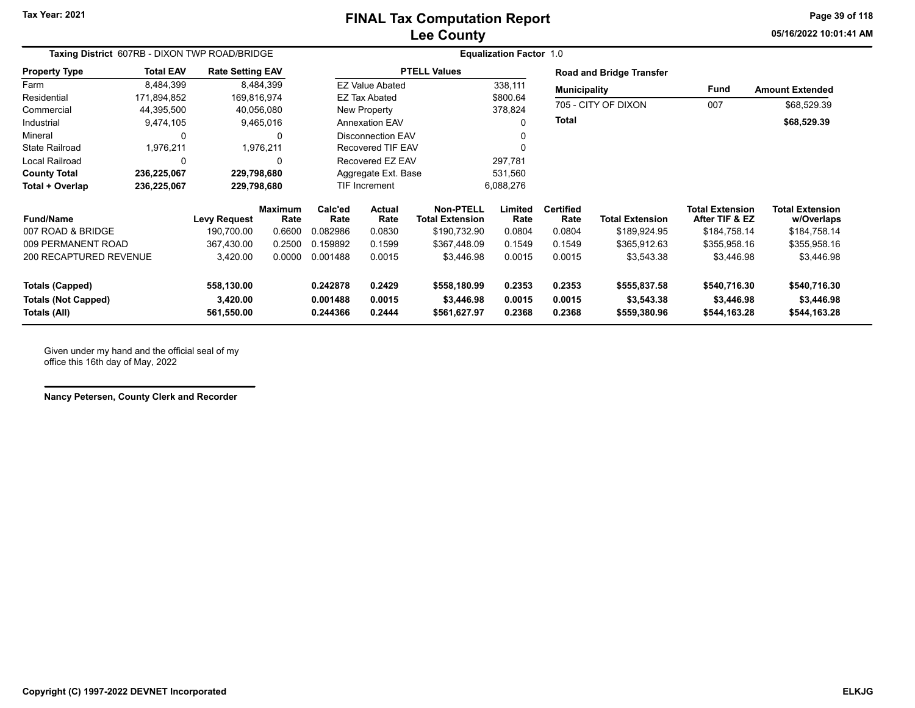**Tax Year: 2021**

#### **Lee County FINAL Tax Computation Report**

**05/16/2022 10:01:41 AMPage 39 of 118**

| Taxing District 607RB - DIXON TWP ROAD/BRIDGE |                  |                         |                        |                      |                          | <b>Equalization Factor 1.0</b>             |                 |                          |                                 |                                          |                                      |
|-----------------------------------------------|------------------|-------------------------|------------------------|----------------------|--------------------------|--------------------------------------------|-----------------|--------------------------|---------------------------------|------------------------------------------|--------------------------------------|
| <b>Property Type</b>                          | <b>Total EAV</b> | <b>Rate Setting EAV</b> |                        |                      |                          | <b>PTELL Values</b>                        |                 |                          | <b>Road and Bridge Transfer</b> |                                          |                                      |
| Farm                                          | 8.484.399        |                         | 8,484,399              |                      | <b>EZ Value Abated</b>   |                                            | 338,111         | <b>Municipality</b>      |                                 | Fund                                     | <b>Amount Extended</b>               |
| Residential                                   | 171,894,852      |                         | 169,816,974            |                      | <b>EZ Tax Abated</b>     |                                            | \$800.64        |                          |                                 |                                          |                                      |
| Commercial                                    | 44,395,500       |                         | 40,056,080             |                      | New Property             |                                            | 378,824         |                          | 705 - CITY OF DIXON             | 007                                      | \$68,529.39                          |
| Industrial                                    | 9,474,105        |                         | 9,465,016              |                      | <b>Annexation EAV</b>    |                                            |                 | <b>Total</b>             |                                 |                                          | \$68,529.39                          |
| Mineral                                       | 0                |                         | 0                      |                      | <b>Disconnection EAV</b> |                                            |                 |                          |                                 |                                          |                                      |
| <b>State Railroad</b>                         | 1,976,211        |                         | 1,976,211              |                      | <b>Recovered TIF EAV</b> |                                            |                 |                          |                                 |                                          |                                      |
| Local Railroad                                | $\Omega$         |                         | 0                      |                      | Recovered EZ EAV         |                                            | 297,781         |                          |                                 |                                          |                                      |
| <b>County Total</b>                           | 236,225,067      | 229,798,680             |                        |                      | Aggregate Ext. Base      |                                            | 531,560         |                          |                                 |                                          |                                      |
| Total + Overlap                               | 236,225,067      | 229,798,680             |                        | <b>TIF Increment</b> |                          |                                            | 6,088,276       |                          |                                 |                                          |                                      |
| <b>Fund/Name</b>                              |                  | <b>Levy Request</b>     | <b>Maximum</b><br>Rate | Calc'ed<br>Rate      | Actual<br>Rate           | <b>Non-PTELL</b><br><b>Total Extension</b> | Limited<br>Rate | <b>Certified</b><br>Rate | <b>Total Extension</b>          | <b>Total Extension</b><br>After TIF & EZ | <b>Total Extension</b><br>w/Overlaps |
| 007 ROAD & BRIDGE                             |                  | 190.700.00              | 0.6600                 | 0.082986             | 0.0830                   | \$190,732.90                               | 0.0804          | 0.0804                   | \$189,924.95                    | \$184,758.14                             | \$184,758.14                         |
| 009 PERMANENT ROAD                            |                  | 367,430.00              | 0.2500                 | 0.159892             | 0.1599                   | \$367,448.09                               | 0.1549          | 0.1549                   | \$365,912.63                    | \$355,958.16                             | \$355,958.16                         |
| 200 RECAPTURED REVENUE                        |                  | 3,420.00                | 0.0000                 | 0.001488             | 0.0015                   | \$3,446.98                                 | 0.0015          | 0.0015                   | \$3,543.38                      | \$3,446.98                               | \$3,446.98                           |
| <b>Totals (Capped)</b>                        |                  | 558,130.00              |                        | 0.242878             | 0.2429                   | \$558,180.99                               | 0.2353          | 0.2353                   | \$555,837.58                    | \$540,716.30                             | \$540,716.30                         |
| <b>Totals (Not Capped)</b>                    |                  | 3,420.00                |                        | 0.001488             | 0.0015                   | \$3,446.98                                 | 0.0015          | 0.0015                   | \$3,543.38                      | \$3,446.98                               | \$3,446.98                           |
| Totals (All)                                  |                  | 561,550.00              |                        | 0.244366             | 0.2444                   | \$561,627.97                               | 0.2368          | 0.2368                   | \$559,380.96                    | \$544,163.28                             | \$544,163.28                         |

Given under my hand and the official seal of my office this 16th day of May, 2022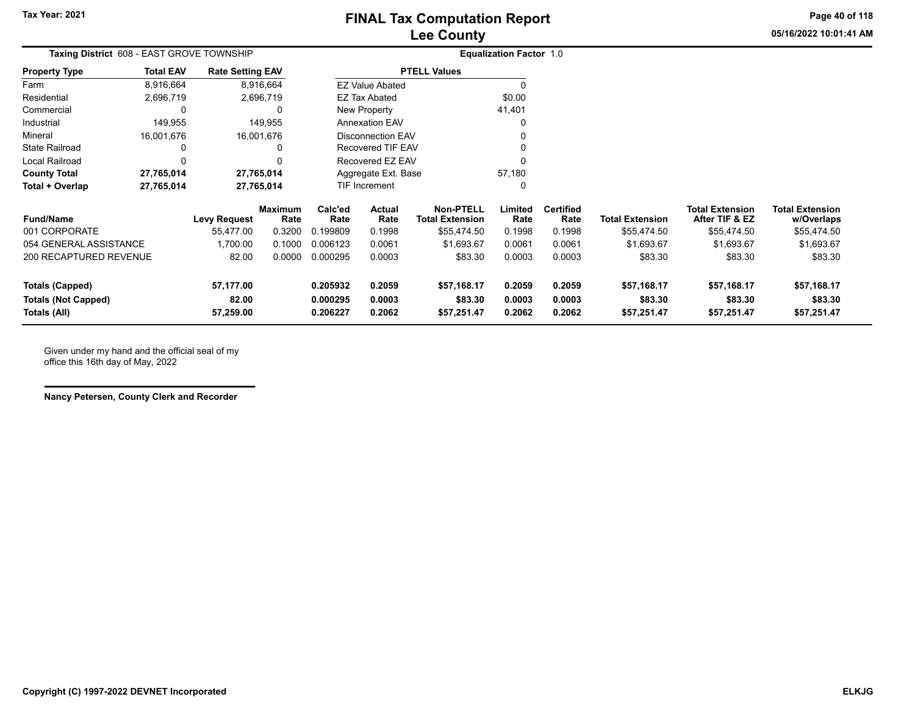**Page 40 of 118**

**05/16/2022 10:01:41 AM**

| Taxing District 608 - EAST GROVE TOWNSHIP |                  |                         |                 | <b>Equalization Factor 1.0</b> |                          |                                            |                 |                          |                        |                                          |                                      |
|-------------------------------------------|------------------|-------------------------|-----------------|--------------------------------|--------------------------|--------------------------------------------|-----------------|--------------------------|------------------------|------------------------------------------|--------------------------------------|
| <b>Property Type</b>                      | <b>Total EAV</b> | <b>Rate Setting EAV</b> |                 |                                |                          | <b>PTELL Values</b>                        |                 |                          |                        |                                          |                                      |
| Farm                                      | 8,916,664        |                         | 8,916,664       |                                | <b>EZ Value Abated</b>   |                                            |                 |                          |                        |                                          |                                      |
| Residential                               | 2,696,719        |                         | 2,696,719       |                                | <b>EZ Tax Abated</b>     |                                            | \$0.00          |                          |                        |                                          |                                      |
| Commercial                                | 0                |                         | 0               |                                | New Property             |                                            | 41,401          |                          |                        |                                          |                                      |
| Industrial                                | 149,955          |                         | 149,955         |                                | <b>Annexation EAV</b>    |                                            | O               |                          |                        |                                          |                                      |
| Mineral                                   | 16,001,676       |                         | 16,001,676      |                                | <b>Disconnection EAV</b> |                                            |                 |                          |                        |                                          |                                      |
| <b>State Railroad</b>                     | 0                |                         | 0               |                                | <b>Recovered TIF EAV</b> |                                            |                 |                          |                        |                                          |                                      |
| Local Railroad                            | $\Omega$         |                         | 0               |                                | Recovered EZ EAV         |                                            | n               |                          |                        |                                          |                                      |
| <b>County Total</b>                       | 27,765,014       |                         | 27,765,014      |                                | Aggregate Ext. Base      |                                            | 57,180          |                          |                        |                                          |                                      |
| Total + Overlap                           | 27,765,014       |                         | 27,765,014      |                                | TIF Increment            |                                            | 0               |                          |                        |                                          |                                      |
| <b>Fund/Name</b>                          |                  | <b>Levy Request</b>     | Maximum<br>Rate | Calc'ed<br>Rate                | Actual<br>Rate           | <b>Non-PTELL</b><br><b>Total Extension</b> | Limited<br>Rate | <b>Certified</b><br>Rate | <b>Total Extension</b> | <b>Total Extension</b><br>After TIF & EZ | <b>Total Extension</b><br>w/Overlaps |
| 001 CORPORATE                             |                  | 55,477.00               | 0.3200          | 0.199809                       | 0.1998                   | \$55,474.50                                | 0.1998          | 0.1998                   | \$55,474.50            | \$55,474.50                              | \$55,474.50                          |
| 054 GENERAL ASSISTANCE                    |                  | 1,700.00                | 0.1000          | 0.006123                       | 0.0061                   | \$1,693.67                                 | 0.0061          | 0.0061                   | \$1,693.67             | \$1,693.67                               | \$1,693.67                           |
| 200 RECAPTURED REVENUE                    |                  | 82.00                   | 0.0000          | 0.000295                       | 0.0003                   | \$83.30                                    | 0.0003          | 0.0003                   | \$83.30                | \$83.30                                  | \$83.30                              |
| <b>Totals (Capped)</b>                    |                  | 57,177.00               |                 | 0.205932                       | 0.2059                   | \$57,168.17                                | 0.2059          | 0.2059                   | \$57,168.17            | \$57,168.17                              | \$57,168.17                          |
| <b>Totals (Not Capped)</b>                |                  | 82.00                   |                 | 0.000295                       | 0.0003                   | \$83.30                                    | 0.0003          | 0.0003                   | \$83.30                | \$83.30                                  | \$83.30                              |
| Totals (All)                              |                  | 57,259.00               |                 | 0.206227                       | 0.2062                   | \$57,251.47                                | 0.2062          | 0.2062                   | \$57,251.47            | \$57,251.47                              | \$57,251.47                          |

Given under my hand and the official seal of my office this 16th day of May, 2022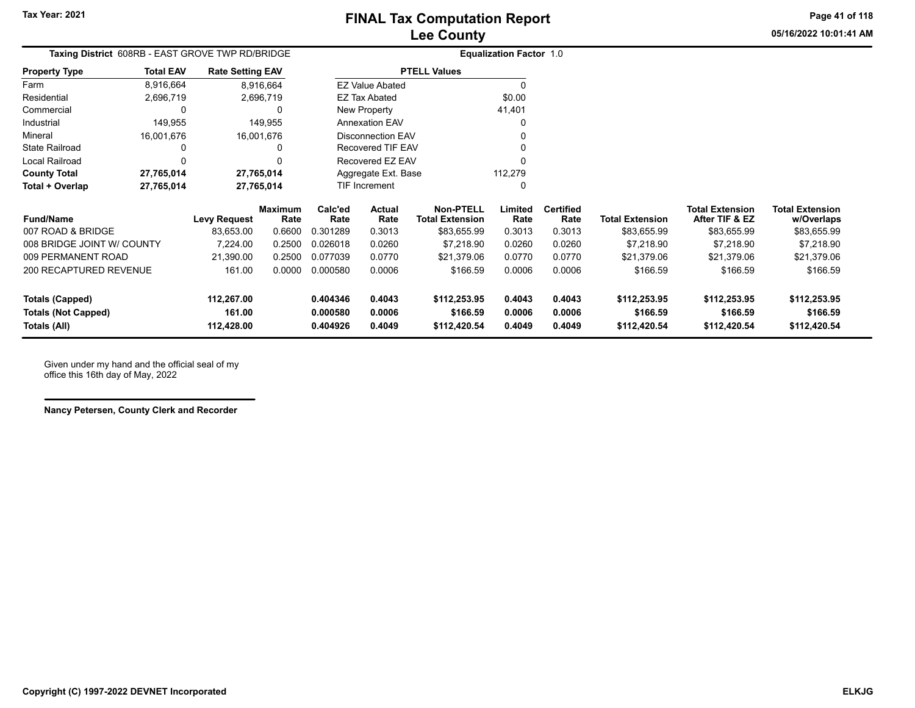**05/16/2022 10:01:41 AMPage 41 of 118**

| Taxing District 608RB - EAST GROVE TWP RD/BRIDGE |                  |                         |                 |                                          |                        |                                     | <b>Equalization Factor 1.0</b> |                          |                        |                                          |                                      |
|--------------------------------------------------|------------------|-------------------------|-----------------|------------------------------------------|------------------------|-------------------------------------|--------------------------------|--------------------------|------------------------|------------------------------------------|--------------------------------------|
| <b>Property Type</b>                             | <b>Total EAV</b> | <b>Rate Setting EAV</b> |                 |                                          |                        | <b>PTELL Values</b>                 |                                |                          |                        |                                          |                                      |
| Farm                                             | 8,916,664        |                         | 8,916,664       |                                          | <b>EZ Value Abated</b> |                                     |                                |                          |                        |                                          |                                      |
| Residential                                      | 2,696,719        |                         | 2,696,719       |                                          | EZ Tax Abated          |                                     | \$0.00                         |                          |                        |                                          |                                      |
| Commercial                                       | 0                |                         | 0               |                                          | New Property           |                                     | 41,401                         |                          |                        |                                          |                                      |
| Industrial                                       | 149,955          |                         | 149,955         |                                          | <b>Annexation EAV</b>  |                                     |                                |                          |                        |                                          |                                      |
| Mineral                                          | 16,001,676       |                         | 16,001,676      |                                          | Disconnection EAV      |                                     |                                |                          |                        |                                          |                                      |
| <b>State Railroad</b>                            | 0                |                         | 0               |                                          | Recovered TIF EAV      |                                     |                                |                          |                        |                                          |                                      |
| Local Railroad                                   | 0                |                         | O               |                                          | Recovered EZ EAV       |                                     |                                |                          |                        |                                          |                                      |
| <b>County Total</b>                              | 27,765,014       |                         | 27,765,014      |                                          | Aggregate Ext. Base    |                                     | 112,279                        |                          |                        |                                          |                                      |
| Total + Overlap                                  | 27,765,014       |                         | 27,765,014      |                                          | TIF Increment          |                                     |                                |                          |                        |                                          |                                      |
| <b>Fund/Name</b>                                 |                  | Levy Request            | Maximum<br>Rate | Calc'ed<br>Rate                          | Actual<br>Rate         | Non-PTELL<br><b>Total Extension</b> | Limited<br>Rate                | <b>Certified</b><br>Rate | <b>Total Extension</b> | <b>Total Extension</b><br>After TIF & EZ | <b>Total Extension</b><br>w/Overlaps |
| 007 ROAD & BRIDGE                                |                  | 83,653.00               | 0.6600          | 0.301289                                 | 0.3013                 | \$83,655.99                         | 0.3013                         | 0.3013                   | \$83,655.99            | \$83,655.99                              | \$83,655.99                          |
| 008 BRIDGE JOINT W/ COUNTY                       |                  | 7.224.00                | 0.2500          | 0.026018                                 | 0.0260                 | \$7,218.90                          | 0.0260                         | 0.0260                   | \$7,218.90             | \$7,218.90                               | \$7,218.90                           |
| 009 PERMANENT ROAD                               |                  | 21,390.00               | 0.2500          | 0.077039                                 | 0.0770                 | \$21.379.06                         | 0.0770                         | 0.0770                   | \$21,379.06            | \$21,379.06                              | \$21,379.06                          |
| <b>200 RECAPTURED REVENUE</b>                    |                  | 161.00                  | 0.0000          | 0.000580<br>0.0006<br>\$166.59<br>0.0006 |                        |                                     |                                | 0.0006                   | \$166.59               | \$166.59                                 | \$166.59                             |

| 009 PERMANENT ROAD         | 21.390.00  | 0.2500 | 0.077039 | 0.0770 | \$21.379.06  | 0.0770 | 0.0770 | \$21.379.06  | \$21.379.06  | \$21.379.06  |
|----------------------------|------------|--------|----------|--------|--------------|--------|--------|--------------|--------------|--------------|
| 200 RECAPTURED REVENUE     | 161.00     | 0.0000 | 0.000580 | 0.0006 | \$166.59     | 0.0006 | 0.0006 | \$166.59     | \$166.59     | \$166.59     |
| Totals (Capped)            | 112.267.00 |        | 0.404346 | 0.4043 | \$112.253.95 | 0.4043 | 0.4043 | \$112,253.95 | \$112,253.95 | \$112,253.95 |
| <b>Totals (Not Capped)</b> | 161.00     |        | 0.000580 | 0.0006 | \$166.59     | 0.0006 | 0.0006 | \$166.59     | \$166.59     | \$166.59     |
| Totals (All)               | 112.428.00 |        | 0.404926 | 0.4049 | \$112,420.54 | 0.4049 | 0.4049 | \$112,420.54 | \$112,420.54 | \$112,420.54 |

Given under my hand and the official seal of my office this 16th day of May, 2022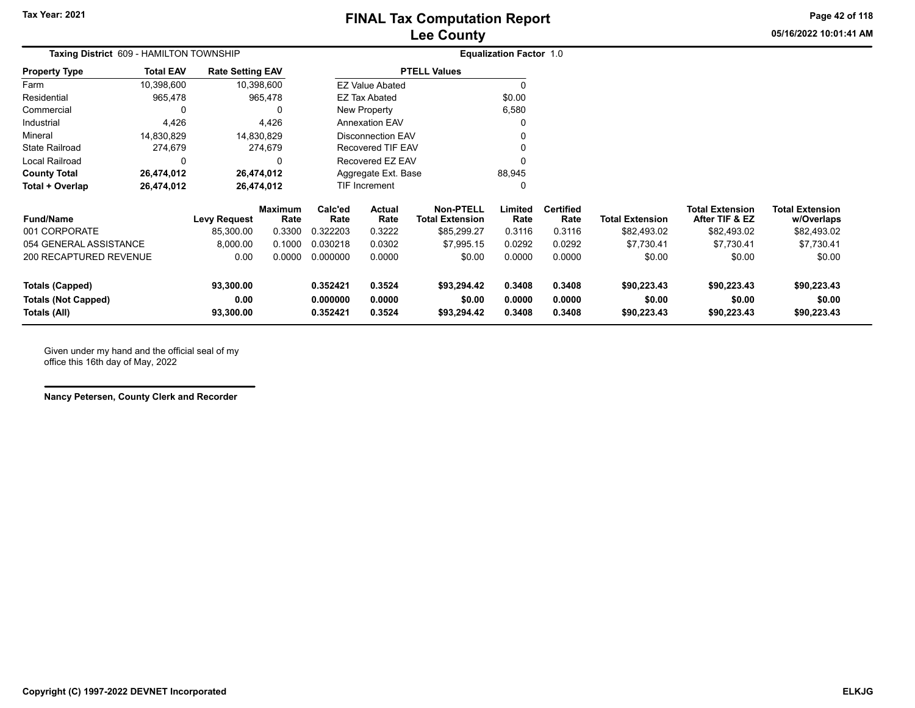### **Lee County FINAL Tax Computation Report**

**05/16/2022 10:01:41 AMPage 42 of 118**

| Taxing District 609 - HAMILTON TOWNSHIP |                  |                         |                 |                 | <b>Equalization Factor 1.0</b> |                                            |                 |                          |                        |                                          |                                      |
|-----------------------------------------|------------------|-------------------------|-----------------|-----------------|--------------------------------|--------------------------------------------|-----------------|--------------------------|------------------------|------------------------------------------|--------------------------------------|
| <b>Property Type</b>                    | <b>Total EAV</b> | <b>Rate Setting EAV</b> |                 |                 |                                | <b>PTELL Values</b>                        |                 |                          |                        |                                          |                                      |
| Farm                                    | 10,398,600       |                         | 10,398,600      |                 | <b>EZ Value Abated</b>         |                                            | 0               |                          |                        |                                          |                                      |
| Residential                             | 965,478          |                         | 965,478         |                 | <b>EZ Tax Abated</b>           |                                            | \$0.00          |                          |                        |                                          |                                      |
| Commercial                              | 0                |                         | 0               |                 | New Property                   |                                            | 6,580           |                          |                        |                                          |                                      |
| Industrial                              | 4,426            |                         | 4,426           |                 | <b>Annexation EAV</b>          |                                            | 0               |                          |                        |                                          |                                      |
| Mineral                                 | 14,830,829       |                         | 14,830,829      |                 | Disconnection EAV              |                                            | $\Omega$        |                          |                        |                                          |                                      |
| <b>State Railroad</b>                   | 274,679          |                         | 274,679         |                 | <b>Recovered TIF EAV</b>       |                                            | 0               |                          |                        |                                          |                                      |
| Local Railroad                          | 0                |                         | 0               |                 | Recovered EZ EAV               |                                            | 0               |                          |                        |                                          |                                      |
| <b>County Total</b>                     | 26,474,012       |                         | 26,474,012      |                 | Aggregate Ext. Base            |                                            | 88,945          |                          |                        |                                          |                                      |
| Total + Overlap                         | 26,474,012       |                         | 26,474,012      |                 | TIF Increment                  |                                            | 0               |                          |                        |                                          |                                      |
| <b>Fund/Name</b>                        |                  | <b>Levy Request</b>     | Maximum<br>Rate | Calc'ed<br>Rate | Actual<br>Rate                 | <b>Non-PTELL</b><br><b>Total Extension</b> | Limited<br>Rate | <b>Certified</b><br>Rate | <b>Total Extension</b> | <b>Total Extension</b><br>After TIF & EZ | <b>Total Extension</b><br>w/Overlaps |
| 001 CORPORATE                           |                  | 85,300.00               | 0.3300          | 0.322203        | 0.3222                         | \$85,299.27                                | 0.3116          | 0.3116                   | \$82,493.02            | \$82,493.02                              | \$82,493.02                          |
| 054 GENERAL ASSISTANCE                  |                  | 8,000.00                | 0.1000          | 0.030218        | 0.0302                         | \$7,995.15                                 | 0.0292          | 0.0292                   | \$7,730.41             | \$7,730.41                               | \$7,730.41                           |
| 200 RECAPTURED REVENUE                  |                  | 0.00                    | 0.0000          | 0.000000        | 0.0000                         | \$0.00                                     | 0.0000          | 0.0000                   | \$0.00                 | \$0.00                                   | \$0.00                               |
| <b>Totals (Capped)</b>                  |                  | 93,300.00               |                 | 0.352421        | 0.3524                         | \$93,294.42                                | 0.3408          | 0.3408                   | \$90,223.43            | \$90,223.43                              | \$90,223.43                          |
| <b>Totals (Not Capped)</b><br>0.00      |                  |                         |                 | 0.000000        | 0.0000                         | \$0.00                                     | 0.0000          | 0.0000                   | \$0.00                 | \$0.00                                   | \$0.00                               |

**Totals (All) 93,300.00 0.352421 0.3524 \$93,294.42 0.3408 0.3408 \$90,223.43 \$90,223.43 \$90,223.43**

Given under my hand and the official seal of my office this 16th day of May, 2022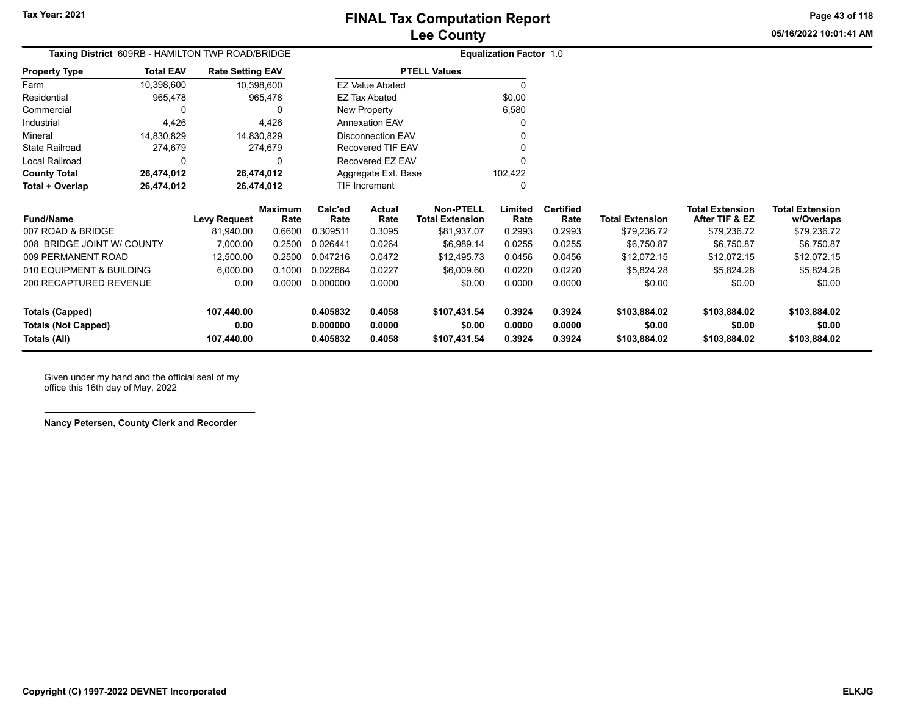**05/16/2022 10:01:41 AMPage 43 of 118**

| Lee County |                           |  |
|------------|---------------------------|--|
|            | Equalization Eactor $4.0$ |  |

|                       |                  | Taxing District 609RB - HAMILTON TWP ROAD/BRIDGE | <b>Equalization Factor 1.0</b> |         |  |  |  |  |
|-----------------------|------------------|--------------------------------------------------|--------------------------------|---------|--|--|--|--|
| <b>Property Type</b>  | <b>Total EAV</b> | <b>Rate Setting EAV</b>                          | <b>PTELL Values</b>            |         |  |  |  |  |
| Farm                  | 10,398,600       | 10,398,600                                       | <b>EZ Value Abated</b>         | U       |  |  |  |  |
| Residential           | 965,478          | 965.478                                          | EZ Tax Abated                  | \$0.00  |  |  |  |  |
| Commercial            | 0                |                                                  | New Property                   | 6,580   |  |  |  |  |
| Industrial            | 4.426            | 4.426                                            | <b>Annexation EAV</b>          | 0       |  |  |  |  |
| Mineral               | 14.830.829       | 14,830,829                                       | Disconnection EAV              | 0       |  |  |  |  |
| <b>State Railroad</b> | 274.679          | 274.679                                          | Recovered TIF EAV              | 0       |  |  |  |  |
| Local Railroad        | 0                | 0                                                | Recovered EZ EAV               | 0       |  |  |  |  |
| <b>County Total</b>   | 26,474,012       | 26,474,012                                       | Aggregate Ext. Base            | 102.422 |  |  |  |  |
| Total + Overlap       | 26,474,012       | 26,474,012                                       | <b>TIF Increment</b>           | 0       |  |  |  |  |

| <b>Fund/Name</b>           | Levy Request | <b>Maximum</b><br>Rate | Calc'ed<br>Rate | <b>Actual</b><br>Rate | <b>Non-PTELL</b><br><b>Total Extension</b> | Limited<br>Rate | <b>Certified</b><br>Rate | <b>Total Extension</b> | <b>Total Extension</b><br>After TIF & EZ | <b>Total Extension</b><br>w/Overlaps |
|----------------------------|--------------|------------------------|-----------------|-----------------------|--------------------------------------------|-----------------|--------------------------|------------------------|------------------------------------------|--------------------------------------|
| 007 ROAD & BRIDGE          | 81.940.00    | 0.6600                 | 0.309511        | 0.3095                | \$81.937.07                                | 0.2993          | 0.2993                   | \$79.236.72            | \$79.236.72                              | \$79,236.72                          |
| 008 BRIDGE JOINT W/ COUNTY | 7.000.00     | 0.2500                 | 0.026441        | 0.0264                | \$6.989.14                                 | 0.0255          | 0.0255                   | \$6.750.87             | \$6.750.87                               | \$6,750.87                           |
| 009 PERMANENT ROAD         | 12.500.00    | 0.2500                 | 0.047216        | 0.0472                | \$12.495.73                                | 0.0456          | 0.0456                   | \$12.072.15            | \$12.072.15                              | \$12.072.15                          |
| 010 EQUIPMENT & BUILDING   | 6.000.00     | 0.1000                 | 0.022664        | 0.0227                | \$6,009.60                                 | 0.0220          | 0.0220                   | \$5,824.28             | \$5.824.28                               | \$5,824.28                           |
| 200 RECAPTURED REVENUE     | 0.00         | 0.0000                 | 0.000000        | 0.0000                | \$0.00                                     | 0.0000          | 0.0000                   | \$0.00                 | \$0.00                                   | \$0.00                               |
| Totals (Capped)            | 107.440.00   |                        | 0.405832        | 0.4058                | \$107,431.54                               | 0.3924          | 0.3924                   | \$103.884.02           | \$103,884.02                             | \$103,884.02                         |
| <b>Totals (Not Capped)</b> | 0.00         |                        | 0.000000        | 0.0000                | \$0.00                                     | 0.0000          | 0.0000                   | \$0.00                 | \$0.00                                   | \$0.00                               |
| Totals (All)               | 107.440.00   |                        | 0.405832        | 0.4058                | \$107,431.54                               | 0.3924          | 0.3924                   | \$103.884.02           | \$103,884.02                             | \$103,884.02                         |

Given under my hand and the official seal of my office this 16th day of May, 2022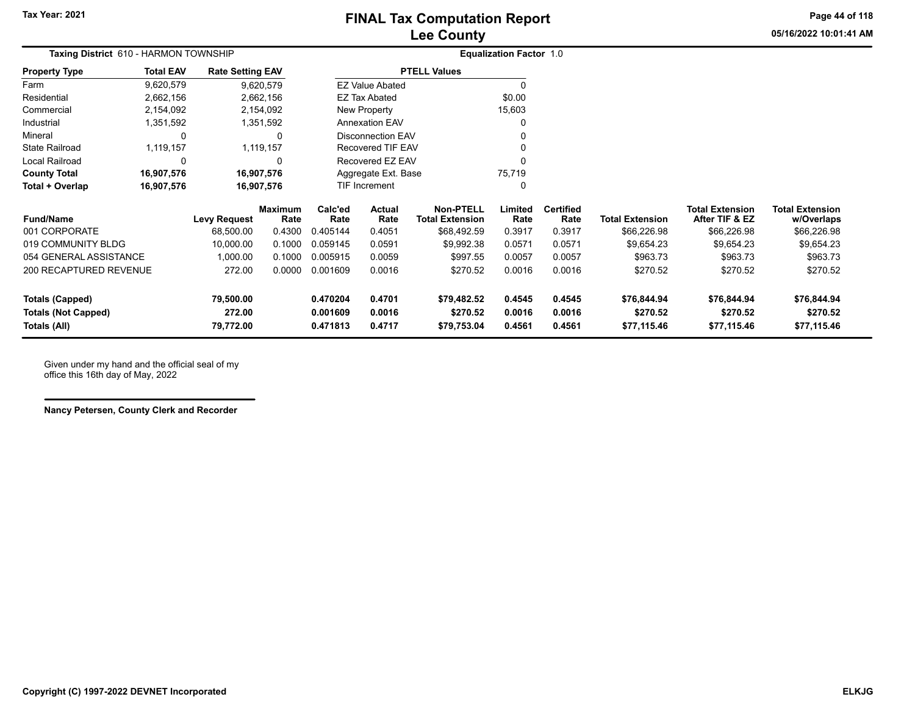**05/16/2022 10:01:41 AMPage 44 of 118**

| <b>Taxing District</b> 610 - HARMON TOWNSHIP |                  |                         |                        |                 | <b>Equalization Factor 1.0</b> |                                            |                 |                          |                        |                                          |                                      |
|----------------------------------------------|------------------|-------------------------|------------------------|-----------------|--------------------------------|--------------------------------------------|-----------------|--------------------------|------------------------|------------------------------------------|--------------------------------------|
| <b>Property Type</b>                         | <b>Total EAV</b> | <b>Rate Setting EAV</b> |                        |                 |                                | <b>PTELL Values</b>                        |                 |                          |                        |                                          |                                      |
| Farm                                         | 9,620,579        |                         | 9,620,579              |                 | <b>EZ Value Abated</b>         |                                            |                 |                          |                        |                                          |                                      |
| Residential                                  | 2,662,156        |                         | 2,662,156              |                 | <b>EZ Tax Abated</b>           |                                            | \$0.00          |                          |                        |                                          |                                      |
| Commercial                                   | 2,154,092        |                         | 2,154,092              |                 | New Property                   |                                            | 15,603          |                          |                        |                                          |                                      |
| Industrial                                   | 1,351,592        |                         | 1,351,592              |                 | <b>Annexation EAV</b>          |                                            |                 |                          |                        |                                          |                                      |
| Mineral                                      | 0                |                         |                        |                 | <b>Disconnection EAV</b>       |                                            |                 |                          |                        |                                          |                                      |
| <b>State Railroad</b>                        | 1,119,157        |                         | 1,119,157              |                 | Recovered TIF EAV              |                                            |                 |                          |                        |                                          |                                      |
| Local Railroad                               |                  |                         |                        |                 | Recovered EZ EAV               |                                            |                 |                          |                        |                                          |                                      |
| <b>County Total</b>                          | 16,907,576       |                         | 16,907,576             |                 | Aggregate Ext. Base            |                                            | 75,719          |                          |                        |                                          |                                      |
| Total + Overlap                              | 16,907,576       | 16,907,576              |                        | TIF Increment   |                                |                                            |                 |                          |                        |                                          |                                      |
| <b>Fund/Name</b>                             |                  | <b>Levy Request</b>     | <b>Maximum</b><br>Rate | Calc'ed<br>Rate | Actual<br>Rate                 | <b>Non-PTELL</b><br><b>Total Extension</b> | Limited<br>Rate | <b>Certified</b><br>Rate | <b>Total Extension</b> | <b>Total Extension</b><br>After TIF & EZ | <b>Total Extension</b><br>w/Overlaps |
| 001 CORPORATE                                |                  | 68,500.00               | 0.4300                 | 0.405144        | 0.4051                         | \$68,492.59                                | 0.3917          | 0.3917                   | \$66,226.98            | \$66,226.98                              | \$66,226.98                          |
| 019 COMMUNITY BLDG                           |                  | 10,000.00               | 0.1000                 | 0.059145        | 0.0591                         | \$9,992.38                                 | 0.0571          | 0.0571                   | \$9,654.23             | \$9,654.23                               | \$9,654.23                           |
| 054 GENERAL ASSISTANCE                       |                  | 1,000.00                | 0.1000                 | 0.005915        | 0.0059                         | \$997.55                                   | 0.0057          | 0.0057                   | \$963.73               | \$963.73                                 | \$963.73                             |
| 200 RECAPTURED REVENUE                       |                  | 272.00                  | 0.0000                 | 0.001609        | 0.0016                         | \$270.52                                   | 0.0016          | 0.0016                   | \$270.52               | \$270.52                                 | \$270.52                             |
| Totals (Capped)                              |                  | 79,500.00               |                        | 0.470204        | 0.4701                         | \$79,482.52                                | 0.4545          | 0.4545                   | \$76,844.94            | \$76,844.94                              | \$76,844.94                          |
| <b>Totals (Not Capped)</b>                   |                  | 272.00                  |                        | 0.001609        | 0.0016                         | \$270.52                                   | 0.0016          | 0.0016                   | \$270.52               | \$270.52                                 | \$270.52                             |

**Totals (All) 79,772.00 0.471813 0.4717 \$79,753.04 0.4561 0.4561 \$77,115.46 \$77,115.46 \$77,115.46**

Given under my hand and the official seal of my office this 16th day of May, 2022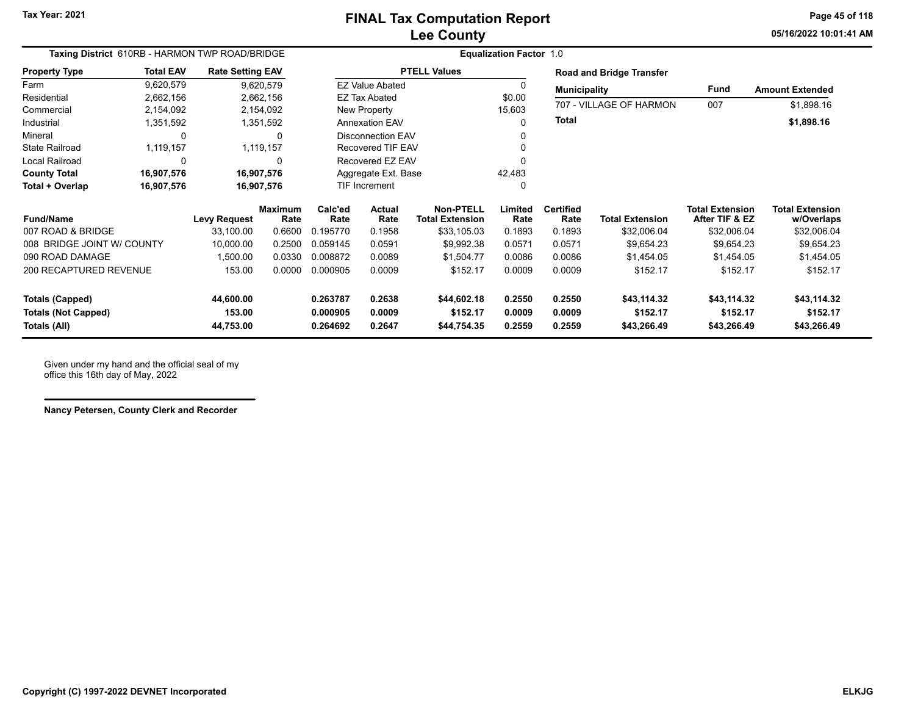**05/16/2022 10:01:41 AMPage 45 of 118**

| Taxing District 610RB - HARMON TWP ROAD/BRIDGE |                  |                         |                        | <b>Equalization Factor 1.0</b> |                          |                                            |                 |                                 |                         |                                          |                                      |  |  |
|------------------------------------------------|------------------|-------------------------|------------------------|--------------------------------|--------------------------|--------------------------------------------|-----------------|---------------------------------|-------------------------|------------------------------------------|--------------------------------------|--|--|
| <b>Property Type</b>                           | <b>Total EAV</b> | <b>Rate Setting EAV</b> |                        |                                |                          | <b>PTELL Values</b>                        |                 | <b>Road and Bridge Transfer</b> |                         |                                          |                                      |  |  |
| Farm                                           | 9,620,579        |                         | 9,620,579              |                                | <b>EZ Value Abated</b>   |                                            | 0               | <b>Municipality</b>             |                         | Fund                                     | <b>Amount Extended</b>               |  |  |
| Residential                                    | 2,662,156        |                         | 2,662,156              |                                | <b>EZ Tax Abated</b>     |                                            |                 |                                 | 707 - VILLAGE OF HARMON | 007                                      | \$1,898.16                           |  |  |
| Commercial                                     | 2,154,092        |                         | 2,154,092              |                                | New Property<br>15,603   |                                            |                 |                                 |                         |                                          |                                      |  |  |
| Industrial                                     | 1,351,592        |                         | 1,351,592              |                                | <b>Annexation EAV</b>    |                                            | 0               | <b>Total</b>                    |                         |                                          | \$1,898.16                           |  |  |
| Mineral                                        | 0                |                         | $\Omega$               |                                | <b>Disconnection EAV</b> |                                            |                 |                                 |                         |                                          |                                      |  |  |
| <b>State Railroad</b>                          | 1,119,157        |                         | 1,119,157              |                                | <b>Recovered TIF EAV</b> |                                            |                 |                                 |                         |                                          |                                      |  |  |
| <b>Local Railroad</b>                          | 0                |                         | $\mathbf{0}$           |                                | Recovered EZ EAV         |                                            |                 |                                 |                         |                                          |                                      |  |  |
| <b>County Total</b>                            | 16,907,576       | 16,907,576              |                        |                                | Aggregate Ext. Base      |                                            | 42,483          |                                 |                         |                                          |                                      |  |  |
| Total + Overlap                                | 16,907,576       | 16,907,576              |                        |                                | <b>TIF Increment</b>     |                                            |                 |                                 |                         |                                          |                                      |  |  |
| <b>Fund/Name</b>                               |                  | <b>Levy Request</b>     | <b>Maximum</b><br>Rate | Calc'ed<br>Rate                | Actual<br>Rate           | <b>Non-PTELL</b><br><b>Total Extension</b> | Limited<br>Rate | <b>Certified</b><br>Rate        | <b>Total Extension</b>  | <b>Total Extension</b><br>After TIF & EZ | <b>Total Extension</b><br>w/Overlaps |  |  |
| 007 ROAD & BRIDGE                              |                  | 33,100.00               | 0.6600                 | 0.195770                       | 0.1958                   | \$33,105.03                                | 0.1893          | 0.1893                          | \$32,006.04             | \$32,006.04                              | \$32,006.04                          |  |  |
| 008 BRIDGE JOINT W/ COUNTY                     |                  | 10,000.00               | 0.2500                 | 0.059145                       | 0.0591                   | \$9,992.38                                 | 0.0571          | 0.0571                          | \$9,654.23              | \$9,654.23                               | \$9,654.23                           |  |  |
| 090 ROAD DAMAGE                                |                  | 1,500.00                | 0.0330                 | 0.008872                       | 0.0089                   | \$1,504.77                                 | 0.0086          | 0.0086                          | \$1,454.05              | \$1,454.05                               | \$1,454.05                           |  |  |
| 200 RECAPTURED REVENUE                         |                  | 153.00                  | 0.0000                 | 0.000905                       | 0.0009                   | \$152.17                                   | 0.0009          | 0.0009                          | \$152.17                | \$152.17                                 | \$152.17                             |  |  |
| <b>Totals (Capped)</b>                         |                  | 44,600.00               |                        | 0.263787                       | 0.2638                   | \$44,602.18                                | 0.2550          | 0.2550                          | \$43,114.32             | \$43,114.32                              | \$43,114.32                          |  |  |
| <b>Totals (Not Capped)</b>                     |                  | 153.00                  |                        | 0.000905                       | 0.0009                   | \$152.17                                   | 0.0009          | 0.0009                          | \$152.17                | \$152.17                                 | \$152.17                             |  |  |
| 44,753.00<br>Totals (All)                      |                  |                         | 0.264692               | 0.2647                         | \$44,754.35              | 0.2559                                     | 0.2559          | \$43,266.49                     | \$43,266.49             | \$43,266.49                              |                                      |  |  |

Given under my hand and the official seal of my office this 16th day of May, 2022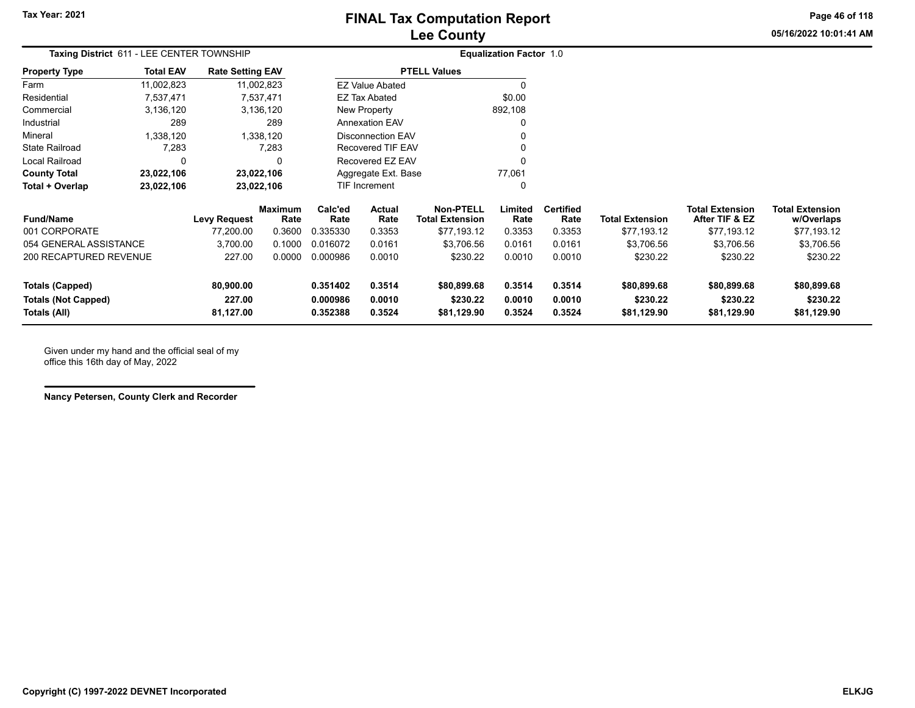### **Lee County FINAL Tax Computation Report**

**05/16/2022 10:01:41 AMPage 46 of 118**

| Taxing District 611 - LEE CENTER TOWNSHIP |                  |                         |                 |                 |                        |                                     | <b>Equalization Factor 1.0</b> |                          |                        |                                          |                                      |
|-------------------------------------------|------------------|-------------------------|-----------------|-----------------|------------------------|-------------------------------------|--------------------------------|--------------------------|------------------------|------------------------------------------|--------------------------------------|
| <b>Property Type</b>                      | <b>Total EAV</b> | <b>Rate Setting EAV</b> |                 |                 |                        | <b>PTELL Values</b>                 |                                |                          |                        |                                          |                                      |
| Farm                                      | 11,002,823       |                         | 11,002,823      |                 | <b>EZ Value Abated</b> |                                     | $\Omega$                       |                          |                        |                                          |                                      |
| Residential                               | 7,537,471        |                         | 7.537.471       |                 | EZ Tax Abated          |                                     | \$0.00                         |                          |                        |                                          |                                      |
| Commercial                                | 3,136,120        |                         | 3,136,120       |                 | New Property           |                                     | 892,108                        |                          |                        |                                          |                                      |
| Industrial                                | 289              |                         | 289             |                 | <b>Annexation EAV</b>  |                                     | 0                              |                          |                        |                                          |                                      |
| Mineral                                   | 1,338,120        |                         | 1,338,120       |                 | Disconnection EAV      |                                     | 0                              |                          |                        |                                          |                                      |
| <b>State Railroad</b>                     | 7,283            |                         | 7,283           |                 | Recovered TIF EAV      |                                     | 0                              |                          |                        |                                          |                                      |
| Local Railroad                            | $\Omega$         |                         | $\Omega$        |                 | Recovered EZ EAV       |                                     | $\Omega$                       |                          |                        |                                          |                                      |
| <b>County Total</b>                       | 23,022,106       | 23,022,106              |                 |                 | Aggregate Ext. Base    |                                     | 77,061                         |                          |                        |                                          |                                      |
| Total + Overlap                           | 23,022,106       | 23,022,106              |                 |                 | <b>TIF Increment</b>   |                                     | 0                              |                          |                        |                                          |                                      |
| <b>Fund/Name</b>                          |                  | <b>Levy Request</b>     | Maximum<br>Rate | Calc'ed<br>Rate | Actual<br>Rate         | Non-PTELL<br><b>Total Extension</b> | Limited<br>Rate                | <b>Certified</b><br>Rate | <b>Total Extension</b> | <b>Total Extension</b><br>After TIF & EZ | <b>Total Extension</b><br>w/Overlaps |
| 001 CORPORATE                             |                  | 77,200.00               | 0.3600          | 0.335330        | 0.3353                 | \$77,193.12                         | 0.3353                         | 0.3353                   | \$77,193.12            | \$77,193.12                              | \$77,193.12                          |
| 054 GENERAL ASSISTANCE                    |                  | 3,700.00                | 0.1000          | 0.016072        | 0.0161                 | \$3,706.56                          | 0.0161                         | 0.0161                   | \$3,706.56             | \$3,706.56                               | \$3,706.56                           |
| 200 RECAPTURED REVENUE                    |                  | 227.00                  | 0.0000          | 0.000986        | 0.0010                 | \$230.22                            | 0.0010                         | 0.0010                   | \$230.22               | \$230.22                                 | \$230.22                             |

**Totals (Capped) 80,900.00 0.351402 0.3514 \$80,899.68 0.3514 0.3514 \$80,899.68 \$80,899.68 \$80,899.68 Totals (Not Capped) 227.00 0.000986 0.0010 \$230.22 0.0010 0.0010 \$230.22 \$230.22 \$230.22 Totals (All) 81,127.00 0.352388 0.3524 \$81,129.90 0.3524 0.3524 \$81,129.90 \$81,129.90 \$81,129.90**

Given under my hand and the official seal of my office this 16th day of May, 2022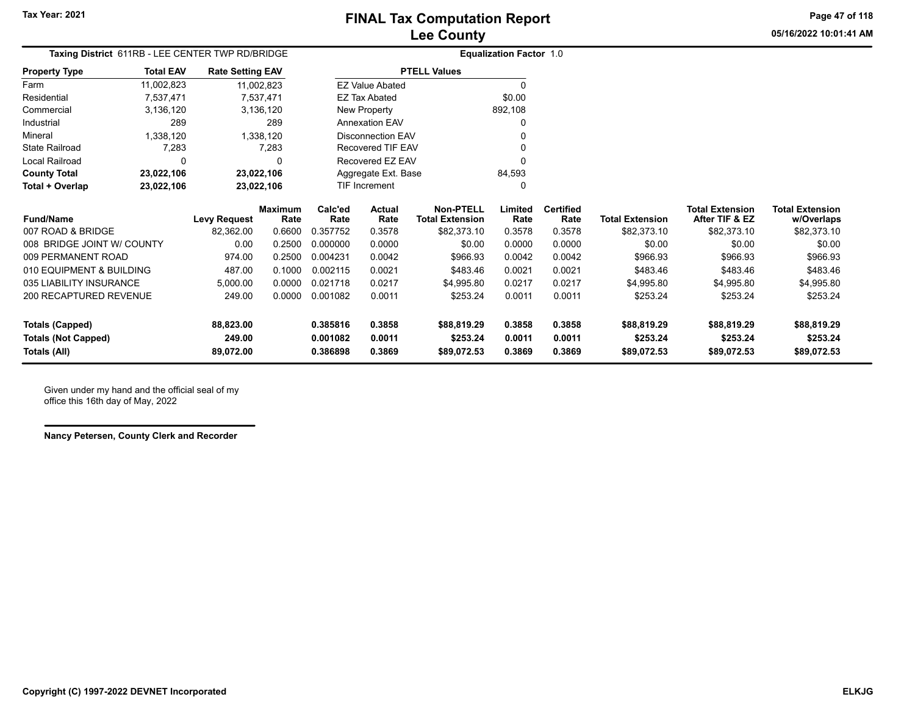**05/16/2022 10:01:41 AMPage 47 of 118**

|                               | Taxing District 611RB - LEE CENTER TWP RD/BRIDGE |                         |                        |                 | <b>Equalization Factor 1.0</b> |                                            |                 |                          |                        |                                          |                                      |
|-------------------------------|--------------------------------------------------|-------------------------|------------------------|-----------------|--------------------------------|--------------------------------------------|-----------------|--------------------------|------------------------|------------------------------------------|--------------------------------------|
| <b>Property Type</b>          | <b>Total EAV</b>                                 | <b>Rate Setting EAV</b> |                        |                 |                                | <b>PTELL Values</b>                        |                 |                          |                        |                                          |                                      |
| Farm                          | 11,002,823                                       |                         | 11,002,823             |                 | <b>EZ Value Abated</b>         |                                            | $\Omega$        |                          |                        |                                          |                                      |
| Residential                   | 7,537,471                                        |                         | 7,537,471              |                 | <b>EZ Tax Abated</b>           |                                            | \$0.00          |                          |                        |                                          |                                      |
| Commercial                    | 3,136,120                                        |                         | 3,136,120              |                 | New Property                   |                                            | 892,108         |                          |                        |                                          |                                      |
| Industrial                    | 289                                              |                         | 289                    |                 | <b>Annexation EAV</b>          |                                            | $\Omega$        |                          |                        |                                          |                                      |
| Mineral                       | 1,338,120                                        |                         | 1,338,120              |                 | <b>Disconnection EAV</b>       |                                            | n               |                          |                        |                                          |                                      |
| <b>State Railroad</b>         | 7,283                                            |                         | 7,283                  |                 | Recovered TIF EAV              |                                            | O               |                          |                        |                                          |                                      |
| <b>Local Railroad</b>         | 0                                                |                         | 0                      |                 | Recovered EZ EAV               |                                            | $\Omega$        |                          |                        |                                          |                                      |
| <b>County Total</b>           | 23,022,106                                       |                         | 23,022,106             |                 | Aggregate Ext. Base            |                                            | 84,593          |                          |                        |                                          |                                      |
| Total + Overlap               | 23,022,106                                       |                         | 23,022,106             |                 | <b>TIF Increment</b>           |                                            | 0               |                          |                        |                                          |                                      |
| <b>Fund/Name</b>              |                                                  | <b>Levy Request</b>     | <b>Maximum</b><br>Rate | Calc'ed<br>Rate | <b>Actual</b><br>Rate          | <b>Non-PTELL</b><br><b>Total Extension</b> | Limited<br>Rate | <b>Certified</b><br>Rate | <b>Total Extension</b> | <b>Total Extension</b><br>After TIF & EZ | <b>Total Extension</b><br>w/Overlaps |
| 007 ROAD & BRIDGE             |                                                  | 82,362.00               | 0.6600                 | 0.357752        | 0.3578                         | \$82,373.10                                | 0.3578          | 0.3578                   | \$82,373.10            | \$82,373.10                              | \$82,373.10                          |
| 008 BRIDGE JOINT W/ COUNTY    |                                                  | 0.00                    | 0.2500                 | 0.000000        | 0.0000                         | \$0.00                                     | 0.0000          | 0.0000                   | \$0.00                 | \$0.00                                   | \$0.00                               |
| 009 PERMANENT ROAD            |                                                  | 974.00                  | 0.2500                 | 0.004231        | 0.0042                         | \$966.93                                   | 0.0042          | 0.0042                   | \$966.93               | \$966.93                                 | \$966.93                             |
| 010 EQUIPMENT & BUILDING      |                                                  | 487.00                  | 0.1000                 | 0.002115        | 0.0021                         | \$483.46                                   | 0.0021          | 0.0021                   | \$483.46               | \$483.46                                 | \$483.46                             |
| 035 LIABILITY INSURANCE       |                                                  | 5,000.00                | 0.0000                 | 0.021718        | 0.0217                         | \$4.995.80                                 | 0.0217          | 0.0217                   | \$4,995.80             | \$4,995.80                               | \$4,995.80                           |
| <b>200 RECAPTURED REVENUE</b> |                                                  | 249.00                  | 0.0000                 | 0.001082        | 0.0011                         | \$253.24                                   | 0.0011          | 0.0011                   | \$253.24               | \$253.24                                 | \$253.24                             |
| <b>Totals (Capped)</b>        |                                                  | 88,823.00               |                        | 0.385816        | 0.3858                         | \$88,819.29                                | 0.3858          | 0.3858                   | \$88,819.29            | \$88,819.29                              | \$88,819.29                          |
| <b>Totals (Not Capped)</b>    |                                                  | 249.00                  |                        | 0.001082        | 0.0011                         | \$253.24                                   | 0.0011          | 0.0011                   | \$253.24               | \$253.24                                 | \$253.24                             |
|                               |                                                  |                         |                        | 0.386898        | 0.3869                         |                                            | 0.3869          | 0.3869                   |                        |                                          |                                      |
| Totals (All)                  |                                                  | 89,072.00               |                        |                 |                                | \$89,072.53                                |                 |                          | \$89,072.53            | \$89,072.53                              | \$89,072.53                          |

Given under my hand and the official seal of my office this 16th day of May, 2022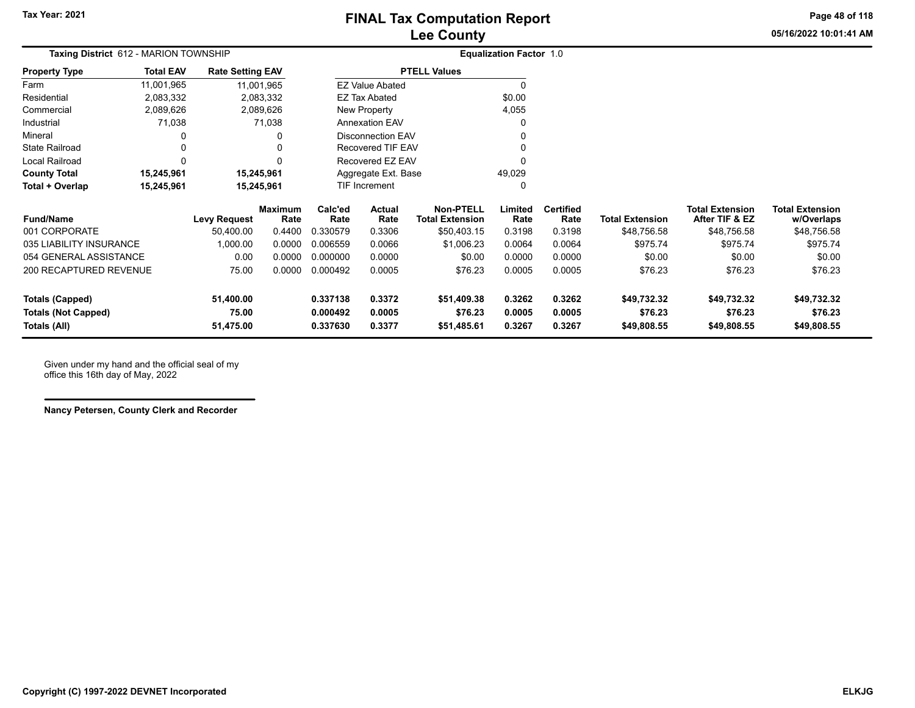**05/16/2022 10:01:41 AMPage 48 of 118**

| ιμιαιινη περνιτ |  |  |
|-----------------|--|--|
| งuntv           |  |  |

|                         | <b>Taxing District 612 - MARION TOWNSHIP</b> |                         |                 | <b>Equalization Factor 1.0</b> |                        |                                            |                 |                          |                        |            |  |
|-------------------------|----------------------------------------------|-------------------------|-----------------|--------------------------------|------------------------|--------------------------------------------|-----------------|--------------------------|------------------------|------------|--|
| <b>Property Type</b>    | <b>Total EAV</b>                             | <b>Rate Setting EAV</b> |                 |                                |                        | <b>PTELL Values</b>                        |                 |                          |                        |            |  |
| Farm                    | 11,001,965                                   |                         | 11,001,965      |                                | <b>EZ Value Abated</b> |                                            |                 |                          |                        |            |  |
| Residential             | 2,083,332                                    |                         | 2,083,332       |                                | EZ Tax Abated          |                                            | \$0.00          |                          |                        |            |  |
| Commercial              | 2,089,626                                    |                         | 2,089,626       |                                | New Property           |                                            | 4,055           |                          |                        |            |  |
| Industrial              | 71,038                                       |                         | 71,038          |                                | <b>Annexation EAV</b>  |                                            | 0               |                          |                        |            |  |
| Mineral                 | 0                                            |                         | 0               |                                | Disconnection EAV      |                                            |                 |                          |                        |            |  |
| <b>State Railroad</b>   | 0                                            |                         | 0               |                                | Recovered TIF EAV      |                                            |                 |                          |                        |            |  |
| Local Railroad          | 0                                            |                         | 0               |                                | Recovered EZ EAV       |                                            | $\Omega$        |                          |                        |            |  |
| <b>County Total</b>     | 15,245,961                                   |                         | 15,245,961      |                                | Aggregate Ext. Base    |                                            | 49,029          |                          |                        |            |  |
| Total + Overlap         | 15,245,961                                   |                         | 15,245,961      |                                | TIF Increment          |                                            | 0               |                          |                        |            |  |
| <b>Fund/Name</b>        |                                              | Levy Request            | Maximum<br>Rate | Calc'ed<br>Rate                | Actual<br>Rate         | <b>Non-PTELL</b><br><b>Total Extension</b> | Limited<br>Rate | <b>Certified</b><br>Rate | <b>Total Extension</b> | Tota<br>Af |  |
| 001 CORPORATE           |                                              | 50.400.00               | 0.4400          | 0.330579                       | 0.3306                 | \$50,403.15                                | 0.3198          | 0.3198                   | \$48,756.58            |            |  |
| 035 LIABILITY INSURANCE |                                              | 1,000.00                | 0.0000          | 0.006559                       | 0.0066                 | \$1,006.23                                 | 0.0064          | 0.0064                   | \$975.74               |            |  |
| 054 GENERAL ASSISTANCE  |                                              | 0.00                    | 0.0000          | 0.000000                       | 0.0000                 | \$0.00                                     | 0.0000          | 0.0000                   | \$0.00                 |            |  |
| 200 RECAPTURED REVENUE  |                                              | 75.00                   | 0.0000          | 0.000492                       | 0.0005                 | \$76.23                                    | 0.0005          | 0.0005                   | \$76.23                |            |  |

| <b>Fund/Name</b>           | <b>Levy Reauest</b> | Maximum<br>Rate | Calc'ed<br>Rate | <b>Actual</b><br>Rate | Non-PTELL<br>Total Extension | Limited<br>Rate | <b>Certified</b><br>Rate | <b>Total Extension</b> | <b>Total Extension</b><br>After TIF & EZ | <b>Total Extension</b><br>w/Overlaps |
|----------------------------|---------------------|-----------------|-----------------|-----------------------|------------------------------|-----------------|--------------------------|------------------------|------------------------------------------|--------------------------------------|
| 001 CORPORATE              | 50,400.00           | 0.4400          | 0.330579        | 0.3306                | \$50,403.15                  | 0.3198          | 0.3198                   | \$48,756.58            | \$48,756.58                              | \$48,756.58                          |
| 035 LIABILITY INSURANCE    | .000.00             | 0.0000          | 0.006559        | 0.0066                | \$1,006.23                   | 0.0064          | 0.0064                   | \$975.74               | \$975.74                                 | \$975.74                             |
| 054 GENERAL ASSISTANCE     | 0.00                | 0.0000          | 0.000000        | 0.0000                | \$0.00                       | 0.0000          | 0.0000                   | \$0.00                 | \$0.00                                   | \$0.00                               |
| 200 RECAPTURED REVENUE     | 75.00               | 0.0000          | 0.000492        | 0.0005                | \$76.23                      | 0.0005          | 0.0005                   | \$76.23                | \$76.23                                  | \$76.23                              |
| Totals (Capped)            | 51.400.00           |                 | 0.337138        | 0.3372                | \$51,409.38                  | 0.3262          | 0.3262                   | \$49,732.32            | \$49,732.32                              | \$49,732.32                          |
| <b>Totals (Not Capped)</b> | 75.00               |                 | 0.000492        | 0.0005                | \$76.23                      | 0.0005          | 0.0005                   | \$76.23                | \$76.23                                  | \$76.23                              |
| Totals (All)               | 51.475.00           |                 | 0.337630        | 0.3377                | \$51.485.61                  | 0.3267          | 0.3267                   | \$49.808.55            | \$49.808.55                              | \$49,808.55                          |

Given under my hand and the official seal of my office this 16th day of May, 2022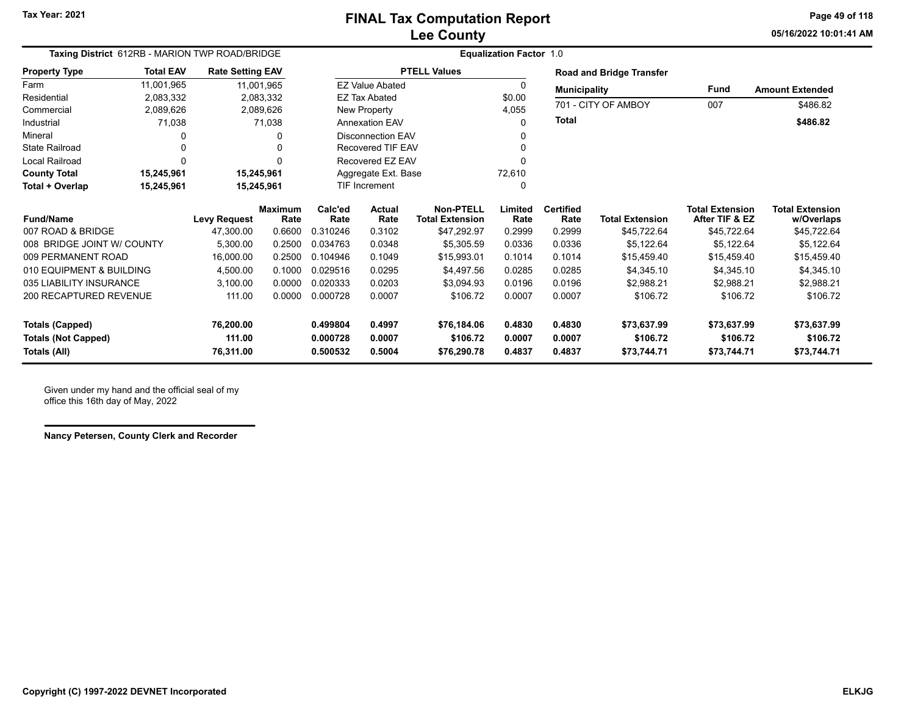**05/16/2022 10:01:41 AMPage 49 of 118**

|                            | Taxing District 612RB - MARION TWP ROAD/BRIDGE |                         |                        | <b>Equalization Factor 1.0</b> |                          |                                     |                 |                          |                                 |                                          |                                      |  |
|----------------------------|------------------------------------------------|-------------------------|------------------------|--------------------------------|--------------------------|-------------------------------------|-----------------|--------------------------|---------------------------------|------------------------------------------|--------------------------------------|--|
| <b>Property Type</b>       | <b>Total EAV</b>                               | <b>Rate Setting EAV</b> |                        |                                |                          | <b>PTELL Values</b>                 |                 |                          | <b>Road and Bridge Transfer</b> |                                          |                                      |  |
| Farm                       | 11,001,965                                     |                         | 11,001,965             |                                | <b>EZ Value Abated</b>   |                                     | 0               | <b>Municipality</b>      |                                 | <b>Fund</b>                              | <b>Amount Extended</b>               |  |
| Residential                | 2,083,332                                      |                         | 2,083,332              |                                | <b>EZ Tax Abated</b>     |                                     | \$0.00          |                          |                                 |                                          |                                      |  |
| Commercial                 | 2,089,626                                      |                         | 2,089,626              |                                | <b>New Property</b>      |                                     | 4,055           |                          | 701 - CITY OF AMBOY             | 007                                      | \$486.82                             |  |
| Industrial                 | 71,038                                         |                         | 71,038                 |                                | <b>Annexation EAV</b>    |                                     | 0               | <b>Total</b>             |                                 |                                          | \$486.82                             |  |
| Mineral                    |                                                |                         |                        |                                | Disconnection EAV        |                                     |                 |                          |                                 |                                          |                                      |  |
| <b>State Railroad</b>      | 0                                              |                         |                        |                                | <b>Recovered TIF EAV</b> |                                     |                 |                          |                                 |                                          |                                      |  |
| <b>Local Railroad</b>      | $\Omega$                                       |                         |                        |                                | Recovered EZ EAV         |                                     |                 |                          |                                 |                                          |                                      |  |
| <b>County Total</b>        | 15,245,961                                     |                         | 15,245,961             |                                | Aggregate Ext. Base      |                                     | 72,610          |                          |                                 |                                          |                                      |  |
| Total + Overlap            | 15,245,961                                     |                         | 15,245,961             |                                | <b>TIF Increment</b>     |                                     | $\mathbf{0}$    |                          |                                 |                                          |                                      |  |
| <b>Fund/Name</b>           |                                                | <b>Levy Request</b>     | <b>Maximum</b><br>Rate | Calc'ed<br>Rate                | Actual<br>Rate           | Non-PTELL<br><b>Total Extension</b> | Limited<br>Rate | <b>Certified</b><br>Rate | <b>Total Extension</b>          | <b>Total Extension</b><br>After TIF & EZ | <b>Total Extension</b><br>w/Overlaps |  |
| 007 ROAD & BRIDGE          |                                                | 47,300.00               | 0.6600                 | 0.310246                       | 0.3102                   | \$47,292.97                         | 0.2999          | 0.2999                   | \$45,722.64                     | \$45,722.64                              | \$45,722.64                          |  |
| 008 BRIDGE JOINT W/ COUNTY |                                                | 5,300.00                | 0.2500                 | 0.034763                       | 0.0348                   | \$5,305.59                          | 0.0336          | 0.0336                   | \$5,122.64                      | \$5,122.64                               | \$5,122.64                           |  |
| 009 PERMANENT ROAD         |                                                | 16,000.00               | 0.2500                 | 0.104946                       | 0.1049                   | \$15.993.01                         | 0.1014          | 0.1014                   | \$15.459.40                     | \$15.459.40                              | \$15,459.40                          |  |
| 010 EQUIPMENT & BUILDING   |                                                | 4.500.00                | 0.1000                 | 0.029516                       | 0.0295                   | \$4.497.56                          | 0.0285          | 0.0285                   | \$4.345.10                      | \$4,345.10                               | \$4,345.10                           |  |
| 035 LIABILITY INSURANCE    |                                                | 3,100.00                | 0.0000                 | 0.020333                       | 0.0203                   | \$3.094.93                          | 0.0196          | 0.0196                   | \$2.988.21                      | \$2.988.21                               | \$2,988.21                           |  |
| 200 RECAPTURED REVENUE     |                                                | 111.00                  | 0.0000                 | 0.000728                       | 0.0007                   | \$106.72                            | 0.0007          | 0.0007                   | \$106.72                        | \$106.72                                 | \$106.72                             |  |
| <b>Totals (Capped)</b>     |                                                | 76,200.00               |                        | 0.499804                       | 0.4997                   | \$76,184.06                         | 0.4830          | 0.4830                   | \$73,637.99                     | \$73,637.99                              | \$73,637.99                          |  |
| <b>Totals (Not Capped)</b> |                                                | 111.00                  |                        | 0.000728                       | 0.0007                   | \$106.72                            | 0.0007          | 0.0007                   | \$106.72                        | \$106.72                                 | \$106.72                             |  |
| Totals (All)               |                                                | 76,311.00               |                        | 0.500532                       | 0.5004                   | \$76,290.78                         | 0.4837          | 0.4837                   | \$73,744.71                     | \$73,744.71                              | \$73,744.71                          |  |

Given under my hand and the official seal of my office this 16th day of May, 2022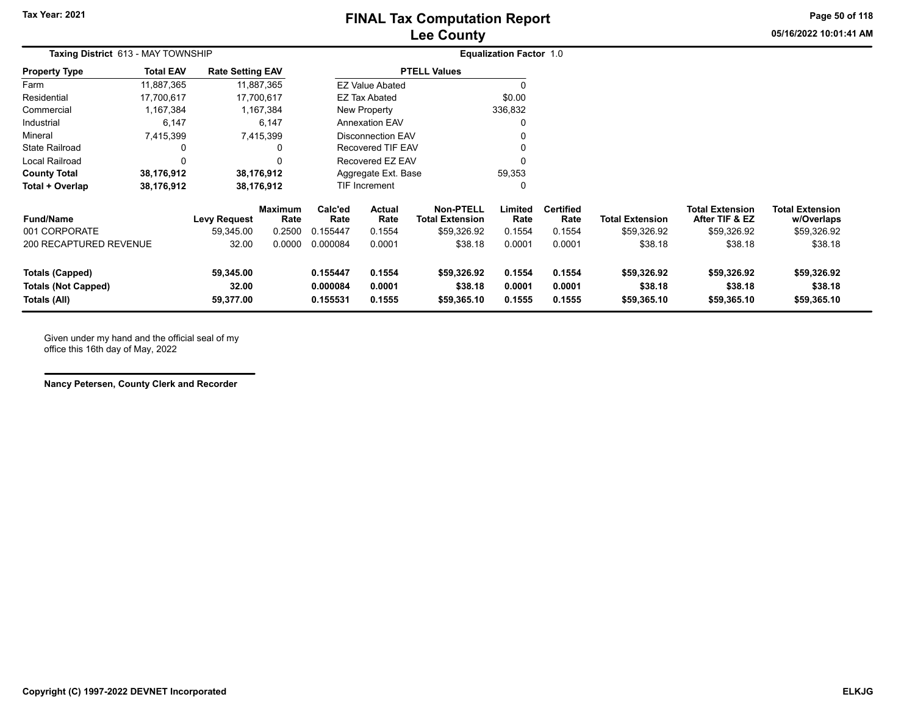# **Lee County FINAL Tax Computation Report**

**05/16/2022 10:01:41 AMPage 50 of 118**

| Taxing District 613 - MAY TOWNSHIP |                  |                         |                 | <b>Equalization Factor 1.0</b> |                          |                                            |                 |                          |                        |                                          |                                      |
|------------------------------------|------------------|-------------------------|-----------------|--------------------------------|--------------------------|--------------------------------------------|-----------------|--------------------------|------------------------|------------------------------------------|--------------------------------------|
| <b>Property Type</b>               | <b>Total EAV</b> | <b>Rate Setting EAV</b> |                 |                                |                          | <b>PTELL Values</b>                        |                 |                          |                        |                                          |                                      |
| Farm                               | 11,887,365       |                         | 11,887,365      |                                | <b>EZ Value Abated</b>   |                                            |                 |                          |                        |                                          |                                      |
| Residential                        | 17,700,617       |                         | 17,700,617      |                                | EZ Tax Abated            |                                            | \$0.00          |                          |                        |                                          |                                      |
| Commercial                         | 1,167,384        |                         | 1,167,384       |                                | New Property             |                                            | 336,832         |                          |                        |                                          |                                      |
| Industrial                         | 6,147            |                         | 6,147           |                                | <b>Annexation EAV</b>    |                                            |                 |                          |                        |                                          |                                      |
| Mineral                            | 7,415,399        |                         | 7,415,399       |                                | <b>Disconnection EAV</b> |                                            | ი               |                          |                        |                                          |                                      |
| <b>State Railroad</b>              | 0                |                         | 0               |                                | Recovered TIF EAV        |                                            | ი               |                          |                        |                                          |                                      |
| Local Railroad                     | $\Omega$         |                         | $\Omega$        |                                | Recovered EZ EAV         |                                            | ი               |                          |                        |                                          |                                      |
| <b>County Total</b>                | 38,176,912       |                         | 38,176,912      |                                | Aggregate Ext. Base      |                                            | 59,353          |                          |                        |                                          |                                      |
| Total + Overlap                    | 38,176,912       |                         | 38,176,912      |                                | TIF Increment            |                                            | 0               |                          |                        |                                          |                                      |
| <b>Fund/Name</b>                   |                  | <b>Levy Request</b>     | Maximum<br>Rate | Calc'ed<br>Rate                | Actual<br>Rate           | <b>Non-PTELL</b><br><b>Total Extension</b> | Limited<br>Rate | <b>Certified</b><br>Rate | <b>Total Extension</b> | <b>Total Extension</b><br>After TIF & EZ | <b>Total Extension</b><br>w/Overlaps |
| 001 CORPORATE                      |                  | 59,345.00               | 0.2500          | 0.155447                       | 0.1554                   | \$59,326.92                                | 0.1554          | 0.1554                   | \$59,326.92            | \$59,326.92                              | \$59,326.92                          |
| 200 RECAPTURED REVENUE             |                  | 32.00                   | 0.0000          | 0.000084                       | 0.0001                   | \$38.18                                    | 0.0001          | 0.0001                   | \$38.18                | \$38.18                                  | \$38.18                              |
| <b>Totals (Capped)</b>             |                  | 59,345.00               |                 | 0.155447                       | 0.1554                   | \$59,326.92                                | 0.1554          | 0.1554                   | \$59,326.92            | \$59,326.92                              | \$59,326.92                          |

**Totals (Not Capped) 32.00 0.000084 0.0001 \$38.18 0.0001 0.0001 \$38.18 \$38.18 \$38.18 Totals (All) 59,377.00 0.155531 0.1555 \$59,365.10 0.1555 0.1555 \$59,365.10 \$59,365.10 \$59,365.10**

Given under my hand and the official seal of my office this 16th day of May, 2022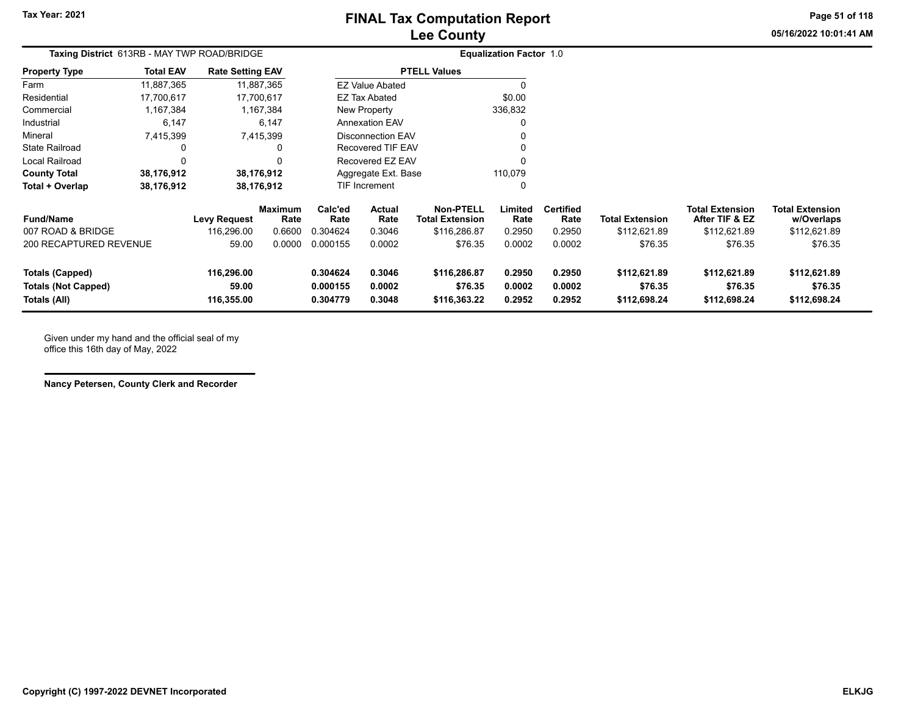**Tax Year: 2021**

# **Lee County FINAL Tax Computation Report**

**05/16/2022 10:01:41 AMPage 51 of 118**

| Taxing District 613RB - MAY TWP ROAD/BRIDGE |                  |                         |                 | <b>Equalization Factor 1.0</b> |                          |                                            |                 |                          |                        |                                          |                                      |
|---------------------------------------------|------------------|-------------------------|-----------------|--------------------------------|--------------------------|--------------------------------------------|-----------------|--------------------------|------------------------|------------------------------------------|--------------------------------------|
| <b>Property Type</b>                        | <b>Total EAV</b> | <b>Rate Setting EAV</b> |                 |                                |                          | <b>PTELL Values</b>                        |                 |                          |                        |                                          |                                      |
| Farm                                        | 11,887,365       |                         | 11,887,365      |                                | <b>EZ Value Abated</b>   |                                            | O               |                          |                        |                                          |                                      |
| Residential                                 | 17,700,617       |                         | 17,700,617      |                                | EZ Tax Abated            |                                            | \$0.00          |                          |                        |                                          |                                      |
| Commercial                                  | ,167,384         |                         | 1,167,384       |                                | New Property             |                                            | 336,832         |                          |                        |                                          |                                      |
| Industrial                                  | 6,147            |                         | 6,147           |                                | <b>Annexation EAV</b>    |                                            | $\Omega$        |                          |                        |                                          |                                      |
| Mineral                                     | 7,415,399        |                         | 7,415,399       |                                | <b>Disconnection EAV</b> |                                            | $\Omega$        |                          |                        |                                          |                                      |
| <b>State Railroad</b>                       | 0                |                         | 0               |                                | Recovered TIF EAV        |                                            | 0               |                          |                        |                                          |                                      |
| Local Railroad                              | 0                |                         | 0               |                                | Recovered EZ EAV         |                                            | $\Omega$        |                          |                        |                                          |                                      |
| <b>County Total</b>                         | 38,176,912       |                         | 38,176,912      |                                | Aggregate Ext. Base      |                                            | 110,079         |                          |                        |                                          |                                      |
| Total + Overlap                             | 38,176,912       |                         | 38,176,912      |                                | <b>TIF Increment</b>     |                                            | 0               |                          |                        |                                          |                                      |
| <b>Fund/Name</b>                            |                  | <b>Levy Request</b>     | Maximum<br>Rate | Calc'ed<br>Rate                | Actual<br>Rate           | <b>Non-PTELL</b><br><b>Total Extension</b> | Limited<br>Rate | <b>Certified</b><br>Rate | <b>Total Extension</b> | <b>Total Extension</b><br>After TIF & EZ | <b>Total Extension</b><br>w/Overlaps |
| 007 ROAD & BRIDGE                           |                  | 116,296.00              | 0.6600          | 0.304624                       | 0.3046                   | \$116,286.87                               | 0.2950          | 0.2950                   | \$112,621.89           | \$112,621.89                             | \$112,621.89                         |
| <b>200 RECAPTURED REVENUE</b>               |                  | 59.00                   | 0.0000          | 0.000155                       | 0.0002                   | \$76.35                                    | 0.0002          | 0.0002                   | \$76.35                | \$76.35                                  | \$76.35                              |

**Totals (Capped) 116,296.00 0.304624 0.3046 \$116,286.87 0.2950 0.2950 \$112,621.89 \$112,621.89 \$112,621.89 Totals (Not Capped) 59.00 0.000155 0.0002 \$76.35 0.0002 0.0002 \$76.35 \$76.35 \$76.35 Totals (All) 116,355.00 0.304779 0.3048 \$116,363.22 0.2952 0.2952 \$112,698.24 \$112,698.24 \$112,698.24**

Given under my hand and the official seal of my office this 16th day of May, 2022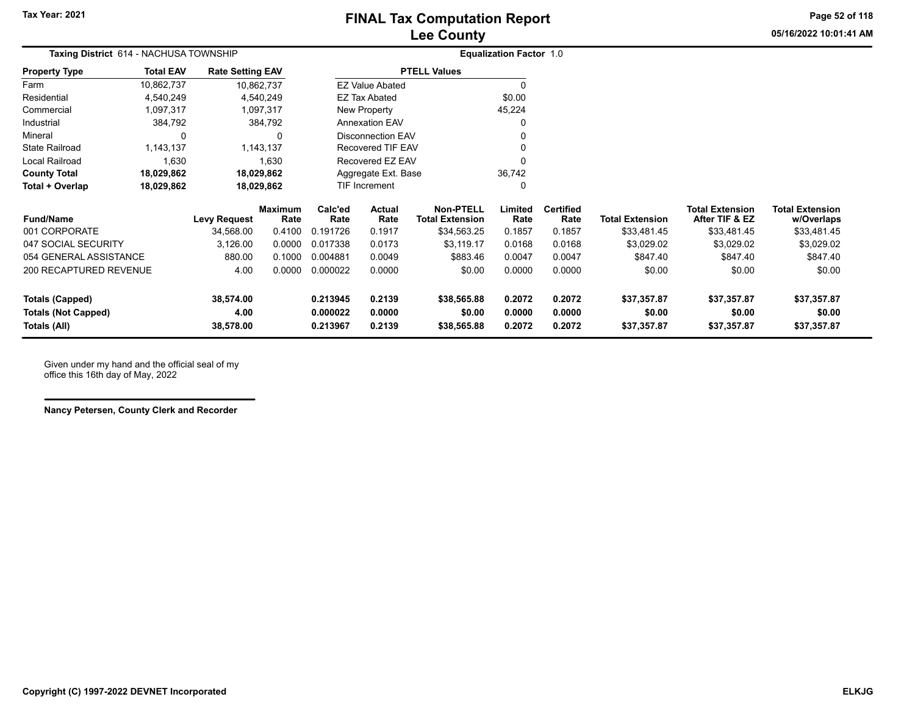**05/16/2022 10:01:41 AMPage 52 of 118**

| Taxing District 614 - NACHUSA TOWNSHIP     |                  |                         |                        |                      |                          |                                            | <b>Equalization Factor 1.0</b> |                          |                        |                                          |                                      |
|--------------------------------------------|------------------|-------------------------|------------------------|----------------------|--------------------------|--------------------------------------------|--------------------------------|--------------------------|------------------------|------------------------------------------|--------------------------------------|
| Property Type                              | <b>Total EAV</b> | <b>Rate Setting EAV</b> |                        |                      |                          | <b>PTELL Values</b>                        |                                |                          |                        |                                          |                                      |
| Farm                                       | 10,862,737       | 10,862,737              |                        |                      | <b>EZ Value Abated</b>   |                                            | $\Omega$                       |                          |                        |                                          |                                      |
| Residential                                | 4,540,249        |                         | 4,540,249              |                      | EZ Tax Abated            |                                            | \$0.00                         |                          |                        |                                          |                                      |
| Commercial                                 | 1,097,317        |                         | 1,097,317              |                      | New Property             |                                            | 45,224                         |                          |                        |                                          |                                      |
| Industrial                                 | 384,792          |                         | 384,792                |                      | <b>Annexation EAV</b>    |                                            | O                              |                          |                        |                                          |                                      |
| Mineral                                    | 0                |                         | 0                      |                      | <b>Disconnection EAV</b> |                                            |                                |                          |                        |                                          |                                      |
| State Railroad                             | 1,143,137        |                         | 1,143,137              |                      | Recovered TIF EAV        |                                            |                                |                          |                        |                                          |                                      |
| Local Railroad                             | 1,630            |                         | 1,630                  |                      | Recovered EZ EAV         |                                            |                                |                          |                        |                                          |                                      |
| <b>County Total</b>                        | 18,029,862       | 18,029,862              |                        |                      | Aggregate Ext. Base      |                                            | 36,742                         |                          |                        |                                          |                                      |
| Total + Overlap                            | 18,029,862       | 18,029,862              |                        |                      | TIF Increment            |                                            | 0                              |                          |                        |                                          |                                      |
| Fund/Name                                  |                  | <b>Levy Request</b>     | <b>Maximum</b><br>Rate | Calc'ed<br>Rate      | <b>Actual</b><br>Rate    | <b>Non-PTELL</b><br><b>Total Extension</b> | Limited<br>Rate                | <b>Certified</b><br>Rate | <b>Total Extension</b> | <b>Total Extension</b><br>After TIF & EZ | <b>Total Extension</b><br>w/Overlaps |
| 001 CORPORATE                              |                  | 34,568.00               | 0.4100                 | 0.191726             | 0.1917                   | \$34,563.25                                | 0.1857                         | 0.1857                   | \$33,481.45            | \$33,481.45                              | \$33,481.45                          |
| 047 SOCIAL SECURITY                        |                  | 3,126.00                | 0.0000                 | 0.017338             | 0.0173                   | \$3,119.17                                 | 0.0168                         | 0.0168                   | \$3,029.02             | \$3,029.02                               | \$3,029.02                           |
| 054 GENERAL ASSISTANCE                     |                  | 880.00                  | 0.1000                 | 0.004881             | 0.0049                   | \$883.46                                   | 0.0047                         | 0.0047                   | \$847.40               | \$847.40                                 | \$847.40                             |
| 200 RECAPTURED REVENUE                     |                  | 4.00                    | 0.0000                 | 0.000022             | 0.0000                   | \$0.00                                     | 0.0000                         | 0.0000                   | \$0.00                 | \$0.00                                   | \$0.00                               |
| <b>Totals (Capped)</b>                     |                  | 38,574.00               |                        | 0.213945             | 0.2139                   | \$38,565.88                                | 0.2072                         | 0.2072                   | \$37,357.87            | \$37,357.87                              | \$37,357.87                          |
| <b>Totals (Not Capped)</b><br>Totals (All) |                  | 4.00<br>38,578.00       |                        | 0.000022<br>0.213967 | 0.0000<br>0.2139         | \$0.00<br>\$38,565.88                      | 0.0000<br>0.2072               | 0.0000<br>0.2072         | \$0.00<br>\$37,357.87  | \$0.00<br>\$37,357.87                    | \$0.00<br>\$37,357.87                |
|                                            |                  |                         |                        |                      |                          |                                            |                                |                          |                        |                                          |                                      |

Given under my hand and the official seal of my office this 16th day of May, 2022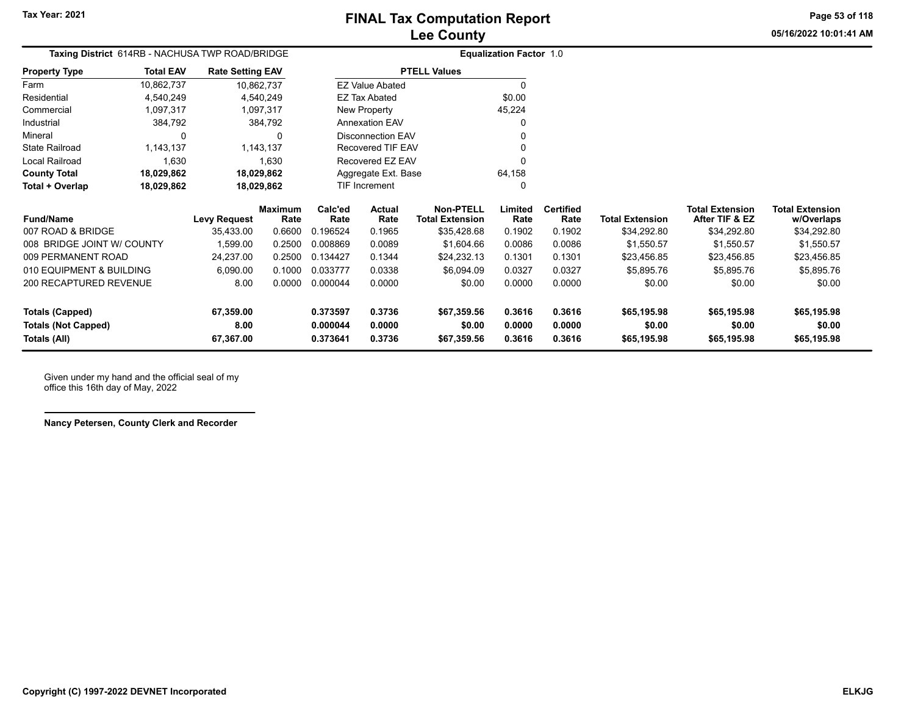**Property Type**

# **Lee County FINAL Tax Computation Report**

**05/16/2022 10:01:41 AM Page 53 of 118**

| <b>Lee County</b>   |                                | 05/16/2022 |
|---------------------|--------------------------------|------------|
|                     | <b>Equalization Factor 1.0</b> |            |
| <b>PTELL Values</b> |                                |            |
| ie Abated           |                                |            |
| Abated              | \$0.00                         |            |
| operty              | 45.224                         |            |

| Farm                  | 10,862,737 | 10,862,737 | <b>EZ Value Abated</b> |        |
|-----------------------|------------|------------|------------------------|--------|
| Residential           | 4.540.249  | 4.540.249  | EZ Tax Abated          | \$0.00 |
| Commercial            | 1.097.317  | 1,097,317  | New Property           | 45.224 |
| Industrial            | 384.792    | 384.792    | <b>Annexation EAV</b>  | 0      |
| Mineral               |            | 0          | Disconnection EAV      | 0      |
| <b>State Railroad</b> | 1.143.137  | 1.143.137  | Recovered TIF EAV      |        |
| Local Railroad        | 1.630      | 1.630      | Recovered EZ EAV       |        |
| <b>County Total</b>   | 18,029,862 | 18,029,862 | Aggregate Ext. Base    | 64.158 |
| Total + Overlap       | 18.029.862 | 18.029.862 | <b>TIF Increment</b>   |        |
|                       |            |            |                        |        |

**Rate Setting EAV** 

| <b>Fund/Name</b>           | Levy Request | <b>Maximum</b><br>Rate | Calc'ed<br>Rate | Actual<br>Rate | <b>Non-PTELL</b><br><b>Total Extension</b> | -imited<br>Rate | <b>Certified</b><br>Rate | <b>Total Extension</b> | <b>Total Extension</b><br>After TIF & EZ | <b>Total Extension</b><br>w/Overlaps |
|----------------------------|--------------|------------------------|-----------------|----------------|--------------------------------------------|-----------------|--------------------------|------------------------|------------------------------------------|--------------------------------------|
| 007 ROAD & BRIDGE          | 35.433.00    | 0.6600                 | .196524         | 0.1965         | \$35,428.68                                | 0.1902          | 0.1902                   | \$34.292.80            | \$34,292.80                              | \$34,292.80                          |
| 008 BRIDGE JOINT W/ COUNTY | 1.599.00     | 0.2500                 | 0.008869        | 0.0089         | \$1.604.66                                 | 0.0086          | 0.0086                   | \$1.550.57             | \$1.550.57                               | \$1,550.57                           |
| 009 PERMANENT ROAD         | 24.237.00    | 0.2500                 | 134427<br>0.    | 0.1344         | \$24.232.13                                | 0.1301          | 0.1301                   | \$23.456.85            | \$23,456.85                              | \$23,456.85                          |
| 010 EQUIPMENT & BUILDING   | 6.090.00     | 0.1000                 | 0.033777        | 0.0338         | \$6,094.09                                 | 0.0327          | 0.0327                   | \$5,895.76             | \$5,895.76                               | \$5,895.76                           |
| 200 RECAPTURED REVENUE     | 8.00         | 0.0000                 | 0.000044        | 0.0000         | \$0.00                                     | 0.0000          | 0.0000                   | \$0.00                 | \$0.00                                   | \$0.00                               |
| Totals (Capped)            | 67.359.00    |                        | 0.373597        | 0.3736         | \$67.359.56                                | 0.3616          | 0.3616                   | \$65,195,98            | \$65,195,98                              | \$65,195.98                          |
| <b>Totals (Not Capped)</b> | 8.00         |                        | 0.000044        | 0.0000         | \$0.00                                     | 0.0000          | 0.0000                   | \$0.00                 | \$0.00                                   | \$0.00                               |
| Totals (All)               | 67.367.00    |                        | 0.373641        | 0.3736         | \$67,359.56                                | 0.3616          | 0.3616                   | \$65,195,98            | \$65,195,98                              | \$65,195.98                          |

Given under my hand and the official seal of my office this 16th day of May, 2022

**Taxing District** 614RB - NACHUSA TWP ROAD/BRIDGE

**Total EAV**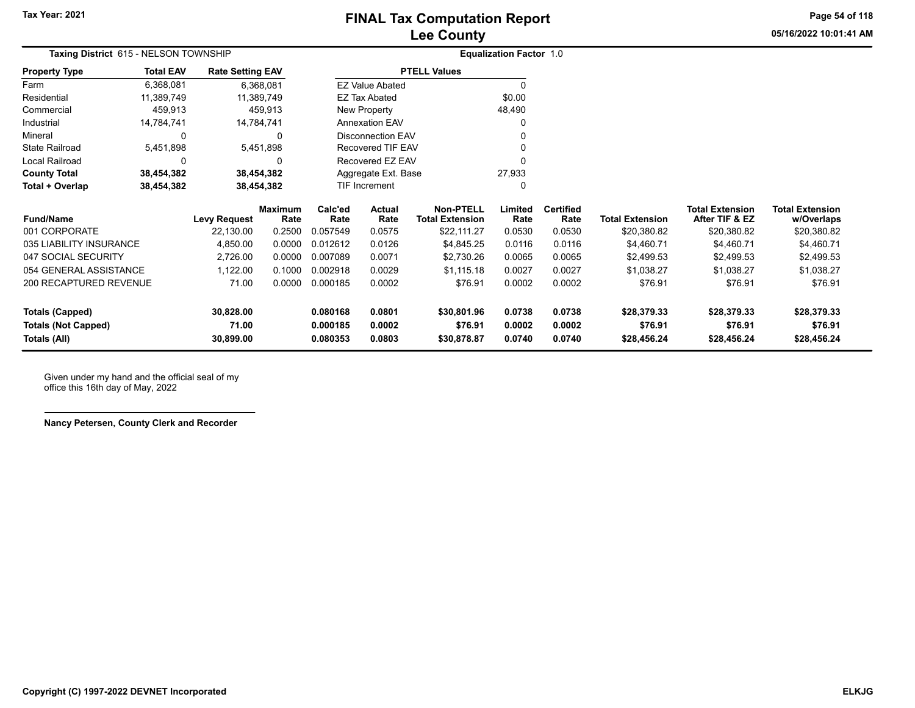**05/16/2022 10:01:41 AMPage 54 of 118**

| <b>Taxing District 615 - NELSON TOWNSHIP</b><br><b>Rate Setting EAV</b> |                               |                     |                 |                 |                          |                                            | <b>Equalization Factor 1.0</b> |                          |                        |                                          |                                      |
|-------------------------------------------------------------------------|-------------------------------|---------------------|-----------------|-----------------|--------------------------|--------------------------------------------|--------------------------------|--------------------------|------------------------|------------------------------------------|--------------------------------------|
| Property Type                                                           | <b>Total EAV</b><br>6,368,081 |                     |                 |                 |                          | <b>PTELL Values</b>                        |                                |                          |                        |                                          |                                      |
| Farm                                                                    |                               |                     | 6,368,081       |                 | <b>EZ Value Abated</b>   |                                            | $\Omega$                       |                          |                        |                                          |                                      |
| Residential                                                             | 11,389,749                    |                     | 11,389,749      |                 | <b>EZ Tax Abated</b>     |                                            | \$0.00                         |                          |                        |                                          |                                      |
| Commercial                                                              | 459,913                       |                     | 459,913         |                 | New Property             |                                            | 48,490                         |                          |                        |                                          |                                      |
| Industrial                                                              | 14,784,741                    | 14,784,741          |                 |                 | <b>Annexation EAV</b>    |                                            |                                |                          |                        |                                          |                                      |
| Mineral                                                                 | 0                             |                     |                 |                 | <b>Disconnection EAV</b> |                                            |                                |                          |                        |                                          |                                      |
| State Railroad                                                          | 5,451,898                     |                     | 5,451,898       |                 | Recovered TIF EAV        |                                            |                                |                          |                        |                                          |                                      |
| Local Railroad                                                          | 0                             |                     |                 |                 | Recovered EZ EAV         |                                            |                                |                          |                        |                                          |                                      |
| <b>County Total</b>                                                     | 38,454,382                    |                     | 38,454,382      |                 | Aggregate Ext. Base      |                                            | 27,933                         |                          |                        |                                          |                                      |
| Total + Overlap                                                         | 38,454,382                    |                     | 38,454,382      |                 | TIF Increment            |                                            |                                |                          |                        |                                          |                                      |
| Fund/Name                                                               |                               | <b>Levy Request</b> | Maximum<br>Rate | Calc'ed<br>Rate | Actual<br>Rate           | <b>Non-PTELL</b><br><b>Total Extension</b> | Limited<br>Rate                | <b>Certified</b><br>Rate | <b>Total Extension</b> | <b>Total Extension</b><br>After TIF & EZ | <b>Total Extension</b><br>w/Overlaps |
| 001 CORPORATE                                                           |                               | 22,130.00           | 0.2500          | 0.057549        | 0.0575                   | \$22,111.27                                | 0.0530                         | 0.0530                   | \$20,380.82            | \$20,380.82                              | \$20,380.82                          |
| 035 LIABILITY INSURANCE                                                 |                               | 4,850.00            | 0.0000          | 0.012612        | 0.0126                   | \$4,845.25                                 | 0.0116                         | 0.0116                   | \$4,460.71             | \$4,460.71                               | \$4,460.71                           |
| 047 SOCIAL SECURITY                                                     |                               | 2,726.00            | 0.0000          | 0.007089        | 0.0071                   | \$2,730.26                                 | 0.0065                         | 0.0065                   | \$2,499.53             | \$2,499.53                               | \$2,499.53                           |
| 054 GENERAL ASSISTANCE                                                  |                               | 1,122.00            | 0.1000          | 0.002918        | 0.0029                   | \$1,115.18                                 | 0.0027                         | 0.0027                   | \$1,038.27             | \$1,038.27                               | \$1,038.27                           |
| 200 RECAPTURED REVENUE                                                  |                               | 71.00               | 0.0000          | 0.000185        | 0.0002                   | \$76.91                                    | 0.0002                         | 0.0002                   | \$76.91                | \$76.91                                  | \$76.91                              |
| <b>Totals (Capped)</b>                                                  |                               | 30,828.00           |                 | 0.080168        | 0.0801                   | \$30,801.96                                | 0.0738                         | 0.0738                   | \$28,379.33            | \$28,379.33                              | \$28,379.33                          |
| <b>Totals (Not Capped)</b>                                              |                               | 71.00               |                 | 0.000185        | 0.0002                   | \$76.91                                    | 0.0002                         | 0.0002                   | \$76.91                | \$76.91                                  | \$76.91                              |
| Totals (All)                                                            |                               | 30,899.00           |                 | 0.080353        | 0.0803                   | \$30,878.87                                | 0.0740                         | 0.0740                   | \$28,456.24            | \$28,456.24                              | \$28,456.24                          |
|                                                                         |                               |                     |                 |                 |                          |                                            |                                |                          |                        |                                          |                                      |

Given under my hand and the official seal of my office this 16th day of May, 2022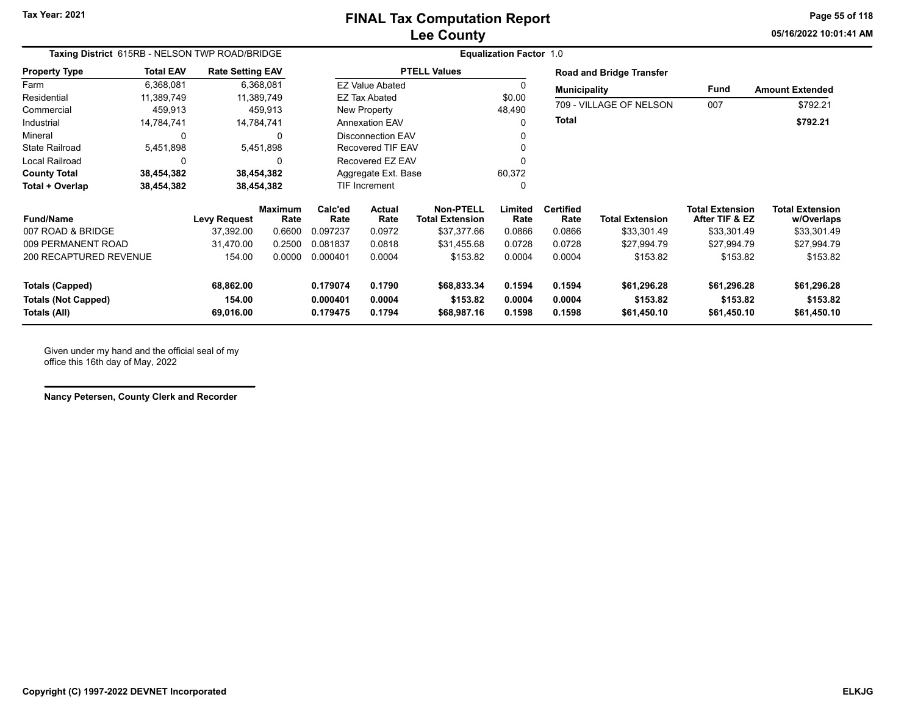**05/16/2022 10:01:41 AMPage 55 of 118**

| Taxing District 615RB - NELSON TWP ROAD/BRIDGE |                  |                         |                        | <b>Equalization Factor 1.0</b> |                          |                                            |                  |                          |                          |                                          |                                      |  |  |
|------------------------------------------------|------------------|-------------------------|------------------------|--------------------------------|--------------------------|--------------------------------------------|------------------|--------------------------|--------------------------|------------------------------------------|--------------------------------------|--|--|
| <b>Property Type</b>                           | <b>Total EAV</b> | <b>Rate Setting EAV</b> |                        |                                |                          | <b>PTELL Values</b>                        |                  |                          | Road and Bridge Transfer |                                          |                                      |  |  |
| Farm                                           | 6,368,081        |                         | 6,368,081              |                                | <b>EZ Value Abated</b>   |                                            |                  | <b>Municipality</b>      |                          | Fund                                     | <b>Amount Extended</b>               |  |  |
| Residential                                    | 11,389,749       |                         | 11,389,749             |                                | <b>EZ Tax Abated</b>     |                                            | \$0.00           |                          | 709 - VILLAGE OF NELSON  |                                          |                                      |  |  |
| Commercial                                     | 459,913          |                         | 459,913                |                                | New Property             |                                            | 48,490           |                          |                          | 007                                      | \$792.21                             |  |  |
| Industrial                                     | 14,784,741       |                         | 14,784,741             |                                | <b>Annexation EAV</b>    |                                            |                  | <b>Total</b>             |                          |                                          | \$792.21                             |  |  |
| Mineral                                        | 0                |                         | $\Omega$               |                                | <b>Disconnection EAV</b> |                                            |                  |                          |                          |                                          |                                      |  |  |
| <b>State Railroad</b>                          | 5,451,898        |                         | 5,451,898              |                                | <b>Recovered TIF EAV</b> |                                            |                  |                          |                          |                                          |                                      |  |  |
| <b>Local Railroad</b>                          | 0                |                         | <sup>0</sup>           |                                | Recovered EZ EAV         |                                            |                  |                          |                          |                                          |                                      |  |  |
| <b>County Total</b>                            | 38,454,382       |                         | 38,454,382             |                                | Aggregate Ext. Base      |                                            | 60,372           |                          |                          |                                          |                                      |  |  |
| Total + Overlap                                | 38,454,382       |                         | 38,454,382             |                                | TIF Increment            |                                            |                  |                          |                          |                                          |                                      |  |  |
| <b>Fund/Name</b>                               |                  | <b>Levy Request</b>     | <b>Maximum</b><br>Rate | Calc'ed<br>Rate                | Actual<br>Rate           | <b>Non-PTELL</b><br><b>Total Extension</b> | Limited<br>Rate  | <b>Certified</b><br>Rate | <b>Total Extension</b>   | <b>Total Extension</b><br>After TIF & EZ | <b>Total Extension</b><br>w/Overlaps |  |  |
| 007 ROAD & BRIDGE                              |                  | 37.392.00               | 0.6600                 | 0.097237                       | 0.0972                   | \$37,377.66                                | 0.0866           | 0.0866                   | \$33,301.49              | \$33,301.49                              | \$33,301.49                          |  |  |
| 009 PERMANENT ROAD                             |                  | 31,470.00               | 0.2500                 | 0.081837                       | 0.0818                   | \$31,455.68                                | 0.0728           | 0.0728                   | \$27,994.79              | \$27,994.79                              | \$27,994.79                          |  |  |
| 200 RECAPTURED REVENUE                         |                  | 154.00                  | 0.0000                 | 0.000401                       | 0.0004                   | \$153.82                                   | 0.0004           | 0.0004                   | \$153.82                 | \$153.82                                 | \$153.82                             |  |  |
| <b>Totals (Capped)</b>                         |                  | 68,862.00               |                        | 0.179074                       | 0.1790                   | \$68,833.34                                | 0.1594           | 0.1594                   | \$61,296.28              | \$61,296.28                              | \$61,296.28                          |  |  |
| <b>Totals (Not Capped)</b><br>Totals (All)     |                  | 154.00<br>69,016.00     |                        | 0.000401<br>0.179475           | 0.0004<br>0.1794         | \$153.82<br>\$68,987.16                    | 0.0004<br>0.1598 | 0.0004<br>0.1598         | \$153.82<br>\$61,450.10  | \$153.82<br>\$61,450.10                  | \$153.82<br>\$61,450.10              |  |  |

Given under my hand and the official seal of my office this 16th day of May, 2022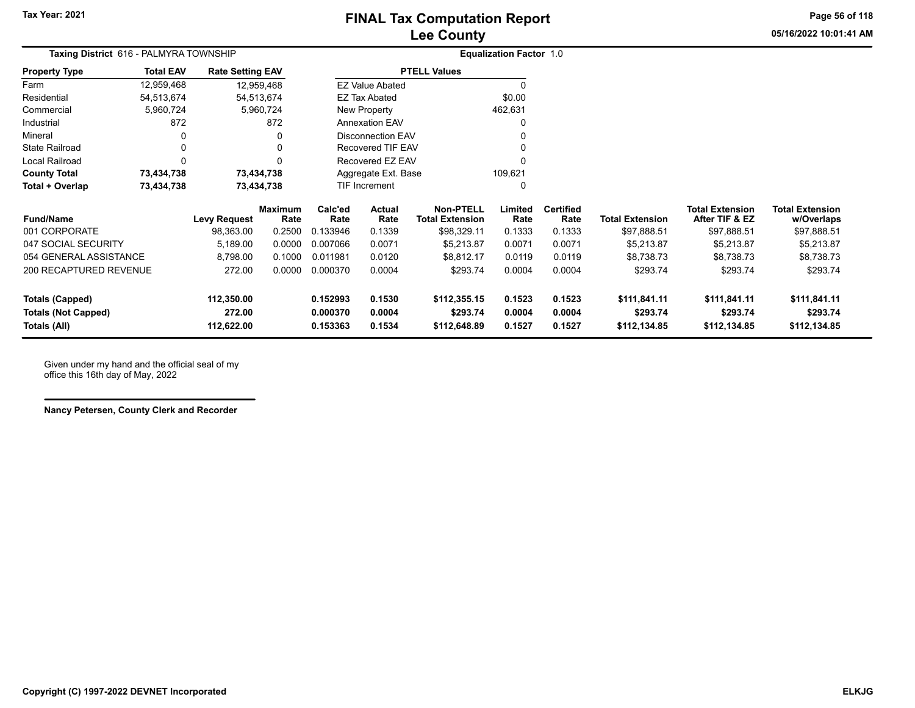**Page 56 of 118**

**05/16/2022 10:01:41 AM**

| Taxing District 616 - PALMYRA TOWNSHIP            |                  |                         |                                | <b>Equalization Factor 1.0</b> |                        |                                     |                 |                          |                        |                                          |                                      |
|---------------------------------------------------|------------------|-------------------------|--------------------------------|--------------------------------|------------------------|-------------------------------------|-----------------|--------------------------|------------------------|------------------------------------------|--------------------------------------|
| <b>Property Type</b>                              | <b>Total EAV</b> | <b>Rate Setting EAV</b> |                                |                                |                        | <b>PTELL Values</b>                 |                 |                          |                        |                                          |                                      |
| Farm                                              | 12,959,468       |                         | 12,959,468                     |                                | <b>EZ Value Abated</b> |                                     |                 |                          |                        |                                          |                                      |
| Residential                                       | 54,513,674       |                         | 54,513,674                     |                                | EZ Tax Abated          |                                     | \$0.00          |                          |                        |                                          |                                      |
| Commercial                                        | 5,960,724        |                         | 5,960,724                      |                                | New Property           |                                     | 462,631         |                          |                        |                                          |                                      |
| Industrial                                        | 872              |                         | 872                            |                                | <b>Annexation EAV</b>  |                                     | 0               |                          |                        |                                          |                                      |
| Mineral                                           | 0                |                         | 0                              |                                | Disconnection EAV      |                                     | 0               |                          |                        |                                          |                                      |
| <b>State Railroad</b>                             | 0                |                         | 0                              |                                | Recovered TIF EAV      |                                     | 0               |                          |                        |                                          |                                      |
| Local Railroad                                    |                  |                         | 0                              |                                | Recovered EZ EAV       |                                     | 0               |                          |                        |                                          |                                      |
| <b>County Total</b>                               | 73,434,738       |                         | 73,434,738                     |                                | Aggregate Ext. Base    |                                     | 109,621         |                          |                        |                                          |                                      |
| Total + Overlap                                   | 73,434,738       |                         | 73,434,738                     |                                | TIF Increment          |                                     | 0               |                          |                        |                                          |                                      |
| <b>Fund/Name</b>                                  |                  | <b>Levy Request</b>     | Maximum<br>Rate                | Calc'ed<br>Rate                | Actual<br>Rate         | <b>Non-PTELL</b><br>Total Extension | Limited<br>Rate | <b>Certified</b><br>Rate | <b>Total Extension</b> | <b>Total Extension</b><br>After TIF & EZ | <b>Total Extension</b><br>w/Overlaps |
| 001 CORPORATE                                     |                  | 98,363.00               | 0.2500                         | 0.133946                       | 0.1339                 | \$98,329.11                         | 0.1333          | 0.1333                   | \$97,888.51            | \$97,888.51                              | \$97,888.51                          |
| 047 SOCIAL SECURITY                               |                  | 5,189.00                | 0.0000                         | 0.007066                       | 0.0071                 | \$5,213.87                          | 0.0071          | 0.0071                   | \$5,213.87             | \$5,213.87                               | \$5,213.87                           |
| 054 GENERAL ASSISTANCE                            |                  | 8,798.00                | 0.1000                         | 0.011981                       | 0.0120                 | \$8,812.17                          | 0.0119          | 0.0119                   | \$8,738.73             | \$8,738.73                               | \$8,738.73                           |
| <b>200 RECAPTURED REVENUE</b><br>272.00<br>0.0000 |                  |                         | \$293.74<br>0.000370<br>0.0004 |                                |                        | 0.0004                              | 0.0004          | \$293.74                 | \$293.74               | \$293.74                                 |                                      |

| 054 GENERAL ASSISTANCE     | 8.798.00   | 0.1000 | 0.011981 | 0.0120 | \$8.812.17   | 0.0119 | 0.0119 | \$8.738.73   | \$8.738.73   | \$8.738.73   |  |
|----------------------------|------------|--------|----------|--------|--------------|--------|--------|--------------|--------------|--------------|--|
| 200 RECAPTURED REVENUE     | 272.00     | 0.0000 | 0.000370 | 0.0004 | \$293.74     | 0.0004 | 0.0004 | \$293.74     | \$293.74     | \$293.74     |  |
| Totals (Capped)            | 112.350.00 |        | 0.152993 | 0.1530 | \$112,355.15 | 0.1523 | 0.1523 | \$111.841.11 | \$111.841.11 | \$111,841.11 |  |
| <b>Totals (Not Capped)</b> | 272.00     |        | 0.000370 | 0.0004 | \$293.74     | 0.0004 | 0.0004 | \$293.74     | \$293.74     | \$293.74     |  |
| Totals (All)               | 112.622.00 |        | 0.153363 | 0.1534 | \$112,648.89 | 0.1527 | 0.1527 | \$112.134.85 | \$112.134.85 | \$112,134.85 |  |
|                            |            |        |          |        |              |        |        |              |              |              |  |

Given under my hand and the official seal of my office this 16th day of May, 2022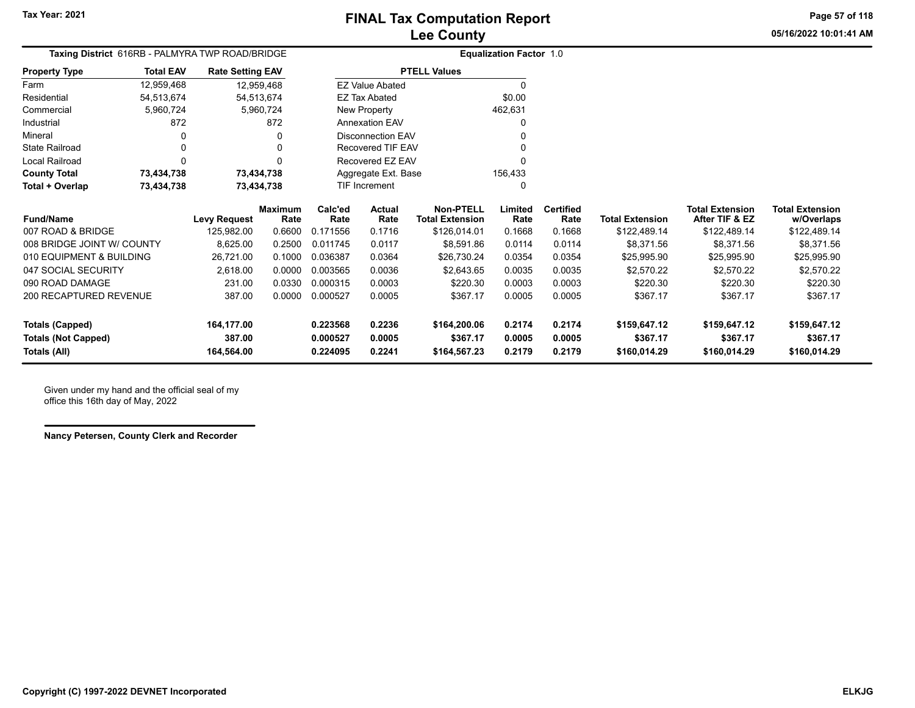**05/16/2022 10:01:41 AMPage 57 of 118**

| <b>Taxing District</b> 616RB - PALMYRA TWP ROAD/BRIDGE |                  |                         |                        | <b>Equalization Factor 1.0</b> |                        |                                            |                 |                          |                        |                                          |                                      |
|--------------------------------------------------------|------------------|-------------------------|------------------------|--------------------------------|------------------------|--------------------------------------------|-----------------|--------------------------|------------------------|------------------------------------------|--------------------------------------|
| <b>Property Type</b>                                   | <b>Total EAV</b> | <b>Rate Setting EAV</b> |                        |                                |                        | <b>PTELL Values</b>                        |                 |                          |                        |                                          |                                      |
| Farm                                                   | 12,959,468       | 12,959,468              |                        |                                | <b>EZ Value Abated</b> |                                            | $\Omega$        |                          |                        |                                          |                                      |
| Residential                                            | 54,513,674       | 54,513,674              |                        |                                | <b>EZ Tax Abated</b>   |                                            | \$0.00          |                          |                        |                                          |                                      |
| Commercial                                             | 5,960,724        |                         | 5,960,724              |                                | New Property           |                                            | 462,631         |                          |                        |                                          |                                      |
| Industrial                                             | 872              |                         | 872                    |                                | <b>Annexation EAV</b>  |                                            | O               |                          |                        |                                          |                                      |
| Mineral                                                | 0                |                         | 0                      |                                | Disconnection EAV      |                                            | ∩               |                          |                        |                                          |                                      |
| <b>State Railroad</b>                                  | 0                |                         | 0                      |                                | Recovered TIF EAV      |                                            | ŋ               |                          |                        |                                          |                                      |
| Local Railroad                                         | 0                |                         | 0                      |                                | Recovered EZ EAV       |                                            | O               |                          |                        |                                          |                                      |
| <b>County Total</b>                                    | 73,434,738       | 73,434,738              |                        |                                | Aggregate Ext. Base    |                                            | 156,433         |                          |                        |                                          |                                      |
| Total + Overlap                                        | 73,434,738       | 73,434,738              |                        |                                | <b>TIF Increment</b>   |                                            | 0               |                          |                        |                                          |                                      |
| <b>Fund/Name</b>                                       |                  | Levy Request            | <b>Maximum</b><br>Rate | Calc'ed<br>Rate                | Actual<br>Rate         | <b>Non-PTELL</b><br><b>Total Extension</b> | Limited<br>Rate | <b>Certified</b><br>Rate | <b>Total Extension</b> | <b>Total Extension</b><br>After TIF & EZ | <b>Total Extension</b><br>w/Overlaps |
| 007 ROAD & BRIDGE                                      |                  | 125,982.00              | 0.6600                 | 0.171556                       | 0.1716                 | \$126,014.01                               | 0.1668          | 0.1668                   | \$122,489.14           | \$122,489.14                             | \$122,489.14                         |
| 008 BRIDGE JOINT W/ COUNTY                             |                  | 8,625.00                | 0.2500                 | 0.011745                       | 0.0117                 | \$8,591.86                                 | 0.0114          | 0.0114                   | \$8,371.56             | \$8,371.56                               | \$8,371.56                           |
| 010 EQUIPMENT & BUILDING                               |                  | 26,721.00               | 0.1000                 | 0.036387                       | 0.0364                 | \$26,730.24                                | 0.0354          | 0.0354                   | \$25,995.90            | \$25,995.90                              | \$25,995.90                          |
| 047 SOCIAL SECURITY                                    |                  | 2,618.00                | 0.0000                 | 0.003565                       | 0.0036                 | \$2,643.65                                 | 0.0035          | 0.0035                   | \$2,570.22             | \$2,570.22                               | \$2,570.22                           |
| 090 ROAD DAMAGE                                        |                  | 231.00                  | 0.0330                 | 0.000315                       | 0.0003                 | \$220.30                                   | 0.0003          | 0.0003                   | \$220.30               | \$220.30                                 | \$220.30                             |
| 200 RECAPTURED REVENUE                                 |                  | 387.00                  | 0.0000                 | 0.000527                       | 0.0005                 | \$367.17                                   | 0.0005          | 0.0005                   | \$367.17               | \$367.17                                 | \$367.17                             |
| <b>Totals (Capped)</b>                                 |                  | 164,177.00              |                        | 0.223568                       | 0.2236                 | \$164,200.06                               | 0.2174          | 0.2174                   | \$159,647.12           | \$159,647.12                             | \$159,647.12                         |
| <b>Totals (Not Capped)</b>                             |                  | 387.00                  |                        | 0.000527                       | 0.0005                 | \$367.17                                   | 0.0005          | 0.0005                   | \$367.17               | \$367.17                                 | \$367.17                             |
| Totals (All)                                           |                  | 164,564.00              |                        | 0.224095                       | 0.2241                 | \$164,567.23                               | 0.2179          | 0.2179                   | \$160,014.29           | \$160,014.29                             | \$160,014.29                         |

Given under my hand and the official seal of my office this 16th day of May, 2022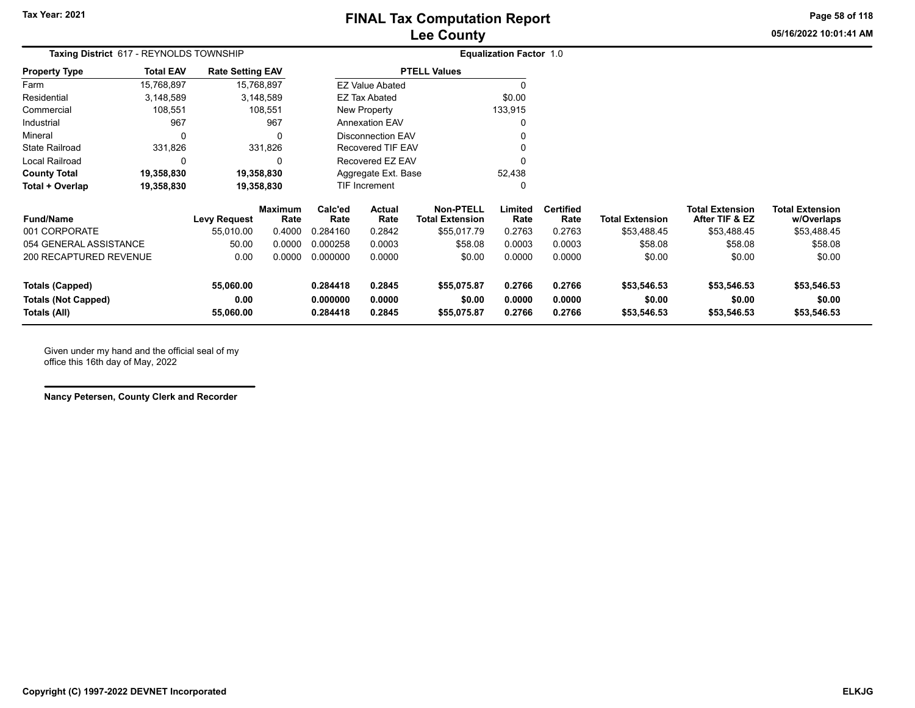**Page 58 of 118**

**05/16/2022 10:01:41 AM**

| Taxing District 617 - REYNOLDS TOWNSHIP    |                  |                         |                        |                      |                          |                                            | <b>Equalization Factor 1.0</b> |                          |                        |                                          |                                      |
|--------------------------------------------|------------------|-------------------------|------------------------|----------------------|--------------------------|--------------------------------------------|--------------------------------|--------------------------|------------------------|------------------------------------------|--------------------------------------|
| <b>Property Type</b>                       | <b>Total EAV</b> | <b>Rate Setting EAV</b> |                        |                      |                          | <b>PTELL Values</b>                        |                                |                          |                        |                                          |                                      |
| Farm                                       | 15,768,897       |                         | 15,768,897             |                      | <b>EZ Value Abated</b>   |                                            |                                |                          |                        |                                          |                                      |
| Residential                                | 3,148,589        |                         | 3,148,589              |                      | EZ Tax Abated            |                                            | \$0.00                         |                          |                        |                                          |                                      |
| Commercial                                 | 108,551          |                         | 108,551                |                      | New Property             |                                            | 133,915                        |                          |                        |                                          |                                      |
| Industrial                                 | 967              |                         | 967                    |                      | <b>Annexation EAV</b>    |                                            |                                |                          |                        |                                          |                                      |
| Mineral                                    | $\Omega$         |                         | 0                      |                      | <b>Disconnection EAV</b> |                                            |                                |                          |                        |                                          |                                      |
| <b>State Railroad</b>                      | 331,826          |                         | 331,826                |                      | Recovered TIF EAV        |                                            |                                |                          |                        |                                          |                                      |
| Local Railroad                             | 0                |                         | 0                      |                      | Recovered EZ EAV         |                                            | O                              |                          |                        |                                          |                                      |
| <b>County Total</b>                        | 19,358,830       |                         | 19,358,830             |                      | Aggregate Ext. Base      |                                            | 52,438                         |                          |                        |                                          |                                      |
| Total + Overlap                            | 19,358,830       |                         | 19,358,830             |                      | TIF Increment            |                                            | 0                              |                          |                        |                                          |                                      |
| <b>Fund/Name</b>                           |                  | Levy Request            | <b>Maximum</b><br>Rate | Calc'ed<br>Rate      | Actual<br>Rate           | <b>Non-PTELL</b><br><b>Total Extension</b> | Limited<br>Rate                | <b>Certified</b><br>Rate | <b>Total Extension</b> | <b>Total Extension</b><br>After TIF & EZ | <b>Total Extension</b><br>w/Overlaps |
| 001 CORPORATE                              |                  | 55,010.00               | 0.4000                 | 0.284160             | 0.2842                   | \$55,017.79                                | 0.2763                         | 0.2763                   | \$53,488.45            | \$53,488.45                              | \$53,488.45                          |
| 054 GENERAL ASSISTANCE                     |                  | 50.00                   | 0.0000                 | 0.000258             | 0.0003                   | \$58.08                                    | 0.0003                         | 0.0003                   | \$58.08                | \$58.08                                  | \$58.08                              |
| 200 RECAPTURED REVENUE                     |                  | 0.00                    | 0.0000                 | 0.000000             | 0.0000                   | \$0.00                                     | 0.0000                         | 0.0000                   | \$0.00                 | \$0.00                                   | \$0.00                               |
| <b>Totals (Capped)</b>                     |                  | 55,060.00               |                        | 0.284418             | 0.2845                   | \$55,075.87                                | 0.2766                         | 0.2766                   | \$53,546.53            | \$53,546.53                              | \$53,546.53                          |
| <b>Totals (Not Capped)</b><br>Totals (All) |                  | 0.00<br>55,060.00       |                        | 0.000000<br>0.284418 | 0.0000<br>0.2845         | \$0.00<br>\$55,075.87                      | 0.0000<br>0.2766               | 0.0000<br>0.2766         | \$0.00<br>\$53,546.53  | \$0.00<br>\$53,546.53                    | \$0.00<br>\$53,546.53                |

Given under my hand and the official seal of my office this 16th day of May, 2022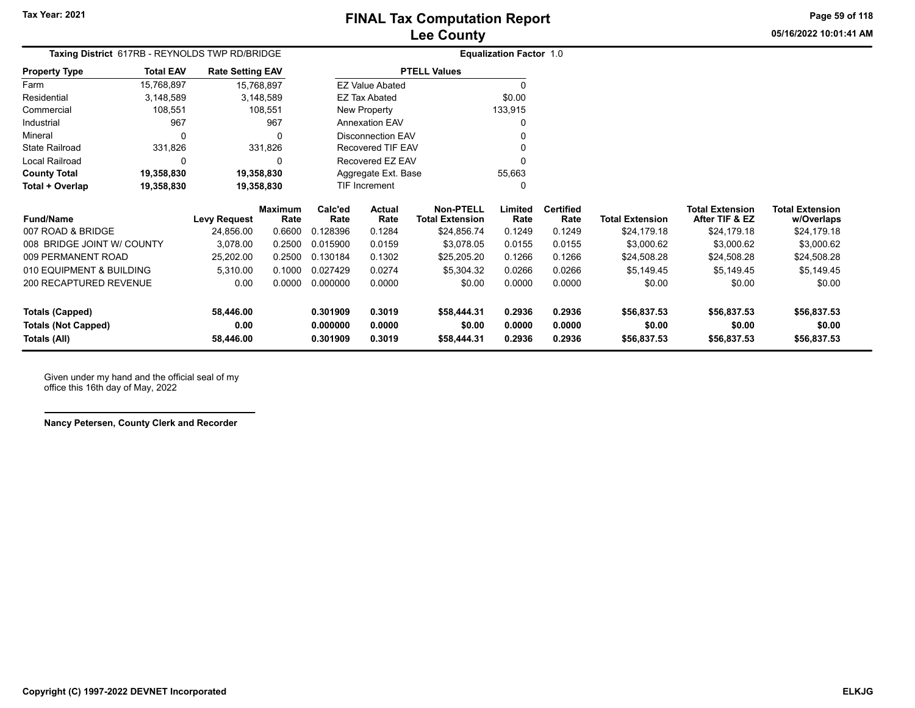**05/16/2022 10:01:41 AMPage 59 of 118**

| <b>Ischau</b> |  |  |  |
|---------------|--|--|--|
|               |  |  |  |
|               |  |  |  |

| Taxing District 617RB - REYNOLDS TWP RD/BRIDGE |                                                                         |                     |                        |                 |                        |                                            | <b>Equalization Factor 1.0</b> |                          |                        |                                          |                                      |
|------------------------------------------------|-------------------------------------------------------------------------|---------------------|------------------------|-----------------|------------------------|--------------------------------------------|--------------------------------|--------------------------|------------------------|------------------------------------------|--------------------------------------|
| <b>Property Type</b>                           | <b>Total EAV</b><br><b>Rate Setting EAV</b><br>15,768,897<br>15,768,897 |                     |                        |                 |                        | <b>PTELL Values</b>                        |                                |                          |                        |                                          |                                      |
| Farm                                           |                                                                         |                     |                        |                 | <b>EZ Value Abated</b> |                                            | $\Omega$                       |                          |                        |                                          |                                      |
| Residential                                    | 3,148,589                                                               |                     | 3,148,589              |                 | EZ Tax Abated          |                                            | \$0.00                         |                          |                        |                                          |                                      |
| Commercial                                     | 108,551                                                                 |                     | 108,551                |                 | <b>New Property</b>    |                                            | 133,915                        |                          |                        |                                          |                                      |
| Industrial                                     | 967                                                                     |                     | 967                    |                 | <b>Annexation EAV</b>  |                                            |                                |                          |                        |                                          |                                      |
| Mineral                                        |                                                                         |                     | 0                      |                 | Disconnection EAV      |                                            |                                |                          |                        |                                          |                                      |
| <b>State Railroad</b>                          | 331,826                                                                 |                     | 331,826                |                 | Recovered TIF EAV      |                                            |                                |                          |                        |                                          |                                      |
| Local Railroad                                 |                                                                         |                     | O                      |                 | Recovered EZ EAV       |                                            |                                |                          |                        |                                          |                                      |
| <b>County Total</b>                            | 19,358,830                                                              | 19,358,830          |                        |                 | Aggregate Ext. Base    |                                            | 55,663                         |                          |                        |                                          |                                      |
| Total + Overlap                                | 19,358,830                                                              | 19,358,830          |                        |                 | <b>TIF Increment</b>   |                                            | $\Omega$                       |                          |                        |                                          |                                      |
| <b>Fund/Name</b>                               |                                                                         | <b>Levy Request</b> | <b>Maximum</b><br>Rate | Calc'ed<br>Rate | Actual<br>Rate         | <b>Non-PTELL</b><br><b>Total Extension</b> | Limited<br>Rate                | <b>Certified</b><br>Rate | <b>Total Extension</b> | <b>Total Extension</b><br>After TIF & EZ | <b>Total Extension</b><br>w/Overlaps |
| 007 ROAD & BRIDGE                              |                                                                         | 24,856.00           | 0.6600                 | 0.128396        | 0.1284                 | \$24,856.74                                | 0.1249                         | 0.1249                   | \$24,179.18            | \$24,179.18                              | \$24,179.18                          |
| 008 BRIDGE JOINT W/ COUNTY                     |                                                                         | 3,078.00            | 0.2500                 | 0.015900        | 0.0159                 | \$3,078.05                                 | 0.0155                         | 0.0155                   | \$3,000.62             | \$3,000.62                               | \$3,000.62                           |
| 009 PERMANENT ROAD                             |                                                                         | 25,202.00           | 0.2500                 | 0.130184        | 0.1302                 | \$25,205.20                                | 0.1266                         | 0.1266                   | \$24,508.28            | \$24,508.28                              | \$24,508.28                          |
| 010 EQUIPMENT & BUILDING                       |                                                                         | 5,310.00            | 0.1000                 | 0.027429        | 0.0274                 | \$5,304.32                                 | 0.0266                         | 0.0266                   | \$5,149.45             | \$5,149.45                               | \$5,149.45                           |
| 200 RECAPTURED REVENUE                         |                                                                         | 0.00                | 0.0000                 | 0.000000        | 0.0000                 | \$0.00                                     | 0.0000                         | 0.0000                   | \$0.00                 | \$0.00                                   | \$0.00                               |
| Totals (Capped)                                |                                                                         | 58,446.00           |                        | 0.301909        | 0.3019                 | \$58,444.31                                | 0.2936                         | 0.2936                   | \$56,837.53            | \$56,837.53                              | \$56,837.53                          |
| <b>Totals (Not Capped)</b>                     |                                                                         | 0.00                |                        | 0.000000        | 0.0000                 | \$0.00                                     | 0.0000                         | 0.0000                   | \$0.00                 | \$0.00                                   | \$0.00                               |
| Totals (All)                                   |                                                                         | 58,446.00           |                        | 0.301909        | 0.3019                 | \$58,444.31                                | 0.2936                         | 0.2936                   | \$56,837.53            | \$56,837.53                              | \$56,837.53                          |

Given under my hand and the official seal of my office this 16th day of May, 2022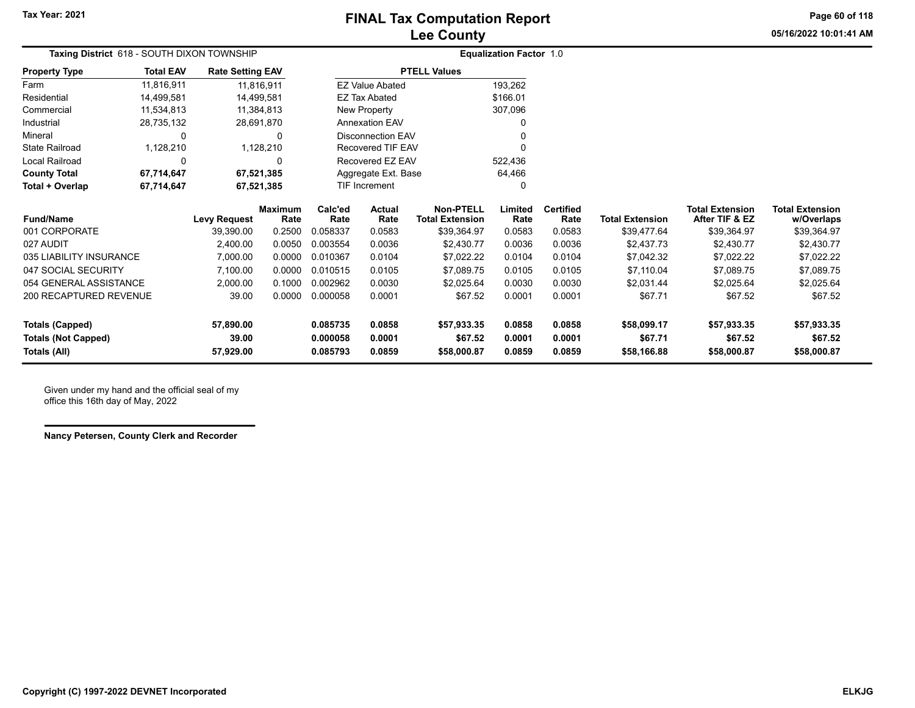**05/16/2022 10:01:41 AMPage 60 of 118**

| Taxing District 618 - SOUTH DIXON TOWNSHIP |                  |                         |                        |                 |                          |                                            | <b>Equalization Factor 1.0</b> |                          |                        |                                          |                                      |
|--------------------------------------------|------------------|-------------------------|------------------------|-----------------|--------------------------|--------------------------------------------|--------------------------------|--------------------------|------------------------|------------------------------------------|--------------------------------------|
| <b>Property Type</b>                       | <b>Total EAV</b> | <b>Rate Setting EAV</b> |                        |                 |                          | <b>PTELL Values</b>                        |                                |                          |                        |                                          |                                      |
| Farm                                       | 11,816,911       | 11,816,911              |                        |                 | <b>EZ Value Abated</b>   |                                            | 193,262                        |                          |                        |                                          |                                      |
| Residential                                | 14.499.581       | 14.499.581              |                        |                 | <b>EZ Tax Abated</b>     |                                            | \$166.01                       |                          |                        |                                          |                                      |
| Commercial                                 | 11,534,813       | 11,384,813              |                        |                 | New Property             |                                            | 307,096                        |                          |                        |                                          |                                      |
| Industrial                                 | 28,735,132       | 28,691,870              |                        |                 | <b>Annexation EAV</b>    |                                            |                                |                          |                        |                                          |                                      |
| Mineral                                    | $\Omega$         |                         | $\Omega$               |                 | <b>Disconnection EAV</b> |                                            |                                |                          |                        |                                          |                                      |
| <b>State Railroad</b>                      | 1,128,210        | 1,128,210               |                        |                 | <b>Recovered TIF EAV</b> |                                            |                                |                          |                        |                                          |                                      |
| <b>Local Railroad</b>                      | $\Omega$         |                         | $\Omega$               |                 | Recovered EZ EAV         |                                            | 522,436                        |                          |                        |                                          |                                      |
| <b>County Total</b>                        | 67,714,647       | 67,521,385              |                        |                 | Aggregate Ext. Base      |                                            | 64,466                         |                          |                        |                                          |                                      |
| Total + Overlap                            | 67,714,647       | 67,521,385              |                        |                 | <b>TIF Increment</b>     |                                            | 0                              |                          |                        |                                          |                                      |
| <b>Fund/Name</b>                           |                  | <b>Levy Request</b>     | <b>Maximum</b><br>Rate | Calc'ed<br>Rate | <b>Actual</b><br>Rate    | <b>Non-PTELL</b><br><b>Total Extension</b> | Limited<br>Rate                | <b>Certified</b><br>Rate | <b>Total Extension</b> | <b>Total Extension</b><br>After TIF & EZ | <b>Total Extension</b><br>w/Overlaps |
| 001 CORPORATE                              |                  | 39,390.00               | 0.2500                 | 0.058337        | 0.0583                   | \$39,364.97                                | 0.0583                         | 0.0583                   | \$39,477.64            | \$39,364.97                              | \$39,364.97                          |
| 027 AUDIT                                  |                  | 2,400.00                | 0.0050                 | 0.003554        | 0.0036                   | \$2.430.77                                 | 0.0036                         | 0.0036                   | \$2.437.73             | \$2.430.77                               | \$2,430.77                           |
| 035 LIABILITY INSURANCE                    |                  | 7,000.00                | 0.0000                 | 0.010367        | 0.0104                   | \$7,022.22                                 | 0.0104                         | 0.0104                   | \$7,042.32             | \$7,022.22                               | \$7,022.22                           |
| 047 SOCIAL SECURITY                        |                  | 7,100.00                | 0.0000                 | 0.010515        | 0.0105                   | \$7,089.75                                 | 0.0105                         | 0.0105                   | \$7,110.04             | \$7,089.75                               | \$7,089.75                           |
| 054 GENERAL ASSISTANCE                     |                  | 2,000.00                | 0.1000                 | 0.002962        | 0.0030                   | \$2,025.64                                 | 0.0030                         | 0.0030                   | \$2,031.44             | \$2,025.64                               | \$2,025.64                           |
| 200 RECAPTURED REVENUE                     |                  | 39.00                   | 0.0000                 | 0.000058        | 0.0001                   | \$67.52                                    | 0.0001                         | 0.0001                   | \$67.71                | \$67.52                                  | \$67.52                              |
| <b>Totals (Capped)</b>                     |                  | 57,890.00               |                        | 0.085735        | 0.0858                   | \$57,933.35                                | 0.0858                         | 0.0858                   | \$58,099.17            | \$57,933.35                              | \$57,933.35                          |
| <b>Totals (Not Capped)</b>                 |                  | 39.00                   |                        | 0.000058        | 0.0001                   | \$67.52                                    | 0.0001                         | 0.0001                   | \$67.71                | \$67.52                                  | \$67.52                              |
| Totals (All)                               |                  | 57,929.00               |                        | 0.085793        | 0.0859                   | \$58,000.87                                | 0.0859                         | 0.0859                   | \$58,166.88            | \$58,000.87                              | \$58,000.87                          |

Given under my hand and the official seal of my office this 16th day of May, 2022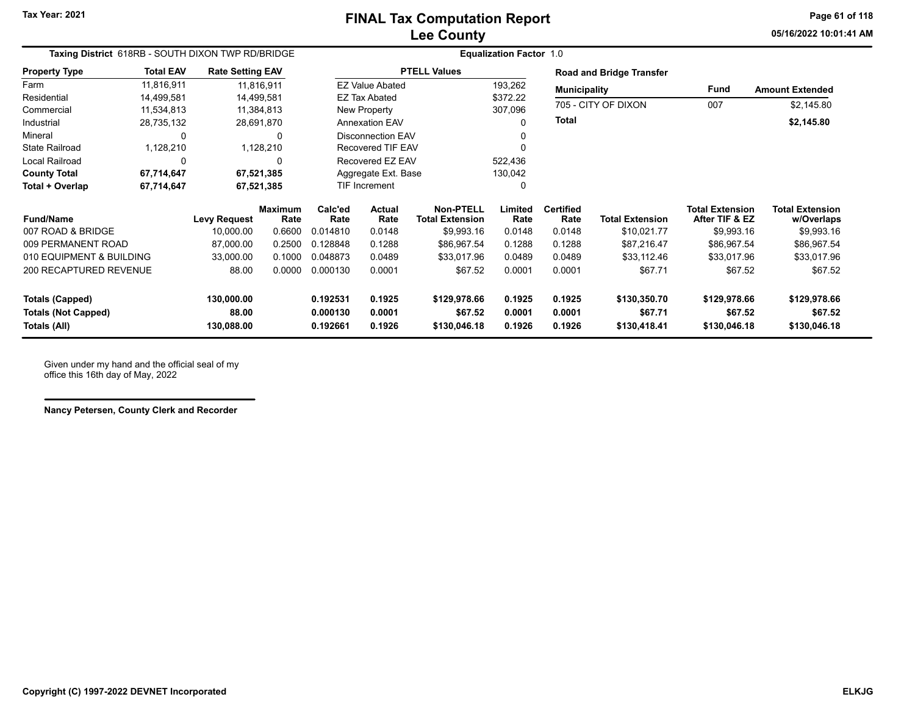**05/16/2022 10:01:41 AMPage 61 of 118**

| Taxing District 618RB - SOUTH DIXON TWP RD/BRIDGE |                          |                         |                        |                 |                          | <b>Equalization Factor 1.0</b>             |                 |                          |                          |                                          |                                      |
|---------------------------------------------------|--------------------------|-------------------------|------------------------|-----------------|--------------------------|--------------------------------------------|-----------------|--------------------------|--------------------------|------------------------------------------|--------------------------------------|
| <b>Property Type</b>                              | <b>Total EAV</b>         | <b>Rate Setting EAV</b> |                        |                 |                          | <b>PTELL Values</b>                        |                 |                          | Road and Bridge Transfer |                                          |                                      |
| Farm                                              | 11,816,911               | 11,816,911              |                        |                 | <b>EZ Value Abated</b>   |                                            | 193,262         | <b>Municipality</b>      |                          | <b>Fund</b>                              | <b>Amount Extended</b>               |
| Residential                                       | 14,499,581               | 14,499,581              |                        |                 | EZ Tax Abated            |                                            | \$372.22        |                          |                          |                                          |                                      |
| Commercial                                        | 11,534,813               | 11,384,813              |                        |                 | New Property             |                                            | 307,096         | 705 - CITY OF DIXON      |                          | 007                                      | \$2,145.80                           |
| Industrial                                        | 28,735,132               | 28,691,870              |                        |                 | <b>Annexation EAV</b>    |                                            | $\Omega$        | <b>Total</b>             |                          |                                          | \$2,145.80                           |
| Mineral                                           | $\Omega$                 |                         | 0                      |                 | <b>Disconnection EAV</b> |                                            |                 |                          |                          |                                          |                                      |
| State Railroad                                    | 1,128,210                |                         | 1,128,210              |                 | Recovered TIF EAV        |                                            | $\Omega$        |                          |                          |                                          |                                      |
| Local Railroad                                    | $\Omega$                 |                         | 0                      |                 | Recovered EZ EAV         |                                            | 522,436         |                          |                          |                                          |                                      |
| <b>County Total</b>                               | 67,714,647               | 67,521,385              |                        |                 | Aggregate Ext. Base      |                                            | 130,042         |                          |                          |                                          |                                      |
| Total + Overlap                                   | 67,714,647<br>67,521,385 |                         |                        | TIF Increment   |                          | 0                                          |                 |                          |                          |                                          |                                      |
| <b>Fund/Name</b>                                  |                          | <b>Levy Request</b>     | <b>Maximum</b><br>Rate | Calc'ed<br>Rate | Actual<br>Rate           | <b>Non-PTELL</b><br><b>Total Extension</b> | Limited<br>Rate | <b>Certified</b><br>Rate | <b>Total Extension</b>   | <b>Total Extension</b><br>After TIF & EZ | <b>Total Extension</b><br>w/Overlaps |
| 007 ROAD & BRIDGE                                 |                          | 10,000.00               | 0.6600                 | 0.014810        | 0.0148                   | \$9,993.16                                 | 0.0148          | 0.0148                   | \$10,021.77              | \$9,993.16                               | \$9,993.16                           |
| 009 PERMANENT ROAD                                |                          | 87,000.00               | 0.2500                 | 0.128848        | 0.1288                   | \$86,967.54                                | 0.1288          | 0.1288                   | \$87,216.47              | \$86,967.54                              | \$86,967.54                          |
| 010 EQUIPMENT & BUILDING                          |                          | 33,000.00               | 0.1000                 | 0.048873        | 0.0489                   | \$33,017.96                                | 0.0489          | 0.0489                   | \$33,112.46              | \$33,017.96                              | \$33,017.96                          |
| 200 RECAPTURED REVENUE                            |                          | 88.00                   | 0.0000                 | 0.000130        | 0.0001                   | \$67.52                                    | 0.0001          | 0.0001                   | \$67.71                  | \$67.52                                  | \$67.52                              |
| Totals (Capped)                                   |                          | 130,000.00              |                        | 0.192531        | 0.1925                   | \$129,978.66                               | 0.1925          | 0.1925                   | \$130,350.70             | \$129,978.66                             | \$129,978.66                         |
| <b>Totals (Not Capped)</b>                        |                          | 88.00                   |                        | 0.000130        | 0.0001                   | \$67.52                                    | 0.0001          | 0.0001                   | \$67.71                  | \$67.52                                  | \$67.52                              |
| Totals (All)                                      |                          | 130,088.00              |                        | 0.192661        | 0.1926                   | \$130,046.18                               | 0.1926          | 0.1926                   | \$130,418.41             | \$130,046.18                             | \$130,046.18                         |

Given under my hand and the official seal of my office this 16th day of May, 2022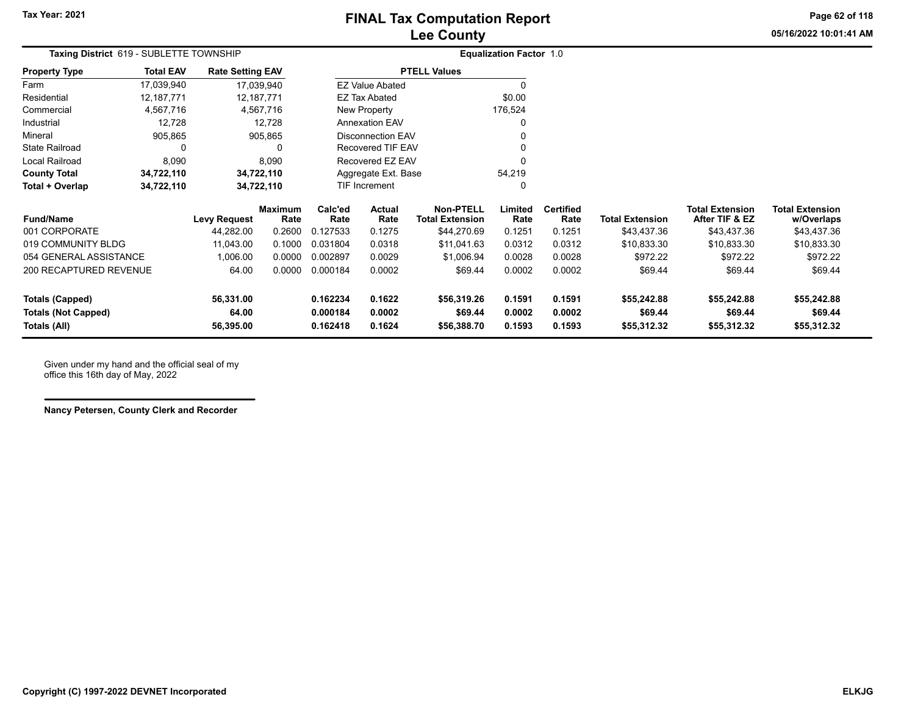**05/16/2022 10:01:41 AMPage 62 of 118**

| <b>Taxing District</b> 619 - SUBLETTE TOWNSHIP |                  |                         |                 | <b>Equalization Factor 1.0</b> |                          |                                            |                  |                          |                        |                                          |                                      |
|------------------------------------------------|------------------|-------------------------|-----------------|--------------------------------|--------------------------|--------------------------------------------|------------------|--------------------------|------------------------|------------------------------------------|--------------------------------------|
| Property Type                                  | <b>Total EAV</b> | <b>Rate Setting EAV</b> |                 |                                |                          | <b>PTELL Values</b>                        |                  |                          |                        |                                          |                                      |
| Farm                                           | 17,039,940       | 17,039,940              |                 |                                | <b>EZ Value Abated</b>   |                                            | $\Omega$         |                          |                        |                                          |                                      |
| Residential                                    | 12,187,771       | 12,187,771              |                 |                                | <b>EZ Tax Abated</b>     |                                            | \$0.00           |                          |                        |                                          |                                      |
| Commercial                                     | 4,567,716        |                         | 4,567,716       |                                | New Property             |                                            | 176,524          |                          |                        |                                          |                                      |
| Industrial                                     | 12,728           |                         | 12,728          |                                | <b>Annexation EAV</b>    |                                            | $\Omega$         |                          |                        |                                          |                                      |
| Mineral                                        | 905,865          |                         | 905,865         |                                | <b>Disconnection EAV</b> |                                            | $\Omega$         |                          |                        |                                          |                                      |
| State Railroad                                 | 0                |                         |                 |                                | Recovered TIF EAV        |                                            | $\Omega$         |                          |                        |                                          |                                      |
| Local Railroad                                 | 8,090            |                         | 8,090           |                                | Recovered EZ EAV         |                                            | 0                |                          |                        |                                          |                                      |
| <b>County Total</b>                            | 34,722,110       | 34,722,110              |                 |                                | Aggregate Ext. Base      |                                            | 54,219           |                          |                        |                                          |                                      |
| Total + Overlap                                | 34,722,110       | 34,722,110              |                 |                                | TIF Increment            |                                            | 0                |                          |                        |                                          |                                      |
| <b>Fund/Name</b>                               |                  | <b>Levy Request</b>     | Maximum<br>Rate | Calc'ed<br>Rate                | Actual<br>Rate           | <b>Non-PTELL</b><br><b>Total Extension</b> | Limited<br>Rate  | <b>Certified</b><br>Rate | <b>Total Extension</b> | <b>Total Extension</b><br>After TIF & EZ | <b>Total Extension</b><br>w/Overlaps |
| 001 CORPORATE                                  |                  | 44,282.00               | 0.2600          | 0.127533                       | 0.1275                   | \$44,270.69                                | 0.1251           | 0.1251                   | \$43,437.36            | \$43,437.36                              | \$43,437.36                          |
| 019 COMMUNITY BLDG                             |                  | 11,043.00               | 0.1000          | 0.031804                       | 0.0318                   | \$11,041.63                                | 0.0312           | 0.0312                   | \$10,833.30            | \$10,833.30                              | \$10,833.30                          |
| 054 GENERAL ASSISTANCE                         |                  | 1,006.00                | 0.0000          | 0.002897                       | 0.0029                   | \$1,006.94                                 | 0.0028           | 0.0028                   | \$972.22               | \$972.22                                 | \$972.22                             |
| 200 RECAPTURED REVENUE                         |                  | 64.00                   | 0.0000          | 0.000184                       | 0.0002                   | \$69.44                                    | 0.0002           | 0.0002                   | \$69.44                | \$69.44                                  | \$69.44                              |
| <b>Totals (Capped)</b>                         |                  | 56,331.00               |                 | 0.162234                       | 0.1622                   | \$56,319.26                                | 0.1591           | 0.1591                   | \$55,242.88            | \$55,242.88                              | \$55,242.88                          |
| Totals (Not Capped)<br>Totals (All)            |                  | 64.00<br>56,395.00      |                 | 0.000184<br>0.162418           | 0.0002<br>0.1624         | \$69.44<br>\$56,388.70                     | 0.0002<br>0.1593 | 0.0002<br>0.1593         | \$69.44<br>\$55,312.32 | \$69.44<br>\$55,312.32                   | \$69.44<br>\$55,312.32               |

Given under my hand and the official seal of my office this 16th day of May, 2022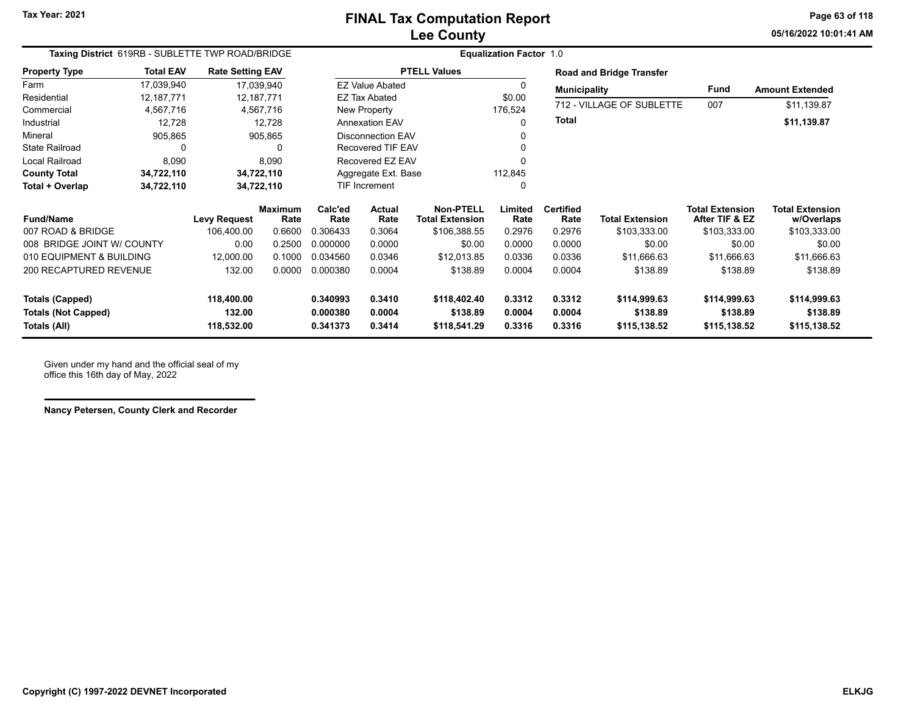**05/16/2022 10:01:41 AMPage 63 of 118**

| Taxing District 619RB - SUBLETTE TWP ROAD/BRIDGE |                  |                         |                        | <b>Equalization Factor 1.0</b> |                          |                                            |                                     |                          |                                 |                                          |                                      |
|--------------------------------------------------|------------------|-------------------------|------------------------|--------------------------------|--------------------------|--------------------------------------------|-------------------------------------|--------------------------|---------------------------------|------------------------------------------|--------------------------------------|
| <b>Property Type</b>                             | <b>Total EAV</b> | <b>Rate Setting EAV</b> |                        |                                |                          | <b>PTELL Values</b>                        |                                     |                          | <b>Road and Bridge Transfer</b> |                                          |                                      |
| Farm                                             | 17,039,940       |                         | 17,039,940             |                                | <b>EZ Value Abated</b>   |                                            |                                     | <b>Municipality</b>      |                                 | Fund                                     | <b>Amount Extended</b>               |
| Residential                                      | 12,187,771       | 12,187,771              |                        |                                | <b>EZ Tax Abated</b>     |                                            | \$0.00<br>712 - VILLAGE OF SUBLETTE |                          | 007                             |                                          |                                      |
| Commercial                                       | 4,567,716        |                         | 4,567,716              |                                | New Property             |                                            | 176,524                             |                          |                                 |                                          | \$11,139.87                          |
| Industrial                                       | 12,728           |                         | 12,728                 |                                | <b>Annexation EAV</b>    |                                            |                                     | <b>Total</b>             |                                 |                                          | \$11,139.87                          |
| Mineral                                          | 905,865          |                         | 905,865                |                                | <b>Disconnection EAV</b> |                                            |                                     |                          |                                 |                                          |                                      |
| <b>State Railroad</b>                            | 0                |                         | <sup>0</sup>           |                                | Recovered TIF EAV        |                                            |                                     |                          |                                 |                                          |                                      |
| <b>Local Railroad</b>                            | 8,090            |                         | 8,090                  |                                | Recovered EZ EAV         |                                            |                                     |                          |                                 |                                          |                                      |
| <b>County Total</b>                              | 34,722,110       |                         | 34,722,110             |                                | Aggregate Ext. Base      |                                            | 112,845                             |                          |                                 |                                          |                                      |
| Total + Overlap                                  | 34,722,110       |                         | 34,722,110             |                                | <b>TIF Increment</b>     |                                            | 0                                   |                          |                                 |                                          |                                      |
| <b>Fund/Name</b>                                 |                  | <b>Levy Request</b>     | <b>Maximum</b><br>Rate | Calc'ed<br>Rate                | Actual<br>Rate           | <b>Non-PTELL</b><br><b>Total Extension</b> | Limited<br>Rate                     | <b>Certified</b><br>Rate | <b>Total Extension</b>          | <b>Total Extension</b><br>After TIF & EZ | <b>Total Extension</b><br>w/Overlaps |
| 007 ROAD & BRIDGE                                |                  | 106,400.00              | 0.6600                 | 0.306433                       | 0.3064                   | \$106,388.55                               | 0.2976                              | 0.2976                   | \$103,333.00                    | \$103,333.00                             | \$103,333.00                         |
| 008 BRIDGE JOINT W/ COUNTY                       |                  | 0.00                    | 0.2500                 | 0.000000                       | 0.0000                   | \$0.00                                     | 0.0000                              | 0.0000                   | \$0.00                          | \$0.00                                   | \$0.00                               |
| 010 EQUIPMENT & BUILDING                         |                  | 12,000.00               | 0.1000                 | 0.034560                       | 0.0346                   | \$12,013.85                                | 0.0336                              | 0.0336                   | \$11,666.63                     | \$11,666.63                              | \$11,666.63                          |
| 200 RECAPTURED REVENUE                           |                  | 132.00                  | 0.0000                 | 0.000380                       | 0.0004                   | \$138.89                                   | 0.0004                              | 0.0004                   | \$138.89                        | \$138.89                                 | \$138.89                             |
| <b>Totals (Capped)</b>                           |                  | 118,400.00              |                        | 0.340993                       | 0.3410                   | \$118,402.40                               | 0.3312                              | 0.3312                   | \$114,999.63                    | \$114,999.63                             | \$114,999.63                         |
| <b>Totals (Not Capped)</b>                       |                  | 132.00                  |                        | 0.000380                       | 0.0004                   | \$138.89                                   | 0.0004                              | 0.0004                   | \$138.89                        | \$138.89                                 | \$138.89                             |
| Totals (All)                                     |                  | 118,532.00              |                        | 0.341373                       | 0.3414                   | \$118,541.29                               | 0.3316                              | 0.3316                   | \$115,138.52                    | \$115,138.52                             | \$115,138.52                         |

Given under my hand and the official seal of my office this 16th day of May, 2022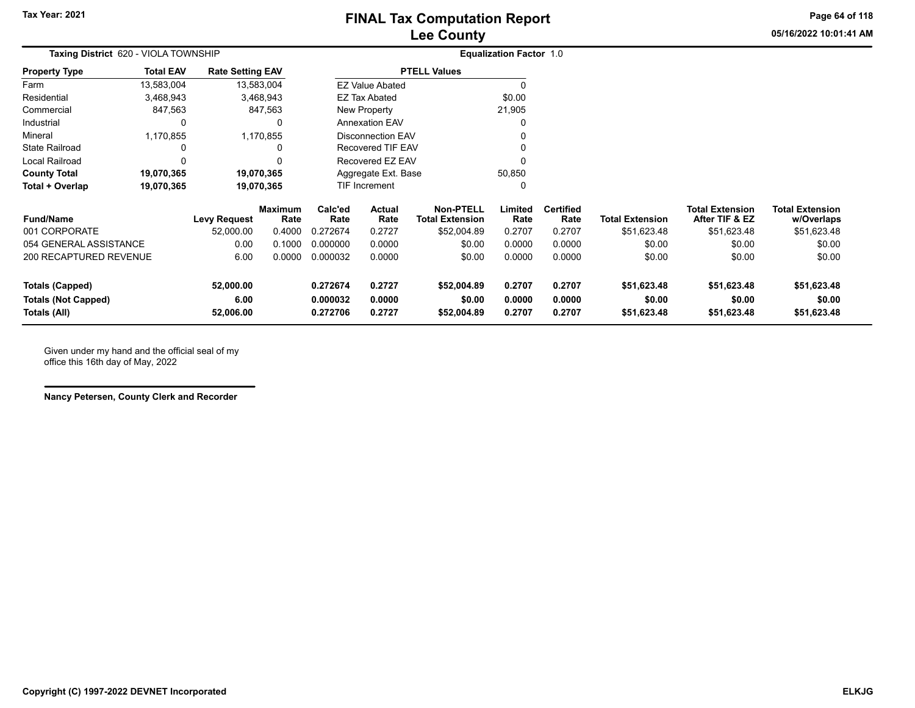**05/16/2022 10:01:41 AMPage 64 of 118**

| Taxing District 620 - VIOLA TOWNSHIP |                  |                         |                        |                                |                        |                                            | <b>Equalization Factor 1.0</b> |                          |                                                 |                                          |                                      |
|--------------------------------------|------------------|-------------------------|------------------------|--------------------------------|------------------------|--------------------------------------------|--------------------------------|--------------------------|-------------------------------------------------|------------------------------------------|--------------------------------------|
| <b>Property Type</b>                 | <b>Total EAV</b> | <b>Rate Setting EAV</b> |                        |                                |                        | <b>PTELL Values</b>                        |                                |                          |                                                 |                                          |                                      |
| Farm                                 | 13,583,004       |                         | 13,583,004             |                                | <b>EZ Value Abated</b> |                                            |                                |                          |                                                 |                                          |                                      |
| Residential                          | 3,468,943        |                         | 3,468,943              | \$0.00<br><b>EZ Tax Abated</b> |                        |                                            |                                |                          |                                                 |                                          |                                      |
| Commercial                           | 847,563          |                         | 847,563                | New Property<br>21,905         |                        |                                            |                                |                          |                                                 |                                          |                                      |
| Industrial                           | 0                |                         |                        | <b>Annexation EAV</b>          |                        |                                            |                                |                          |                                                 |                                          |                                      |
| Mineral                              | 1,170,855        |                         | 1,170,855              | <b>Disconnection EAV</b>       |                        |                                            |                                |                          |                                                 |                                          |                                      |
| State Railroad                       |                  |                         |                        | Recovered TIF EAV              |                        |                                            |                                |                          |                                                 |                                          |                                      |
| Local Railroad                       | $\Omega$         |                         |                        | Recovered EZ EAV               |                        |                                            |                                |                          |                                                 |                                          |                                      |
| <b>County Total</b>                  | 19,070,365       |                         | 19,070,365             |                                | Aggregate Ext. Base    |                                            | 50,850                         |                          |                                                 |                                          |                                      |
| Total + Overlap                      | 19,070,365       |                         | 19,070,365             | <b>TIF Increment</b>           |                        |                                            |                                |                          | <b>Total Extension</b><br>\$51,623.48<br>\$0.00 |                                          |                                      |
| <b>Fund/Name</b>                     |                  | Levy Request            | <b>Maximum</b><br>Rate | Calc'ed<br>Rate                | Actual<br>Rate         | <b>Non-PTELL</b><br><b>Total Extension</b> | Limited<br>Rate                | <b>Certified</b><br>Rate |                                                 | <b>Total Extension</b><br>After TIF & EZ | <b>Total Extension</b><br>w/Overlaps |
| 001 CORPORATE                        |                  | 52,000.00               | 0.4000                 | 0.272674                       | 0.2727                 | \$52,004.89                                | 0.2707                         | 0.2707                   |                                                 | \$51,623.48                              | \$51,623.48                          |
| 054 GENERAL ASSISTANCE               |                  | 0.00                    | 0.1000                 | 0.000000                       | 0.0000                 | \$0.00                                     | 0.0000                         | 0.0000                   |                                                 | \$0.00                                   | \$0.00                               |
| 200 RECAPTURED REVENUE               |                  | 6.00                    | 0.0000                 | 0.000032                       | 0.0000                 | \$0.00                                     | 0.0000                         | 0.0000                   | \$0.00                                          | \$0.00                                   | \$0.00                               |
| <b>Totals (Capped)</b>               |                  | 52,000.00               |                        | 0.272674                       | 0.2727                 | \$52,004.89                                | 0.2707                         | 0.2707                   | \$51,623.48                                     | \$51,623.48                              | \$51,623.48                          |
| <b>Totals (Not Capped)</b>           |                  | 6.00                    |                        | 0.000032                       | 0.0000                 | \$0.00                                     | 0.0000                         | 0.0000                   | \$0.00                                          | \$0.00                                   | \$0.00                               |
| Totals (All)                         |                  | 52,006.00               |                        | 0.272706                       | 0.2727                 | \$52,004.89                                | 0.2707                         | 0.2707                   | \$51,623.48                                     | \$51,623.48                              | \$51,623.48                          |

Given under my hand and the official seal of my office this 16th day of May, 2022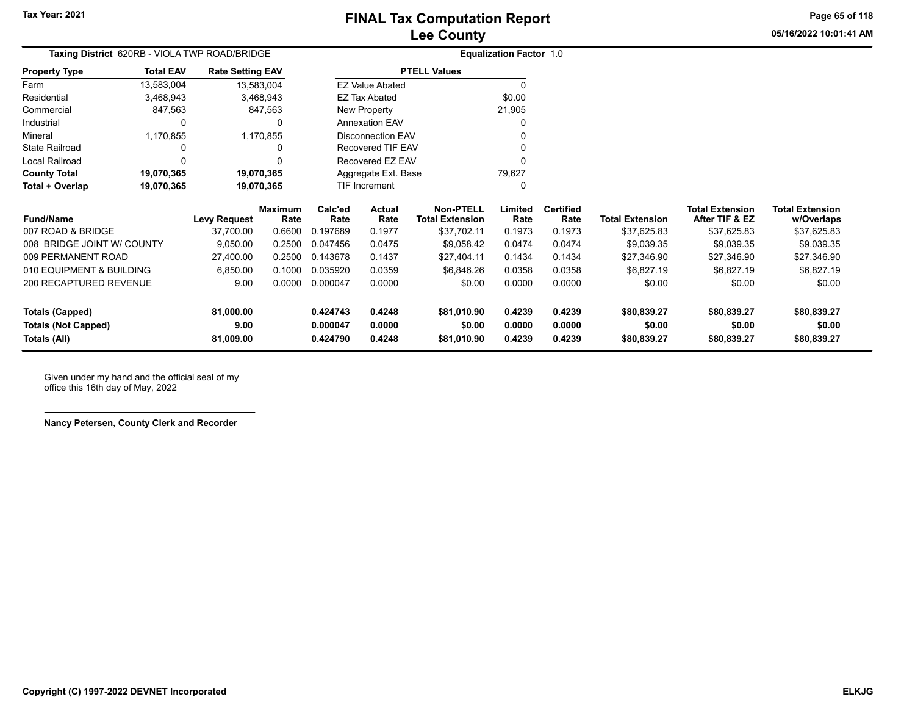**Page 65 of 118**

**05/16/2022 10:01:41 AM**

|                            | Taxing District 620RB - VIOLA TWP ROAD/BRIDGE |                         |                        |                 |                          |                                            | <b>Equalization Factor 1.0</b> |                          |                        |                                          |                                      |
|----------------------------|-----------------------------------------------|-------------------------|------------------------|-----------------|--------------------------|--------------------------------------------|--------------------------------|--------------------------|------------------------|------------------------------------------|--------------------------------------|
| <b>Property Type</b>       | <b>Total EAV</b>                              | <b>Rate Setting EAV</b> |                        |                 |                          | <b>PTELL Values</b>                        |                                |                          |                        |                                          |                                      |
| Farm                       | 13,583,004                                    |                         | 13,583,004             |                 | <b>EZ Value Abated</b>   |                                            | O                              |                          |                        |                                          |                                      |
| Residential                | 3,468,943                                     |                         | 3,468,943              |                 | <b>EZ Tax Abated</b>     |                                            | \$0.00                         |                          |                        |                                          |                                      |
| Commercial                 | 847,563                                       |                         | 847,563                |                 | New Property             |                                            | 21,905                         |                          |                        |                                          |                                      |
| Industrial                 |                                               |                         |                        |                 | <b>Annexation EAV</b>    |                                            |                                |                          |                        |                                          |                                      |
| Mineral                    | 1,170,855                                     |                         | 1,170,855              |                 | <b>Disconnection EAV</b> |                                            | 0                              |                          |                        |                                          |                                      |
| <b>State Railroad</b>      |                                               |                         | 0                      |                 | Recovered TIF EAV        |                                            | 0                              |                          |                        |                                          |                                      |
| Local Railroad             |                                               |                         |                        |                 | Recovered EZ EAV         |                                            | 0                              |                          |                        |                                          |                                      |
| <b>County Total</b>        | 19,070,365                                    |                         | 19,070,365             |                 | Aggregate Ext. Base      |                                            | 79,627                         |                          |                        |                                          |                                      |
| Total + Overlap            | 19,070,365                                    | 19,070,365              |                        |                 | TIF Increment            |                                            | 0                              |                          |                        |                                          |                                      |
| <b>Fund/Name</b>           |                                               | <b>Levy Request</b>     | <b>Maximum</b><br>Rate | Calc'ed<br>Rate | Actual<br>Rate           | <b>Non-PTELL</b><br><b>Total Extension</b> | Limited<br>Rate                | <b>Certified</b><br>Rate | <b>Total Extension</b> | <b>Total Extension</b><br>After TIF & EZ | <b>Total Extension</b><br>w/Overlaps |
| 007 ROAD & BRIDGE          |                                               | 37,700.00               | 0.6600                 | 0.197689        | 0.1977                   | \$37,702.11                                | 0.1973                         | 0.1973                   | \$37,625.83            | \$37,625.83                              | \$37,625.83                          |
| 008 BRIDGE JOINT W/ COUNTY |                                               | 9,050.00                | 0.2500                 | 0.047456        | 0.0475                   | \$9,058.42                                 | 0.0474                         | 0.0474                   | \$9,039.35             | \$9,039.35                               | \$9,039.35                           |
| 009 PERMANENT ROAD         |                                               | 27,400.00               | 0.2500                 | 0.143678        | 0.1437                   | \$27,404.11                                | 0.1434                         | 0.1434                   | \$27,346.90            | \$27,346.90                              | \$27,346.90                          |
| 010 EQUIPMENT & BUILDING   |                                               | 6,850.00                | 0.1000                 | 0.035920        | 0.0359                   | \$6,846.26                                 | 0.0358                         | 0.0358                   | \$6,827.19             | \$6,827.19                               | \$6,827.19                           |
| 200 RECAPTURED REVENUE     |                                               | 9.00                    | 0.0000                 | 0.000047        | 0.0000                   | \$0.00                                     | 0.0000                         | 0.0000                   | \$0.00                 | \$0.00                                   | \$0.00                               |
| <b>Totals (Capped)</b>     |                                               | 81,000.00               |                        | 0.424743        | 0.4248                   | \$81,010.90                                | 0.4239                         | 0.4239                   | \$80,839.27            | \$80,839.27                              | \$80,839.27                          |

**Totals (Not Capped) 9.00 0.000047 0.0000 \$0.00 0.0000 0.0000 \$0.00 \$0.00 \$0.00 Totals (All) 81,009.00 0.424790 0.4248 \$81,010.90 0.4239 0.4239 \$80,839.27 \$80,839.27 \$80,839.27**

Given under my hand and the official seal of my office this 16th day of May, 2022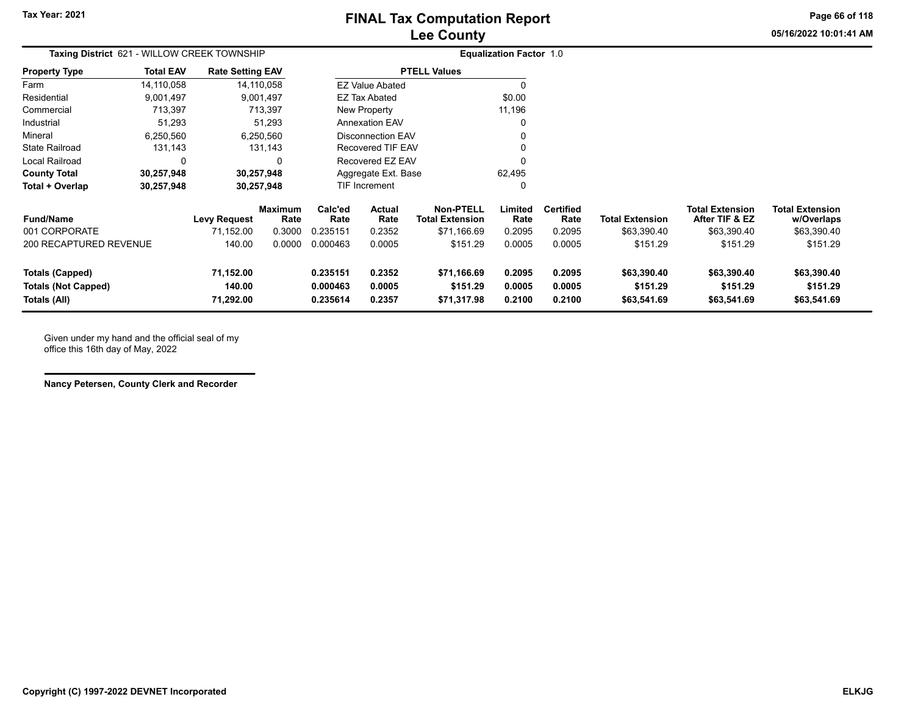**Page 66 of 118**

**05/16/2022 10:01:41 AM**

| Taxing District 621 - WILLOW CREEK TOWNSHIP                          |                  |                                  |                        |                                  |                            |                                            | <b>Equalization Factor 1.0</b> |                            |                                        |                                          |                                        |
|----------------------------------------------------------------------|------------------|----------------------------------|------------------------|----------------------------------|----------------------------|--------------------------------------------|--------------------------------|----------------------------|----------------------------------------|------------------------------------------|----------------------------------------|
| <b>Property Type</b>                                                 | <b>Total EAV</b> | <b>Rate Setting EAV</b>          |                        |                                  |                            | <b>PTELL Values</b>                        |                                |                            |                                        |                                          |                                        |
| Farm                                                                 | 14,110,058       |                                  | 14,110,058             |                                  | <b>EZ Value Abated</b>     |                                            | $\Omega$                       |                            |                                        |                                          |                                        |
| Residential                                                          | 9,001,497        |                                  | 9,001,497              | \$0.00<br><b>EZ Tax Abated</b>   |                            |                                            |                                |                            |                                        |                                          |                                        |
| Commercial                                                           | 713,397          |                                  | 713,397                | New Property<br>11,196           |                            |                                            |                                |                            |                                        |                                          |                                        |
| Industrial                                                           | 51,293           |                                  | 51,293                 |                                  | <b>Annexation EAV</b>      |                                            |                                |                            |                                        |                                          |                                        |
| Mineral                                                              | 6,250,560        |                                  | 6,250,560              |                                  | <b>Disconnection EAV</b>   |                                            |                                |                            |                                        |                                          |                                        |
| <b>State Railroad</b>                                                | 131,143          |                                  | 131,143                |                                  | Recovered TIF EAV          |                                            |                                |                            |                                        |                                          |                                        |
| Local Railroad                                                       | 0                |                                  | $\Omega$               |                                  | Recovered EZ EAV           |                                            |                                |                            |                                        |                                          |                                        |
| <b>County Total</b>                                                  | 30,257,948       |                                  | 30,257,948             | Aggregate Ext. Base              |                            |                                            | 62,495                         |                            |                                        |                                          |                                        |
| Total + Overlap                                                      | 30,257,948       |                                  | 30,257,948             |                                  | TIF Increment              |                                            | 0                              |                            |                                        |                                          |                                        |
| <b>Fund/Name</b>                                                     |                  | <b>Levy Request</b>              | <b>Maximum</b><br>Rate | Calc'ed<br>Rate                  | Actual<br>Rate             | <b>Non-PTELL</b><br><b>Total Extension</b> | Limited<br>Rate                | <b>Certified</b><br>Rate   | <b>Total Extension</b>                 | <b>Total Extension</b><br>After TIF & EZ | <b>Total Extension</b><br>w/Overlaps   |
| 001 CORPORATE                                                        |                  | 71,152.00                        | 0.3000                 | 0.235151                         | 0.2352                     | \$71,166.69                                | 0.2095                         | 0.2095                     | \$63,390.40                            | \$63,390.40                              | \$63,390.40                            |
| 200 RECAPTURED REVENUE                                               |                  | 140.00                           | 0.0000                 | 0.000463                         | 0.0005                     | \$151.29                                   | 0.0005                         | 0.0005                     | \$151.29                               | \$151.29                                 | \$151.29                               |
| <b>Totals (Capped)</b><br><b>Totals (Not Capped)</b><br>Totals (All) |                  | 71,152.00<br>140.00<br>71,292.00 |                        | 0.235151<br>0.000463<br>0.235614 | 0.2352<br>0.0005<br>0.2357 | \$71,166.69<br>\$151.29<br>\$71,317.98     | 0.2095<br>0.0005<br>0.2100     | 0.2095<br>0.0005<br>0.2100 | \$63,390.40<br>\$151.29<br>\$63,541.69 | \$63,390.40<br>\$151.29<br>\$63,541.69   | \$63,390.40<br>\$151.29<br>\$63,541.69 |

Given under my hand and the official seal of my office this 16th day of May, 2022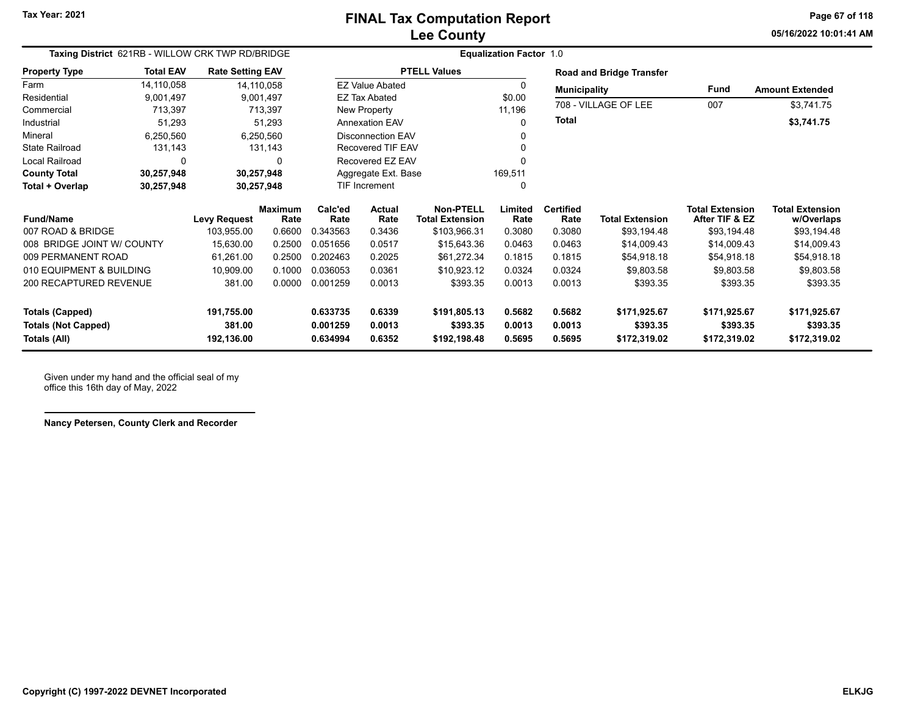**05/16/2022 10:01:41 AMPage 67 of 118**

| Taxing District 621RB - WILLOW CRK TWP RD/BRIDGE |                  |                         |                        | <b>Equalization Factor 1.0</b> |                        |                                            |                 |                          |                                 |                                          |                                      |  |  |
|--------------------------------------------------|------------------|-------------------------|------------------------|--------------------------------|------------------------|--------------------------------------------|-----------------|--------------------------|---------------------------------|------------------------------------------|--------------------------------------|--|--|
| <b>Property Type</b>                             | <b>Total EAV</b> | <b>Rate Setting EAV</b> |                        |                                |                        | <b>PTELL Values</b>                        |                 |                          | <b>Road and Bridge Transfer</b> |                                          |                                      |  |  |
| Farm                                             | 14,110,058       |                         | 14,110,058             |                                | <b>EZ Value Abated</b> |                                            | $\Omega$        | <b>Municipality</b>      |                                 | <b>Fund</b>                              | <b>Amount Extended</b>               |  |  |
| Residential                                      | 9,001,497        |                         | 9,001,497              |                                | EZ Tax Abated          |                                            | \$0.00          | 708 - VILLAGE OF LEE     |                                 | 007                                      |                                      |  |  |
| Commercial                                       | 713,397          |                         | 713,397                | New Property                   |                        |                                            | 11,196          |                          |                                 |                                          | \$3,741.75                           |  |  |
| Industrial                                       | 51,293           |                         | 51,293                 | <b>Annexation EAV</b>          |                        |                                            | $\Omega$        | <b>Total</b>             |                                 |                                          | \$3,741.75                           |  |  |
| Mineral                                          | 6,250,560        |                         | 6,250,560              |                                | Disconnection EAV      |                                            |                 |                          |                                 |                                          |                                      |  |  |
| <b>State Railroad</b>                            | 131,143          |                         | 131,143                |                                | Recovered TIF EAV      |                                            |                 |                          |                                 |                                          |                                      |  |  |
| Local Railroad                                   | 0                |                         | <sup>0</sup>           |                                | Recovered EZ EAV       |                                            |                 |                          |                                 |                                          |                                      |  |  |
| <b>County Total</b>                              | 30,257,948       |                         | 30,257,948             | Aggregate Ext. Base            |                        |                                            | 169,511         |                          |                                 |                                          |                                      |  |  |
| Total + Overlap                                  | 30,257,948       | 30,257,948              |                        | TIF Increment                  |                        |                                            | $\Omega$        |                          |                                 |                                          |                                      |  |  |
| <b>Fund/Name</b>                                 |                  | <b>Levy Request</b>     | <b>Maximum</b><br>Rate | Calc'ed<br>Rate                | Actual<br>Rate         | <b>Non-PTELL</b><br><b>Total Extension</b> | Limited<br>Rate | <b>Certified</b><br>Rate | <b>Total Extension</b>          | <b>Total Extension</b><br>After TIF & EZ | <b>Total Extension</b><br>w/Overlaps |  |  |
| 007 ROAD & BRIDGE                                |                  | 103,955.00              | 0.6600                 | 0.343563                       | 0.3436                 | \$103,966.31                               | 0.3080          | 0.3080                   | \$93,194.48                     | \$93,194.48                              | \$93,194.48                          |  |  |
| 008 BRIDGE JOINT W/ COUNTY                       |                  | 15,630.00               | 0.2500                 | 0.051656                       | 0.0517                 | \$15,643.36                                | 0.0463          | 0.0463                   | \$14,009.43                     | \$14,009.43                              | \$14,009.43                          |  |  |
| 009 PERMANENT ROAD                               |                  | 61,261.00               | 0.2500                 | 0.202463                       | 0.2025                 | \$61,272.34                                | 0.1815          | 0.1815                   | \$54,918.18                     | \$54,918.18                              | \$54,918.18                          |  |  |
| 010 EQUIPMENT & BUILDING                         |                  | 10,909.00               | 0.1000                 | 0.036053                       | 0.0361                 | \$10,923.12                                | 0.0324          | 0.0324                   | \$9,803.58                      | \$9,803.58                               | \$9,803.58                           |  |  |
| 200 RECAPTURED REVENUE                           |                  | 381.00                  | 0.0000                 | 0.001259                       | 0.0013                 | \$393.35                                   | 0.0013          | 0.0013                   | \$393.35                        | \$393.35                                 | \$393.35                             |  |  |
| <b>Totals (Capped)</b>                           |                  | 191,755.00              |                        | 0.633735                       | 0.6339                 | \$191,805.13                               | 0.5682          | 0.5682                   | \$171,925.67                    | \$171,925.67                             | \$171,925.67                         |  |  |
| <b>Totals (Not Capped)</b>                       |                  | 381.00                  |                        | 0.001259                       | 0.0013                 | \$393.35                                   | 0.0013          | 0.0013                   | \$393.35                        | \$393.35                                 | \$393.35                             |  |  |
| Totals (All)                                     |                  | 192,136.00              |                        | 0.634994                       | 0.6352                 | \$192,198.48                               | 0.5695          | 0.5695                   | \$172,319.02                    | \$172,319.02                             | \$172,319.02                         |  |  |

Given under my hand and the official seal of my office this 16th day of May, 2022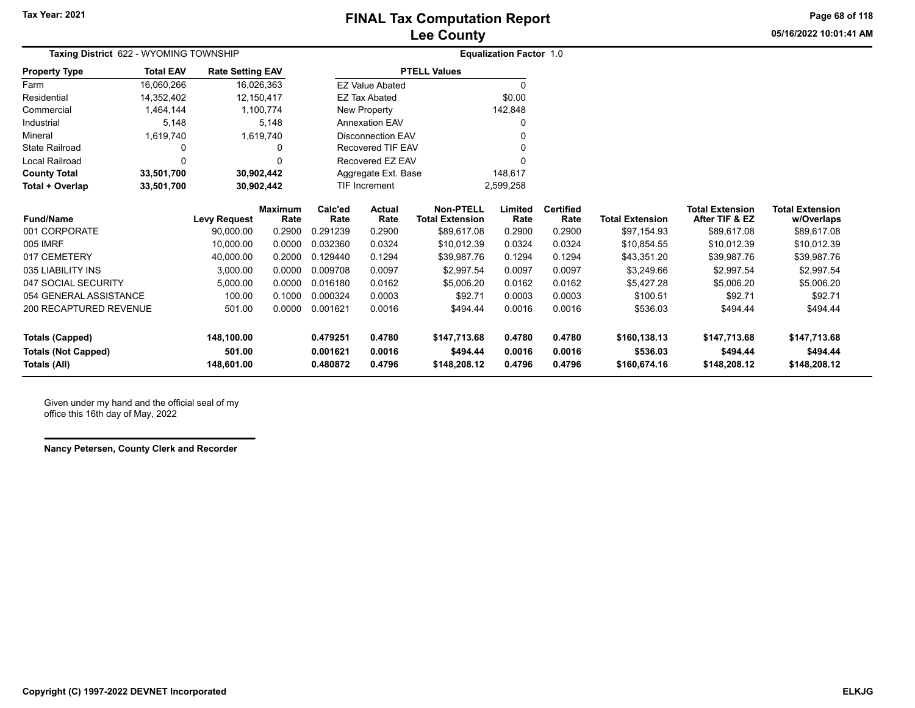**05/16/2022 10:01:41 AMPage 68 of 118**

| Taxing District 622 - WYOMING TOWNSHIP |                  |                         |                        |                 |                          |                                            | <b>Equalization Factor 1.0</b> |                          |                        |                                          |                                      |
|----------------------------------------|------------------|-------------------------|------------------------|-----------------|--------------------------|--------------------------------------------|--------------------------------|--------------------------|------------------------|------------------------------------------|--------------------------------------|
| <b>Property Type</b>                   | <b>Total EAV</b> | <b>Rate Setting EAV</b> |                        |                 |                          | <b>PTELL Values</b>                        |                                |                          |                        |                                          |                                      |
| Farm                                   | 16,060,266       |                         | 16,026,363             |                 | <b>EZ Value Abated</b>   |                                            | 0                              |                          |                        |                                          |                                      |
| Residential                            | 14,352,402       |                         | 12,150,417             |                 | <b>EZ Tax Abated</b>     |                                            | \$0.00                         |                          |                        |                                          |                                      |
| Commercial                             | 1,464,144        |                         | 1,100,774              |                 | New Property             |                                            | 142,848                        |                          |                        |                                          |                                      |
| Industrial                             | 5,148            |                         | 5,148                  |                 | <b>Annexation EAV</b>    |                                            | 0                              |                          |                        |                                          |                                      |
| Mineral                                | 1,619,740        |                         | 1,619,740              |                 | <b>Disconnection EAV</b> |                                            |                                |                          |                        |                                          |                                      |
| State Railroad                         | 0                |                         | 0                      |                 | Recovered TIF EAV        |                                            |                                |                          |                        |                                          |                                      |
| Local Railroad                         | 0                |                         |                        |                 | Recovered EZ EAV         |                                            | 0                              |                          |                        |                                          |                                      |
| <b>County Total</b>                    | 33,501,700       |                         | 30,902,442             |                 | Aggregate Ext. Base      |                                            | 148,617                        |                          |                        |                                          |                                      |
| Total + Overlap                        | 33,501,700       |                         | 30,902,442             |                 | <b>TIF Increment</b>     |                                            | 2,599,258                      |                          |                        |                                          |                                      |
| <b>Fund/Name</b>                       |                  | <b>Levy Request</b>     | <b>Maximum</b><br>Rate | Calc'ed<br>Rate | Actual<br>Rate           | <b>Non-PTELL</b><br><b>Total Extension</b> | Limited<br>Rate                | <b>Certified</b><br>Rate | <b>Total Extension</b> | <b>Total Extension</b><br>After TIF & EZ | <b>Total Extension</b><br>w/Overlaps |
| 001 CORPORATE                          |                  | 90,000.00               | 0.2900                 | 0.291239        | 0.2900                   | \$89,617.08                                | 0.2900                         | 0.2900                   | \$97,154.93            | \$89,617.08                              | \$89,617.08                          |
| 005 IMRF                               |                  | 10,000.00               | 0.0000                 | 0.032360        | 0.0324                   | \$10,012.39                                | 0.0324                         | 0.0324                   | \$10,854.55            | \$10,012.39                              | \$10,012.39                          |
| 017 CEMETERY                           |                  | 40,000.00               | 0.2000                 | 0.129440        | 0.1294                   | \$39,987.76                                | 0.1294                         | 0.1294                   | \$43,351.20            | \$39,987.76                              | \$39,987.76                          |
| 035 LIABILITY INS                      |                  | 3,000.00                | 0.0000                 | 0.009708        | 0.0097                   | \$2,997.54                                 | 0.0097                         | 0.0097                   | \$3,249.66             | \$2,997.54                               | \$2,997.54                           |
| 047 SOCIAL SECURITY                    |                  | 5,000.00                | 0.0000                 | 0.016180        | 0.0162                   | \$5,006.20                                 | 0.0162                         | 0.0162                   | \$5,427.28             | \$5,006.20                               | \$5,006.20                           |
| 054 GENERAL ASSISTANCE                 |                  | 100.00                  | 0.1000                 | 0.000324        | 0.0003                   | \$92.71                                    | 0.0003                         | 0.0003                   | \$100.51               | \$92.71                                  | \$92.71                              |
| 200 RECAPTURED REVENUE                 |                  | 501.00                  | 0.0000                 | 0.001621        | 0.0016                   | \$494.44                                   | 0.0016                         | 0.0016                   | \$536.03               | \$494.44                                 | \$494.44                             |
| <b>Totals (Capped)</b>                 |                  | 148,100.00              |                        | 0.479251        | 0.4780                   | \$147,713.68                               | 0.4780                         | 0.4780                   | \$160,138.13           | \$147,713.68                             | \$147,713.68                         |
| <b>Totals (Not Capped)</b>             |                  | 501.00                  |                        | 0.001621        | 0.0016                   | \$494.44                                   | 0.0016                         | 0.0016                   | \$536.03               | \$494.44                                 | \$494.44                             |
| Totals (All)                           |                  | 148,601.00              |                        | 0.480872        | 0.4796                   | \$148,208.12                               | 0.4796                         | 0.4796                   | \$160,674.16           | \$148,208.12                             | \$148,208.12                         |

Given under my hand and the official seal of my office this 16th day of May, 2022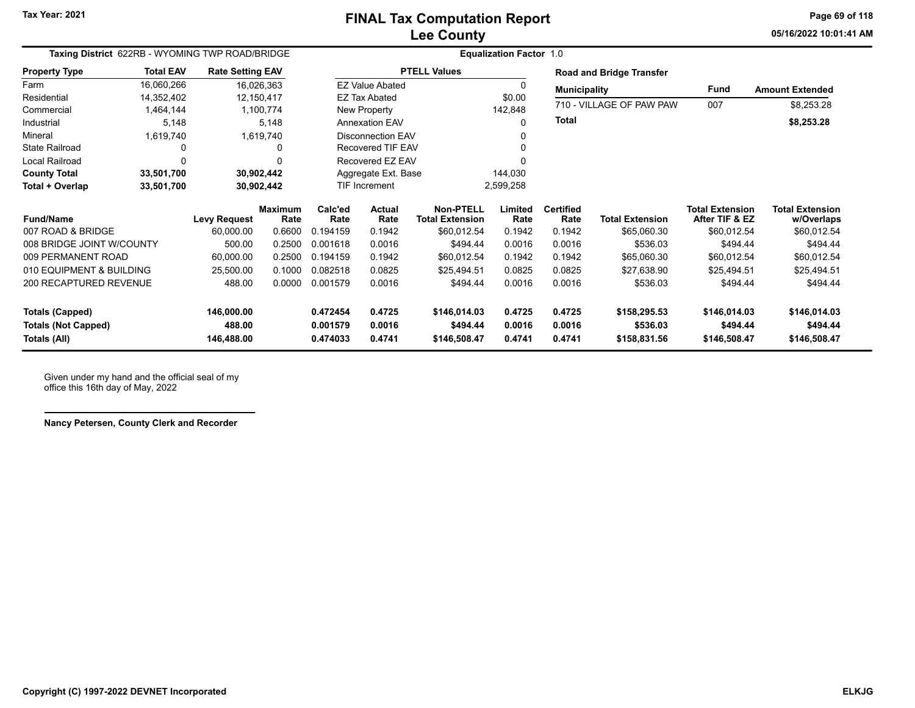**05/16/2022 10:01:41 AMPage 69 of 118**

| Taxing District 622RB - WYOMING TWP ROAD/BRIDGE |                  |                         |                        |                         |                                   |                                            | <b>Equalization Factor 1.0</b> |                          |                                 |                                          |                                      |  |
|-------------------------------------------------|------------------|-------------------------|------------------------|-------------------------|-----------------------------------|--------------------------------------------|--------------------------------|--------------------------|---------------------------------|------------------------------------------|--------------------------------------|--|
| <b>Property Type</b>                            | <b>Total EAV</b> | <b>Rate Setting EAV</b> |                        |                         |                                   | <b>PTELL Values</b>                        |                                |                          | <b>Road and Bridge Transfer</b> |                                          |                                      |  |
| Farm                                            | 16,060,266       |                         | 16,026,363             |                         | <b>EZ Value Abated</b>            |                                            | 0                              | <b>Municipality</b>      |                                 | <b>Fund</b>                              | <b>Amount Extended</b>               |  |
| Residential                                     | 14,352,402       |                         | 12,150,417             |                         | <b>EZ Tax Abated</b>              |                                            | \$0.00                         | 710 - VILLAGE OF PAW PAW |                                 |                                          |                                      |  |
| Commercial                                      | 1,464,144        |                         | 1,100,774              | New Property<br>142,848 |                                   |                                            |                                | 007                      | \$8,253.28                      |                                          |                                      |  |
| Industrial                                      | 5,148            |                         | 5,148                  |                         | <b>Annexation EAV</b>             |                                            | 0                              | Total                    |                                 |                                          | \$8,253.28                           |  |
| Mineral                                         | 1,619,740        |                         | 1,619,740              |                         | <b>Disconnection EAV</b>          |                                            |                                |                          |                                 |                                          |                                      |  |
| <b>State Railroad</b>                           |                  |                         | 0                      |                         | <b>Recovered TIF EAV</b>          |                                            |                                |                          |                                 |                                          |                                      |  |
| Local Railroad                                  | $\Omega$         |                         | 0                      |                         | Recovered EZ EAV                  |                                            | U                              |                          |                                 |                                          |                                      |  |
| <b>County Total</b>                             | 33,501,700       |                         | 30,902,442             | Aggregate Ext. Base     |                                   |                                            | 144,030                        |                          |                                 |                                          |                                      |  |
| Total + Overlap                                 | 33,501,700       |                         | 30,902,442             |                         | <b>TIF Increment</b><br>2,599,258 |                                            |                                |                          |                                 |                                          |                                      |  |
| <b>Fund/Name</b>                                |                  | <b>Levy Request</b>     | <b>Maximum</b><br>Rate | Calc'ed<br>Rate         | Actual<br>Rate                    | <b>Non-PTELL</b><br><b>Total Extension</b> | Limited<br>Rate                | <b>Certified</b><br>Rate | <b>Total Extension</b>          | <b>Total Extension</b><br>After TIF & EZ | <b>Total Extension</b><br>w/Overlaps |  |
| 007 ROAD & BRIDGE                               |                  | 60,000.00               | 0.6600                 | 0.194159                | 0.1942                            | \$60,012.54                                | 0.1942                         | 0.1942                   | \$65,060.30                     | \$60,012.54                              | \$60,012.54                          |  |
| 008 BRIDGE JOINT W/COUNTY                       |                  | 500.00                  | 0.2500                 | 0.001618                | 0.0016                            | \$494.44                                   | 0.0016                         | 0.0016                   | \$536.03                        | \$494.44                                 | \$494.44                             |  |
| 009 PERMANENT ROAD                              |                  | 60,000.00               | 0.2500                 | 0.194159                | 0.1942                            | \$60,012.54                                | 0.1942                         | 0.1942                   | \$65,060.30                     | \$60,012.54                              | \$60,012.54                          |  |
| 010 EQUIPMENT & BUILDING                        |                  | 25,500.00               | 0.1000                 | 0.082518                | 0.0825                            | \$25,494.51                                | 0.0825                         | 0.0825                   | \$27,638.90                     | \$25,494.51                              | \$25,494.51                          |  |
| <b>200 RECAPTURED REVENUE</b>                   |                  | 488.00                  | 0.0000                 | 0.001579                | 0.0016                            | \$494.44                                   | 0.0016                         | 0.0016                   | \$536.03                        | \$494.44                                 | \$494.44                             |  |
| <b>Totals (Capped)</b>                          |                  | 146,000.00              |                        | 0.472454                | 0.4725                            | \$146,014.03                               | 0.4725                         | 0.4725                   | \$158,295.53                    | \$146,014.03                             | \$146,014.03                         |  |
| <b>Totals (Not Capped)</b>                      |                  | 488.00                  |                        | 0.001579                | 0.0016                            | \$494.44                                   | 0.0016                         | 0.0016                   | \$536.03                        | \$494.44                                 | \$494.44                             |  |
| Totals (All)                                    |                  | 146,488.00              |                        | 0.474033                | 0.4741                            | \$146,508.47                               | 0.4741                         | 0.4741                   | \$158,831.56                    | \$146,508.47                             | \$146,508.47                         |  |

Given under my hand and the official seal of my office this 16th day of May, 2022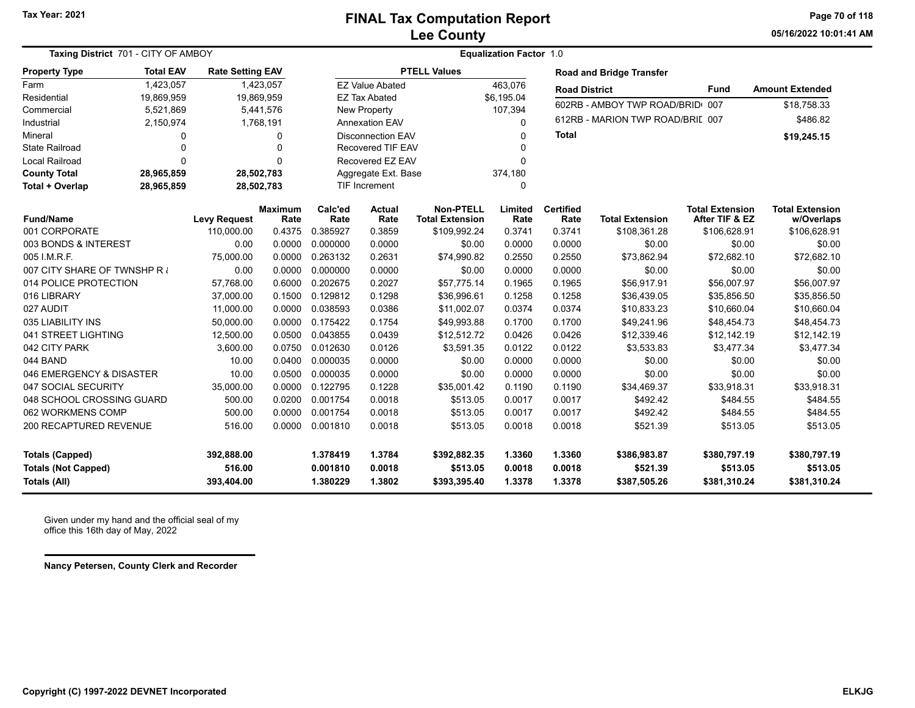**Tax Year: 2021**

### **Lee County FINAL Tax Computation Report**

**05/16/2022 10:01:41 AMPage 70 of 118**

| <b>Taxing District 701 - CITY OF AMBOY</b>           |                  |                         |                        | <b>Equalization Factor 1.0</b> |                          |                                            |                  |                          |                                  |                                          |                                      |  |  |
|------------------------------------------------------|------------------|-------------------------|------------------------|--------------------------------|--------------------------|--------------------------------------------|------------------|--------------------------|----------------------------------|------------------------------------------|--------------------------------------|--|--|
| <b>Property Type</b>                                 | <b>Total EAV</b> | <b>Rate Setting EAV</b> |                        |                                |                          | <b>PTELL Values</b>                        |                  |                          | <b>Road and Bridge Transfer</b>  |                                          |                                      |  |  |
| Farm                                                 | 1,423,057        |                         | 1,423,057              |                                | <b>EZ Value Abated</b>   |                                            | 463,076          | <b>Road District</b>     |                                  | <b>Fund</b>                              | <b>Amount Extended</b>               |  |  |
| Residential                                          | 19,869,959       | 19,869,959              |                        |                                | <b>EZ Tax Abated</b>     |                                            | \$6,195.04       |                          | 602RB - AMBOY TWP ROAD/BRID      | 007                                      | \$18,758.33                          |  |  |
| Commercial                                           | 5,521,869        |                         | 5,441,576              |                                | <b>New Property</b>      |                                            | 107,394          |                          |                                  |                                          |                                      |  |  |
| Industrial                                           | 2,150,974        |                         | 1,768,191              |                                | <b>Annexation EAV</b>    |                                            | 0                |                          | 612RB - MARION TWP ROAD/BRIL 007 |                                          | \$486.82                             |  |  |
| Mineral                                              | 0                |                         | $\Omega$               |                                | <b>Disconnection EAV</b> |                                            | 0                | <b>Total</b>             |                                  |                                          | \$19,245.15                          |  |  |
| State Railroad                                       | $\Omega$         |                         | $\Omega$               | <b>Recovered TIF EAV</b>       |                          |                                            |                  |                          |                                  |                                          |                                      |  |  |
| Local Railroad                                       | $\Omega$         |                         | $\Omega$               |                                | Recovered EZ EAV         |                                            | 0                |                          |                                  |                                          |                                      |  |  |
| <b>County Total</b>                                  | 28,965,859       | 28,502,783              |                        |                                | Aggregate Ext. Base      |                                            | 374,180          |                          |                                  |                                          |                                      |  |  |
| Total + Overlap                                      | 28,965,859       | 28,502,783              |                        |                                | <b>TIF Increment</b>     |                                            | 0                |                          |                                  |                                          |                                      |  |  |
| <b>Fund/Name</b>                                     |                  | <b>Levy Request</b>     | <b>Maximum</b><br>Rate | Calc'ed<br>Rate                | <b>Actual</b><br>Rate    | <b>Non-PTELL</b><br><b>Total Extension</b> | Limited<br>Rate  | <b>Certified</b><br>Rate | <b>Total Extension</b>           | <b>Total Extension</b><br>After TIF & EZ | <b>Total Extension</b><br>w/Overlaps |  |  |
| 001 CORPORATE                                        |                  | 110,000.00              | 0.4375                 | 0.385927                       | 0.3859                   | \$109,992.24                               | 0.3741           | 0.3741                   | \$108,361.28                     | \$106,628.91                             | \$106,628.91                         |  |  |
| 003 BONDS & INTEREST                                 |                  | 0.00                    | 0.0000                 | 0.000000                       | 0.0000                   | \$0.00                                     | 0.0000           | 0.0000                   | \$0.00                           | \$0.00                                   | \$0.00                               |  |  |
| 005 I.M.R.F.                                         |                  | 75,000.00               | 0.0000                 | 0.263132                       | 0.2631                   | \$74,990.82                                | 0.2550           | 0.2550                   | \$73,862.94                      | \$72,682.10                              | \$72,682.10                          |  |  |
| 007 CITY SHARE OF TWNSHP R                           |                  | 0.00                    | 0.0000                 | 0.000000                       | 0.0000                   | \$0.00                                     | 0.0000           | 0.0000                   | \$0.00                           | \$0.00                                   | \$0.00                               |  |  |
| 014 POLICE PROTECTION                                |                  | 57,768.00               | 0.6000                 | 0.202675                       | 0.2027                   | \$57,775.14                                | 0.1965           | 0.1965                   | \$56,917.91                      | \$56,007.97                              | \$56,007.97                          |  |  |
| 016 LIBRARY                                          |                  | 37,000.00               | 0.1500                 | 0.129812                       | 0.1298                   | \$36,996.61                                | 0.1258           | 0.1258                   | \$36,439.05                      | \$35,856.50                              | \$35,856.50                          |  |  |
| 027 AUDIT                                            |                  | 11,000.00               | 0.0000                 | 0.038593                       | 0.0386                   | \$11,002.07                                | 0.0374           | 0.0374                   | \$10,833.23                      | \$10,660.04                              | \$10,660.04                          |  |  |
| 035 LIABILITY INS                                    |                  | 50,000.00               | 0.0000                 | 0.175422                       | 0.1754                   | \$49,993.88                                | 0.1700           | 0.1700                   | \$49,241.96                      | \$48,454.73                              | \$48,454.73                          |  |  |
| 041 STREET LIGHTING                                  |                  | 12,500.00               | 0.0500                 | 0.043855                       | 0.0439                   | \$12,512.72                                | 0.0426           | 0.0426                   | \$12,339.46                      | \$12,142.19                              | \$12,142.19                          |  |  |
| 042 CITY PARK                                        |                  | 3,600.00                | 0.0750                 | 0.012630                       | 0.0126                   | \$3,591.35                                 | 0.0122           | 0.0122                   | \$3,533.83                       | \$3,477.34                               | \$3,477.34                           |  |  |
| 044 BAND                                             |                  | 10.00                   | 0.0400                 | 0.000035                       | 0.0000                   | \$0.00                                     | 0.0000           | 0.0000                   | \$0.00                           | \$0.00                                   | \$0.00                               |  |  |
| 046 EMERGENCY & DISASTER                             |                  | 10.00                   | 0.0500                 | 0.000035                       | 0.0000                   | \$0.00                                     | 0.0000           | 0.0000                   | \$0.00                           | \$0.00                                   | \$0.00                               |  |  |
| 047 SOCIAL SECURITY                                  |                  | 35,000.00               | 0.0000                 | 0.122795                       | 0.1228                   | \$35,001.42                                | 0.1190           | 0.1190                   | \$34,469.37                      | \$33,918.31                              | \$33,918.31                          |  |  |
| 048 SCHOOL CROSSING GUARD                            |                  | 500.00                  | 0.0200                 | 0.001754                       | 0.0018                   | \$513.05                                   | 0.0017           | 0.0017                   | \$492.42                         | \$484.55                                 | \$484.55                             |  |  |
| 062 WORKMENS COMP                                    |                  | 500.00                  | 0.0000                 | 0.001754                       | 0.0018                   | \$513.05                                   | 0.0017           | 0.0017                   | \$492.42                         | \$484.55                                 | \$484.55                             |  |  |
| 200 RECAPTURED REVENUE                               |                  | 516.00                  | 0.0000                 | 0.001810                       | 0.0018                   | \$513.05                                   | 0.0018           | 0.0018                   | \$521.39                         | \$513.05                                 | \$513.05                             |  |  |
| <b>Totals (Capped)</b><br><b>Totals (Not Capped)</b> |                  | 392,888.00<br>516.00    |                        | 1.378419<br>0.001810           | 1.3784<br>0.0018         | \$392,882.35<br>\$513.05                   | 1.3360<br>0.0018 | 1.3360<br>0.0018         | \$386,983.87<br>\$521.39         | \$380,797.19<br>\$513.05                 | \$380,797.19<br>\$513.05             |  |  |
| Totals (All)                                         |                  | 393,404.00              |                        | 1.380229                       | 1.3802                   | \$393,395.40                               | 1.3378           | 1.3378                   | \$387,505.26                     | \$381,310.24                             | \$381,310.24                         |  |  |

Given under my hand and the official seal of my office this 16th day of May, 2022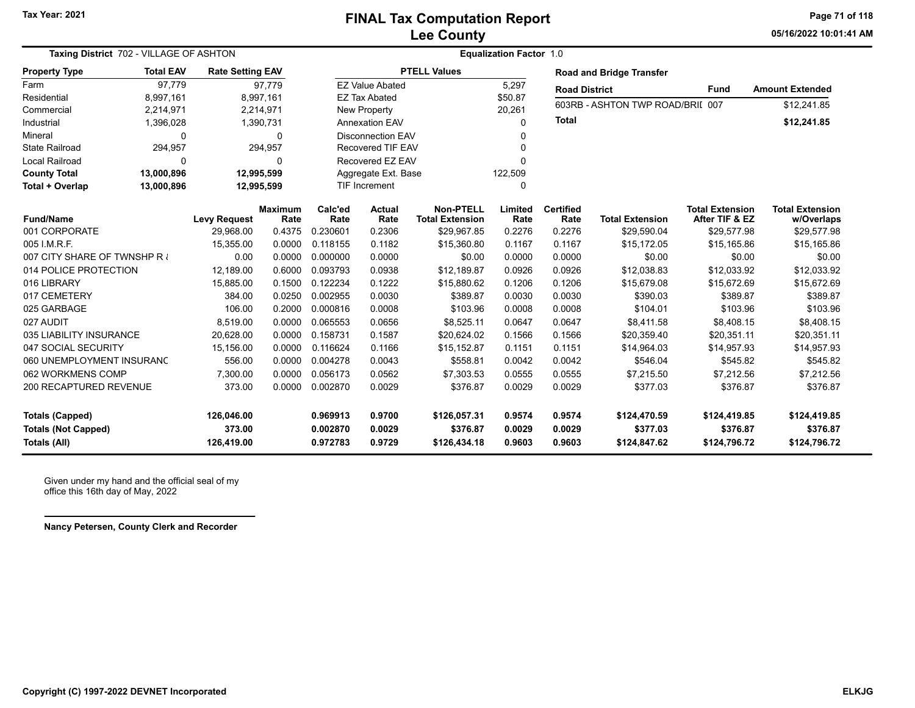**05/16/2022 10:01:41 AMPage 71 of 118**

| Taxing District 702 - VILLAGE OF ASHTON |                  |                         |                        |                 |                                                   |                                            |                 |                          |                                  |                                          |                                      |
|-----------------------------------------|------------------|-------------------------|------------------------|-----------------|---------------------------------------------------|--------------------------------------------|-----------------|--------------------------|----------------------------------|------------------------------------------|--------------------------------------|
| <b>Property Type</b>                    | <b>Total EAV</b> | <b>Rate Setting EAV</b> |                        |                 |                                                   | <b>PTELL Values</b>                        |                 |                          | <b>Road and Bridge Transfer</b>  |                                          |                                      |
| Farm                                    | 97.779           |                         | 97,779                 |                 | <b>EZ Value Abated</b>                            |                                            | 5,297           | <b>Road District</b>     |                                  | <b>Fund</b>                              | <b>Amount Extended</b>               |
| Residential                             | 8,997,161        |                         | 8,997,161              |                 | <b>EZ Tax Abated</b>                              |                                            | \$50.87         |                          | 603RB - ASHTON TWP ROAD/BRII 007 |                                          | \$12,241.85                          |
| Commercial                              | 2,214,971        |                         | 2,214,971              |                 | <b>New Property</b><br>20,261                     |                                            |                 |                          |                                  |                                          |                                      |
| Industrial                              | 1,396,028        |                         | 1,390,731              |                 | <b>Total</b><br><b>Annexation EAV</b><br>$\Omega$ |                                            |                 |                          |                                  | \$12,241.85                              |                                      |
| Mineral                                 | $\Omega$         |                         | $\Omega$               |                 | <b>Disconnection EAV</b><br>0                     |                                            |                 |                          |                                  |                                          |                                      |
| <b>State Railroad</b>                   | 294,957          |                         | 294,957                |                 | <b>Recovered TIF EAV</b><br>$\Omega$              |                                            |                 |                          |                                  |                                          |                                      |
| Local Railroad                          | $\Omega$         |                         | 0                      |                 | Recovered EZ EAV                                  |                                            | $\Omega$        |                          |                                  |                                          |                                      |
| <b>County Total</b>                     | 13,000,896       |                         | 12,995,599             |                 | Aggregate Ext. Base                               |                                            | 122,509         |                          |                                  |                                          |                                      |
| Total + Overlap                         | 13,000,896       |                         | 12,995,599             |                 | <b>TIF Increment</b>                              |                                            | $\Omega$        |                          |                                  |                                          |                                      |
| <b>Fund/Name</b>                        |                  | <b>Levy Request</b>     | <b>Maximum</b><br>Rate | Calc'ed<br>Rate | <b>Actual</b><br>Rate                             | <b>Non-PTELL</b><br><b>Total Extension</b> | Limited<br>Rate | <b>Certified</b><br>Rate | <b>Total Extension</b>           | <b>Total Extension</b><br>After TIF & EZ | <b>Total Extension</b><br>w/Overlaps |
| 001 CORPORATE                           |                  | 29.968.00               | 0.4375                 | 0.230601        | 0.2306                                            | \$29,967.85                                | 0.2276          | 0.2276                   | \$29,590.04                      | \$29,577.98                              | \$29,577.98                          |
| 005 I.M.R.F.                            |                  | 15,355.00               | 0.0000                 | 0.118155        | 0.1182                                            | \$15,360.80                                | 0.1167          | 0.1167                   | \$15,172.05                      | \$15,165.86                              | \$15,165.86                          |
| 007 CITY SHARE OF TWNSHP R              |                  | 0.00                    | 0.0000                 | 0.000000        | 0.0000                                            | \$0.00                                     | 0.0000          | 0.0000                   | \$0.00                           | \$0.00                                   | \$0.00                               |
| 014 POLICE PROTECTION                   |                  | 12,189.00               | 0.6000                 | 0.093793        | 0.0938                                            | \$12,189.87                                | 0.0926          | 0.0926                   | \$12,038.83                      | \$12,033.92                              | \$12,033.92                          |
| 016 LIBRARY                             |                  | 15,885.00               | 0.1500                 | 0.122234        | 0.1222                                            | \$15,880.62                                | 0.1206          | 0.1206                   | \$15,679.08                      | \$15,672.69                              | \$15,672.69                          |
| 017 CEMETERY                            |                  | 384.00                  | 0.0250                 | 0.002955        | 0.0030                                            | \$389.87                                   | 0.0030          | 0.0030                   | \$390.03                         | \$389.87                                 | \$389.87                             |
| 025 GARBAGE                             |                  | 106.00                  | 0.2000                 | 0.000816        | 0.0008                                            | \$103.96                                   | 0.0008          | 0.0008                   | \$104.01                         | \$103.96                                 | \$103.96                             |
| 027 AUDIT                               |                  | 8,519.00                | 0.0000                 | 0.065553        | 0.0656                                            | \$8,525.11                                 | 0.0647          | 0.0647                   | \$8,411.58                       | \$8,408.15                               | \$8,408.15                           |
| 035 LIABILITY INSURANCE                 |                  | 20,628.00               | 0.0000                 | 0.158731        | 0.1587                                            | \$20,624.02                                | 0.1566          | 0.1566                   | \$20,359.40                      | \$20,351.11                              | \$20,351.11                          |
| 047 SOCIAL SECURITY                     |                  | 15,156.00               | 0.0000                 | 0.116624        | 0.1166                                            | \$15,152.87                                | 0.1151          | 0.1151                   | \$14,964.03                      | \$14,957.93                              | \$14,957.93                          |
| 060 UNEMPLOYMENT INSURANC               |                  | 556.00                  | 0.0000                 | 0.004278        | 0.0043                                            | \$558.81                                   | 0.0042          | 0.0042                   | \$546.04                         | \$545.82                                 | \$545.82                             |
| 062 WORKMENS COMP                       |                  | 7,300.00                | 0.0000                 | 0.056173        | 0.0562                                            | \$7,303.53                                 | 0.0555          | 0.0555                   | \$7,215.50                       | \$7,212.56                               | \$7,212.56                           |
| 200 RECAPTURED REVENUE                  |                  | 373.00                  | 0.0000                 | 0.002870        | 0.0029                                            | \$376.87                                   | 0.0029          | 0.0029                   | \$377.03                         | \$376.87                                 | \$376.87                             |
| <b>Totals (Capped)</b>                  |                  | 126,046.00              |                        | 0.969913        | 0.9700                                            | \$126,057.31                               | 0.9574          | 0.9574                   | \$124,470.59                     | \$124,419.85                             | \$124,419.85                         |
| <b>Totals (Not Capped)</b>              |                  | 373.00                  |                        | 0.002870        | 0.0029                                            | \$376.87                                   | 0.0029          | 0.0029                   | \$377.03                         | \$376.87                                 | \$376.87                             |
| Totals (All)                            |                  | 126,419.00              |                        | 0.972783        | 0.9729                                            | \$126,434.18                               | 0.9603          | 0.9603                   | \$124,847.62                     | \$124,796.72                             | \$124,796.72                         |

Given under my hand and the official seal of my office this 16th day of May, 2022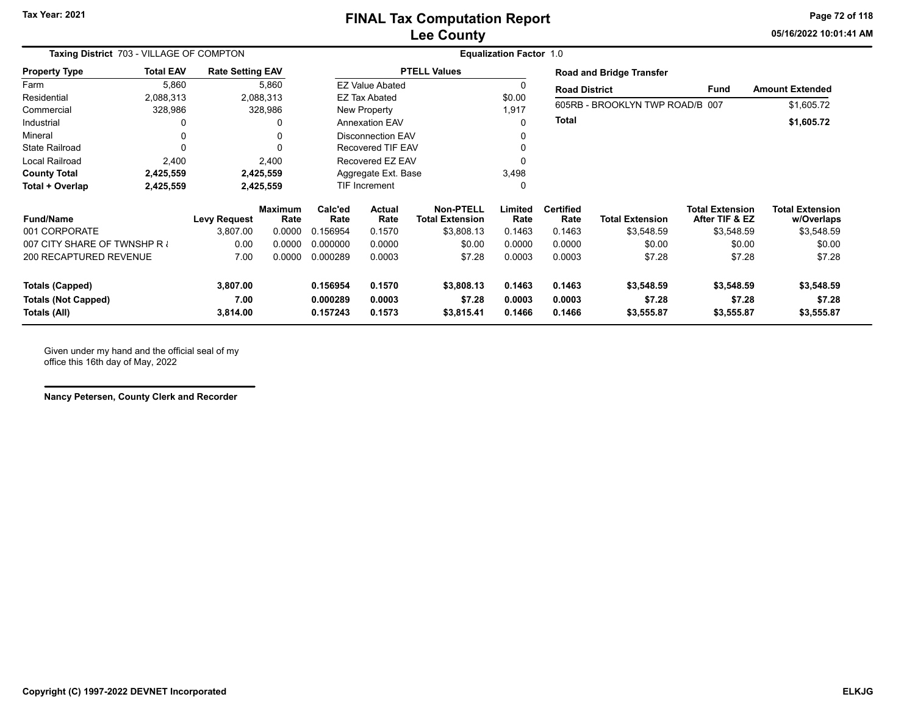**05/16/2022 10:01:41 AMPage 72 of 118**

| Taxing District 703 - VILLAGE OF COMPTON             |                  |                         |                        | <b>Equalization Factor 1.0</b> |                          |                                            |                  |                          |                                 |                                          |                                      |  |
|------------------------------------------------------|------------------|-------------------------|------------------------|--------------------------------|--------------------------|--------------------------------------------|------------------|--------------------------|---------------------------------|------------------------------------------|--------------------------------------|--|
| <b>Property Type</b>                                 | <b>Total EAV</b> | <b>Rate Setting EAV</b> |                        |                                |                          | <b>PTELL Values</b>                        |                  |                          | <b>Road and Bridge Transfer</b> |                                          |                                      |  |
| Farm                                                 | 5,860            |                         | 5,860                  |                                | <b>EZ Value Abated</b>   |                                            | 0                | <b>Road District</b>     |                                 | Fund                                     | <b>Amount Extended</b>               |  |
| Residential                                          | 2,088,313        |                         | 2,088,313              |                                | EZ Tax Abated            |                                            |                  |                          | 605RB - BROOKLYN TWP ROAD/B 007 |                                          |                                      |  |
| Commercial                                           | 328,986          |                         | 328,986                |                                | New Property             |                                            | 1,917            |                          |                                 |                                          | \$1,605.72                           |  |
| Industrial                                           | 0                |                         |                        |                                | <b>Annexation EAV</b>    |                                            | 0                | Total                    |                                 |                                          | \$1,605.72                           |  |
| Mineral                                              | 0                |                         | 0                      |                                | <b>Disconnection EAV</b> |                                            | 0                |                          |                                 |                                          |                                      |  |
| <b>State Railroad</b>                                | $\Omega$         |                         |                        |                                | <b>Recovered TIF EAV</b> |                                            |                  |                          |                                 |                                          |                                      |  |
| <b>Local Railroad</b>                                | 2,400            |                         | 2,400                  |                                | Recovered EZ EAV         |                                            |                  |                          |                                 |                                          |                                      |  |
| <b>County Total</b>                                  | 2,425,559        |                         | 2,425,559              | Aggregate Ext. Base            |                          |                                            | 3,498            |                          |                                 |                                          |                                      |  |
| Total + Overlap                                      | 2,425,559        |                         | 2,425,559              | TIF Increment                  |                          | 0                                          |                  |                          |                                 |                                          |                                      |  |
| <b>Fund/Name</b>                                     |                  | <b>Levy Request</b>     | <b>Maximum</b><br>Rate | Calc'ed<br>Rate                | <b>Actual</b><br>Rate    | <b>Non-PTELL</b><br><b>Total Extension</b> | Limited<br>Rate  | <b>Certified</b><br>Rate | <b>Total Extension</b>          | <b>Total Extension</b><br>After TIF & EZ | <b>Total Extension</b><br>w/Overlaps |  |
| 001 CORPORATE                                        |                  | 3,807.00                | 0.0000                 | 0.156954                       | 0.1570                   | \$3,808.13                                 | 0.1463           | 0.1463                   | \$3,548.59                      | \$3,548.59                               | \$3,548.59                           |  |
| 007 CITY SHARE OF TWNSHP R                           |                  | 0.00                    | 0.0000                 | 0.000000                       | 0.0000                   | \$0.00                                     | 0.0000           | 0.0000                   | \$0.00                          | \$0.00                                   | \$0.00                               |  |
| <b>200 RECAPTURED REVENUE</b>                        |                  | 7.00                    | 0.0000                 | 0.000289                       | 0.0003                   | \$7.28                                     | 0.0003           | 0.0003                   | \$7.28                          | \$7.28                                   | \$7.28                               |  |
| <b>Totals (Capped)</b><br><b>Totals (Not Capped)</b> |                  | 3,807.00<br>7.00        |                        | 0.156954<br>0.000289           | 0.1570<br>0.0003         | \$3,808.13<br>\$7.28                       | 0.1463<br>0.0003 | 0.1463<br>0.0003         | \$3,548.59<br>\$7.28            | \$3,548.59<br>\$7.28                     | \$3,548.59<br>\$7.28                 |  |
| Totals (All)                                         |                  | 3,814.00                |                        | 0.157243                       | 0.1573                   | \$3,815.41                                 | 0.1466           | 0.1466                   | \$3,555.87                      | \$3,555.87                               | \$3,555.87                           |  |

Given under my hand and the official seal of my office this 16th day of May, 2022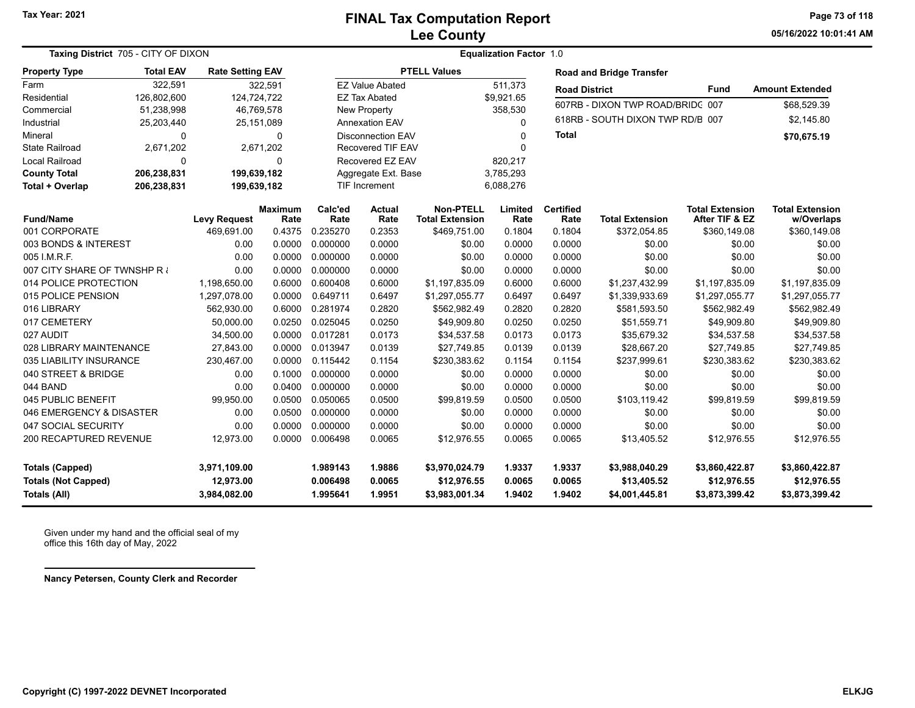**05/16/2022 10:01:41 AMPage 73 of 118**

| Taxing District 705 - CITY OF DIXON |                  | <b>Equalization Factor 1.0</b> |                        |                 |                          |                                            |                 |                          |                                  |                                          |                                      |  |
|-------------------------------------|------------------|--------------------------------|------------------------|-----------------|--------------------------|--------------------------------------------|-----------------|--------------------------|----------------------------------|------------------------------------------|--------------------------------------|--|
| <b>Property Type</b>                | <b>Total EAV</b> | <b>Rate Setting EAV</b>        |                        |                 |                          | <b>PTELL Values</b>                        |                 |                          | <b>Road and Bridge Transfer</b>  |                                          |                                      |  |
| Farm                                | 322,591          |                                | 322,591                |                 | <b>EZ Value Abated</b>   |                                            | 511,373         | <b>Road District</b>     |                                  | Fund                                     | <b>Amount Extended</b>               |  |
| Residential                         | 126,802,600      | 124,724,722                    |                        |                 | <b>EZ Tax Abated</b>     |                                            | \$9,921.65      |                          | 607RB - DIXON TWP ROAD/BRIDC 007 |                                          | \$68,529.39                          |  |
| Commercial                          | 51,238,998       |                                | 46,769,578             |                 | <b>New Property</b>      |                                            | 358,530         |                          |                                  |                                          |                                      |  |
| Industrial                          | 25,203,440       |                                | 25, 151, 089           |                 | <b>Annexation EAV</b>    |                                            | 0               |                          | 618RB - SOUTH DIXON TWP RD/B 007 |                                          | \$2,145.80                           |  |
| Mineral                             | 0                |                                | 0                      |                 | <b>Disconnection EAV</b> |                                            | $\Omega$        | <b>Total</b>             |                                  |                                          | \$70,675.19                          |  |
| <b>State Railroad</b>               | 2,671,202        |                                | 2,671,202              |                 | Recovered TIF EAV        |                                            | 0               |                          |                                  |                                          |                                      |  |
| Local Railroad                      | 0                |                                | 0                      |                 | Recovered EZ EAV         |                                            | 820,217         |                          |                                  |                                          |                                      |  |
| <b>County Total</b>                 | 206,238,831      | 199,639,182                    |                        |                 | Aggregate Ext. Base      |                                            | 3,785,293       |                          |                                  |                                          |                                      |  |
| Total + Overlap                     | 206,238,831      | 199,639,182                    |                        |                 | TIF Increment            |                                            | 6,088,276       |                          |                                  |                                          |                                      |  |
| <b>Fund/Name</b>                    |                  | <b>Levy Request</b>            | <b>Maximum</b><br>Rate | Calc'ed<br>Rate | <b>Actual</b><br>Rate    | <b>Non-PTELL</b><br><b>Total Extension</b> | Limited<br>Rate | <b>Certified</b><br>Rate | <b>Total Extension</b>           | <b>Total Extension</b><br>After TIF & EZ | <b>Total Extension</b><br>w/Overlaps |  |
| 001 CORPORATE                       |                  | 469,691.00                     | 0.4375                 | 0.235270        | 0.2353                   | \$469,751.00                               | 0.1804          | 0.1804                   | \$372,054.85                     | \$360,149.08                             | \$360,149.08                         |  |
| 003 BONDS & INTEREST                |                  | 0.00                           | 0.0000                 | 0.000000        | 0.0000                   | \$0.00                                     | 0.0000          | 0.0000                   | \$0.00                           | \$0.00                                   | \$0.00                               |  |
| 005 I.M.R.F.                        |                  | 0.00                           | 0.0000                 | 0.000000        | 0.0000                   | \$0.00                                     | 0.0000          | 0.0000                   | \$0.00                           | \$0.00                                   | \$0.00                               |  |
| 007 CITY SHARE OF TWNSHP R          |                  | 0.00                           | 0.0000                 | 0.000000        | 0.0000                   | \$0.00                                     | 0.0000          | 0.0000                   | \$0.00                           | \$0.00                                   | \$0.00                               |  |
| 014 POLICE PROTECTION               |                  | 1,198,650.00                   | 0.6000                 | 0.600408        | 0.6000                   | \$1,197,835.09                             | 0.6000          | 0.6000                   | \$1,237,432.99                   | \$1,197,835.09                           | \$1,197,835.09                       |  |
| 015 POLICE PENSION                  |                  | 1,297,078.00                   | 0.0000                 | 0.649711        | 0.6497                   | \$1,297,055.77                             | 0.6497          | 0.6497                   | \$1,339,933.69                   | \$1,297,055.77                           | \$1,297,055.77                       |  |
| 016 LIBRARY                         |                  | 562,930.00                     | 0.6000                 | 0.281974        | 0.2820                   | \$562,982.49                               | 0.2820          | 0.2820                   | \$581,593.50                     | \$562,982.49                             | \$562,982.49                         |  |
| 017 CEMETERY                        |                  | 50,000.00                      | 0.0250                 | 0.025045        | 0.0250                   | \$49,909.80                                | 0.0250          | 0.0250                   | \$51,559.71                      | \$49,909.80                              | \$49,909.80                          |  |
| 027 AUDIT                           |                  | 34,500.00                      | 0.0000                 | 0.017281        | 0.0173                   | \$34,537.58                                | 0.0173          | 0.0173                   | \$35,679.32                      | \$34,537.58                              | \$34,537.58                          |  |
| 028 LIBRARY MAINTENANCE             |                  | 27,843.00                      | 0.0000                 | 0.013947        | 0.0139                   | \$27,749.85                                | 0.0139          | 0.0139                   | \$28,667.20                      | \$27,749.85                              | \$27,749.85                          |  |
| 035 LIABILITY INSURANCE             |                  | 230,467.00                     | 0.0000                 | 0.115442        | 0.1154                   | \$230,383.62                               | 0.1154          | 0.1154                   | \$237,999.61                     | \$230,383.62                             | \$230,383.62                         |  |
| 040 STREET & BRIDGE                 |                  | 0.00                           | 0.1000                 | 0.000000        | 0.0000                   | \$0.00                                     | 0.0000          | 0.0000                   | \$0.00                           | \$0.00                                   | \$0.00                               |  |
| 044 BAND                            |                  | 0.00                           | 0.0400                 | 0.000000        | 0.0000                   | \$0.00                                     | 0.0000          | 0.0000                   | \$0.00                           | \$0.00                                   | \$0.00                               |  |
| 045 PUBLIC BENEFIT                  |                  | 99,950.00                      | 0.0500                 | 0.050065        | 0.0500                   | \$99,819.59                                | 0.0500          | 0.0500                   | \$103,119.42                     | \$99,819.59                              | \$99,819.59                          |  |
| 046 EMERGENCY & DISASTER            |                  | 0.00                           | 0.0500                 | 0.000000        | 0.0000                   | \$0.00                                     | 0.0000          | 0.0000                   | \$0.00                           | \$0.00                                   | \$0.00                               |  |
| 047 SOCIAL SECURITY                 |                  | 0.00                           | 0.0000                 | 0.000000        | 0.0000                   | \$0.00                                     | 0.0000          | 0.0000                   | \$0.00                           | \$0.00                                   | \$0.00                               |  |
| 200 RECAPTURED REVENUE              |                  | 12,973.00                      | 0.0000                 | 0.006498        | 0.0065                   | \$12,976.55                                | 0.0065          | 0.0065                   | \$13,405.52                      | \$12,976.55                              | \$12,976.55                          |  |
| <b>Totals (Capped)</b>              |                  | 3,971,109.00                   |                        | 1.989143        | 1.9886                   | \$3,970,024.79                             | 1.9337          | 1.9337                   | \$3,988,040.29                   | \$3,860,422.87                           | \$3,860,422.87                       |  |
| <b>Totals (Not Capped)</b>          |                  | 12,973.00                      |                        | 0.006498        | 0.0065                   | \$12,976.55                                | 0.0065          | 0.0065                   | \$13,405.52                      | \$12,976.55                              | \$12,976.55                          |  |
| Totals (All)                        |                  | 3,984,082.00                   |                        | 1.995641        | 1.9951                   | \$3,983,001.34                             | 1.9402          | 1.9402                   | \$4,001,445.81                   | \$3,873,399.42                           | \$3,873,399.42                       |  |

Given under my hand and the official seal of my office this 16th day of May, 2022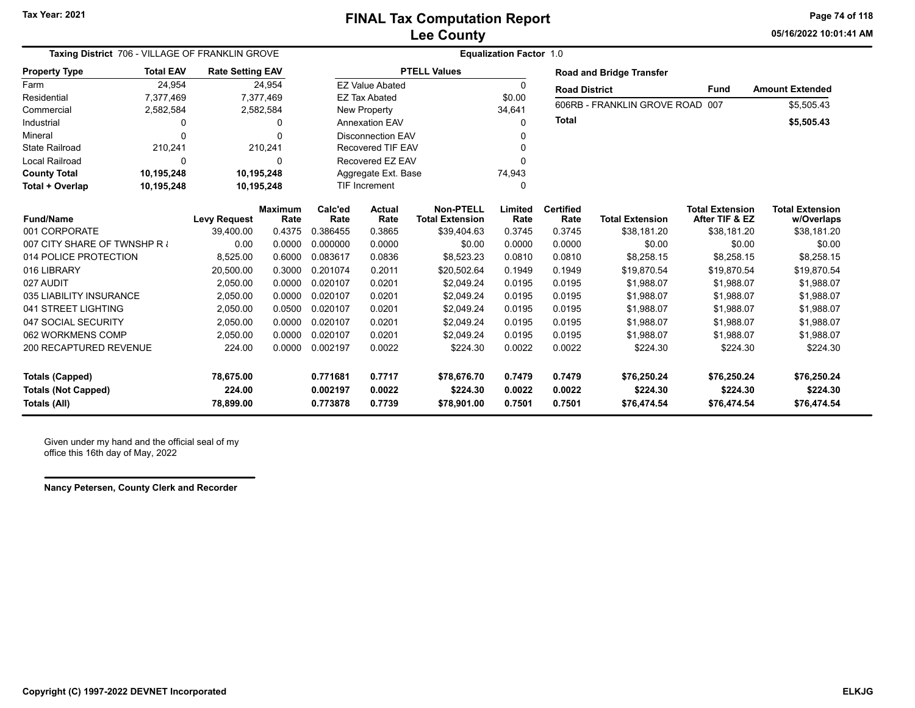**05/16/2022 10:01:41 AMPage 74 of 118**

| Taxing District 706 - VILLAGE OF FRANKLIN GROVE                             |                          |                                  |                | <b>Equalization Factor 1.0</b>   |                            |                                        |                            |                            |                                        |                                        |                                        |  |  |  |
|-----------------------------------------------------------------------------|--------------------------|----------------------------------|----------------|----------------------------------|----------------------------|----------------------------------------|----------------------------|----------------------------|----------------------------------------|----------------------------------------|----------------------------------------|--|--|--|
| <b>Property Type</b>                                                        | <b>Total EAV</b>         | <b>Rate Setting EAV</b>          |                |                                  |                            | <b>PTELL Values</b>                    |                            |                            | <b>Road and Bridge Transfer</b>        |                                        |                                        |  |  |  |
| Farm                                                                        | 24,954                   |                                  | 24,954         |                                  | <b>EZ Value Abated</b>     |                                        | 0                          | <b>Road District</b>       |                                        | Fund                                   | <b>Amount Extended</b>                 |  |  |  |
| Residential                                                                 | 7,377,469                |                                  | 7,377,469      |                                  | <b>EZ Tax Abated</b>       |                                        | \$0.00                     |                            |                                        |                                        |                                        |  |  |  |
| Commercial                                                                  | 2,582,584                |                                  | 2,582,584      |                                  | <b>New Property</b>        |                                        | 34,641                     |                            | 606RB - FRANKLIN GROVE ROAD 007        |                                        | \$5,505.43                             |  |  |  |
| Industrial                                                                  | <sup>0</sup>             |                                  | 0              |                                  | <b>Annexation EAV</b>      |                                        | $\Omega$                   | <b>Total</b>               |                                        |                                        | \$5,505.43                             |  |  |  |
| Mineral                                                                     | $\Omega$                 |                                  | n              |                                  | <b>Disconnection EAV</b>   |                                        | O                          |                            |                                        |                                        |                                        |  |  |  |
| <b>State Railroad</b>                                                       | 210,241                  |                                  | 210,241        |                                  | <b>Recovered TIF EAV</b>   |                                        | O                          |                            |                                        |                                        |                                        |  |  |  |
| <b>Local Railroad</b>                                                       | $\Omega$                 |                                  | 0              |                                  | Recovered EZ EAV           |                                        | $\Omega$                   |                            |                                        |                                        |                                        |  |  |  |
| <b>County Total</b>                                                         | 10,195,248               | 10,195,248                       |                |                                  | Aggregate Ext. Base        |                                        | 74,943                     |                            |                                        |                                        |                                        |  |  |  |
| Total + Overlap                                                             | 10,195,248<br>10,195,248 |                                  |                | TIF Increment                    |                            |                                        | $\Omega$                   |                            |                                        |                                        |                                        |  |  |  |
|                                                                             |                          |                                  | Maximum        | Calc'ed                          | Actual                     | <b>Non-PTELL</b>                       | Limited                    | <b>Certified</b>           |                                        | <b>Total Extension</b>                 | <b>Total Extension</b>                 |  |  |  |
| <b>Fund/Name</b><br>001 CORPORATE                                           |                          | <b>Levy Request</b><br>39,400.00 | Rate<br>0.4375 | Rate<br>0.386455                 | Rate<br>0.3865             | <b>Total Extension</b>                 | Rate                       | Rate<br>0.3745             | <b>Total Extension</b>                 | After TIF & EZ<br>\$38,181.20          | w/Overlaps<br>\$38,181.20              |  |  |  |
| 007 CITY SHARE OF TWNSHP R                                                  |                          | 0.00                             | 0.0000         | 0.000000                         | 0.0000                     | \$39,404.63<br>\$0.00                  | 0.3745                     | 0.0000                     | \$38,181.20                            | \$0.00                                 |                                        |  |  |  |
| 014 POLICE PROTECTION                                                       |                          |                                  | 0.6000         | 0.083617                         |                            |                                        | 0.0000                     | 0.0810                     | \$0.00                                 |                                        | \$0.00                                 |  |  |  |
|                                                                             |                          | 8,525.00                         |                |                                  | 0.0836                     | \$8,523.23                             | 0.0810                     |                            | \$8,258.15                             | \$8,258.15                             | \$8,258.15                             |  |  |  |
| 016 LIBRARY                                                                 |                          | 20,500.00                        | 0.3000         | 0.201074                         | 0.2011                     | \$20,502.64                            | 0.1949                     | 0.1949                     | \$19,870.54                            | \$19,870.54                            | \$19,870.54                            |  |  |  |
| 027 AUDIT                                                                   |                          | 2,050.00                         | 0.0000         | 0.020107                         | 0.0201                     | \$2,049.24                             | 0.0195                     | 0.0195                     | \$1,988.07                             | \$1,988.07                             | \$1,988.07                             |  |  |  |
| 035 LIABILITY INSURANCE                                                     |                          | 2,050.00                         | 0.0000         | 0.020107                         | 0.0201                     | \$2,049.24                             | 0.0195                     | 0.0195                     | \$1,988.07                             | \$1,988.07                             | \$1,988.07                             |  |  |  |
| 041 STREET LIGHTING                                                         |                          | 2,050.00                         | 0.0500         | 0.020107                         | 0.0201                     | \$2,049.24                             | 0.0195                     | 0.0195                     | \$1,988.07                             | \$1,988.07                             | \$1,988.07                             |  |  |  |
| 047 SOCIAL SECURITY                                                         |                          | 2,050.00                         | 0.0000         | 0.020107                         | 0.0201                     | \$2,049.24                             | 0.0195                     | 0.0195                     | \$1,988.07                             | \$1,988.07                             | \$1,988.07                             |  |  |  |
| 062 WORKMENS COMP                                                           |                          | 2,050.00                         | 0.0000         | 0.020107                         | 0.0201                     | \$2,049.24                             | 0.0195                     | 0.0195                     | \$1,988.07                             | \$1,988.07                             | \$1,988.07                             |  |  |  |
| 200 RECAPTURED REVENUE                                                      |                          | 224.00                           | 0.0000         | 0.002197                         | 0.0022                     | \$224.30                               | 0.0022                     | 0.0022                     | \$224.30                               | \$224.30                               | \$224.30                               |  |  |  |
| <b>Totals (Capped)</b><br><b>Totals (Not Capped)</b><br><b>Totals (All)</b> |                          | 78,675.00<br>224.00<br>78,899.00 |                | 0.771681<br>0.002197<br>0.773878 | 0.7717<br>0.0022<br>0.7739 | \$78,676.70<br>\$224.30<br>\$78,901.00 | 0.7479<br>0.0022<br>0.7501 | 0.7479<br>0.0022<br>0.7501 | \$76,250.24<br>\$224.30<br>\$76,474.54 | \$76,250.24<br>\$224.30<br>\$76,474.54 | \$76,250.24<br>\$224.30<br>\$76,474.54 |  |  |  |

Given under my hand and the official seal of my office this 16th day of May, 2022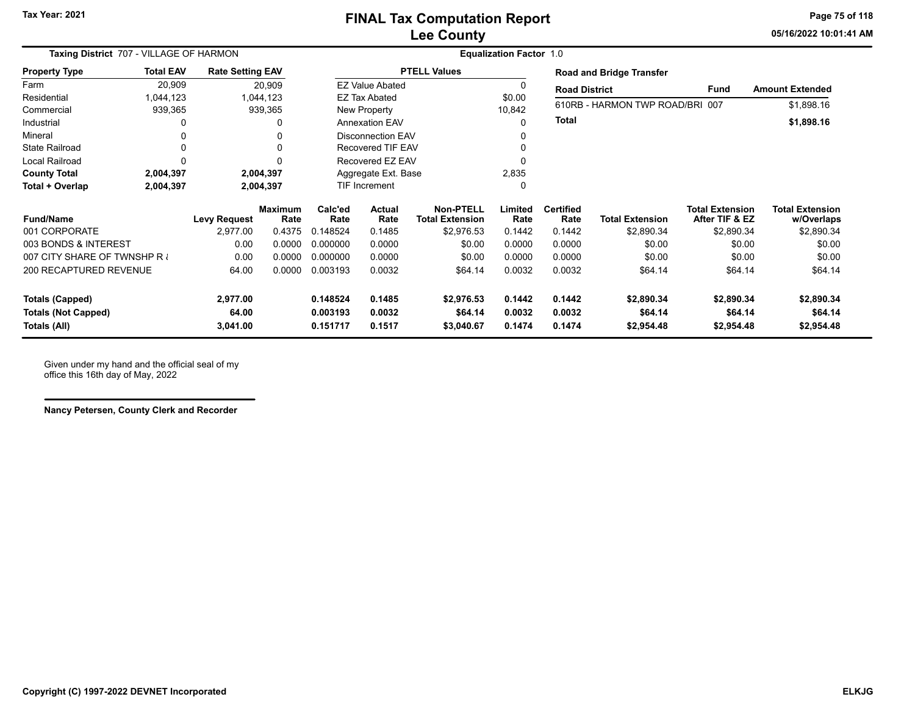**05/16/2022 10:01:41 AMPage 75 of 118**

| Taxing District 707 - VILLAGE OF HARMON |                       | <b>Equalization Factor 1.0</b> |                        |                 |                          |                                            |                 |                          |                                 |                                          |                                      |
|-----------------------------------------|-----------------------|--------------------------------|------------------------|-----------------|--------------------------|--------------------------------------------|-----------------|--------------------------|---------------------------------|------------------------------------------|--------------------------------------|
| <b>Property Type</b>                    | <b>Total EAV</b>      | <b>Rate Setting EAV</b>        |                        |                 |                          | <b>PTELL Values</b>                        |                 |                          | <b>Road and Bridge Transfer</b> |                                          |                                      |
| Farm                                    | 20,909                |                                | 20,909                 |                 | <b>EZ Value Abated</b>   |                                            | 0               | <b>Road District</b>     |                                 | <b>Fund</b>                              | <b>Amount Extended</b>               |
| Residential                             | 1,044,123             |                                | 1,044,123              |                 | <b>EZ Tax Abated</b>     |                                            | \$0.00          |                          |                                 |                                          |                                      |
| Commercial                              | 939,365               |                                | 939,365                |                 | New Property             |                                            | 10,842          |                          | 610RB - HARMON TWP ROAD/BRI 007 |                                          | \$1,898.16                           |
| Industrial                              | 0                     |                                |                        |                 | <b>Annexation EAV</b>    |                                            | 0               | <b>Total</b>             |                                 |                                          | \$1,898.16                           |
| Mineral                                 | 0                     |                                |                        |                 | <b>Disconnection EAV</b> |                                            | $\Omega$        |                          |                                 |                                          |                                      |
| <b>State Railroad</b>                   | 0                     |                                |                        |                 | <b>Recovered TIF EAV</b> |                                            | $\Omega$        |                          |                                 |                                          |                                      |
| Local Railroad                          | $\Omega$<br>2,004,397 |                                |                        |                 | Recovered EZ EAV         |                                            | 0               |                          |                                 |                                          |                                      |
| <b>County Total</b>                     | 2,004,397             |                                |                        |                 | Aggregate Ext. Base      |                                            | 2,835           |                          |                                 |                                          |                                      |
| Total + Overlap                         | 2,004,397             |                                | 2,004,397              |                 | <b>TIF Increment</b>     |                                            | $\Omega$        |                          |                                 |                                          |                                      |
| <b>Fund/Name</b>                        |                       | <b>Levy Request</b>            | <b>Maximum</b><br>Rate | Calc'ed<br>Rate | Actual<br>Rate           | <b>Non-PTELL</b><br><b>Total Extension</b> | Limited<br>Rate | <b>Certified</b><br>Rate | <b>Total Extension</b>          | <b>Total Extension</b><br>After TIF & EZ | <b>Total Extension</b><br>w/Overlaps |
| 001 CORPORATE                           |                       | 2,977.00                       | 0.4375                 | 0.148524        | 0.1485                   | \$2,976.53                                 | 0.1442          | 0.1442                   | \$2,890.34                      | \$2,890.34                               | \$2,890.34                           |
| 003 BONDS & INTEREST                    |                       | 0.00                           | 0.0000                 | 0.000000        | 0.0000                   | \$0.00                                     | 0.0000          | 0.0000                   | \$0.00                          | \$0.00                                   | \$0.00                               |
| 007 CITY SHARE OF TWNSHP R              |                       | 0.00                           | 0.0000                 | 0.000000        | 0.0000                   | \$0.00                                     | 0.0000          | 0.0000                   | \$0.00                          | \$0.00                                   | \$0.00                               |
| 200 RECAPTURED REVENUE                  |                       | 64.00                          | 0.0000                 | 0.003193        | 0.0032                   | \$64.14                                    | 0.0032          | 0.0032                   | \$64.14                         | \$64.14                                  | \$64.14                              |
| <b>Totals (Capped)</b>                  |                       | 2,977.00                       |                        | 0.148524        | 0.1485                   | \$2,976.53                                 | 0.1442          | 0.1442                   | \$2,890.34                      | \$2,890.34                               | \$2,890.34                           |
| <b>Totals (Not Capped)</b>              |                       | 64.00                          |                        | 0.003193        | 0.0032                   | \$64.14                                    | 0.0032          | 0.0032                   | \$64.14                         | \$64.14                                  | \$64.14                              |
| Totals (All)                            |                       | 3,041.00                       |                        | 0.151717        | 0.1517                   | \$3,040.67                                 | 0.1474          | 0.1474                   | \$2,954.48                      | \$2,954.48                               | \$2,954.48                           |

Given under my hand and the official seal of my office this 16th day of May, 2022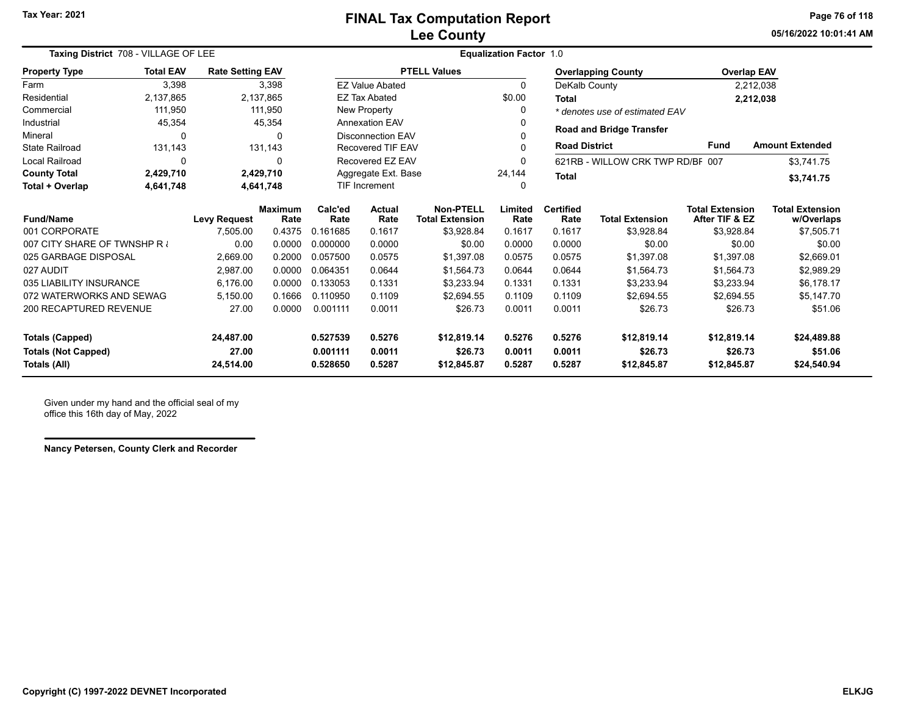**05/16/2022 10:01:41 AMPage 76 of 118**

| Taxing District 708 - VILLAGE OF LEE |                  |                         |                        | <b>Equalization Factor 1.0</b>          |                          |                                            |                 |                          |                                  |                                          |                                      |  |
|--------------------------------------|------------------|-------------------------|------------------------|-----------------------------------------|--------------------------|--------------------------------------------|-----------------|--------------------------|----------------------------------|------------------------------------------|--------------------------------------|--|
| <b>Property Type</b>                 | <b>Total EAV</b> | <b>Rate Setting EAV</b> |                        |                                         |                          | <b>PTELL Values</b>                        |                 |                          | <b>Overlapping County</b>        | <b>Overlap EAV</b>                       |                                      |  |
| Farm                                 | 3,398            |                         | 3,398                  |                                         | <b>EZ Value Abated</b>   |                                            | $\Omega$        | DeKalb County            |                                  |                                          | 2,212,038                            |  |
| Residential                          | 2,137,865        |                         | 2,137,865              |                                         | <b>EZ Tax Abated</b>     |                                            | \$0.00          | Total                    |                                  |                                          | 2,212,038                            |  |
| Commercial                           | 111,950          |                         | 111,950                |                                         | New Property             |                                            | 0               |                          | * denotes use of estimated EAV   |                                          |                                      |  |
| Industrial                           | 45,354           |                         | 45,354                 |                                         | <b>Annexation EAV</b>    |                                            | $\Omega$        |                          | <b>Road and Bridge Transfer</b>  |                                          |                                      |  |
| Mineral                              | 0                |                         | $\Omega$               |                                         | <b>Disconnection EAV</b> |                                            | $\Omega$        |                          |                                  |                                          |                                      |  |
| <b>State Railroad</b>                | 131,143          |                         | 131,143                |                                         | Recovered TIF EAV        |                                            |                 | <b>Road District</b>     |                                  | <b>Fund</b>                              | <b>Amount Extended</b>               |  |
| Local Railroad                       | 0                |                         | $\Omega$               | Recovered EZ EAV<br>Aggregate Ext. Base |                          |                                            | 0               |                          | 621RB - WILLOW CRK TWP RD/BF 007 |                                          | \$3,741.75                           |  |
| <b>County Total</b>                  | 2,429,710        |                         | 2,429,710              |                                         |                          | 24,144                                     | <b>Total</b>    |                          |                                  | \$3,741.75                               |                                      |  |
| Total + Overlap                      | 4,641,748        |                         | 4,641,748              | <b>TIF Increment</b>                    |                          |                                            | 0               |                          |                                  |                                          |                                      |  |
| <b>Fund/Name</b>                     |                  | <b>Levy Request</b>     | <b>Maximum</b><br>Rate | Calc'ed<br>Rate                         | Actual<br>Rate           | <b>Non-PTELL</b><br><b>Total Extension</b> | Limited<br>Rate | <b>Certified</b><br>Rate | <b>Total Extension</b>           | <b>Total Extension</b><br>After TIF & EZ | <b>Total Extension</b><br>w/Overlaps |  |
| 001 CORPORATE                        |                  | 7,505.00                | 0.4375                 | 0.161685                                | 0.1617                   | \$3,928.84                                 | 0.1617          | 0.1617                   | \$3,928.84                       | \$3,928.84                               | \$7,505.71                           |  |
| 007 CITY SHARE OF TWNSHP R           |                  | 0.00                    | 0.0000                 | 0.000000                                | 0.0000                   | \$0.00                                     | 0.0000          | 0.0000                   | \$0.00                           | \$0.00                                   | \$0.00                               |  |
| 025 GARBAGE DISPOSAL                 |                  | 2,669.00                | 0.2000                 | 0.057500                                | 0.0575                   | \$1,397.08                                 | 0.0575          | 0.0575                   | \$1,397.08                       | \$1,397.08                               | \$2,669.01                           |  |
| 027 AUDIT                            |                  | 2,987.00                | 0.0000                 | 0.064351                                | 0.0644                   | \$1,564.73                                 | 0.0644          | 0.0644                   | \$1,564.73                       | \$1,564.73                               | \$2,989.29                           |  |
| 035 LIABILITY INSURANCE              |                  | 6,176.00                | 0.0000                 | 0.133053                                | 0.1331                   | \$3.233.94                                 | 0.1331          | 0.1331                   | \$3,233.94                       | \$3,233.94                               | \$6,178.17                           |  |
| 072 WATERWORKS AND SEWAG             |                  | 5,150.00                | 0.1666                 | 0.110950                                | 0.1109                   | \$2.694.55                                 | 0.1109          | 0.1109                   | \$2,694.55                       | \$2,694.55                               | \$5,147.70                           |  |
| 200 RECAPTURED REVENUE               |                  | 27.00                   | 0.0000                 | 0.001111                                | 0.0011                   | \$26.73                                    | 0.0011          | 0.0011                   | \$26.73                          | \$26.73                                  | \$51.06                              |  |
| <b>Totals (Capped)</b>               |                  | 24,487.00               |                        | 0.527539                                | 0.5276                   | \$12,819.14                                | 0.5276          | 0.5276                   | \$12,819.14                      | \$12,819.14                              | \$24,489.88                          |  |
| <b>Totals (Not Capped)</b>           |                  | 27.00                   |                        | 0.001111                                | 0.0011                   | \$26.73                                    | 0.0011          | 0.0011                   | \$26.73                          | \$26.73                                  | \$51.06                              |  |
| 24,514.00<br>Totals (All)            |                  |                         |                        | 0.528650                                | 0.5287                   | \$12,845.87                                | 0.5287          | 0.5287                   | \$12,845.87                      | \$12,845.87                              | \$24,540.94                          |  |

Given under my hand and the official seal of my office this 16th day of May, 2022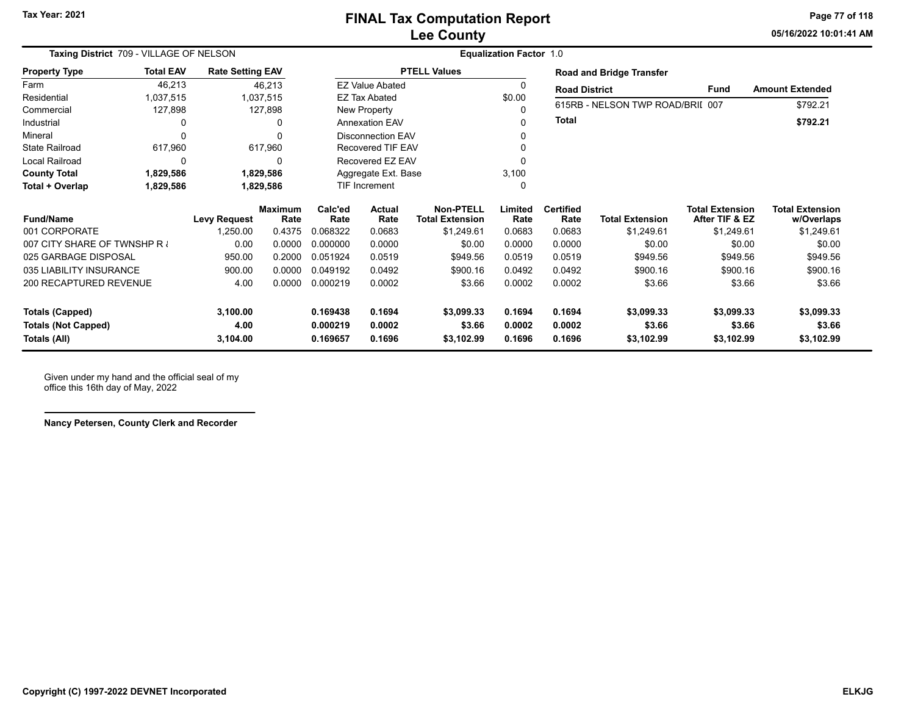**05/16/2022 10:01:41 AMPage 77 of 118**

| Taxing District 709 - VILLAGE OF NELSON |                  |                         |                        |                 | <b>Equalization Factor 1.0</b> |                                            |                 |                          |                                  |                                          |                                      |  |  |  |
|-----------------------------------------|------------------|-------------------------|------------------------|-----------------|--------------------------------|--------------------------------------------|-----------------|--------------------------|----------------------------------|------------------------------------------|--------------------------------------|--|--|--|
| <b>Property Type</b>                    | <b>Total EAV</b> | <b>Rate Setting EAV</b> |                        |                 |                                | <b>PTELL Values</b>                        |                 |                          | <b>Road and Bridge Transfer</b>  |                                          |                                      |  |  |  |
| Farm                                    | 46,213           |                         | 46,213                 |                 | <b>EZ Value Abated</b>         |                                            | 0               | <b>Road District</b>     |                                  | <b>Fund</b>                              | <b>Amount Extended</b>               |  |  |  |
| Residential                             | 1,037,515        |                         | 1,037,515              |                 | <b>EZ Tax Abated</b>           |                                            | \$0.00          |                          |                                  |                                          |                                      |  |  |  |
| Commercial                              | 127,898          |                         | 127,898                |                 | New Property                   |                                            | 0               |                          | 615RB - NELSON TWP ROAD/BRII 007 |                                          | \$792.21                             |  |  |  |
| Industrial                              | 0                |                         | 0                      |                 | <b>Annexation EAV</b>          |                                            | 0               | Total                    |                                  |                                          | \$792.21                             |  |  |  |
| Mineral                                 | 0                |                         |                        |                 | <b>Disconnection EAV</b>       |                                            |                 |                          |                                  |                                          |                                      |  |  |  |
| <b>State Railroad</b>                   | 617,960          |                         | 617,960                |                 | Recovered TIF EAV              |                                            |                 |                          |                                  |                                          |                                      |  |  |  |
| <b>Local Railroad</b>                   | 0                |                         | 0                      |                 | Recovered EZ EAV               |                                            | O               |                          |                                  |                                          |                                      |  |  |  |
| <b>County Total</b>                     | 1,829,586        |                         | 1,829,586              |                 | Aggregate Ext. Base            |                                            | 3,100           |                          |                                  |                                          |                                      |  |  |  |
| Total + Overlap                         | 1,829,586        |                         | 1,829,586              |                 | <b>TIF Increment</b>           |                                            | 0               |                          |                                  |                                          |                                      |  |  |  |
| <b>Fund/Name</b>                        |                  | <b>Levy Request</b>     | <b>Maximum</b><br>Rate | Calc'ed<br>Rate | <b>Actual</b><br>Rate          | <b>Non-PTELL</b><br><b>Total Extension</b> | Limited<br>Rate | <b>Certified</b><br>Rate | <b>Total Extension</b>           | <b>Total Extension</b><br>After TIF & EZ | <b>Total Extension</b><br>w/Overlaps |  |  |  |
| 001 CORPORATE                           |                  | 1,250.00                | 0.4375                 | 0.068322        | 0.0683                         | \$1,249.61                                 | 0.0683          | 0.0683                   | \$1,249.61                       | \$1,249.61                               | \$1,249.61                           |  |  |  |
| 007 CITY SHARE OF TWNSHP R              |                  | 0.00                    | 0.0000                 | 0.000000        | 0.0000                         | \$0.00                                     | 0.0000          | 0.0000                   | \$0.00                           | \$0.00                                   | \$0.00                               |  |  |  |
| 025 GARBAGE DISPOSAL                    |                  | 950.00                  | 0.2000                 | 0.051924        | 0.0519                         | \$949.56                                   | 0.0519          | 0.0519                   | \$949.56                         | \$949.56                                 | \$949.56                             |  |  |  |
| 035 LIABILITY INSURANCE                 |                  | 900.00                  | 0.0000                 | 0.049192        | 0.0492                         | \$900.16                                   | 0.0492          | 0.0492                   | \$900.16                         | \$900.16                                 | \$900.16                             |  |  |  |
| 200 RECAPTURED REVENUE                  |                  | 4.00                    | 0.0000                 | 0.000219        | 0.0002                         | \$3.66                                     | 0.0002          | 0.0002                   | \$3.66                           | \$3.66                                   | \$3.66                               |  |  |  |
| <b>Totals (Capped)</b>                  |                  | 3,100.00                |                        | 0.169438        | 0.1694                         | \$3,099.33                                 | 0.1694          | 0.1694                   | \$3,099.33                       | \$3,099.33                               | \$3,099.33                           |  |  |  |
| <b>Totals (Not Capped)</b>              |                  | 4.00                    |                        | 0.000219        | 0.0002                         | \$3.66                                     | 0.0002          | 0.0002                   | \$3.66                           | \$3.66                                   | \$3.66                               |  |  |  |
| Totals (All)                            |                  | 3,104.00                |                        | 0.169657        | 0.1696                         | \$3,102.99                                 | 0.1696          | 0.1696                   | \$3,102.99                       | \$3,102.99                               | \$3,102.99                           |  |  |  |

Given under my hand and the official seal of my office this 16th day of May, 2022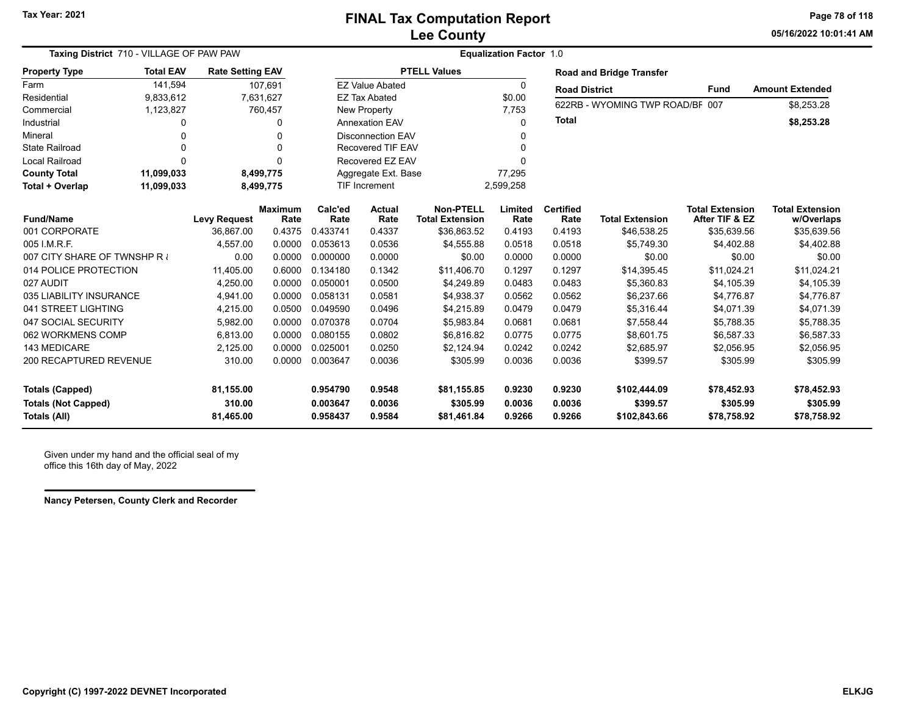**05/16/2022 10:01:41 AMPage 78 of 118**

| Taxing District 710 - VILLAGE OF PAW PAW |                         |                         |                        |                 | <b>Equalization Factor 1.0</b> |                                            |                 |                          |                                 |                                          |                                      |  |  |  |
|------------------------------------------|-------------------------|-------------------------|------------------------|-----------------|--------------------------------|--------------------------------------------|-----------------|--------------------------|---------------------------------|------------------------------------------|--------------------------------------|--|--|--|
| <b>Property Type</b>                     | <b>Total EAV</b>        | <b>Rate Setting EAV</b> |                        |                 |                                | <b>PTELL Values</b>                        |                 |                          | <b>Road and Bridge Transfer</b> |                                          |                                      |  |  |  |
| Farm                                     | 141,594                 |                         | 107,691                |                 | <b>EZ Value Abated</b>         |                                            | 0               | <b>Road District</b>     |                                 | <b>Fund</b>                              | <b>Amount Extended</b>               |  |  |  |
| Residential                              | 9,833,612               |                         | 7,631,627              |                 | <b>EZ Tax Abated</b>           |                                            | \$0.00          |                          | 622RB - WYOMING TWP ROAD/BF 007 |                                          |                                      |  |  |  |
| Commercial                               | 1,123,827               |                         | 760,457                |                 | New Property                   |                                            | 7,753           |                          |                                 |                                          | \$8,253.28                           |  |  |  |
| Industrial                               | 0                       |                         | 0                      |                 | <b>Annexation EAV</b>          |                                            | 0               | <b>Total</b>             |                                 |                                          | \$8,253.28                           |  |  |  |
| Mineral                                  | $\Omega$                |                         | $\Omega$               |                 | <b>Disconnection EAV</b>       |                                            |                 |                          |                                 |                                          |                                      |  |  |  |
| <b>State Railroad</b>                    | 0                       |                         | $\Omega$               |                 | Recovered TIF EAV              |                                            |                 |                          |                                 |                                          |                                      |  |  |  |
| <b>Local Railroad</b>                    | $\Omega$                |                         | $\Omega$               |                 | Recovered EZ EAV               |                                            |                 |                          |                                 |                                          |                                      |  |  |  |
| <b>County Total</b>                      | 11,099,033<br>8,499,775 |                         |                        |                 | Aggregate Ext. Base            |                                            | 77,295          |                          |                                 |                                          |                                      |  |  |  |
| Total + Overlap                          | 11,099,033              |                         | 8,499,775              |                 | TIF Increment                  |                                            | 2,599,258       |                          |                                 |                                          |                                      |  |  |  |
| <b>Fund/Name</b>                         |                         | <b>Levy Request</b>     | <b>Maximum</b><br>Rate | Calc'ed<br>Rate | <b>Actual</b><br>Rate          | <b>Non-PTELL</b><br><b>Total Extension</b> | Limited<br>Rate | <b>Certified</b><br>Rate | <b>Total Extension</b>          | <b>Total Extension</b><br>After TIF & EZ | <b>Total Extension</b><br>w/Overlaps |  |  |  |
| 001 CORPORATE                            |                         | 36.867.00               | 0.4375                 | 0.433741        | 0.4337                         | \$36,863.52                                | 0.4193          | 0.4193                   | \$46,538.25                     | \$35,639.56                              | \$35,639.56                          |  |  |  |
| 005 I.M.R.F.                             |                         | 4,557.00                | 0.0000                 | 0.053613        | 0.0536                         | \$4,555.88                                 | 0.0518          | 0.0518                   | \$5,749.30                      | \$4,402.88                               | \$4,402.88                           |  |  |  |
| 007 CITY SHARE OF TWNSHP R               |                         | 0.00                    | 0.0000                 | 0.000000        | 0.0000                         | \$0.00                                     | 0.0000          | 0.0000                   | \$0.00                          | \$0.00                                   | \$0.00                               |  |  |  |
| 014 POLICE PROTECTION                    |                         | 11,405.00               | 0.6000                 | 0.134180        | 0.1342                         | \$11,406.70                                | 0.1297          | 0.1297                   | \$14,395.45                     | \$11,024.21                              | \$11,024.21                          |  |  |  |
| 027 AUDIT                                |                         | 4,250.00                | 0.0000                 | 0.050001        | 0.0500                         | \$4,249.89                                 | 0.0483          | 0.0483                   | \$5,360.83                      | \$4,105.39                               | \$4,105.39                           |  |  |  |
| 035 LIABILITY INSURANCE                  |                         | 4,941.00                | 0.0000                 | 0.058131        | 0.0581                         | \$4,938.37                                 | 0.0562          | 0.0562                   | \$6,237.66                      | \$4,776.87                               | \$4,776.87                           |  |  |  |
| 041 STREET LIGHTING                      |                         | 4,215.00                | 0.0500                 | 0.049590        | 0.0496                         | \$4,215.89                                 | 0.0479          | 0.0479                   | \$5,316.44                      | \$4,071.39                               | \$4,071.39                           |  |  |  |
| 047 SOCIAL SECURITY                      |                         | 5,982.00                | 0.0000                 | 0.070378        | 0.0704                         | \$5,983.84                                 | 0.0681          | 0.0681                   | \$7,558.44                      | \$5,788.35                               | \$5,788.35                           |  |  |  |
| 062 WORKMENS COMP                        |                         | 6,813.00                | 0.0000                 | 0.080155        | 0.0802                         | \$6,816.82                                 | 0.0775          | 0.0775                   | \$8,601.75                      | \$6,587.33                               | \$6,587.33                           |  |  |  |
| 143 MEDICARE                             |                         | 2,125.00                | 0.0000                 | 0.025001        | 0.0250                         | \$2,124.94                                 | 0.0242          | 0.0242                   | \$2,685.97                      | \$2,056.95                               | \$2,056.95                           |  |  |  |
| 200 RECAPTURED REVENUE                   |                         | 310.00                  | 0.0000                 | 0.003647        | 0.0036                         | \$305.99                                   | 0.0036          | 0.0036                   | \$399.57                        | \$305.99                                 | \$305.99                             |  |  |  |
| <b>Totals (Capped)</b>                   |                         | 81,155.00               |                        | 0.954790        | 0.9548                         | \$81,155.85                                | 0.9230          | 0.9230                   | \$102,444.09                    | \$78,452.93                              | \$78,452.93                          |  |  |  |
| <b>Totals (Not Capped)</b>               |                         | 310.00                  |                        | 0.003647        | 0.0036                         | \$305.99                                   | 0.0036          | 0.0036                   | \$399.57                        | \$305.99                                 | \$305.99                             |  |  |  |
| Totals (All)                             |                         | 81,465.00               |                        | 0.958437        | 0.9584                         | \$81,461.84                                | 0.9266          | 0.9266                   | \$102,843.66                    | \$78,758.92                              | \$78,758.92                          |  |  |  |

Given under my hand and the official seal of my office this 16th day of May, 2022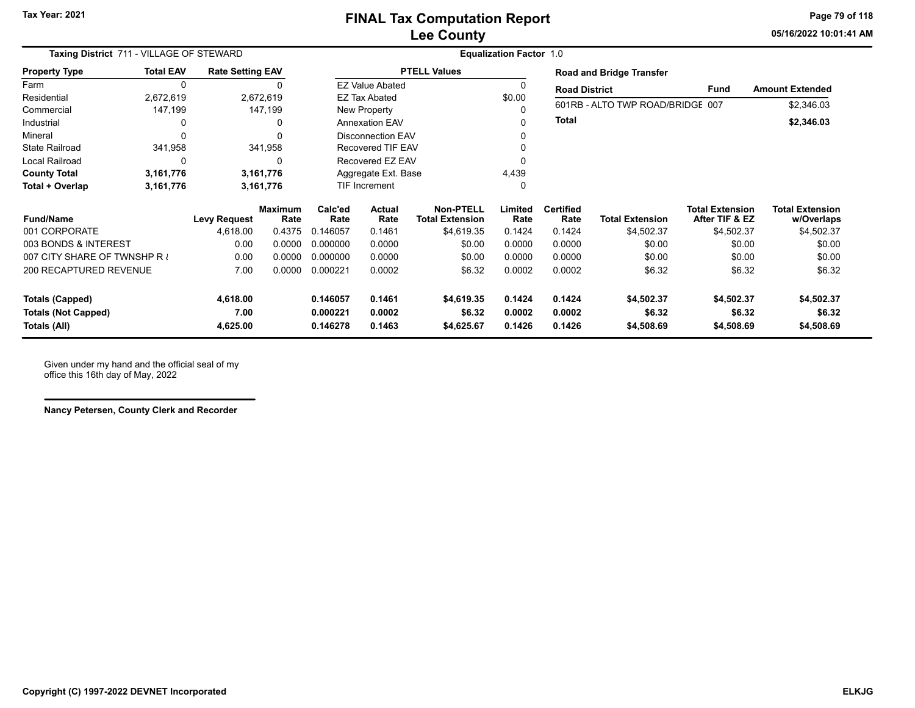**05/16/2022 10:01:41 AMPage 79 of 118**

| Taxing District 711 - VILLAGE OF STEWARD |                  |                         |                        |                 | <b>Equalization Factor 1.0</b> |                                            |                 |                          |                                  |                                          |                                      |  |  |
|------------------------------------------|------------------|-------------------------|------------------------|-----------------|--------------------------------|--------------------------------------------|-----------------|--------------------------|----------------------------------|------------------------------------------|--------------------------------------|--|--|
| <b>Property Type</b>                     | <b>Total EAV</b> | <b>Rate Setting EAV</b> |                        |                 |                                | <b>PTELL Values</b>                        |                 |                          | <b>Road and Bridge Transfer</b>  |                                          |                                      |  |  |
| Farm                                     | 0                |                         |                        |                 | <b>EZ Value Abated</b>         |                                            |                 | <b>Road District</b>     |                                  | <b>Fund</b>                              | <b>Amount Extended</b>               |  |  |
| Residential                              | 2,672,619        |                         | 2,672,619              |                 | <b>EZ Tax Abated</b>           |                                            | \$0.00          |                          |                                  |                                          |                                      |  |  |
| Commercial                               | 147,199          |                         | 147,199                |                 | New Property                   |                                            |                 |                          | 601RB - ALTO TWP ROAD/BRIDGE 007 |                                          | \$2,346.03                           |  |  |
| Industrial                               | 0                |                         | 0                      |                 | <b>Annexation EAV</b>          |                                            |                 | <b>Total</b>             |                                  |                                          | \$2,346.03                           |  |  |
| Mineral                                  | 0                |                         |                        |                 | <b>Disconnection EAV</b>       |                                            |                 |                          |                                  |                                          |                                      |  |  |
| <b>State Railroad</b>                    | 341,958          |                         | 341,958                |                 | <b>Recovered TIF EAV</b>       |                                            |                 |                          |                                  |                                          |                                      |  |  |
| <b>Local Railroad</b>                    | 0                |                         | 0                      |                 | Recovered EZ EAV               |                                            |                 |                          |                                  |                                          |                                      |  |  |
| <b>County Total</b>                      | 3,161,776        |                         | 3,161,776              |                 | Aggregate Ext. Base            |                                            | 4,439           |                          |                                  |                                          |                                      |  |  |
| Total + Overlap                          | 3,161,776        |                         | 3,161,776              |                 | <b>TIF Increment</b>           |                                            |                 |                          |                                  |                                          |                                      |  |  |
| <b>Fund/Name</b>                         |                  | <b>Levy Request</b>     | <b>Maximum</b><br>Rate | Calc'ed<br>Rate | <b>Actual</b><br>Rate          | <b>Non-PTELL</b><br><b>Total Extension</b> | Limited<br>Rate | <b>Certified</b><br>Rate | <b>Total Extension</b>           | <b>Total Extension</b><br>After TIF & EZ | <b>Total Extension</b><br>w/Overlaps |  |  |
| 001 CORPORATE                            |                  | 4,618.00                | 0.4375                 | 0.146057        | 0.1461                         | \$4,619.35                                 | 0.1424          | 0.1424                   | \$4,502.37                       | \$4,502.37                               | \$4,502.37                           |  |  |
| 003 BONDS & INTEREST                     |                  | 0.00                    | 0.0000                 | 0.000000        | 0.0000                         | \$0.00                                     | 0.0000          | 0.0000                   | \$0.00                           | \$0.00                                   | \$0.00                               |  |  |
| 007 CITY SHARE OF TWNSHP R               |                  | 0.00                    | 0.0000                 | 0.000000        | 0.0000                         | \$0.00                                     | 0.0000          | 0.0000                   | \$0.00                           | \$0.00                                   | \$0.00                               |  |  |
| 200 RECAPTURED REVENUE                   |                  | 7.00                    | 0.0000                 | 0.000221        | 0.0002                         | \$6.32                                     | 0.0002          | 0.0002                   | \$6.32                           | \$6.32                                   | \$6.32                               |  |  |
| <b>Totals (Capped)</b>                   |                  | 4,618.00                |                        | 0.146057        | 0.1461                         | \$4,619.35                                 | 0.1424          | 0.1424                   | \$4,502.37                       | \$4,502.37                               | \$4,502.37                           |  |  |
| <b>Totals (Not Capped)</b>               |                  | 7.00                    |                        | 0.000221        | 0.0002                         | \$6.32                                     | 0.0002          | 0.0002                   | \$6.32                           | \$6.32                                   | \$6.32                               |  |  |
| Totals (All)                             |                  | 4,625.00                |                        | 0.146278        | 0.1463                         | \$4,625.67                                 | 0.1426          | 0.1426                   | \$4,508.69                       | \$4,508.69                               | \$4,508.69                           |  |  |

Given under my hand and the official seal of my office this 16th day of May, 2022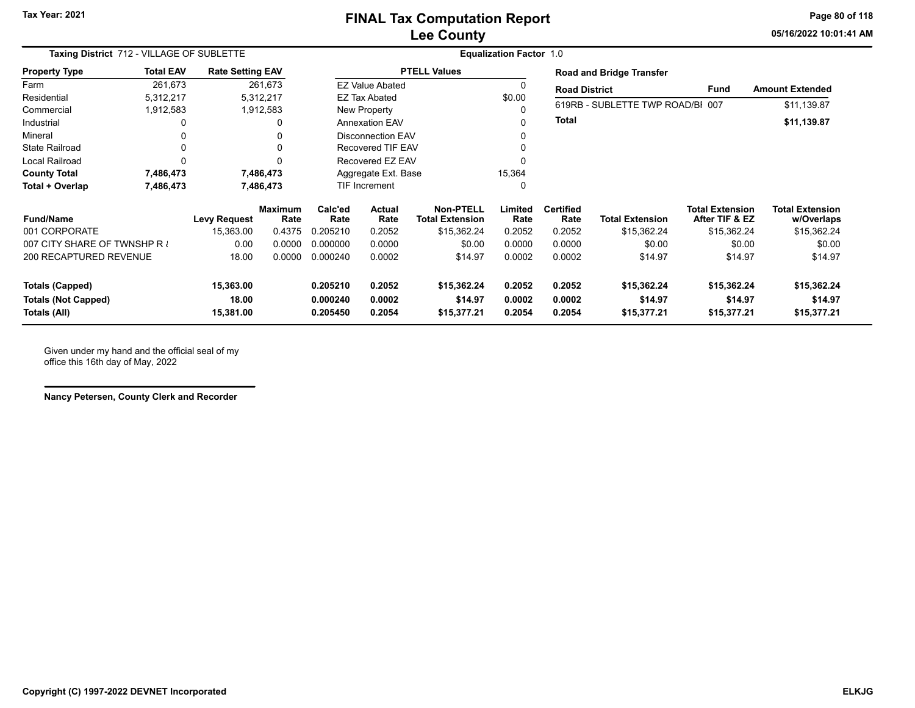### **Lee County FINAL Tax Computation Report**

**05/16/2022 10:01:41 AMPage 80 of 118**

| Taxing District 712 - VILLAGE OF SUBLETTE  |                        |                         |                        | <b>Equalization Factor 1.0</b> |                          |                                            |                  |                          |                                  |                                          |                                      |  |
|--------------------------------------------|------------------------|-------------------------|------------------------|--------------------------------|--------------------------|--------------------------------------------|------------------|--------------------------|----------------------------------|------------------------------------------|--------------------------------------|--|
| <b>Property Type</b>                       | <b>Total EAV</b>       | <b>Rate Setting EAV</b> |                        |                                |                          | <b>PTELL Values</b>                        |                  |                          | <b>Road and Bridge Transfer</b>  |                                          |                                      |  |
| Farm                                       | 261,673                |                         | 261,673                |                                | <b>EZ Value Abated</b>   |                                            |                  | <b>Road District</b>     |                                  | <b>Fund</b>                              | <b>Amount Extended</b>               |  |
| Residential                                | 5,312,217              |                         | 5,312,217              |                                | <b>EZ Tax Abated</b>     |                                            | \$0.00           |                          |                                  |                                          |                                      |  |
| Commercial                                 | 1,912,583              |                         | 1,912,583              |                                | New Property             |                                            |                  |                          | 619RB - SUBLETTE TWP ROAD/BI 007 |                                          | \$11,139.87                          |  |
| Industrial                                 | 0                      |                         |                        |                                | <b>Annexation EAV</b>    |                                            | $\Omega$         | <b>Total</b>             |                                  |                                          | \$11,139.87                          |  |
| Mineral                                    | 0                      |                         |                        |                                | <b>Disconnection EAV</b> |                                            |                  |                          |                                  |                                          |                                      |  |
| <b>State Railroad</b>                      | 0                      |                         |                        |                                | <b>Recovered TIF EAV</b> |                                            |                  |                          |                                  |                                          |                                      |  |
| Local Railroad                             | $\Omega$               |                         |                        |                                | Recovered EZ EAV         |                                            |                  |                          |                                  |                                          |                                      |  |
| <b>County Total</b>                        | 7,486,473<br>7,486,473 |                         |                        |                                | Aggregate Ext. Base      |                                            | 15,364           |                          |                                  |                                          |                                      |  |
| Total + Overlap<br>7,486,473               |                        |                         | 7,486,473              |                                | TIF Increment            |                                            | 0                |                          |                                  |                                          |                                      |  |
| <b>Fund/Name</b>                           |                        | <b>Levy Request</b>     | <b>Maximum</b><br>Rate | Calc'ed<br>Rate                | Actual<br>Rate           | <b>Non-PTELL</b><br><b>Total Extension</b> | Limited<br>Rate  | <b>Certified</b><br>Rate | <b>Total Extension</b>           | <b>Total Extension</b><br>After TIF & EZ | <b>Total Extension</b><br>w/Overlaps |  |
| 001 CORPORATE                              |                        | 15,363.00               | 0.4375                 | 0.205210                       | 0.2052                   | \$15,362.24                                | 0.2052           | 0.2052                   | \$15,362.24                      | \$15,362.24                              | \$15,362.24                          |  |
| 007 CITY SHARE OF TWNSHP R                 |                        | 0.00                    | 0.0000                 | 0.000000                       | 0.0000                   | \$0.00                                     | 0.0000           | 0.0000                   | \$0.00                           | \$0.00                                   | \$0.00                               |  |
| 200 RECAPTURED REVENUE                     |                        | 18.00                   | 0.0000                 | 0.000240                       | 0.0002                   | \$14.97                                    | 0.0002           | 0.0002                   | \$14.97                          | \$14.97                                  | \$14.97                              |  |
| <b>Totals (Capped)</b>                     |                        | 15,363.00               |                        | 0.205210                       | 0.2052                   | \$15,362.24                                | 0.2052           | 0.2052                   | \$15,362.24                      | \$15,362.24                              | \$15,362.24                          |  |
| <b>Totals (Not Capped)</b><br>Totals (All) |                        | 18.00<br>15,381.00      |                        | 0.000240<br>0.205450           | 0.0002<br>0.2054         | \$14.97<br>\$15,377.21                     | 0.0002<br>0.2054 | 0.0002<br>0.2054         | \$14.97<br>\$15,377.21           | \$14.97<br>\$15,377.21                   | \$14.97<br>\$15,377.21               |  |

Given under my hand and the official seal of my office this 16th day of May, 2022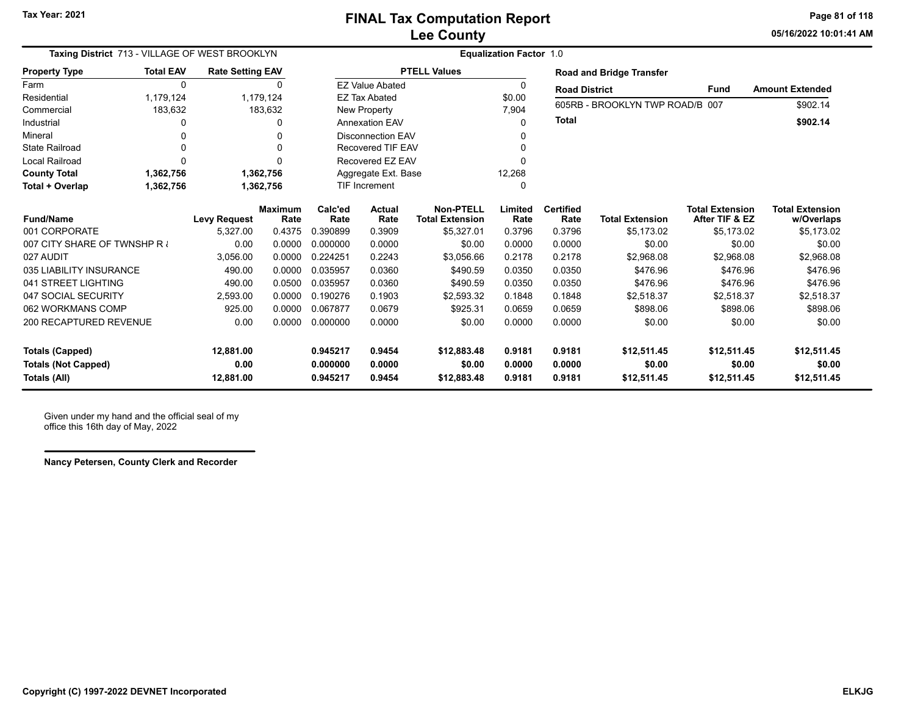**05/16/2022 10:01:41 AMPage 81 of 118**

| Taxing District 713 - VILLAGE OF WEST BROOKLYN |                  | <b>Equalization Factor 1.0</b> |                        |                      |                          |                                            |                 |                          |                                 |                                          |                                      |
|------------------------------------------------|------------------|--------------------------------|------------------------|----------------------|--------------------------|--------------------------------------------|-----------------|--------------------------|---------------------------------|------------------------------------------|--------------------------------------|
| <b>Property Type</b>                           | <b>Total EAV</b> | <b>Rate Setting EAV</b>        |                        |                      |                          | <b>PTELL Values</b>                        |                 |                          | <b>Road and Bridge Transfer</b> |                                          |                                      |
| Farm                                           | $\Omega$         |                                | $\Omega$               |                      | <b>EZ Value Abated</b>   |                                            | 0               | <b>Road District</b>     |                                 | <b>Fund</b>                              | <b>Amount Extended</b>               |
| Residential                                    | 1,179,124        |                                | 1,179,124              |                      | <b>EZ Tax Abated</b>     |                                            | \$0.00          |                          | 605RB - BROOKLYN TWP ROAD/B 007 |                                          | \$902.14                             |
| Commercial                                     | 183,632          |                                | 183,632                |                      | New Property             |                                            | 7,904           |                          |                                 |                                          |                                      |
| Industrial                                     |                  |                                | $\Omega$               |                      | <b>Annexation EAV</b>    |                                            | $\Omega$        | <b>Total</b>             |                                 |                                          | \$902.14                             |
| Mineral                                        |                  |                                | 0                      |                      | <b>Disconnection EAV</b> |                                            | 0               |                          |                                 |                                          |                                      |
| <b>State Railroad</b>                          |                  |                                | O                      |                      | <b>Recovered TIF EAV</b> |                                            | O               |                          |                                 |                                          |                                      |
| <b>Local Railroad</b>                          |                  |                                | U                      |                      | Recovered EZ EAV         |                                            | U               |                          |                                 |                                          |                                      |
| <b>County Total</b>                            | 1,362,756        |                                | 1,362,756              |                      | Aggregate Ext. Base      |                                            | 12,268          |                          |                                 |                                          |                                      |
| Total + Overlap                                | 1,362,756        |                                | 1,362,756              | <b>TIF Increment</b> |                          |                                            | $\Omega$        |                          |                                 |                                          |                                      |
| <b>Fund/Name</b>                               |                  | <b>Levy Request</b>            | <b>Maximum</b><br>Rate | Calc'ed<br>Rate      | <b>Actual</b><br>Rate    | <b>Non-PTELL</b><br><b>Total Extension</b> | Limited<br>Rate | <b>Certified</b><br>Rate | <b>Total Extension</b>          | <b>Total Extension</b><br>After TIF & EZ | <b>Total Extension</b><br>w/Overlaps |
| 001 CORPORATE                                  |                  | 5,327.00                       | 0.4375                 | 0.390899             | 0.3909                   | \$5,327.01                                 | 0.3796          | 0.3796                   | \$5.173.02                      | \$5,173.02                               | \$5,173.02                           |
| 007 CITY SHARE OF TWNSHP R                     |                  | 0.00                           | 0.0000                 | 0.000000             | 0.0000                   | \$0.00                                     | 0.0000          | 0.0000                   | \$0.00                          | \$0.00                                   | \$0.00                               |
| 027 AUDIT                                      |                  | 3.056.00                       | 0.0000                 | 0.224251             | 0.2243                   | \$3,056.66                                 | 0.2178          | 0.2178                   | \$2,968.08                      | \$2,968.08                               | \$2,968.08                           |
| 035 LIABILITY INSURANCE                        |                  | 490.00                         | 0.0000                 | 0.035957             | 0.0360                   | \$490.59                                   | 0.0350          | 0.0350                   | \$476.96                        | \$476.96                                 | \$476.96                             |
| 041 STREET LIGHTING                            |                  | 490.00                         | 0.0500                 | 0.035957             | 0.0360                   | \$490.59                                   | 0.0350          | 0.0350                   | \$476.96                        | \$476.96                                 | \$476.96                             |
| 047 SOCIAL SECURITY                            |                  | 2.593.00                       | 0.0000                 | 0.190276             | 0.1903                   | \$2.593.32                                 | 0.1848          | 0.1848                   | \$2,518.37                      | \$2,518.37                               | \$2,518.37                           |
| 062 WORKMANS COMP                              |                  | 925.00                         | 0.0000                 | 0.067877             | 0.0679                   | \$925.31                                   | 0.0659          | 0.0659                   | \$898.06                        | \$898.06                                 | \$898.06                             |
| 200 RECAPTURED REVENUE                         |                  | 0.00                           | 0.0000                 | 0.000000             | 0.0000                   | \$0.00                                     | 0.0000          | 0.0000                   | \$0.00                          | \$0.00                                   | \$0.00                               |
|                                                |                  |                                |                        |                      |                          |                                            |                 |                          |                                 |                                          |                                      |
| <b>Totals (Capped)</b>                         |                  | 12,881.00                      |                        | 0.945217             | 0.9454                   | \$12,883.48                                | 0.9181          | 0.9181                   | \$12,511.45                     | \$12,511.45                              | \$12,511.45                          |
| <b>Totals (Not Capped)</b>                     |                  | 0.00                           |                        | 0.000000             | 0.0000                   | \$0.00                                     | 0.0000          | 0.0000                   | \$0.00                          | \$0.00                                   | \$0.00                               |
| Totals (All)                                   |                  | 12,881.00                      |                        | 0.945217             | 0.9454                   | \$12,883.48                                | 0.9181          | 0.9181                   | \$12,511.45                     | \$12,511.45                              | \$12,511.45                          |

Given under my hand and the official seal of my office this 16th day of May, 2022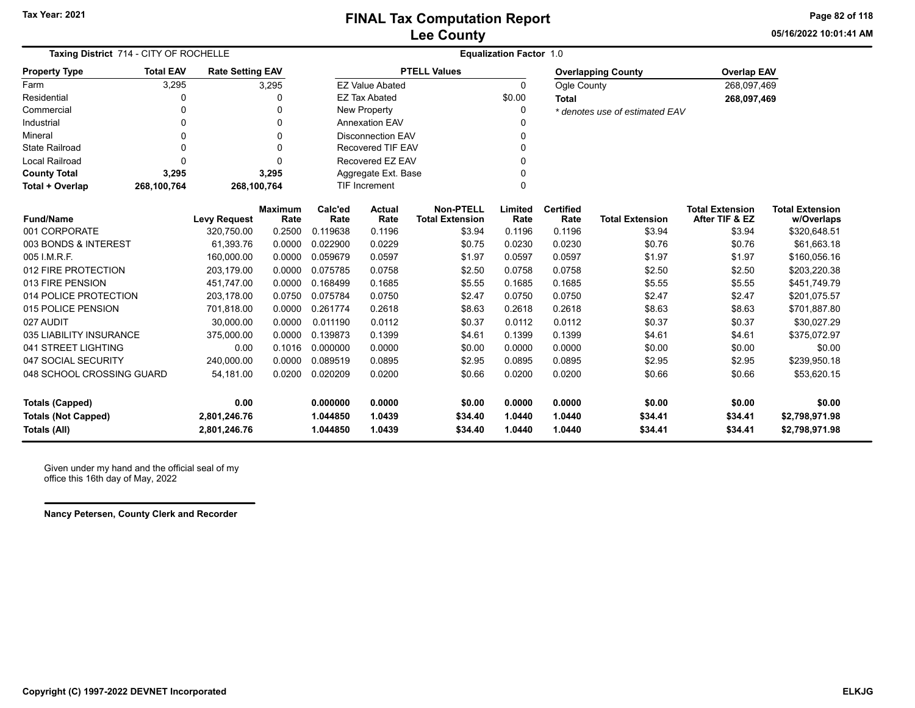**05/16/2022 10:01:41 AMPage 82 of 118**

| Taxing District 714 - CITY OF ROCHELLE |                  |                         |                        | <b>Equalization Factor 1.0</b> |                          |                                            |                 |                          |                                |                                          |                                      |  |  |
|----------------------------------------|------------------|-------------------------|------------------------|--------------------------------|--------------------------|--------------------------------------------|-----------------|--------------------------|--------------------------------|------------------------------------------|--------------------------------------|--|--|
| <b>Property Type</b>                   | <b>Total EAV</b> | <b>Rate Setting EAV</b> |                        |                                |                          | <b>PTELL Values</b>                        |                 |                          | <b>Overlapping County</b>      | <b>Overlap EAV</b>                       |                                      |  |  |
| Farm                                   | 3,295            |                         | 3,295                  |                                | <b>EZ Value Abated</b>   |                                            | $\Omega$        | Ogle County              |                                | 268,097,469                              |                                      |  |  |
| Residential                            | 0                |                         | 0                      |                                | <b>EZ Tax Abated</b>     |                                            | \$0.00          | <b>Total</b>             |                                | 268,097,469                              |                                      |  |  |
| Commercial                             | 0                |                         | 0                      |                                | New Property             |                                            | $\Omega$        |                          | * denotes use of estimated EAV |                                          |                                      |  |  |
| Industrial                             | 0                |                         | $\Omega$               |                                | <b>Annexation EAV</b>    |                                            |                 |                          |                                |                                          |                                      |  |  |
| Mineral                                | 0                |                         | $\Omega$               |                                | <b>Disconnection EAV</b> |                                            |                 |                          |                                |                                          |                                      |  |  |
| <b>State Railroad</b>                  | 0                |                         | $\Omega$               |                                | <b>Recovered TIF EAV</b> |                                            |                 |                          |                                |                                          |                                      |  |  |
| <b>Local Railroad</b>                  | 0                |                         | O                      |                                | Recovered EZ EAV         |                                            |                 |                          |                                |                                          |                                      |  |  |
| <b>County Total</b>                    | 3,295            |                         | 3,295                  |                                | Aggregate Ext. Base      |                                            |                 |                          |                                |                                          |                                      |  |  |
| Total + Overlap                        | 268,100,764      | 268,100,764             |                        |                                | <b>TIF Increment</b>     |                                            |                 |                          |                                |                                          |                                      |  |  |
| <b>Fund/Name</b><br>001 CORPORATE      |                  | <b>Levy Request</b>     | <b>Maximum</b><br>Rate | Calc'ed<br>Rate                | <b>Actual</b><br>Rate    | <b>Non-PTELL</b><br><b>Total Extension</b> | Limited<br>Rate | <b>Certified</b><br>Rate | <b>Total Extension</b>         | <b>Total Extension</b><br>After TIF & EZ | <b>Total Extension</b><br>w/Overlaps |  |  |
|                                        |                  | 320,750.00              | 0.2500                 | 0.119638                       | 0.1196                   | \$3.94                                     | 0.1196          | 0.1196                   | \$3.94                         | \$3.94                                   | \$320,648.51                         |  |  |
| 003 BONDS & INTEREST                   |                  | 61,393.76               | 0.0000                 | 0.022900                       | 0.0229                   | \$0.75                                     | 0.0230          | 0.0230                   | \$0.76                         | \$0.76                                   | \$61,663.18                          |  |  |
| 005 I.M.R.F.                           |                  | 160,000.00              | 0.0000                 | 0.059679                       | 0.0597                   | \$1.97                                     | 0.0597          | 0.0597                   | \$1.97                         | \$1.97                                   | \$160,056.16                         |  |  |
| 012 FIRE PROTECTION                    |                  | 203.179.00              | 0.0000                 | 0.075785                       | 0.0758                   | \$2.50                                     | 0.0758          | 0.0758                   | \$2.50                         | \$2.50                                   | \$203,220.38                         |  |  |
| 013 FIRE PENSION                       |                  | 451,747.00              | 0.0000                 | 0.168499                       | 0.1685                   | \$5.55                                     | 0.1685          | 0.1685                   | \$5.55                         | \$5.55                                   | \$451,749.79                         |  |  |
| 014 POLICE PROTECTION                  |                  | 203,178.00              | 0.0750                 | 0.075784                       | 0.0750                   | \$2.47                                     | 0.0750          | 0.0750                   | \$2.47                         | \$2.47                                   | \$201,075.57                         |  |  |
| 015 POLICE PENSION                     |                  | 701,818.00              | 0.0000                 | 0.261774                       | 0.2618                   | \$8.63                                     | 0.2618          | 0.2618                   | \$8.63                         | \$8.63                                   | \$701,887.80                         |  |  |
| 027 AUDIT                              |                  | 30,000.00               | 0.0000                 | 0.011190                       | 0.0112                   | \$0.37                                     | 0.0112          | 0.0112                   | \$0.37                         | \$0.37                                   | \$30,027.29                          |  |  |
| 035 LIABILITY INSURANCE                |                  | 375,000.00              | 0.0000                 | 0.139873                       | 0.1399                   | \$4.61                                     | 0.1399          | 0.1399                   | \$4.61                         | \$4.61                                   | \$375,072.97                         |  |  |
| 041 STREET LIGHTING                    |                  | 0.00                    | 0.1016                 | 0.000000                       | 0.0000                   | \$0.00                                     | 0.0000          | 0.0000                   | \$0.00                         | \$0.00                                   | \$0.00                               |  |  |
| 047 SOCIAL SECURITY                    |                  | 240,000.00              | 0.0000                 | 0.089519                       | 0.0895                   | \$2.95                                     | 0.0895          | 0.0895                   | \$2.95                         | \$2.95                                   | \$239,950.18                         |  |  |
| 048 SCHOOL CROSSING GUARD              |                  | 54,181.00               | 0.0200                 | 0.020209                       | 0.0200                   | \$0.66                                     | 0.0200          | 0.0200                   | \$0.66                         | \$0.66                                   | \$53,620.15                          |  |  |
| <b>Totals (Capped)</b>                 |                  | 0.00                    |                        | 0.000000                       | 0.0000                   | \$0.00                                     | 0.0000          | 0.0000                   | \$0.00                         | \$0.00                                   | \$0.00                               |  |  |
| <b>Totals (Not Capped)</b>             |                  | 2,801,246.76            |                        | 1.044850                       | 1.0439                   | \$34.40                                    | 1.0440          | 1.0440                   | \$34.41                        | \$34.41                                  | \$2,798,971.98                       |  |  |
| <b>Totals (All)</b>                    |                  | 2,801,246.76            |                        | 1.044850                       | 1.0439                   | \$34.40                                    | 1.0440          | 1.0440                   | \$34.41                        | \$34.41                                  | \$2,798,971.98                       |  |  |

Given under my hand and the official seal of my office this 16th day of May, 2022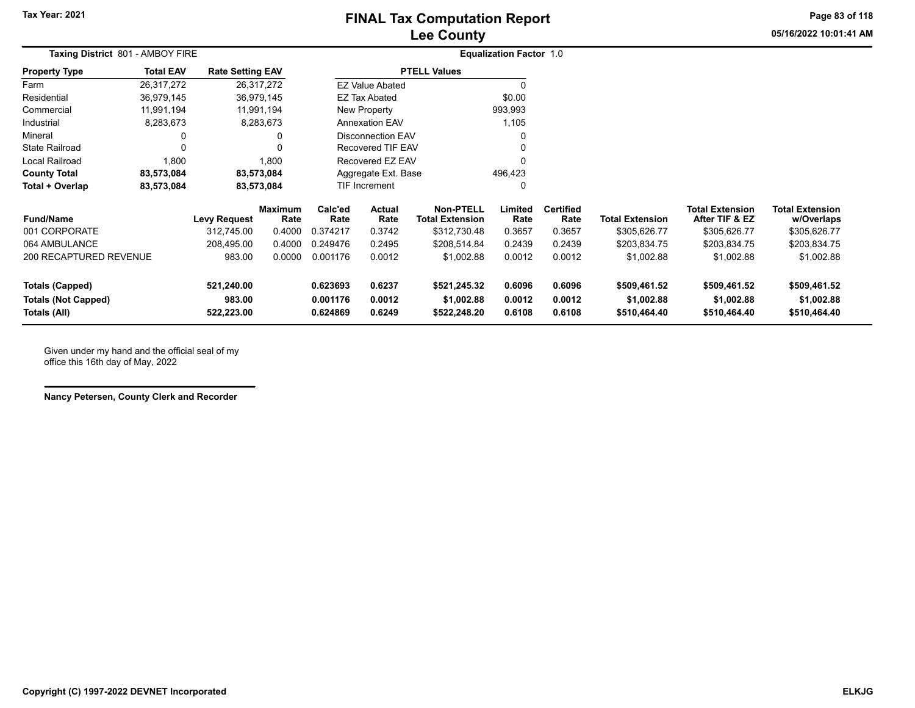# **Lee County FINAL Tax Computation Report**

**05/16/2022 10:01:41 AMPage 83 of 118**

÷

| Taxing District 801 - AMBOY FIRE                                     |                  |                                    |                        |                                  |                                               |                                            | <b>Equalization Factor 1.0</b> |                            |                                            |                                            |                                            |  |
|----------------------------------------------------------------------|------------------|------------------------------------|------------------------|----------------------------------|-----------------------------------------------|--------------------------------------------|--------------------------------|----------------------------|--------------------------------------------|--------------------------------------------|--------------------------------------------|--|
| <b>Property Type</b>                                                 | <b>Total EAV</b> | <b>Rate Setting EAV</b>            |                        |                                  |                                               | <b>PTELL Values</b>                        |                                |                            |                                            |                                            |                                            |  |
| Farm                                                                 | 26,317,272       |                                    | 26,317,272             |                                  | <b>EZ Value Abated</b>                        |                                            |                                |                            |                                            |                                            |                                            |  |
| Residential                                                          | 36,979,145       |                                    | 36,979,145             |                                  | <b>EZ Tax Abated</b>                          |                                            | \$0.00                         |                            |                                            |                                            |                                            |  |
| Commercial                                                           | 11,991,194       |                                    | 11,991,194             |                                  | New Property                                  |                                            | 993,993                        |                            |                                            |                                            |                                            |  |
| Industrial                                                           | 8,283,673        |                                    | 8,283,673              |                                  | Annexation EAV                                |                                            | 1,105                          |                            |                                            |                                            |                                            |  |
| Mineral                                                              | 0                |                                    | 0                      |                                  | <b>Disconnection EAV</b><br>Recovered TIF EAV |                                            |                                |                            |                                            |                                            |                                            |  |
| <b>State Railroad</b>                                                | 0                |                                    | $\Omega$               |                                  |                                               |                                            | 0                              |                            |                                            |                                            |                                            |  |
| Local Railroad                                                       | 1,800            |                                    | 1,800                  |                                  | Recovered EZ EAV                              |                                            | $\Omega$                       |                            |                                            |                                            |                                            |  |
| <b>County Total</b>                                                  | 83,573,084       |                                    | 83,573,084             |                                  | Aggregate Ext. Base                           |                                            | 496,423                        |                            |                                            |                                            |                                            |  |
| Total + Overlap                                                      | 83,573,084       |                                    | 83,573,084             | TIF Increment                    |                                               | 0                                          |                                |                            |                                            |                                            |                                            |  |
| <b>Fund/Name</b>                                                     |                  | <b>Levy Request</b>                | <b>Maximum</b><br>Rate | Calc'ed<br>Rate                  | <b>Actual</b><br>Rate                         | <b>Non-PTELL</b><br><b>Total Extension</b> | Limited<br>Rate                | <b>Certified</b><br>Rate   | Total Extension                            | <b>Total Extension</b><br>After TIF & EZ   | <b>Total Extension</b><br>w/Overlaps       |  |
| 001 CORPORATE                                                        |                  | 312,745.00                         | 0.4000                 | 0.374217                         | 0.3742                                        | \$312,730.48                               | 0.3657                         | 0.3657                     | \$305,626.77                               | \$305,626.77                               | \$305,626.77                               |  |
| 064 AMBULANCE                                                        |                  | 208,495.00                         | 0.4000                 | 0.249476                         | 0.2495                                        | \$208,514.84                               | 0.2439                         | 0.2439                     | \$203,834.75                               | \$203,834.75                               | \$203,834.75                               |  |
| 200 RECAPTURED REVENUE                                               |                  | 983.00                             | 0.0000                 | 0.001176                         | 0.0012                                        | \$1,002.88                                 | 0.0012                         | 0.0012                     | \$1,002.88                                 | \$1,002.88                                 | \$1,002.88                                 |  |
| <b>Totals (Capped)</b><br><b>Totals (Not Capped)</b><br>Totals (All) |                  | 521,240.00<br>983.00<br>522,223.00 |                        | 0.623693<br>0.001176<br>0.624869 | 0.6237<br>0.0012<br>0.6249                    | \$521,245.32<br>\$1,002.88<br>\$522,248.20 | 0.6096<br>0.0012<br>0.6108     | 0.6096<br>0.0012<br>0.6108 | \$509,461.52<br>\$1,002.88<br>\$510,464.40 | \$509,461.52<br>\$1,002.88<br>\$510,464.40 | \$509,461.52<br>\$1,002.88<br>\$510,464.40 |  |

Given under my hand and the official seal of my office this 16th day of May, 2022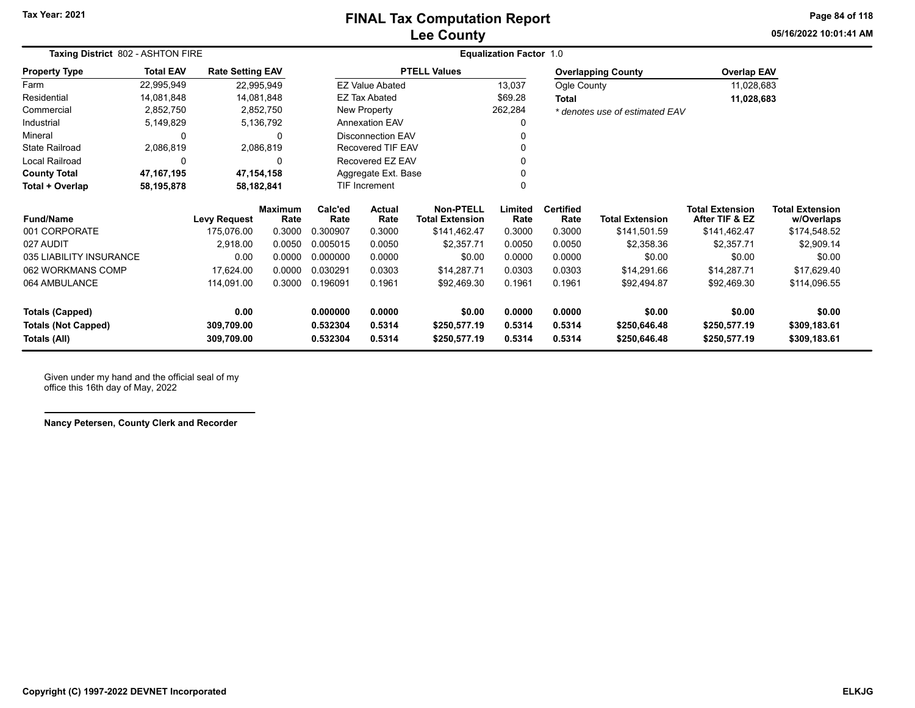# **Lee County FINAL Tax Computation Report**

**05/16/2022 10:01:41 AMPage 84 of 118**

| Taxing District 802 - ASHTON FIRE |                  |                         |                        |                 | <b>Equalization Factor 1.0</b> |                                            |                 |                          |                                |                                          |                                      |  |  |
|-----------------------------------|------------------|-------------------------|------------------------|-----------------|--------------------------------|--------------------------------------------|-----------------|--------------------------|--------------------------------|------------------------------------------|--------------------------------------|--|--|
| <b>Property Type</b>              | <b>Total EAV</b> | <b>Rate Setting EAV</b> |                        |                 |                                | <b>PTELL Values</b>                        |                 |                          | <b>Overlapping County</b>      | <b>Overlap EAV</b>                       |                                      |  |  |
| Farm                              | 22,995,949       |                         | 22,995,949             |                 | <b>EZ Value Abated</b>         |                                            | 13,037          | Ogle County              |                                | 11,028,683                               |                                      |  |  |
| Residential                       | 14,081,848       |                         | 14,081,848             |                 | <b>EZ Tax Abated</b>           |                                            | \$69.28         | <b>Total</b>             |                                | 11,028,683                               |                                      |  |  |
| Commercial                        | 2,852,750        |                         | 2,852,750              |                 | New Property                   |                                            | 262,284         |                          | * denotes use of estimated EAV |                                          |                                      |  |  |
| Industrial                        | 5,149,829        |                         | 5,136,792              |                 | <b>Annexation EAV</b>          |                                            |                 |                          |                                |                                          |                                      |  |  |
| Mineral                           | 0                |                         | 0                      |                 | <b>Disconnection EAV</b>       |                                            |                 |                          |                                |                                          |                                      |  |  |
| <b>State Railroad</b>             | 2,086,819        |                         | 2,086,819              |                 | <b>Recovered TIF EAV</b>       |                                            |                 |                          |                                |                                          |                                      |  |  |
| Local Railroad                    | 0<br>$\Omega$    |                         |                        |                 | Recovered EZ EAV               |                                            |                 |                          |                                |                                          |                                      |  |  |
| <b>County Total</b>               | 47,167,195       |                         | 47,154,158             |                 | Aggregate Ext. Base            |                                            |                 |                          |                                |                                          |                                      |  |  |
| Total + Overlap                   | 58,195,878       |                         | 58,182,841             |                 | <b>TIF Increment</b>           |                                            |                 |                          |                                |                                          |                                      |  |  |
| <b>Fund/Name</b>                  |                  | <b>Levy Request</b>     | <b>Maximum</b><br>Rate | Calc'ed<br>Rate | <b>Actual</b><br>Rate          | <b>Non-PTELL</b><br><b>Total Extension</b> | Limited<br>Rate | <b>Certified</b><br>Rate | <b>Total Extension</b>         | <b>Total Extension</b><br>After TIF & EZ | <b>Total Extension</b><br>w/Overlaps |  |  |
| 001 CORPORATE                     |                  | 175,076.00              | 0.3000                 | 0.300907        | 0.3000                         | \$141,462.47                               | 0.3000          | 0.3000                   | \$141,501.59                   | \$141,462.47                             | \$174,548.52                         |  |  |
| 027 AUDIT                         |                  | 2,918.00                | 0.0050                 | 0.005015        | 0.0050                         | \$2,357.71                                 | 0.0050          | 0.0050                   | \$2,358.36                     | \$2,357.71                               | \$2,909.14                           |  |  |
| 035 LIABILITY INSURANCE           |                  | 0.00                    | 0.0000                 | 0.000000        | 0.0000                         | \$0.00                                     | 0.0000          | 0.0000                   | \$0.00                         | \$0.00                                   | \$0.00                               |  |  |
| 062 WORKMANS COMP                 |                  | 17,624.00               | 0.0000                 | 0.030291        | 0.0303                         | \$14,287.71                                | 0.0303          | 0.0303                   | \$14,291.66                    | \$14,287.71                              | \$17,629.40                          |  |  |
| 064 AMBULANCE                     |                  | 114,091.00              | 0.3000                 | 0.196091        | 0.1961                         | \$92,469.30                                | 0.1961          | 0.1961                   | \$92,494.87                    | \$92,469.30                              | \$114,096.55                         |  |  |
| <b>Totals (Capped)</b>            |                  | 0.00                    |                        | 0.000000        | 0.0000                         | \$0.00                                     | 0.0000          | 0.0000                   | \$0.00                         | \$0.00                                   | \$0.00                               |  |  |
| <b>Totals (Not Capped)</b>        |                  | 309,709.00              |                        | 0.532304        | 0.5314                         | \$250,577.19                               | 0.5314          | 0.5314                   | \$250,646.48                   | \$250,577.19                             | \$309,183.61                         |  |  |
| Totals (All)                      |                  | 309,709.00              |                        | 0.532304        | 0.5314                         | \$250,577.19                               | 0.5314          | 0.5314                   | \$250,646.48                   | \$250,577.19                             | \$309,183.61                         |  |  |

Given under my hand and the official seal of my office this 16th day of May, 2022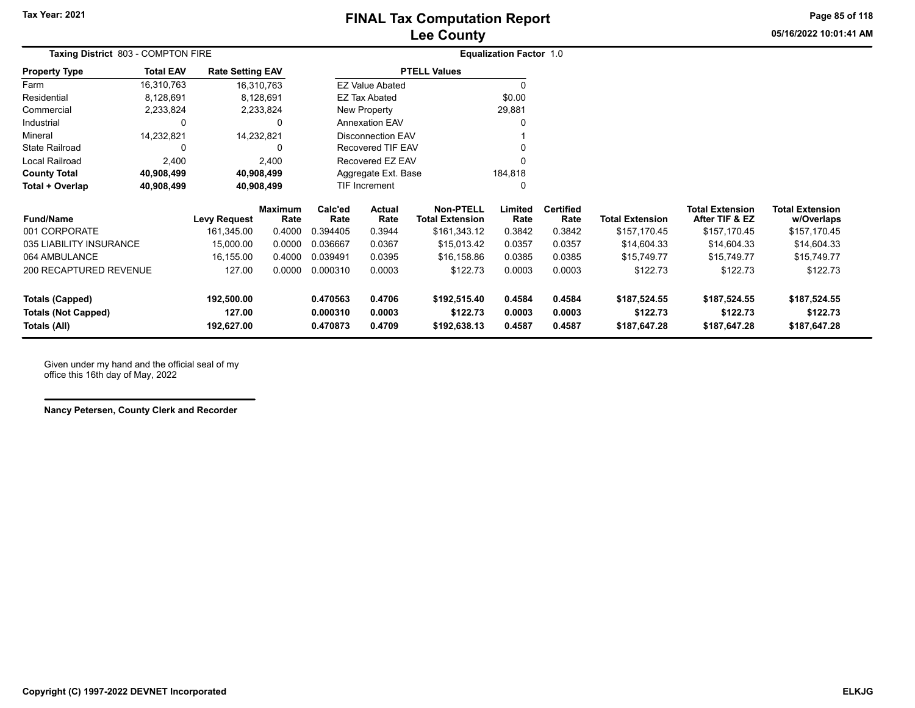**05/16/2022 10:01:41 AMPage 85 of 118**

| Taxing District 803 - COMPTON FIRE                                                                                                                                                                                                                                                                                                                                                                                                                                                        |            |              |                       |                |                                                       |                                                                           |                          |                                |                                          |                                      |
|-------------------------------------------------------------------------------------------------------------------------------------------------------------------------------------------------------------------------------------------------------------------------------------------------------------------------------------------------------------------------------------------------------------------------------------------------------------------------------------------|------------|--------------|-----------------------|----------------|-------------------------------------------------------|---------------------------------------------------------------------------|--------------------------|--------------------------------|------------------------------------------|--------------------------------------|
| <b>Total EAV</b>                                                                                                                                                                                                                                                                                                                                                                                                                                                                          |            |              |                       |                |                                                       |                                                                           |                          |                                |                                          |                                      |
| 16,310,763                                                                                                                                                                                                                                                                                                                                                                                                                                                                                |            |              |                       |                |                                                       |                                                                           |                          |                                |                                          |                                      |
| 8,128,691                                                                                                                                                                                                                                                                                                                                                                                                                                                                                 |            |              |                       |                |                                                       | \$0.00                                                                    |                          |                                |                                          |                                      |
| 2,233,824                                                                                                                                                                                                                                                                                                                                                                                                                                                                                 |            |              |                       |                |                                                       | 29,881                                                                    |                          |                                |                                          |                                      |
| 0                                                                                                                                                                                                                                                                                                                                                                                                                                                                                         |            | <sup>0</sup> | <b>Annexation EAV</b> |                |                                                       |                                                                           |                          |                                |                                          |                                      |
| 14,232,821                                                                                                                                                                                                                                                                                                                                                                                                                                                                                |            |              |                       |                |                                                       |                                                                           |                          |                                |                                          |                                      |
| 0                                                                                                                                                                                                                                                                                                                                                                                                                                                                                         |            | 0            | Recovered TIF EAV     |                |                                                       |                                                                           |                          |                                |                                          |                                      |
| 2,400                                                                                                                                                                                                                                                                                                                                                                                                                                                                                     |            |              | Recovered EZ EAV      |                |                                                       |                                                                           |                          |                                |                                          |                                      |
| 40,908,499                                                                                                                                                                                                                                                                                                                                                                                                                                                                                |            |              | Aggregate Ext. Base   |                |                                                       | 184,818                                                                   |                          |                                |                                          |                                      |
| 40,908,499                                                                                                                                                                                                                                                                                                                                                                                                                                                                                |            |              |                       |                |                                                       |                                                                           |                          |                                |                                          |                                      |
|                                                                                                                                                                                                                                                                                                                                                                                                                                                                                           |            | Rate         | Calc'ed<br>Rate       | Actual<br>Rate | <b>Non-PTELL</b><br><b>Total Extension</b>            | Limited<br>Rate                                                           | <b>Certified</b><br>Rate | <b>Total Extension</b>         | <b>Total Extension</b><br>After TIF & EZ | <b>Total Extension</b><br>w/Overlaps |
|                                                                                                                                                                                                                                                                                                                                                                                                                                                                                           | 161,345.00 | 0.4000       | 0.394405              | 0.3944         | \$161,343.12                                          | 0.3842                                                                    | 0.3842                   | \$157,170.45                   | \$157,170.45                             | \$157,170.45                         |
|                                                                                                                                                                                                                                                                                                                                                                                                                                                                                           | 15,000.00  | 0.0000       | 0.036667              | 0.0367         | \$15,013.42                                           | 0.0357                                                                    | 0.0357                   | \$14,604.33                    | \$14,604.33                              | \$14,604.33                          |
|                                                                                                                                                                                                                                                                                                                                                                                                                                                                                           | 16,155.00  | 0.4000       | 0.039491              | 0.0395         | \$16,158.86                                           | 0.0385                                                                    | 0.0385                   | \$15,749.77                    | \$15,749.77                              | \$15,749.77                          |
|                                                                                                                                                                                                                                                                                                                                                                                                                                                                                           | 127.00     | 0.0000       | 0.000310              | 0.0003         | \$122.73                                              | 0.0003                                                                    | 0.0003                   | \$122.73                       | \$122.73                                 | \$122.73                             |
|                                                                                                                                                                                                                                                                                                                                                                                                                                                                                           | 192,500.00 |              | 0.470563              | 0.4706         | \$192,515.40                                          | 0.4584                                                                    | 0.4584                   | \$187,524.55                   | \$187,524.55                             | \$187,524.55                         |
|                                                                                                                                                                                                                                                                                                                                                                                                                                                                                           | 127.00     |              | 0.000310              | 0.0003         | \$122.73                                              | 0.0003                                                                    | 0.0003                   | \$122.73                       | \$122.73                                 | \$122.73                             |
|                                                                                                                                                                                                                                                                                                                                                                                                                                                                                           | 192,627.00 |              | 0.470873              | 0.4709         | \$192,638.13                                          | 0.4587                                                                    | 0.4587                   | \$187,647.28                   | \$187,647.28                             | \$187,647.28                         |
| <b>Rate Setting EAV</b><br>Property Type<br>Farm<br>16,310,763<br>Residential<br>8,128,691<br>Commercial<br>2,233,824<br>Industrial<br>Mineral<br>14,232,821<br>State Railroad<br>Local Railroad<br>2,400<br><b>County Total</b><br>40,908,499<br>Total + Overlap<br>40,908,499<br><b>Fund/Name</b><br><b>Levy Request</b><br>001 CORPORATE<br>035 LIABILITY INSURANCE<br>064 AMBULANCE<br>200 RECAPTURED REVENUE<br><b>Totals (Capped)</b><br><b>Totals (Not Capped)</b><br>Totals (All) |            |              |                       | <b>Maximum</b> | <b>EZ Tax Abated</b><br>New Property<br>TIF Increment | <b>PTELL Values</b><br><b>EZ Value Abated</b><br><b>Disconnection EAV</b> |                          | <b>Equalization Factor 1.0</b> |                                          |                                      |

Given under my hand and the official seal of my office this 16th day of May, 2022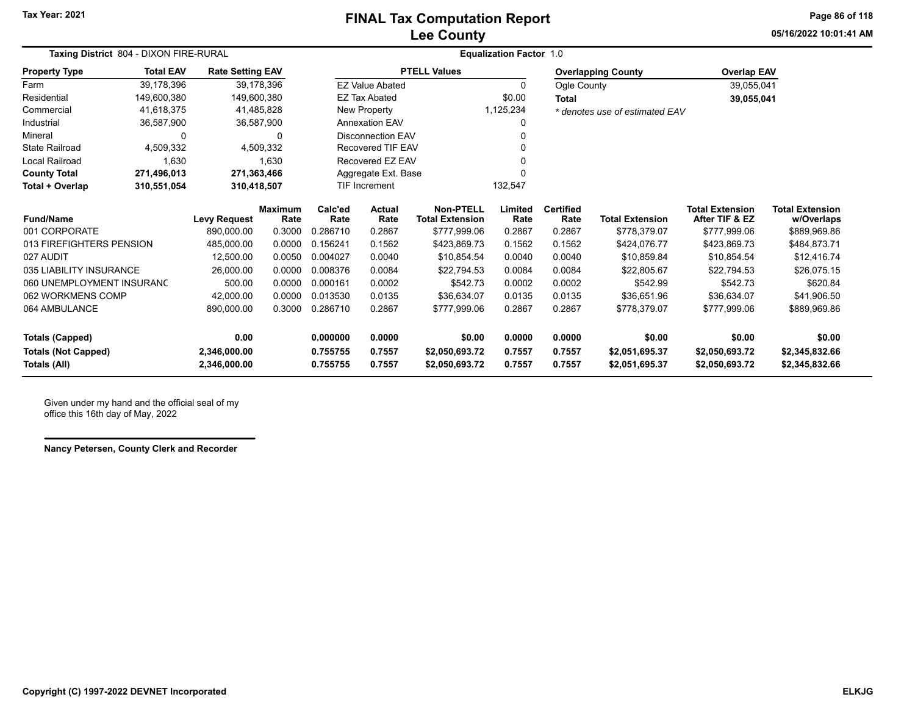### **Lee County FINAL Tax Computation Report**

**05/16/2022 10:01:41 AMPage 86 of 118**

| Taxing District 804 - DIXON FIRE-RURAL                            |                  |                         |                |                                            | <b>Equalization Factor 1.0</b>     |                          |                        |                                          |                                      |                    |                |  |  |
|-------------------------------------------------------------------|------------------|-------------------------|----------------|--------------------------------------------|------------------------------------|--------------------------|------------------------|------------------------------------------|--------------------------------------|--------------------|----------------|--|--|
| <b>Property Type</b>                                              | <b>Total EAV</b> | <b>Rate Setting EAV</b> |                |                                            |                                    | <b>PTELL Values</b>      |                        |                                          | <b>Overlapping County</b>            | <b>Overlap EAV</b> |                |  |  |
| Farm                                                              | 39.178.396       |                         | 39,178,396     |                                            | <b>EZ Value Abated</b>             |                          | $\Omega$               | Ogle County                              |                                      | 39,055,041         |                |  |  |
| Residential                                                       | 149,600,380      | 149,600,380             |                |                                            | <b>EZ Tax Abated</b>               |                          | \$0.00                 | <b>Total</b>                             |                                      | 39,055,041         |                |  |  |
| Commercial                                                        | 41,618,375       |                         | 41,485,828     |                                            | New Property                       |                          | 1,125,234              |                                          | * denotes use of estimated EAV       |                    |                |  |  |
| Industrial                                                        | 36,587,900       |                         | 36,587,900     |                                            | <b>Annexation EAV</b>              |                          | 0                      |                                          |                                      |                    |                |  |  |
| Mineral                                                           | 0                |                         | 0              |                                            | <b>Disconnection EAV</b>           |                          |                        |                                          |                                      |                    |                |  |  |
| <b>State Railroad</b>                                             | 4,509,332        |                         | 4,509,332      |                                            | Recovered TIF EAV                  |                          |                        |                                          |                                      |                    |                |  |  |
| Local Railroad                                                    | 1,630            |                         | 1,630          |                                            | Recovered EZ EAV                   |                          |                        |                                          |                                      |                    |                |  |  |
| <b>County Total</b>                                               | 271,496,013      | 271,363,466             |                |                                            | Aggregate Ext. Base                |                          |                        |                                          |                                      |                    |                |  |  |
| Total + Overlap                                                   | 310,551,054      | 310,418,507             |                | <b>TIF Increment</b>                       |                                    |                          | 132,547                |                                          |                                      |                    |                |  |  |
| <b>Maximum</b><br><b>Fund/Name</b><br><b>Levy Request</b><br>Rate |                  | Calc'ed<br>Rate         | Actual<br>Rate | <b>Non-PTELL</b><br><b>Total Extension</b> | Limited<br>Rate                    | <b>Certified</b><br>Rate | <b>Total Extension</b> | <b>Total Extension</b><br>After TIF & EZ | <b>Total Extension</b><br>w/Overlaps |                    |                |  |  |
| 001 CORPORATE                                                     |                  | 890.000.00              | 0.3000         | 0.286710                                   | 0.2867                             | \$777,999.06             | 0.2867                 | 0.2867                                   | \$778,379.07                         | \$777,999.06       | \$889,969.86   |  |  |
| 013 FIREFIGHTERS PENSION                                          |                  | 485,000.00              | 0.0000         | 0.156241                                   | 0.1562                             | \$423,869.73             | 0.1562                 | 0.1562                                   | \$424,076.77                         | \$423,869.73       | \$484,873.71   |  |  |
| 027 AUDIT                                                         |                  | 12,500.00               | 0.0050         | 0.004027                                   | 0.0040                             | \$10,854.54              | 0.0040                 | 0.0040                                   | \$10,859.84                          | \$10,854.54        | \$12,416.74    |  |  |
| 035 LIABILITY INSURANCE                                           |                  | 26,000.00               | 0.0000         | 0.008376                                   | 0.0084                             | \$22,794.53              | 0.0084                 | 0.0084                                   | \$22,805.67                          | \$22,794.53        | \$26,075.15    |  |  |
| 060 UNEMPLOYMENT INSURANC                                         |                  | 500.00                  | 0.0000         | 0.000161                                   | 0.0002                             | \$542.73                 | 0.0002                 | 0.0002                                   | \$542.99                             | \$542.73           | \$620.84       |  |  |
| 062 WORKMENS COMP                                                 |                  | 42,000.00               | 0.0000         | 0.013530                                   | 0.0135                             | \$36,634.07              | 0.0135                 | 0.0135                                   | \$36,651.96                          | \$36,634.07        | \$41,906.50    |  |  |
| 064 AMBULANCE                                                     |                  | 890.000.00              | 0.3000         | 0.286710<br>0.2867                         |                                    | \$777.999.06             | 0.2867                 | 0.2867                                   | \$778.379.07                         | \$777.999.06       | \$889,969.86   |  |  |
| <b>Totals (Capped)</b>                                            |                  | 0.00                    |                | 0.000000<br>0.0000                         |                                    | \$0.00                   | 0.0000                 | 0.0000                                   | \$0.00                               | \$0.00             | \$0.00         |  |  |
| <b>Totals (Not Capped)</b>                                        |                  | 2,346,000.00            |                | 0.755755                                   | 0.7557                             | \$2,050,693.72           | 0.7557                 | 0.7557                                   | \$2,051,695.37                       | \$2,050,693.72     | \$2,345,832.66 |  |  |
| Totals (All)                                                      |                  | 2,346,000.00            |                | 0.755755                                   | 0.7557<br>\$2,050,693.72<br>0.7557 |                          |                        | 0.7557                                   | \$2,051,695.37                       | \$2,050,693.72     | \$2,345,832.66 |  |  |

Given under my hand and the official seal of my office this 16th day of May, 2022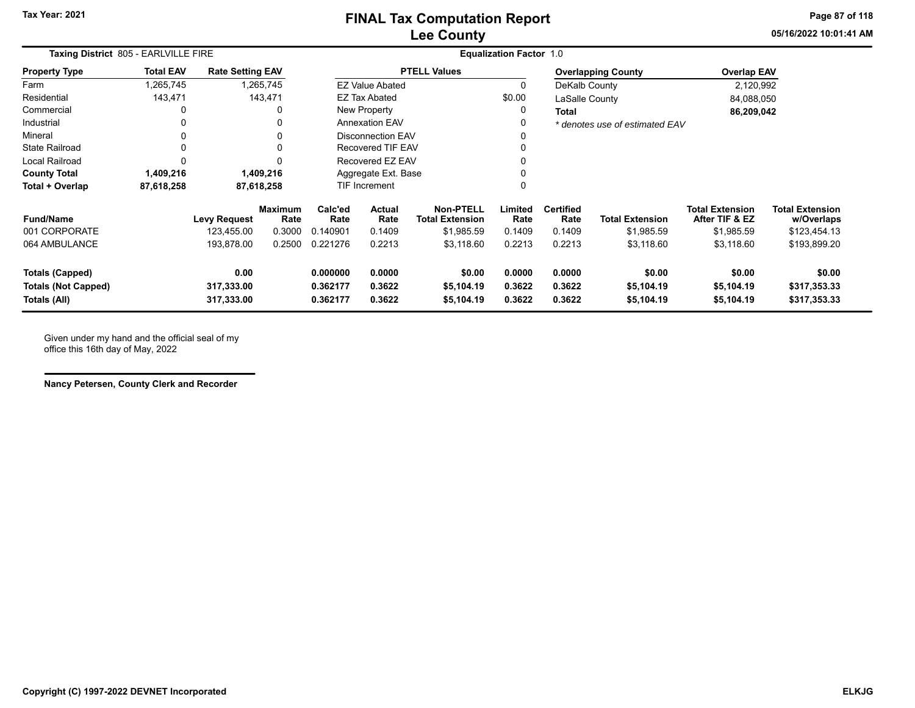**05/16/2022 10:01:41 AMPage 87 of 118**

| Taxing District 805 - EARLVILLE FIRE                                 |                  |                                  |                        |                                                                |                          |                                            | <b>Equalization Factor 1.0</b> |                            |                                    |                                          |                                        |
|----------------------------------------------------------------------|------------------|----------------------------------|------------------------|----------------------------------------------------------------|--------------------------|--------------------------------------------|--------------------------------|----------------------------|------------------------------------|------------------------------------------|----------------------------------------|
| <b>Property Type</b>                                                 | <b>Total EAV</b> | <b>Rate Setting EAV</b>          |                        |                                                                |                          | <b>PTELL Values</b>                        |                                |                            | <b>Overlapping County</b>          | <b>Overlap EAV</b>                       |                                        |
| Farm                                                                 | 1,265,745        |                                  | 1,265,745              |                                                                | <b>EZ Value Abated</b>   |                                            |                                | DeKalb County              |                                    | 2,120,992                                |                                        |
| Residential                                                          | 143,471          |                                  | 143,471                |                                                                | <b>EZ Tax Abated</b>     |                                            | \$0.00                         | LaSalle County             |                                    | 84,088,050                               |                                        |
| Commercial                                                           | 0                |                                  |                        |                                                                | New Property             |                                            |                                | <b>Total</b>               |                                    | 86,209,042                               |                                        |
| Industrial                                                           | 0                |                                  |                        |                                                                | <b>Annexation EAV</b>    |                                            |                                |                            | * denotes use of estimated EAV     |                                          |                                        |
| Mineral                                                              | 0                |                                  |                        |                                                                | <b>Disconnection EAV</b> |                                            |                                |                            |                                    |                                          |                                        |
| <b>State Railroad</b>                                                | 0                |                                  |                        |                                                                | Recovered TIF EAV        |                                            |                                |                            |                                    |                                          |                                        |
| <b>Local Railroad</b>                                                | $\Omega$         |                                  |                        |                                                                | Recovered EZ EAV         |                                            |                                |                            |                                    |                                          |                                        |
| <b>County Total</b>                                                  | 1,409,216        |                                  | 1,409,216              |                                                                | Aggregate Ext. Base      |                                            |                                |                            |                                    |                                          |                                        |
| Total + Overlap                                                      | 87,618,258       |                                  | 87,618,258             |                                                                | <b>TIF Increment</b>     |                                            |                                |                            |                                    |                                          |                                        |
| <b>Fund/Name</b>                                                     |                  | <b>Levy Request</b>              | <b>Maximum</b><br>Rate | Calc'ed<br>Rate                                                | Actual<br>Rate           | <b>Non-PTELL</b><br><b>Total Extension</b> | Limited<br>Rate                | <b>Certified</b><br>Rate   | <b>Total Extension</b>             | <b>Total Extension</b><br>After TIF & EZ | <b>Total Extension</b><br>w/Overlaps   |
| 001 CORPORATE                                                        |                  | 123,455.00                       | 0.3000                 | 0.140901                                                       | 0.1409                   | \$1,985.59                                 | 0.1409                         | 0.1409                     | \$1,985.59                         | \$1,985.59                               | \$123,454.13                           |
| 064 AMBULANCE                                                        |                  | 193,878.00                       | 0.2500                 | 0.221276<br>0.2213                                             |                          | \$3,118.60                                 | 0.2213                         | 0.2213                     | \$3,118.60                         | \$3,118.60                               | \$193,899.20                           |
| <b>Totals (Capped)</b><br><b>Totals (Not Capped)</b><br>Totals (All) |                  | 0.00<br>317,333.00<br>317,333.00 |                        | 0.000000<br>0.0000<br>0.3622<br>0.362177<br>0.362177<br>0.3622 |                          | \$0.00<br>\$5,104.19<br>\$5,104.19         | 0.0000<br>0.3622<br>0.3622     | 0.0000<br>0.3622<br>0.3622 | \$0.00<br>\$5,104.19<br>\$5,104.19 | \$0.00<br>\$5,104.19<br>\$5,104.19       | \$0.00<br>\$317,353.33<br>\$317,353.33 |

Given under my hand and the official seal of my office this 16th day of May, 2022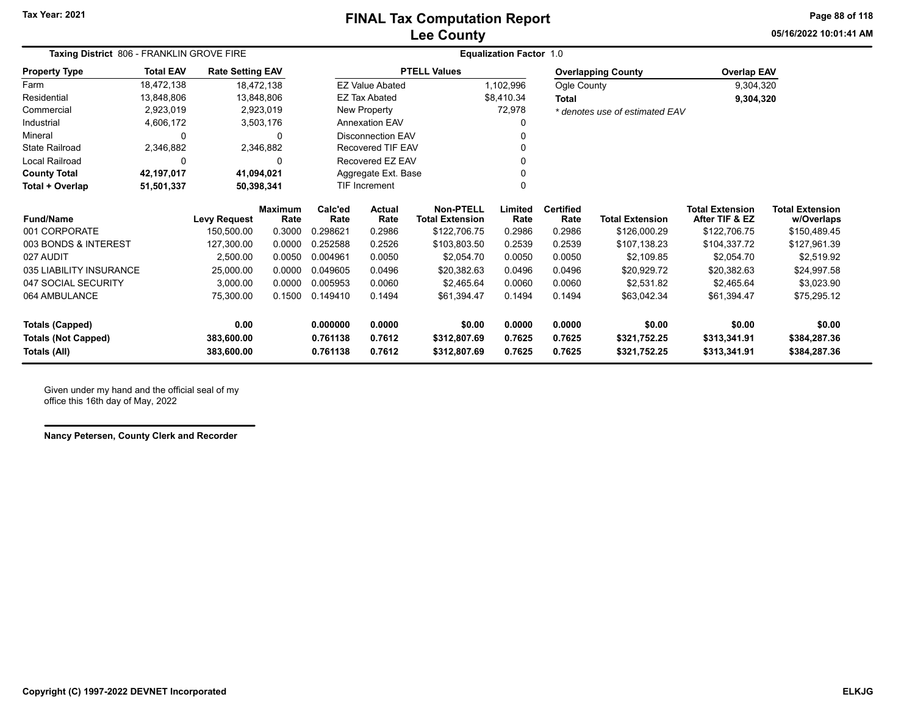### **Lee County FINAL Tax Computation Report**

**05/16/2022 10:01:41 AMPage 88 of 118**

|                            | Taxing District 806 - FRANKLIN GROVE FIRE |                         |                        |                    | <b>Equalization Factor 1.0</b>                                       |                     |                 |                          |                                |                                          |                                      |  |
|----------------------------|-------------------------------------------|-------------------------|------------------------|--------------------|----------------------------------------------------------------------|---------------------|-----------------|--------------------------|--------------------------------|------------------------------------------|--------------------------------------|--|
| <b>Property Type</b>       | <b>Total EAV</b>                          | <b>Rate Setting EAV</b> |                        |                    |                                                                      | <b>PTELL Values</b> |                 |                          | <b>Overlapping County</b>      | <b>Overlap EAV</b>                       |                                      |  |
| Farm                       | 18,472,138                                |                         | 18,472,138             |                    | <b>EZ Value Abated</b>                                               |                     | 1,102,996       | Ogle County              |                                | 9,304,320                                |                                      |  |
| Residential                | 13,848,806                                |                         | 13,848,806             |                    | <b>EZ Tax Abated</b>                                                 |                     | \$8,410.34      | <b>Total</b>             |                                | 9,304,320                                |                                      |  |
| Commercial                 | 2,923,019                                 |                         | 2,923,019              |                    | New Property                                                         |                     | 72,978          |                          | * denotes use of estimated EAV |                                          |                                      |  |
| Industrial                 | 4,606,172                                 |                         | 3,503,176              |                    | <b>Annexation EAV</b>                                                |                     | 0               |                          |                                |                                          |                                      |  |
| Mineral                    | $\Omega$                                  |                         | 0                      |                    | <b>Disconnection EAV</b>                                             |                     |                 |                          |                                |                                          |                                      |  |
| <b>State Railroad</b>      | 2,346,882                                 |                         | 2,346,882              |                    | Recovered TIF EAV                                                    |                     |                 |                          |                                |                                          |                                      |  |
| Local Railroad             | $\Omega$                                  |                         | $\Omega$               |                    | Recovered EZ EAV                                                     |                     |                 |                          |                                |                                          |                                      |  |
| <b>County Total</b>        | 42,197,017                                |                         | 41,094,021             |                    | Aggregate Ext. Base                                                  |                     |                 |                          |                                |                                          |                                      |  |
| Total + Overlap            | 51,501,337                                |                         | 50,398,341             |                    | 0<br><b>TIF Increment</b>                                            |                     |                 |                          |                                |                                          |                                      |  |
| <b>Fund/Name</b>           |                                           | <b>Levy Request</b>     | <b>Maximum</b><br>Rate | Calc'ed            | <b>Non-PTELL</b><br>Actual<br>Rate<br><b>Total Extension</b><br>Rate |                     | Limited<br>Rate | <b>Certified</b><br>Rate | <b>Total Extension</b>         | <b>Total Extension</b><br>After TIF & EZ | <b>Total Extension</b><br>w/Overlaps |  |
| 001 CORPORATE              |                                           | 150,500.00              | 0.3000                 | 0.298621           | 0.2986                                                               | \$122,706.75        | 0.2986          | 0.2986                   | \$126,000.29                   | \$122,706.75                             | \$150,489.45                         |  |
| 003 BONDS & INTEREST       |                                           | 127,300.00              | 0.0000                 | 0.252588           | 0.2526                                                               | \$103,803.50        | 0.2539          | 0.2539                   | \$107,138.23                   | \$104,337.72                             | \$127,961.39                         |  |
| 027 AUDIT                  |                                           | 2,500.00                | 0.0050                 | 0.004961           | 0.0050                                                               | \$2,054.70          | 0.0050          | 0.0050                   | \$2,109.85                     | \$2,054.70                               | \$2,519.92                           |  |
| 035 LIABILITY INSURANCE    |                                           | 25,000.00               | 0.0000                 | 0.049605           | 0.0496                                                               | \$20,382.63         | 0.0496          | 0.0496                   | \$20,929.72                    | \$20,382.63                              | \$24,997.58                          |  |
| 047 SOCIAL SECURITY        |                                           | 3,000.00                | 0.0000                 | 0.005953           | 0.0060                                                               | \$2,465.64          | 0.0060          | 0.0060                   | \$2,531.82                     | \$2,465.64                               | \$3,023.90                           |  |
| 064 AMBULANCE              |                                           | 75,300.00               | 0.1500                 | 0.149410           | 0.1494                                                               | \$61,394.47         | 0.1494          | 0.1494                   | \$63,042.34                    | \$61,394.47                              | \$75,295.12                          |  |
| <b>Totals (Capped)</b>     |                                           | 0.00                    |                        | 0.000000<br>0.0000 |                                                                      | \$0.00              | 0.0000          | 0.0000                   | \$0.00                         | \$0.00                                   | \$0.00                               |  |
| <b>Totals (Not Capped)</b> |                                           | 383,600.00              |                        | 0.761138           | 0.7612<br>\$312,807.69                                               |                     | 0.7625          | 0.7625                   | \$321,752.25                   | \$313,341.91                             | \$384,287.36                         |  |
| Totals (All)               |                                           | 383,600.00              |                        | 0.761138           | 0.7612<br>\$312,807.69<br>0.7625                                     |                     |                 | 0.7625                   | \$321,752.25                   | \$313,341.91                             | \$384,287.36                         |  |

Given under my hand and the official seal of my office this 16th day of May, 2022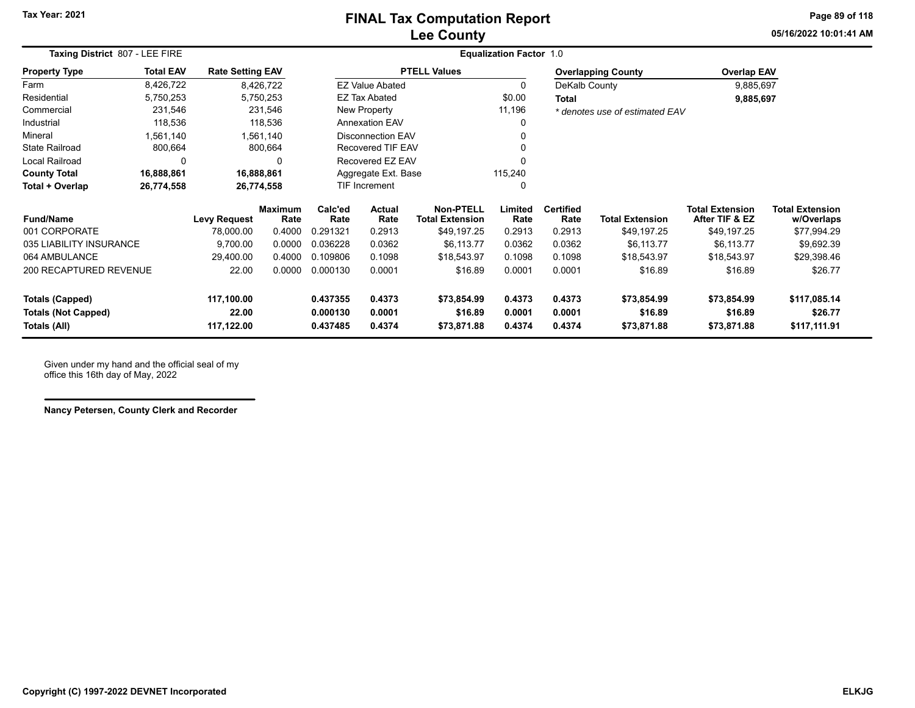### **Lee County FINAL Tax Computation Report**

**05/16/2022 10:01:41 AMPage 89 of 118**

| Taxing District 807 - LEE FIRE             |                  | <b>Equalization Factor 1.0</b> |                        |                          |                          |                                            |                  |                          |                                |                                          |                                      |
|--------------------------------------------|------------------|--------------------------------|------------------------|--------------------------|--------------------------|--------------------------------------------|------------------|--------------------------|--------------------------------|------------------------------------------|--------------------------------------|
| <b>Property Type</b>                       | <b>Total EAV</b> | <b>Rate Setting EAV</b>        |                        |                          |                          | <b>PTELL Values</b>                        |                  |                          | <b>Overlapping County</b>      | <b>Overlap EAV</b>                       |                                      |
| Farm                                       | 8,426,722        |                                | 8,426,722              |                          | <b>EZ Value Abated</b>   |                                            | 0                | DeKalb County            |                                | 9,885,697                                |                                      |
| Residential                                | 5,750,253        |                                | 5,750,253              |                          | <b>EZ Tax Abated</b>     |                                            | \$0.00           | Total                    |                                | 9,885,697                                |                                      |
| Commercial                                 | 231,546          |                                | 231,546                |                          | New Property             |                                            | 11,196           |                          | * denotes use of estimated EAV |                                          |                                      |
| Industrial                                 | 118,536          |                                | 118,536                |                          | <b>Annexation EAV</b>    |                                            | 0                |                          |                                |                                          |                                      |
| Mineral                                    | 1,561,140        |                                | 1,561,140              |                          | <b>Disconnection EAV</b> |                                            |                  |                          |                                |                                          |                                      |
| <b>State Railroad</b>                      | 800,664          |                                | 800,664                | <b>Recovered TIF EAV</b> |                          |                                            |                  |                          |                                |                                          |                                      |
| Local Railroad                             | 0                |                                | 0                      | Recovered EZ EAV         |                          |                                            | 0                |                          |                                |                                          |                                      |
| <b>County Total</b>                        | 16,888,861       |                                | 16,888,861             |                          | Aggregate Ext. Base      |                                            | 115,240          |                          |                                |                                          |                                      |
| Total + Overlap                            | 26,774,558       |                                | 26,774,558             |                          | <b>TIF Increment</b>     |                                            | 0                |                          |                                |                                          |                                      |
| <b>Fund/Name</b>                           |                  | <b>Levy Request</b>            | <b>Maximum</b><br>Rate | Calc'ed<br>Rate          | Actual<br>Rate           | <b>Non-PTELL</b><br><b>Total Extension</b> | Limited<br>Rate  | <b>Certified</b><br>Rate | <b>Total Extension</b>         | <b>Total Extension</b><br>After TIF & EZ | <b>Total Extension</b><br>w/Overlaps |
| 001 CORPORATE                              |                  | 78,000.00                      | 0.4000                 | 0.291321                 | 0.2913                   | \$49,197.25                                | 0.2913           | 0.2913                   | \$49,197.25                    | \$49,197.25                              | \$77,994.29                          |
| 035 LIABILITY INSURANCE                    |                  | 9,700.00                       | 0.0000                 | 0.036228                 | 0.0362                   | \$6,113.77                                 | 0.0362           | 0.0362                   | \$6,113.77                     | \$6,113.77                               | \$9,692.39                           |
| 064 AMBULANCE                              |                  | 29,400.00                      | 0.4000                 | 0.109806                 | 0.1098                   | \$18,543.97                                | 0.1098           | 0.1098                   | \$18,543.97                    | \$18,543.97                              | \$29,398.46                          |
| 200 RECAPTURED REVENUE                     |                  | 22.00                          | 0.0000                 | 0.000130                 | 0.0001                   | \$16.89                                    | 0.0001           | 0.0001                   | \$16.89                        | \$16.89                                  | \$26.77                              |
| <b>Totals (Capped)</b>                     |                  | 117,100.00                     |                        | 0.437355                 | 0.4373                   | \$73,854.99                                | 0.4373           | 0.4373                   | \$73,854.99                    | \$73,854.99                              | \$117,085.14                         |
| <b>Totals (Not Capped)</b><br>Totals (All) |                  | 22.00<br>117,122.00            |                        | 0.000130<br>0.437485     | 0.0001<br>0.4374         | \$16.89<br>\$73,871.88                     | 0.0001<br>0.4374 | 0.0001<br>0.4374         | \$16.89<br>\$73,871.88         | \$16.89<br>\$73,871.88                   | \$26.77<br>\$117,111.91              |

Given under my hand and the official seal of my office this 16th day of May, 2022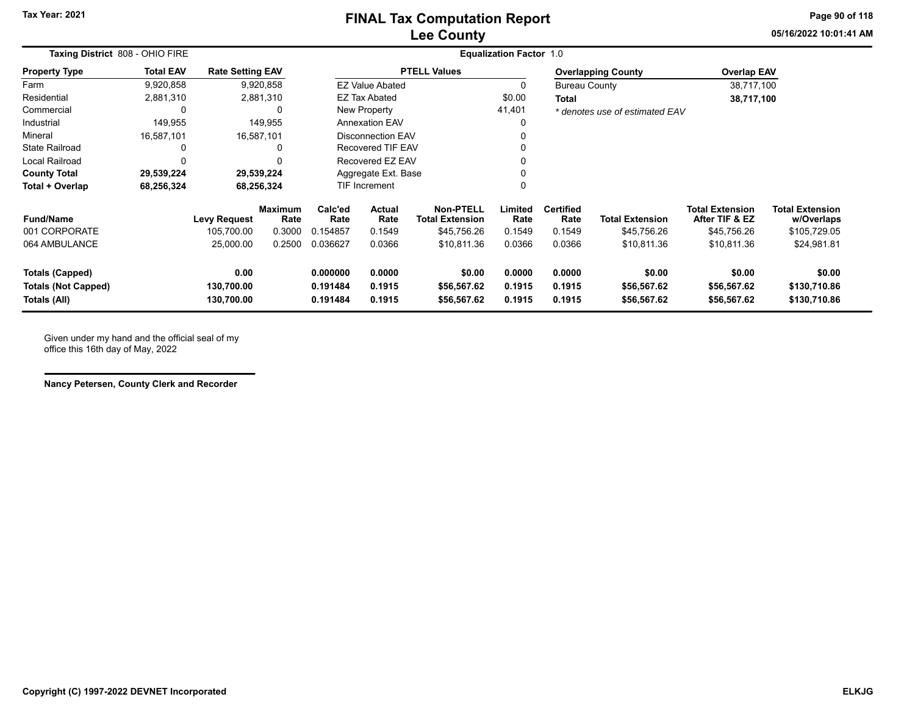**05/16/2022 10:01:41 AMPage 90 of 118**

| Taxing District 808 - OHIO FIRE                               |                  |                                  | <b>Equalization Factor 1.0</b> |                                                                |                          |                                            |                            |                            |                                      |                                          |                                        |
|---------------------------------------------------------------|------------------|----------------------------------|--------------------------------|----------------------------------------------------------------|--------------------------|--------------------------------------------|----------------------------|----------------------------|--------------------------------------|------------------------------------------|----------------------------------------|
| <b>Property Type</b>                                          | <b>Total EAV</b> | <b>Rate Setting EAV</b>          |                                |                                                                |                          | <b>PTELL Values</b>                        |                            |                            | <b>Overlapping County</b>            | <b>Overlap EAV</b>                       |                                        |
| Farm                                                          | 9,920,858        |                                  | 9,920,858                      |                                                                | <b>EZ Value Abated</b>   |                                            | 0                          | <b>Bureau County</b>       |                                      | 38,717,100                               |                                        |
| Residential                                                   | 2,881,310        |                                  | 2,881,310                      |                                                                | <b>EZ Tax Abated</b>     |                                            | \$0.00                     | <b>Total</b>               |                                      | 38,717,100                               |                                        |
| Commercial                                                    |                  |                                  |                                |                                                                | New Property             |                                            | 41,401                     |                            | * denotes use of estimated EAV       |                                          |                                        |
| Industrial                                                    | 149,955          |                                  | 149,955                        |                                                                | <b>Annexation EAV</b>    |                                            | 0                          |                            |                                      |                                          |                                        |
| Mineral                                                       | 16,587,101       |                                  | 16,587,101                     |                                                                | <b>Disconnection EAV</b> |                                            | 0                          |                            |                                      |                                          |                                        |
| State Railroad                                                |                  |                                  |                                |                                                                | <b>Recovered TIF EAV</b> |                                            | 0                          |                            |                                      |                                          |                                        |
| Local Railroad                                                |                  |                                  |                                |                                                                | Recovered EZ EAV         |                                            | 0                          |                            |                                      |                                          |                                        |
| <b>County Total</b>                                           | 29,539,224       |                                  | 29,539,224                     |                                                                | Aggregate Ext. Base      |                                            | 0                          |                            |                                      |                                          |                                        |
| Total + Overlap                                               | 68,256,324       |                                  | 68,256,324                     |                                                                | <b>TIF Increment</b>     |                                            | 0                          |                            |                                      |                                          |                                        |
| <b>Fund/Name</b>                                              |                  | <b>Levy Request</b>              | <b>Maximum</b><br>Rate         | Calc'ed<br>Rate                                                | <b>Actual</b><br>Rate    | <b>Non-PTELL</b><br><b>Total Extension</b> | Limited<br>Rate            | <b>Certified</b><br>Rate   | <b>Total Extension</b>               | <b>Total Extension</b><br>After TIF & EZ | <b>Total Extension</b><br>w/Overlaps   |
| 001 CORPORATE                                                 |                  | 105,700.00                       | 0.3000                         | 0.154857                                                       | 0.1549                   | \$45,756.26                                | 0.1549                     | 0.1549                     | \$45,756.26                          | \$45,756.26                              | \$105,729.05                           |
| 064 AMBULANCE                                                 |                  | 25,000.00                        | 0.2500                         | 0.036627                                                       | 0.0366                   | \$10,811.36                                | 0.0366                     | 0.0366                     | \$10,811.36                          | \$10,811.36                              | \$24,981.81                            |
| Totals (Capped)<br><b>Totals (Not Capped)</b><br>Totals (All) |                  | 0.00<br>130,700.00<br>130,700.00 |                                | 0.000000<br>0.0000<br>0.1915<br>0.191484<br>0.191484<br>0.1915 |                          | \$0.00<br>\$56,567.62<br>\$56,567.62       | 0.0000<br>0.1915<br>0.1915 | 0.0000<br>0.1915<br>0.1915 | \$0.00<br>\$56,567.62<br>\$56,567.62 | \$0.00<br>\$56,567.62<br>\$56,567.62     | \$0.00<br>\$130,710.86<br>\$130,710.86 |

Given under my hand and the official seal of my office this 16th day of May, 2022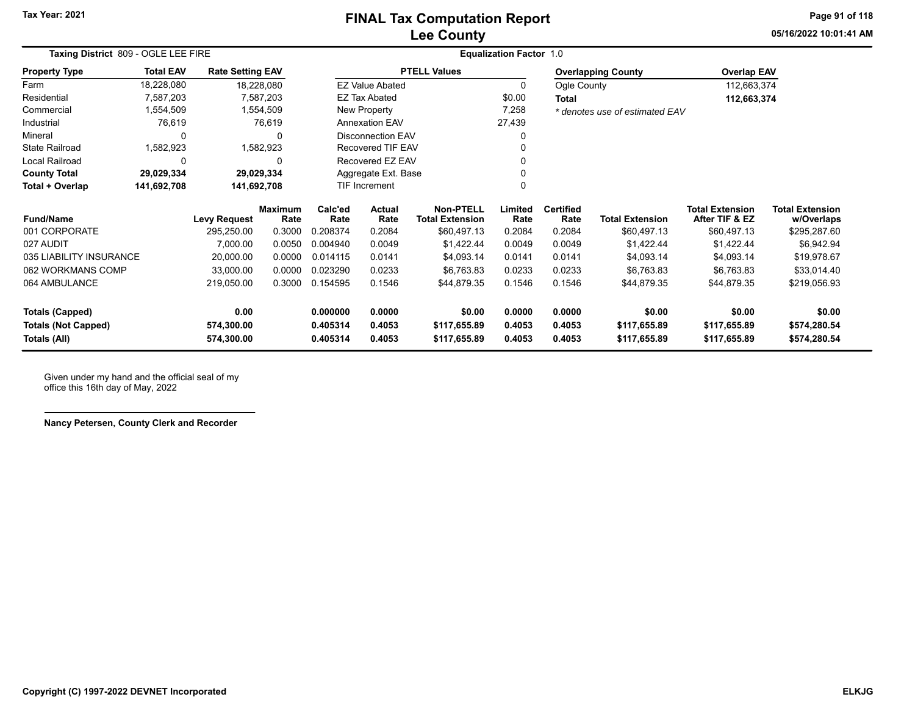# **Lee County FINAL Tax Computation Report**

**05/16/2022 10:01:41 AMPage 91 of 118**

| Taxing District 809 - OGLE LEE FIRE |                  |                         |                        |                          | <b>Equalization Factor 1.0</b> |                                            |                 |                          |                                |                                          |                                      |  |  |
|-------------------------------------|------------------|-------------------------|------------------------|--------------------------|--------------------------------|--------------------------------------------|-----------------|--------------------------|--------------------------------|------------------------------------------|--------------------------------------|--|--|
| <b>Property Type</b>                | <b>Total EAV</b> | <b>Rate Setting EAV</b> |                        |                          |                                | <b>PTELL Values</b>                        |                 |                          | <b>Overlapping County</b>      | <b>Overlap EAV</b>                       |                                      |  |  |
| Farm                                | 18,228,080       | 18,228,080              |                        |                          | <b>EZ Value Abated</b>         |                                            | 0               | Ogle County              |                                | 112,663,374                              |                                      |  |  |
| Residential                         | 7,587,203        |                         | 7,587,203              |                          | EZ Tax Abated                  |                                            | \$0.00          | <b>Total</b>             |                                | 112,663,374                              |                                      |  |  |
| Commercial                          | 1,554,509        |                         | 1,554,509              | New Property             |                                |                                            | 7,258           |                          | * denotes use of estimated EAV |                                          |                                      |  |  |
| Industrial                          | 76,619           |                         | 76,619                 | <b>Annexation EAV</b>    |                                |                                            | 27,439          |                          |                                |                                          |                                      |  |  |
| Mineral                             | 0                |                         | 0                      | <b>Disconnection EAV</b> |                                |                                            |                 |                          |                                |                                          |                                      |  |  |
| <b>State Railroad</b>               | 1,582,923        |                         | 1,582,923              | Recovered TIF EAV        |                                |                                            |                 |                          |                                |                                          |                                      |  |  |
| Local Railroad                      | 0                |                         | 0                      | Recovered EZ EAV         |                                |                                            |                 |                          |                                |                                          |                                      |  |  |
| <b>County Total</b>                 | 29,029,334       | 29,029,334              |                        | Aggregate Ext. Base      |                                |                                            |                 |                          |                                |                                          |                                      |  |  |
| Total + Overlap                     | 141,692,708      | 141,692,708             |                        | <b>TIF Increment</b>     |                                |                                            | O               |                          |                                |                                          |                                      |  |  |
| <b>Fund/Name</b>                    |                  | <b>Levy Request</b>     | <b>Maximum</b><br>Rate | Calc'ed<br>Rate          | Actual<br>Rate                 | <b>Non-PTELL</b><br><b>Total Extension</b> | Limited<br>Rate | <b>Certified</b><br>Rate | Total Extension                | <b>Total Extension</b><br>After TIF & EZ | <b>Total Extension</b><br>w/Overlaps |  |  |
| 001 CORPORATE                       |                  | 295,250.00              | 0.3000                 | 0.208374                 | 0.2084                         | \$60,497.13                                | 0.2084          | 0.2084                   | \$60,497.13                    | \$60,497.13                              | \$295,287.60                         |  |  |
| 027 AUDIT                           |                  | 7,000.00                | 0.0050                 | 0.004940                 | 0.0049                         | \$1,422.44                                 | 0.0049          | 0.0049                   | \$1,422.44                     | \$1,422.44                               | \$6,942.94                           |  |  |
| 035 LIABILITY INSURANCE             |                  | 20,000.00               | 0.0000                 | 0.014115                 | 0.0141                         | \$4,093.14                                 | 0.0141          | 0.0141                   | \$4,093.14                     | \$4,093.14                               | \$19,978.67                          |  |  |
| 062 WORKMANS COMP                   |                  | 33,000.00               | 0.0000                 | 0.023290                 | 0.0233                         | \$6,763.83                                 | 0.0233          | 0.0233                   | \$6,763.83                     | \$6,763.83                               | \$33,014.40                          |  |  |
| 064 AMBULANCE                       |                  | 219,050.00              | 0.3000                 | 0.154595                 | 0.1546                         | \$44,879.35                                | 0.1546          | 0.1546                   | \$44,879.35                    | \$44,879.35                              | \$219,056.93                         |  |  |
| <b>Totals (Capped)</b>              |                  | 0.00                    |                        | 0.000000                 | 0.0000                         | \$0.00                                     | 0.0000          | 0.0000                   | \$0.00                         | \$0.00                                   | \$0.00                               |  |  |
| <b>Totals (Not Capped)</b>          |                  | 574,300.00              |                        | 0.405314                 | 0.4053                         | \$117,655.89                               | 0.4053          | 0.4053                   | \$117,655.89                   | \$117,655.89                             | \$574,280.54                         |  |  |
| Totals (All)                        |                  | 574,300.00              |                        | 0.405314                 | 0.4053                         | \$117,655.89                               | 0.4053          | 0.4053                   | \$117,655.89                   | \$117,655.89                             | \$574,280.54                         |  |  |

Given under my hand and the official seal of my office this 16th day of May, 2022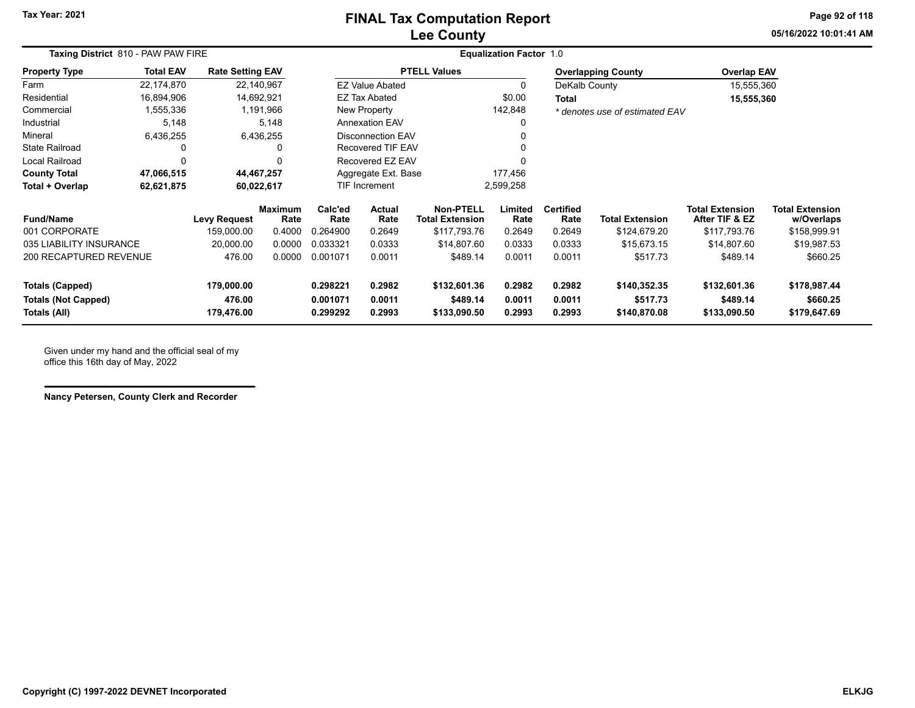### **Lee County FINAL Tax Computation Report**

**05/16/2022 10:01:41 AMPage 92 of 118**

| Taxing District 810 - PAW PAW FIRE |                      |                                   |                                                                                                                                      |                  | <b>Equalization Factor 1.0</b>                           |                                                            |                                |                          |                                                            |                                                |                                                                |  |  |
|------------------------------------|----------------------|-----------------------------------|--------------------------------------------------------------------------------------------------------------------------------------|------------------|----------------------------------------------------------|------------------------------------------------------------|--------------------------------|--------------------------|------------------------------------------------------------|------------------------------------------------|----------------------------------------------------------------|--|--|
| <b>Total EAV</b>                   |                      |                                   |                                                                                                                                      |                  |                                                          |                                                            |                                |                          |                                                            |                                                |                                                                |  |  |
| 22,174,870                         |                      |                                   |                                                                                                                                      |                  |                                                          | 0                                                          |                                |                          |                                                            |                                                |                                                                |  |  |
| 16,894,906                         |                      |                                   | <b>EZ Tax Abated</b>                                                                                                                 |                  |                                                          | \$0.00                                                     | Total                          |                          |                                                            |                                                |                                                                |  |  |
| 1,555,336                          |                      |                                   | New Property                                                                                                                         |                  |                                                          | 142,848                                                    |                                |                          |                                                            |                                                |                                                                |  |  |
| 5,148                              |                      |                                   | <b>Annexation EAV</b>                                                                                                                |                  |                                                          |                                                            |                                |                          |                                                            |                                                |                                                                |  |  |
| 6,436,255                          |                      |                                   | <b>Disconnection EAV</b>                                                                                                             |                  |                                                          |                                                            |                                |                          |                                                            |                                                |                                                                |  |  |
|                                    |                      |                                   | <b>Recovered TIF EAV</b>                                                                                                             |                  |                                                          |                                                            |                                |                          |                                                            |                                                |                                                                |  |  |
| 0                                  |                      |                                   | Recovered EZ EAV                                                                                                                     |                  |                                                          |                                                            |                                |                          |                                                            |                                                |                                                                |  |  |
| 47,066,515                         |                      |                                   |                                                                                                                                      |                  |                                                          |                                                            |                                |                          |                                                            |                                                |                                                                |  |  |
| 62,621,875                         |                      |                                   |                                                                                                                                      |                  |                                                          |                                                            |                                |                          |                                                            |                                                |                                                                |  |  |
|                                    |                      | Rate                              | Calc'ed<br>Rate                                                                                                                      | Actual<br>Rate   | <b>Non-PTELL</b><br><b>Total Extension</b>               | Limited<br>Rate                                            | <b>Certified</b><br>Rate       | Total Extension          | <b>Total Extension</b><br>After TIF & EZ                   | <b>Total Extension</b><br>w/Overlaps           |                                                                |  |  |
|                                    | 159,000.00           | 0.4000                            | 0.264900                                                                                                                             | 0.2649           | \$117,793.76                                             | 0.2649                                                     | 0.2649                         | \$124,679.20             | \$117,793.76                                               | \$158,999.91                                   |                                                                |  |  |
| 035 LIABILITY INSURANCE            | 20,000.00            | 0.0000                            | 0.033321                                                                                                                             | 0.0333           | \$14,807.60                                              | 0.0333                                                     | 0.0333                         | \$15,673.15              | \$14,807.60                                                | \$19,987.53                                    |                                                                |  |  |
| 200 RECAPTURED REVENUE             | 476.00               | 0.0000                            | 0.001071                                                                                                                             | 0.0011           | \$489.14                                                 | 0.0011                                                     | 0.0011                         | \$517.73                 | \$489.14                                                   | \$660.25                                       |                                                                |  |  |
|                                    | 179,000.00<br>476.00 |                                   | 0.298221<br>0.001071                                                                                                                 | 0.2982<br>0.0011 | \$132,601.36<br>\$489.14                                 | 0.2982<br>0.0011                                           | 0.2982<br>0.0011               | \$140,352.35<br>\$517.73 | \$132,601.36<br>\$489.14                                   | \$178,987.44<br>\$660.25                       |                                                                |  |  |
|                                    |                      | <b>Levy Request</b><br>179,476.00 | <b>Rate Setting EAV</b><br>22,140,967<br>14,692,921<br>1,191,966<br>5,148<br>6,436,255<br>44,467,257<br>60,022,617<br><b>Maximum</b> | 0.299292         | <b>EZ Value Abated</b><br><b>TIF Increment</b><br>0.2993 | <b>PTELL Values</b><br>Aggregate Ext. Base<br>\$133,090.50 | 177,456<br>2,599,258<br>0.2993 | 0.2993                   | <b>Overlapping County</b><br>DeKalb County<br>\$140,870.08 | * denotes use of estimated EAV<br>\$133,090.50 | <b>Overlap EAV</b><br>15,555,360<br>15,555,360<br>\$179,647.69 |  |  |

Given under my hand and the official seal of my office this 16th day of May, 2022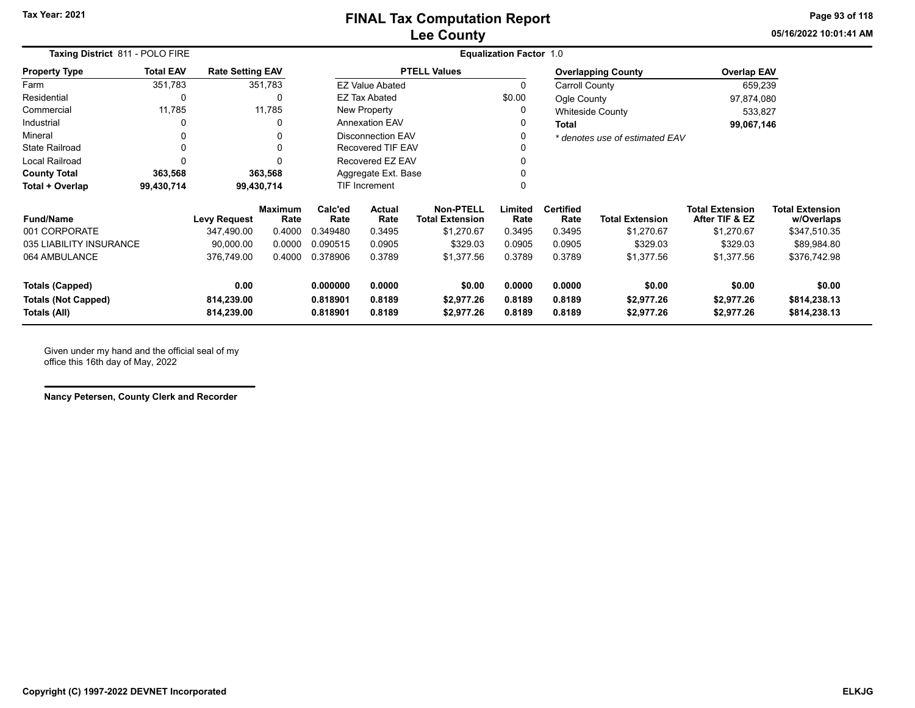**05/16/2022 10:01:41 AMPage 93 of 118**

| Taxing District 811 - POLO FIRE            |                  |                          |                        | <b>Equalization Factor 1.0</b> |                                                 |                          |                  |                          |                                |                                          |                                      |  |  |
|--------------------------------------------|------------------|--------------------------|------------------------|--------------------------------|-------------------------------------------------|--------------------------|------------------|--------------------------|--------------------------------|------------------------------------------|--------------------------------------|--|--|
| <b>Property Type</b>                       | <b>Total EAV</b> | <b>Rate Setting EAV</b>  |                        |                                |                                                 | <b>PTELL Values</b>      |                  |                          | <b>Overlapping County</b>      | <b>Overlap EAV</b>                       |                                      |  |  |
| Farm                                       | 351,783          |                          | 351,783                |                                | <b>EZ Value Abated</b>                          |                          | 0                | <b>Carroll County</b>    |                                | 659,239                                  |                                      |  |  |
| Residential                                | 0                |                          | 0                      |                                | <b>EZ Tax Abated</b>                            |                          | \$0.00           | Ogle County              |                                | 97,874,080                               |                                      |  |  |
| Commercial                                 | 11,785           |                          | 11,785                 |                                | <b>New Property</b>                             |                          | 0                |                          | <b>Whiteside County</b>        | 533,827                                  |                                      |  |  |
| Industrial                                 | 0                |                          | 0                      |                                | <b>Annexation EAV</b>                           |                          | 0                | Total                    |                                | 99,067,146                               |                                      |  |  |
| Mineral                                    | 0                |                          | 0                      | <b>Disconnection EAV</b>       |                                                 |                          | 0                |                          | * denotes use of estimated EAV |                                          |                                      |  |  |
| <b>State Railroad</b>                      | 0                |                          | 0                      | <b>Recovered TIF EAV</b>       |                                                 |                          |                  |                          |                                |                                          |                                      |  |  |
| <b>Local Railroad</b>                      | 0                |                          | $\Omega$               | Recovered EZ EAV               |                                                 | 0                        |                  |                          |                                |                                          |                                      |  |  |
| <b>County Total</b>                        | 363,568          |                          | 363,568                | Aggregate Ext. Base            |                                                 |                          |                  |                          |                                |                                          |                                      |  |  |
| Total + Overlap                            | 99,430,714       |                          | 99,430,714             |                                | <b>TIF Increment</b>                            |                          | 0                |                          |                                |                                          |                                      |  |  |
| <b>Fund/Name</b>                           |                  | <b>Levy Request</b>      | <b>Maximum</b><br>Rate | Calc'ed<br>Rate                | <b>Actual</b><br><b>Total Extension</b><br>Rate |                          | Limited<br>Rate  | <b>Certified</b><br>Rate | <b>Total Extension</b>         | <b>Total Extension</b><br>After TIF & EZ | <b>Total Extension</b><br>w/Overlaps |  |  |
| 001 CORPORATE                              |                  | 347,490.00               | 0.4000                 | 0.349480                       | 0.3495                                          | \$1,270.67               | 0.3495           | 0.3495                   | \$1,270.67                     | \$1,270.67                               | \$347,510.35                         |  |  |
| 035 LIABILITY INSURANCE                    |                  | 90,000.00                | 0.0000                 | 0.090515                       | 0.0905                                          | \$329.03                 | 0.0905           | 0.0905                   | \$329.03                       | \$329.03                                 | \$89,984.80                          |  |  |
| 064 AMBULANCE                              |                  | 376,749.00               | 0.4000                 | 0.378906                       | 0.3789                                          | \$1,377.56               | 0.3789           | 0.3789                   | \$1,377.56                     | \$1,377.56                               | \$376,742.98                         |  |  |
| <b>Totals (Capped)</b>                     |                  | 0.00                     |                        | 0.000000                       | 0.0000                                          | \$0.00                   | 0.0000           | 0.0000                   | \$0.00                         | \$0.00                                   | \$0.00                               |  |  |
| <b>Totals (Not Capped)</b><br>Totals (All) |                  | 814,239.00<br>814,239.00 |                        | 0.818901<br>0.818901           | 0.8189<br>0.8189                                | \$2,977.26<br>\$2,977.26 | 0.8189<br>0.8189 | 0.8189<br>0.8189         | \$2,977.26<br>\$2,977.26       | \$2,977.26<br>\$2,977.26                 | \$814,238.13<br>\$814,238.13         |  |  |

Given under my hand and the official seal of my office this 16th day of May, 2022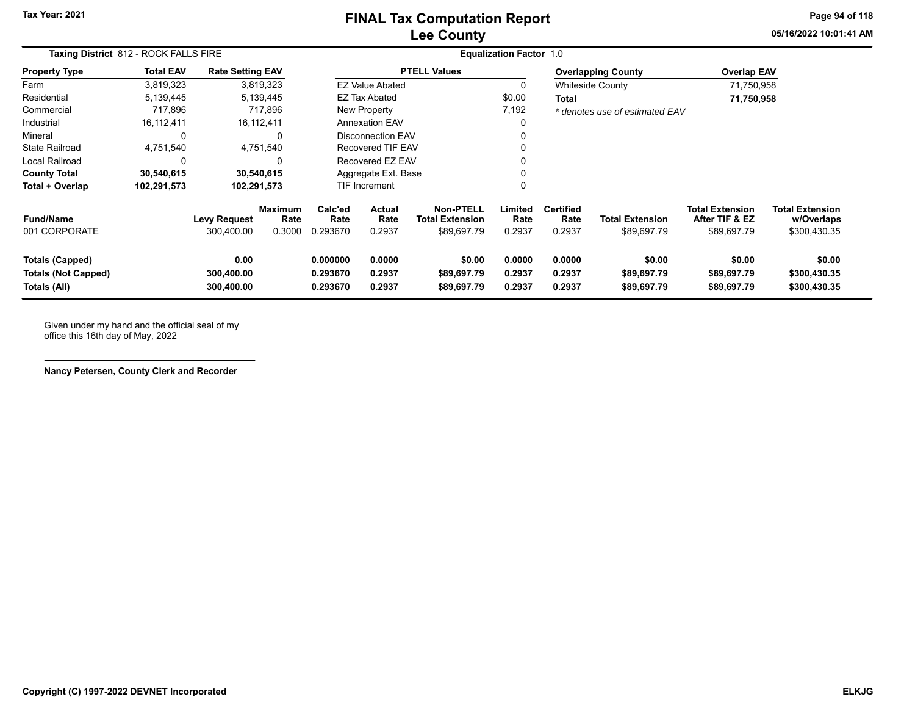**05/16/2022 10:01:41 AMPage 94 of 118**

| Taxing District 812 - ROCK FALLS FIRE                                |                  |                                   |                                  | <b>Equalization Factor 1.0</b>                                 |                                                    |                                      |                            |                                    |                                       |                                                         |                                                      |
|----------------------------------------------------------------------|------------------|-----------------------------------|----------------------------------|----------------------------------------------------------------|----------------------------------------------------|--------------------------------------|----------------------------|------------------------------------|---------------------------------------|---------------------------------------------------------|------------------------------------------------------|
| <b>Property Type</b>                                                 | <b>Total EAV</b> | <b>Rate Setting EAV</b>           |                                  |                                                                |                                                    | <b>PTELL Values</b>                  |                            |                                    | <b>Overlapping County</b>             | <b>Overlap EAV</b>                                      |                                                      |
| Farm                                                                 | 3,819,323        |                                   | 3,819,323                        |                                                                | <b>EZ Value Abated</b>                             |                                      | 0                          |                                    | <b>Whiteside County</b>               | 71,750,958                                              |                                                      |
| Residential                                                          | 5,139,445        |                                   | 5,139,445                        |                                                                | <b>EZ Tax Abated</b>                               |                                      | \$0.00                     | <b>Total</b>                       |                                       | 71,750,958                                              |                                                      |
| Commercial                                                           | 717,896          |                                   | 717,896                          |                                                                | New Property                                       |                                      | 7,192                      |                                    | * denotes use of estimated EAV        |                                                         |                                                      |
| Industrial                                                           | 16,112,411       |                                   | 16,112,411                       |                                                                | <b>Annexation EAV</b>                              |                                      | 0                          |                                    |                                       |                                                         |                                                      |
| Mineral                                                              |                  |                                   | 0                                |                                                                | Disconnection EAV                                  |                                      |                            |                                    |                                       |                                                         |                                                      |
| <b>State Railroad</b>                                                | 4.751.540        |                                   | 4,751,540                        | <b>Recovered TIF EAV</b>                                       |                                                    |                                      |                            |                                    |                                       |                                                         |                                                      |
| Local Railroad                                                       |                  |                                   | 0                                | Recovered EZ EAV                                               |                                                    |                                      |                            |                                    |                                       |                                                         |                                                      |
| <b>County Total</b>                                                  | 30,540,615       |                                   | 30,540,615                       | Aggregate Ext. Base                                            |                                                    |                                      |                            |                                    |                                       |                                                         |                                                      |
| Total + Overlap                                                      | 102,291,573      |                                   | 102,291,573                      |                                                                | <b>TIF Increment</b>                               |                                      |                            |                                    |                                       |                                                         |                                                      |
| <b>Fund/Name</b><br>001 CORPORATE                                    |                  | <b>Levy Request</b><br>300,400.00 | <b>Maximum</b><br>Rate<br>0.3000 | Calc'ed<br>Rate<br>0.293670                                    | Actual<br><b>Total Extension</b><br>Rate<br>0.2937 |                                      | Limited<br>Rate<br>0.2937  | <b>Certified</b><br>Rate<br>0.2937 | <b>Total Extension</b><br>\$89,697.79 | <b>Total Extension</b><br>After TIF & EZ<br>\$89,697.79 | <b>Total Extension</b><br>w/Overlaps<br>\$300,430.35 |
| <b>Totals (Capped)</b><br><b>Totals (Not Capped)</b><br>Totals (All) |                  | 0.00<br>300,400.00<br>300,400.00  |                                  | 0.000000<br>0.0000<br>0.293670<br>0.2937<br>0.293670<br>0.2937 |                                                    | \$0.00<br>\$89,697.79<br>\$89,697.79 | 0.0000<br>0.2937<br>0.2937 | 0.0000<br>0.2937<br>0.2937         | \$0.00<br>\$89,697.79<br>\$89,697.79  | \$0.00<br>\$89,697.79<br>\$89,697.79                    | \$0.00<br>\$300,430.35<br>\$300,430.35               |

Given under my hand and the official seal of my office this 16th day of May, 2022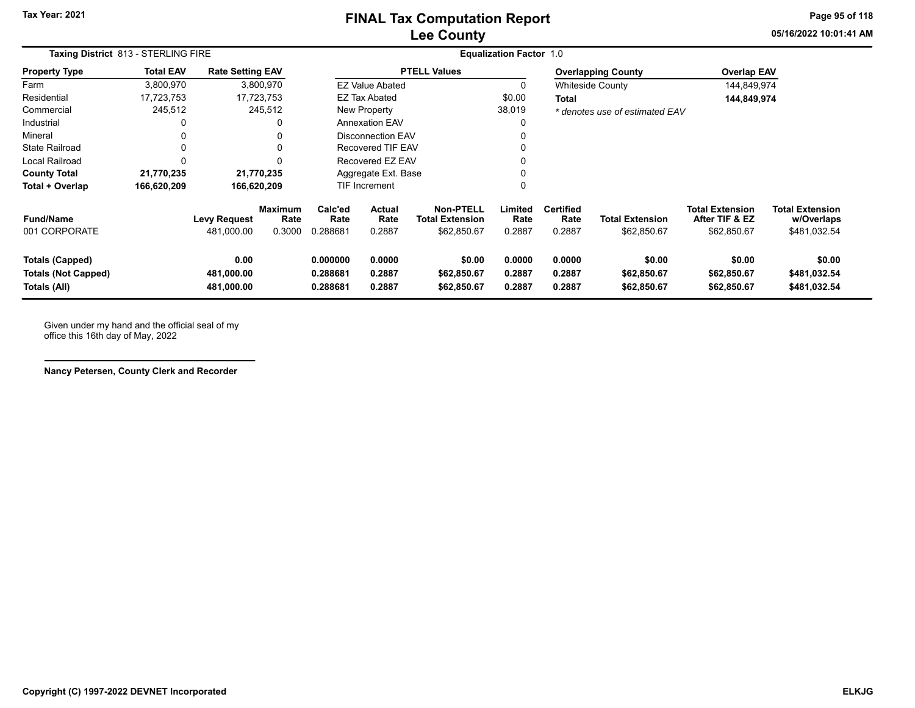# **Lee County FINAL Tax Computation Report**

**05/16/2022 10:01:41 AMPage 95 of 118**

÷

| Taxing District 813 - STERLING FIRE                                  |                  |                                   | <b>Equalization Factor 1.0</b>   |                                                         |                            |                                                           |                            |                                    |                                       |                                                         |                                                      |  |
|----------------------------------------------------------------------|------------------|-----------------------------------|----------------------------------|---------------------------------------------------------|----------------------------|-----------------------------------------------------------|----------------------------|------------------------------------|---------------------------------------|---------------------------------------------------------|------------------------------------------------------|--|
| Property Type                                                        | <b>Total EAV</b> | <b>Rate Setting EAV</b>           |                                  |                                                         |                            | <b>PTELL Values</b>                                       |                            |                                    | <b>Overlapping County</b>             | <b>Overlap EAV</b>                                      |                                                      |  |
| Farm                                                                 | 3,800,970        |                                   | 3,800,970                        |                                                         | <b>EZ Value Abated</b>     |                                                           | 0                          |                                    | <b>Whiteside County</b>               | 144,849,974                                             |                                                      |  |
| Residential                                                          | 17,723,753       |                                   | 17,723,753                       |                                                         | <b>EZ Tax Abated</b>       |                                                           | \$0.00                     | Total                              |                                       | 144,849,974                                             |                                                      |  |
| Commercial                                                           | 245,512          |                                   | 245,512                          |                                                         | New Property               |                                                           | 38,019                     |                                    | * denotes use of estimated EAV        |                                                         |                                                      |  |
| Industrial                                                           | 0                |                                   |                                  |                                                         | <b>Annexation EAV</b>      |                                                           | 0                          |                                    |                                       |                                                         |                                                      |  |
| Mineral                                                              | 0                |                                   | 0                                |                                                         | <b>Disconnection EAV</b>   |                                                           |                            |                                    |                                       |                                                         |                                                      |  |
| State Railroad                                                       | 0                |                                   | 0                                |                                                         | <b>Recovered TIF EAV</b>   |                                                           | 0                          |                                    |                                       |                                                         |                                                      |  |
| Local Railroad                                                       | $\Omega$         |                                   | U                                |                                                         | Recovered EZ EAV           |                                                           | 0                          |                                    |                                       |                                                         |                                                      |  |
| <b>County Total</b>                                                  | 21,770,235       |                                   | 21,770,235                       |                                                         | Aggregate Ext. Base        |                                                           | 0                          |                                    |                                       |                                                         |                                                      |  |
| Total + Overlap                                                      | 166,620,209      | 166,620,209                       |                                  |                                                         | TIF Increment              |                                                           | 0                          |                                    |                                       |                                                         |                                                      |  |
| Fund/Name<br>001 CORPORATE                                           |                  | <b>Levy Request</b><br>481,000.00 | <b>Maximum</b><br>Rate<br>0.3000 | Calc'ed<br>Actual<br>Rate<br>Rate<br>0.288681<br>0.2887 |                            | <b>Non-PTELL</b><br><b>Total Extension</b><br>\$62,850.67 | Limited<br>Rate<br>0.2887  | <b>Certified</b><br>Rate<br>0.2887 | <b>Total Extension</b><br>\$62,850.67 | <b>Total Extension</b><br>After TIF & EZ<br>\$62,850.67 | <b>Total Extension</b><br>w/Overlaps<br>\$481,032.54 |  |
| <b>Totals (Capped)</b><br><b>Totals (Not Capped)</b><br>Totals (All) |                  | 0.00<br>481,000.00<br>481,000.00  |                                  | 0.000000<br>0.288681<br>0.288681                        | 0.0000<br>0.2887<br>0.2887 | \$0.00<br>\$62,850.67<br>\$62,850.67                      | 0.0000<br>0.2887<br>0.2887 | 0.0000<br>0.2887<br>0.2887         | \$0.00<br>\$62,850.67<br>\$62,850.67  | \$0.00<br>\$62,850.67<br>\$62,850.67                    | \$0.00<br>\$481,032.54<br>\$481,032.54               |  |

Given under my hand and the official seal of my office this 16th day of May, 2022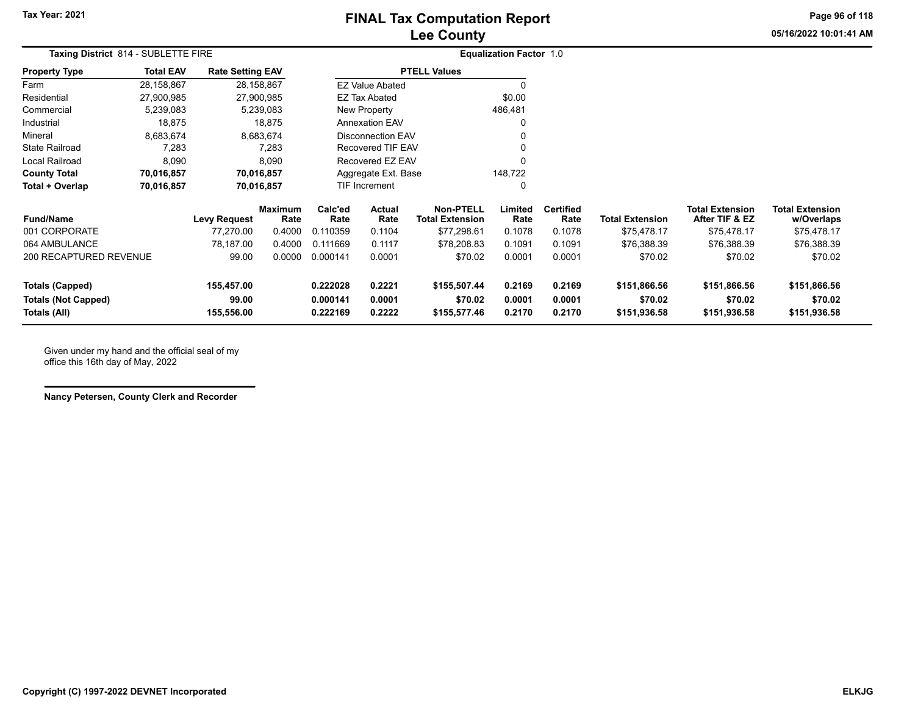# **Lee County FINAL Tax Computation Report**

**05/16/2022 10:01:41 AMPage 96 of 118**

| Taxing District 814 - SUBLETTE FIRE                                  |                  | <b>Equalization Factor 1.0</b>    |                        |                                                                |                        |                                            |                            |                            |                                         |                                          |                                         |  |
|----------------------------------------------------------------------|------------------|-----------------------------------|------------------------|----------------------------------------------------------------|------------------------|--------------------------------------------|----------------------------|----------------------------|-----------------------------------------|------------------------------------------|-----------------------------------------|--|
| <b>Property Type</b>                                                 | <b>Total EAV</b> | <b>Rate Setting EAV</b>           |                        |                                                                |                        | <b>PTELL Values</b>                        |                            |                            |                                         |                                          |                                         |  |
| Farm                                                                 | 28,158,867       |                                   | 28,158,867             |                                                                | <b>EZ Value Abated</b> |                                            |                            |                            |                                         |                                          |                                         |  |
| Residential                                                          | 27,900,985       |                                   | 27,900,985             |                                                                | <b>EZ Tax Abated</b>   |                                            | \$0.00                     |                            |                                         |                                          |                                         |  |
| Commercial                                                           | 5,239,083        |                                   | 5,239,083              | New Property                                                   |                        |                                            | 486,481                    |                            |                                         |                                          |                                         |  |
| Industrial                                                           | 18,875           |                                   | 18,875                 | <b>Annexation EAV</b>                                          |                        |                                            |                            |                            |                                         |                                          |                                         |  |
| Mineral                                                              | 8,683,674        |                                   | 8,683,674              | <b>Disconnection EAV</b>                                       |                        |                                            |                            |                            |                                         |                                          |                                         |  |
| <b>State Railroad</b>                                                | 7,283            |                                   | 7,283                  | <b>Recovered TIF EAV</b>                                       |                        |                                            |                            |                            |                                         |                                          |                                         |  |
| Local Railroad                                                       | 8,090            |                                   | 8,090                  | Recovered EZ EAV                                               |                        |                                            |                            |                            |                                         |                                          |                                         |  |
| <b>County Total</b>                                                  | 70,016,857       |                                   | 70,016,857             | Aggregate Ext. Base                                            |                        |                                            | 148,722                    |                            |                                         |                                          |                                         |  |
| Total + Overlap                                                      | 70,016,857       |                                   | 70,016,857             |                                                                | <b>TIF Increment</b>   |                                            |                            |                            |                                         |                                          |                                         |  |
| <b>Fund/Name</b>                                                     |                  | <b>Levy Request</b>               | <b>Maximum</b><br>Rate | Calc'ed<br>Actual<br>Rate<br>Rate                              |                        | <b>Non-PTELL</b><br><b>Total Extension</b> | Limited<br>Rate            | <b>Certified</b><br>Rate   | <b>Total Extension</b>                  | <b>Total Extension</b><br>After TIF & EZ | <b>Total Extension</b><br>w/Overlaps    |  |
| 001 CORPORATE                                                        |                  | 77,270.00                         | 0.4000                 | 0.110359                                                       | 0.1104                 | \$77,298.61                                | 0.1078                     | 0.1078                     | \$75,478.17                             | \$75,478.17                              | \$75,478.17                             |  |
| 064 AMBULANCE                                                        |                  | 78,187.00                         | 0.4000                 | 0.111669                                                       | 0.1117                 | \$78,208.83                                | 0.1091                     | 0.1091                     | \$76,388.39                             | \$76,388.39                              | \$76,388.39                             |  |
| 200 RECAPTURED REVENUE                                               |                  | 99.00                             | 0.0000                 | 0.000141                                                       | 0.0001                 | \$70.02                                    | 0.0001                     | 0.0001                     | \$70.02                                 | \$70.02                                  | \$70.02                                 |  |
| <b>Totals (Capped)</b><br><b>Totals (Not Capped)</b><br>Totals (All) |                  | 155,457.00<br>99.00<br>155,556.00 |                        | 0.2221<br>0.222028<br>0.000141<br>0.0001<br>0.2222<br>0.222169 |                        | \$155,507.44<br>\$70.02<br>\$155,577.46    | 0.2169<br>0.0001<br>0.2170 | 0.2169<br>0.0001<br>0.2170 | \$151,866.56<br>\$70.02<br>\$151,936.58 | \$151,866.56<br>\$70.02<br>\$151,936.58  | \$151,866.56<br>\$70.02<br>\$151,936.58 |  |

Given under my hand and the official seal of my office this 16th day of May, 2022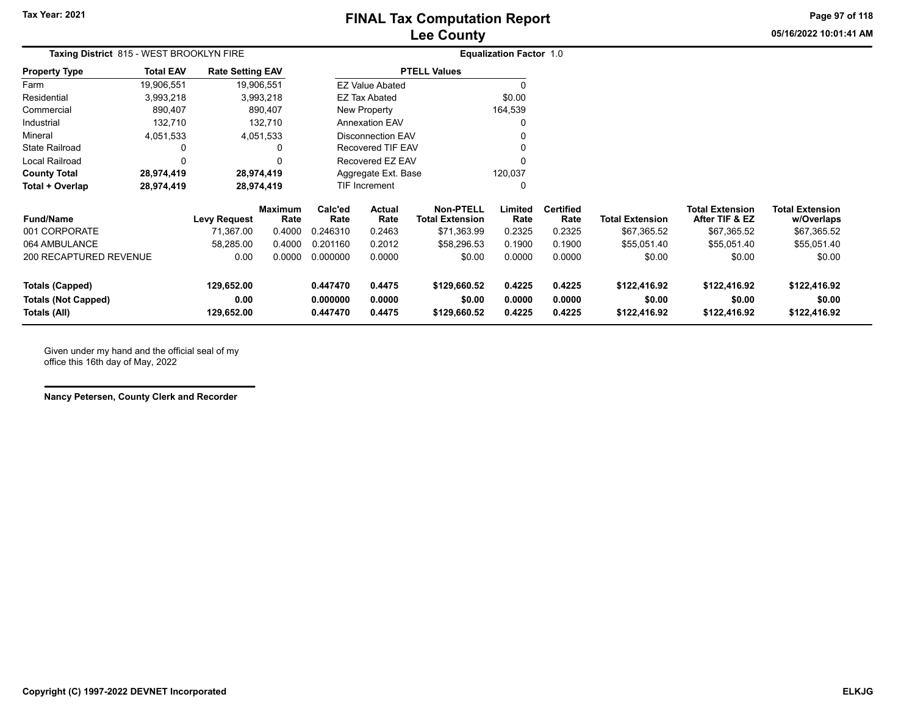**05/16/2022 10:01:41 AMPage 97 of 118**

| Taxing District 815 - WEST BROOKLYN FIRE |                         |                                   |                                                                                                          |                  |                                                                                                                           | <b>Equalization Factor 1.0</b>                                             |                          |                        |                        |                                |                            |
|------------------------------------------|-------------------------|-----------------------------------|----------------------------------------------------------------------------------------------------------|------------------|---------------------------------------------------------------------------------------------------------------------------|----------------------------------------------------------------------------|--------------------------|------------------------|------------------------|--------------------------------|----------------------------|
| <b>Total EAV</b>                         | <b>Rate Setting EAV</b> |                                   |                                                                                                          |                  | <b>PTELL Values</b>                                                                                                       |                                                                            |                          |                        |                        |                                |                            |
| 19,906,551                               |                         |                                   |                                                                                                          |                  |                                                                                                                           |                                                                            |                          |                        |                        |                                |                            |
| 3,993,218                                |                         |                                   |                                                                                                          |                  |                                                                                                                           | \$0.00                                                                     |                          |                        |                        |                                |                            |
| 890,407                                  |                         |                                   |                                                                                                          |                  |                                                                                                                           |                                                                            |                          |                        |                        |                                |                            |
| 132,710                                  |                         |                                   |                                                                                                          |                  |                                                                                                                           |                                                                            |                          |                        |                        |                                |                            |
| 4,051,533                                |                         |                                   |                                                                                                          |                  |                                                                                                                           |                                                                            |                          |                        |                        |                                |                            |
| 0                                        |                         | 0                                 |                                                                                                          |                  |                                                                                                                           |                                                                            |                          |                        |                        |                                |                            |
| 0                                        |                         |                                   |                                                                                                          |                  |                                                                                                                           |                                                                            |                          |                        |                        |                                |                            |
| 28,974,419                               |                         |                                   | 120,037<br>Aggregate Ext. Base                                                                           |                  |                                                                                                                           |                                                                            |                          |                        |                        |                                |                            |
| 28,974,419                               |                         |                                   |                                                                                                          |                  |                                                                                                                           | 0                                                                          |                          |                        |                        |                                |                            |
|                                          |                         | Rate                              | Calc'ed<br>Rate                                                                                          | Actual<br>Rate   | <b>Non-PTELL</b><br><b>Total Extension</b>                                                                                | Limited<br>Rate                                                            | <b>Certified</b><br>Rate | <b>Total Extension</b> | <b>Total Extension</b> | <b>Total Extension</b>         |                            |
|                                          | 71,367.00               | 0.4000                            | 0.246310                                                                                                 | 0.2463           | \$71,363.99                                                                                                               | 0.2325                                                                     | 0.2325                   | \$67,365.52            | \$67,365.52            | \$67,365.52                    |                            |
|                                          | 58,285.00               | 0.4000                            | 0.201160                                                                                                 | 0.2012           | \$58,296.53                                                                                                               | 0.1900                                                                     | 0.1900                   | \$55,051.40            | \$55,051.40            | \$55,051.40                    |                            |
| 200 RECAPTURED REVENUE                   | 0.00                    | 0.0000                            | 0.000000                                                                                                 | 0.0000           | \$0.00                                                                                                                    | 0.0000                                                                     | 0.0000                   | \$0.00                 | \$0.00                 | \$0.00                         |                            |
|                                          | 129,652.00<br>0.00      |                                   | 0.447470<br>0.000000                                                                                     | 0.4475<br>0.0000 | \$129,660.52<br>\$0.00                                                                                                    | 0.4225<br>0.0000                                                           | 0.4225<br>0.0000         | \$122,416.92<br>\$0.00 | \$122,416.92<br>\$0.00 | \$122,416.92<br>\$0.00         |                            |
|                                          |                         | <b>Levy Request</b><br>129,652.00 | 19,906,551<br>3,993,218<br>890,407<br>132,710<br>4,051,533<br>28,974,419<br>28,974,419<br><b>Maximum</b> | 0.447470         | <b>EZ Value Abated</b><br><b>EZ Tax Abated</b><br>New Property<br><b>Annexation EAV</b><br><b>TIF Increment</b><br>0.4475 | Disconnection EAV<br>Recovered TIF EAV<br>Recovered EZ EAV<br>\$129,660.52 | 164,539<br>0.4225        | 0.4225                 | \$122,416.92           | After TIF & EZ<br>\$122,416.92 | w/Overlaps<br>\$122,416.92 |

Given under my hand and the official seal of my office this 16th day of May, 2022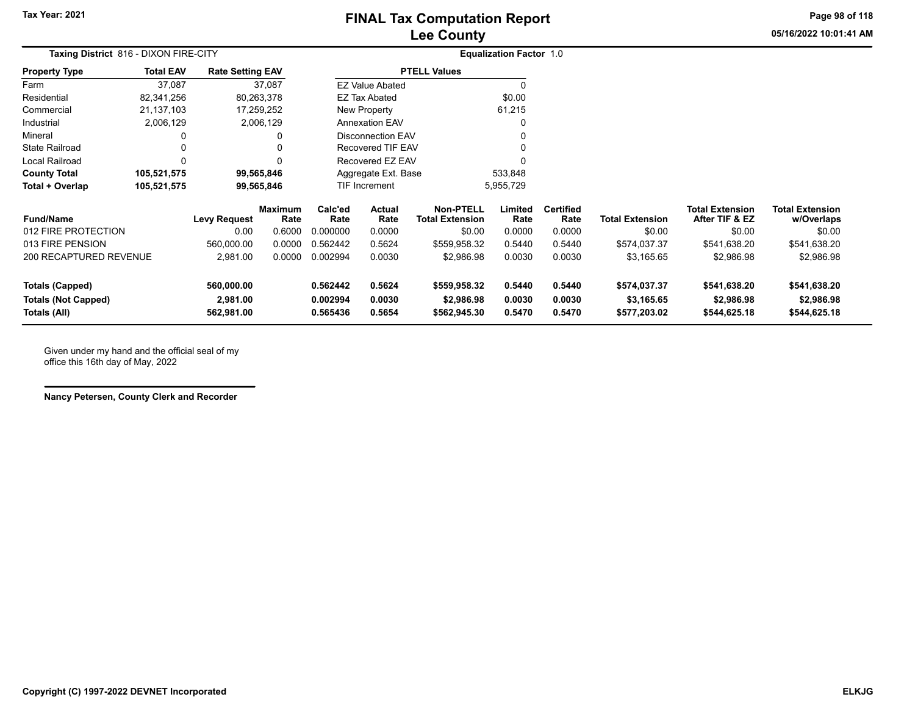**05/16/2022 10:01:41 AMPage 98 of 118**

| eport |  |  |  |
|-------|--|--|--|
|       |  |  |  |

| <b>Taxing District</b> 816 - DIXON FIRE-CITY         |                  |                         |                        | <b>Equalization Factor 1.0</b> |                          |                                            |                  |                          |                            |                                          |                                      |
|------------------------------------------------------|------------------|-------------------------|------------------------|--------------------------------|--------------------------|--------------------------------------------|------------------|--------------------------|----------------------------|------------------------------------------|--------------------------------------|
| <b>Property Type</b>                                 | <b>Total EAV</b> | <b>Rate Setting EAV</b> |                        |                                |                          | <b>PTELL Values</b>                        |                  |                          |                            |                                          |                                      |
| Farm                                                 | 37,087           |                         | 37,087                 |                                | <b>EZ Value Abated</b>   |                                            |                  |                          |                            |                                          |                                      |
| Residential                                          | 82,341,256       | 80,263,378              |                        |                                | <b>EZ Tax Abated</b>     |                                            | \$0.00           |                          |                            |                                          |                                      |
| Commercial                                           | 21, 137, 103     | 17,259,252              |                        |                                | New Property             |                                            | 61,215           |                          |                            |                                          |                                      |
| Industrial                                           | 2,006,129        |                         | 2,006,129              |                                | <b>Annexation EAV</b>    |                                            |                  |                          |                            |                                          |                                      |
| Mineral                                              | 0                |                         | 0                      |                                | <b>Disconnection EAV</b> |                                            |                  |                          |                            |                                          |                                      |
| State Railroad                                       | 0                |                         | 0                      |                                | Recovered TIF EAV        |                                            |                  |                          |                            |                                          |                                      |
| Local Railroad                                       | 0                |                         | 0                      |                                | Recovered EZ EAV         |                                            |                  |                          |                            |                                          |                                      |
| <b>County Total</b>                                  | 105,521,575      | 99,565,846              |                        |                                | Aggregate Ext. Base      |                                            | 533,848          |                          |                            |                                          |                                      |
| Total + Overlap                                      | 105,521,575      | 99,565,846              |                        | TIF Increment                  |                          | 5,955,729                                  |                  |                          |                            |                                          |                                      |
| <b>Fund/Name</b>                                     |                  | Levy Request            | <b>Maximum</b><br>Rate | Calc'ed<br>Rate                | Actual<br>Rate           | <b>Non-PTELL</b><br><b>Total Extension</b> | Limited<br>Rate  | <b>Certified</b><br>Rate | <b>Total Extension</b>     | <b>Total Extension</b><br>After TIF & EZ | <b>Total Extension</b><br>w/Overlaps |
| 012 FIRE PROTECTION                                  |                  | 0.00                    | 0.6000                 | 0.000000                       | 0.0000                   | \$0.00                                     | 0.0000           | 0.0000                   | \$0.00                     | \$0.00                                   | \$0.00                               |
| 013 FIRE PENSION                                     |                  | 560,000.00              | 0.0000                 | 0.562442                       | 0.5624                   | \$559,958.32                               | 0.5440           | 0.5440                   | \$574,037.37               | \$541,638.20                             | \$541,638.20                         |
| 200 RECAPTURED REVENUE                               |                  | 2,981.00                | 0.0000                 | 0.002994                       | 0.0030                   | \$2,986.98                                 | 0.0030           | 0.0030                   | \$3,165.65                 | \$2,986.98                               | \$2,986.98                           |
| <b>Totals (Capped)</b><br><b>Totals (Not Capped)</b> |                  | 560,000.00<br>2,981.00  |                        | 0.562442<br>0.002994           | 0.5624<br>0.0030         | \$559,958.32<br>\$2,986.98                 | 0.5440<br>0.0030 | 0.5440<br>0.0030         | \$574,037.37<br>\$3,165.65 | \$541,638.20<br>\$2,986.98               | \$541,638.20<br>\$2,986.98           |
| Totals (All)                                         |                  | 562,981.00              |                        | 0.565436                       | 0.5654                   | \$562,945.30                               | 0.5470           | 0.5470                   | \$577,203.02               | \$544,625.18                             | \$544,625.18                         |

Given under my hand and the official seal of my office this 16th day of May, 2022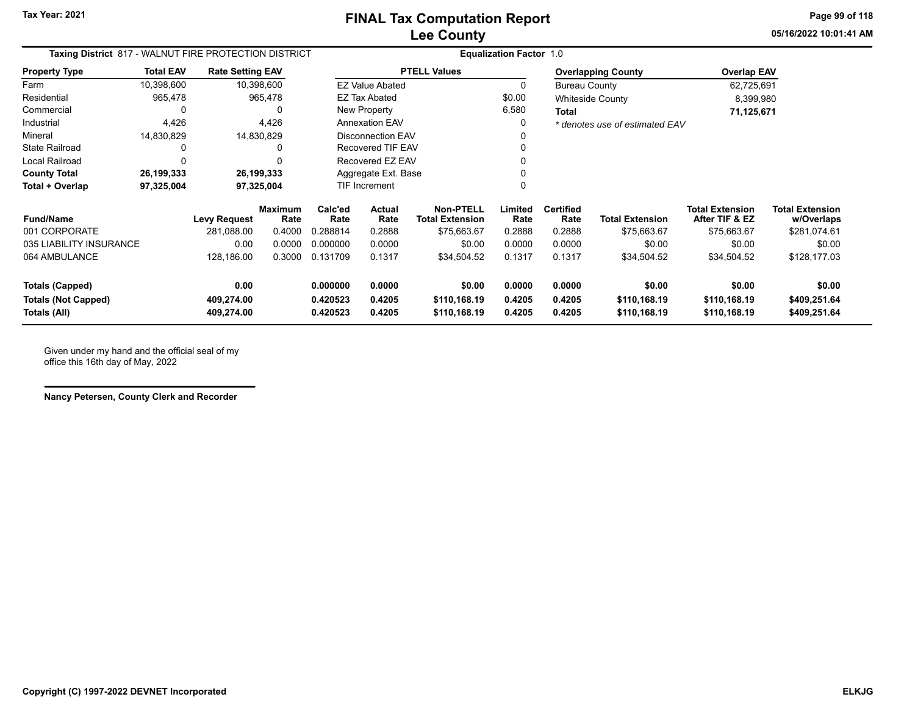**05/16/2022 10:01:41 AMPage 99 of 118**

| Taxing District 817 - WALNUT FIRE PROTECTION DISTRICT |                          |                         |                 | <b>Equalization Factor 1.0</b> |                          |                                            |                 |                          |                                |                                          |                                      |
|-------------------------------------------------------|--------------------------|-------------------------|-----------------|--------------------------------|--------------------------|--------------------------------------------|-----------------|--------------------------|--------------------------------|------------------------------------------|--------------------------------------|
| <b>Property Type</b>                                  | <b>Total EAV</b>         | <b>Rate Setting EAV</b> |                 |                                |                          | <b>PTELL Values</b>                        |                 |                          | <b>Overlapping County</b>      | <b>Overlap EAV</b>                       |                                      |
| Farm                                                  | 10,398,600               |                         | 10,398,600      |                                | <b>EZ Value Abated</b>   |                                            | 0               | <b>Bureau County</b>     |                                | 62,725,691                               |                                      |
| Residential                                           | 965,478                  |                         | 965,478         |                                | <b>EZ Tax Abated</b>     |                                            | \$0.00          |                          | <b>Whiteside County</b>        | 8,399,980                                |                                      |
| Commercial                                            | <sup>0</sup>             |                         | 0               |                                | New Property             |                                            | 6,580           | Total                    |                                | 71,125,671                               |                                      |
| Industrial                                            | 4,426                    |                         | 4,426           |                                | <b>Annexation EAV</b>    |                                            | 0               |                          | * denotes use of estimated EAV |                                          |                                      |
| Mineral                                               | 14,830,829               |                         | 14,830,829      |                                | <b>Disconnection EAV</b> |                                            |                 |                          |                                |                                          |                                      |
| <b>State Railroad</b>                                 |                          |                         | 0               |                                | <b>Recovered TIF EAV</b> |                                            |                 |                          |                                |                                          |                                      |
| Local Railroad                                        |                          |                         |                 |                                | Recovered EZ EAV         |                                            |                 |                          |                                |                                          |                                      |
| <b>County Total</b>                                   | 26,199,333<br>26,199,333 |                         |                 |                                | Aggregate Ext. Base      |                                            |                 |                          |                                |                                          |                                      |
| Total + Overlap                                       | 97,325,004               |                         | 97,325,004      |                                | TIF Increment            |                                            | 0               |                          |                                |                                          |                                      |
| <b>Fund/Name</b>                                      |                          | <b>Levy Request</b>     | Maximum<br>Rate | Calc'ed<br>Rate                | <b>Actual</b><br>Rate    | <b>Non-PTELL</b><br><b>Total Extension</b> | Limited<br>Rate | <b>Certified</b><br>Rate | <b>Total Extension</b>         | <b>Total Extension</b><br>After TIF & EZ | <b>Total Extension</b><br>w/Overlaps |
| 001 CORPORATE                                         |                          | 281,088.00              | 0.4000          | 0.288814                       | 0.2888                   | \$75,663.67                                | 0.2888          | 0.2888                   | \$75,663.67                    | \$75,663.67                              | \$281,074.61                         |
| 035 LIABILITY INSURANCE                               |                          | 0.00                    | 0.0000          | 0.000000                       | 0.0000                   | \$0.00                                     | 0.0000          | 0.0000                   | \$0.00                         | \$0.00                                   | \$0.00                               |
| 064 AMBULANCE                                         |                          | 128,186.00              | 0.3000          | 0.131709                       | 0.1317                   | \$34,504.52                                | 0.1317          | 0.1317                   | \$34,504.52                    | \$34,504.52                              | \$128,177.03                         |
| <b>Totals (Capped)</b>                                |                          | 0.00                    |                 | 0.000000                       | 0.0000                   | \$0.00                                     | 0.0000          | 0.0000                   | \$0.00                         | \$0.00                                   | \$0.00                               |
| <b>Totals (Not Capped)</b>                            |                          | 409,274.00              |                 | 0.420523                       | 0.4205                   | \$110,168.19                               | 0.4205          | 0.4205                   | \$110,168.19                   | \$110,168.19                             | \$409,251.64                         |
| Totals (All)                                          |                          | 409,274.00              |                 | 0.420523                       | 0.4205                   | \$110,168.19                               | 0.4205          | 0.4205                   | \$110,168.19                   | \$110,168.19                             | \$409,251.64                         |

Given under my hand and the official seal of my office this 16th day of May, 2022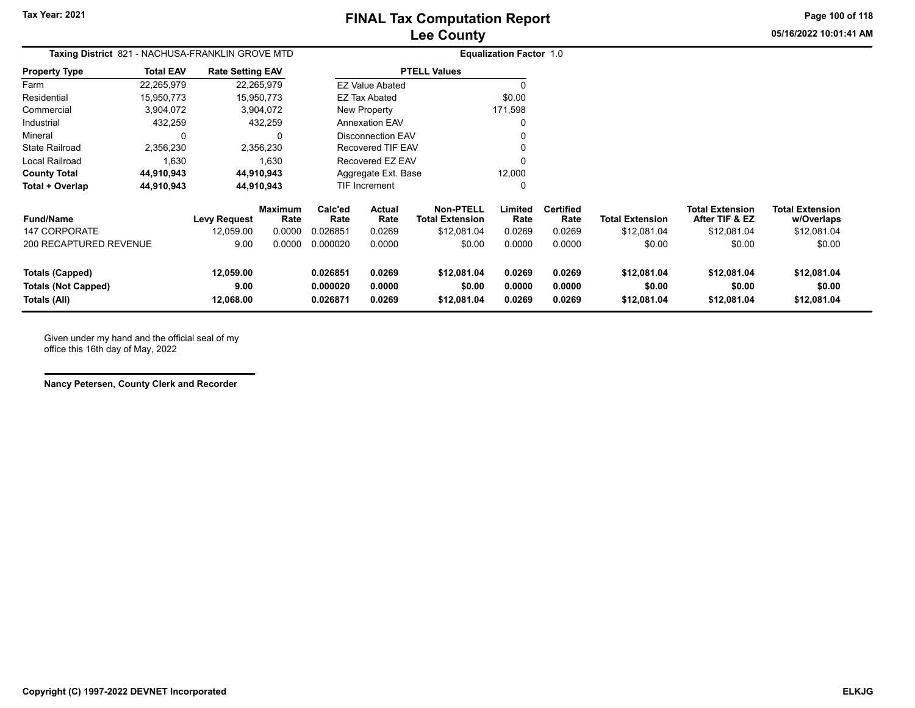**Page 100 of 118**

**05/16/2022 10:01:41 AM**

| Taxing District 821 - NACHUSA-FRANKLIN GROVE MTD                     |                  |                                |                        |                                  |                            |                                            | <b>Equalization Factor 1.0</b> |                            |                                      |                                          |                                      |
|----------------------------------------------------------------------|------------------|--------------------------------|------------------------|----------------------------------|----------------------------|--------------------------------------------|--------------------------------|----------------------------|--------------------------------------|------------------------------------------|--------------------------------------|
| <b>Property Type</b>                                                 | <b>Total EAV</b> | <b>Rate Setting EAV</b>        |                        |                                  |                            | <b>PTELL Values</b>                        |                                |                            |                                      |                                          |                                      |
| Farm                                                                 | 22,265,979       |                                | 22,265,979             |                                  | <b>EZ Value Abated</b>     |                                            | 0                              |                            |                                      |                                          |                                      |
| Residential                                                          | 15,950,773       |                                | 15,950,773             |                                  | <b>EZ Tax Abated</b>       |                                            | \$0.00                         |                            |                                      |                                          |                                      |
| Commercial                                                           | 3,904,072        |                                | 3,904,072              |                                  | New Property               |                                            | 171,598                        |                            |                                      |                                          |                                      |
| Industrial                                                           | 432,259          |                                | 432,259                |                                  | <b>Annexation EAV</b>      |                                            | 0                              |                            |                                      |                                          |                                      |
| Mineral                                                              | 0                |                                | 0                      |                                  | <b>Disconnection EAV</b>   |                                            | 0                              |                            |                                      |                                          |                                      |
| State Railroad                                                       | 2,356,230        |                                | 2,356,230              |                                  | <b>Recovered TIF EAV</b>   |                                            | 0                              |                            |                                      |                                          |                                      |
| Local Railroad                                                       | 1,630            |                                | 1,630                  |                                  | Recovered EZ EAV           |                                            | 0                              |                            |                                      |                                          |                                      |
| <b>County Total</b>                                                  | 44,910,943       |                                | 44,910,943             | Aggregate Ext. Base              |                            |                                            | 12,000                         |                            |                                      |                                          |                                      |
| Total + Overlap                                                      | 44,910,943       |                                | 44,910,943             |                                  | TIF Increment<br>0         |                                            |                                |                            |                                      |                                          |                                      |
| Fund/Name                                                            |                  | Levy Request                   | <b>Maximum</b><br>Rate | Calc'ed<br>Rate                  | <b>Actual</b><br>Rate      | <b>Non-PTELL</b><br><b>Total Extension</b> | Limited<br>Rate                | <b>Certified</b><br>Rate   | <b>Total Extension</b>               | <b>Total Extension</b><br>After TIF & EZ | <b>Total Extension</b><br>w/Overlaps |
| 147 CORPORATE                                                        |                  | 12,059.00                      | 0.0000                 | 0.026851                         | 0.0269                     | \$12,081.04                                | 0.0269                         | 0.0269                     | \$12,081.04                          | \$12,081.04                              | \$12,081.04                          |
| 200 RECAPTURED REVENUE                                               |                  | 9.00                           | 0.0000                 | 0.000020                         | 0.0000                     | \$0.00                                     | 0.0000                         | 0.0000                     | \$0.00                               | \$0.00                                   | \$0.00                               |
| <b>Totals (Capped)</b><br><b>Totals (Not Capped)</b><br>Totals (All) |                  | 12,059.00<br>9.00<br>12,068.00 |                        | 0.026851<br>0.000020<br>0.026871 | 0.0269<br>0.0000<br>0.0269 | \$12,081.04<br>\$0.00<br>\$12,081.04       | 0.0269<br>0.0000<br>0.0269     | 0.0269<br>0.0000<br>0.0269 | \$12,081.04<br>\$0.00<br>\$12,081.04 | \$12,081.04<br>\$0.00<br>\$12,081.04     | \$12,081.04<br>\$0.00<br>\$12,081.04 |

Given under my hand and the official seal of my office this 16th day of May, 2022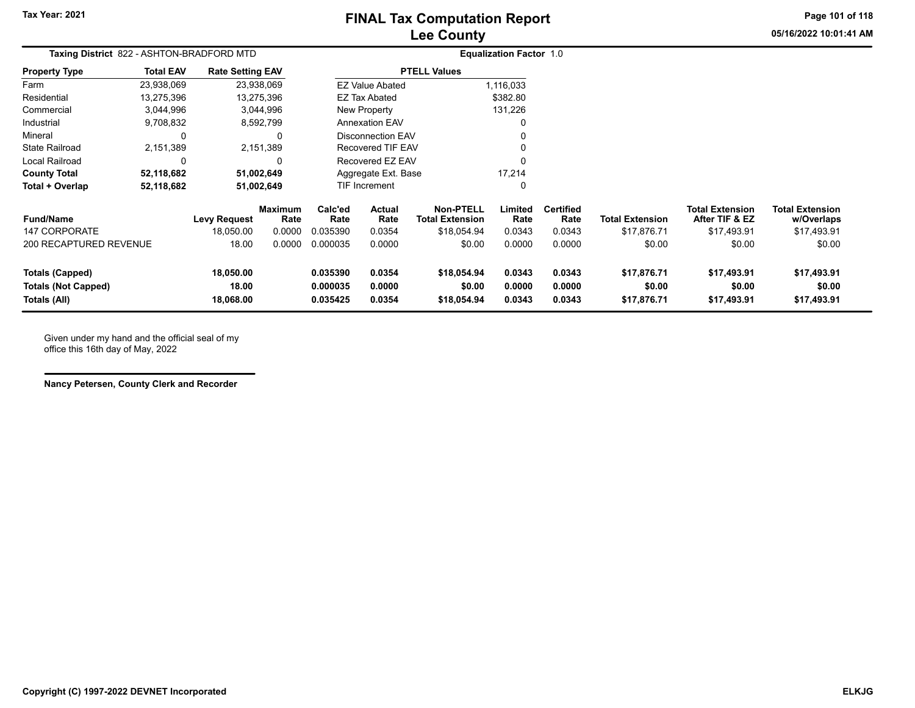# **Lee County FINAL Tax Computation Report**

**Page 101 of 118**

**05/16/2022 10:01:41 AM**

| Taxing District 822 - ASHTON-BRADFORD MTD                            |                  |                                  |                                  | <b>Equalization Factor 1.0</b>   |                                 |                                                           |                            |                                    |                                       |                                                         |                                                     |
|----------------------------------------------------------------------|------------------|----------------------------------|----------------------------------|----------------------------------|---------------------------------|-----------------------------------------------------------|----------------------------|------------------------------------|---------------------------------------|---------------------------------------------------------|-----------------------------------------------------|
| <b>Property Type</b>                                                 | <b>Total EAV</b> | <b>Rate Setting EAV</b>          |                                  |                                  |                                 | <b>PTELL Values</b>                                       |                            |                                    |                                       |                                                         |                                                     |
| Farm                                                                 | 23,938,069       |                                  | 23,938,069                       |                                  | <b>EZ Value Abated</b>          |                                                           | 1,116,033                  |                                    |                                       |                                                         |                                                     |
| Residential                                                          | 13,275,396       |                                  | 13,275,396                       |                                  | <b>EZ Tax Abated</b>            |                                                           | \$382.80                   |                                    |                                       |                                                         |                                                     |
| Commercial                                                           | 3,044,996        |                                  | 3,044,996                        |                                  | New Property                    |                                                           | 131,226                    |                                    |                                       |                                                         |                                                     |
| Industrial                                                           | 9,708,832        |                                  | 8,592,799                        |                                  | <b>Annexation EAV</b>           |                                                           |                            |                                    |                                       |                                                         |                                                     |
| Mineral                                                              | 0                |                                  |                                  |                                  | <b>Disconnection EAV</b>        |                                                           |                            |                                    |                                       |                                                         |                                                     |
| <b>State Railroad</b>                                                | 2,151,389        |                                  | 2,151,389                        |                                  | Recovered TIF EAV               |                                                           |                            |                                    |                                       |                                                         |                                                     |
| Local Railroad                                                       | 0                |                                  | 0                                |                                  | Recovered EZ EAV                |                                                           |                            |                                    |                                       |                                                         |                                                     |
| <b>County Total</b>                                                  | 52,118,682       |                                  | 51,002,649                       |                                  | Aggregate Ext. Base             |                                                           | 17,214                     |                                    |                                       |                                                         |                                                     |
| Total + Overlap                                                      | 52,118,682       |                                  | 51,002,649                       |                                  | TIF Increment                   |                                                           | $\Omega$                   |                                    |                                       |                                                         |                                                     |
| <b>Fund/Name</b><br>147 CORPORATE                                    |                  | <b>Levy Request</b><br>18.050.00 | <b>Maximum</b><br>Rate<br>0.0000 | Calc'ed<br>Rate<br>0.035390      | <b>Actual</b><br>Rate<br>0.0354 | <b>Non-PTELL</b><br><b>Total Extension</b><br>\$18,054.94 | Limited<br>Rate<br>0.0343  | <b>Certified</b><br>Rate<br>0.0343 | <b>Total Extension</b><br>\$17,876.71 | <b>Total Extension</b><br>After TIF & EZ<br>\$17,493.91 | <b>Total Extension</b><br>w/Overlaps<br>\$17,493.91 |
| 200 RECAPTURED REVENUE                                               |                  | 18.00                            | 0.0000                           | 0.000035                         | 0.0000                          | \$0.00                                                    | 0.0000                     | 0.0000                             | \$0.00                                | \$0.00                                                  | \$0.00                                              |
| <b>Totals (Capped)</b><br><b>Totals (Not Capped)</b><br>Totals (All) |                  | 18,050.00<br>18.00<br>18,068.00  |                                  | 0.035390<br>0.000035<br>0.035425 | 0.0354<br>0.0000<br>0.0354      | \$18,054.94<br>\$0.00<br>\$18,054.94                      | 0.0343<br>0.0000<br>0.0343 | 0.0343<br>0.0000<br>0.0343         | \$17,876.71<br>\$0.00<br>\$17,876.71  | \$17,493.91<br>\$0.00<br>\$17,493.91                    | \$17,493.91<br>\$0.00<br>\$17,493.91                |

Given under my hand and the official seal of my office this 16th day of May, 2022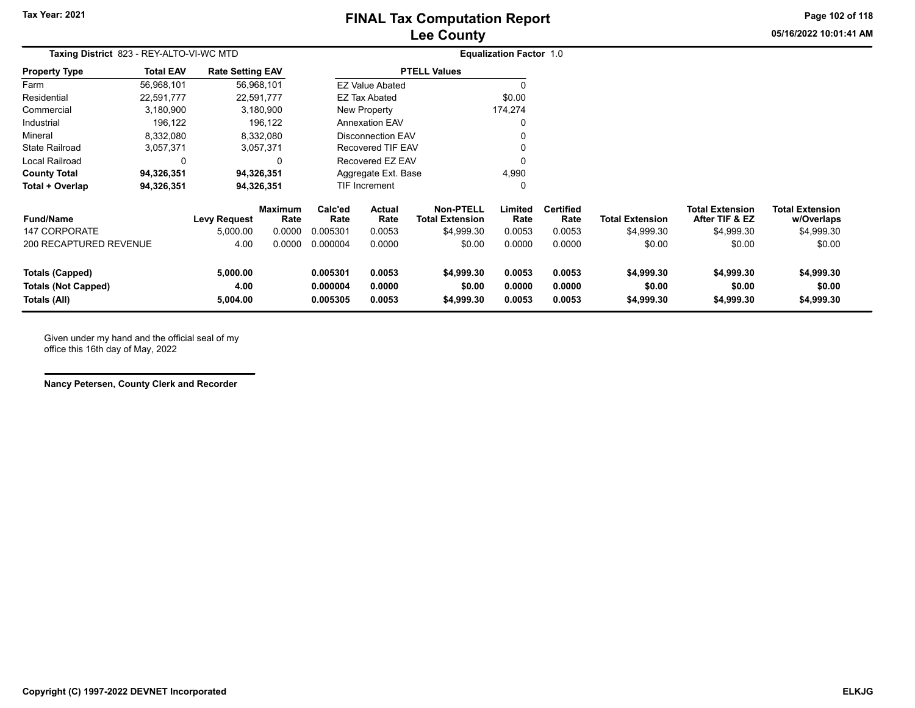# **Lee County FINAL Tax Computation Report**

**Page 102 of 118**

**05/16/2022 10:01:41 AM**

| Taxing District 823 - REY-ALTO-VI-WC MTD                             |                  |                              |                        | <b>Equalization Factor 1.0</b>   |                            |                                            |                            |                            |                                    |                                          |                                      |
|----------------------------------------------------------------------|------------------|------------------------------|------------------------|----------------------------------|----------------------------|--------------------------------------------|----------------------------|----------------------------|------------------------------------|------------------------------------------|--------------------------------------|
| <b>Property Type</b>                                                 | <b>Total EAV</b> | <b>Rate Setting EAV</b>      |                        |                                  |                            | <b>PTELL Values</b>                        |                            |                            |                                    |                                          |                                      |
| Farm                                                                 | 56,968,101       |                              | 56,968,101             |                                  | <b>EZ Value Abated</b>     |                                            | 0                          |                            |                                    |                                          |                                      |
| Residential                                                          | 22,591,777       |                              | 22,591,777             |                                  | EZ Tax Abated              |                                            | \$0.00                     |                            |                                    |                                          |                                      |
| Commercial                                                           | 3,180,900        |                              | 3,180,900              |                                  | New Property               |                                            | 174,274                    |                            |                                    |                                          |                                      |
| Industrial                                                           | 196,122          |                              | 196,122                |                                  | <b>Annexation EAV</b>      |                                            | 0                          |                            |                                    |                                          |                                      |
| Mineral                                                              | 8,332,080        |                              | 8,332,080              |                                  | <b>Disconnection EAV</b>   |                                            | 0                          |                            |                                    |                                          |                                      |
| <b>State Railroad</b>                                                | 3,057,371        |                              | 3,057,371              |                                  | <b>Recovered TIF EAV</b>   |                                            | 0                          |                            |                                    |                                          |                                      |
| Local Railroad                                                       | 0                |                              | 0                      |                                  | Recovered EZ EAV           |                                            | 0                          |                            |                                    |                                          |                                      |
| <b>County Total</b>                                                  | 94,326,351       |                              | 94,326,351             |                                  | Aggregate Ext. Base        |                                            | 4,990                      |                            |                                    |                                          |                                      |
| Total + Overlap                                                      | 94,326,351       |                              | 94,326,351             |                                  | <b>TIF Increment</b>       | 0                                          |                            |                            |                                    |                                          |                                      |
| <b>Fund/Name</b>                                                     |                  | <b>Levy Request</b>          | <b>Maximum</b><br>Rate | Calc'ed<br>Rate                  | <b>Actual</b><br>Rate      | <b>Non-PTELL</b><br><b>Total Extension</b> | Limited<br>Rate            | <b>Certified</b><br>Rate   | <b>Total Extension</b>             | <b>Total Extension</b><br>After TIF & EZ | <b>Total Extension</b><br>w/Overlaps |
| <b>147 CORPORATE</b>                                                 |                  | 5,000.00                     | 0.0000                 | 0.005301                         | 0.0053                     | \$4,999.30                                 | 0.0053                     | 0.0053                     | \$4,999.30                         | \$4,999.30                               | \$4,999.30                           |
| 200 RECAPTURED REVENUE                                               |                  | 4.00                         | 0.0000                 | 0.000004                         | 0.0000                     | \$0.00                                     | 0.0000                     | 0.0000                     | \$0.00                             | \$0.00                                   | \$0.00                               |
| <b>Totals (Capped)</b><br><b>Totals (Not Capped)</b><br>Totals (All) |                  | 5,000.00<br>4.00<br>5,004.00 |                        | 0.005301<br>0.000004<br>0.005305 | 0.0053<br>0.0000<br>0.0053 | \$4,999.30<br>\$0.00<br>\$4,999.30         | 0.0053<br>0.0000<br>0.0053 | 0.0053<br>0.0000<br>0.0053 | \$4,999.30<br>\$0.00<br>\$4,999.30 | \$4,999.30<br>\$0.00<br>\$4,999.30       | \$4,999.30<br>\$0.00<br>\$4,999.30   |

Given under my hand and the official seal of my office this 16th day of May, 2022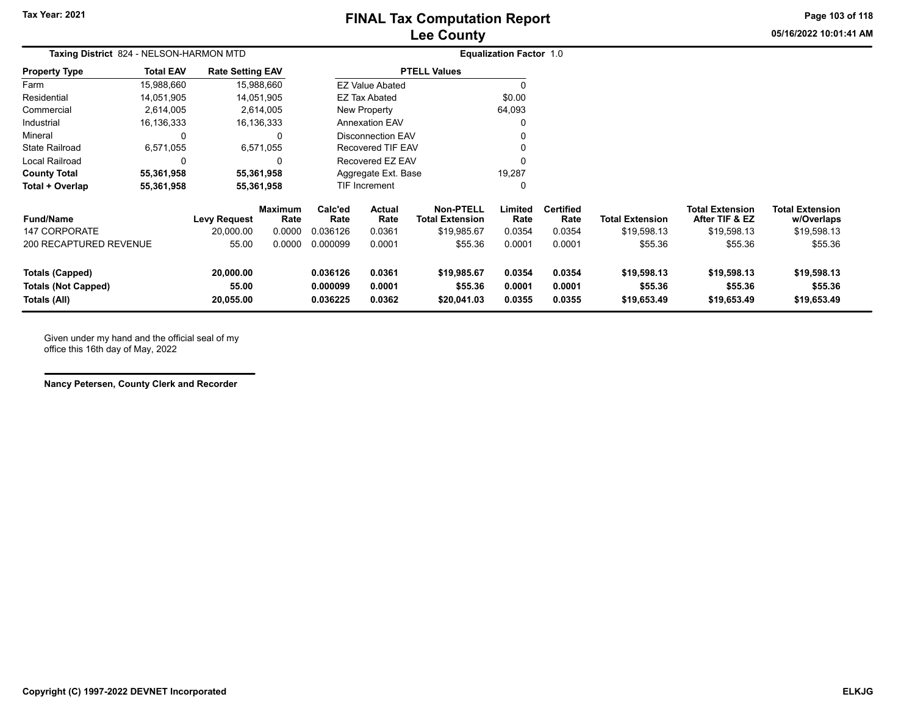# **Lee County FINAL Tax Computation Report**

**Page 103 of 118**

**05/16/2022 10:01:41 AM**

| Taxing District 824 - NELSON-HARMON MTD                              |                  |                                 |                        | <b>Equalization Factor 1.0</b>   |                               |                                            |                            |                            |                                       |                                          |                                       |
|----------------------------------------------------------------------|------------------|---------------------------------|------------------------|----------------------------------|-------------------------------|--------------------------------------------|----------------------------|----------------------------|---------------------------------------|------------------------------------------|---------------------------------------|
| <b>Property Type</b>                                                 | <b>Total EAV</b> | <b>Rate Setting EAV</b>         |                        |                                  |                               | <b>PTELL Values</b>                        |                            |                            |                                       |                                          |                                       |
| Farm                                                                 | 15,988,660       |                                 | 15,988,660             |                                  | <b>EZ Value Abated</b>        |                                            |                            |                            |                                       |                                          |                                       |
| Residential                                                          | 14,051,905       |                                 | 14,051,905             |                                  | <b>EZ Tax Abated</b>          |                                            | \$0.00                     |                            |                                       |                                          |                                       |
| Commercial                                                           | 2,614,005        |                                 | 2,614,005              |                                  | New Property                  |                                            | 64,093                     |                            |                                       |                                          |                                       |
| Industrial                                                           | 16,136,333       |                                 | 16,136,333             |                                  | <b>Annexation EAV</b>         |                                            |                            |                            |                                       |                                          |                                       |
| Mineral                                                              | 0                |                                 |                        |                                  | <b>Disconnection EAV</b>      |                                            |                            |                            |                                       |                                          |                                       |
| <b>State Railroad</b>                                                | 6,571,055        |                                 | 6,571,055              |                                  | Recovered TIF EAV             |                                            |                            |                            |                                       |                                          |                                       |
| Local Railroad                                                       | 0                |                                 | ∩                      |                                  | Recovered EZ EAV              |                                            |                            |                            |                                       |                                          |                                       |
| <b>County Total</b>                                                  | 55,361,958       |                                 | 55,361,958             |                                  | 19,287<br>Aggregate Ext. Base |                                            |                            |                            |                                       |                                          |                                       |
| Total + Overlap                                                      | 55,361,958       |                                 | 55,361,958             |                                  | TIF Increment                 | O                                          |                            |                            |                                       |                                          |                                       |
| <b>Fund/Name</b>                                                     |                  | <b>Levy Request</b>             | <b>Maximum</b><br>Rate | Calc'ed<br>Rate                  | <b>Actual</b><br>Rate         | <b>Non-PTELL</b><br><b>Total Extension</b> | Limited<br>Rate            | <b>Certified</b><br>Rate   | <b>Total Extension</b>                | <b>Total Extension</b><br>After TIF & EZ | <b>Total Extension</b><br>w/Overlaps  |
| 147 CORPORATE                                                        |                  | 20.000.00                       | 0.0000                 | 0.036126                         | 0.0361                        | \$19,985.67                                | 0.0354                     | 0.0354                     | \$19,598.13                           | \$19,598.13                              | \$19,598.13                           |
| 200 RECAPTURED REVENUE                                               |                  | 55.00                           | 0.0000                 | 0.000099                         | 0.0001                        | \$55.36                                    | 0.0001                     | 0.0001                     | \$55.36                               | \$55.36                                  | \$55.36                               |
| <b>Totals (Capped)</b><br><b>Totals (Not Capped)</b><br>Totals (All) |                  | 20,000.00<br>55.00<br>20,055.00 |                        | 0.036126<br>0.000099<br>0.036225 | 0.0361<br>0.0001<br>0.0362    | \$19,985.67<br>\$55.36<br>\$20,041.03      | 0.0354<br>0.0001<br>0.0355 | 0.0354<br>0.0001<br>0.0355 | \$19,598.13<br>\$55.36<br>\$19,653.49 | \$19,598.13<br>\$55.36<br>\$19,653.49    | \$19,598.13<br>\$55.36<br>\$19,653.49 |

Given under my hand and the official seal of my office this 16th day of May, 2022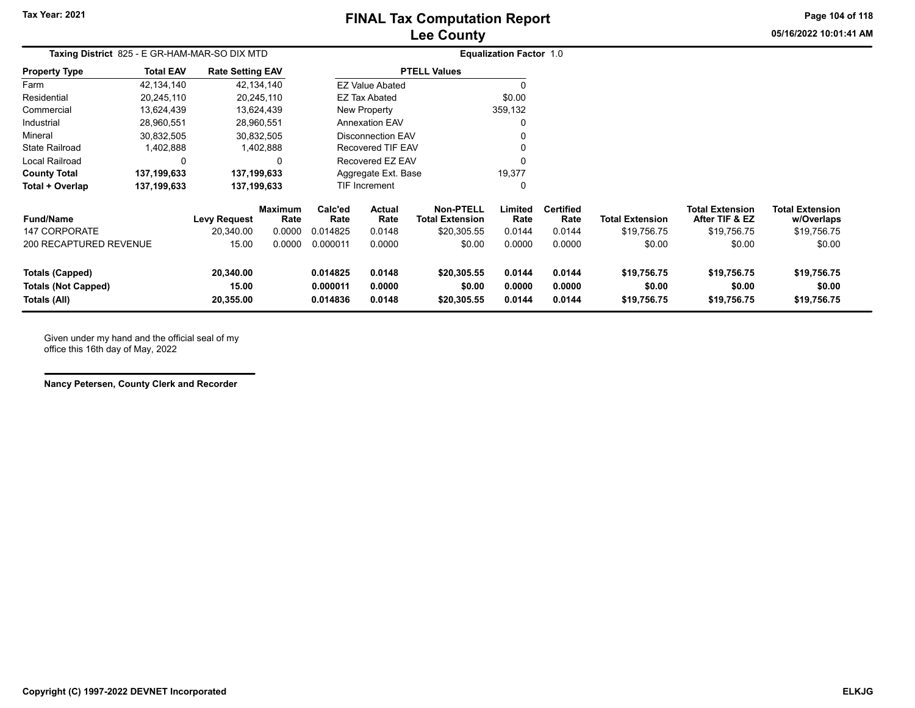# **Lee County FINAL Tax Computation Report**

**Page 104 of 118**

**05/16/2022 10:01:41 AM**

| Taxing District 825 - E GR-HAM-MAR-SO DIX MTD        |                  |                                     |                 |                      |                                                   |                                            | <b>Equalization Factor 1.0</b> |                          |                        |                                          |                                      |
|------------------------------------------------------|------------------|-------------------------------------|-----------------|----------------------|---------------------------------------------------|--------------------------------------------|--------------------------------|--------------------------|------------------------|------------------------------------------|--------------------------------------|
| Property Type                                        | <b>Total EAV</b> | <b>Rate Setting EAV</b>             |                 |                      |                                                   | <b>PTELL Values</b>                        |                                |                          |                        |                                          |                                      |
| Farm                                                 | 42,134,140       |                                     | 42,134,140      |                      | <b>EZ Value Abated</b>                            |                                            | $\Omega$                       |                          |                        |                                          |                                      |
| Residential                                          | 20,245,110       |                                     | 20,245,110      |                      | EZ Tax Abated                                     |                                            | \$0.00                         |                          |                        |                                          |                                      |
| Commercial                                           | 13,624,439       |                                     | 13,624,439      |                      | New Property                                      |                                            | 359,132                        |                          |                        |                                          |                                      |
| Industrial                                           | 28,960,551       |                                     | 28,960,551      |                      | <b>Annexation EAV</b>                             |                                            |                                |                          |                        |                                          |                                      |
| Mineral                                              | 30,832,505       |                                     | 30,832,505      |                      | <b>Disconnection EAV</b>                          |                                            |                                |                          |                        |                                          |                                      |
| State Railroad                                       | 1,402,888        |                                     | 1,402,888       |                      | Recovered TIF EAV                                 |                                            |                                |                          |                        |                                          |                                      |
| Local Railroad                                       | 0                |                                     | $\Omega$        |                      | Recovered EZ EAV<br>19,377<br>Aggregate Ext. Base |                                            |                                |                          |                        |                                          |                                      |
| <b>County Total</b>                                  | 137,199,633      | 137,199,633                         |                 |                      |                                                   |                                            |                                |                          |                        |                                          |                                      |
| Total + Overlap                                      | 137,199,633      | <b>TIF Increment</b><br>137,199,633 |                 |                      |                                                   |                                            | 0                              |                          |                        |                                          |                                      |
| <b>Fund/Name</b>                                     |                  | Levy Request                        | Maximum<br>Rate | Calc'ed<br>Rate      | Actual<br>Rate                                    | <b>Non-PTELL</b><br><b>Total Extension</b> | Limited<br>Rate                | <b>Certified</b><br>Rate | <b>Total Extension</b> | <b>Total Extension</b><br>After TIF & EZ | <b>Total Extension</b><br>w/Overlaps |
| <b>147 CORPORATE</b>                                 |                  | 20,340.00                           | 0.0000          | 0.014825             | 0.0148                                            | \$20,305.55                                | 0.0144                         | 0.0144                   | \$19,756.75            | \$19,756.75                              | \$19,756.75                          |
| 200 RECAPTURED REVENUE                               |                  | 15.00                               | 0.0000          | 0.000011             | 0.0000                                            | \$0.00                                     | 0.0000                         | 0.0000                   | \$0.00                 | \$0.00                                   | \$0.00                               |
| <b>Totals (Capped)</b><br><b>Totals (Not Capped)</b> |                  | 20,340.00<br>15.00                  |                 | 0.014825<br>0.000011 | 0.0148<br>0.0000                                  | \$20,305.55<br>\$0.00                      | 0.0144<br>0.0000               | 0.0144<br>0.0000         | \$19,756.75<br>\$0.00  | \$19,756.75<br>\$0.00                    | \$19,756.75<br>\$0.00                |
| Totals (All)                                         |                  | 20,355.00                           |                 | 0.014836             | 0.0148                                            | \$20,305.55                                | 0.0144                         | 0.0144                   | \$19,756.75            | \$19,756.75                              | \$19,756.75                          |

Given under my hand and the official seal of my office this 16th day of May, 2022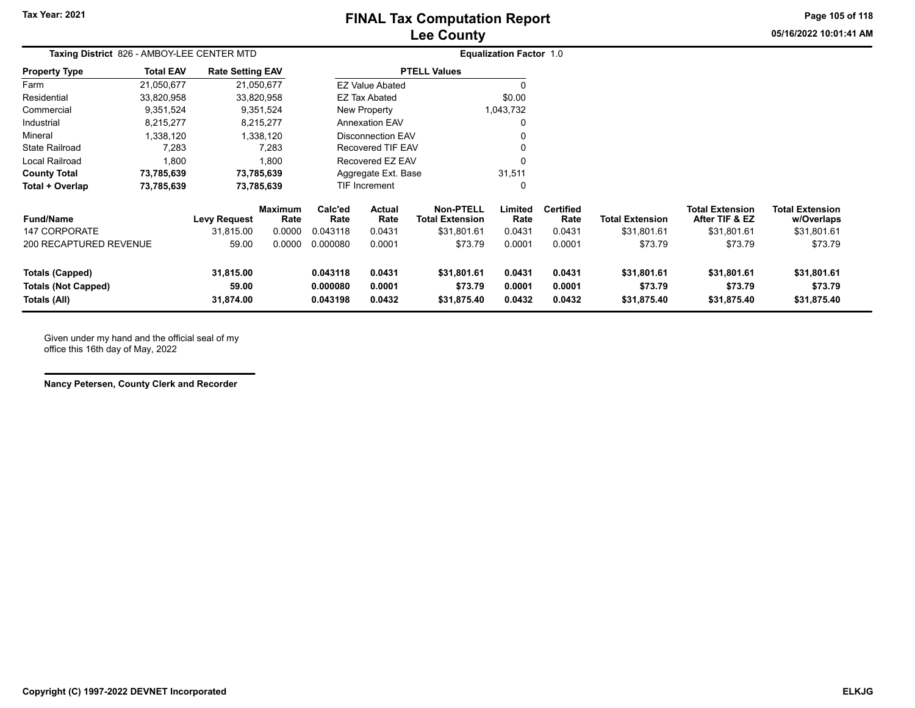# **Lee County FINAL Tax Computation Report**

**Page 105 of 118**

**05/16/2022 10:01:41 AM**

| Taxing District 826 - AMBOY-LEE CENTER MTD |                          |                         |                 | <b>Equalization Factor 1.0</b> |                                 |                                            |                 |                   |                        |                                          |                                      |
|--------------------------------------------|--------------------------|-------------------------|-----------------|--------------------------------|---------------------------------|--------------------------------------------|-----------------|-------------------|------------------------|------------------------------------------|--------------------------------------|
| <b>Property Type</b>                       | <b>Total EAV</b>         | <b>Rate Setting EAV</b> |                 |                                |                                 | <b>PTELL Values</b>                        |                 |                   |                        |                                          |                                      |
| Farm                                       | 21,050,677               |                         | 21,050,677      |                                | <b>EZ Value Abated</b>          |                                            | 0               |                   |                        |                                          |                                      |
| Residential                                | 33,820,958               |                         | 33,820,958      |                                | EZ Tax Abated                   |                                            | \$0.00          |                   |                        |                                          |                                      |
| Commercial                                 | 9,351,524                |                         | 9,351,524       |                                | New Property                    |                                            | 1,043,732       |                   |                        |                                          |                                      |
| Industrial                                 | 8,215,277                |                         | 8,215,277       |                                | <b>Annexation EAV</b>           |                                            | 0               |                   |                        |                                          |                                      |
| Mineral                                    | 1,338,120                |                         | 1,338,120       |                                | Disconnection EAV               |                                            |                 |                   |                        |                                          |                                      |
| <b>State Railroad</b>                      | 7,283                    |                         | 7.283           |                                | Recovered TIF EAV               |                                            |                 |                   |                        |                                          |                                      |
| Local Railroad                             | 1,800                    |                         | 1,800           |                                | Recovered EZ EAV                |                                            | $\Omega$        |                   |                        |                                          |                                      |
| <b>County Total</b>                        | 73,785,639               |                         | 73,785,639      |                                | Aggregate Ext. Base             |                                            | 31,511          |                   |                        |                                          |                                      |
| Total + Overlap                            | 73,785,639<br>73,785,639 |                         |                 | TIF Increment                  |                                 |                                            | 0               |                   |                        |                                          |                                      |
| <b>Fund/Name</b>                           |                          | <b>Levy Request</b>     | Maximum<br>Rate | Calc'ed<br>Rate                | Actual<br>Rate                  | <b>Non-PTELL</b><br><b>Total Extension</b> | Limited<br>Rate | Certified<br>Rate | <b>Total Extension</b> | <b>Total Extension</b><br>After TIF & EZ | <b>Total Extension</b><br>w/Overlaps |
| <b>147 CORPORATE</b>                       |                          | 31,815.00               | 0.0000          | 0.043118                       | 0.0431                          | \$31,801.61                                | 0.0431          | 0.0431            | \$31,801.61            | \$31,801.61                              | \$31,801.61                          |
| <b>200 RECAPTURED REVENUE</b>              |                          | 59.00                   | 0.0000          | 0.000080                       | 0.0001                          | \$73.79                                    | 0.0001          | 0.0001            | \$73.79                | \$73.79                                  | \$73.79                              |
| Totals (Capped)                            |                          | 31,815.00               |                 | 0.043118                       | 0.0431                          | \$31,801.61                                | 0.0431          | 0.0431            | \$31,801.61            | \$31,801.61                              | \$31,801.61                          |
| <b>Totals (Not Capped)</b>                 |                          | 59.00                   |                 | 0.000080<br>0.0001<br>\$73.79  |                                 |                                            | 0.0001          | 0.0001            | \$73.79                | \$73.79                                  | \$73.79                              |
| Totals (All)                               |                          | 31,874.00               |                 | 0.043198                       | 0.0432<br>0.0432<br>\$31,875.40 |                                            |                 | 0.0432            | \$31,875.40            | \$31,875.40                              | \$31,875.40                          |

Given under my hand and the official seal of my office this 16th day of May, 2022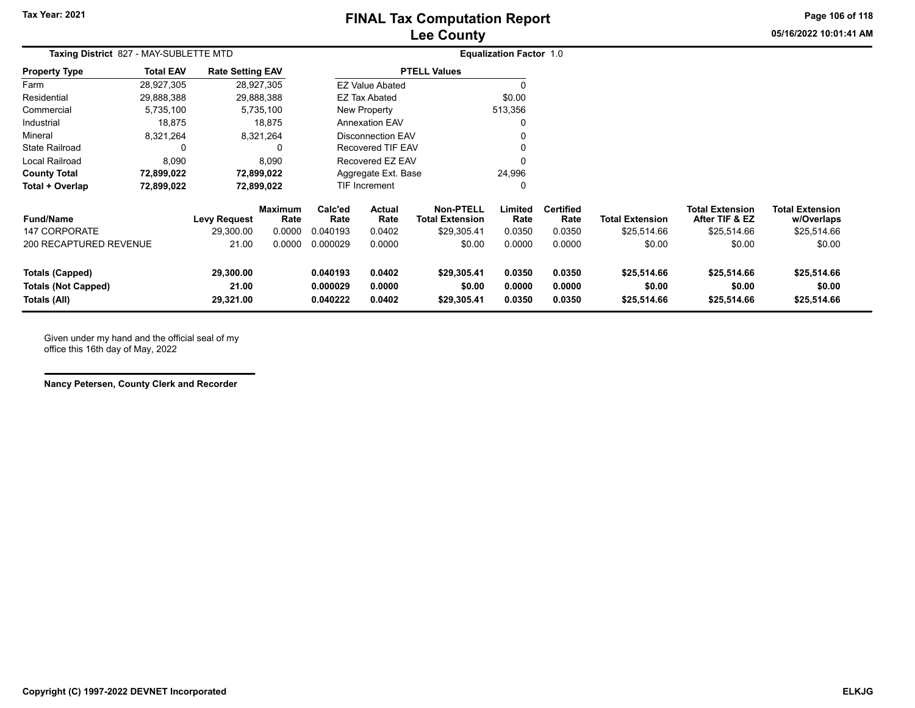# **Lee County FINAL Tax Computation Report**

**Page 106 of 118**

**05/16/2022 10:01:41 AM**

| Taxing District 827 - MAY-SUBLETTE MTD                               |                  |                                  |                                  |                                  |                            |                                                           | <b>Equalization Factor 1.0</b> |                                    |                                      |                                                         |                                                     |  |
|----------------------------------------------------------------------|------------------|----------------------------------|----------------------------------|----------------------------------|----------------------------|-----------------------------------------------------------|--------------------------------|------------------------------------|--------------------------------------|---------------------------------------------------------|-----------------------------------------------------|--|
| <b>Property Type</b>                                                 | <b>Total EAV</b> | <b>Rate Setting EAV</b>          |                                  |                                  |                            | <b>PTELL Values</b>                                       |                                |                                    |                                      |                                                         |                                                     |  |
| Farm                                                                 | 28,927,305       |                                  | 28,927,305                       |                                  | <b>EZ Value Abated</b>     |                                                           |                                |                                    |                                      |                                                         |                                                     |  |
| Residential                                                          | 29,888,388       |                                  | 29,888,388                       |                                  | <b>EZ Tax Abated</b>       |                                                           | \$0.00                         |                                    |                                      |                                                         |                                                     |  |
| Commercial                                                           | 5,735,100        |                                  | 5,735,100                        |                                  | New Property               |                                                           | 513,356                        |                                    |                                      |                                                         |                                                     |  |
| Industrial                                                           | 18,875           |                                  | 18,875                           |                                  | <b>Annexation EAV</b>      |                                                           |                                |                                    |                                      |                                                         |                                                     |  |
| Mineral                                                              | 8,321,264        |                                  | 8,321,264                        |                                  | <b>Disconnection EAV</b>   |                                                           |                                |                                    |                                      |                                                         |                                                     |  |
| <b>State Railroad</b>                                                | 0                |                                  |                                  |                                  | <b>Recovered TIF EAV</b>   |                                                           |                                |                                    |                                      |                                                         |                                                     |  |
| <b>Local Railroad</b>                                                | 8,090            |                                  | 8,090                            |                                  | Recovered EZ EAV           |                                                           | $\Omega$                       |                                    |                                      |                                                         |                                                     |  |
| <b>County Total</b>                                                  | 72,899,022       |                                  | 72,899,022                       |                                  | Aggregate Ext. Base        |                                                           |                                |                                    |                                      |                                                         |                                                     |  |
| Total + Overlap                                                      | 72,899,022       |                                  | 72,899,022                       |                                  | TIF Increment              |                                                           | $\Omega$                       |                                    |                                      |                                                         |                                                     |  |
| <b>Fund/Name</b><br><b>147 CORPORATE</b>                             |                  | <b>Levy Request</b><br>29,300.00 | <b>Maximum</b><br>Rate<br>0.0000 | Calc'ed<br>Rate<br>0.040193      | Actual<br>Rate<br>0.0402   | <b>Non-PTELL</b><br><b>Total Extension</b><br>\$29,305.41 | Limited<br>Rate<br>0.0350      | <b>Certified</b><br>Rate<br>0.0350 | Total Extension<br>\$25,514.66       | <b>Total Extension</b><br>After TIF & EZ<br>\$25,514.66 | <b>Total Extension</b><br>w/Overlaps<br>\$25,514.66 |  |
| 200 RECAPTURED REVENUE                                               |                  | 21.00                            | 0.0000                           | 0.000029                         | 0.0000                     | \$0.00                                                    | 0.0000                         | 0.0000                             | \$0.00                               | \$0.00                                                  | \$0.00                                              |  |
| <b>Totals (Capped)</b><br><b>Totals (Not Capped)</b><br>Totals (All) |                  | 29,300.00<br>21.00<br>29,321.00  |                                  | 0.040193<br>0.000029<br>0.040222 | 0.0402<br>0.0000<br>0.0402 | \$29,305.41<br>\$0.00<br>\$29,305.41                      | 0.0350<br>0.0000<br>0.0350     | 0.0350<br>0.0000<br>0.0350         | \$25,514.66<br>\$0.00<br>\$25,514.66 | \$25,514.66<br>\$0.00<br>\$25,514.66                    | \$25,514.66<br>\$0.00<br>\$25,514.66                |  |

Given under my hand and the official seal of my office this 16th day of May, 2022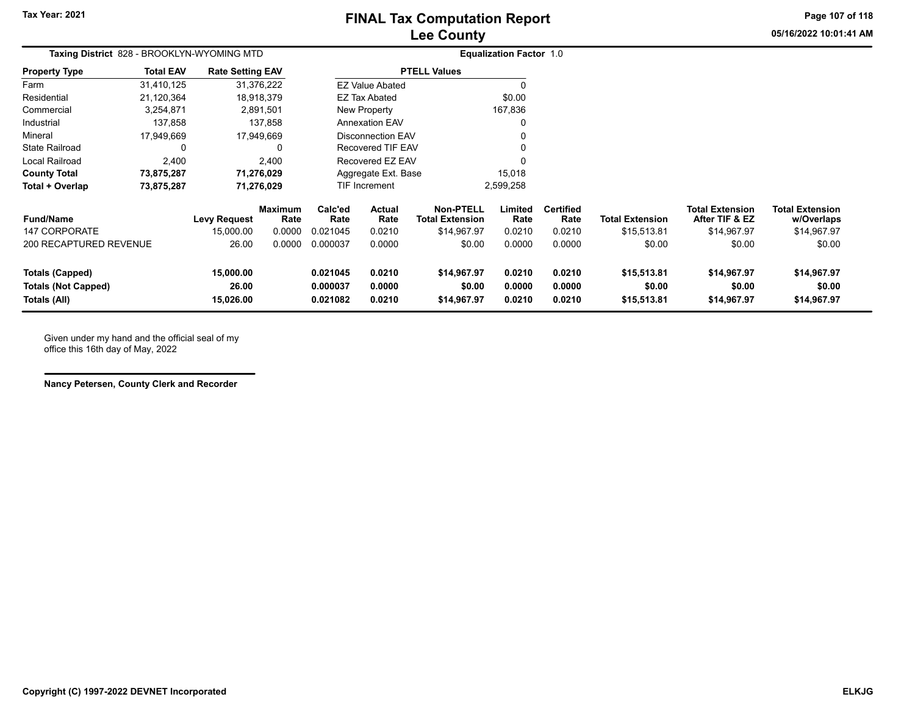# **Lee County FINAL Tax Computation Report**

**05/16/2022 10:01:41 AMPage 107 of 118**

| Taxing District 828 - BROOKLYN-WYOMING MTD                    |                  |                                 |                        |                                  | <b>Equalization Factor 1.0</b> |                                      |                            |                            |                                      |                                          |                                      |
|---------------------------------------------------------------|------------------|---------------------------------|------------------------|----------------------------------|--------------------------------|--------------------------------------|----------------------------|----------------------------|--------------------------------------|------------------------------------------|--------------------------------------|
| <b>Property Type</b>                                          | <b>Total EAV</b> | <b>Rate Setting EAV</b>         |                        |                                  |                                | <b>PTELL Values</b>                  |                            |                            |                                      |                                          |                                      |
| Farm                                                          | 31,410,125       |                                 | 31,376,222             |                                  | <b>EZ Value Abated</b>         |                                      |                            |                            |                                      |                                          |                                      |
| Residential                                                   | 21,120,364       |                                 | 18,918,379             |                                  | <b>EZ Tax Abated</b>           |                                      | \$0.00                     |                            |                                      |                                          |                                      |
| Commercial                                                    | 3,254,871        |                                 | 2,891,501              |                                  | New Property                   |                                      | 167,836                    |                            |                                      |                                          |                                      |
| Industrial                                                    | 137,858          |                                 | 137,858                |                                  | <b>Annexation EAV</b>          |                                      |                            |                            |                                      |                                          |                                      |
| Mineral                                                       | 17,949,669       |                                 | 17,949,669             |                                  | Disconnection EAV              |                                      |                            |                            |                                      |                                          |                                      |
| <b>State Railroad</b>                                         |                  |                                 | 0                      |                                  | Recovered TIF EAV              |                                      |                            |                            |                                      |                                          |                                      |
| Local Railroad                                                | 2,400            |                                 | 2,400                  |                                  | Recovered EZ EAV               |                                      |                            |                            |                                      |                                          |                                      |
| <b>County Total</b>                                           | 73,875,287       |                                 | 71,276,029             |                                  | Aggregate Ext. Base            |                                      | 15,018                     |                            |                                      |                                          |                                      |
| Total + Overlap                                               | 73,875,287       |                                 | 71,276,029             | TIF Increment                    |                                |                                      | 2,599,258                  |                            |                                      |                                          |                                      |
| <b>Fund/Name</b>                                              |                  | <b>Levy Request</b>             | <b>Maximum</b><br>Rate | Calc'ed<br>Rate                  | Actual<br>Rate                 | Non-PTELL<br><b>Total Extension</b>  | Limited<br>Rate            | <b>Certified</b><br>Rate   | <b>Total Extension</b>               | <b>Total Extension</b><br>After TIF & EZ | <b>Total Extension</b><br>w/Overlaps |
| <b>147 CORPORATE</b>                                          |                  | 15,000.00                       | 0.0000                 | 0.021045                         | 0.0210                         | \$14,967.97                          | 0.0210                     | 0.0210                     | \$15,513.81                          | \$14,967.97                              | \$14,967.97                          |
| 200 RECAPTURED REVENUE                                        |                  | 26.00                           | 0.0000                 | 0.000037                         | 0.0000                         | \$0.00                               | 0.0000                     | 0.0000                     | \$0.00                               | \$0.00                                   | \$0.00                               |
| Totals (Capped)<br><b>Totals (Not Capped)</b><br>Totals (All) |                  | 15,000.00<br>26.00<br>15,026.00 |                        | 0.021045<br>0.000037<br>0.021082 | 0.0210<br>0.0000<br>0.0210     | \$14,967.97<br>\$0.00<br>\$14,967.97 | 0.0210<br>0.0000<br>0.0210 | 0.0210<br>0.0000<br>0.0210 | \$15,513.81<br>\$0.00<br>\$15,513.81 | \$14,967.97<br>\$0.00<br>\$14,967.97     | \$14,967.97<br>\$0.00<br>\$14,967.97 |

Given under my hand and the official seal of my office this 16th day of May, 2022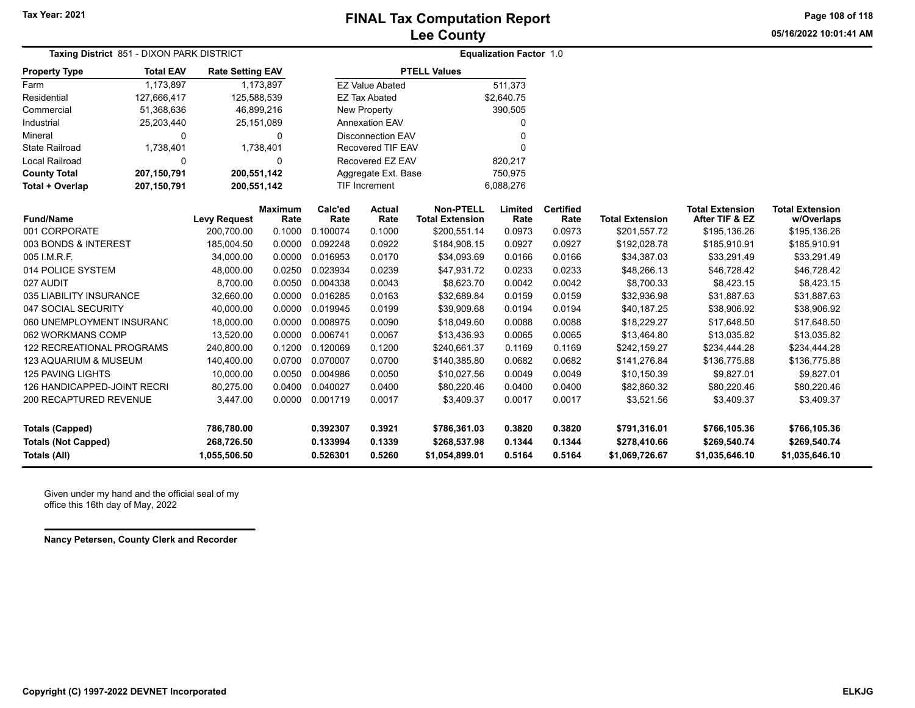**Page 108 of 118**

**05/16/2022 10:01:41 AM**

| <b>Taxing District</b> 851 - DIXON PARK DISTRICT                     |                  |                                          |                        | <b>Equalization Factor 1.0</b>   |                            |                                                |                            |                            |                                                |                                                |                                                |
|----------------------------------------------------------------------|------------------|------------------------------------------|------------------------|----------------------------------|----------------------------|------------------------------------------------|----------------------------|----------------------------|------------------------------------------------|------------------------------------------------|------------------------------------------------|
| <b>Property Type</b>                                                 | <b>Total EAV</b> | <b>Rate Setting EAV</b>                  |                        | <b>PTELL Values</b>              |                            |                                                |                            |                            |                                                |                                                |                                                |
| Farm                                                                 | 1,173,897        | 1,173,897                                |                        | <b>EZ Value Abated</b>           |                            |                                                | 511,373                    |                            |                                                |                                                |                                                |
| Residential                                                          | 127,666,417      | 125,588,539                              |                        | <b>EZ Tax Abated</b>             |                            |                                                | \$2,640.75                 |                            |                                                |                                                |                                                |
| Commercial                                                           | 51,368,636       | 46,899,216                               |                        | New Property                     |                            |                                                | 390,505                    |                            |                                                |                                                |                                                |
| Industrial                                                           | 25,203,440       | 25, 151, 089                             |                        | Annexation EAV                   |                            |                                                | 0                          |                            |                                                |                                                |                                                |
| Mineral                                                              | $\Omega$         | $\Omega$                                 |                        | <b>Disconnection EAV</b>         |                            |                                                | 0                          |                            |                                                |                                                |                                                |
| <b>State Railroad</b>                                                | 1,738,401        | 1,738,401                                |                        | Recovered TIF EAV                |                            |                                                | O                          |                            |                                                |                                                |                                                |
| Local Railroad                                                       | 0                | 0                                        |                        | Recovered EZ EAV                 |                            |                                                | 820,217                    |                            |                                                |                                                |                                                |
| <b>County Total</b>                                                  | 207,150,791      | 200,551,142                              |                        | Aggregate Ext. Base              |                            |                                                | 750,975                    |                            |                                                |                                                |                                                |
| Total + Overlap                                                      | 207,150,791      | 200,551,142                              |                        | TIF Increment                    |                            |                                                | 6,088,276                  |                            |                                                |                                                |                                                |
| <b>Fund/Name</b>                                                     |                  | <b>Levy Request</b>                      | <b>Maximum</b><br>Rate | Calc'ed<br>Rate                  | <b>Actual</b><br>Rate      | <b>Non-PTELL</b><br><b>Total Extension</b>     | Limited<br>Rate            | <b>Certified</b><br>Rate   | <b>Total Extension</b>                         | <b>Total Extension</b><br>After TIF & EZ       | <b>Total Extension</b><br>w/Overlaps           |
| 001 CORPORATE                                                        |                  | 200,700.00                               | 0.1000                 | 0.100074                         | 0.1000                     | \$200,551.14                                   | 0.0973                     | 0.0973                     | \$201,557.72                                   | \$195,136.26                                   | \$195,136.26                                   |
| 003 BONDS & INTEREST                                                 |                  | 185,004.50                               | 0.0000                 | 0.092248                         | 0.0922                     | \$184,908.15                                   | 0.0927                     | 0.0927                     | \$192,028.78                                   | \$185,910.91                                   | \$185,910.91                                   |
| 005 I.M.R.F.                                                         |                  | 34,000.00                                | 0.0000                 | 0.016953                         | 0.0170                     | \$34,093.69                                    | 0.0166                     | 0.0166                     | \$34,387.03                                    | \$33,291.49                                    | \$33,291.49                                    |
| 014 POLICE SYSTEM                                                    |                  | 48,000.00                                | 0.0250                 | 0.023934                         | 0.0239                     | \$47,931.72                                    | 0.0233                     | 0.0233                     | \$48,266.13                                    | \$46,728.42                                    | \$46,728.42                                    |
| 027 AUDIT                                                            |                  | 8,700.00                                 | 0.0050                 | 0.004338                         | 0.0043                     | \$8,623.70                                     | 0.0042                     | 0.0042                     | \$8,700.33                                     | \$8,423.15                                     | \$8,423.15                                     |
| 035 LIABILITY INSURANCE                                              |                  | 32,660.00                                | 0.0000                 | 0.016285                         | 0.0163                     | \$32,689.84                                    | 0.0159                     | 0.0159                     | \$32,936.98                                    | \$31,887.63                                    | \$31,887.63                                    |
| 047 SOCIAL SECURITY                                                  |                  | 40,000.00                                | 0.0000                 | 0.019945                         | 0.0199                     | \$39,909.68                                    | 0.0194                     | 0.0194                     | \$40,187.25                                    | \$38,906.92                                    | \$38,906.92                                    |
| 060 UNEMPLOYMENT INSURANC                                            |                  | 18,000.00                                | 0.0000                 | 0.008975                         | 0.0090                     | \$18,049.60                                    | 0.0088                     | 0.0088                     | \$18,229.27                                    | \$17,648.50                                    | \$17,648.50                                    |
| 062 WORKMANS COMP                                                    |                  | 13,520.00                                | 0.0000                 | 0.006741                         | 0.0067                     | \$13,436.93                                    | 0.0065                     | 0.0065                     | \$13,464.80                                    | \$13,035.82                                    | \$13,035.82                                    |
| <b>122 RECREATIONAL PROGRAMS</b>                                     |                  | 240,800.00                               | 0.1200                 | 0.120069                         | 0.1200                     | \$240,661.37                                   | 0.1169                     | 0.1169                     | \$242,159.27                                   | \$234,444.28                                   | \$234,444.28                                   |
| <b>123 AQUARIUM &amp; MUSEUM</b>                                     |                  | 140,400.00                               | 0.0700                 | 0.070007                         | 0.0700                     | \$140,385.80                                   | 0.0682                     | 0.0682                     | \$141,276.84                                   | \$136,775.88                                   | \$136,775.88                                   |
| <b>125 PAVING LIGHTS</b>                                             |                  | 10,000.00                                | 0.0050                 | 0.004986                         | 0.0050                     | \$10,027.56                                    | 0.0049                     | 0.0049                     | \$10,150.39                                    | \$9,827.01                                     | \$9,827.01                                     |
| 126 HANDICAPPED-JOINT RECRI                                          |                  | 80,275.00                                | 0.0400                 | 0.040027                         | 0.0400                     | \$80,220.46                                    | 0.0400                     | 0.0400                     | \$82,860.32                                    | \$80,220.46                                    | \$80,220.46                                    |
| 200 RECAPTURED REVENUE                                               |                  | 3,447.00                                 | 0.0000                 | 0.001719                         | 0.0017                     | \$3,409.37                                     | 0.0017                     | 0.0017                     | \$3,521.56                                     | \$3,409.37                                     | \$3,409.37                                     |
| <b>Totals (Capped)</b><br><b>Totals (Not Capped)</b><br>Totals (All) |                  | 786,780.00<br>268,726.50<br>1,055,506.50 |                        | 0.392307<br>0.133994<br>0.526301 | 0.3921<br>0.1339<br>0.5260 | \$786,361.03<br>\$268,537.98<br>\$1,054,899.01 | 0.3820<br>0.1344<br>0.5164 | 0.3820<br>0.1344<br>0.5164 | \$791,316.01<br>\$278,410.66<br>\$1,069,726.67 | \$766,105.36<br>\$269,540.74<br>\$1,035,646.10 | \$766,105.36<br>\$269,540.74<br>\$1,035,646.10 |

Given under my hand and the official seal of my office this 16th day of May, 2022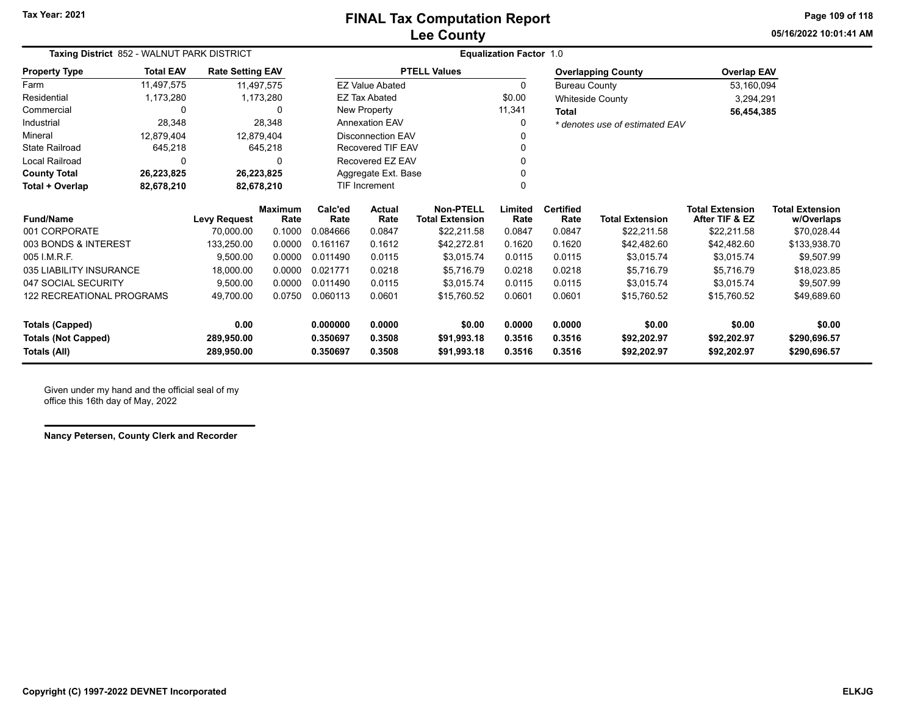**05/16/2022 10:01:41 AMPage 109 of 118**

| Taxing District 852 - WALNUT PARK DISTRICT |                  |                                                                                                   |                        |                 |                          |                                            | <b>Equalization Factor 1.0</b> |                          |                                |                                          |                                      |
|--------------------------------------------|------------------|---------------------------------------------------------------------------------------------------|------------------------|-----------------|--------------------------|--------------------------------------------|--------------------------------|--------------------------|--------------------------------|------------------------------------------|--------------------------------------|
| <b>Property Type</b>                       | <b>Total EAV</b> | <b>Rate Setting EAV</b>                                                                           |                        |                 |                          | <b>PTELL Values</b>                        |                                |                          | <b>Overlapping County</b>      | <b>Overlap EAV</b>                       |                                      |
| Farm                                       | 11,497,575       |                                                                                                   | 11,497,575             |                 | <b>EZ Value Abated</b>   |                                            | $\Omega$                       | <b>Bureau County</b>     |                                | 53,160,094                               |                                      |
| Residential                                | 1,173,280        |                                                                                                   | 1,173,280              |                 | <b>EZ Tax Abated</b>     |                                            | \$0.00                         |                          | <b>Whiteside County</b>        | 3,294,291                                |                                      |
| Commercial                                 | $\Omega$         |                                                                                                   | 0                      |                 | New Property             |                                            | 11,341                         | <b>Total</b>             |                                | 56,454,385                               |                                      |
| Industrial                                 | 28,348           |                                                                                                   | 28,348                 |                 | <b>Annexation EAV</b>    |                                            | 0                              |                          | * denotes use of estimated EAV |                                          |                                      |
| Mineral                                    | 12,879,404       | 12.879.404                                                                                        |                        |                 | <b>Disconnection EAV</b> |                                            |                                |                          |                                |                                          |                                      |
| <b>State Railroad</b>                      | 645,218          |                                                                                                   | 645,218                |                 | Recovered TIF EAV        |                                            |                                |                          |                                |                                          |                                      |
| Local Railroad                             | $\Omega$         |                                                                                                   | $\Omega$               |                 | Recovered EZ EAV         |                                            |                                |                          |                                |                                          |                                      |
| <b>County Total</b>                        | 26,223,825       |                                                                                                   | 26,223,825             |                 | Aggregate Ext. Base      |                                            |                                |                          |                                |                                          |                                      |
| Total + Overlap                            | 82,678,210       | 82,678,210                                                                                        |                        |                 | <b>TIF Increment</b>     |                                            |                                |                          |                                |                                          |                                      |
| <b>Fund/Name</b>                           |                  | <b>Levy Request</b>                                                                               | <b>Maximum</b><br>Rate | Calc'ed<br>Rate | Actual<br>Rate           | <b>Non-PTELL</b><br><b>Total Extension</b> | Limited<br>Rate                | <b>Certified</b><br>Rate | <b>Total Extension</b>         | <b>Total Extension</b><br>After TIF & EZ | <b>Total Extension</b><br>w/Overlaps |
| 001 CORPORATE                              |                  | 70.000.00                                                                                         | 0.1000                 | 0.084666        | 0.0847                   | \$22,211.58                                | 0.0847                         | 0.0847                   | \$22,211.58                    | \$22,211.58                              | \$70,028.44                          |
| 003 BONDS & INTEREST                       |                  | 133.250.00                                                                                        | 0.0000                 | 0.161167        | 0.1612                   | \$42,272.81                                | 0.1620                         | 0.1620                   | \$42,482.60                    | \$42,482.60                              | \$133,938.70                         |
| 005 I.M.R.F.                               |                  | 9,500.00                                                                                          | 0.0000                 | 0.011490        | 0.0115                   | \$3,015.74                                 | 0.0115                         | 0.0115                   | \$3,015.74                     | \$3,015.74                               | \$9,507.99                           |
| 035 LIABILITY INSURANCE                    |                  | 18,000.00                                                                                         | 0.0000                 | 0.021771        | 0.0218                   | \$5.716.79                                 | 0.0218                         | 0.0218                   | \$5,716.79                     | \$5,716.79                               | \$18,023.85                          |
| 047 SOCIAL SECURITY                        |                  | 9,500.00                                                                                          | 0.0000                 | 0.011490        | 0.0115                   | \$3.015.74                                 | 0.0115                         | 0.0115                   | \$3.015.74                     | \$3,015.74                               | \$9,507.99                           |
| <b>122 RECREATIONAL PROGRAMS</b>           |                  | 49,700.00                                                                                         | 0.0750                 | 0.060113        | 0.0601                   | \$15,760.52                                | 0.0601                         | 0.0601                   | \$15,760.52                    | \$15,760.52                              | \$49,689.60                          |
| <b>Totals (Capped)</b>                     |                  | 0.00                                                                                              |                        | 0.000000        | 0.0000                   | \$0.00                                     | 0.0000                         | 0.0000                   | \$0.00                         | \$0.00                                   | \$0.00                               |
| <b>Totals (Not Capped)</b>                 |                  | 0.3508<br>0.3516<br>289,950.00<br>0.350697<br>\$91,993.18<br>0.3516<br>\$92,202.97<br>\$92,202.97 |                        |                 |                          | \$290,696.57                               |                                |                          |                                |                                          |                                      |
| Totals (All)                               |                  | 289,950.00                                                                                        |                        | 0.350697        | 0.3508                   | \$91,993.18                                | 0.3516                         | 0.3516                   | \$92,202.97                    | \$92,202.97                              | \$290,696.57                         |

Given under my hand and the official seal of my office this 16th day of May, 2022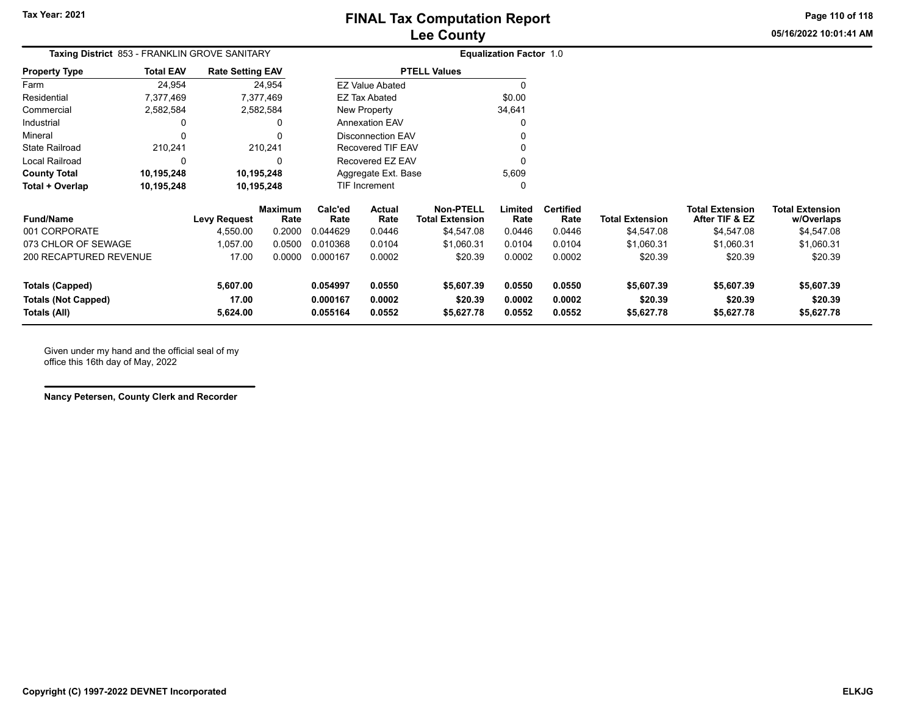**Page 110 of 118**

**05/16/2022 10:01:41 AM**

| <b>Total EAV</b>       |                   |                     |                                                                                                                                                                       |                  |                                                                                                          |                                                                                                                        |                          |                                |                                          |                                      |
|------------------------|-------------------|---------------------|-----------------------------------------------------------------------------------------------------------------------------------------------------------------------|------------------|----------------------------------------------------------------------------------------------------------|------------------------------------------------------------------------------------------------------------------------|--------------------------|--------------------------------|------------------------------------------|--------------------------------------|
| 24,954                 |                   |                     |                                                                                                                                                                       |                  |                                                                                                          |                                                                                                                        |                          |                                |                                          |                                      |
| 7,377,469              |                   |                     |                                                                                                                                                                       |                  |                                                                                                          | \$0.00                                                                                                                 |                          |                                |                                          |                                      |
| 2,582,584              |                   |                     |                                                                                                                                                                       |                  |                                                                                                          | 34,641                                                                                                                 |                          |                                |                                          |                                      |
| 0                      |                   | 0                   |                                                                                                                                                                       |                  |                                                                                                          |                                                                                                                        |                          |                                |                                          |                                      |
| 0                      |                   |                     |                                                                                                                                                                       |                  |                                                                                                          |                                                                                                                        |                          |                                |                                          |                                      |
| 210,241                |                   |                     |                                                                                                                                                                       |                  |                                                                                                          |                                                                                                                        |                          |                                |                                          |                                      |
| 0                      |                   | ŋ                   |                                                                                                                                                                       |                  |                                                                                                          |                                                                                                                        |                          |                                |                                          |                                      |
| 10,195,248             |                   |                     |                                                                                                                                                                       |                  |                                                                                                          | 5,609                                                                                                                  |                          |                                |                                          |                                      |
| 10,195,248             |                   |                     |                                                                                                                                                                       |                  |                                                                                                          | O                                                                                                                      |                          |                                |                                          |                                      |
|                        |                   | Rate                | Calc'ed<br>Rate                                                                                                                                                       | Actual<br>Rate   | <b>Non-PTELL</b><br><b>Total Extension</b>                                                               | Limited<br>Rate                                                                                                        | <b>Certified</b><br>Rate | <b>Total Extension</b>         | <b>Total Extension</b><br>After TIF & EZ | <b>Total Extension</b><br>w/Overlaps |
|                        | 4,550.00          | 0.2000              | 0.044629                                                                                                                                                              | 0.0446           | \$4,547.08                                                                                               | 0.0446                                                                                                                 | 0.0446                   | \$4,547.08                     | \$4,547.08                               | \$4,547.08                           |
|                        | 1,057.00          | 0.0500              | 0.010368                                                                                                                                                              | 0.0104           | \$1,060.31                                                                                               | 0.0104                                                                                                                 | 0.0104                   | \$1,060.31                     | \$1,060.31                               | \$1,060.31                           |
| 200 RECAPTURED REVENUE | 17.00             | 0.0000              | 0.000167                                                                                                                                                              | 0.0002           | \$20.39                                                                                                  | 0.0002                                                                                                                 | 0.0002                   | \$20.39                        | \$20.39                                  | \$20.39                              |
|                        | 5,607.00          |                     | 0.054997                                                                                                                                                              | 0.0550           | \$5,607.39                                                                                               | 0.0550                                                                                                                 | 0.0550                   | \$5,607.39                     | \$5,607.39                               | \$5,607.39                           |
|                        | 17.00<br>5,624.00 |                     | 0.000167<br>0.055164                                                                                                                                                  | 0.0002<br>0.0552 | \$20.39<br>\$5,627.78                                                                                    | 0.0002<br>0.0552                                                                                                       | 0.0002<br>0.0552         | \$20.39<br>\$5,627.78          | \$20.39<br>\$5,627.78                    | \$20.39<br>\$5,627.78                |
|                        |                   | <b>Levy Request</b> | <b>Taxing District</b> 853 - FRANKLIN GROVE SANITARY<br><b>Rate Setting EAV</b><br>24,954<br>7,377,469<br>2,582,584<br>210,241<br>10,195,248<br>10,195,248<br>Maximum |                  | <b>EZ Value Abated</b><br><b>EZ Tax Abated</b><br>New Property<br><b>Annexation EAV</b><br>TIF Increment | <b>PTELL Values</b><br><b>Disconnection EAV</b><br><b>Recovered TIF EAV</b><br>Recovered EZ EAV<br>Aggregate Ext. Base |                          | <b>Equalization Factor 1.0</b> |                                          |                                      |

Given under my hand and the official seal of my office this 16th day of May, 2022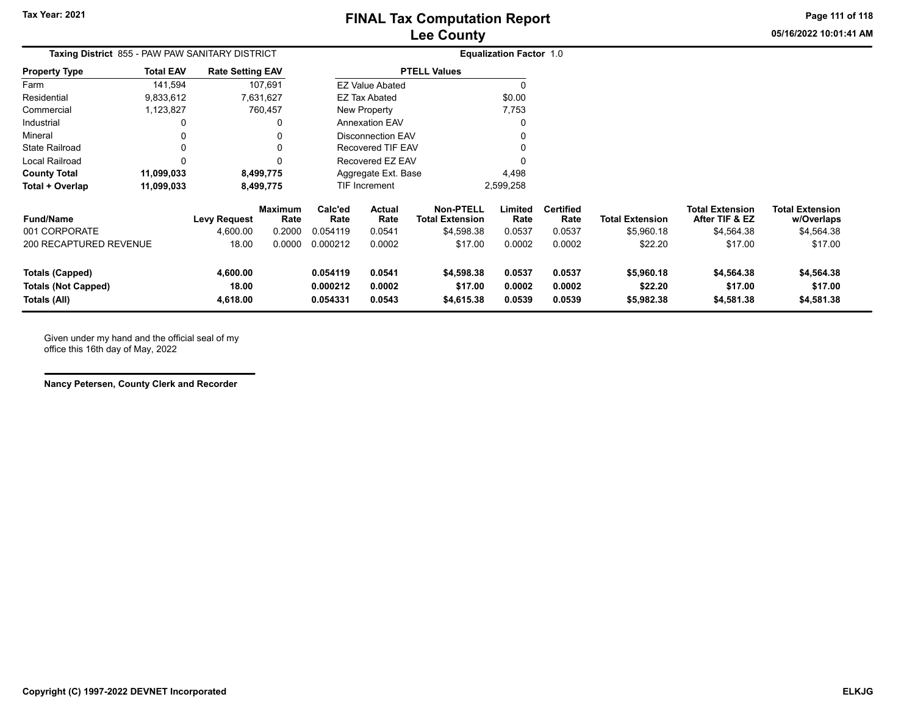**05/16/2022 10:01:41 AMPage 111 of 118**

| Taxing District 855 - PAW PAW SANITARY DISTRICT |                  |                         |                 |                 |                          |                                            | <b>Equalization Factor 1.0</b> |                          |                        |                                          |                                      |
|-------------------------------------------------|------------------|-------------------------|-----------------|-----------------|--------------------------|--------------------------------------------|--------------------------------|--------------------------|------------------------|------------------------------------------|--------------------------------------|
| <b>Property Type</b>                            | <b>Total EAV</b> | <b>Rate Setting EAV</b> |                 |                 |                          | <b>PTELL Values</b>                        |                                |                          |                        |                                          |                                      |
| Farm                                            | 141,594          |                         | 107,691         |                 | <b>EZ Value Abated</b>   |                                            | $\Omega$                       |                          |                        |                                          |                                      |
| Residential                                     | 9,833,612        |                         | 7,631,627       |                 | <b>EZ Tax Abated</b>     |                                            | \$0.00                         |                          |                        |                                          |                                      |
| Commercial                                      | 1,123,827        |                         | 760,457         |                 | New Property             |                                            | 7,753                          |                          |                        |                                          |                                      |
| Industrial                                      | 0                |                         | 0               |                 | <b>Annexation EAV</b>    |                                            | O                              |                          |                        |                                          |                                      |
| Mineral                                         | 0                |                         | 0               |                 | <b>Disconnection EAV</b> |                                            | 0                              |                          |                        |                                          |                                      |
| <b>State Railroad</b>                           | 0                |                         | 0               |                 | Recovered TIF EAV        |                                            |                                |                          |                        |                                          |                                      |
| Local Railroad                                  | 0                |                         | 0               |                 | Recovered EZ EAV         |                                            | U                              |                          |                        |                                          |                                      |
| <b>County Total</b>                             | 11,099,033       |                         | 8,499,775       |                 | Aggregate Ext. Base      |                                            | 4,498                          |                          |                        |                                          |                                      |
| Total + Overlap                                 | 11,099,033       |                         | 8,499,775       |                 | TIF Increment            |                                            | 2,599,258                      |                          |                        |                                          |                                      |
| <b>Fund/Name</b>                                |                  | <b>Levy Request</b>     | Maximum<br>Rate | Calc'ed<br>Rate | Actual<br>Rate           | <b>Non-PTELL</b><br><b>Total Extension</b> | Limited<br>Rate                | <b>Certified</b><br>Rate | <b>Total Extension</b> | <b>Total Extension</b><br>After TIF & EZ | <b>Total Extension</b><br>w/Overlaps |
| 001 CORPORATE                                   |                  | 4,600.00                | 0.2000          | 0.054119        | 0.0541                   | \$4,598.38                                 | 0.0537                         | 0.0537                   | \$5,960.18             | \$4,564.38                               | \$4,564.38                           |
| 200 RECAPTURED REVENUE                          |                  | 18.00                   | 0.0000          | 0.000212        | 0.0002                   | \$17.00                                    | 0.0002                         | 0.0002                   | \$22.20                | \$17.00                                  | \$17.00                              |
| Totals (Capped)                                 |                  | 4,600.00                |                 | 0.054119        | 0.0541                   | \$4,598.38                                 | 0.0537                         | 0.0537                   | \$5,960.18             | \$4,564.38                               | \$4,564.38                           |
| <b>Totals (Not Capped)</b>                      |                  | 18.00                   |                 | 0.000212        | 0.0002                   | \$17.00                                    | 0.0002                         | 0.0002                   | \$22.20                | \$17.00                                  | \$17.00                              |
| Totals (All)                                    |                  | 4,618.00                |                 | 0.054331        | 0.0543                   | \$4,615.38                                 | 0.0539                         | 0.0539                   | \$5,982.38             | \$4,581.38                               | \$4,581.38                           |

Given under my hand and the official seal of my office this 16th day of May, 2022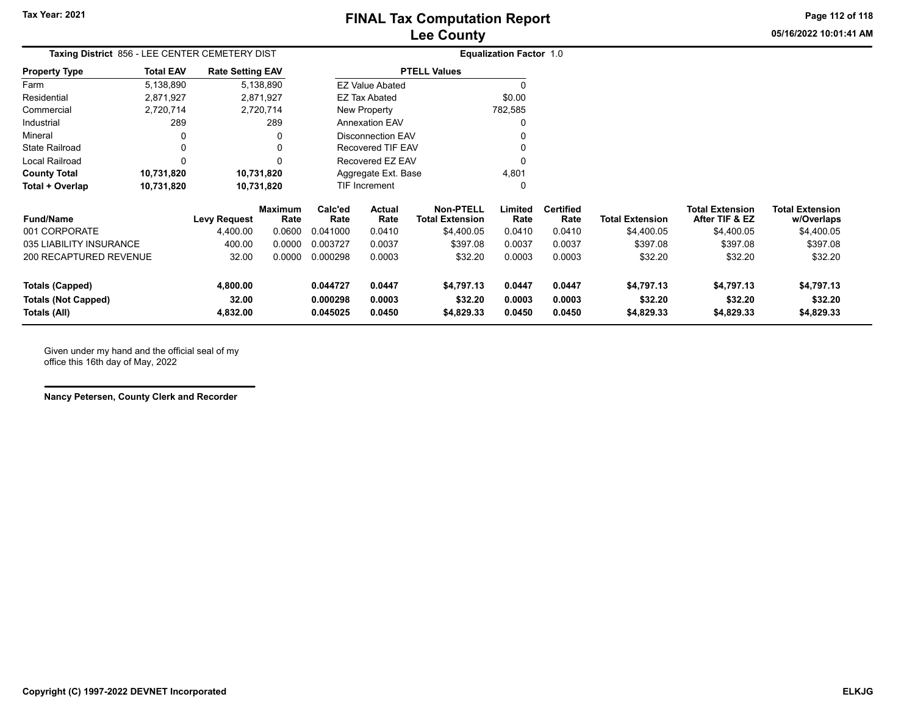**Page 112 of 118**

**05/16/2022 10:01:41 AM**

|                      |                  | Taxing District 856 - LEE CENTER CEMETERY DIST |                        | <b>Equalization Factor 1.0</b> |
|----------------------|------------------|------------------------------------------------|------------------------|--------------------------------|
| <b>Property Type</b> | <b>Total EAV</b> | <b>Rate Setting EAV</b>                        | <b>PTELL Values</b>    |                                |
| Farm                 | 5,138,890        | 5,138,890                                      | <b>EZ Value Abated</b> |                                |
| Residential          | 2.871.927        | 2.871.927                                      | EZ Tax Abated          | \$0.00                         |
| Commercial           | 2,720,714        | 2,720,714                                      | New Property           | 782,585                        |
| Industrial           | 289              | 289                                            | <b>Annexation EAV</b>  | 0                              |
| Mineral              | 0                | 0                                              | Disconnection EAV      | 0                              |
| State Railroad       | 0                | 0                                              | Recovered TIF EAV      | 0                              |
| Local Railroad       | 0                | 0                                              | Recovered EZ EAV       | 0                              |
| <b>County Total</b>  | 10,731,820       | 10,731,820                                     | Aggregate Ext. Base    | 4.801                          |
| Total + Overlap      | 10,731,820       | 10,731,820                                     | <b>TIF Increment</b>   | 0                              |

| <b>Fund/Name</b>           | <b>Levy Request</b> | <b>Maximum</b><br>Rate | Calc'ed<br>Rate | Actual<br>Rate | Non-PTELL<br>Total Extension | Limited<br>Rate | <b>Certified</b><br>Rate | <b>Total Extension</b> | <b>Total Extension</b><br>After TIF & EZ | <b>Total Extension</b><br>w/Overlaps |
|----------------------------|---------------------|------------------------|-----------------|----------------|------------------------------|-----------------|--------------------------|------------------------|------------------------------------------|--------------------------------------|
| 001 CORPORATE              | 4,400.00            | 0.0600                 | 0.041000        | 0.0410         | \$4,400.05                   | 0.0410          | 0.0410                   | \$4,400.05             | \$4,400.05                               | \$4,400.05                           |
| 035 LIABILITY INSURANCE    | 400.00              | 0.0000                 | 0.003727        | 0.0037         | \$397.08                     | 0.0037          | 0.0037                   | \$397.08               | \$397.08                                 | \$397.08                             |
| 200 RECAPTURED REVENUE     | 32.00               | 0.0000                 | 0.000298        | 0.0003         | \$32.20                      | 0.0003          | 0.0003                   | \$32.20                | \$32.20                                  | \$32.20                              |
| <b>Totals (Capped)</b>     | 4,800.00            |                        | 0.044727        | 0.0447         | \$4,797.13                   | 0.0447          | 0.0447                   | \$4.797.13             | \$4.797.13                               | \$4,797.13                           |
| <b>Totals (Not Capped)</b> | 32.00               |                        | 0.000298        | 0.0003         | \$32.20                      | 0.0003          | 0.0003                   | \$32.20                | \$32.20                                  | \$32.20                              |
| Totals (All)               | 4,832.00            |                        | 0.045025        | 0.0450         | \$4,829.33                   | 0.0450          | 0.0450                   | \$4,829.33             | \$4,829.33                               | \$4,829.33                           |

Given under my hand and the official seal of my office this 16th day of May, 2022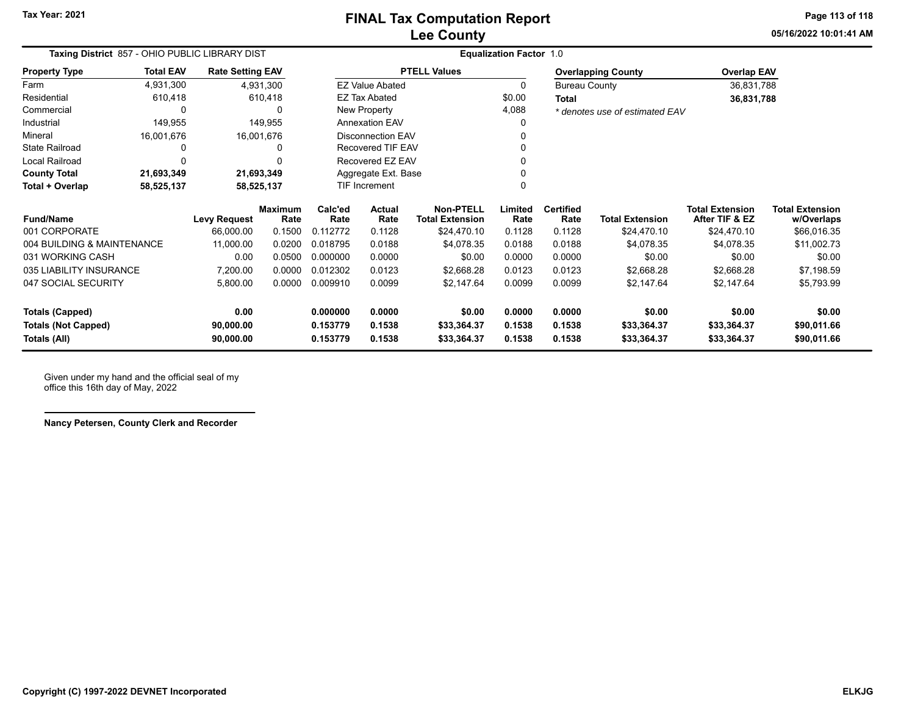**05/16/2022 10:01:41 AMPage 113 of 118**

| Taxing District 857 - OHIO PUBLIC LIBRARY DIST                                                   |                  |                         |                        |                 |                          |                                     | <b>Equalization Factor 1.0</b> |                          |                                |                                          |                                      |
|--------------------------------------------------------------------------------------------------|------------------|-------------------------|------------------------|-----------------|--------------------------|-------------------------------------|--------------------------------|--------------------------|--------------------------------|------------------------------------------|--------------------------------------|
| <b>Property Type</b>                                                                             | <b>Total EAV</b> | <b>Rate Setting EAV</b> |                        |                 |                          | <b>PTELL Values</b>                 |                                |                          | <b>Overlapping County</b>      | <b>Overlap EAV</b>                       |                                      |
| Farm                                                                                             | 4,931,300        |                         | 4,931,300              |                 | <b>EZ Value Abated</b>   |                                     | 0                              | <b>Bureau County</b>     |                                | 36,831,788                               |                                      |
| Residential                                                                                      | 610,418          |                         | 610,418                |                 | <b>EZ Tax Abated</b>     |                                     | \$0.00                         | <b>Total</b>             |                                | 36,831,788                               |                                      |
| Commercial                                                                                       | 0                |                         | 0                      |                 | New Property             |                                     | 4,088                          |                          | * denotes use of estimated EAV |                                          |                                      |
| Industrial                                                                                       | 149,955          |                         | 149,955                |                 | <b>Annexation EAV</b>    |                                     | 0                              |                          |                                |                                          |                                      |
| Mineral                                                                                          | 16,001,676       |                         | 16,001,676             |                 | <b>Disconnection EAV</b> |                                     |                                |                          |                                |                                          |                                      |
| <b>State Railroad</b>                                                                            | 0                |                         | <sup>0</sup>           |                 | <b>Recovered TIF EAV</b> |                                     |                                |                          |                                |                                          |                                      |
| <b>Local Railroad</b>                                                                            | 0                |                         | ŋ                      |                 | Recovered EZ EAV         |                                     |                                |                          |                                |                                          |                                      |
| <b>County Total</b>                                                                              | 21,693,349       | 21,693,349              |                        |                 | Aggregate Ext. Base      |                                     |                                |                          |                                |                                          |                                      |
| Total + Overlap                                                                                  | 58,525,137       | 58,525,137              |                        |                 | <b>TIF Increment</b>     |                                     | 0                              |                          |                                |                                          |                                      |
| <b>Fund/Name</b>                                                                                 |                  | <b>Levy Request</b>     | <b>Maximum</b><br>Rate | Calc'ed<br>Rate | Actual<br>Rate           | Non-PTELL<br><b>Total Extension</b> | Limited<br>Rate                | <b>Certified</b><br>Rate | <b>Total Extension</b>         | <b>Total Extension</b><br>After TIF & EZ | <b>Total Extension</b><br>w/Overlaps |
| 001 CORPORATE                                                                                    |                  | 66,000.00               | 0.1500                 | 0.112772        | 0.1128                   | \$24,470.10                         | 0.1128                         | 0.1128                   | \$24,470.10                    | \$24,470.10                              | \$66,016.35                          |
| 004 BUILDING & MAINTENANCE                                                                       |                  | 11,000.00               | 0.0200                 | 0.018795        | 0.0188                   | \$4,078.35                          | 0.0188                         | 0.0188                   | \$4,078.35                     | \$4,078.35                               | \$11,002.73                          |
| 031 WORKING CASH                                                                                 |                  | 0.00                    | 0.0500                 | 0.000000        | 0.0000                   | \$0.00                              | 0.0000                         | 0.0000                   | \$0.00                         | \$0.00                                   | \$0.00                               |
| 035 LIABILITY INSURANCE                                                                          |                  | 7,200.00                | 0.0000                 | 0.012302        | 0.0123                   | \$2,668.28                          | 0.0123                         | 0.0123                   | \$2,668.28                     | \$2,668.28                               | \$7,198.59                           |
| 047 SOCIAL SECURITY                                                                              |                  | 5,800.00                | 0.0000                 | 0.009910        | 0.0099                   | \$2,147.64                          | 0.0099                         | 0.0099                   | \$2,147.64                     | \$2,147.64                               | \$5,793.99                           |
| <b>Totals (Capped)</b>                                                                           |                  | 0.00                    |                        | 0.000000        | 0.0000                   | \$0.00                              | 0.0000                         | 0.0000                   | \$0.00                         | \$0.00                                   | \$0.00                               |
| 0.1538<br><b>Totals (Not Capped)</b><br>0.153779<br>0.1538<br>\$33,364.37<br>90,000.00<br>0.1538 |                  |                         | \$33,364.37            | \$33,364.37     | \$90,011.66              |                                     |                                |                          |                                |                                          |                                      |
| Totals (All)                                                                                     |                  | 90,000.00               |                        | 0.153779        | 0.1538                   | \$33,364.37                         | 0.1538                         | 0.1538                   | \$33,364.37                    | \$33,364.37                              | \$90,011.66                          |

Given under my hand and the official seal of my office this 16th day of May, 2022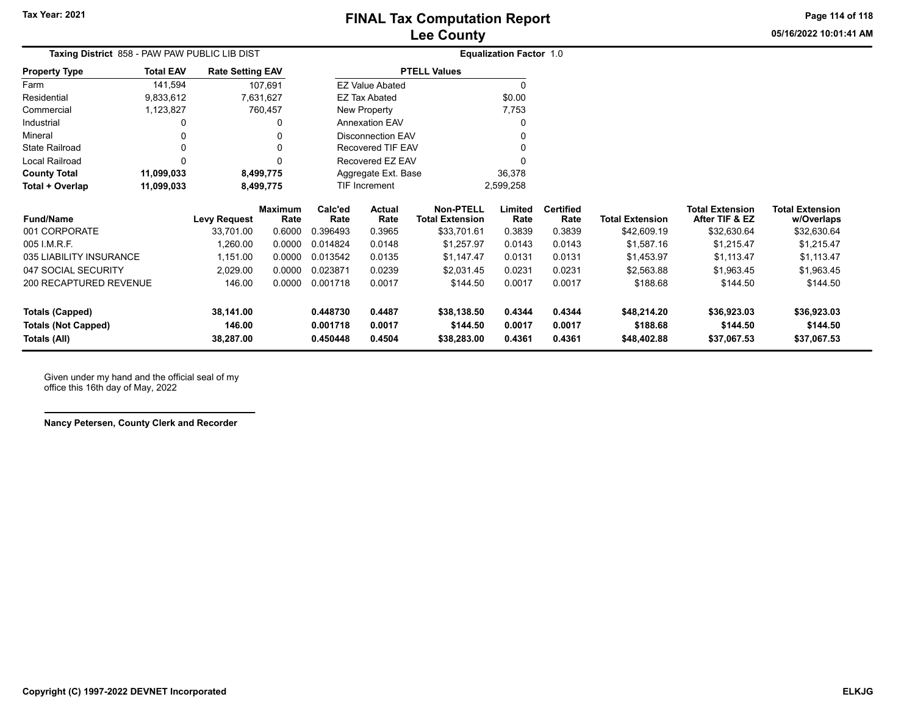**Page 114 of 118**

**05/16/2022 10:01:41 AM**

|                         | <b>Taxing District</b> 858 - PAW PAW PUBLIC LIB DIST |                         |                 |                 |                        |                                            | <b>Equalization Factor 1.0</b> |                          |                        |                                          |                                      |
|-------------------------|------------------------------------------------------|-------------------------|-----------------|-----------------|------------------------|--------------------------------------------|--------------------------------|--------------------------|------------------------|------------------------------------------|--------------------------------------|
| <b>Property Type</b>    | <b>Total EAV</b>                                     | <b>Rate Setting EAV</b> |                 |                 |                        | <b>PTELL Values</b>                        |                                |                          |                        |                                          |                                      |
| Farm                    | 141.594                                              |                         | 107.691         |                 | <b>EZ Value Abated</b> |                                            |                                |                          |                        |                                          |                                      |
| Residential             | 9,833,612                                            |                         | 7.631.627       |                 | EZ Tax Abated          |                                            | \$0.00                         |                          |                        |                                          |                                      |
| Commercial              | 1,123,827                                            |                         | 760,457         |                 | New Property           |                                            | 7,753                          |                          |                        |                                          |                                      |
| Industrial              |                                                      |                         | 0               |                 | <b>Annexation EAV</b>  |                                            |                                |                          |                        |                                          |                                      |
| Mineral                 |                                                      |                         | 0               |                 | Disconnection EAV      |                                            | 0                              |                          |                        |                                          |                                      |
| <b>State Railroad</b>   |                                                      |                         | 0               |                 | Recovered TIF EAV      |                                            |                                |                          |                        |                                          |                                      |
| Local Railroad          |                                                      |                         | 0               |                 | Recovered EZ EAV       |                                            |                                |                          |                        |                                          |                                      |
| <b>County Total</b>     | 11,099,033                                           |                         | 8,499,775       |                 | Aggregate Ext. Base    |                                            | 36,378                         |                          |                        |                                          |                                      |
| Total + Overlap         | 11,099,033                                           |                         | 8,499,775       |                 | TIF Increment          |                                            | 2,599,258                      |                          |                        |                                          |                                      |
| <b>Fund/Name</b>        |                                                      | <b>Levy Request</b>     | Maximum<br>Rate | Calc'ed<br>Rate | Actual<br>Rate         | <b>Non-PTELL</b><br><b>Total Extension</b> | Limited<br>Rate                | <b>Certified</b><br>Rate | <b>Total Extension</b> | <b>Total Extension</b><br>After TIF & EZ | <b>Total Extension</b><br>w/Overlaps |
| 001 CORPORATE           |                                                      | 33.701.00               | 0.6000          | 0.396493        | 0.3965                 | \$33,701.61                                | 0.3839                         | 0.3839                   | \$42,609.19            | \$32,630.64                              | \$32,630.64                          |
| 005 I.M.R.F.            |                                                      | 1,260.00                | 0.0000          | 0.014824        | 0.0148                 | \$1,257.97                                 | 0.0143                         | 0.0143                   | \$1,587.16             | \$1,215.47                               | \$1,215.47                           |
| 035 LIABILITY INSURANCE |                                                      | 1,151.00                | 0.0000          | 0.013542        | 0.0135                 | \$1,147.47                                 | 0.0131                         | 0.0131                   | \$1,453.97             | \$1,113.47                               | \$1,113.47                           |
| 047 SOCIAL SECURITY     |                                                      | 2.029.00                | 0.0000          | 0.023871        | 0.0239                 | \$2.031.45                                 | 0.0231                         | 0.0231                   | \$2.563.88             | \$1.963.45                               | \$1.963.45                           |

| Totals (All)               | 38.287.00 |        | 0.450448 | 0.4504 | \$38,283,00 | 0.4361 | 0.4361 | \$48,402.88 | \$37,067.53 | \$37,067.53 |
|----------------------------|-----------|--------|----------|--------|-------------|--------|--------|-------------|-------------|-------------|
| <b>Totals (Not Capped)</b> | 146.00    |        | 0.001718 | 0.0017 | \$144.50    | 0.0017 | 0.0017 | \$188.68    | \$144.50    | \$144.50    |
| Totals (Capped)            | 38.141.00 |        | 0.448730 | 0.4487 | \$38.138.50 | 0.4344 | 0.4344 | \$48.214.20 | \$36,923.03 | \$36,923.03 |
| 200 RECAPTURED REVENUE     | 146.00    | 0.0000 | 0.001718 | 0.0017 | \$144.50    | 0.0017 | 0.0017 | \$188.68    | \$144.50    | \$144.50    |
| 047 SOCIAL SECURITY        | 2.029.00  | 0.0000 | 0.023871 | 0.0239 | \$2.031.45  | 0.0231 | 0.0231 | \$2.563.88  | \$1.963.45  | \$1,963.45  |
| 035 LIABILITY INSURANCE    | 1.151.00  | 0.0000 | 0.013542 | 0.0135 | \$1.147.47  | 0.0131 | 0.0131 | \$1.453.97  | \$1.113.47  | \$1,113.47  |
| 005 I.M.R.F.               | .260.00   | 0.0000 | 0.014824 | 0.0148 | \$1.257.97  | 0.0143 | 0.0143 | \$1.587.16  | \$1.215.47  | \$1,215.47  |

Given under my hand and the official seal of my office this 16th day of May, 2022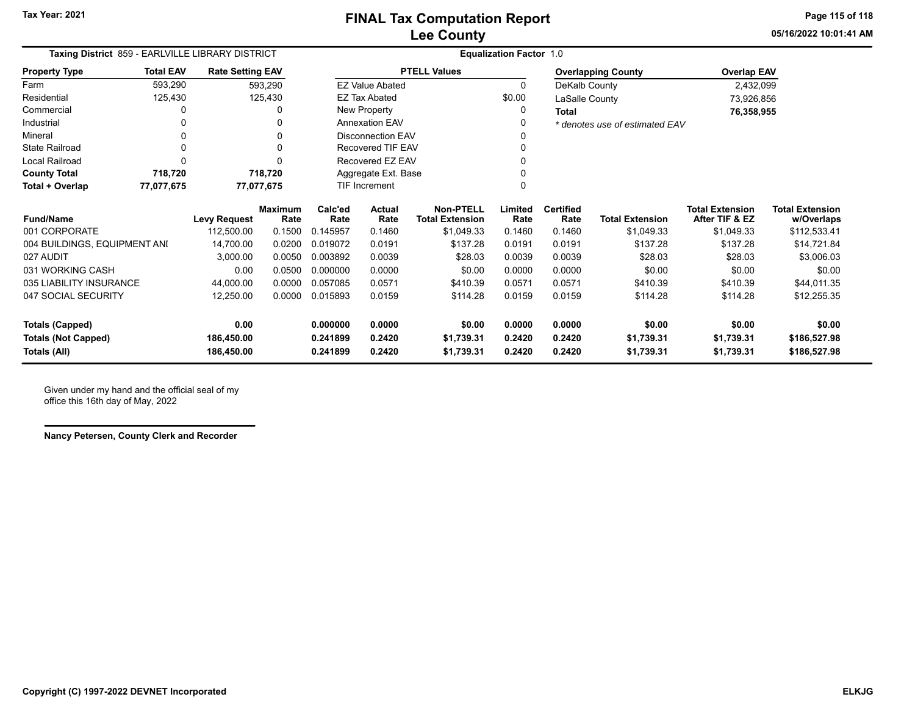**05/16/2022 10:01:41 AMPage 115 of 118**

| Taxing District 859 - EARLVILLE LIBRARY DISTRICT |                  |                                                                                                |                        |                 |                          |                                            | <b>Equalization Factor 1.0</b> |                          |                                |                                          |                                      |
|--------------------------------------------------|------------------|------------------------------------------------------------------------------------------------|------------------------|-----------------|--------------------------|--------------------------------------------|--------------------------------|--------------------------|--------------------------------|------------------------------------------|--------------------------------------|
| <b>Property Type</b>                             | <b>Total EAV</b> | <b>Rate Setting EAV</b>                                                                        |                        |                 |                          | <b>PTELL Values</b>                        |                                |                          | <b>Overlapping County</b>      | <b>Overlap EAV</b>                       |                                      |
| Farm                                             | 593,290          |                                                                                                | 593,290                |                 | <b>EZ Value Abated</b>   |                                            | $\mathbf{0}$                   | DeKalb County            |                                | 2,432,099                                |                                      |
| Residential                                      | 125,430          |                                                                                                | 125,430                |                 | <b>EZ Tax Abated</b>     |                                            | \$0.00                         | LaSalle County           |                                | 73,926,856                               |                                      |
| Commercial                                       |                  |                                                                                                | 0                      |                 | New Property             |                                            | 0                              | <b>Total</b>             |                                | 76,358,955                               |                                      |
| Industrial                                       |                  |                                                                                                | 0                      |                 | <b>Annexation EAV</b>    |                                            | 0                              |                          | * denotes use of estimated EAV |                                          |                                      |
| Mineral                                          |                  |                                                                                                |                        |                 | <b>Disconnection EAV</b> |                                            | 0                              |                          |                                |                                          |                                      |
| <b>State Railroad</b>                            |                  |                                                                                                | 0                      |                 | Recovered TIF EAV        |                                            | 0                              |                          |                                |                                          |                                      |
| Local Railroad                                   |                  |                                                                                                | ŋ                      |                 | Recovered EZ EAV         |                                            | 0                              |                          |                                |                                          |                                      |
| <b>County Total</b>                              | 718,720          |                                                                                                | 718,720                |                 | Aggregate Ext. Base      |                                            |                                |                          |                                |                                          |                                      |
| Total + Overlap                                  | 77,077,675       |                                                                                                | 77,077,675             |                 | <b>TIF Increment</b>     |                                            | O                              |                          |                                |                                          |                                      |
| <b>Fund/Name</b>                                 |                  | <b>Levy Request</b>                                                                            | <b>Maximum</b><br>Rate | Calc'ed<br>Rate | <b>Actual</b><br>Rate    | <b>Non-PTELL</b><br><b>Total Extension</b> | Limited<br>Rate                | <b>Certified</b><br>Rate | <b>Total Extension</b>         | <b>Total Extension</b><br>After TIF & EZ | <b>Total Extension</b><br>w/Overlaps |
| 001 CORPORATE                                    |                  | 112,500.00                                                                                     | 0.1500                 | 0.145957        | 0.1460                   | \$1,049.33                                 | 0.1460                         | 0.1460                   | \$1,049.33                     | \$1,049.33                               | \$112,533.41                         |
| 004 BUILDINGS, EQUIPMENT ANI                     |                  | 14,700.00                                                                                      | 0.0200                 | 0.019072        | 0.0191                   | \$137.28                                   | 0.0191                         | 0.0191                   | \$137.28                       | \$137.28                                 | \$14,721.84                          |
| 027 AUDIT                                        |                  | 3,000.00                                                                                       | 0.0050                 | 0.003892        | 0.0039                   | \$28.03                                    | 0.0039                         | 0.0039                   | \$28.03                        | \$28.03                                  | \$3,006.03                           |
| 031 WORKING CASH                                 |                  | 0.00                                                                                           | 0.0500                 | 0.000000        | 0.0000                   | \$0.00                                     | 0.0000                         | 0.0000                   | \$0.00                         | \$0.00                                   | \$0.00                               |
| 035 LIABILITY INSURANCE                          |                  | 44,000.00                                                                                      | 0.0000                 | 0.057085        | 0.0571                   | \$410.39                                   | 0.0571                         | 0.0571                   | \$410.39                       | \$410.39                                 | \$44,011.35                          |
| 047 SOCIAL SECURITY                              |                  | 12,250.00                                                                                      | 0.0000                 | 0.015893        | 0.0159                   | \$114.28                                   | 0.0159                         | 0.0159                   | \$114.28                       | \$114.28                                 | \$12,255.35                          |
| <b>Totals (Capped)</b>                           |                  | 0.00                                                                                           |                        | 0.000000        | 0.0000                   | \$0.00                                     | 0.0000                         | 0.0000                   | \$0.00                         | \$0.00                                   | \$0.00                               |
| <b>Totals (Not Capped)</b>                       |                  | 0.2420<br>0.241899<br>0.2420<br>0.2420<br>\$1,739.31<br>\$1,739.31<br>186,450.00<br>\$1,739.31 |                        |                 |                          | \$186,527.98                               |                                |                          |                                |                                          |                                      |
| Totals (All)                                     |                  | 186,450.00                                                                                     |                        | 0.241899        | 0.2420                   | \$1,739.31                                 | 0.2420                         | 0.2420                   | \$1,739.31                     | \$1,739.31                               | \$186,527.98                         |

Given under my hand and the official seal of my office this 16th day of May, 2022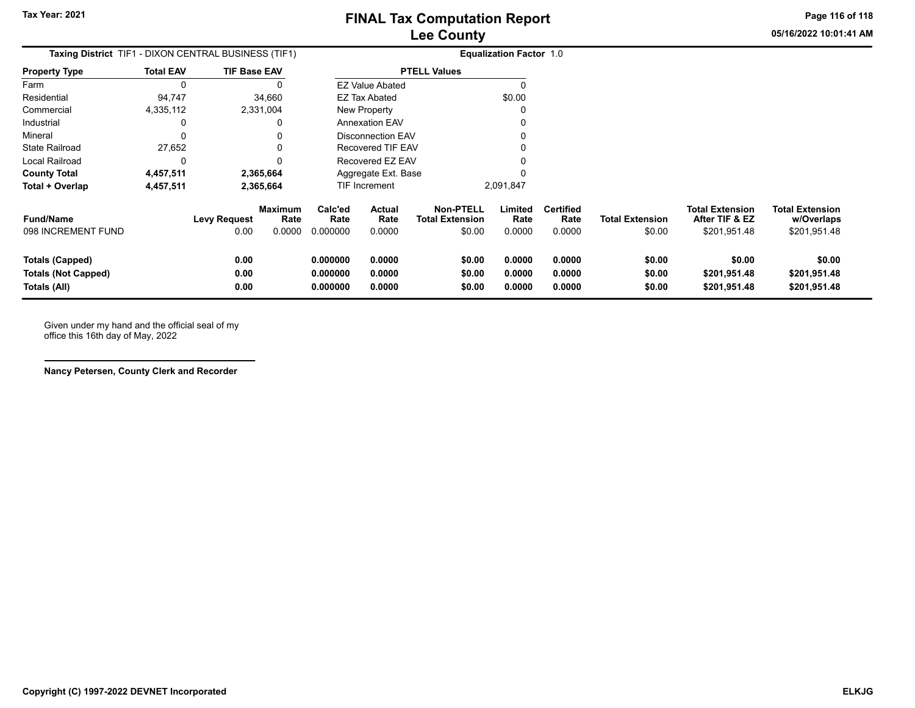**Page 116 of 118**

**05/16/2022 10:01:41 AM**

| <b>Taxing District</b> TIF1 - DIXON CENTRAL BUSINESS (TIF1)   |                  |                             |                                  |                                  |                            |                                                      | <b>Equalization Factor 1.0</b> |                                    |                                  |                                                          |                                                      |
|---------------------------------------------------------------|------------------|-----------------------------|----------------------------------|----------------------------------|----------------------------|------------------------------------------------------|--------------------------------|------------------------------------|----------------------------------|----------------------------------------------------------|------------------------------------------------------|
| <b>Property Type</b>                                          | <b>Total EAV</b> | <b>TIF Base EAV</b>         |                                  |                                  |                            | <b>PTELL Values</b>                                  |                                |                                    |                                  |                                                          |                                                      |
| Farm                                                          | 0                |                             | 0                                |                                  | <b>EZ Value Abated</b>     |                                                      | O                              |                                    |                                  |                                                          |                                                      |
| Residential                                                   | 94,747           |                             | 34,660                           |                                  | EZ Tax Abated              |                                                      | \$0.00                         |                                    |                                  |                                                          |                                                      |
| Commercial                                                    | 4,335,112        |                             | 2,331,004                        |                                  | New Property               |                                                      | O                              |                                    |                                  |                                                          |                                                      |
| Industrial                                                    | 0                |                             | 0                                |                                  | <b>Annexation EAV</b>      |                                                      | 0                              |                                    |                                  |                                                          |                                                      |
| Mineral                                                       | 0                |                             | 0                                |                                  | <b>Disconnection EAV</b>   |                                                      | 0                              |                                    |                                  |                                                          |                                                      |
| <b>State Railroad</b>                                         | 27,652           |                             | 0                                |                                  | <b>Recovered TIF EAV</b>   |                                                      |                                |                                    |                                  |                                                          |                                                      |
| Local Railroad                                                | 0                |                             | 0                                |                                  | Recovered EZ EAV           |                                                      |                                |                                    |                                  |                                                          |                                                      |
| <b>County Total</b>                                           | 4,457,511        |                             | 2,365,664                        |                                  | Aggregate Ext. Base        |                                                      |                                |                                    |                                  |                                                          |                                                      |
| Total + Overlap                                               | 4,457,511        |                             | 2,365,664                        |                                  | TIF Increment              |                                                      | 2,091,847                      |                                    |                                  |                                                          |                                                      |
| <b>Fund/Name</b><br>098 INCREMENT FUND                        |                  | <b>Levy Request</b><br>0.00 | <b>Maximum</b><br>Rate<br>0.0000 | Calc'ed<br>Rate<br>0.000000      | Actual<br>Rate<br>0.0000   | <b>Non-PTELL</b><br><b>Total Extension</b><br>\$0.00 | Limited<br>Rate<br>0.0000      | <b>Certified</b><br>Rate<br>0.0000 | <b>Total Extension</b><br>\$0.00 | <b>Total Extension</b><br>After TIF & EZ<br>\$201,951.48 | <b>Total Extension</b><br>w/Overlaps<br>\$201,951.48 |
| Totals (Capped)<br><b>Totals (Not Capped)</b><br>Totals (All) |                  | 0.00<br>0.00<br>0.00        |                                  | 0.000000<br>0.000000<br>0.000000 | 0.0000<br>0.0000<br>0.0000 | \$0.00<br>\$0.00<br>\$0.00                           | 0.0000<br>0.0000<br>0.0000     | 0.0000<br>0.0000<br>0.0000         | \$0.00<br>\$0.00<br>\$0.00       | \$0.00<br>\$201,951.48<br>\$201,951.48                   | \$0.00<br>\$201,951.48<br>\$201,951.48               |

Given under my hand and the official seal of my office this 16th day of May, 2022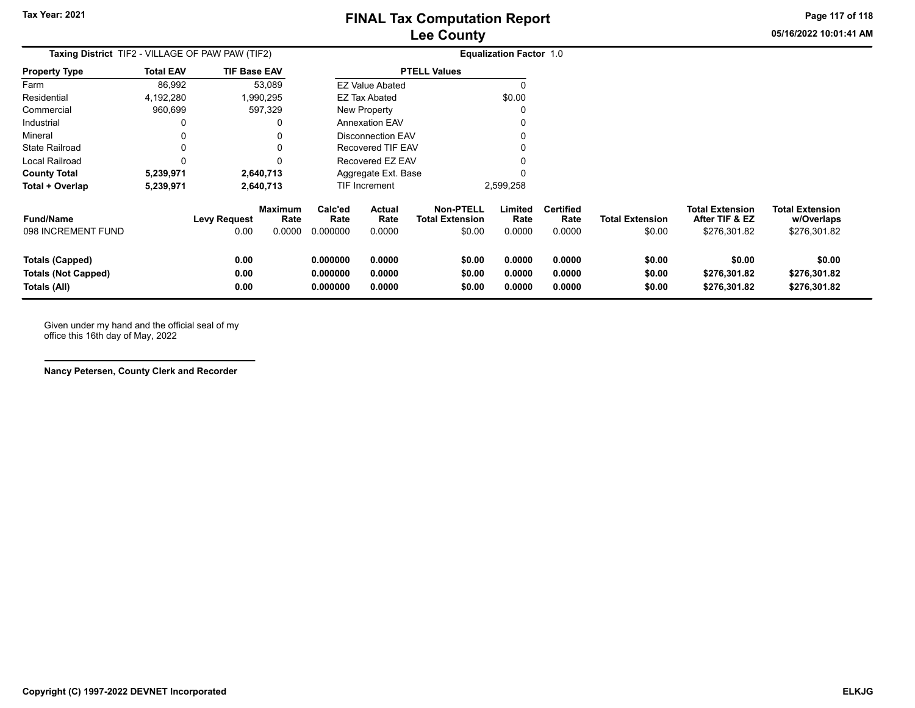**05/16/2022 10:01:41 AMPage 117 of 118**

| Taxing District TIF2 - VILLAGE OF PAW PAW (TIF2)                     |                  |                             |                                  |                                  |                            |                                                      | <b>Equalization Factor 1.0</b> |                                    |                                  |                                                          |                                                      |
|----------------------------------------------------------------------|------------------|-----------------------------|----------------------------------|----------------------------------|----------------------------|------------------------------------------------------|--------------------------------|------------------------------------|----------------------------------|----------------------------------------------------------|------------------------------------------------------|
| <b>Property Type</b>                                                 | <b>Total EAV</b> | <b>TIF Base EAV</b>         |                                  |                                  |                            | <b>PTELL Values</b>                                  |                                |                                    |                                  |                                                          |                                                      |
| Farm                                                                 | 86,992           |                             | 53,089                           |                                  | <b>EZ Value Abated</b>     |                                                      |                                |                                    |                                  |                                                          |                                                      |
| Residential                                                          | 4,192,280        |                             | 1,990,295                        |                                  | <b>EZ Tax Abated</b>       |                                                      | \$0.00                         |                                    |                                  |                                                          |                                                      |
| Commercial                                                           | 960,699          |                             | 597,329                          |                                  | <b>New Property</b>        |                                                      | O                              |                                    |                                  |                                                          |                                                      |
| Industrial                                                           | 0                |                             | 0                                |                                  | <b>Annexation EAV</b>      |                                                      | 0                              |                                    |                                  |                                                          |                                                      |
| Mineral                                                              | 0                |                             | 0                                |                                  | <b>Disconnection EAV</b>   |                                                      | 0                              |                                    |                                  |                                                          |                                                      |
| <b>State Railroad</b>                                                | 0                |                             | 0                                |                                  | Recovered TIF EAV          |                                                      | 0                              |                                    |                                  |                                                          |                                                      |
| Local Railroad                                                       | 0                |                             | 0                                |                                  | Recovered EZ EAV           |                                                      | 0                              |                                    |                                  |                                                          |                                                      |
| <b>County Total</b>                                                  | 5,239,971        |                             | 2,640,713                        |                                  | Aggregate Ext. Base        |                                                      | 0                              |                                    |                                  |                                                          |                                                      |
| Total + Overlap                                                      | 5,239,971        |                             | 2,640,713                        |                                  | TIF Increment              |                                                      | 2,599,258                      |                                    |                                  |                                                          |                                                      |
| <b>Fund/Name</b><br>098 INCREMENT FUND                               |                  | <b>Levy Request</b><br>0.00 | <b>Maximum</b><br>Rate<br>0.0000 | Calc'ed<br>Rate<br>0.000000      | Actual<br>Rate<br>0.0000   | <b>Non-PTELL</b><br><b>Total Extension</b><br>\$0.00 | Limited<br>Rate<br>0.0000      | <b>Certified</b><br>Rate<br>0.0000 | <b>Total Extension</b><br>\$0.00 | <b>Total Extension</b><br>After TIF & EZ<br>\$276,301.82 | <b>Total Extension</b><br>w/Overlaps<br>\$276,301.82 |
| <b>Totals (Capped)</b><br><b>Totals (Not Capped)</b><br>Totals (All) |                  | 0.00<br>0.00<br>0.00        |                                  | 0.000000<br>0.000000<br>0.000000 | 0.0000<br>0.0000<br>0.0000 | \$0.00<br>\$0.00<br>\$0.00                           | 0.0000<br>0.0000<br>0.0000     | 0.0000<br>0.0000<br>0.0000         | \$0.00<br>\$0.00<br>\$0.00       | \$0.00<br>\$276,301.82<br>\$276,301.82                   | \$0.00<br>\$276,301.82<br>\$276,301.82               |

Given under my hand and the official seal of my office this 16th day of May, 2022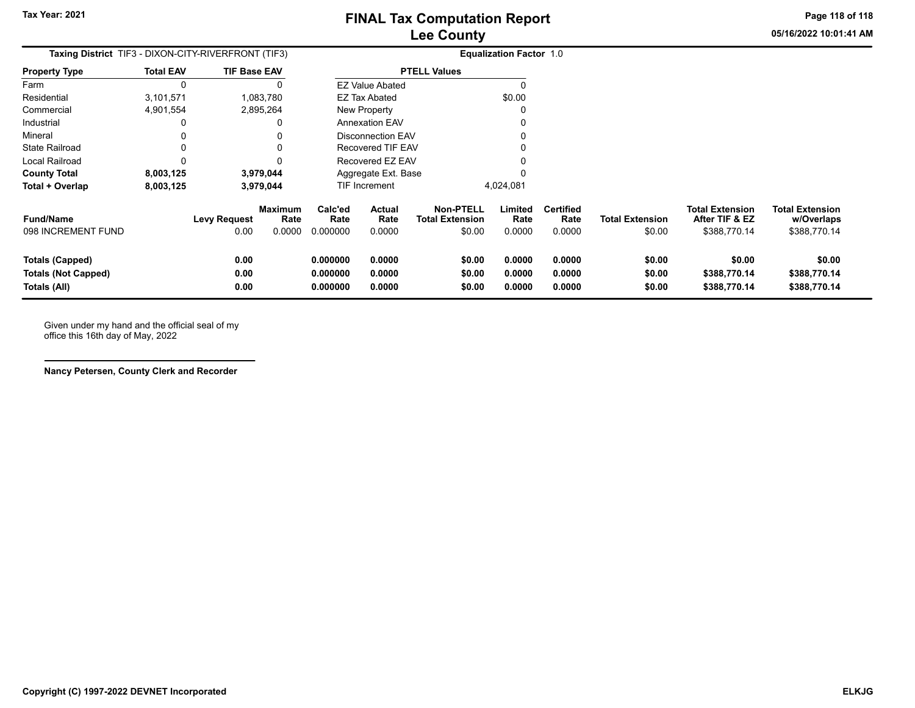**Page 118 of 118**

**05/16/2022 10:01:41 AM**

| <b>Taxing District</b> TIF3 - DIXON-CITY-RIVERFRONT (TIF3)    |                  |                      |                                  |                                  |                                 |                                                      | <b>Equalization Factor 1.0</b> |                                    |                                  |                                                          |                                                      |
|---------------------------------------------------------------|------------------|----------------------|----------------------------------|----------------------------------|---------------------------------|------------------------------------------------------|--------------------------------|------------------------------------|----------------------------------|----------------------------------------------------------|------------------------------------------------------|
| <b>Property Type</b>                                          | <b>Total EAV</b> | <b>TIF Base EAV</b>  |                                  |                                  |                                 | <b>PTELL Values</b>                                  |                                |                                    |                                  |                                                          |                                                      |
| Farm                                                          | 0                |                      |                                  |                                  | <b>EZ Value Abated</b>          |                                                      | n                              |                                    |                                  |                                                          |                                                      |
| Residential                                                   | 3,101,571        |                      | 1,083,780                        |                                  | EZ Tax Abated                   |                                                      | \$0.00                         |                                    |                                  |                                                          |                                                      |
| Commercial                                                    | 4,901,554        |                      | 2,895,264                        |                                  | New Property                    |                                                      |                                |                                    |                                  |                                                          |                                                      |
| Industrial                                                    | 0                |                      | 0                                |                                  | <b>Annexation EAV</b>           |                                                      |                                |                                    |                                  |                                                          |                                                      |
| Mineral                                                       | 0                |                      |                                  |                                  | <b>Disconnection EAV</b>        |                                                      | 0                              |                                    |                                  |                                                          |                                                      |
| <b>State Railroad</b>                                         | 0                |                      | 0                                |                                  | Recovered TIF EAV               |                                                      | U                              |                                    |                                  |                                                          |                                                      |
| Local Railroad                                                | 0                |                      | 0                                |                                  | Recovered EZ EAV                |                                                      |                                |                                    |                                  |                                                          |                                                      |
| <b>County Total</b>                                           | 8,003,125        |                      | 3,979,044                        |                                  | Aggregate Ext. Base             |                                                      |                                |                                    |                                  |                                                          |                                                      |
| Total + Overlap                                               | 8,003,125        |                      | 3,979,044                        |                                  | TIF Increment                   |                                                      | 4,024,081                      |                                    |                                  |                                                          |                                                      |
| <b>Fund/Name</b><br>098 INCREMENT FUND                        |                  | Levy Request<br>0.00 | <b>Maximum</b><br>Rate<br>0.0000 | Calc'ed<br>Rate<br>0.000000      | <b>Actual</b><br>Rate<br>0.0000 | <b>Non-PTELL</b><br><b>Total Extension</b><br>\$0.00 | Limited<br>Rate<br>0.0000      | <b>Certified</b><br>Rate<br>0.0000 | <b>Total Extension</b><br>\$0.00 | <b>Total Extension</b><br>After TIF & EZ<br>\$388,770.14 | <b>Total Extension</b><br>w/Overlaps<br>\$388,770.14 |
| Totals (Capped)<br><b>Totals (Not Capped)</b><br>Totals (All) |                  | 0.00<br>0.00<br>0.00 |                                  | 0.000000<br>0.000000<br>0.000000 | 0.0000<br>0.0000<br>0.0000      | \$0.00<br>\$0.00<br>\$0.00                           | 0.0000<br>0.0000<br>0.0000     | 0.0000<br>0.0000<br>0.0000         | \$0.00<br>\$0.00<br>\$0.00       | \$0.00<br>\$388,770.14<br>\$388,770.14                   | \$0.00<br>\$388,770.14<br>\$388,770.14               |

Given under my hand and the official seal of my office this 16th day of May, 2022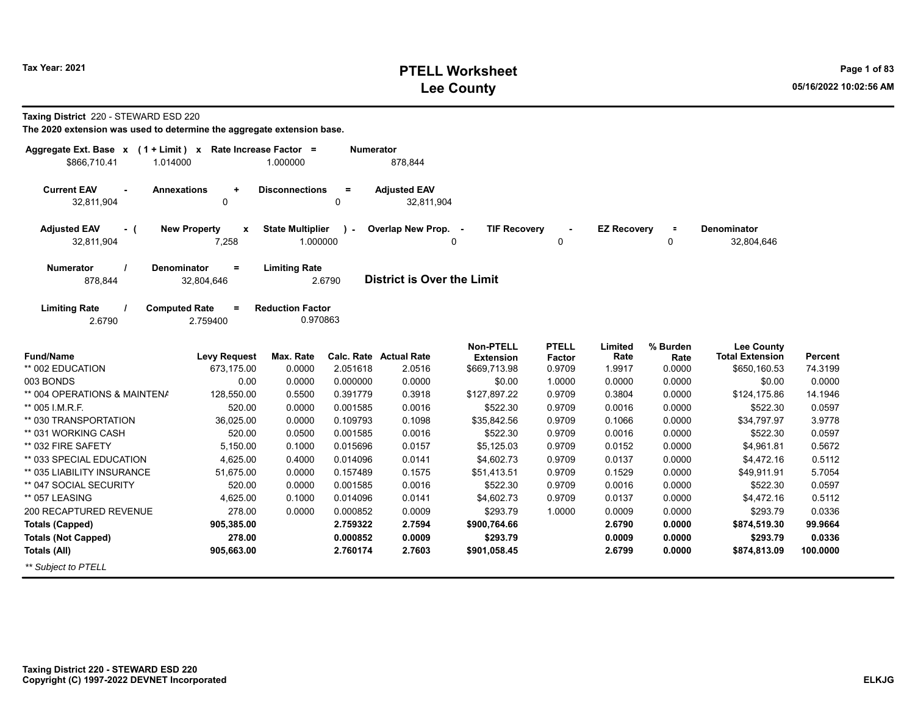## **PTELL Worksheet Tax Year: 2021 Page 1 of 83 Lee County 05/16/2022 10:02:56 AM**

**Taxing District** 220 - STEWARD ESD 220

| Aggregate Ext. Base x<br>$(1 + Limit) x$<br>\$866,710.41<br>1.014000 |                                                | Rate Increase Factor =<br>1.000000  | Numerator     | 878,844                           |                                      |                        |                    |                  |                                             |                |
|----------------------------------------------------------------------|------------------------------------------------|-------------------------------------|---------------|-----------------------------------|--------------------------------------|------------------------|--------------------|------------------|---------------------------------------------|----------------|
| <b>Current EAV</b><br>32,811,904                                     | <b>Annexations</b><br>$\ddot{}$<br>$\mathbf 0$ | <b>Disconnections</b>               | $\equiv$<br>0 | <b>Adjusted EAV</b><br>32.811.904 |                                      |                        |                    |                  |                                             |                |
| <b>Adjusted EAV</b><br>- (<br>32,811,904                             | <b>New Property</b><br>$\mathbf{x}$<br>7,258   | <b>State Multiplier</b><br>1.000000 |               | Overlap New Prop. -               | <b>TIF Recovery</b>                  | $\mathbf 0$            | <b>EZ Recovery</b> | $\equiv$<br>0    | <b>Denominator</b><br>32,804,646            |                |
| <b>Numerator</b><br>878,844                                          | <b>Denominator</b><br>$=$<br>32,804,646        | <b>Limiting Rate</b>                | 2.6790        | <b>District is Over the Limit</b> |                                      |                        |                    |                  |                                             |                |
| <b>Limiting Rate</b><br>2.6790                                       | <b>Computed Rate</b><br>$=$<br>2.759400        | <b>Reduction Factor</b><br>0.970863 |               |                                   |                                      |                        |                    |                  |                                             |                |
| <b>Fund/Name</b>                                                     | <b>Levy Request</b>                            | Max. Rate                           |               | <b>Calc. Rate Actual Rate</b>     | <b>Non-PTELL</b><br><b>Extension</b> | <b>PTELL</b><br>Factor | Limited<br>Rate    | % Burden<br>Rate | <b>Lee County</b><br><b>Total Extension</b> | <b>Percent</b> |
| ** 002 EDUCATION                                                     | 673.175.00                                     | 0.0000                              | 2.051618      | 2.0516                            | \$669,713.98                         | 0.9709                 | 1.9917             | 0.0000           | \$650,160.53                                | 74.3199        |
| 003 BONDS                                                            | 0.00                                           | 0.0000                              | 0.000000      | 0.0000                            | \$0.00                               | 1.0000                 | 0.0000             | 0.0000           | \$0.00                                      | 0.0000         |
| ** 004 OPERATIONS & MAINTENA                                         | 128,550.00                                     | 0.5500                              | 0.391779      | 0.3918                            | \$127,897.22                         | 0.9709                 | 0.3804             | 0.0000           | \$124,175.86                                | 14.1946        |
| ** 005 I.M.R.F.                                                      | 520.00                                         | 0.0000                              | 0.001585      | 0.0016                            | \$522.30                             | 0.9709                 | 0.0016             | 0.0000           | \$522.30                                    | 0.0597         |
| ** 030 TRANSPORTATION                                                | 36,025.00                                      | 0.0000                              | 0.109793      | 0.1098                            | \$35,842.56                          | 0.9709                 | 0.1066             | 0.0000           | \$34,797.97                                 | 3.9778         |
| ** 031 WORKING CASH                                                  | 520.00                                         | 0.0500                              | 0.001585      | 0.0016                            | \$522.30                             | 0.9709                 | 0.0016             | 0.0000           | \$522.30                                    | 0.0597         |
| ** 032 FIRE SAFETY                                                   | 5,150.00                                       | 0.1000                              | 0.015696      | 0.0157                            | \$5,125.03                           | 0.9709                 | 0.0152             | 0.0000           | \$4,961.81                                  | 0.5672         |
| ** 033 SPECIAL EDUCATION                                             | 4,625.00                                       | 0.4000                              | 0.014096      | 0.0141                            | \$4,602.73                           | 0.9709                 | 0.0137             | 0.0000           | \$4,472.16                                  | 0.5112         |
| ** 035 LIABILITY INSURANCE                                           | 51,675.00                                      | 0.0000                              | 0.157489      | 0.1575                            | \$51,413.51                          | 0.9709                 | 0.1529             | 0.0000           | \$49,911.91                                 | 5.7054         |
| ** 047 SOCIAL SECURITY                                               | 520.00                                         | 0.0000                              | 0.001585      | 0.0016                            | \$522.30                             | 0.9709                 | 0.0016             | 0.0000           | \$522.30                                    | 0.0597         |
| ** 057 LEASING                                                       | 4,625.00                                       | 0.1000                              | 0.014096      | 0.0141                            | \$4,602.73                           | 0.9709                 | 0.0137             | 0.0000           | \$4,472.16                                  | 0.5112         |
| 200 RECAPTURED REVENUE                                               | 278.00                                         | 0.0000                              | 0.000852      | 0.0009                            | \$293.79                             | 1.0000                 | 0.0009             | 0.0000           | \$293.79                                    | 0.0336         |
| <b>Totals (Capped)</b>                                               | 905,385.00                                     |                                     | 2.759322      | 2.7594                            | \$900,764.66                         |                        | 2.6790             | 0.0000           | \$874,519.30                                | 99.9664        |
| <b>Totals (Not Capped)</b>                                           | 278.00                                         |                                     | 0.000852      | 0.0009                            | \$293.79                             |                        | 0.0009             | 0.0000           | \$293.79                                    | 0.0336         |
| <b>Totals (All)</b>                                                  | 905,663.00                                     |                                     | 2.760174      | 2.7603                            | \$901,058.45                         |                        | 2.6799             | 0.0000           | \$874,813.09                                | 100.0000       |
| ** Subject to PTELL                                                  |                                                |                                     |               |                                   |                                      |                        |                    |                  |                                             |                |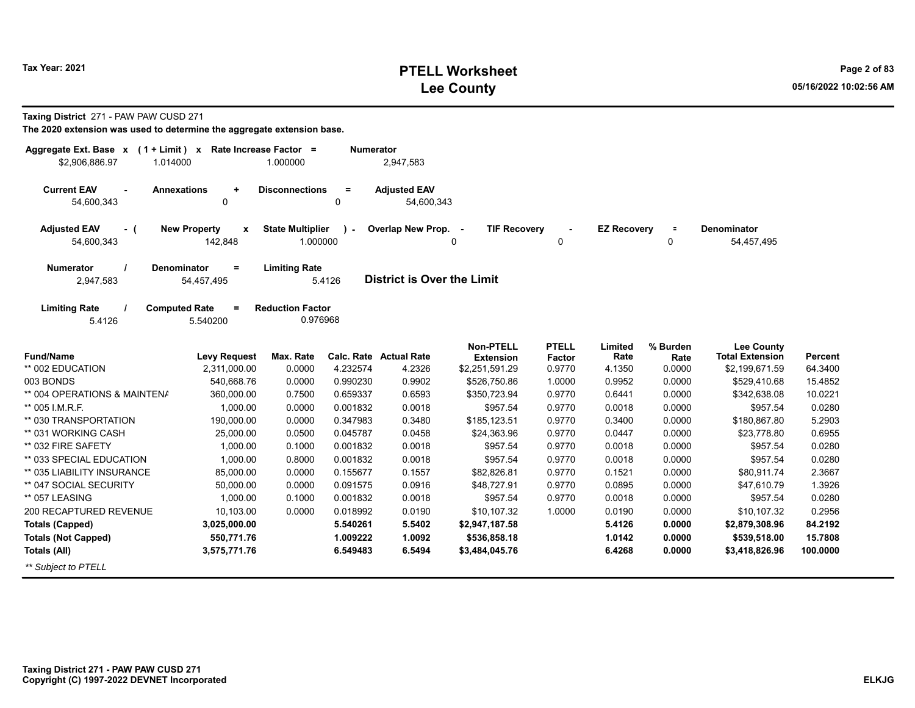# **PTELL Worksheet Tax Year: 2021 Page 2 of 83 Lee County 05/16/2022 10:02:56 AM**

**Taxing District** 271 - PAW PAW CUSD 271

| Aggregate Ext. Base x<br>\$2,906,886.97<br>1.014000 | $(1 + Limit)$ x Rate Increase Factor = | 1.000000                | <b>Numerator</b> | 2,947,583                         |                     |               |                    |          |                        |          |
|-----------------------------------------------------|----------------------------------------|-------------------------|------------------|-----------------------------------|---------------------|---------------|--------------------|----------|------------------------|----------|
|                                                     |                                        |                         |                  |                                   |                     |               |                    |          |                        |          |
| <b>Current EAV</b><br>$\overline{a}$                | <b>Annexations</b><br>$\ddot{}$        | <b>Disconnections</b>   | $=$              | <b>Adjusted EAV</b>               |                     |               |                    |          |                        |          |
| 54,600,343                                          | 0                                      |                         | $\mathbf 0$      | 54,600,343                        |                     |               |                    |          |                        |          |
| <b>Adjusted EAV</b><br>- (                          | <b>New Property</b><br>$\mathbf{x}$    | <b>State Multiplier</b> | $\mathbf{r}$     | Overlap New Prop. -               | <b>TIF Recovery</b> |               | <b>EZ Recovery</b> | $\equiv$ | <b>Denominator</b>     |          |
| 54,600,343                                          | 142,848                                | 1.000000                |                  |                                   | 0                   | 0             |                    | 0        | 54,457,495             |          |
| <b>Numerator</b>                                    | <b>Denominator</b><br>$\equiv$         | <b>Limiting Rate</b>    |                  |                                   |                     |               |                    |          |                        |          |
| 2,947,583                                           | 54,457,495                             |                         | 5.4126           | <b>District is Over the Limit</b> |                     |               |                    |          |                        |          |
| <b>Limiting Rate</b>                                | <b>Computed Rate</b><br>$\equiv$       | <b>Reduction Factor</b> |                  |                                   |                     |               |                    |          |                        |          |
| 5.4126                                              | 5.540200                               | 0.976968                |                  |                                   |                     |               |                    |          |                        |          |
|                                                     |                                        |                         |                  |                                   | <b>Non-PTELL</b>    | <b>PTELL</b>  | Limited            | % Burden | <b>Lee County</b>      |          |
| <b>Fund/Name</b>                                    | <b>Levy Request</b>                    | Max. Rate               |                  | Calc. Rate Actual Rate            | <b>Extension</b>    | <b>Factor</b> | Rate               | Rate     | <b>Total Extension</b> | Percent  |
| ** 002 EDUCATION                                    | 2,311,000.00                           | 0.0000                  | 4.232574         | 4.2326                            | \$2,251,591.29      | 0.9770        | 4.1350             | 0.0000   | \$2,199,671.59         | 64.3400  |
| 003 BONDS                                           | 540,668.76                             | 0.0000                  | 0.990230         | 0.9902                            | \$526,750.86        | 1.0000        | 0.9952             | 0.0000   | \$529,410.68           | 15.4852  |
| ** 004 OPERATIONS & MAINTENA                        | 360,000.00                             | 0.7500                  | 0.659337         | 0.6593                            | \$350,723.94        | 0.9770        | 0.6441             | 0.0000   | \$342,638.08           | 10.0221  |
| ** 005 I.M.R.F.                                     | 1,000.00                               | 0.0000                  | 0.001832         | 0.0018                            | \$957.54            | 0.9770        | 0.0018             | 0.0000   | \$957.54               | 0.0280   |
| ** 030 TRANSPORTATION                               | 190,000.00                             | 0.0000                  | 0.347983         | 0.3480                            | \$185,123.51        | 0.9770        | 0.3400             | 0.0000   | \$180,867.80           | 5.2903   |
| ** 031 WORKING CASH                                 | 25,000.00                              | 0.0500                  | 0.045787         | 0.0458                            | \$24,363.96         | 0.9770        | 0.0447             | 0.0000   | \$23,778.80            | 0.6955   |
| ** 032 FIRE SAFETY                                  | 1,000.00                               | 0.1000                  | 0.001832         | 0.0018                            | \$957.54            | 0.9770        | 0.0018             | 0.0000   | \$957.54               | 0.0280   |
| ** 033 SPECIAL EDUCATION                            | 1,000.00                               | 0.8000                  | 0.001832         | 0.0018                            | \$957.54            | 0.9770        | 0.0018             | 0.0000   | \$957.54               | 0.0280   |
| ** 035 LIABILITY INSURANCE                          | 85,000.00                              | 0.0000                  | 0.155677         | 0.1557                            | \$82,826.81         | 0.9770        | 0.1521             | 0.0000   | \$80,911.74            | 2.3667   |
| ** 047 SOCIAL SECURITY                              | 50,000.00                              | 0.0000                  | 0.091575         | 0.0916                            | \$48,727.91         | 0.9770        | 0.0895             | 0.0000   | \$47,610.79            | 1.3926   |
| ** 057 LEASING                                      | 1,000.00                               | 0.1000                  | 0.001832         | 0.0018                            | \$957.54            | 0.9770        | 0.0018             | 0.0000   | \$957.54               | 0.0280   |
| 200 RECAPTURED REVENUE                              | 10,103.00                              | 0.0000                  | 0.018992         | 0.0190                            | \$10,107.32         | 1.0000        | 0.0190             | 0.0000   | \$10,107.32            | 0.2956   |
| <b>Totals (Capped)</b>                              | 3,025,000.00                           |                         | 5.540261         | 5.5402                            | \$2,947,187.58      |               | 5.4126             | 0.0000   | \$2,879,308.96         | 84.2192  |
| <b>Totals (Not Capped)</b>                          | 550,771.76                             |                         | 1.009222         | 1.0092                            | \$536,858.18        |               | 1.0142             | 0.0000   | \$539,518.00           | 15.7808  |
| Totals (All)                                        | 3,575,771.76                           |                         | 6.549483         | 6.5494                            | \$3,484,045.76      |               | 6.4268             | 0.0000   | \$3,418,826.96         | 100.0000 |
| ** Subject to PTELL                                 |                                        |                         |                  |                                   |                     |               |                    |          |                        |          |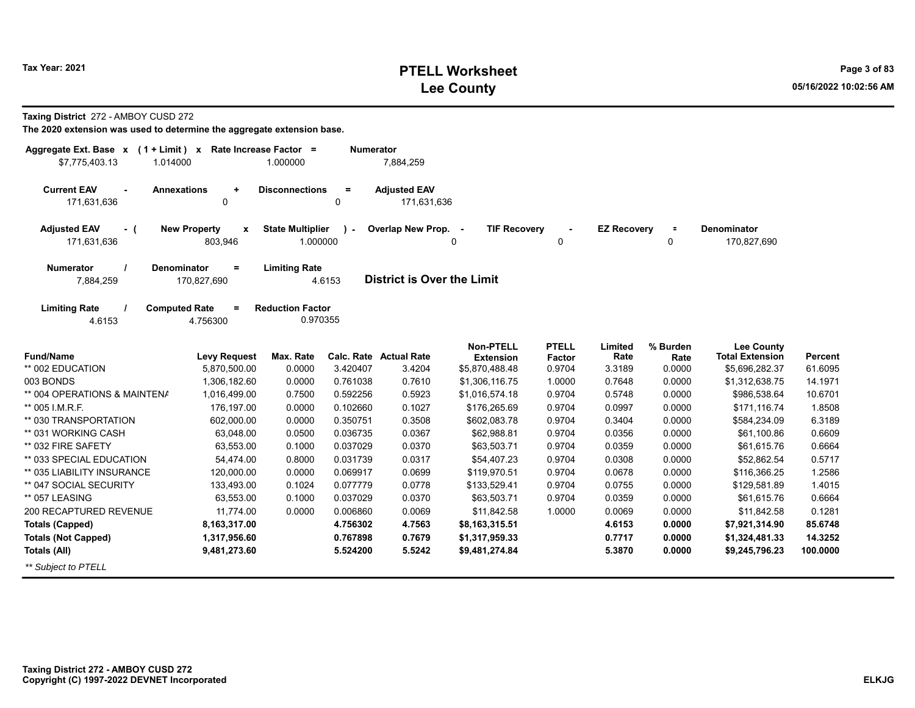# **PTELL Worksheet Tax Year: 2021 Page 3 of 83 Lee County 05/16/2022 10:02:56 AM**

**Taxing District** 272 - AMBOY CUSD 272

| Aggregate Ext. Base $x$ (1 + Limit) x Rate Increase Factor = |                                         |                                     | <b>Numerator</b> |                                   |                                      |                        |                    |                  |                                             |                |
|--------------------------------------------------------------|-----------------------------------------|-------------------------------------|------------------|-----------------------------------|--------------------------------------|------------------------|--------------------|------------------|---------------------------------------------|----------------|
| \$7,775,403.13<br>1.014000                                   |                                         | 1.000000                            |                  | 7,884,259                         |                                      |                        |                    |                  |                                             |                |
| <b>Current EAV</b><br><b>Annexations</b>                     | $\ddot{}$                               | <b>Disconnections</b>               | $\equiv$         | <b>Adjusted EAV</b>               |                                      |                        |                    |                  |                                             |                |
| 171,631,636                                                  | 0                                       |                                     | 0                | 171,631,636                       |                                      |                        |                    |                  |                                             |                |
| <b>Adjusted EAV</b><br>- (                                   | <b>New Property</b><br>$\boldsymbol{x}$ | <b>State Multiplier</b>             | $\mathbf{I}$     | Overlap New Prop. -               | <b>TIF Recovery</b>                  |                        | <b>EZ Recovery</b> | $\equiv$         | <b>Denominator</b>                          |                |
| 171,631,636                                                  | 803,946                                 | 1.000000                            |                  |                                   | 0                                    | 0                      |                    | 0                | 170,827,690                                 |                |
| <b>Numerator</b><br><b>Denominator</b>                       | $\equiv$                                | <b>Limiting Rate</b>                |                  |                                   |                                      |                        |                    |                  |                                             |                |
| 7,884,259                                                    | 170,827,690                             |                                     | 4.6153           | <b>District is Over the Limit</b> |                                      |                        |                    |                  |                                             |                |
|                                                              |                                         |                                     |                  |                                   |                                      |                        |                    |                  |                                             |                |
| <b>Limiting Rate</b><br><b>Computed Rate</b><br>4.6153       | $\equiv$<br>4.756300                    | <b>Reduction Factor</b><br>0.970355 |                  |                                   |                                      |                        |                    |                  |                                             |                |
|                                                              |                                         |                                     |                  |                                   |                                      |                        |                    |                  |                                             |                |
| <b>Fund/Name</b>                                             | <b>Levy Request</b>                     | Max. Rate                           |                  | Calc. Rate Actual Rate            | <b>Non-PTELL</b><br><b>Extension</b> | <b>PTELL</b><br>Factor | Limited<br>Rate    | % Burden<br>Rate | <b>Lee County</b><br><b>Total Extension</b> | <b>Percent</b> |
| ** 002 EDUCATION                                             | 5,870,500.00                            | 0.0000                              | 3.420407         | 3.4204                            | \$5,870,488.48                       | 0.9704                 | 3.3189             | 0.0000           | \$5,696,282.37                              | 61.6095        |
| 003 BONDS                                                    | 1,306,182.60                            | 0.0000                              | 0.761038         | 0.7610                            | \$1,306,116.75                       | 1.0000                 | 0.7648             | 0.0000           | \$1,312,638.75                              | 14.1971        |
| ** 004 OPERATIONS & MAINTENA                                 | 1,016,499.00                            | 0.7500                              | 0.592256         | 0.5923                            | \$1,016,574.18                       | 0.9704                 | 0.5748             | 0.0000           | \$986,538.64                                | 10.6701        |
| ** 005 I.M.R.F.                                              | 176,197.00                              | 0.0000                              | 0.102660         | 0.1027                            | \$176,265.69                         | 0.9704                 | 0.0997             | 0.0000           | \$171,116.74                                | 1.8508         |
| ** 030 TRANSPORTATION                                        | 602,000.00                              | 0.0000                              | 0.350751         | 0.3508                            | \$602,083.78                         | 0.9704                 | 0.3404             | 0.0000           | \$584,234.09                                | 6.3189         |
| ** 031 WORKING CASH                                          | 63,048.00                               | 0.0500                              | 0.036735         | 0.0367                            | \$62,988.81                          | 0.9704                 | 0.0356             | 0.0000           | \$61,100.86                                 | 0.6609         |
| ** 032 FIRE SAFETY                                           | 63,553.00                               | 0.1000                              | 0.037029         | 0.0370                            | \$63,503.71                          | 0.9704                 | 0.0359             | 0.0000           | \$61,615.76                                 | 0.6664         |
| ** 033 SPECIAL EDUCATION                                     | 54,474.00                               | 0.8000                              | 0.031739         | 0.0317                            | \$54,407.23                          | 0.9704                 | 0.0308             | 0.0000           | \$52,862.54                                 | 0.5717         |
| ** 035 LIABILITY INSURANCE                                   | 120,000.00                              | 0.0000                              | 0.069917         | 0.0699                            | \$119,970.51                         | 0.9704                 | 0.0678             | 0.0000           | \$116,366.25                                | 1.2586         |
| ** 047 SOCIAL SECURITY                                       | 133,493.00                              | 0.1024                              | 0.077779         | 0.0778                            | \$133,529.41                         | 0.9704                 | 0.0755             | 0.0000           | \$129,581.89                                | 1.4015         |
| ** 057 LEASING                                               | 63,553.00                               | 0.1000                              | 0.037029         | 0.0370                            | \$63,503.71                          | 0.9704                 | 0.0359             | 0.0000           | \$61,615.76                                 | 0.6664         |
| 200 RECAPTURED REVENUE                                       | 11.774.00                               | 0.0000                              | 0.006860         | 0.0069                            | \$11,842.58                          | 1.0000                 | 0.0069             | 0.0000           | \$11,842.58                                 | 0.1281         |
| Totals (Capped)                                              | 8,163,317.00                            |                                     | 4.756302         | 4.7563                            | \$8,163,315.51                       |                        | 4.6153             | 0.0000           | \$7,921,314.90                              | 85.6748        |
| <b>Totals (Not Capped)</b>                                   | 1,317,956.60                            |                                     | 0.767898         | 0.7679                            | \$1,317,959.33                       |                        | 0.7717             | 0.0000           | \$1,324,481.33                              | 14.3252        |
| <b>Totals (All)</b>                                          | 9,481,273.60                            |                                     | 5.524200         | 5.5242                            | \$9,481,274.84                       |                        | 5.3870             | 0.0000           | \$9,245,796.23                              | 100.0000       |
| ** Subject to PTELL                                          |                                         |                                     |                  |                                   |                                      |                        |                    |                  |                                             |                |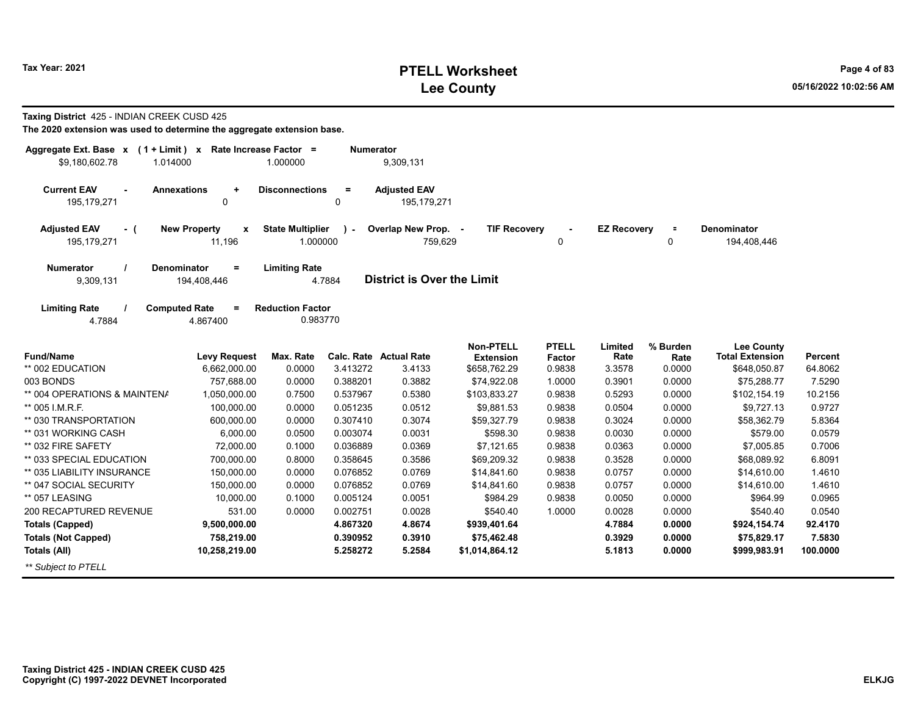# **PTELL Worksheet Tax Year: 2021 Page 4 of 83 Lee County 05/16/2022 10:02:56 AM**

**\$924,154.74 \$75,829.17 \$999,983.91**

| The 2020 extension was used to determine the aggregate extension base.         |                                               |                                     |                  |                                    |                                      |                        |                    |                  |                                             |                |
|--------------------------------------------------------------------------------|-----------------------------------------------|-------------------------------------|------------------|------------------------------------|--------------------------------------|------------------------|--------------------|------------------|---------------------------------------------|----------------|
| Aggregate Ext. Base $x$ (1 + Limit) x Rate Increase Factor =<br>\$9,180,602.78 | 1.014000                                      | 1.000000                            | <b>Numerator</b> | 9,309,131                          |                                      |                        |                    |                  |                                             |                |
| <b>Current EAV</b><br>195,179,271                                              | <b>Annexations</b><br>٠<br>0                  | <b>Disconnections</b>               | $=$<br>0         | <b>Adjusted EAV</b><br>195,179,271 |                                      |                        |                    |                  |                                             |                |
| <b>Adjusted EAV</b><br>- (<br>195,179,271                                      | <b>New Property</b><br>$\mathbf{x}$<br>11,196 | <b>State Multiplier</b><br>1.000000 | $\mathbf{v}$     | Overlap New Prop. -<br>759,629     | <b>TIF Recovery</b>                  | $\blacksquare$<br>0    | <b>EZ Recovery</b> | $\equiv$<br>0    | <b>Denominator</b><br>194,408,446           |                |
| <b>Numerator</b><br>9,309,131                                                  | <b>Denominator</b><br>$=$<br>194,408,446      | <b>Limiting Rate</b>                | 4.7884           | <b>District is Over the Limit</b>  |                                      |                        |                    |                  |                                             |                |
| <b>Limiting Rate</b><br>4.7884                                                 | <b>Computed Rate</b><br>$\equiv$<br>4.867400  | <b>Reduction Factor</b><br>0.983770 |                  |                                    |                                      |                        |                    |                  |                                             |                |
| <b>Fund/Name</b>                                                               | <b>Levy Request</b>                           | Max. Rate                           | Calc. Rate       | <b>Actual Rate</b>                 | <b>Non-PTELL</b><br><b>Extension</b> | <b>PTELL</b><br>Factor | Limited<br>Rate    | % Burden<br>Rate | <b>Lee County</b><br><b>Total Extension</b> | <b>Percent</b> |
| ** 002 EDUCATION                                                               | 6,662,000.00                                  | 0.0000                              | 3.413272         | 3.4133                             | \$658,762.29                         | 0.9838                 | 3.3578             | 0.0000           | \$648,050.87                                | 64.8062        |
| 003 BONDS                                                                      | 757.688.00                                    | 0.0000                              | 0.388201         | 0.3882                             | \$74,922.08                          | 1.0000                 | 0.3901             | 0.0000           | \$75,288.77                                 | 7.5290         |
| ** 004 OPERATIONS & MAINTENA                                                   | 1,050,000.00                                  | 0.7500                              | 0.537967         | 0.5380                             | \$103,833.27                         | 0.9838                 | 0.5293             | 0.0000           | \$102,154.19                                | 10.2156        |
| ** 005 I.M.R.F.                                                                | 100,000.00                                    | 0.0000                              | 0.051235         | 0.0512                             | \$9,881.53                           | 0.9838                 | 0.0504             | 0.0000           | \$9,727.13                                  | 0.9727         |
| ** 030 TRANSPORTATION                                                          | 600,000.00                                    | 0.0000                              | 0.307410         | 0.3074                             | \$59,327.79                          | 0.9838                 | 0.3024             | 0.0000           | \$58,362.79                                 | 5.8364         |
| ** 031 WORKING CASH                                                            | 6.000.00                                      | 0.0500                              | 0.003074         | 0.0031                             | \$598.30                             | 0.9838                 | 0.0030             | 0.0000           | \$579.00                                    | 0.0579         |
| ** 032 FIRE SAFETY                                                             | 72,000.00                                     | 0.1000                              | 0.036889         | 0.0369                             | \$7,121.65                           | 0.9838                 | 0.0363             | 0.0000           | \$7,005.85                                  | 0.7006         |
| ** 033 SPECIAL EDUCATION                                                       | 700.000.00                                    | 0.8000                              | 0.358645         | 0.3586                             | \$69,209.32                          | 0.9838                 | 0.3528             | 0.0000           | \$68,089.92                                 | 6.8091         |
| ** 035 LIABILITY INSURANCE                                                     | 150,000.00                                    | 0.0000                              | 0.076852         | 0.0769                             | \$14,841.60                          | 0.9838                 | 0.0757             | 0.0000           | \$14,610.00                                 | 1.4610         |
| ** 047 SOCIAL SECURITY                                                         | 150,000.00                                    | 0.0000                              | 0.076852         | 0.0769                             | \$14,841.60                          | 0.9838                 | 0.0757             | 0.0000           | \$14,610.00                                 | 1.4610         |
| ** 057 LEASING                                                                 | 10,000.00                                     | 0.1000                              | 0.005124         | 0.0051                             | \$984.29                             | 0.9838                 | 0.0050             | 0.0000           | \$964.99                                    | 0.0965         |
| 200 RECAPTURED REVENUE                                                         | 531.00                                        | 0.0000                              | 0.002751         | 0.0028                             | \$540.40                             | 1.0000                 | 0.0028             | 0.0000           | \$540.40                                    | 0.0540         |

**4.867320**

**0.390952**

**5.258272**

**4.8674**

**\$939,401.64 \$75,462.48 \$1,014,864.12** **4.78840.39295.1813**

**0.00000.00000.0000**

**0.3910**

**5.2584**

#### **Taxing District** 425 - INDIAN CREEK CUSD 425

**Taxing District 425 - INDIAN CREEK CUSD 425 Copyright (C) 1997-2022 DEVNET Incorporated**

**9,500,000.00 758,219.00 10,258,219.00**

**Totals (Capped) Totals (Not Capped)**

*\*\* Subject to PTELL*

**Totals (All)**

**92.41707.5830100.0000**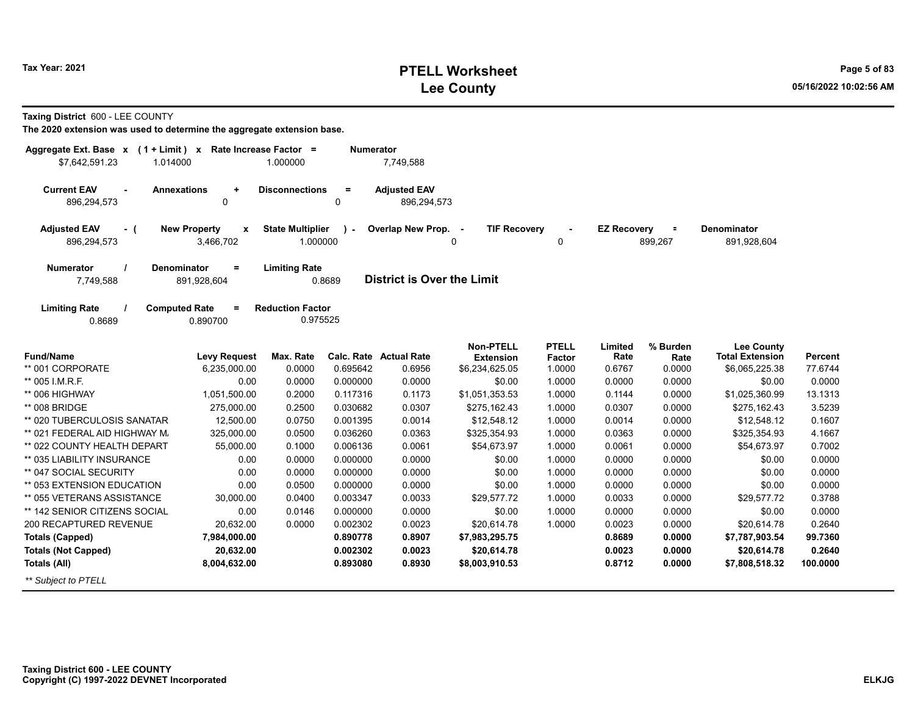# **PTELL Worksheet Tax Year: 2021 Page 5 of 83 Lee County 05/16/2022 10:02:56 AM**

**Taxing District** 600 - LEE COUNTY

| Aggregate Ext. Base x<br>\$7,642,591.23<br>1.014000 | $(1 + Limit)$ x Rate Increase Factor =                 | 1.000000                            | <b>Numerator</b> | 7,749,588                         |                                      |                               |                    |                     |                                             |          |
|-----------------------------------------------------|--------------------------------------------------------|-------------------------------------|------------------|-----------------------------------|--------------------------------------|-------------------------------|--------------------|---------------------|---------------------------------------------|----------|
| <b>Current EAV</b>                                  | <b>Annexations</b><br>$\ddot{}$                        | <b>Disconnections</b>               | $\equiv$         | <b>Adjusted EAV</b>               |                                      |                               |                    |                     |                                             |          |
| 896,294,573                                         | 0                                                      |                                     | 0                | 896,294,573                       |                                      |                               |                    |                     |                                             |          |
| <b>Adjusted EAV</b><br>- (<br>896,294,573           | <b>New Property</b><br>$\pmb{\mathsf{x}}$<br>3,466,702 | <b>State Multiplier</b><br>1.000000 | $\mathcal{L}$    | Overlap New Prop. -               | <b>TIF Recovery</b><br>0             | 0                             | <b>EZ Recovery</b> | $\equiv$<br>899,267 | <b>Denominator</b><br>891,928,604           |          |
| <b>Numerator</b><br>7,749,588                       | <b>Denominator</b><br>$=$<br>891,928,604               | <b>Limiting Rate</b>                | 0.8689           | <b>District is Over the Limit</b> |                                      |                               |                    |                     |                                             |          |
| <b>Limiting Rate</b><br>0.8689                      | <b>Computed Rate</b><br>$\equiv$<br>0.890700           | <b>Reduction Factor</b><br>0.975525 |                  |                                   |                                      |                               |                    |                     |                                             |          |
| <b>Fund/Name</b>                                    | <b>Levy Request</b>                                    | Max. Rate                           |                  | <b>Calc. Rate Actual Rate</b>     | <b>Non-PTELL</b><br><b>Extension</b> | <b>PTELL</b><br><b>Factor</b> | Limited<br>Rate    | % Burden<br>Rate    | <b>Lee County</b><br><b>Total Extension</b> | Percent  |
| ** 001 CORPORATE                                    | 6,235,000.00                                           | 0.0000                              | 0.695642         | 0.6956                            | \$6,234,625.05                       | 1.0000                        | 0.6767             | 0.0000              | \$6,065,225.38                              | 77.6744  |
| ** 005 I.M.R.F.                                     | 0.00                                                   | 0.0000                              | 0.000000         | 0.0000                            | \$0.00                               | 1.0000                        | 0.0000             | 0.0000              | \$0.00                                      | 0.0000   |
| ** 006 HIGHWAY                                      | 1,051,500.00                                           | 0.2000                              | 0.117316         | 0.1173                            | \$1,051,353.53                       | 1.0000                        | 0.1144             | 0.0000              | \$1,025,360.99                              | 13.1313  |
| ** 008 BRIDGE                                       | 275,000.00                                             | 0.2500                              | 0.030682         | 0.0307                            | \$275,162.43                         | 1.0000                        | 0.0307             | 0.0000              | \$275,162.43                                | 3.5239   |
| ** 020 TUBERCULOSIS SANATAR                         | 12,500.00                                              | 0.0750                              | 0.001395         | 0.0014                            | \$12,548.12                          | 1.0000                        | 0.0014             | 0.0000              | \$12,548.12                                 | 0.1607   |
| ** 021 FEDERAL AID HIGHWAY M.                       | 325,000.00                                             | 0.0500                              | 0.036260         | 0.0363                            | \$325,354.93                         | 1.0000                        | 0.0363             | 0.0000              | \$325,354.93                                | 4.1667   |
| ** 022 COUNTY HEALTH DEPART                         | 55,000.00                                              | 0.1000                              | 0.006136         | 0.0061                            | \$54,673.97                          | 1.0000                        | 0.0061             | 0.0000              | \$54,673.97                                 | 0.7002   |
| ** 035 LIABILITY INSURANCE                          | 0.00                                                   | 0.0000                              | 0.000000         | 0.0000                            | \$0.00                               | 1.0000                        | 0.0000             | 0.0000              | \$0.00                                      | 0.0000   |
| ** 047 SOCIAL SECURITY                              | 0.00                                                   | 0.0000                              | 0.000000         | 0.0000                            | \$0.00                               | 1.0000                        | 0.0000             | 0.0000              | \$0.00                                      | 0.0000   |
| ** 053 EXTENSION EDUCATION                          | 0.00                                                   | 0.0500                              | 0.000000         | 0.0000                            | \$0.00                               | 1.0000                        | 0.0000             | 0.0000              | \$0.00                                      | 0.0000   |
| ** 055 VETERANS ASSISTANCE                          | 30,000.00                                              | 0.0400                              | 0.003347         | 0.0033                            | \$29,577.72                          | 1.0000                        | 0.0033             | 0.0000              | \$29,577.72                                 | 0.3788   |
| ** 142 SENIOR CITIZENS SOCIAL                       | 0.00                                                   | 0.0146                              | 0.000000         | 0.0000                            | \$0.00                               | 1.0000                        | 0.0000             | 0.0000              | \$0.00                                      | 0.0000   |
| 200 RECAPTURED REVENUE                              | 20,632.00                                              | 0.0000                              | 0.002302         | 0.0023                            | \$20,614.78                          | 1.0000                        | 0.0023             | 0.0000              | \$20,614.78                                 | 0.2640   |
| <b>Totals (Capped)</b>                              | 7,984,000.00                                           |                                     | 0.890778         | 0.8907                            | \$7,983,295.75                       |                               | 0.8689             | 0.0000              | \$7,787,903.54                              | 99.7360  |
| <b>Totals (Not Capped)</b>                          | 20,632.00                                              |                                     | 0.002302         | 0.0023                            | \$20,614.78                          |                               | 0.0023             | 0.0000              | \$20,614.78                                 | 0.2640   |
| <b>Totals (All)</b>                                 | 8,004,632.00                                           |                                     | 0.893080         | 0.8930                            | \$8,003,910.53                       |                               | 0.8712             | 0.0000              | \$7,808,518.32                              | 100.0000 |
| ** Subiect to PTELL                                 |                                                        |                                     |                  |                                   |                                      |                               |                    |                     |                                             |          |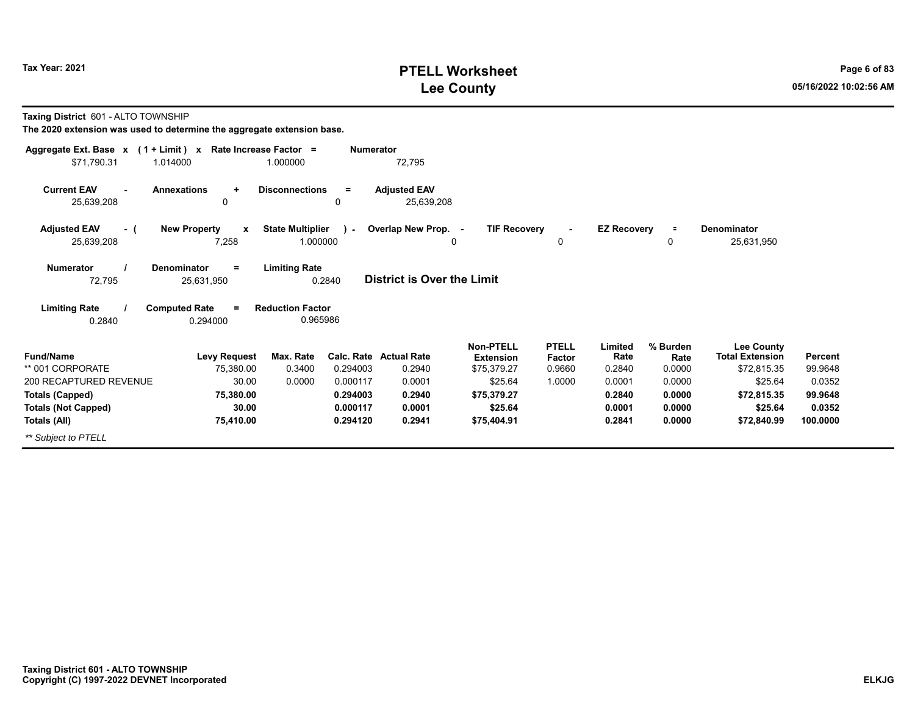## **PTELL Worksheet Tax Year: 2021 Page 6 of 83 Lee County 05/16/2022 10:02:56 AM**

**Taxing District** 601 - ALTO TOWNSHIP

| Aggregate Ext. Base $x$ (1 + Limit) $x$ |                                              | Rate Increase Factor =              | <b>Numerator</b> |                                   |                                      |                        |                    |                  |                                             |                |
|-----------------------------------------|----------------------------------------------|-------------------------------------|------------------|-----------------------------------|--------------------------------------|------------------------|--------------------|------------------|---------------------------------------------|----------------|
| \$71,790.31<br>1.014000                 |                                              | 1.000000                            |                  | 72,795                            |                                      |                        |                    |                  |                                             |                |
| <b>Current EAV</b><br>25,639,208        | <b>Annexations</b><br>٠<br>0                 | <b>Disconnections</b>               | $\equiv$<br>0    | <b>Adjusted EAV</b><br>25,639,208 |                                      |                        |                    |                  |                                             |                |
|                                         |                                              |                                     |                  |                                   |                                      |                        |                    |                  |                                             |                |
| <b>Adjusted EAV</b><br>- (              | <b>New Property</b><br>$\mathbf{x}$          | <b>State Multiplier</b>             | $\mathcal{L}$    | Overlap New Prop. -               | <b>TIF Recovery</b>                  |                        | <b>EZ Recovery</b> | $\equiv$         | <b>Denominator</b>                          |                |
| 25,639,208                              | 7,258                                        | 1.000000                            |                  | 0                                 |                                      | $\mathbf{0}$           |                    | $\Omega$         | 25,631,950                                  |                |
| <b>Numerator</b><br>72,795              | <b>Denominator</b><br>$\equiv$<br>25,631,950 | <b>Limiting Rate</b><br>0.2840      |                  | <b>District is Over the Limit</b> |                                      |                        |                    |                  |                                             |                |
| <b>Limiting Rate</b><br>0.2840          | <b>Computed Rate</b><br>$=$<br>0.294000      | <b>Reduction Factor</b><br>0.965986 |                  |                                   |                                      |                        |                    |                  |                                             |                |
| <b>Fund/Name</b>                        | <b>Levy Request</b>                          | Max. Rate                           |                  | Calc. Rate Actual Rate            | <b>Non-PTELL</b><br><b>Extension</b> | <b>PTELL</b><br>Factor | Limited<br>Rate    | % Burden<br>Rate | <b>Lee County</b><br><b>Total Extension</b> | <b>Percent</b> |
| ** 001 CORPORATE                        | 75,380.00                                    | 0.3400                              | 0.294003         | 0.2940                            | \$75,379.27                          | 0.9660                 | 0.2840             | 0.0000           | \$72,815.35                                 | 99.9648        |
| 200 RECAPTURED REVENUE                  | 30.00                                        | 0.0000                              | 0.000117         | 0.0001                            | \$25.64                              | 1.0000                 | 0.0001             | 0.0000           | \$25.64                                     | 0.0352         |
| <b>Totals (Capped)</b>                  | 75,380.00                                    |                                     | 0.294003         | 0.2940                            | \$75,379.27                          |                        | 0.2840             | 0.0000           | \$72,815.35                                 | 99.9648        |
| <b>Totals (Not Capped)</b>              | 30.00                                        |                                     | 0.000117         | 0.0001                            | \$25.64                              |                        | 0.0001             | 0.0000           | \$25.64                                     | 0.0352         |
| Totals (All)                            | 75,410.00                                    |                                     | 0.294120         | 0.2941                            | \$75,404.91                          |                        | 0.2841             | 0.0000           | \$72,840.99                                 | 100.0000       |
| ** Subject to PTELL                     |                                              |                                     |                  |                                   |                                      |                        |                    |                  |                                             |                |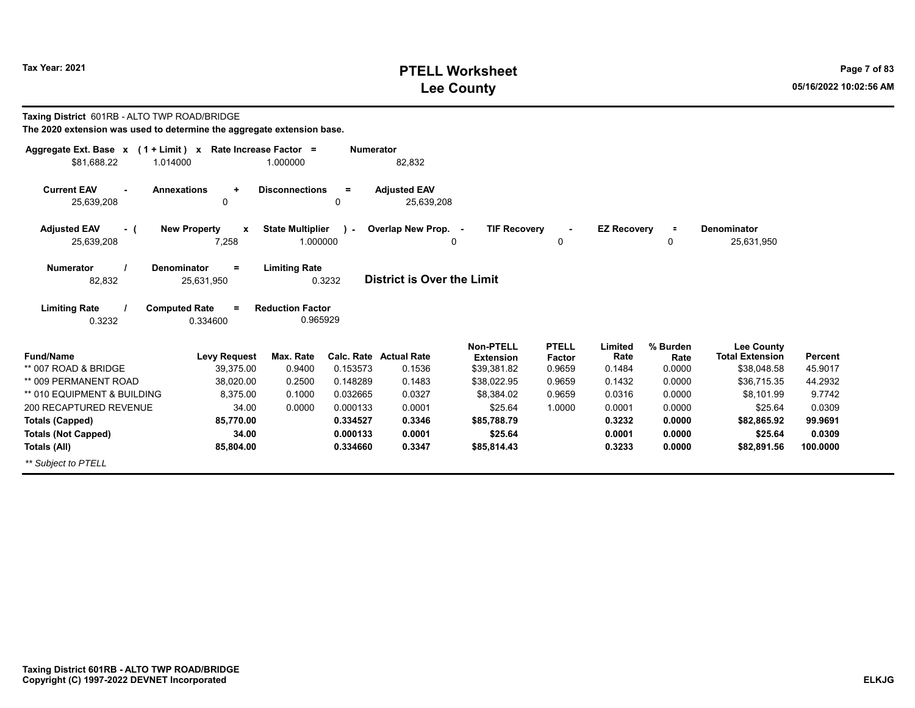# **PTELL Worksheet Tax Year: 2021 Page 7 of 83 Lee County 05/16/2022 10:02:56 AM**

| Taxing District 601RB - ALTO TWP ROAD/BRIDGE<br>The 2020 extension was used to determine the aggregate extension base. |                                                                                  |                                                             |                  |                                         |                                 |                  |                    |                |                                       |                           |
|------------------------------------------------------------------------------------------------------------------------|----------------------------------------------------------------------------------|-------------------------------------------------------------|------------------|-----------------------------------------|---------------------------------|------------------|--------------------|----------------|---------------------------------------|---------------------------|
| Aggregate Ext. Base x (1 + Limit) x Rate Increase Factor =                                                             |                                                                                  |                                                             | <b>Numerator</b> |                                         |                                 |                  |                    |                |                                       |                           |
| \$81,688.22<br>1.014000                                                                                                |                                                                                  | 1.000000                                                    |                  | 82,832                                  |                                 |                  |                    |                |                                       |                           |
| <b>Current EAV</b><br>25,639,208                                                                                       | <b>Annexations</b><br>$\ddot{}$<br>0                                             | <b>Disconnections</b>                                       | $=$<br>$\Omega$  | <b>Adjusted EAV</b><br>25,639,208       |                                 |                  |                    |                |                                       |                           |
| <b>Adjusted EAV</b><br>- (                                                                                             | <b>New Property</b><br>X                                                         | <b>State Multiplier</b>                                     | $\mathbf{I}$     | Overlap New Prop. -                     | <b>TIF Recovery</b>             |                  | <b>EZ Recovery</b> |                | Denominator                           |                           |
| 25,639,208                                                                                                             | 7,258                                                                            | 1.000000                                                    |                  | $\Omega$                                |                                 | $\Omega$         |                    | $\Omega$       | 25,631,950                            |                           |
| <b>Numerator</b><br>82,832<br><b>Limiting Rate</b><br>0.3232                                                           | Denominator<br>$=$<br>25,631,950<br><b>Computed Rate</b><br>$\equiv$<br>0.334600 | <b>Limiting Rate</b><br><b>Reduction Factor</b><br>0.965929 | 0.3232           | District is Over the Limit              |                                 |                  |                    |                |                                       |                           |
| <b>Fund/Name</b>                                                                                                       |                                                                                  |                                                             |                  |                                         | Non-PTELL                       | <b>PTELL</b>     | Limited            | % Burden       | <b>Lee County</b>                     |                           |
| ** 007 ROAD & BRIDGE                                                                                                   | <b>Levy Request</b><br>39,375.00                                                 | Max. Rate<br>0.9400                                         | 0.153573         | <b>Calc. Rate Actual Rate</b><br>0.1536 | <b>Extension</b><br>\$39,381.82 | Factor<br>0.9659 | Rate<br>0.1484     | Rate<br>0.0000 | <b>Total Extension</b><br>\$38,048.58 | <b>Percent</b><br>45.9017 |
| ** 009 PERMANENT ROAD                                                                                                  | 38.020.00                                                                        | 0.2500                                                      | 0.148289         | 0.1483                                  | \$38,022.95                     | 0.9659           | 0.1432             | 0.0000         | \$36,715.35                           | 44.2932                   |
| ** 010 EQUIPMENT & BUILDING                                                                                            | 8.375.00                                                                         | 0.1000                                                      | 0.032665         | 0.0327                                  | \$8,384.02                      | 0.9659           | 0.0316             | 0.0000         | \$8,101.99                            | 9.7742                    |
| 200 RECAPTURED REVENUE                                                                                                 | 34.00                                                                            | 0.0000                                                      | 0.000133         | 0.0001                                  | \$25.64                         | 1.0000           | 0.0001             | 0.0000         | \$25.64                               | 0.0309                    |
| <b>Totals (Capped)</b>                                                                                                 | 85,770.00                                                                        |                                                             | 0.334527         | 0.3346                                  | \$85,788.79                     |                  | 0.3232             | 0.0000         | \$82,865.92                           | 99.9691                   |
| <b>Totals (Not Capped)</b>                                                                                             | 34.00                                                                            |                                                             | 0.000133         | 0.0001                                  | \$25.64                         |                  | 0.0001             | 0.0000         | \$25.64                               | 0.0309                    |
| Totals (All)                                                                                                           | 85,804.00                                                                        |                                                             | 0.334660         | 0.3347                                  | \$85,814.43                     |                  | 0.3233             | 0.0000         | \$82,891.56                           | 100.0000                  |
| ** Subject to PTELL                                                                                                    |                                                                                  |                                                             |                  |                                         |                                 |                  |                    |                |                                       |                           |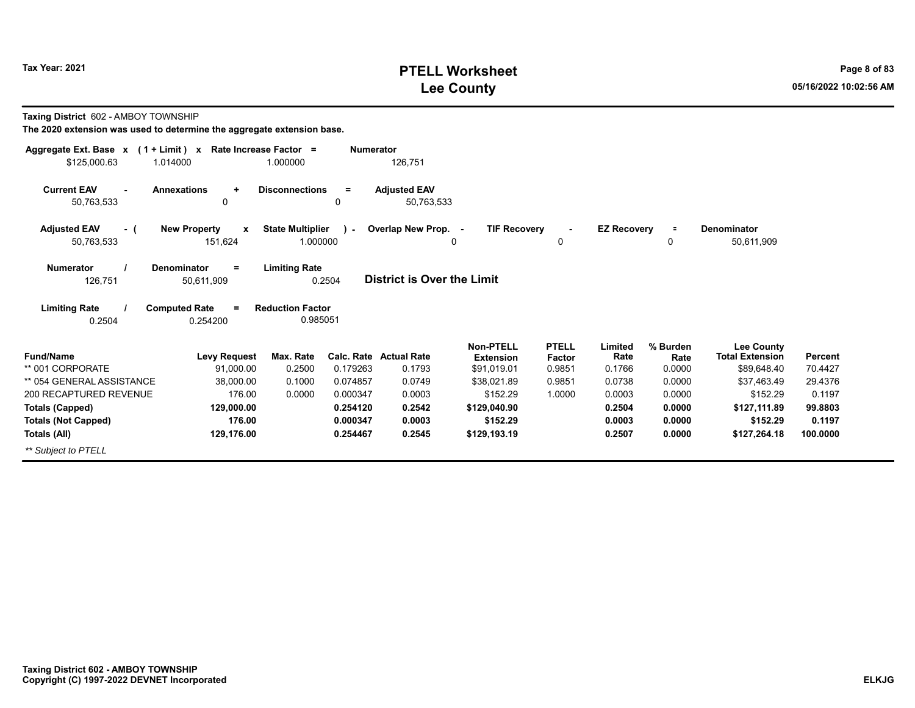# **PTELL Worksheet Tax Year: 2021 Page 8 of 83 Lee County 05/16/2022 10:02:56 AM**

**Taxing District** 602 - AMBOY TOWNSHIP

| Aggregate Ext. Base x (1 + Limit) x                      | Rate Increase Factor =                                         | <b>Numerator</b> |                                  |                                 |                  |                    |                |                                       |                    |
|----------------------------------------------------------|----------------------------------------------------------------|------------------|----------------------------------|---------------------------------|------------------|--------------------|----------------|---------------------------------------|--------------------|
| \$125,000.63<br>1.014000                                 | 1.000000                                                       |                  | 126,751                          |                                 |                  |                    |                |                                       |                    |
| <b>Current EAV</b><br><b>Annexations</b><br>$\mathbf{r}$ | <b>Disconnections</b><br>$\ddot{}$                             | $\equiv$         | <b>Adjusted EAV</b>              |                                 |                  |                    |                |                                       |                    |
| 50,763,533                                               | 0                                                              | 0                | 50,763,533                       |                                 |                  |                    |                |                                       |                    |
| <b>Adjusted EAV</b><br>- (                               | <b>New Property</b><br><b>State Multiplier</b><br>$\mathbf{x}$ | $\mathbf{r}$     | Overlap New Prop. -              | <b>TIF Recovery</b>             | $\sim$           | <b>EZ Recovery</b> | $\equiv$       | Denominator                           |                    |
| 50,763,533                                               | 151,624                                                        | 1.000000         |                                  | 0                               | 0                |                    | 0              | 50,611,909                            |                    |
| <b>Numerator</b><br><b>Denominator</b>                   | <b>Limiting Rate</b><br>$=$                                    |                  |                                  |                                 |                  |                    |                |                                       |                    |
| 126,751                                                  | 50,611,909                                                     | 0.2504           | District is Over the Limit       |                                 |                  |                    |                |                                       |                    |
| <b>Limiting Rate</b><br><b>Computed Rate</b>             | <b>Reduction Factor</b><br>$\equiv$                            |                  |                                  |                                 |                  |                    |                |                                       |                    |
| 0.2504                                                   | 0.254200                                                       | 0.985051         |                                  |                                 |                  |                    |                |                                       |                    |
|                                                          |                                                                |                  |                                  | <b>Non-PTELL</b>                | <b>PTELL</b>     | Limited            | % Burden       | Lee County                            |                    |
| <b>Fund/Name</b><br>** 001 CORPORATE                     | Max. Rate<br><b>Levy Request</b><br>91,000.00<br>0.2500        | 0.179263         | Calc. Rate Actual Rate<br>0.1793 | <b>Extension</b><br>\$91,019.01 | Factor<br>0.9851 | Rate<br>0.1766     | Rate<br>0.0000 | <b>Total Extension</b><br>\$89,648.40 | Percent<br>70.4427 |
| ** 054 GENERAL ASSISTANCE                                | 38,000.00<br>0.1000                                            | 0.074857         | 0.0749                           | \$38,021.89                     | 0.9851           | 0.0738             | 0.0000         | \$37.463.49                           | 29.4376            |
| 200 RECAPTURED REVENUE                                   | 176.00<br>0.0000                                               | 0.000347         | 0.0003                           | \$152.29                        | 1.0000           | 0.0003             | 0.0000         | \$152.29                              | 0.1197             |
| <b>Totals (Capped)</b>                                   | 129,000.00                                                     | 0.254120         | 0.2542                           | \$129,040.90                    |                  | 0.2504             | 0.0000         | \$127,111.89                          | 99.8803            |
| <b>Totals (Not Capped)</b>                               | 176.00                                                         | 0.000347         | 0.0003                           | \$152.29                        |                  | 0.0003             | 0.0000         | \$152.29                              | 0.1197             |
| Totals (All)                                             | 129,176.00                                                     | 0.254467         | 0.2545                           | \$129,193.19                    |                  | 0.2507             | 0.0000         | \$127,264.18                          | 100.0000           |
| ** Subject to PTELL                                      |                                                                |                  |                                  |                                 |                  |                    |                |                                       |                    |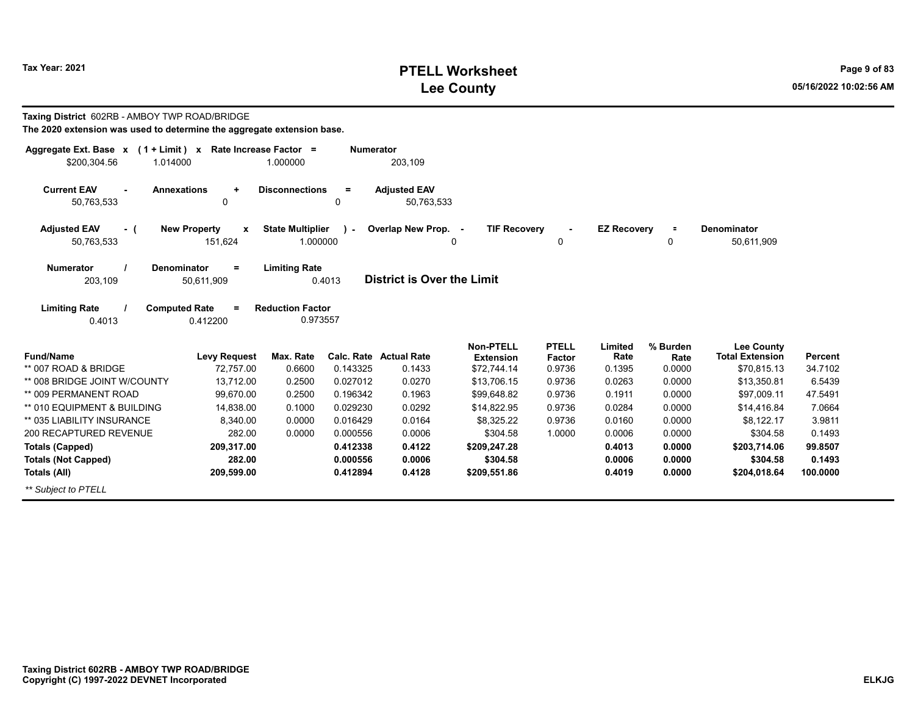# **PTELL Worksheet Tax Year: 2021 Page 9 of 83 Lee County 05/16/2022 10:02:56 AM**

| Taxing District 602RB - AMBOY TWP ROAD/BRIDGE<br>The 2020 extension was used to determine the aggregate extension base. |                                         |                                     |                  |                                         |                                                     |                                  |                           |                            |                                                            |                           |
|-------------------------------------------------------------------------------------------------------------------------|-----------------------------------------|-------------------------------------|------------------|-----------------------------------------|-----------------------------------------------------|----------------------------------|---------------------------|----------------------------|------------------------------------------------------------|---------------------------|
| Aggregate Ext. Base $x$ (1 + Limit) x Rate Increase Factor =<br>\$200,304.56<br>1.014000                                |                                         | 1.000000                            | <b>Numerator</b> | 203,109                                 |                                                     |                                  |                           |                            |                                                            |                           |
| <b>Current EAV</b><br><b>Annexations</b><br>50,763,533                                                                  | $\ddot{}$<br>0                          | <b>Disconnections</b>               | $\equiv$<br>0    | <b>Adjusted EAV</b><br>50,763,533       |                                                     |                                  |                           |                            |                                                            |                           |
| <b>Adjusted EAV</b><br>- (<br>50,763,533                                                                                | <b>New Property</b><br>x<br>151,624     | <b>State Multiplier</b><br>1.000000 | $\mathbf{r}$     | Overlap New Prop. -                     | <b>TIF Recovery</b><br>$\Omega$                     | 0                                | <b>EZ Recovery</b>        | $\equiv$<br>0              | <b>Denominator</b><br>50,611,909                           |                           |
| <b>Numerator</b><br>203,109                                                                                             | <b>Denominator</b><br>$=$<br>50,611,909 | <b>Limiting Rate</b>                | 0.4013           | <b>District is Over the Limit</b>       |                                                     |                                  |                           |                            |                                                            |                           |
| <b>Limiting Rate</b><br>0.4013                                                                                          | <b>Computed Rate</b><br>Ξ<br>0.412200   | <b>Reduction Factor</b><br>0.973557 |                  |                                         |                                                     |                                  |                           |                            |                                                            |                           |
| <b>Fund/Name</b><br>** 007 ROAD & BRIDGE                                                                                | <b>Levy Request</b><br>72,757.00        | Max. Rate<br>0.6600                 | 0.143325         | <b>Calc. Rate Actual Rate</b><br>0.1433 | <b>Non-PTELL</b><br><b>Extension</b><br>\$72,744.14 | <b>PTELL</b><br>Factor<br>0.9736 | Limited<br>Rate<br>0.1395 | % Burden<br>Rate<br>0.0000 | <b>Lee County</b><br><b>Total Extension</b><br>\$70,815.13 | <b>Percent</b><br>34.7102 |
| ** 008 BRIDGE JOINT W/COUNTY                                                                                            | 13,712.00                               | 0.2500                              | 0.027012         | 0.0270                                  | \$13,706.15                                         | 0.9736                           | 0.0263                    | 0.0000                     | \$13,350.81                                                | 6.5439                    |
| ** 009 PERMANENT ROAD                                                                                                   | 99,670.00                               | 0.2500                              | 0.196342         | 0.1963                                  | \$99,648.82                                         | 0.9736                           | 0.1911                    | 0.0000                     | \$97,009.11                                                | 47.5491                   |
| ** 010 EQUIPMENT & BUILDING                                                                                             | 14.838.00                               | 0.1000                              | 0.029230         | 0.0292                                  | \$14,822.95                                         | 0.9736                           | 0.0284                    | 0.0000                     | \$14,416.84                                                | 7.0664                    |
| ** 035 LIABILITY INSURANCE                                                                                              | 8,340.00                                | 0.0000                              | 0.016429         | 0.0164                                  | \$8,325.22                                          | 0.9736                           | 0.0160                    | 0.0000                     | \$8,122.17                                                 | 3.9811                    |
| 200 RECAPTURED REVENUE                                                                                                  | 282.00                                  | 0.0000                              | 0.000556         | 0.0006                                  | \$304.58                                            | 1.0000                           | 0.0006                    | 0.0000                     | \$304.58                                                   | 0.1493                    |
| <b>Totals (Capped)</b>                                                                                                  | 209,317.00                              |                                     | 0.412338         | 0.4122                                  | \$209,247.28                                        |                                  | 0.4013                    | 0.0000                     | \$203,714.06                                               | 99.8507                   |
| <b>Totals (Not Capped)</b>                                                                                              | 282.00                                  |                                     | 0.000556         | 0.0006                                  | \$304.58                                            |                                  | 0.0006                    | 0.0000                     | \$304.58                                                   | 0.1493                    |
| Totals (All)                                                                                                            | 209,599.00                              |                                     | 0.412894         | 0.4128                                  | \$209,551.86                                        |                                  | 0.4019                    | 0.0000                     | \$204,018.64                                               | 100.0000                  |
| ** Subject to PTELL                                                                                                     |                                         |                                     |                  |                                         |                                                     |                                  |                           |                            |                                                            |                           |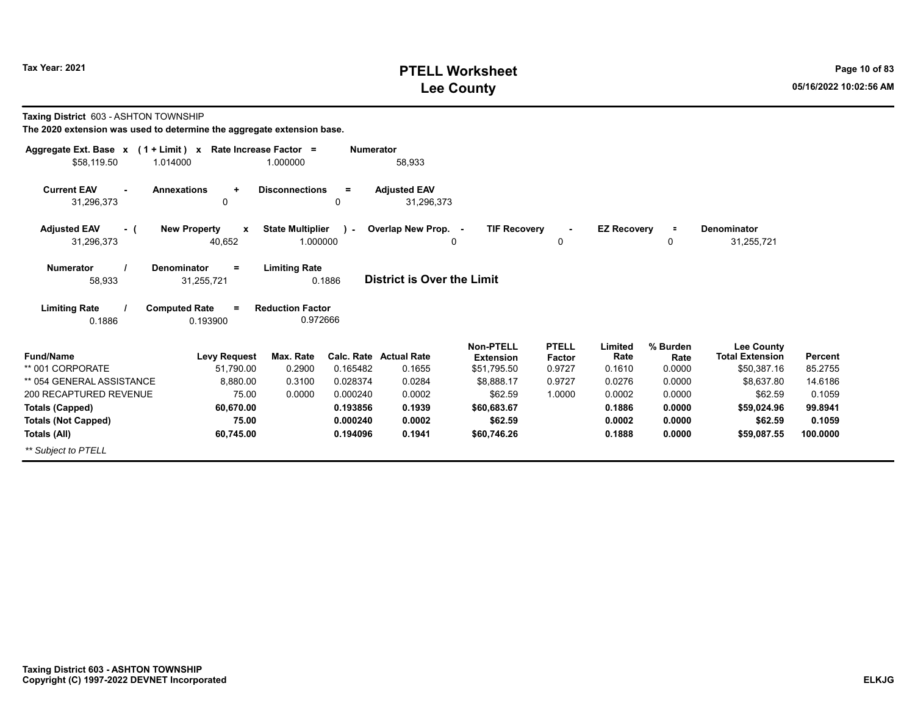# **PTELL Worksheet Tax Year: 2021 Page 10 of 83 Lee County 05/16/2022 10:02:56 AM**

**Taxing District** 603 - ASHTON TOWNSHIP

| Aggregate Ext. Base $x$ (1 + Limit) $x$    | Rate Increase Factor =                                             |                                                     | <b>Numerator</b>                  |                                      |                        |                    |                  |                                             |          |
|--------------------------------------------|--------------------------------------------------------------------|-----------------------------------------------------|-----------------------------------|--------------------------------------|------------------------|--------------------|------------------|---------------------------------------------|----------|
| \$58,119.50<br>1.014000                    | 1.000000                                                           |                                                     | 58,933                            |                                      |                        |                    |                  |                                             |          |
| <b>Current EAV</b><br>$\sim$<br>31,296,373 | <b>Annexations</b><br><b>Disconnections</b><br>٠<br>0              | $=$<br>0                                            | <b>Adjusted EAV</b><br>31,296,373 |                                      |                        |                    |                  |                                             |          |
| <b>Adjusted EAV</b><br>- (<br>31,296,373   | <b>New Property</b><br>$\mathbf{x}$<br>40,652                      | <b>State Multiplier</b><br>$\mathbf{r}$<br>1.000000 | Overlap New Prop. -               | <b>TIF Recovery</b><br>0             | $\blacksquare$<br>0    | <b>EZ Recovery</b> | п.<br>0          | <b>Denominator</b><br>31,255,721            |          |
| <b>Numerator</b><br>58,933                 | <b>Denominator</b><br><b>Limiting Rate</b><br>$=$<br>31,255,721    | 0.1886                                              | <b>District is Over the Limit</b> |                                      |                        |                    |                  |                                             |          |
| <b>Limiting Rate</b><br>0.1886             | <b>Computed Rate</b><br><b>Reduction Factor</b><br>$=$<br>0.193900 | 0.972666                                            |                                   |                                      |                        |                    |                  |                                             |          |
| <b>Fund/Name</b>                           | Max. Rate<br><b>Levy Request</b>                                   |                                                     | Calc. Rate Actual Rate            | <b>Non-PTELL</b><br><b>Extension</b> | <b>PTELL</b><br>Factor | Limited<br>Rate    | % Burden<br>Rate | <b>Lee County</b><br><b>Total Extension</b> | Percent  |
| ** 001 CORPORATE                           | 51,790.00                                                          | 0.2900<br>0.165482                                  | 0.1655                            | \$51,795.50                          | 0.9727                 | 0.1610             | 0.0000           | \$50,387.16                                 | 85.2755  |
| ** 054 GENERAL ASSISTANCE                  | 8,880.00                                                           | 0.3100<br>0.028374                                  | 0.0284                            | \$8.888.17                           | 0.9727                 | 0.0276             | 0.0000           | \$8.637.80                                  | 14.6186  |
| 200 RECAPTURED REVENUE                     | 75.00                                                              | 0.0000<br>0.000240                                  | 0.0002                            | \$62.59                              | 1.0000                 | 0.0002             | 0.0000           | \$62.59                                     | 0.1059   |
| <b>Totals (Capped)</b>                     | 60,670.00                                                          | 0.193856                                            | 0.1939                            | \$60,683.67                          |                        | 0.1886             | 0.0000           | \$59,024.96                                 | 99.8941  |
| <b>Totals (Not Capped)</b>                 | 75.00                                                              | 0.000240                                            | 0.0002                            | \$62.59                              |                        | 0.0002             | 0.0000           | \$62.59                                     | 0.1059   |
| Totals (All)                               | 60,745.00                                                          | 0.194096                                            | 0.1941                            | \$60,746.26                          |                        | 0.1888             | 0.0000           | \$59,087.55                                 | 100.0000 |
| ** Subiect to PTELL                        |                                                                    |                                                     |                                   |                                      |                        |                    |                  |                                             |          |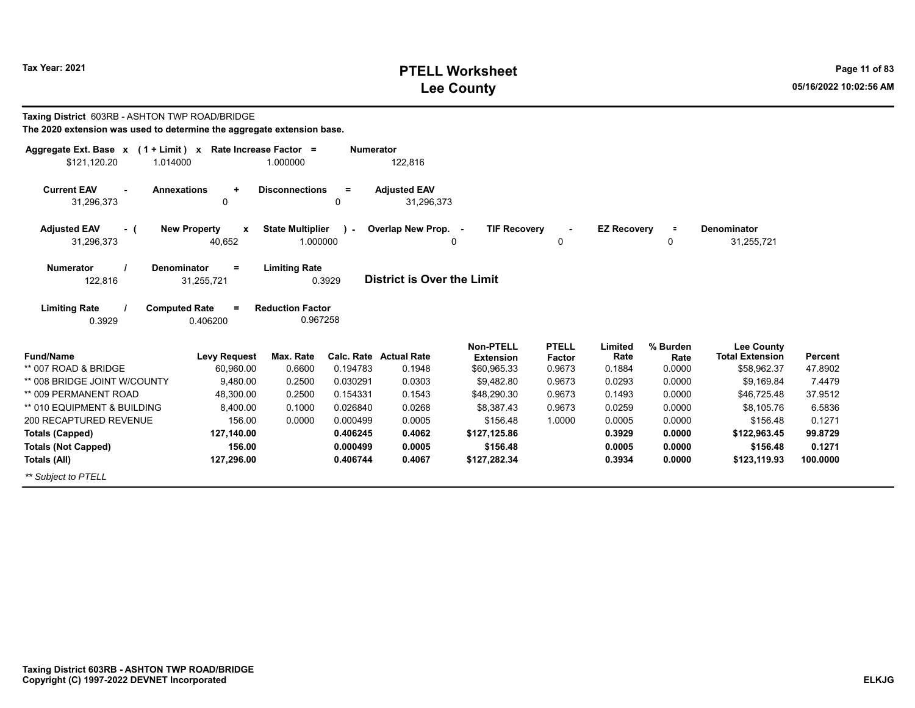# **PTELL Worksheet Tax Year: 2021 Page 11 of 83 Lee County 05/16/2022 10:02:56 AM**

| Taxing District 603RB - ASHTON TWP ROAD/BRIDGE<br>The 2020 extension was used to determine the aggregate extension base. |                                    |                                     |                  |                                         |                                                     |                                  |                           |                            |                                                            |                           |
|--------------------------------------------------------------------------------------------------------------------------|------------------------------------|-------------------------------------|------------------|-----------------------------------------|-----------------------------------------------------|----------------------------------|---------------------------|----------------------------|------------------------------------------------------------|---------------------------|
| Aggregate Ext. Base $x$ (1 + Limit) x Rate Increase Factor =<br>\$121.120.20<br>1.014000                                 |                                    | 1.000000                            | <b>Numerator</b> | 122,816                                 |                                                     |                                  |                           |                            |                                                            |                           |
| <b>Current EAV</b><br><b>Annexations</b><br>31,296,373                                                                   | $\ddot{}$<br>$\mathbf 0$           | <b>Disconnections</b>               | $=$<br>0         | <b>Adjusted EAV</b><br>31,296,373       |                                                     |                                  |                           |                            |                                                            |                           |
| <b>Adjusted EAV</b><br>- (<br>31,296,373                                                                                 | <b>New Property</b><br>X<br>40,652 | <b>State Multiplier</b><br>1.000000 | $\mathbf{I}$     | Overlap New Prop. -                     | <b>TIF Recovery</b><br>$\mathbf{0}$                 | $\mathbf 0$                      | <b>EZ Recovery</b>        | $\equiv$<br>$\mathbf 0$    | Denominator<br>31,255,721                                  |                           |
| <b>Numerator</b><br><b>Denominator</b><br>122,816                                                                        | $=$<br>31,255,721                  | <b>Limiting Rate</b>                | 0.3929           | District is Over the Limit              |                                                     |                                  |                           |                            |                                                            |                           |
| <b>Limiting Rate</b><br><b>Computed Rate</b><br>0.3929                                                                   | $\equiv$<br>0.406200               | <b>Reduction Factor</b><br>0.967258 |                  |                                         |                                                     |                                  |                           |                            |                                                            |                           |
| <b>Fund/Name</b><br>** 007 ROAD & BRIDGE                                                                                 | <b>Levy Request</b><br>60.960.00   | Max. Rate<br>0.6600                 | 0.194783         | <b>Calc. Rate Actual Rate</b><br>0.1948 | <b>Non-PTELL</b><br><b>Extension</b><br>\$60,965.33 | <b>PTELL</b><br>Factor<br>0.9673 | Limited<br>Rate<br>0.1884 | % Burden<br>Rate<br>0.0000 | <b>Lee County</b><br><b>Total Extension</b><br>\$58,962.37 | <b>Percent</b><br>47.8902 |
| ** 008 BRIDGE JOINT W/COUNTY                                                                                             | 9.480.00                           | 0.2500                              | 0.030291         | 0.0303                                  | \$9,482.80                                          | 0.9673                           | 0.0293                    | 0.0000                     | \$9,169.84                                                 | 7.4479                    |
| ** 009 PERMANENT ROAD                                                                                                    | 48,300.00                          | 0.2500                              | 0.154331         | 0.1543                                  | \$48,290.30                                         | 0.9673                           | 0.1493                    | 0.0000                     | \$46,725.48                                                | 37.9512                   |
| ** 010 EQUIPMENT & BUILDING                                                                                              | 8.400.00                           | 0.1000                              | 0.026840         | 0.0268                                  | \$8,387.43                                          | 0.9673                           | 0.0259                    | 0.0000                     | \$8,105.76                                                 | 6.5836                    |
| 200 RECAPTURED REVENUE                                                                                                   | 156.00                             | 0.0000                              | 0.000499         | 0.0005                                  | \$156.48                                            | 1.0000                           | 0.0005                    | 0.0000                     | \$156.48                                                   | 0.1271                    |
| <b>Totals (Capped)</b>                                                                                                   | 127,140.00                         |                                     | 0.406245         | 0.4062                                  | \$127,125.86                                        |                                  | 0.3929                    | 0.0000                     | \$122,963.45                                               | 99.8729                   |
| <b>Totals (Not Capped)</b>                                                                                               | 156.00                             |                                     | 0.000499         | 0.0005                                  | \$156.48                                            |                                  | 0.0005                    | 0.0000                     | \$156.48                                                   | 0.1271                    |
| <b>Totals (All)</b>                                                                                                      | 127.296.00                         |                                     | 0.406744         | 0.4067                                  | \$127.282.34                                        |                                  | 0.3934                    | 0.0000                     | \$123,119.93                                               | 100.0000                  |
| ** Subject to PTELL                                                                                                      |                                    |                                     |                  |                                         |                                                     |                                  |                           |                            |                                                            |                           |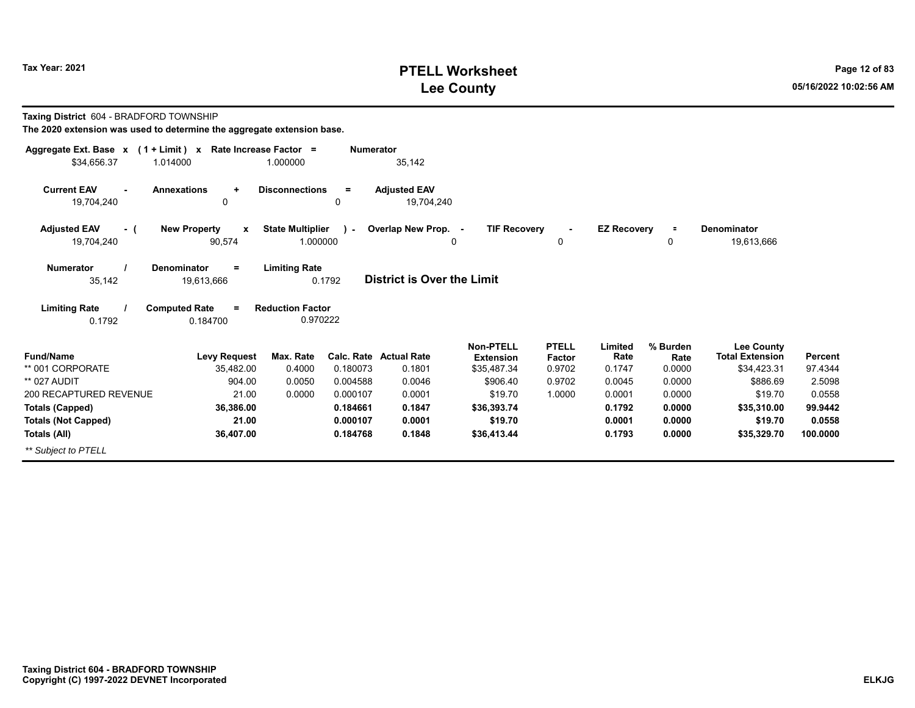# **PTELL Worksheet Tax Year: 2021 Page 12 of 83 Lee County 05/16/2022 10:02:56 AM**

**Taxing District** 604 - BRADFORD TOWNSHIP

| Aggregate Ext. Base x<br>$(1 + Limit)$ x | Rate Increase Factor =              |                         | <b>Numerator</b> |                                   |                                 |                  |                    |                |                                       |                    |
|------------------------------------------|-------------------------------------|-------------------------|------------------|-----------------------------------|---------------------------------|------------------|--------------------|----------------|---------------------------------------|--------------------|
| \$34,656.37<br>1.014000                  |                                     | 1.000000                |                  | 35,142                            |                                 |                  |                    |                |                                       |                    |
| <b>Current EAV</b>                       | <b>Annexations</b><br>$\ddot{}$     | <b>Disconnections</b>   | $=$              | <b>Adjusted EAV</b>               |                                 |                  |                    |                |                                       |                    |
| 19,704,240                               | 0                                   |                         | 0                | 19,704,240                        |                                 |                  |                    |                |                                       |                    |
| <b>Adjusted EAV</b><br>- (               | <b>New Property</b><br>$\mathbf{x}$ | <b>State Multiplier</b> | $\lambda$        | Overlap New Prop. -               | <b>TIF Recovery</b>             | $\blacksquare$   | <b>EZ Recovery</b> | $\equiv$       | <b>Denominator</b>                    |                    |
| 19,704,240                               | 90,574                              | 1.000000                |                  |                                   | $\mathbf{0}$                    | 0                |                    | 0              | 19,613,666                            |                    |
| <b>Numerator</b>                         | <b>Denominator</b><br>$=$           | <b>Limiting Rate</b>    |                  |                                   |                                 |                  |                    |                |                                       |                    |
| 35,142                                   | 19,613,666                          |                         | 0.1792           | <b>District is Over the Limit</b> |                                 |                  |                    |                |                                       |                    |
| <b>Limiting Rate</b>                     | <b>Computed Rate</b><br>$=$         | <b>Reduction Factor</b> |                  |                                   |                                 |                  |                    |                |                                       |                    |
| 0.1792                                   | 0.184700                            | 0.970222                |                  |                                   |                                 |                  |                    |                |                                       |                    |
|                                          |                                     |                         |                  |                                   | <b>Non-PTELL</b>                | <b>PTELL</b>     | Limited            | % Burden       | <b>Lee County</b>                     |                    |
| <b>Fund/Name</b><br>** 001 CORPORATE     | <b>Levy Request</b><br>35,482.00    | Max. Rate<br>0.4000     | 0.180073         | Calc. Rate Actual Rate<br>0.1801  | <b>Extension</b><br>\$35,487.34 | Factor<br>0.9702 | Rate<br>0.1747     | Rate<br>0.0000 | <b>Total Extension</b><br>\$34,423.31 | Percent<br>97.4344 |
| ** 027 AUDIT                             | 904.00                              | 0.0050                  | 0.004588         | 0.0046                            | \$906.40                        | 0.9702           | 0.0045             | 0.0000         | \$886.69                              | 2.5098             |
| 200 RECAPTURED REVENUE                   | 21.00                               | 0.0000                  | 0.000107         | 0.0001                            | \$19.70                         | 1.0000           | 0.0001             | 0.0000         | \$19.70                               | 0.0558             |
| <b>Totals (Capped)</b>                   | 36,386.00                           |                         | 0.184661         | 0.1847                            | \$36,393.74                     |                  | 0.1792             | 0.0000         | \$35,310.00                           | 99.9442            |
| <b>Totals (Not Capped)</b>               | 21.00                               |                         | 0.000107         | 0.0001                            | \$19.70                         |                  | 0.0001             | 0.0000         | \$19.70                               | 0.0558             |
| Totals (All)                             | 36,407.00                           |                         | 0.184768         | 0.1848                            | \$36,413.44                     |                  | 0.1793             | 0.0000         | \$35,329.70                           | 100.0000           |
| ** Subject to PTELL                      |                                     |                         |                  |                                   |                                 |                  |                    |                |                                       |                    |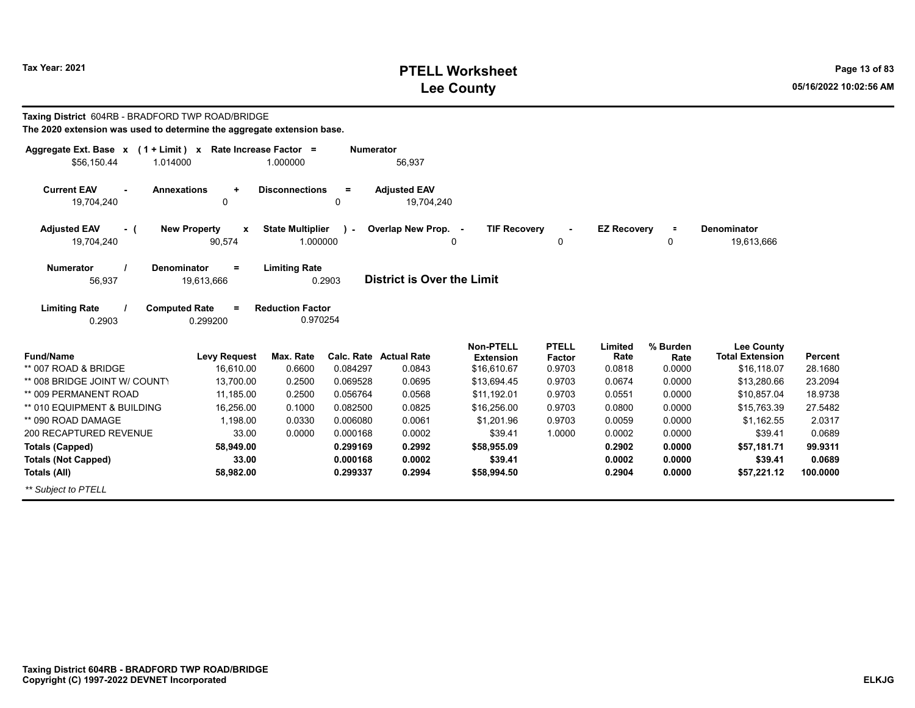# **PTELL Worksheet Tax Year: 2021 Page 13 of 83 Lee County 05/16/2022 10:02:56 AM**

| Taxing District 604RB - BRADFORD TWP ROAD/BRIDGE<br>The 2020 extension was used to determine the aggregate extension base. |                                                |                                     |                  |                                   |                                            |                        |                    |                  |                                             |                |
|----------------------------------------------------------------------------------------------------------------------------|------------------------------------------------|-------------------------------------|------------------|-----------------------------------|--------------------------------------------|------------------------|--------------------|------------------|---------------------------------------------|----------------|
| Aggregate Ext. Base $x$ (1 + Limit) x Rate Increase Factor =<br>\$56.150.44<br>1.014000                                    |                                                | 1.000000                            | <b>Numerator</b> | 56,937                            |                                            |                        |                    |                  |                                             |                |
| <b>Current EAV</b><br>19,704,240                                                                                           | <b>Annexations</b><br>$\ddot{}$<br>$\mathbf 0$ | <b>Disconnections</b>               | $=$<br>0         | <b>Adjusted EAV</b><br>19.704.240 |                                            |                        |                    |                  |                                             |                |
| <b>Adjusted EAV</b><br>- (<br>19.704.240                                                                                   | <b>New Property</b><br>X<br>90,574             | <b>State Multiplier</b><br>1.000000 | $\sim$           | Overlap New Prop.                 | <b>TIF Recovery</b><br>$\blacksquare$<br>0 | 0                      | <b>EZ Recovery</b> | $\equiv$<br>0    | <b>Denominator</b><br>19,613,666            |                |
| <b>Numerator</b><br>56,937                                                                                                 | <b>Denominator</b><br>$\equiv$<br>19,613,666   | <b>Limiting Rate</b>                | 0.2903           | District is Over the Limit        |                                            |                        |                    |                  |                                             |                |
| <b>Limiting Rate</b><br>0.2903                                                                                             | <b>Computed Rate</b><br>$\equiv$<br>0.299200   | <b>Reduction Factor</b><br>0.970254 |                  |                                   |                                            |                        |                    |                  |                                             |                |
| <b>Fund/Name</b>                                                                                                           | <b>Levy Request</b>                            | Max. Rate                           |                  | <b>Calc. Rate Actual Rate</b>     | <b>Non-PTELL</b><br><b>Extension</b>       | <b>PTELL</b><br>Factor | Limited<br>Rate    | % Burden<br>Rate | <b>Lee County</b><br><b>Total Extension</b> | <b>Percent</b> |
| ** 007 ROAD & BRIDGE                                                                                                       | 16,610.00                                      | 0.6600                              | 0.084297         | 0.0843                            | \$16,610.67                                | 0.9703                 | 0.0818             | 0.0000           | \$16,118.07                                 | 28.1680        |
| ** 008 BRIDGE JOINT W/ COUNTY                                                                                              | 13,700.00                                      | 0.2500                              | 0.069528         | 0.0695                            | \$13,694.45                                | 0.9703                 | 0.0674             | 0.0000           | \$13,280.66                                 | 23.2094        |
| ** 009 PERMANENT ROAD                                                                                                      | 11.185.00                                      | 0.2500                              | 0.056764         | 0.0568                            | \$11.192.01                                | 0.9703                 | 0.0551             | 0.0000           | \$10.857.04                                 | 18.9738        |
| ** 010 EQUIPMENT & BUILDING                                                                                                | 16.256.00                                      | 0.1000                              | 0.082500         | 0.0825                            | \$16,256.00                                | 0.9703                 | 0.0800             | 0.0000           | \$15,763.39                                 | 27.5482        |
| ** 090 ROAD DAMAGE                                                                                                         | 1.198.00                                       | 0.0330                              | 0.006080         | 0.0061                            | \$1.201.96                                 | 0.9703                 | 0.0059             | 0.0000           | \$1,162.55                                  | 2.0317         |
| 200 RECAPTURED REVENUE                                                                                                     | 33.00                                          | 0.0000                              | 0.000168         | 0.0002                            | \$39.41                                    | 1.0000                 | 0.0002             | 0.0000           | \$39.41                                     | 0.0689         |
| <b>Totals (Capped)</b>                                                                                                     | 58,949.00                                      |                                     | 0.299169         | 0.2992                            | \$58,955.09                                |                        | 0.2902             | 0.0000           | \$57,181.71                                 | 99.9311        |
| <b>Totals (Not Capped)</b>                                                                                                 | 33.00                                          |                                     | 0.000168         | 0.0002                            | \$39.41                                    |                        | 0.0002             | 0.0000           | \$39.41                                     | 0.0689         |
| Totals (All)                                                                                                               | 58,982.00                                      |                                     | 0.299337         | 0.2994                            | \$58,994.50                                |                        | 0.2904             | 0.0000           | \$57,221.12                                 | 100.0000       |
| ** Subject to PTELL                                                                                                        |                                                |                                     |                  |                                   |                                            |                        |                    |                  |                                             |                |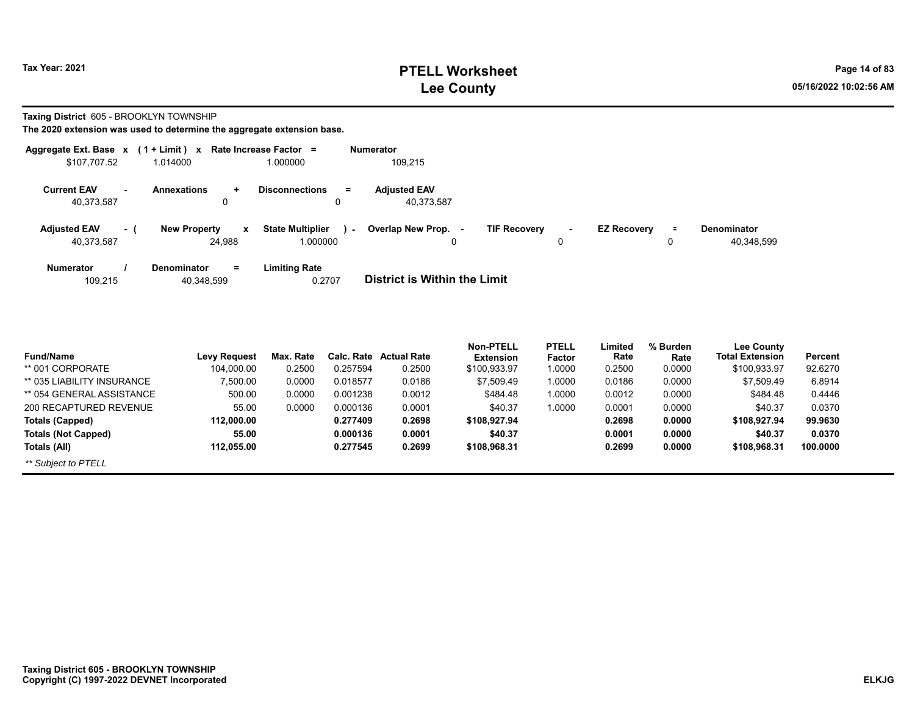# **PTELL Worksheet Tax Year: 2021 Page 14 of 83 Lee County 05/16/2022 10:02:56 AM**

**Taxing District** 605 - BROOKLYN TOWNSHIP

| Aggregate Ext. Base $x$ (1 + Limit) $x$ |     |                                              | Rate Increase Factor =                    | <b>Numerator</b>                                                                                                     |
|-----------------------------------------|-----|----------------------------------------------|-------------------------------------------|----------------------------------------------------------------------------------------------------------------------|
| \$107.707.52                            |     | 1.014000                                     | 1.000000                                  | 109.215                                                                                                              |
| <b>Current EAV</b><br>40.373.587        |     | <b>Annexations</b><br>÷<br>0                 | <b>Disconnections</b><br>$=$<br>0         | <b>Adiusted EAV</b><br>40.373.587                                                                                    |
| <b>Adjusted EAV</b><br>40,373,587       | - 1 | <b>New Property</b><br>x<br>24.988           | <b>State Multiplier</b><br>я.<br>1.000000 | Overlap New Prop. -<br><b>TIF Recovery</b><br><b>EZ Recovery</b><br><b>Denominator</b><br>Ξ.<br>40,348,599<br>0<br>0 |
| <b>Numerator</b><br>109,215             |     | $\equiv$<br><b>Denominator</b><br>40,348,599 | <b>Limiting Rate</b><br>0.2707            | <b>District is Within the Limit</b>                                                                                  |

| <b>Fund/Name</b>           | <b>Levy Request</b> | Max. Rate | Calc. Rate | <b>Actual Rate</b> | <b>Non-PTELL</b><br><b>Extension</b> | <b>PTELL</b><br>Factor | Limited<br>Rate | % Burden<br>Rate | <b>Lee County</b><br><b>Total Extension</b> | Percent  |
|----------------------------|---------------------|-----------|------------|--------------------|--------------------------------------|------------------------|-----------------|------------------|---------------------------------------------|----------|
| ** 001 CORPORATE           | 104,000.00          | 0.2500    | 0.257594   | 0.2500             | \$100,933.97                         | 1.0000                 | 0.2500          | 0.0000           | \$100,933.97                                | 92.6270  |
| ** 035 LIABILITY INSURANCE | 7.500.00            | 0.0000    | 0.018577   | 0.0186             | \$7,509.49                           | 1.0000                 | 0.0186          | 0.0000           | \$7,509.49                                  | 6.8914   |
| ** 054 GENERAL ASSISTANCE  | 500.00              | 0.0000    | 0.001238   | 0.0012             | \$484.48                             | 1.0000                 | 0.0012          | 0.0000           | \$484.48                                    | 0.4446   |
| 200 RECAPTURED REVENUE     | 55.00               | 0.0000    | 0.000136   | 0.0001             | \$40.37                              | 1.0000                 | 0.0001          | 0.0000           | \$40.37                                     | 0.0370   |
| Totals (Capped)            | 112.000.00          |           | 0.277409   | 0.2698             | \$108.927.94                         |                        | 0.2698          | 0.0000           | \$108.927.94                                | 99.9630  |
| <b>Totals (Not Capped)</b> | 55.00               |           | 0.000136   | 0.0001             | \$40.37                              |                        | 0.0001          | 0.0000           | \$40.37                                     | 0.0370   |
| Totals (All)               | 112.055.00          |           | 0.277545   | 0.2699             | \$108,968.31                         |                        | 0.2699          | 0.0000           | \$108,968.31                                | 100.0000 |
| ** Subject to PTELL        |                     |           |            |                    |                                      |                        |                 |                  |                                             |          |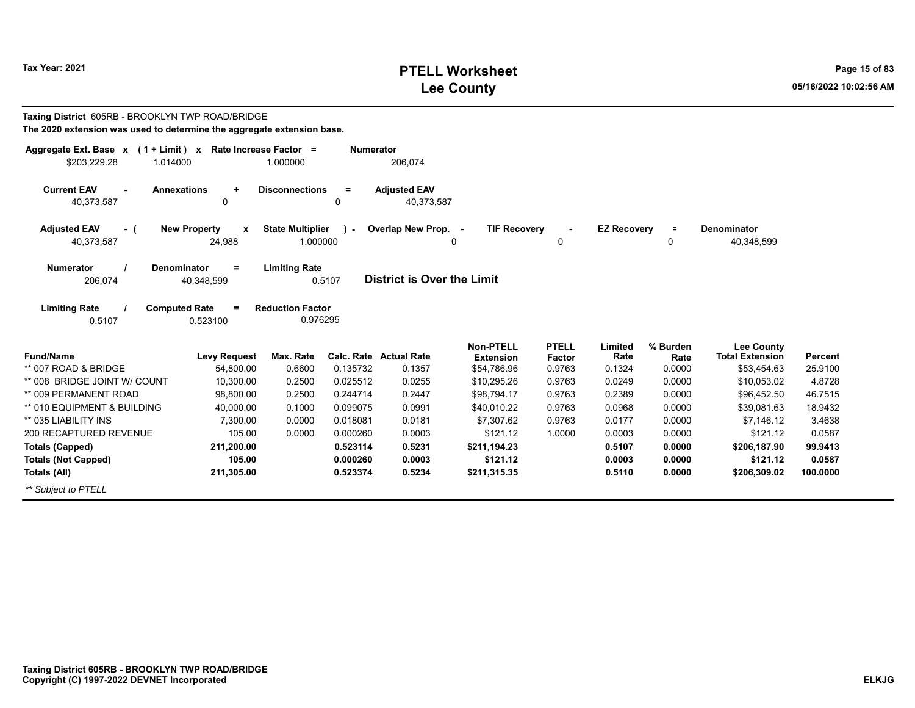# **PTELL Worksheet Tax Year: 2021 Page 15 of 83 Lee County 05/16/2022 10:02:56 AM**

| Taxing District 605RB - BROOKLYN TWP ROAD/BRIDGE<br>The 2020 extension was used to determine the aggregate extension base. |                                              |                                     |                      |                                   |                                      |                               |                    |                  |                                             |                   |
|----------------------------------------------------------------------------------------------------------------------------|----------------------------------------------|-------------------------------------|----------------------|-----------------------------------|--------------------------------------|-------------------------------|--------------------|------------------|---------------------------------------------|-------------------|
| Aggregate Ext. Base x (1 + Limit) x Rate Increase Factor =<br>\$203,229.28<br>1.014000                                     |                                              | 1.000000                            | <b>Numerator</b>     | 206,074                           |                                      |                               |                    |                  |                                             |                   |
| <b>Current EAV</b><br><b>Annexations</b><br>40,373,587                                                                     | $\ddot{}$<br>0                               | <b>Disconnections</b>               | $\equiv$<br>0        | <b>Adjusted EAV</b><br>40,373,587 |                                      |                               |                    |                  |                                             |                   |
| <b>Adjusted EAV</b><br>- (<br>40,373,587                                                                                   | <b>New Property</b><br>X<br>24,988           | <b>State Multiplier</b><br>1.000000 | $\mathbf{I}$         | Overlap New Prop. -               | <b>TIF Recovery</b><br>0             | 0                             | <b>EZ Recovery</b> | $\equiv$<br>0    | Denominator<br>40,348,599                   |                   |
| <b>Numerator</b><br>206,074                                                                                                | <b>Denominator</b><br>$=$<br>40,348,599      | <b>Limiting Rate</b>                | 0.5107               | <b>District is Over the Limit</b> |                                      |                               |                    |                  |                                             |                   |
| <b>Limiting Rate</b><br>0.5107                                                                                             | <b>Computed Rate</b><br>$\equiv$<br>0.523100 | <b>Reduction Factor</b><br>0.976295 |                      |                                   |                                      |                               |                    |                  |                                             |                   |
| <b>Fund/Name</b>                                                                                                           | <b>Levy Request</b>                          | Max. Rate                           |                      | <b>Calc. Rate Actual Rate</b>     | <b>Non-PTELL</b><br><b>Extension</b> | <b>PTELL</b><br><b>Factor</b> | Limited<br>Rate    | % Burden<br>Rate | <b>Lee County</b><br><b>Total Extension</b> | <b>Percent</b>    |
| ** 007 ROAD & BRIDGE<br>** 008 BRIDGE JOINT W/ COUNT                                                                       | 54,800.00<br>10,300.00                       | 0.6600<br>0.2500                    | 0.135732<br>0.025512 | 0.1357<br>0.0255                  | \$54,786.96<br>\$10,295.26           | 0.9763<br>0.9763              | 0.1324<br>0.0249   | 0.0000<br>0.0000 | \$53,454.63<br>\$10,053.02                  | 25.9100<br>4.8728 |
| ** 009 PERMANENT ROAD                                                                                                      | 98,800.00                                    | 0.2500                              | 0.244714             | 0.2447                            | \$98,794.17                          | 0.9763                        | 0.2389             | 0.0000           | \$96,452.50                                 | 46.7515           |
| ** 010 EQUIPMENT & BUILDING                                                                                                | 40,000.00                                    | 0.1000                              | 0.099075             | 0.0991                            | \$40,010.22                          | 0.9763                        | 0.0968             | 0.0000           | \$39,081.63                                 | 18.9432           |
| ** 035 LIABILITY INS                                                                                                       | 7,300.00                                     | 0.0000                              | 0.018081             | 0.0181                            | \$7,307.62                           | 0.9763                        | 0.0177             | 0.0000           | \$7,146.12                                  | 3.4638            |
| 200 RECAPTURED REVENUE                                                                                                     | 105.00                                       | 0.0000                              | 0.000260             | 0.0003                            | \$121.12                             | 1.0000                        | 0.0003             | 0.0000           | \$121.12                                    | 0.0587            |
| <b>Totals (Capped)</b>                                                                                                     | 211,200.00                                   |                                     | 0.523114             | 0.5231                            | \$211,194.23                         |                               | 0.5107             | 0.0000           | \$206,187.90                                | 99.9413           |
| <b>Totals (Not Capped)</b>                                                                                                 | 105.00                                       |                                     | 0.000260             | 0.0003                            | \$121.12                             |                               | 0.0003             | 0.0000           | \$121.12                                    | 0.0587            |
| Totals (All)                                                                                                               | 211,305.00                                   |                                     | 0.523374             | 0.5234                            | \$211,315.35                         |                               | 0.5110             | 0.0000           | \$206,309.02                                | 100.0000          |
| ** Subject to PTELL                                                                                                        |                                              |                                     |                      |                                   |                                      |                               |                    |                  |                                             |                   |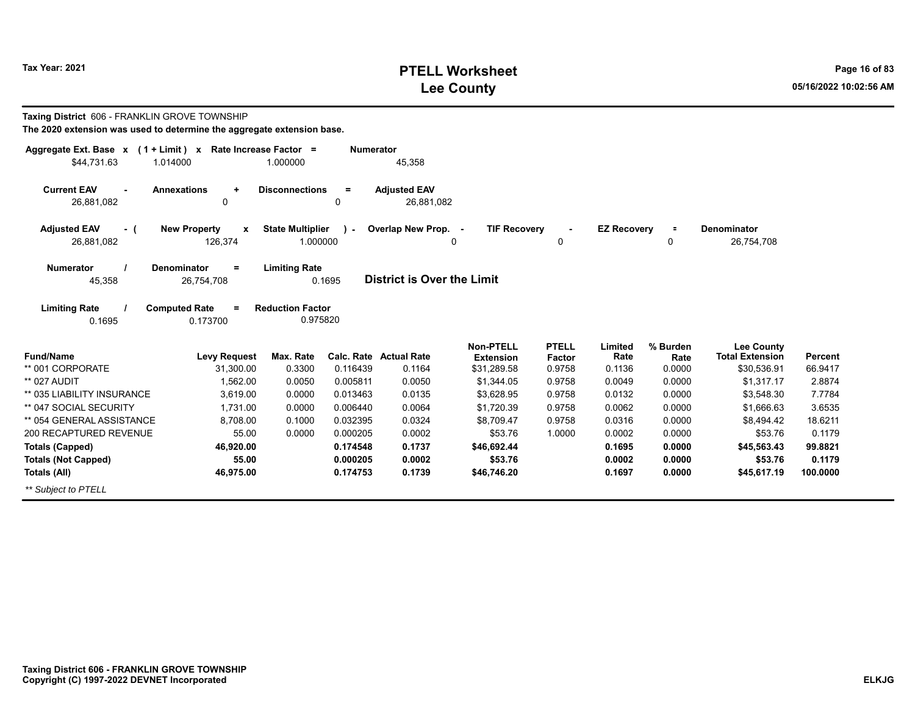# **PTELL Worksheet Tax Year: 2021 Page 16 of 83 Lee County 05/16/2022 10:02:56 AM**

| Taxing District 606 - FRANKLIN GROVE TOWNSHIP<br>The 2020 extension was used to determine the aggregate extension base. |                                                    |                                     |                  |                                         |                                                     |                                  |                           |                            |                                                            |                           |
|-------------------------------------------------------------------------------------------------------------------------|----------------------------------------------------|-------------------------------------|------------------|-----------------------------------------|-----------------------------------------------------|----------------------------------|---------------------------|----------------------------|------------------------------------------------------------|---------------------------|
| Aggregate Ext. Base $x$ (1 + Limit) x Rate Increase Factor =<br>\$44,731.63                                             | 1.014000                                           | 1.000000                            | <b>Numerator</b> | 45,358                                  |                                                     |                                  |                           |                            |                                                            |                           |
| <b>Current EAV</b><br>26,881,082                                                                                        | <b>Annexations</b><br>$\ddot{}$<br>0               | <b>Disconnections</b>               | $=$<br>0         | <b>Adjusted EAV</b><br>26,881,082       |                                                     |                                  |                           |                            |                                                            |                           |
| <b>Adjusted EAV</b><br>- (<br>26,881,082                                                                                | <b>New Property</b><br>$\boldsymbol{x}$<br>126,374 | <b>State Multiplier</b><br>1.000000 | $\mathbf{I}$     | Overlap New Prop. -<br>0                | <b>TIF Recovery</b>                                 | 0                                | <b>EZ Recovery</b>        | $\equiv$<br>0              | Denominator<br>26,754,708                                  |                           |
| <b>Numerator</b><br>45,358                                                                                              | <b>Denominator</b><br>$\equiv$<br>26,754,708       | <b>Limiting Rate</b>                | 0.1695           | <b>District is Over the Limit</b>       |                                                     |                                  |                           |                            |                                                            |                           |
| <b>Limiting Rate</b><br>0.1695                                                                                          | <b>Computed Rate</b><br>$=$<br>0.173700            | <b>Reduction Factor</b><br>0.975820 |                  |                                         |                                                     |                                  |                           |                            |                                                            |                           |
| <b>Fund/Name</b><br>** 001 CORPORATE                                                                                    | <b>Levy Request</b><br>31,300.00                   | Max. Rate<br>0.3300                 | 0.116439         | <b>Calc. Rate Actual Rate</b><br>0.1164 | <b>Non-PTELL</b><br><b>Extension</b><br>\$31,289.58 | <b>PTELL</b><br>Factor<br>0.9758 | Limited<br>Rate<br>0.1136 | % Burden<br>Rate<br>0.0000 | <b>Lee County</b><br><b>Total Extension</b><br>\$30,536.91 | <b>Percent</b><br>66.9417 |
| ** 027 AUDIT                                                                                                            | 1.562.00                                           | 0.0050                              | 0.005811         | 0.0050                                  | \$1,344.05                                          | 0.9758                           | 0.0049                    | 0.0000                     | \$1.317.17                                                 | 2.8874                    |
| ** 035 LIABILITY INSURANCE                                                                                              | 3,619.00                                           | 0.0000                              | 0.013463         | 0.0135                                  | \$3,628.95                                          | 0.9758                           | 0.0132                    | 0.0000                     | \$3,548.30                                                 | 7.7784                    |
| ** 047 SOCIAL SECURITY                                                                                                  | 1.731.00                                           | 0.0000                              | 0.006440         | 0.0064                                  | \$1,720.39                                          | 0.9758                           | 0.0062                    | 0.0000                     | \$1,666.63                                                 | 3.6535                    |
| ** 054 GENERAL ASSISTANCE                                                                                               | 8,708.00                                           | 0.1000                              | 0.032395         | 0.0324                                  | \$8.709.47                                          | 0.9758                           | 0.0316                    | 0.0000                     | \$8,494.42                                                 | 18.6211                   |
| 200 RECAPTURED REVENUE                                                                                                  | 55.00                                              | 0.0000                              | 0.000205         | 0.0002                                  | \$53.76                                             | 1.0000                           | 0.0002                    | 0.0000                     | \$53.76                                                    | 0.1179                    |
| <b>Totals (Capped)</b>                                                                                                  | 46,920.00                                          |                                     | 0.174548         | 0.1737                                  | \$46,692.44                                         |                                  | 0.1695                    | 0.0000                     | \$45,563.43                                                | 99.8821                   |
| <b>Totals (Not Capped)</b>                                                                                              | 55.00                                              |                                     | 0.000205         | 0.0002                                  | \$53.76                                             |                                  | 0.0002                    | 0.0000                     | \$53.76                                                    | 0.1179                    |
| <b>Totals (All)</b>                                                                                                     | 46,975.00                                          |                                     | 0.174753         | 0.1739                                  | \$46,746.20                                         |                                  | 0.1697                    | 0.0000                     | \$45,617.19                                                | 100.0000                  |
| ** Subject to PTELL                                                                                                     |                                                    |                                     |                  |                                         |                                                     |                                  |                           |                            |                                                            |                           |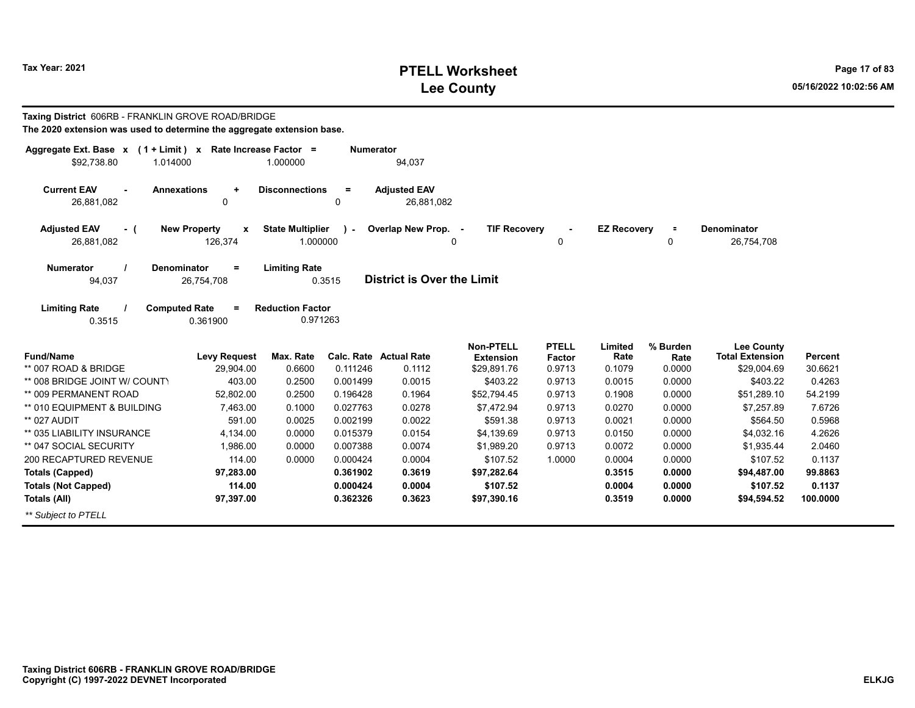# **PTELL Worksheet Tax Year: 2021 Page 17 of 83 Lee County 05/16/2022 10:02:56 AM**

| Taxing District 606RB - FRANKLIN GROVE ROAD/BRIDGE<br>The 2020 extension was used to determine the aggregate extension base. |                                              |                                     |                      |                                   |                                      |                        |                    |                  |                                             |                  |
|------------------------------------------------------------------------------------------------------------------------------|----------------------------------------------|-------------------------------------|----------------------|-----------------------------------|--------------------------------------|------------------------|--------------------|------------------|---------------------------------------------|------------------|
| Aggregate Ext. Base $x$ (1 + Limit) x Rate Increase Factor =<br>\$92,738.80<br>1.014000                                      |                                              | 1.000000                            | <b>Numerator</b>     | 94,037                            |                                      |                        |                    |                  |                                             |                  |
| <b>Current EAV</b><br>26,881,082                                                                                             | <b>Annexations</b><br>$\ddot{}$<br>0         | <b>Disconnections</b>               | $=$<br>0             | <b>Adjusted EAV</b><br>26,881,082 |                                      |                        |                    |                  |                                             |                  |
| <b>Adjusted EAV</b><br>- (<br>26,881,082                                                                                     | <b>New Property</b><br>X<br>126,374          | <b>State Multiplier</b><br>1.000000 | $\mathbf{r}$         | Overlap New Prop. -               | <b>TIF Recovery</b><br>0             | 0                      | <b>EZ Recovery</b> | $\equiv$<br>0    | <b>Denominator</b><br>26,754,708            |                  |
| <b>Numerator</b><br>94,037                                                                                                   | <b>Denominator</b><br>$\equiv$<br>26,754,708 | <b>Limiting Rate</b>                | 0.3515               | <b>District is Over the Limit</b> |                                      |                        |                    |                  |                                             |                  |
| <b>Limiting Rate</b><br>0.3515                                                                                               | <b>Computed Rate</b><br>$=$<br>0.361900      | <b>Reduction Factor</b><br>0.971263 |                      |                                   |                                      |                        |                    |                  |                                             |                  |
| <b>Fund/Name</b>                                                                                                             | <b>Levy Request</b>                          | Max. Rate                           |                      | <b>Calc. Rate Actual Rate</b>     | <b>Non-PTELL</b><br><b>Extension</b> | <b>PTELL</b><br>Factor | Limited<br>Rate    | % Burden<br>Rate | <b>Lee County</b><br><b>Total Extension</b> | <b>Percent</b>   |
| ** 007 ROAD & BRIDGE                                                                                                         | 29,904.00                                    | 0.6600                              | 0.111246             | 0.1112                            | \$29,891.76                          | 0.9713                 | 0.1079             | 0.0000           | \$29,004.69                                 | 30.6621          |
| ** 008 BRIDGE JOINT W/ COUNTY                                                                                                | 403.00                                       | 0.2500                              | 0.001499             | 0.0015                            | \$403.22                             | 0.9713                 | 0.0015             | 0.0000           | \$403.22                                    | 0.4263           |
| ** 009 PERMANENT ROAD                                                                                                        | 52,802.00                                    | 0.2500                              | 0.196428             | 0.1964                            | \$52,794.45                          | 0.9713                 | 0.1908             | 0.0000           | \$51,289.10                                 | 54.2199          |
| ** 010 EQUIPMENT & BUILDING                                                                                                  | 7,463.00                                     | 0.1000                              | 0.027763             | 0.0278                            | \$7,472.94                           | 0.9713                 | 0.0270             | 0.0000           | \$7,257.89                                  | 7.6726           |
| ** 027 AUDIT                                                                                                                 | 591.00                                       | 0.0025                              | 0.002199             | 0.0022                            | \$591.38                             | 0.9713                 | 0.0021             | 0.0000           | \$564.50                                    | 0.5968           |
| ** 035 LIABILITY INSURANCE                                                                                                   | 4.134.00                                     | 0.0000                              | 0.015379             | 0.0154                            | \$4,139.69                           | 0.9713                 | 0.0150             | 0.0000           | \$4,032.16                                  | 4.2626           |
| ** 047 SOCIAL SECURITY<br>200 RECAPTURED REVENUE                                                                             | 1,986.00<br>114.00                           | 0.0000<br>0.0000                    | 0.007388<br>0.000424 | 0.0074<br>0.0004                  | \$1,989.20<br>\$107.52               | 0.9713<br>1.0000       | 0.0072<br>0.0004   | 0.0000<br>0.0000 | \$1,935.44<br>\$107.52                      | 2.0460<br>0.1137 |
| <b>Totals (Capped)</b>                                                                                                       | 97,283.00                                    |                                     | 0.361902             | 0.3619                            | \$97,282.64                          |                        | 0.3515             | 0.0000           | \$94,487.00                                 | 99.8863          |
| <b>Totals (Not Capped)</b>                                                                                                   | 114.00                                       |                                     | 0.000424             | 0.0004                            | \$107.52                             |                        | 0.0004             | 0.0000           | \$107.52                                    | 0.1137           |
| Totals (All)                                                                                                                 | 97,397.00                                    |                                     | 0.362326             | 0.3623                            | \$97,390.16                          |                        | 0.3519             | 0.0000           | \$94,594.52                                 | 100.0000         |
| ** Subject to PTELL                                                                                                          |                                              |                                     |                      |                                   |                                      |                        |                    |                  |                                             |                  |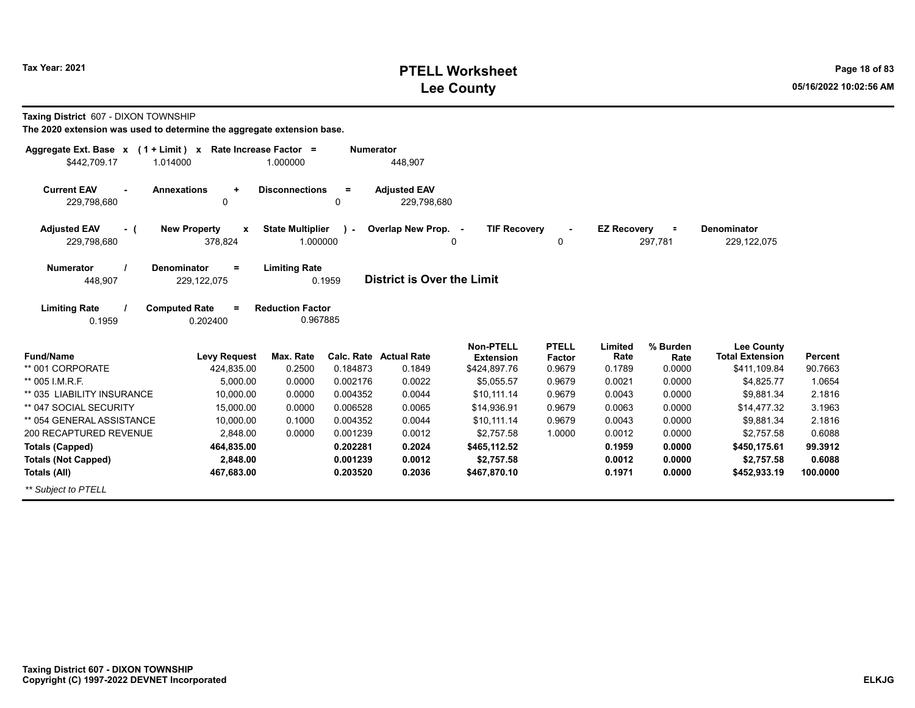# **PTELL Worksheet Tax Year: 2021 Page 18 of 83 Lee County 05/16/2022 10:02:56 AM**

**Taxing District** 607 - DIXON TOWNSHIP

| Aggregate Ext. Base $x$ (1 + Limit) $x$                                                                                     | Rate Increase Factor =                                                  |                                                   | <b>Numerator</b>                                           |                                                            |                                                                                                  |                                                                       |                                                         |                                                          |                                                                                                        |                                                   |
|-----------------------------------------------------------------------------------------------------------------------------|-------------------------------------------------------------------------|---------------------------------------------------|------------------------------------------------------------|------------------------------------------------------------|--------------------------------------------------------------------------------------------------|-----------------------------------------------------------------------|---------------------------------------------------------|----------------------------------------------------------|--------------------------------------------------------------------------------------------------------|---------------------------------------------------|
| \$442,709.17                                                                                                                | 1.014000                                                                | 1.000000                                          |                                                            | 448,907                                                    |                                                                                                  |                                                                       |                                                         |                                                          |                                                                                                        |                                                   |
| <b>Current EAV</b><br>229,798,680                                                                                           | <b>Annexations</b><br>$\ddot{}$<br>0                                    | <b>Disconnections</b>                             | $=$<br>0                                                   | <b>Adjusted EAV</b><br>229.798.680                         |                                                                                                  |                                                                       |                                                         |                                                          |                                                                                                        |                                                   |
| <b>Adjusted EAV</b><br>- (<br>229,798,680                                                                                   | <b>New Property</b><br>$\mathbf{x}$<br>378,824                          | <b>State Multiplier</b><br>1.000000               | $\mathbf{r}$                                               | Overlap New Prop. -                                        | <b>TIF Recovery</b><br>0                                                                         | $\Omega$                                                              | <b>EZ Recovery</b>                                      | $\equiv$<br>297,781                                      | <b>Denominator</b><br>229,122,075                                                                      |                                                   |
| <b>Numerator</b><br>448,907                                                                                                 | <b>Denominator</b><br>$=$<br>229,122,075                                | <b>Limiting Rate</b>                              | 0.1959                                                     | <b>District is Over the Limit</b>                          |                                                                                                  |                                                                       |                                                         |                                                          |                                                                                                        |                                                   |
| <b>Limiting Rate</b><br>0.1959                                                                                              | <b>Computed Rate</b><br>$=$<br>0.202400                                 | <b>Reduction Factor</b><br>0.967885               |                                                            |                                                            |                                                                                                  |                                                                       |                                                         |                                                          |                                                                                                        |                                                   |
| <b>Fund/Name</b><br>** 001 CORPORATE<br>** 005 I.M.R.F.<br>** 035 LIABILITY INSURANCE<br>** 047 SOCIAL SECURITY             | <b>Levy Request</b><br>424,835.00<br>5,000.00<br>10,000.00<br>15,000.00 | Max. Rate<br>0.2500<br>0.0000<br>0.0000<br>0.0000 | Calc. Rate<br>0.184873<br>0.002176<br>0.004352<br>0.006528 | <b>Actual Rate</b><br>0.1849<br>0.0022<br>0.0044<br>0.0065 | <b>Non-PTELL</b><br><b>Extension</b><br>\$424,897.76<br>\$5,055.57<br>\$10,111.14<br>\$14,936.91 | <b>PTELL</b><br><b>Factor</b><br>0.9679<br>0.9679<br>0.9679<br>0.9679 | Limited<br>Rate<br>0.1789<br>0.0021<br>0.0043<br>0.0063 | % Burden<br>Rate<br>0.0000<br>0.0000<br>0.0000<br>0.0000 | <b>Lee County</b><br><b>Total Extension</b><br>\$411,109.84<br>\$4,825.77<br>\$9,881.34<br>\$14,477.32 | Percent<br>90.7663<br>1.0654<br>2.1816<br>3.1963  |
| ** 054 GENERAL ASSISTANCE<br>200 RECAPTURED REVENUE<br><b>Totals (Capped)</b><br><b>Totals (Not Capped)</b><br>Totals (All) | 10,000.00<br>2,848.00<br>464,835.00<br>2,848.00<br>467,683.00           | 0.1000<br>0.0000                                  | 0.004352<br>0.001239<br>0.202281<br>0.001239<br>0.203520   | 0.0044<br>0.0012<br>0.2024<br>0.0012<br>0.2036             | \$10,111.14<br>\$2,757.58<br>\$465,112.52<br>\$2,757.58<br>\$467,870.10                          | 0.9679<br>1.0000                                                      | 0.0043<br>0.0012<br>0.1959<br>0.0012<br>0.1971          | 0.0000<br>0.0000<br>0.0000<br>0.0000<br>0.0000           | \$9,881.34<br>\$2,757.58<br>\$450,175.61<br>\$2,757.58<br>\$452,933.19                                 | 2.1816<br>0.6088<br>99.3912<br>0.6088<br>100.0000 |
| ** Subject to PTELL                                                                                                         |                                                                         |                                                   |                                                            |                                                            |                                                                                                  |                                                                       |                                                         |                                                          |                                                                                                        |                                                   |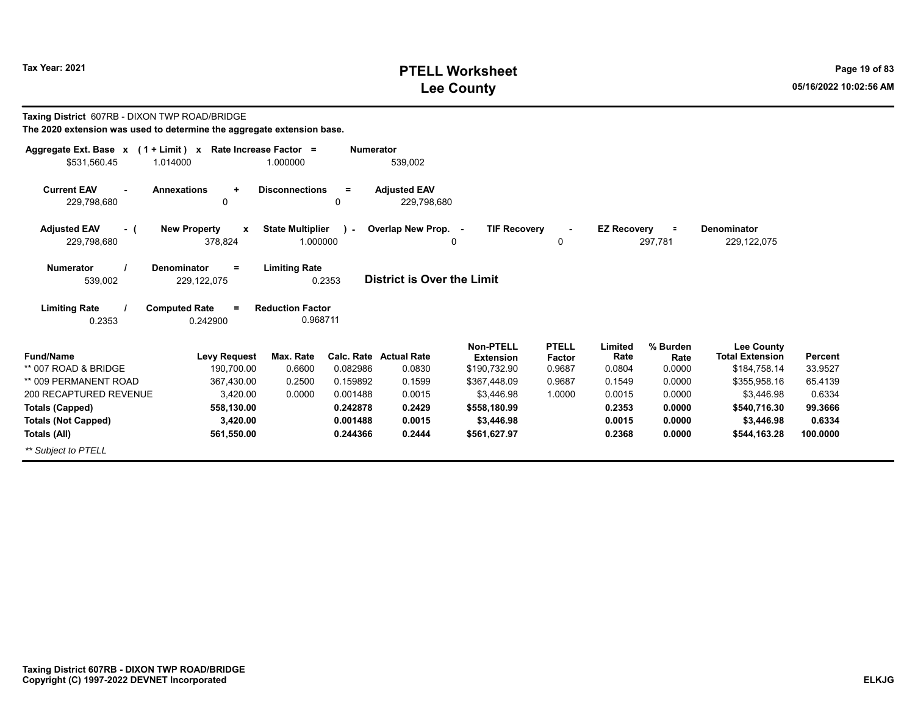# **PTELL Worksheet Tax Year: 2021 Page 19 of 83 Lee County 05/16/2022 10:02:56 AM**

| Taxing District 607RB - DIXON TWP ROAD/BRIDGE<br>The 2020 extension was used to determine the aggregate extension base. |                                                             |                                     |                  |                                         |                                                      |                                         |                           |                            |                                                             |                           |
|-------------------------------------------------------------------------------------------------------------------------|-------------------------------------------------------------|-------------------------------------|------------------|-----------------------------------------|------------------------------------------------------|-----------------------------------------|---------------------------|----------------------------|-------------------------------------------------------------|---------------------------|
| Aggregate Ext. Base $x$ (1 + Limit) x Rate Increase Factor =<br>\$531,560.45                                            | 1.014000                                                    | 1.000000                            | <b>Numerator</b> | 539,002                                 |                                                      |                                         |                           |                            |                                                             |                           |
| <b>Current EAV</b><br>229,798,680                                                                                       | <b>Annexations</b><br>$\ddot{}$<br>0                        | <b>Disconnections</b>               | $=$<br>0         | <b>Adjusted EAV</b><br>229,798,680      |                                                      |                                         |                           |                            |                                                             |                           |
| <b>Adjusted EAV</b><br>- (<br>229.798.680                                                                               | <b>New Property</b><br>$\boldsymbol{\mathsf{x}}$<br>378,824 | <b>State Multiplier</b><br>1.000000 | $\mathbf{I}$     | Overlap New Prop. -                     | <b>TIF Recovery</b><br>$\Omega$                      | $\Omega$                                | <b>EZ Recovery</b>        | $\equiv$<br>297.781        | <b>Denominator</b><br>229,122,075                           |                           |
| <b>Numerator</b><br>539,002                                                                                             | Denominator<br>$=$<br>229,122,075                           | <b>Limiting Rate</b>                | 0.2353           | <b>District is Over the Limit</b>       |                                                      |                                         |                           |                            |                                                             |                           |
| <b>Limiting Rate</b>                                                                                                    | <b>Computed Rate</b><br>$\equiv$                            | <b>Reduction Factor</b>             |                  |                                         |                                                      |                                         |                           |                            |                                                             |                           |
| 0.2353                                                                                                                  | 0.242900                                                    | 0.968711                            |                  |                                         |                                                      |                                         |                           |                            |                                                             |                           |
| <b>Fund/Name</b><br>** 007 ROAD & BRIDGE                                                                                | <b>Levy Request</b><br>190.700.00                           | Max. Rate<br>0.6600                 | 0.082986         | <b>Calc. Rate Actual Rate</b><br>0.0830 | <b>Non-PTELL</b><br><b>Extension</b><br>\$190,732.90 | <b>PTELL</b><br><b>Factor</b><br>0.9687 | Limited<br>Rate<br>0.0804 | % Burden<br>Rate<br>0.0000 | <b>Lee County</b><br><b>Total Extension</b><br>\$184,758.14 | <b>Percent</b><br>33.9527 |
| ** 009 PERMANENT ROAD                                                                                                   | 367,430.00                                                  | 0.2500                              | 0.159892         | 0.1599                                  | \$367,448.09                                         | 0.9687                                  | 0.1549                    | 0.0000                     | \$355,958.16                                                | 65.4139                   |
| 200 RECAPTURED REVENUE                                                                                                  | 3,420.00                                                    | 0.0000                              | 0.001488         | 0.0015                                  | \$3.446.98                                           | 1.0000                                  | 0.0015                    | 0.0000                     | \$3,446.98                                                  | 0.6334                    |
| <b>Totals (Capped)</b>                                                                                                  | 558,130.00                                                  |                                     | 0.242878         | 0.2429                                  | \$558,180.99                                         |                                         | 0.2353                    | 0.0000                     | \$540,716.30                                                | 99.3666                   |
| <b>Totals (Not Capped)</b>                                                                                              | 3,420.00                                                    |                                     | 0.001488         | 0.0015                                  | \$3,446.98                                           |                                         | 0.0015                    | 0.0000                     | \$3,446.98                                                  | 0.6334                    |
| Totals (All)                                                                                                            | 561,550.00                                                  |                                     | 0.244366         | 0.2444                                  | \$561,627.97                                         |                                         | 0.2368                    | 0.0000                     | \$544,163.28                                                | 100.0000                  |
| ** Subject to PTELL                                                                                                     |                                                             |                                     |                  |                                         |                                                      |                                         |                           |                            |                                                             |                           |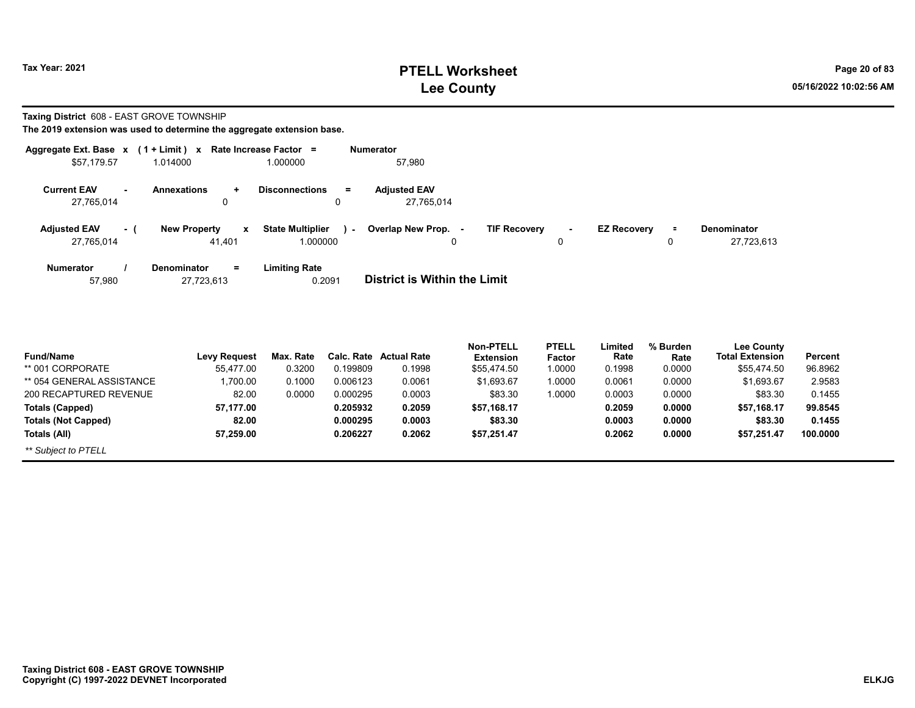# **PTELL Worksheet Tax Year: 2021 Page 20 of 83 Lee County 05/16/2022 10:02:56 AM**

**Taxing District** 608 - EAST GROVE TOWNSHIP

| Aggregate Ext. Base x             |          | $(1 + Limit)$ x                               | Rate Increase Factor =                      | <b>Numerator</b>                                                                                                                     |
|-----------------------------------|----------|-----------------------------------------------|---------------------------------------------|--------------------------------------------------------------------------------------------------------------------------------------|
| \$57,179.57                       |          | 1.014000                                      | 1.000000                                    | 57.980                                                                                                                               |
| <b>Current EAV</b><br>27,765,014  | $\sim$   | <b>Annexations</b><br>÷<br>0                  | <b>Disconnections</b><br>$=$<br>0           | <b>Adjusted EAV</b><br>27,765,014                                                                                                    |
| <b>Adjusted EAV</b><br>27,765,014 | $\sim$ 1 | <b>New Property</b><br>$\mathbf{x}$<br>41.401 | <b>State Multiplier</b><br>ra l<br>1.000000 | Overlap New Prop. -<br><b>TIF Recovery</b><br><b>EZ Recovery</b><br><b>Denominator</b><br>$\equiv$<br>$\sim$<br>27,723,613<br>0<br>0 |
| <b>Numerator</b><br>57.980        |          | <b>Denominator</b><br>$=$<br>27,723,613       | <b>Limiting Rate</b><br>0.2091              | District is Within the Limit                                                                                                         |

| <b>Fund/Name</b>           | <b>Levy Request</b> | Max. Rate |          | Calc. Rate Actual Rate | <b>Non-PTELL</b><br><b>Extension</b> | <b>PTELL</b><br><b>Factor</b> | Limited<br>Rate | % Burden<br>Rate | <b>Lee County</b><br><b>Total Extension</b> | Percent  |
|----------------------------|---------------------|-----------|----------|------------------------|--------------------------------------|-------------------------------|-----------------|------------------|---------------------------------------------|----------|
| ** 001 CORPORATE           | 55.477.00           | 0.3200    | 0.199809 | 0.1998                 | \$55.474.50                          | 1.0000                        | 0.1998          | 0.0000           | \$55.474.50                                 | 96.8962  |
| ** 054 GENERAL ASSISTANCE  | 1.700.00            | 0.1000    | 0.006123 | 0.0061                 | \$1.693.67                           | 1.0000                        | 0.0061          | 0.0000           | \$1.693.67                                  | 2.9583   |
| 200 RECAPTURED REVENUE     | 82.00               | 0.0000    | 0.000295 | 0.0003                 | \$83.30                              | 1.0000                        | 0.0003          | 0.0000           | \$83.30                                     | 0.1455   |
| Totals (Capped)            | 57.177.00           |           | 0.205932 | 0.2059                 | \$57.168.17                          |                               | 0.2059          | 0.0000           | \$57.168.17                                 | 99.8545  |
| <b>Totals (Not Capped)</b> | 82.00               |           | 0.000295 | 0.0003                 | \$83.30                              |                               | 0.0003          | 0.0000           | \$83.30                                     | 0.1455   |
| Totals (All)               | 57,259.00           |           | 0.206227 | 0.2062                 | \$57,251.47                          |                               | 0.2062          | 0.0000           | \$57.251.47                                 | 100.0000 |
| ** Subject to PTELL        |                     |           |          |                        |                                      |                               |                 |                  |                                             |          |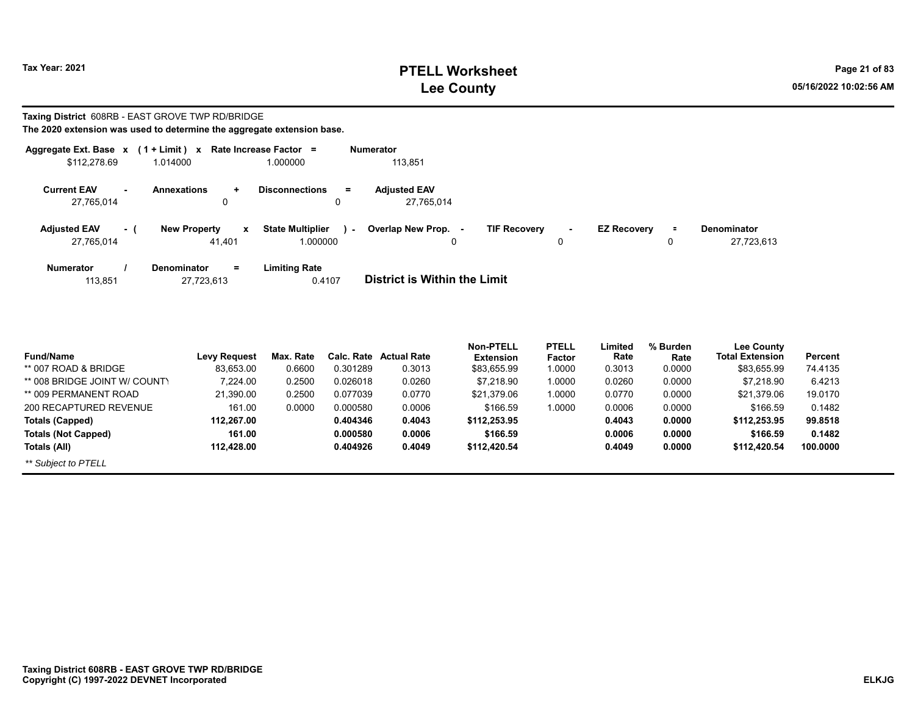# **PTELL Worksheet Tax Year: 2021 Page 21 of 83 Lee County 05/16/2022 10:02:56 AM**

#### **Taxing District** 608RB - EAST GROVE TWP RD/BRIDGE **The 2020 extension was used to determine the aggregate extension base.**

| Aggregate Ext. Base x             |     | $(1 + Limit) x$                                            | <b>Rate Increase Factor</b><br>$\equiv$ | Numerator                                                                                                                              |
|-----------------------------------|-----|------------------------------------------------------------|-----------------------------------------|----------------------------------------------------------------------------------------------------------------------------------------|
| \$112,278.69                      |     | 1.014000                                                   | 1.000000                                | 113,851                                                                                                                                |
| <b>Current EAV</b><br>27,765,014  |     | <b>Annexations</b><br>÷<br>0                               | <b>Disconnections</b><br>$=$<br>0       | <b>Adiusted EAV</b><br>27,765,014                                                                                                      |
| <b>Adjusted EAV</b><br>27,765,014 | - ( | <b>New Property</b><br>$\boldsymbol{\mathsf{x}}$<br>41.401 | <b>State Multiplier</b><br>1.000000     | <b>TIF Recovery</b><br>Overlap New Prop. -<br><b>EZ Recovery</b><br><b>Denominator</b><br>Ξ.<br><b>Section</b><br>27,723,613<br>0<br>0 |
| <b>Numerator</b><br>113,851       |     | $\equiv$<br>Denominator<br>27,723,613                      | <b>Limiting Rate</b><br>0.4107          | <b>District is Within the Limit</b>                                                                                                    |

| <b>Fund/Name</b>              | <b>Levy Request</b> | Max. Rate | Calc. Rate | <b>Actual Rate</b> | Non-PTELL<br><b>Extension</b> | <b>PTELL</b><br>Factor | Limited<br>Rate | % Burden<br>Rate | Lee County<br><b>Total Extension</b> | Percent  |
|-------------------------------|---------------------|-----------|------------|--------------------|-------------------------------|------------------------|-----------------|------------------|--------------------------------------|----------|
| ** 007 ROAD & BRIDGE          | 83,653.00           | 0.6600    | 0.301289   | 0.3013             | \$83,655.99                   | 1.0000                 | 0.3013          | 0.0000           | \$83,655.99                          | 74.4135  |
| ** 008 BRIDGE JOINT W/ COUNTY | 7,224.00            | 0.2500    | 0.026018   | 0.0260             | \$7,218.90                    | 1.0000                 | 0.0260          | 0.0000           | \$7,218.90                           | 6.4213   |
| ** 009 PERMANENT ROAD         | 21,390.00           | 0.2500    | 0.077039   | 0.0770             | \$21,379.06                   | 1.0000                 | 0.0770          | 0.0000           | \$21,379.06                          | 19.0170  |
| 200 RECAPTURED REVENUE        | 161.00              | 0.0000    | 0.000580   | 0.0006             | \$166.59                      | 1.0000                 | 0.0006          | 0.0000           | \$166.59                             | 0.1482   |
| Totals (Capped)               | 112.267.00          |           | 0.404346   | 0.4043             | \$112,253.95                  |                        | 0.4043          | 0.0000           | \$112,253.95                         | 99.8518  |
| <b>Totals (Not Capped)</b>    | 161.00              |           | 0.000580   | 0.0006             | \$166.59                      |                        | 0.0006          | 0.0000           | \$166.59                             | 0.1482   |
| Totals (All)                  | 112.428.00          |           | 0.404926   | 0.4049             | \$112,420.54                  |                        | 0.4049          | 0.0000           | \$112,420.54                         | 100.0000 |
| ** Subject to PTELL           |                     |           |            |                    |                               |                        |                 |                  |                                      |          |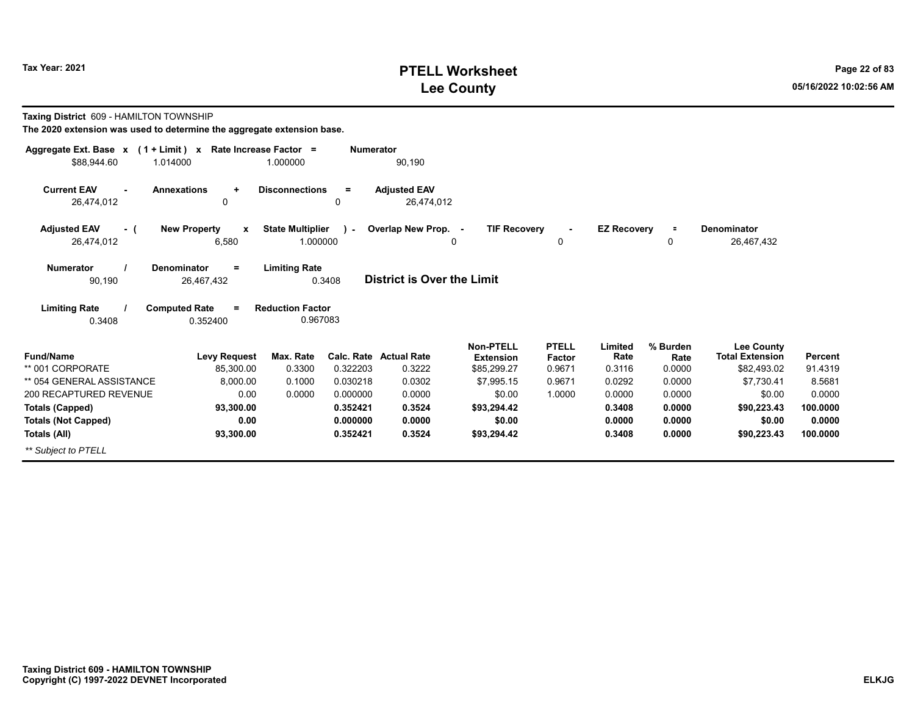# **PTELL Worksheet Tax Year: 2021 Page 22 of 83 Lee County 05/16/2022 10:02:56 AM**

| Taxing District 609 - HAMILTON TOWNSHIP<br>The 2020 extension was used to determine the aggregate extension base. |                                              |                                     |                  |                                         |                                                     |                                  |                           |                            |                                                            |                           |
|-------------------------------------------------------------------------------------------------------------------|----------------------------------------------|-------------------------------------|------------------|-----------------------------------------|-----------------------------------------------------|----------------------------------|---------------------------|----------------------------|------------------------------------------------------------|---------------------------|
| Aggregate Ext. Base $x$ (1 + Limit) x Rate Increase Factor =<br>\$88,944.60                                       | 1.014000                                     | 1.000000                            | <b>Numerator</b> | 90,190                                  |                                                     |                                  |                           |                            |                                                            |                           |
| <b>Current EAV</b><br>26,474,012                                                                                  | <b>Annexations</b><br>$\ddot{}$<br>0         | <b>Disconnections</b>               | $=$<br>0         | <b>Adjusted EAV</b><br>26,474,012       |                                                     |                                  |                           |                            |                                                            |                           |
| <b>Adjusted EAV</b><br>- (<br>26,474,012                                                                          | <b>New Property</b><br>X<br>6,580            | <b>State Multiplier</b><br>1.000000 | ) –              | Overlap New Prop. -                     | <b>TIF Recovery</b><br>$\Omega$                     | 0                                | <b>EZ Recovery</b>        | $\equiv$<br>0              | Denominator<br>26,467,432                                  |                           |
| <b>Numerator</b><br>90,190                                                                                        | <b>Denominator</b><br>$=$<br>26,467,432      | <b>Limiting Rate</b>                | 0.3408           | <b>District is Over the Limit</b>       |                                                     |                                  |                           |                            |                                                            |                           |
| <b>Limiting Rate</b><br>0.3408                                                                                    | <b>Computed Rate</b><br>$\equiv$<br>0.352400 | <b>Reduction Factor</b><br>0.967083 |                  |                                         |                                                     |                                  |                           |                            |                                                            |                           |
| <b>Fund/Name</b><br>** 001 CORPORATE                                                                              | <b>Levy Request</b><br>85,300.00             | Max. Rate<br>0.3300                 | 0.322203         | <b>Calc. Rate Actual Rate</b><br>0.3222 | <b>Non-PTELL</b><br><b>Extension</b><br>\$85,299.27 | <b>PTELL</b><br>Factor<br>0.9671 | Limited<br>Rate<br>0.3116 | % Burden<br>Rate<br>0.0000 | <b>Lee County</b><br><b>Total Extension</b><br>\$82,493.02 | <b>Percent</b><br>91.4319 |
| ** 054 GENERAL ASSISTANCE                                                                                         | 8,000.00                                     | 0.1000                              | 0.030218         | 0.0302                                  | \$7,995.15                                          | 0.9671                           | 0.0292                    | 0.0000                     | \$7,730.41                                                 | 8.5681                    |
| 200 RECAPTURED REVENUE                                                                                            | 0.00                                         | 0.0000                              | 0.000000         | 0.0000                                  | \$0.00                                              | 1.0000                           | 0.0000                    | 0.0000                     | \$0.00                                                     | 0.0000                    |
| <b>Totals (Capped)</b>                                                                                            | 93,300.00                                    |                                     | 0.352421         | 0.3524                                  | \$93,294.42                                         |                                  | 0.3408                    | 0.0000                     | \$90,223.43                                                | 100.0000                  |
| <b>Totals (Not Capped)</b>                                                                                        | 0.00                                         |                                     | 0.000000         | 0.0000                                  | \$0.00                                              |                                  | 0.0000                    | 0.0000                     | \$0.00                                                     | 0.0000                    |
| Totals (All)                                                                                                      | 93,300.00                                    |                                     | 0.352421         | 0.3524                                  | \$93,294.42                                         |                                  | 0.3408                    | 0.0000                     | \$90,223.43                                                | 100.0000                  |
| ** Subject to PTELL                                                                                               |                                              |                                     |                  |                                         |                                                     |                                  |                           |                            |                                                            |                           |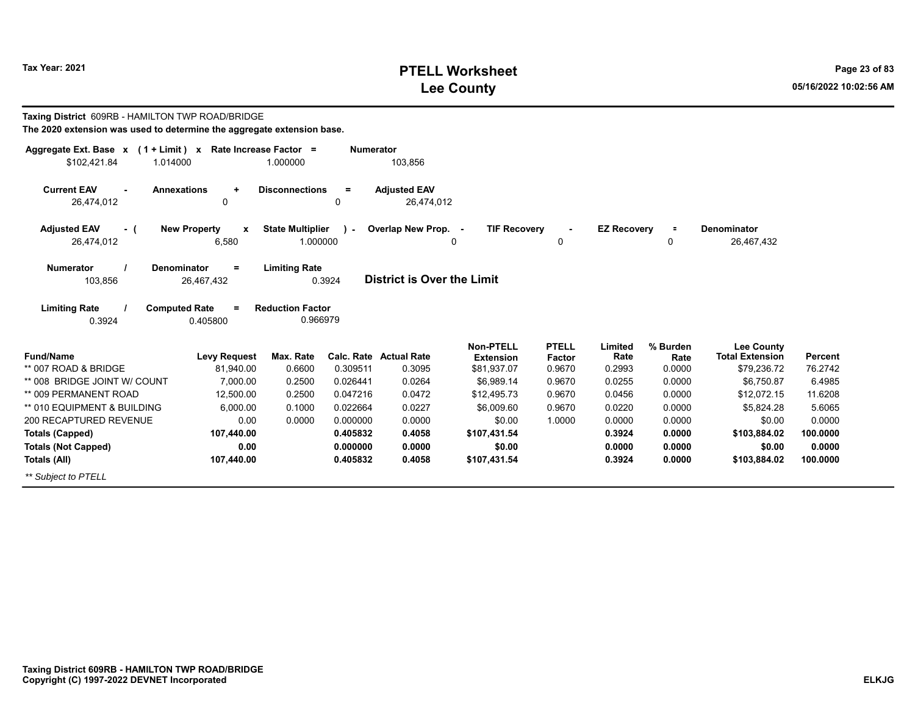# **PTELL Worksheet Tax Year: 2021 Page 23 of 83 Lee County 05/16/2022 10:02:56 AM**

| Taxing District 609RB - HAMILTON TWP ROAD/BRIDGE<br>The 2020 extension was used to determine the aggregate extension base. |                                         |                         |                  |                                   |                     |              |                    |          |                        |                |
|----------------------------------------------------------------------------------------------------------------------------|-----------------------------------------|-------------------------|------------------|-----------------------------------|---------------------|--------------|--------------------|----------|------------------------|----------------|
|                                                                                                                            |                                         |                         |                  |                                   |                     |              |                    |          |                        |                |
| Aggregate Ext. Base $x$ (1 + Limit) x Rate Increase Factor =<br>\$102,421.84<br>1.014000                                   |                                         | 1.000000                | <b>Numerator</b> | 103,856                           |                     |              |                    |          |                        |                |
| <b>Current EAV</b><br><b>Annexations</b>                                                                                   | $\ddot{}$                               | <b>Disconnections</b>   | $=$              | <b>Adiusted EAV</b>               |                     |              |                    |          |                        |                |
| 26,474,012                                                                                                                 | $\mathbf 0$                             |                         | 0                | 26,474,012                        |                     |              |                    |          |                        |                |
| <b>Adjusted EAV</b><br>- (                                                                                                 | <b>New Property</b><br>$\boldsymbol{x}$ | <b>State Multiplier</b> | $\mathbf{v}$     | Overlap New Prop. -               | <b>TIF Recovery</b> |              | <b>EZ Recovery</b> | $\equiv$ | Denominator            |                |
| 26,474,012                                                                                                                 | 6,580                                   | 1.000000                |                  |                                   | $\Omega$            | 0            |                    | 0        | 26,467,432             |                |
| <b>Numerator</b><br><b>Denominator</b>                                                                                     | $\equiv$                                | <b>Limiting Rate</b>    |                  |                                   |                     |              |                    |          |                        |                |
| 103,856                                                                                                                    | 26,467,432                              | 0.3924                  |                  | <b>District is Over the Limit</b> |                     |              |                    |          |                        |                |
| <b>Limiting Rate</b><br><b>Computed Rate</b>                                                                               |                                         | <b>Reduction Factor</b> |                  |                                   |                     |              |                    |          |                        |                |
| 0.3924                                                                                                                     | 0.405800                                | 0.966979                |                  |                                   |                     |              |                    |          |                        |                |
|                                                                                                                            |                                         |                         |                  |                                   | Non-PTELL           | <b>PTELL</b> | Limited            | % Burden | <b>Lee County</b>      |                |
| <b>Fund/Name</b>                                                                                                           | <b>Levy Request</b>                     | Max. Rate               |                  | <b>Calc. Rate Actual Rate</b>     | <b>Extension</b>    | Factor       | Rate               | Rate     | <b>Total Extension</b> | <b>Percent</b> |
| ** 007 ROAD & BRIDGE                                                                                                       | 81,940.00                               | 0.6600                  | 0.309511         | 0.3095                            | \$81,937.07         | 0.9670       | 0.2993             | 0.0000   | \$79,236.72            | 76.2742        |
| ** 008 BRIDGE JOINT W/ COUNT                                                                                               | 7,000.00                                | 0.2500                  | 0.026441         | 0.0264                            | \$6,989.14          | 0.9670       | 0.0255             | 0.0000   | \$6,750.87             | 6.4985         |
| ** 009 PERMANENT ROAD                                                                                                      | 12,500.00                               | 0.2500                  | 0.047216         | 0.0472                            | \$12,495.73         | 0.9670       | 0.0456             | 0.0000   | \$12,072.15            | 11.6208        |
| ** 010 EQUIPMENT & BUILDING                                                                                                | 6,000.00                                | 0.1000                  | 0.022664         | 0.0227                            | \$6,009.60          | 0.9670       | 0.0220             | 0.0000   | \$5,824.28             | 5.6065         |
| 200 RECAPTURED REVENUE                                                                                                     | 0.00                                    | 0.0000                  | 0.000000         | 0.0000                            | \$0.00              | 1.0000       | 0.0000             | 0.0000   | \$0.00                 | 0.0000         |
| <b>Totals (Capped)</b>                                                                                                     | 107,440.00                              |                         | 0.405832         | 0.4058                            | \$107,431.54        |              | 0.3924             | 0.0000   | \$103,884.02           | 100.0000       |
| <b>Totals (Not Capped)</b>                                                                                                 | 0.00                                    |                         | 0.000000         | 0.0000                            | \$0.00              |              | 0.0000             | 0.0000   | \$0.00                 | 0.0000         |
| Totals (All)                                                                                                               | 107,440.00                              |                         | 0.405832         | 0.4058                            | \$107,431.54        |              | 0.3924             | 0.0000   | \$103,884.02           | 100.0000       |
| ** Subject to PTELL                                                                                                        |                                         |                         |                  |                                   |                     |              |                    |          |                        |                |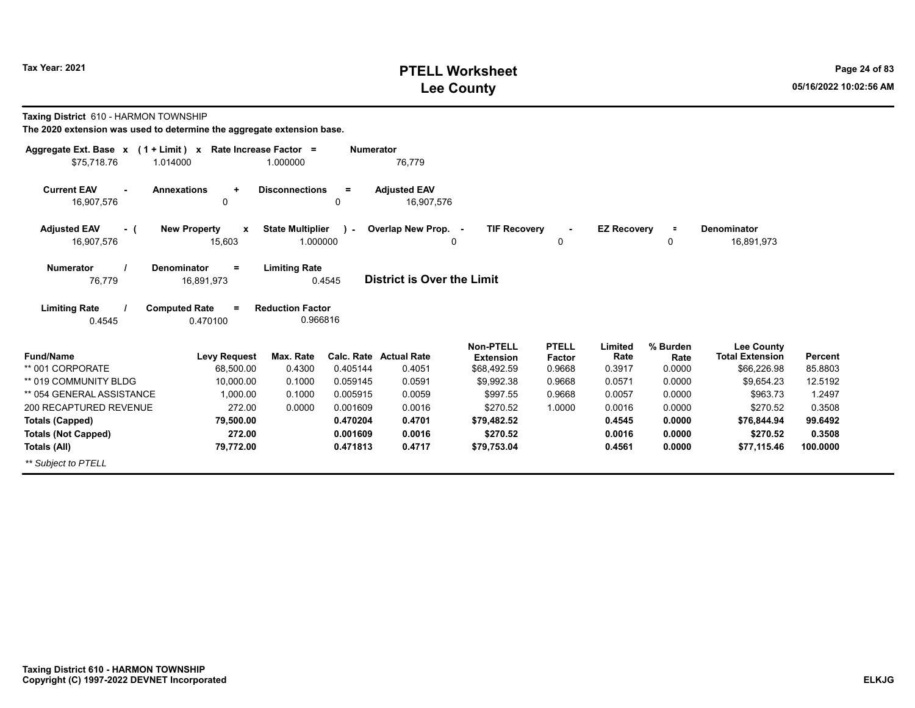## **PTELL Worksheet Tax Year: 2021 Page 24 of 83 Lee County 05/16/2022 10:02:56 AM**

|  | Taxing District 610 - HARMON TOWNSHIP |  |
|--|---------------------------------------|--|
|--|---------------------------------------|--|

| Aggregate Ext. Base x<br>$(1 + Limit) x$           | Rate Increase Factor =                  |                                | <b>Numerator</b> |                                   |                                 |                  |                    |                |                                             |          |
|----------------------------------------------------|-----------------------------------------|--------------------------------|------------------|-----------------------------------|---------------------------------|------------------|--------------------|----------------|---------------------------------------------|----------|
| \$75.718.76<br>1.014000                            |                                         | 1.000000                       |                  | 76,779                            |                                 |                  |                    |                |                                             |          |
| <b>Current EAV</b><br>$\blacksquare$<br>16,907,576 | <b>Annexations</b><br>$\ddot{}$<br>0    | <b>Disconnections</b>          | $=$<br>0         | <b>Adjusted EAV</b><br>16,907,576 |                                 |                  |                    |                |                                             |          |
| <b>Adjusted EAV</b><br>- (                         | <b>New Property</b><br>$\mathbf x$      | <b>State Multiplier</b>        | $\mathcal{L}$    | Overlap New Prop. -               | <b>TIF Recovery</b>             |                  | <b>EZ Recovery</b> | $\equiv$       | <b>Denominator</b>                          |          |
| 16,907,576                                         | 15,603                                  | 1.000000                       |                  |                                   | 0                               | 0                |                    | 0              | 16,891,973                                  |          |
| <b>Numerator</b><br>76,779                         | <b>Denominator</b><br>$=$<br>16,891,973 | <b>Limiting Rate</b><br>0.4545 |                  | <b>District is Over the Limit</b> |                                 |                  |                    |                |                                             |          |
| <b>Limiting Rate</b>                               | <b>Computed Rate</b><br>$=$             | <b>Reduction Factor</b>        |                  |                                   |                                 |                  |                    |                |                                             |          |
| 0.4545                                             | 0.470100                                | 0.966816                       |                  |                                   |                                 |                  |                    |                |                                             |          |
| <b>Fund/Name</b>                                   | <b>Levy Request</b>                     | Max. Rate                      | Calc. Rate       | <b>Actual Rate</b>                | <b>Non-PTELL</b>                | <b>PTELL</b>     | Limited<br>Rate    | % Burden       | <b>Lee County</b><br><b>Total Extension</b> | Percent  |
| ** 001 CORPORATE                                   | 68,500.00                               | 0.4300                         | 0.405144         | 0.4051                            | <b>Extension</b><br>\$68,492.59 | Factor<br>0.9668 | 0.3917             | Rate<br>0.0000 | \$66,226.98                                 | 85.8803  |
| ** 019 COMMUNITY BLDG                              | 10.000.00                               | 0.1000                         | 0.059145         | 0.0591                            | \$9,992.38                      | 0.9668           | 0.0571             | 0.0000         | \$9,654.23                                  | 12.5192  |
| ** 054 GENERAL ASSISTANCE                          | 1.000.00                                | 0.1000                         | 0.005915         | 0.0059                            | \$997.55                        | 0.9668           | 0.0057             | 0.0000         | \$963.73                                    | 1.2497   |
| 200 RECAPTURED REVENUE                             | 272.00                                  | 0.0000                         | 0.001609         | 0.0016                            | \$270.52                        | 1.0000           | 0.0016             | 0.0000         | \$270.52                                    | 0.3508   |
| <b>Totals (Capped)</b>                             | 79,500.00                               |                                | 0.470204         | 0.4701                            | \$79,482.52                     |                  | 0.4545             | 0.0000         | \$76,844.94                                 | 99.6492  |
| <b>Totals (Not Capped)</b>                         | 272.00                                  |                                | 0.001609         | 0.0016                            | \$270.52                        |                  | 0.0016             | 0.0000         | \$270.52                                    | 0.3508   |
| Totals (All)                                       | 79,772.00                               |                                | 0.471813         | 0.4717                            | \$79,753.04                     |                  | 0.4561             | 0.0000         | \$77,115.46                                 | 100.0000 |
| ** Subject to PTELL                                |                                         |                                |                  |                                   |                                 |                  |                    |                |                                             |          |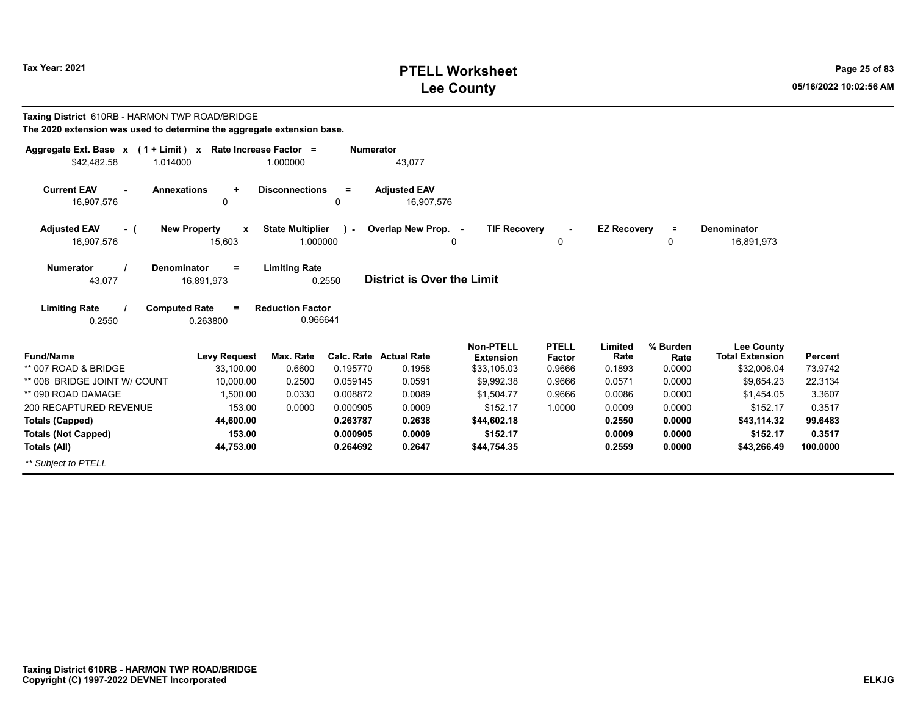# **PTELL Worksheet Tax Year: 2021 Page 25 of 83 Lee County 05/16/2022 10:02:56 AM**

| Taxing District 610RB - HARMON TWP ROAD/BRIDGE<br>The 2020 extension was used to determine the aggregate extension base. |                                  |                                     |                  |                                         |                                                     |                                  |                           |                            |                                                            |                           |
|--------------------------------------------------------------------------------------------------------------------------|----------------------------------|-------------------------------------|------------------|-----------------------------------------|-----------------------------------------------------|----------------------------------|---------------------------|----------------------------|------------------------------------------------------------|---------------------------|
| Aggregate Ext. Base $x$ (1 + Limit) x Rate Increase Factor =<br>\$42,482.58<br>1.014000                                  |                                  | 1.000000                            | <b>Numerator</b> | 43,077                                  |                                                     |                                  |                           |                            |                                                            |                           |
| <b>Current EAV</b><br><b>Annexations</b><br>16,907,576                                                                   | $\ddot{}$<br>0                   | <b>Disconnections</b>               | $=$<br>0         | <b>Adjusted EAV</b><br>16,907,576       |                                                     |                                  |                           |                            |                                                            |                           |
| <b>Adjusted EAV</b><br>- (                                                                                               | <b>New Property</b><br>X         | <b>State Multiplier</b>             | $\mathbf{I}$     | Overlap New Prop. -                     | <b>TIF Recovery</b>                                 |                                  | <b>EZ Recovery</b>        | Ξ                          | Denominator                                                |                           |
| 16,907,576                                                                                                               | 15,603                           | 1.000000                            |                  |                                         | $\Omega$                                            | 0                                |                           | 0                          | 16,891,973                                                 |                           |
| <b>Numerator</b><br><b>Denominator</b><br>43,077                                                                         | $=$<br>16,891,973                | <b>Limiting Rate</b>                | 0.2550           | District is Over the Limit              |                                                     |                                  |                           |                            |                                                            |                           |
| <b>Limiting Rate</b><br><b>Computed Rate</b><br>0.2550                                                                   | 0.263800                         | <b>Reduction Factor</b><br>0.966641 |                  |                                         |                                                     |                                  |                           |                            |                                                            |                           |
| <b>Fund/Name</b><br>** 007 ROAD & BRIDGE                                                                                 | <b>Levy Request</b><br>33,100.00 | Max. Rate<br>0.6600                 | 0.195770         | <b>Calc. Rate Actual Rate</b><br>0.1958 | <b>Non-PTELL</b><br><b>Extension</b><br>\$33,105.03 | <b>PTELL</b><br>Factor<br>0.9666 | Limited<br>Rate<br>0.1893 | % Burden<br>Rate<br>0.0000 | <b>Lee County</b><br><b>Total Extension</b><br>\$32,006.04 | <b>Percent</b><br>73.9742 |
| ** 008 BRIDGE JOINT W/ COUNT                                                                                             | 10,000.00                        | 0.2500                              | 0.059145         | 0.0591                                  | \$9,992.38                                          | 0.9666                           | 0.0571                    | 0.0000                     | \$9,654.23                                                 | 22.3134                   |
| ** 090 ROAD DAMAGE                                                                                                       | 1,500.00                         | 0.0330                              | 0.008872         | 0.0089                                  | \$1,504.77                                          | 0.9666                           | 0.0086                    | 0.0000                     | \$1,454.05                                                 | 3.3607                    |
| 200 RECAPTURED REVENUE                                                                                                   | 153.00                           | 0.0000                              | 0.000905         | 0.0009                                  | \$152.17                                            | 1.0000                           | 0.0009                    | 0.0000                     | \$152.17                                                   | 0.3517                    |
| <b>Totals (Capped)</b>                                                                                                   | 44,600.00                        |                                     | 0.263787         | 0.2638                                  | \$44,602.18                                         |                                  | 0.2550                    | 0.0000                     | \$43,114.32                                                | 99.6483                   |
| <b>Totals (Not Capped)</b>                                                                                               | 153.00                           |                                     | 0.000905         | 0.0009                                  | \$152.17                                            |                                  | 0.0009                    | 0.0000                     | \$152.17                                                   | 0.3517                    |
| Totals (All)                                                                                                             | 44,753.00                        |                                     | 0.264692         | 0.2647                                  | \$44,754.35                                         |                                  | 0.2559                    | 0.0000                     | \$43,266.49                                                | 100.0000                  |
| ** Subject to PTELL                                                                                                      |                                  |                                     |                  |                                         |                                                     |                                  |                           |                            |                                                            |                           |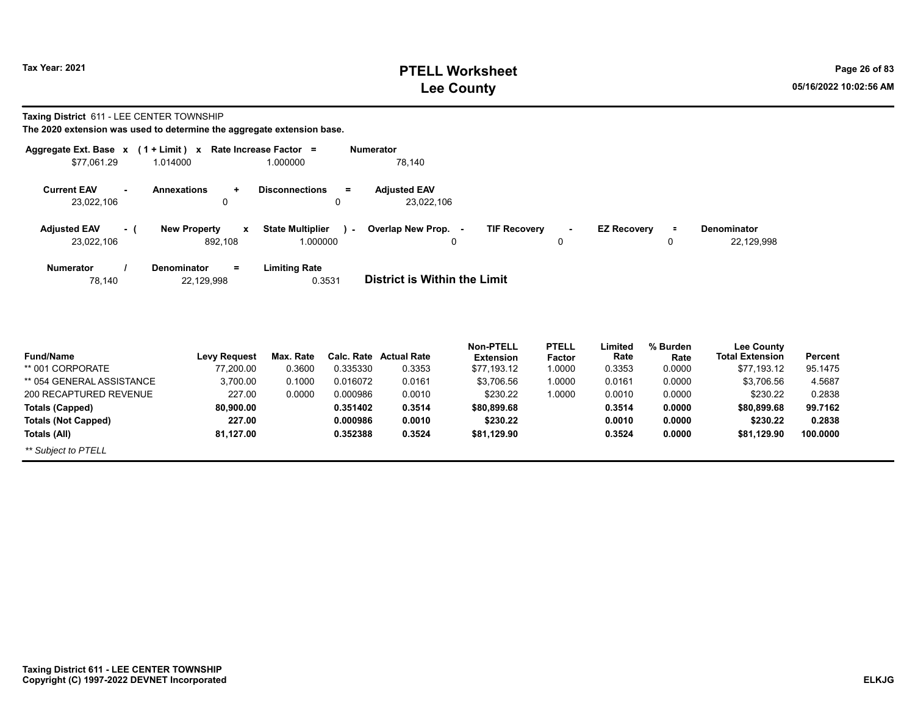# **PTELL Worksheet Tax Year: 2021 Page 26 of 83 Lee County 05/16/2022 10:02:56 AM**

**Taxing District** 611 - LEE CENTER TOWNSHIP

|                     |        | Aggregate Ext. Base $x$ (1 + Limit) $x$ Rate Increase Factor = |                                   | <b>Numerator</b>                                                                                       |
|---------------------|--------|----------------------------------------------------------------|-----------------------------------|--------------------------------------------------------------------------------------------------------|
| \$77.061.29         |        | 1.014000                                                       | 1.000000                          | 78,140                                                                                                 |
| <b>Current EAV</b>  | $\sim$ | <b>Annexations</b><br>$\ddotmark$                              | <b>Disconnections</b><br>$=$      | <b>Adiusted EAV</b>                                                                                    |
| 23,022,106          |        | 0                                                              | $\mathbf{0}$                      | 23,022,106                                                                                             |
| <b>Adjusted EAV</b> | - (    | <b>New Property</b><br>x                                       | <b>State Multiplier</b><br>$\sim$ | <b>TIF Recovery</b><br><b>EZ Recovery</b><br>Overlap New Prop. -<br><b>Denominator</b><br>Ξ.<br>$\sim$ |
| 23,022,106          |        | 892.108                                                        | 1.000000                          | 22,129,998<br>0<br>0<br>0                                                                              |
| <b>Numerator</b>    |        | Denominator<br>$=$                                             | <b>Limiting Rate</b><br>0.3531    | District is Within the Limit                                                                           |
| 78,140              |        | 22,129,998                                                     |                                   |                                                                                                        |

| <b>Fund/Name</b>          | <b>Levy Request</b> | Max. Rate |          | Calc. Rate Actual Rate | <b>Non-PTELL</b><br><b>Extension</b> | <b>PTELL</b><br><b>Factor</b> | ∟imited<br>Rate | % Burden<br>Rate | Lee County<br><b>Total Extension</b> | Percent  |
|---------------------------|---------------------|-----------|----------|------------------------|--------------------------------------|-------------------------------|-----------------|------------------|--------------------------------------|----------|
| ** 001 CORPORATE          | 77,200.00           | 0.3600    | 0.335330 | 0.3353                 | \$77,193.12                          | 1.0000                        | 0.3353          | 0.0000           | \$77,193.12                          | 95.1475  |
| ** 054 GENERAL ASSISTANCE | 3.700.00            | 0.1000    | 0.016072 | 0.0161                 | \$3.706.56                           | 1.0000                        | 0.0161          | 0.0000           | \$3.706.56                           | 4.5687   |
| 200 RECAPTURED REVENUE    | 227.00              | 0.0000    | 0.000986 | 0.0010                 | \$230.22                             | 0000.1                        | 0.0010          | 0.0000           | \$230.22                             | 0.2838   |
| Totals (Capped)           | 80.900.00           |           | 0.351402 | 0.3514                 | \$80,899.68                          |                               | 0.3514          | 0.0000           | \$80,899.68                          | 99.7162  |
| Totals (Not Capped)       | 227.00              |           | 0.000986 | 0.0010                 | \$230.22                             |                               | 0.0010          | 0.0000           | \$230.22                             | 0.2838   |
| Totals (All)              | 81.127.00           |           | 0.352388 | 0.3524                 | \$81.129.90                          |                               | 0.3524          | 0.0000           | \$81.129.90                          | 100.0000 |
| ** Subject to PTELL       |                     |           |          |                        |                                      |                               |                 |                  |                                      |          |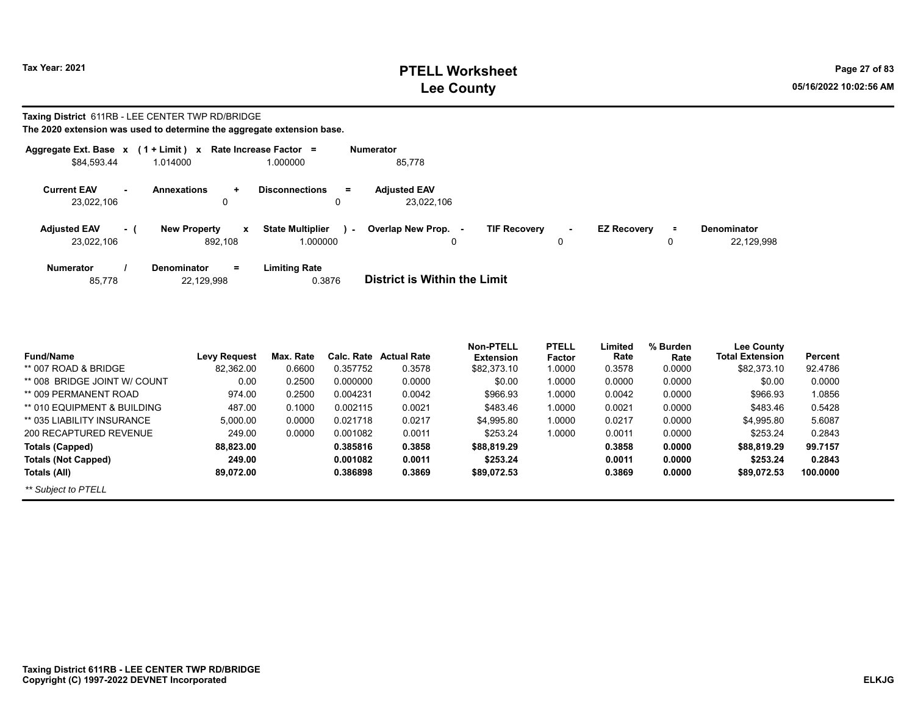# **PTELL Worksheet Tax Year: 2021 Page 27 of 83 Lee County 05/16/2022 10:02:56 AM**

#### **Taxing District** 611RB - LEE CENTER TWP RD/BRIDGE **The 2020 extension was used to determine the aggregate extension base.**

| Aggregate Ext. Base x |     | $(1 + Limit) x$                     | Rate Increase Factor =        | <b>Numerator</b>                                                             |             |
|-----------------------|-----|-------------------------------------|-------------------------------|------------------------------------------------------------------------------|-------------|
| \$84,593.44           |     | 1.014000                            | 1.000000                      | 85,778                                                                       |             |
| <b>Current EAV</b>    |     | <b>Annexations</b><br>$\ddot{}$     | <b>Disconnections</b><br>$=$  | <b>Adiusted EAV</b>                                                          |             |
| 23,022,106            |     | 0                                   | 0                             | 23.022.106                                                                   |             |
| <b>Adjusted EAV</b>   | - ( | <b>New Property</b><br>$\mathbf{x}$ | <b>State Multiplier</b><br>я. | Overlap New Prop. -<br><b>TIF Recovery</b><br><b>EZ Recovery</b><br>$\equiv$ | Denominator |
| 23,022,106            |     | 892.108                             | 1.000000                      | 0<br>0                                                                       | 22.129.998  |
| <b>Numerator</b>      |     | $=$<br><b>Denominator</b>           | <b>Limiting Rate</b>          |                                                                              |             |
| 85,778                |     | 22,129,998                          | 0.3876                        | District is Within the Limit                                                 |             |

|                              |                     |           |            |                    | <b>Non-PTELL</b> | <b>PTELL</b> | Limited | % Burden | <b>Lee County</b>      |          |
|------------------------------|---------------------|-----------|------------|--------------------|------------------|--------------|---------|----------|------------------------|----------|
| <b>Fund/Name</b>             | <b>Levy Request</b> | Max. Rate | Calc. Rate | <b>Actual Rate</b> | <b>Extension</b> | Factor       | Rate    | Rate     | <b>Total Extension</b> | Percent  |
| ** 007 ROAD & BRIDGE         | 82.362.00           | 0.6600    | 0.357752   | 0.3578             | \$82,373.10      | 1.0000       | 0.3578  | 0.0000   | \$82,373.10            | 92.4786  |
| ** 008 BRIDGE JOINT W/ COUNT | 0.00                | 0.2500    | 0.000000   | 0.0000             | \$0.00           | 1.0000       | 0.0000  | 0.0000   | \$0.00                 | 0.0000   |
| ** 009 PERMANENT ROAD        | 974.00              | 0.2500    | 0.004231   | 0.0042             | \$966.93         | 1.0000       | 0.0042  | 0.0000   | \$966.93               | 1.0856   |
| ** 010 EQUIPMENT & BUILDING  | 487.00              | 0.1000    | 0.002115   | 0.0021             | \$483.46         | 1.0000       | 0.0021  | 0.0000   | \$483.46               | 0.5428   |
| ** 035 LIABILITY INSURANCE   | 5.000.00            | 0.0000    | 0.021718   | 0.0217             | \$4.995.80       | 1.0000       | 0.0217  | 0.0000   | \$4.995.80             | 5.6087   |
| 200 RECAPTURED REVENUE       | 249.00              | 0.0000    | 0.001082   | 0.0011             | \$253.24         | 1.0000       | 0.0011  | 0.0000   | \$253.24               | 0.2843   |
| Totals (Capped)              | 88.823.00           |           | 0.385816   | 0.3858             | \$88,819.29      |              | 0.3858  | 0.0000   | \$88,819.29            | 99.7157  |
| <b>Totals (Not Capped)</b>   | 249.00              |           | 0.001082   | 0.0011             | \$253.24         |              | 0.0011  | 0.0000   | \$253.24               | 0.2843   |
| Totals (All)                 | 89.072.00           |           | 0.386898   | 0.3869             | \$89.072.53      |              | 0.3869  | 0.0000   | \$89.072.53            | 100.0000 |
| ** Subject to PTELL          |                     |           |            |                    |                  |              |         |          |                        |          |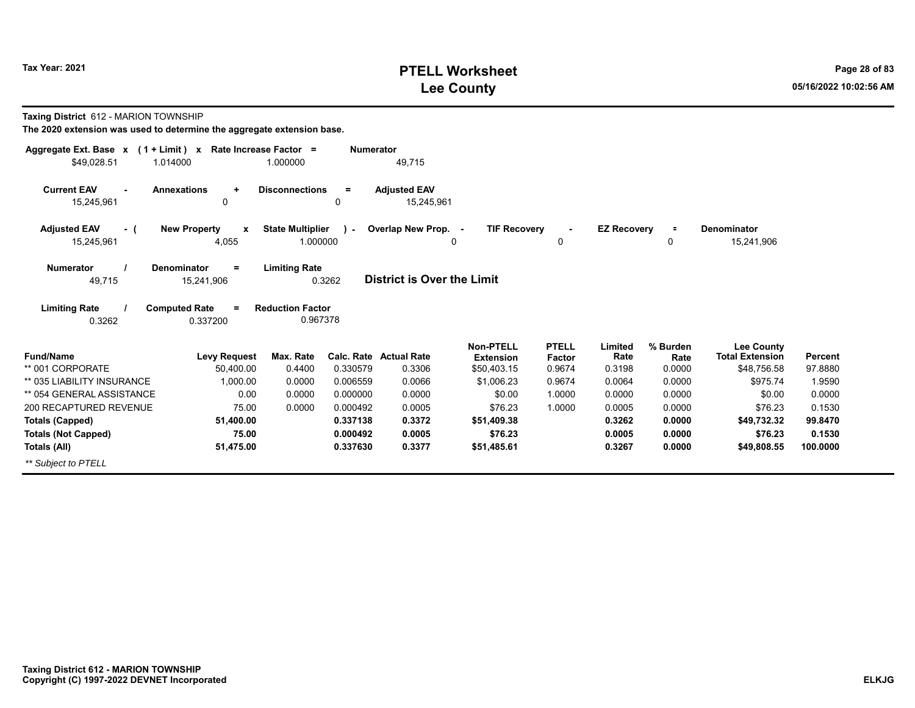# **PTELL Worksheet Tax Year: 2021 Page 28 of 83 Lee County 05/16/2022 10:02:56 AM**

**Taxing District** 612 - MARION TOWNSHIP

| Aggregate Ext. Base $x$ (1 + Limit) $x$ | Rate Increase Factor =                  |                         | <b>Numerator</b> |                                   |                                      |                        |                    |                  |                                             |          |
|-----------------------------------------|-----------------------------------------|-------------------------|------------------|-----------------------------------|--------------------------------------|------------------------|--------------------|------------------|---------------------------------------------|----------|
| \$49,028.51<br>1.014000                 |                                         | 1.000000                |                  | 49,715                            |                                      |                        |                    |                  |                                             |          |
| <b>Current EAV</b><br>15,245,961        | <b>Annexations</b><br>$\ddot{}$<br>0    | <b>Disconnections</b>   | $=$<br>0         | <b>Adjusted EAV</b><br>15,245,961 |                                      |                        |                    |                  |                                             |          |
| <b>Adjusted EAV</b><br>- (              | <b>New Property</b><br>$\mathbf{x}$     | <b>State Multiplier</b> | $\lambda$        | Overlap New Prop. -               | <b>TIF Recovery</b>                  |                        | <b>EZ Recovery</b> | $\equiv$         | <b>Denominator</b>                          |          |
| 15,245,961                              | 4,055                                   | 1.000000                |                  |                                   | 0                                    | 0                      |                    | 0                | 15,241,906                                  |          |
| <b>Numerator</b><br>49,715              | <b>Denominator</b><br>$=$<br>15,241,906 | <b>Limiting Rate</b>    | 0.3262           | <b>District is Over the Limit</b> |                                      |                        |                    |                  |                                             |          |
| <b>Limiting Rate</b>                    | <b>Computed Rate</b><br>Ξ               | <b>Reduction Factor</b> |                  |                                   |                                      |                        |                    |                  |                                             |          |
| 0.3262                                  | 0.337200                                | 0.967378                |                  |                                   |                                      |                        |                    |                  |                                             |          |
| <b>Fund/Name</b>                        | <b>Levy Request</b>                     | Max. Rate               | Calc. Rate       | <b>Actual Rate</b>                | <b>Non-PTELL</b><br><b>Extension</b> | <b>PTELL</b><br>Factor | Limited<br>Rate    | % Burden<br>Rate | <b>Lee County</b><br><b>Total Extension</b> | Percent  |
| ** 001 CORPORATE                        | 50,400.00                               | 0.4400                  | 0.330579         | 0.3306                            | \$50,403.15                          | 0.9674                 | 0.3198             | 0.0000           | \$48,756.58                                 | 97.8880  |
| ** 035 LIABILITY INSURANCE              | 1.000.00                                | 0.0000                  | 0.006559         | 0.0066                            | \$1,006.23                           | 0.9674                 | 0.0064             | 0.0000           | \$975.74                                    | 1.9590   |
| ** 054 GENERAL ASSISTANCE               | 0.00                                    | 0.0000                  | 0.000000         | 0.0000                            | \$0.00                               | 1.0000                 | 0.0000             | 0.0000           | \$0.00                                      | 0.0000   |
| 200 RECAPTURED REVENUE                  | 75.00                                   | 0.0000                  | 0.000492         | 0.0005                            | \$76.23                              | 1.0000                 | 0.0005             | 0.0000           | \$76.23                                     | 0.1530   |
| <b>Totals (Capped)</b>                  | 51,400.00                               |                         | 0.337138         | 0.3372                            | \$51,409.38                          |                        | 0.3262             | 0.0000           | \$49,732.32                                 | 99.8470  |
| <b>Totals (Not Capped)</b>              | 75.00                                   |                         | 0.000492         | 0.0005                            | \$76.23                              |                        | 0.0005             | 0.0000           | \$76.23                                     | 0.1530   |
| Totals (All)                            | 51,475.00                               |                         | 0.337630         | 0.3377                            | \$51,485.61                          |                        | 0.3267             | 0.0000           | \$49,808.55                                 | 100.0000 |
| ** Subject to PTELL                     |                                         |                         |                  |                                   |                                      |                        |                    |                  |                                             |          |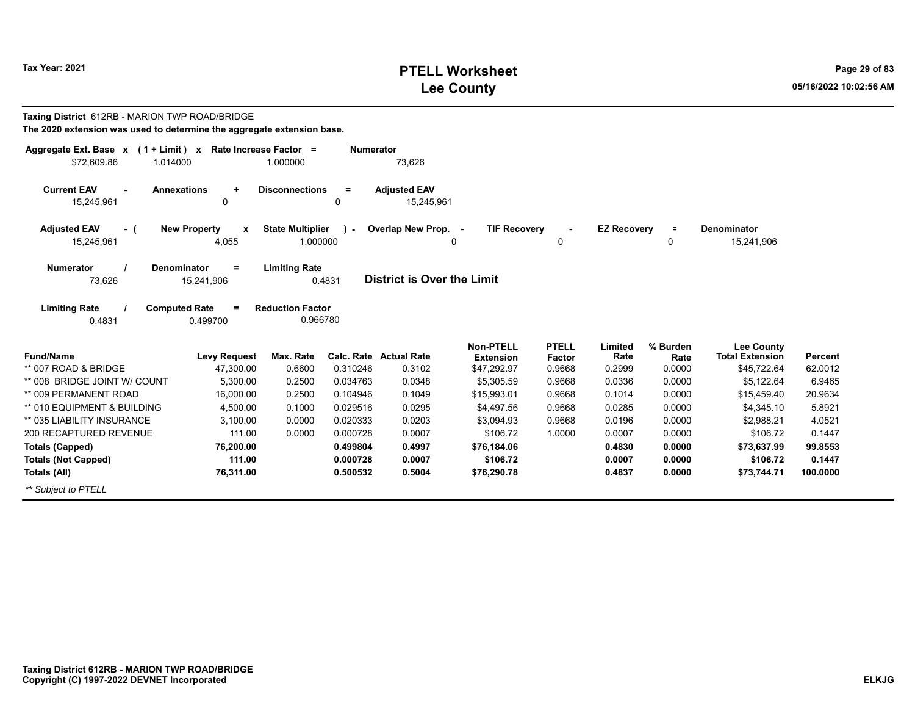# **PTELL Worksheet Tax Year: 2021 Page 29 of 83 Lee County 05/16/2022 10:02:56 AM**

| Taxing District 612RB - MARION TWP ROAD/BRIDGE                                          |                                                           |                                     |                  |                                   |                                      |                        |                    |                  |                                             |                |
|-----------------------------------------------------------------------------------------|-----------------------------------------------------------|-------------------------------------|------------------|-----------------------------------|--------------------------------------|------------------------|--------------------|------------------|---------------------------------------------|----------------|
| The 2020 extension was used to determine the aggregate extension base.                  |                                                           |                                     |                  |                                   |                                      |                        |                    |                  |                                             |                |
| Aggregate Ext. Base $x$ (1 + Limit) x Rate Increase Factor =<br>\$72,609.86<br>1.014000 |                                                           | 1.000000                            | <b>Numerator</b> | 73,626                            |                                      |                        |                    |                  |                                             |                |
| <b>Current EAV</b><br>15,245,961                                                        | <b>Annexations</b><br>÷<br>0                              | <b>Disconnections</b>               | $=$<br>0         | <b>Adjusted EAV</b><br>15,245,961 |                                      |                        |                    |                  |                                             |                |
| <b>Adjusted EAV</b><br>- (<br>15,245,961                                                | <b>New Property</b><br>$\boldsymbol{\mathsf{x}}$<br>4,055 | <b>State Multiplier</b><br>1.000000 | $\mathbf{r}$     | Overlap New Prop. -<br>0          | <b>TIF Recovery</b>                  | 0                      | <b>EZ Recovery</b> | $\equiv$<br>0    | <b>Denominator</b><br>15,241,906            |                |
| <b>Numerator</b><br>73,626                                                              | Denominator<br>$=$<br>15,241,906                          | <b>Limiting Rate</b>                | 0.4831           | <b>District is Over the Limit</b> |                                      |                        |                    |                  |                                             |                |
| <b>Limiting Rate</b><br>0.4831                                                          | <b>Computed Rate</b><br>$\equiv$<br>0.499700              | <b>Reduction Factor</b><br>0.966780 |                  |                                   |                                      |                        |                    |                  |                                             |                |
| <b>Fund/Name</b>                                                                        | <b>Levy Request</b>                                       | Max. Rate                           |                  | <b>Calc. Rate Actual Rate</b>     | <b>Non-PTELL</b><br><b>Extension</b> | <b>PTELL</b><br>Factor | Limited<br>Rate    | % Burden<br>Rate | <b>Lee County</b><br><b>Total Extension</b> | <b>Percent</b> |
| ** 007 ROAD & BRIDGE                                                                    | 47,300.00                                                 | 0.6600                              | 0.310246         | 0.3102                            | \$47,292.97                          | 0.9668                 | 0.2999             | 0.0000           | \$45,722.64                                 | 62.0012        |
| ** 008 BRIDGE JOINT W/ COUNT                                                            | 5,300.00                                                  | 0.2500                              | 0.034763         | 0.0348                            | \$5,305.59                           | 0.9668                 | 0.0336             | 0.0000           | \$5,122.64                                  | 6.9465         |
| ** 009 PERMANENT ROAD                                                                   | 16,000.00                                                 | 0.2500                              | 0.104946         | 0.1049                            | \$15,993.01                          | 0.9668                 | 0.1014             | 0.0000           | \$15,459.40                                 | 20.9634        |
| ** 010 EQUIPMENT & BUILDING                                                             | 4,500.00                                                  | 0.1000                              | 0.029516         | 0.0295                            | \$4,497.56                           | 0.9668                 | 0.0285             | 0.0000           | \$4,345.10                                  | 5.8921         |
| ** 035 LIABILITY INSURANCE                                                              | 3.100.00                                                  | 0.0000                              | 0.020333         | 0.0203                            | \$3,094.93                           | 0.9668                 | 0.0196             | 0.0000           | \$2,988.21                                  | 4.0521         |
| 200 RECAPTURED REVENUE                                                                  | 111.00                                                    | 0.0000                              | 0.000728         | 0.0007                            | \$106.72                             | 1.0000                 | 0.0007             | 0.0000           | \$106.72                                    | 0.1447         |
| <b>Totals (Capped)</b>                                                                  | 76,200.00                                                 |                                     | 0.499804         | 0.4997                            | \$76,184.06                          |                        | 0.4830             | 0.0000           | \$73,637.99                                 | 99.8553        |
| <b>Totals (Not Capped)</b>                                                              | 111.00                                                    |                                     | 0.000728         | 0.0007                            | \$106.72                             |                        | 0.0007             | 0.0000           | \$106.72                                    | 0.1447         |
| Totals (All)                                                                            | 76,311.00                                                 |                                     | 0.500532         | 0.5004                            | \$76,290.78                          |                        | 0.4837             | 0.0000           | \$73,744.71                                 | 100.0000       |
| ** Subject to PTELL                                                                     |                                                           |                                     |                  |                                   |                                      |                        |                    |                  |                                             |                |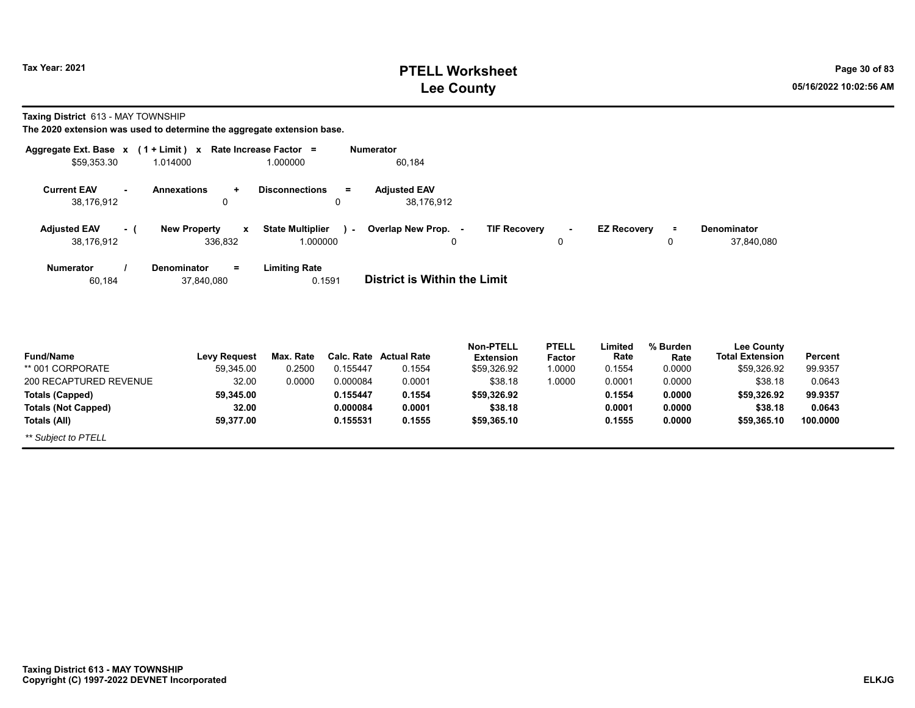**Totals (All)**

*\*\* Subject to PTELL*

# **PTELL Worksheet Tax Year: 2021 Page 30 of 83 Lee County 05/16/2022 10:02:56 AM**

**100.0000**

**\$59,365.10**

**Taxing District** 613 - MAY TOWNSHIP

**The 2020 extension was used to determine the aggregate extension base.**

**59,377.00**

| Aggregate Ext. Base x            | $(1 + Limit) x$                         | Rate Increase Factor =                    | <b>Numerator</b>                    |                                      |                        |                    |                  |                                      |                |
|----------------------------------|-----------------------------------------|-------------------------------------------|-------------------------------------|--------------------------------------|------------------------|--------------------|------------------|--------------------------------------|----------------|
| \$59,353.30                      | 1.014000                                | 1.000000                                  | 60,184                              |                                      |                        |                    |                  |                                      |                |
| <b>Current EAV</b><br>38,176,912 | <b>Annexations</b><br>٠<br>0            | <b>Disconnections</b><br>$=$<br>0         | <b>Adjusted EAV</b><br>38,176,912   |                                      |                        |                    |                  |                                      |                |
| <b>Adjusted EAV</b><br>- (       | <b>New Property</b><br>$\mathbf{x}$     | <b>State Multiplier</b><br><b>College</b> | Overlap New Prop. -                 | <b>TIF Recovery</b>                  | $\blacksquare$         | <b>EZ Recovery</b> | ÷.               | <b>Denominator</b>                   |                |
| 38,176,912                       | 336,832                                 | 1.000000                                  | 0                                   |                                      | 0                      |                    | 0                | 37,840,080                           |                |
| <b>Numerator</b><br>60,184       | <b>Denominator</b><br>$=$<br>37,840,080 | <b>Limiting Rate</b><br>0.1591            | <b>District is Within the Limit</b> |                                      |                        |                    |                  |                                      |                |
| <b>Fund/Name</b>                 | <b>Levy Request</b>                     | Max. Rate                                 | <b>Calc. Rate Actual Rate</b>       | <b>Non-PTELL</b><br><b>Extension</b> | <b>PTELL</b><br>Factor | Limited<br>Rate    | % Burden<br>Rate | Lee County<br><b>Total Extension</b> | <b>Percent</b> |
| ** 001 CORPORATE                 | 59,345.00                               | 0.2500<br>0.155447                        | 0.1554                              | \$59,326.92                          | 1.0000                 | 0.1554             | 0.0000           | \$59,326.92                          | 99.9357        |
| 200 RECAPTURED REVENUE           | 32.00                                   | 0.0000<br>0.000084                        | 0.0001                              | \$38.18                              | 1.0000                 | 0.0001             | 0.0000           | \$38.18                              | 0.0643         |
| <b>Totals (Capped)</b>           | 59,345.00                               | 0.155447                                  | 0.1554                              | \$59,326.92                          |                        | 0.1554             | 0.0000           | \$59,326.92                          | 99.9357        |
| <b>Totals (Not Capped)</b>       | 32.00                                   | 0.000084                                  | 0.0001                              | \$38.18                              |                        | 0.0001             | 0.0000           | \$38.18                              | 0.0643         |

**0.1555**

**\$59,365.10**

**0.1555**

**0.0000**

**0.155531**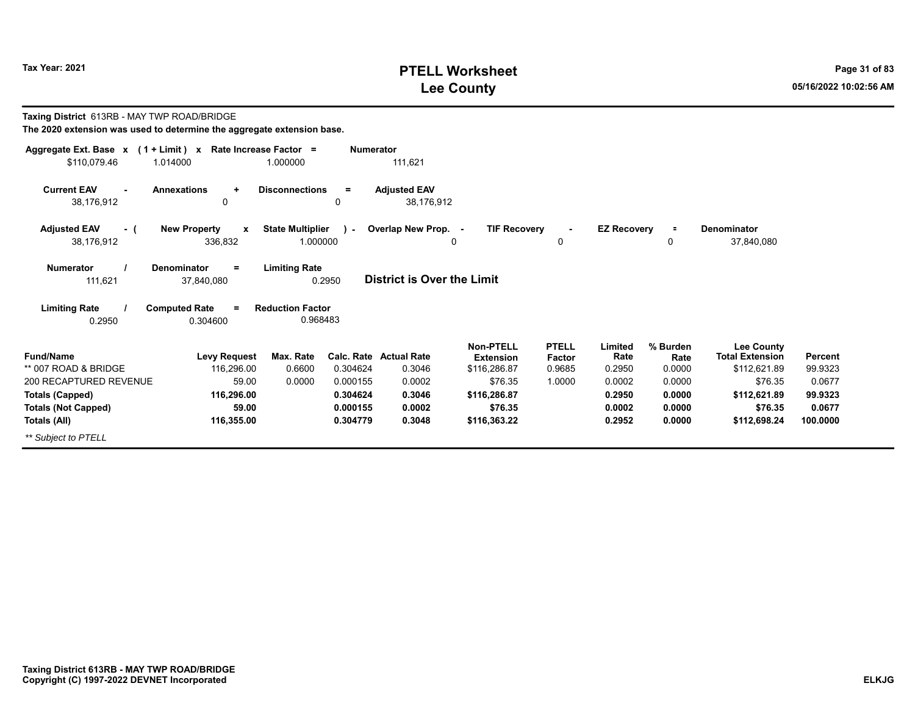# **PTELL Worksheet Tax Year: 2021 Page 31 of 83 Lee County 05/16/2022 10:02:56 AM**

| Taxing District 613RB - MAY TWP ROAD/BRIDGE<br>The 2020 extension was used to determine the aggregate extension base. |                                                    |                                     |                      |                                         |                                                      |                                  |                           |                            |                                                             |                    |
|-----------------------------------------------------------------------------------------------------------------------|----------------------------------------------------|-------------------------------------|----------------------|-----------------------------------------|------------------------------------------------------|----------------------------------|---------------------------|----------------------------|-------------------------------------------------------------|--------------------|
| Aggregate Ext. Base x (1 + Limit) x Rate Increase Factor =<br>\$110,079.46                                            | 1.014000                                           | 1.000000                            | <b>Numerator</b>     | 111,621                                 |                                                      |                                  |                           |                            |                                                             |                    |
| <b>Current EAV</b><br>38,176,912                                                                                      | <b>Annexations</b><br>$\ddot{}$<br>$\mathbf 0$     | <b>Disconnections</b>               | $=$<br>0             | <b>Adjusted EAV</b><br>38.176.912       |                                                      |                                  |                           |                            |                                                             |                    |
| <b>Adjusted EAV</b><br>- (<br>38,176,912                                                                              | <b>New Property</b><br>$\boldsymbol{x}$<br>336,832 | <b>State Multiplier</b><br>1.000000 | in a                 | Overlap New Prop. -                     | <b>TIF Recovery</b><br>0                             | 0                                | <b>EZ Recovery</b>        | $\equiv$<br>0              | <b>Denominator</b><br>37,840,080                            |                    |
| <b>Numerator</b><br>111,621                                                                                           | <b>Denominator</b><br>$=$<br>37,840,080            | <b>Limiting Rate</b><br>0.2950      |                      | <b>District is Over the Limit</b>       |                                                      |                                  |                           |                            |                                                             |                    |
| <b>Limiting Rate</b><br>0.2950                                                                                        | <b>Computed Rate</b><br>0.304600                   | <b>Reduction Factor</b><br>0.968483 |                      |                                         |                                                      |                                  |                           |                            |                                                             |                    |
| <b>Fund/Name</b><br>** 007 ROAD & BRIDGE                                                                              | <b>Levy Request</b><br>116.296.00                  | Max. Rate<br>0.6600                 | 0.304624             | <b>Calc. Rate Actual Rate</b><br>0.3046 | <b>Non-PTELL</b><br><b>Extension</b><br>\$116,286.87 | <b>PTELL</b><br>Factor<br>0.9685 | Limited<br>Rate<br>0.2950 | % Burden<br>Rate<br>0.0000 | <b>Lee County</b><br><b>Total Extension</b><br>\$112,621.89 | Percent<br>99.9323 |
| 200 RECAPTURED REVENUE                                                                                                | 59.00                                              | 0.0000                              | 0.000155             | 0.0002                                  | \$76.35                                              | 1.0000                           | 0.0002                    | 0.0000                     | \$76.35                                                     | 0.0677             |
| <b>Totals (Capped)</b>                                                                                                | 116,296.00                                         |                                     | 0.304624             | 0.3046                                  | \$116,286.87                                         |                                  | 0.2950                    | 0.0000                     | \$112,621.89                                                | 99.9323            |
| <b>Totals (Not Capped)</b>                                                                                            | 59.00<br>116,355.00                                |                                     | 0.000155<br>0.304779 | 0.0002<br>0.3048                        | \$76.35<br>\$116,363.22                              |                                  | 0.0002<br>0.2952          | 0.0000<br>0.0000           | \$76.35<br>\$112,698.24                                     | 0.0677<br>100.0000 |
| Totals (All)                                                                                                          |                                                    |                                     |                      |                                         |                                                      |                                  |                           |                            |                                                             |                    |
| ** Subject to PTELL                                                                                                   |                                                    |                                     |                      |                                         |                                                      |                                  |                           |                            |                                                             |                    |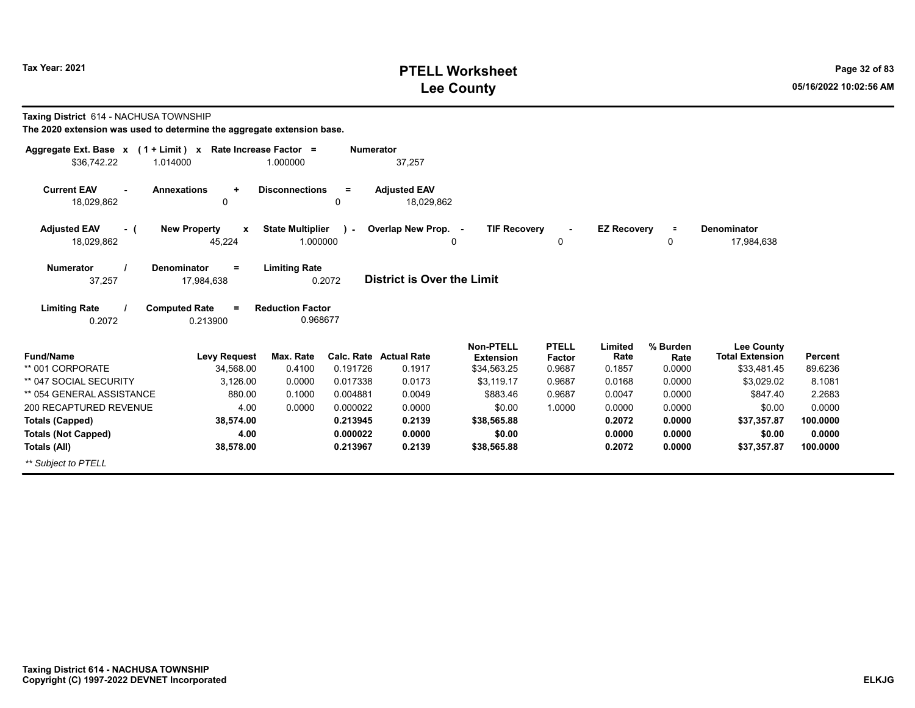# **PTELL Worksheet Tax Year: 2021 Page 32 of 83 Lee County 05/16/2022 10:02:56 AM**

| <b>Taxing District 614 - NACHUSA TOWNSHIP</b>                          |  |
|------------------------------------------------------------------------|--|
| The 2020 extension was used to determine the aggregate extension base. |  |

| Aggregate Ext. Base $x$ (1 + Limit) $x$<br>\$36,742.22<br>1.014000 | Rate Increase Factor =                                                              | 1.000000                            | <b>Numerator</b> | 37,257                            |                                      |                        |                    |                  |                                             |          |  |  |
|--------------------------------------------------------------------|-------------------------------------------------------------------------------------|-------------------------------------|------------------|-----------------------------------|--------------------------------------|------------------------|--------------------|------------------|---------------------------------------------|----------|--|--|
| <b>Current EAV</b><br>$\sim$                                       | <b>Annexations</b><br>$\ddot{}$                                                     | <b>Disconnections</b>               | $\equiv$         | <b>Adjusted EAV</b>               |                                      |                        |                    |                  |                                             |          |  |  |
| 18,029,862                                                         | 0                                                                                   |                                     | 0                | 18,029,862                        |                                      |                        |                    |                  |                                             |          |  |  |
| <b>Adjusted EAV</b><br>- (<br>18,029,862                           | <b>New Property</b><br>$\mathbf{x}$<br>45,224                                       | <b>State Multiplier</b><br>1.000000 | ra l             | Overlap New Prop. -               | <b>TIF Recovery</b><br>0             | $\blacksquare$<br>0    | <b>EZ Recovery</b> | $\equiv$<br>0    | <b>Denominator</b><br>17,984,638            |          |  |  |
| <b>Numerator</b><br>37,257                                         | Denominator<br>$\equiv$<br>17,984,638                                               | <b>Limiting Rate</b><br>0.2072      |                  | <b>District is Over the Limit</b> |                                      |                        |                    |                  |                                             |          |  |  |
| <b>Limiting Rate</b><br>0.2072                                     | <b>Computed Rate</b><br><b>Reduction Factor</b><br>$\equiv$<br>0.968677<br>0.213900 |                                     |                  |                                   |                                      |                        |                    |                  |                                             |          |  |  |
| <b>Fund/Name</b>                                                   | <b>Levy Request</b>                                                                 | Max. Rate                           |                  | <b>Calc. Rate Actual Rate</b>     | <b>Non-PTELL</b><br><b>Extension</b> | <b>PTELL</b><br>Factor | Limited<br>Rate    | % Burden<br>Rate | <b>Lee County</b><br><b>Total Extension</b> | Percent  |  |  |
| ** 001 CORPORATE                                                   | 34,568.00                                                                           | 0.4100                              | 0.191726         | 0.1917                            | \$34,563.25                          | 0.9687                 | 0.1857             | 0.0000           | \$33,481.45                                 | 89.6236  |  |  |
| ** 047 SOCIAL SECURITY                                             | 3,126.00                                                                            | 0.0000                              | 0.017338         | 0.0173                            | \$3,119.17                           | 0.9687                 | 0.0168             | 0.0000           | \$3,029.02                                  | 8.1081   |  |  |
| ** 054 GENERAL ASSISTANCE                                          | 880.00                                                                              | 0.1000                              | 0.004881         | 0.0049                            | \$883.46                             | 0.9687                 | 0.0047             | 0.0000           | \$847.40                                    | 2.2683   |  |  |
| 200 RECAPTURED REVENUE                                             | 4.00                                                                                | 0.0000                              | 0.000022         | 0.0000                            | \$0.00                               | 1.0000                 | 0.0000             | 0.0000           | \$0.00                                      | 0.0000   |  |  |
| <b>Totals (Capped)</b>                                             | 38,574.00                                                                           |                                     | 0.213945         | 0.2139                            | \$38,565.88                          |                        | 0.2072             | 0.0000           | \$37,357.87                                 | 100.0000 |  |  |
| <b>Totals (Not Capped)</b>                                         | 4.00                                                                                |                                     | 0.000022         | 0.0000                            | \$0.00                               |                        | 0.0000             | 0.0000           | \$0.00                                      | 0.0000   |  |  |
| Totals (All)                                                       | 38,578.00                                                                           |                                     | 0.213967         | 0.2139                            | \$38,565.88                          |                        | 0.2072             | 0.0000           | \$37,357.87                                 | 100.0000 |  |  |
| ** Subject to PTELL                                                |                                                                                     |                                     |                  |                                   |                                      |                        |                    |                  |                                             |          |  |  |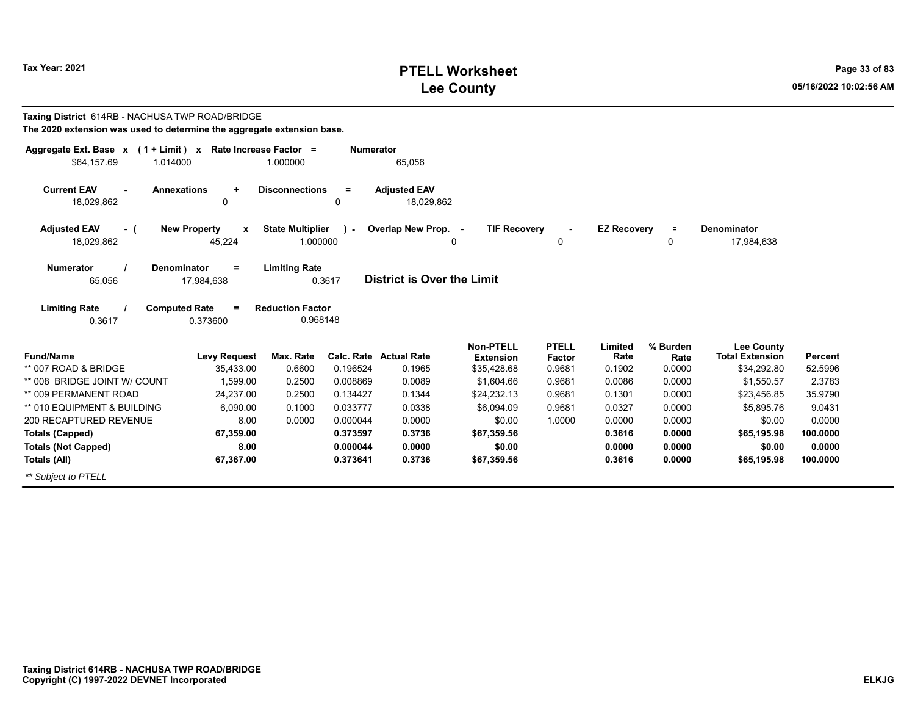# **PTELL Worksheet Tax Year: 2021 Page 33 of 83 Lee County 05/16/2022 10:02:56 AM**

| Taxing District 614RB - NACHUSA TWP ROAD/BRIDGE<br>The 2020 extension was used to determine the aggregate extension base. |                          |                         |                  |                                   |                     |              |                    |          |                        |                |  |  |  |
|---------------------------------------------------------------------------------------------------------------------------|--------------------------|-------------------------|------------------|-----------------------------------|---------------------|--------------|--------------------|----------|------------------------|----------------|--|--|--|
| Aggregate Ext. Base $x$ (1 + Limit) x Rate Increase Factor =                                                              |                          |                         | <b>Numerator</b> |                                   |                     |              |                    |          |                        |                |  |  |  |
| \$64.157.69<br>1.014000                                                                                                   |                          | 1.000000                |                  | 65,056                            |                     |              |                    |          |                        |                |  |  |  |
| <b>Current EAV</b><br><b>Annexations</b>                                                                                  | $\ddot{}$                | <b>Disconnections</b>   | $=$              | <b>Adjusted EAV</b>               |                     |              |                    |          |                        |                |  |  |  |
| 18,029,862                                                                                                                | 0                        |                         | 0                | 18,029,862                        |                     |              |                    |          |                        |                |  |  |  |
| <b>Adjusted EAV</b><br>- (                                                                                                | <b>New Property</b><br>X | <b>State Multiplier</b> | $\mathbf{L}$     | Overlap New Prop. -               | <b>TIF Recovery</b> |              | <b>EZ Recovery</b> | $\equiv$ | <b>Denominator</b>     |                |  |  |  |
| 18,029,862                                                                                                                | 45,224                   | 1.000000                |                  |                                   | $\Omega$            | 0            |                    | 0        | 17,984,638             |                |  |  |  |
| <b>Numerator</b><br>Denominator                                                                                           | $=$                      | <b>Limiting Rate</b>    |                  |                                   |                     |              |                    |          |                        |                |  |  |  |
| 65,056                                                                                                                    | 17,984,638               |                         | 0.3617           | <b>District is Over the Limit</b> |                     |              |                    |          |                        |                |  |  |  |
| <b>Limiting Rate</b><br><b>Computed Rate</b>                                                                              | $=$                      | <b>Reduction Factor</b> |                  |                                   |                     |              |                    |          |                        |                |  |  |  |
| 0.3617                                                                                                                    | 0.373600                 | 0.968148                |                  |                                   |                     |              |                    |          |                        |                |  |  |  |
|                                                                                                                           |                          |                         |                  |                                   | <b>Non-PTELL</b>    | <b>PTELL</b> | Limited            | % Burden | <b>Lee County</b>      |                |  |  |  |
| <b>Fund/Name</b>                                                                                                          | <b>Levy Request</b>      | Max. Rate               |                  | <b>Calc. Rate Actual Rate</b>     | <b>Extension</b>    | Factor       | Rate               | Rate     | <b>Total Extension</b> | <b>Percent</b> |  |  |  |
| ** 007 ROAD & BRIDGE                                                                                                      | 35,433.00                | 0.6600                  | 0.196524         | 0.1965                            | \$35,428.68         | 0.9681       | 0.1902             | 0.0000   | \$34,292.80            | 52.5996        |  |  |  |
| ** 008 BRIDGE JOINT W/ COUNT                                                                                              | 1.599.00                 | 0.2500                  | 0.008869         | 0.0089                            | \$1,604.66          | 0.9681       | 0.0086             | 0.0000   | \$1,550.57             | 2.3783         |  |  |  |
| ** 009 PERMANENT ROAD                                                                                                     | 24.237.00                | 0.2500                  | 0.134427         | 0.1344                            | \$24,232.13         | 0.9681       | 0.1301             | 0.0000   | \$23,456.85            | 35.9790        |  |  |  |
| ** 010 EQUIPMENT & BUILDING                                                                                               | 6,090.00                 | 0.1000                  | 0.033777         | 0.0338                            | \$6.094.09          | 0.9681       | 0.0327             | 0.0000   | \$5,895.76             | 9.0431         |  |  |  |
| 200 RECAPTURED REVENUE                                                                                                    | 8.00                     | 0.0000                  | 0.000044         | 0.0000                            | \$0.00              | 1.0000       | 0.0000             | 0.0000   | \$0.00                 | 0.0000         |  |  |  |
| <b>Totals (Capped)</b>                                                                                                    | 67.359.00                |                         | 0.373597         | 0.3736                            | \$67,359.56         |              | 0.3616             | 0.0000   | \$65,195.98            | 100.0000       |  |  |  |
| <b>Totals (Not Capped)</b>                                                                                                | 8.00                     |                         | 0.000044         | 0.0000                            | \$0.00              |              | 0.0000             | 0.0000   | \$0.00                 | 0.0000         |  |  |  |
| Totals (All)                                                                                                              | 67,367.00                |                         | 0.373641         | 0.3736                            | \$67,359.56         |              | 0.3616             | 0.0000   | \$65,195.98            | 100.0000       |  |  |  |
| ** Subject to PTELL                                                                                                       |                          |                         |                  |                                   |                     |              |                    |          |                        |                |  |  |  |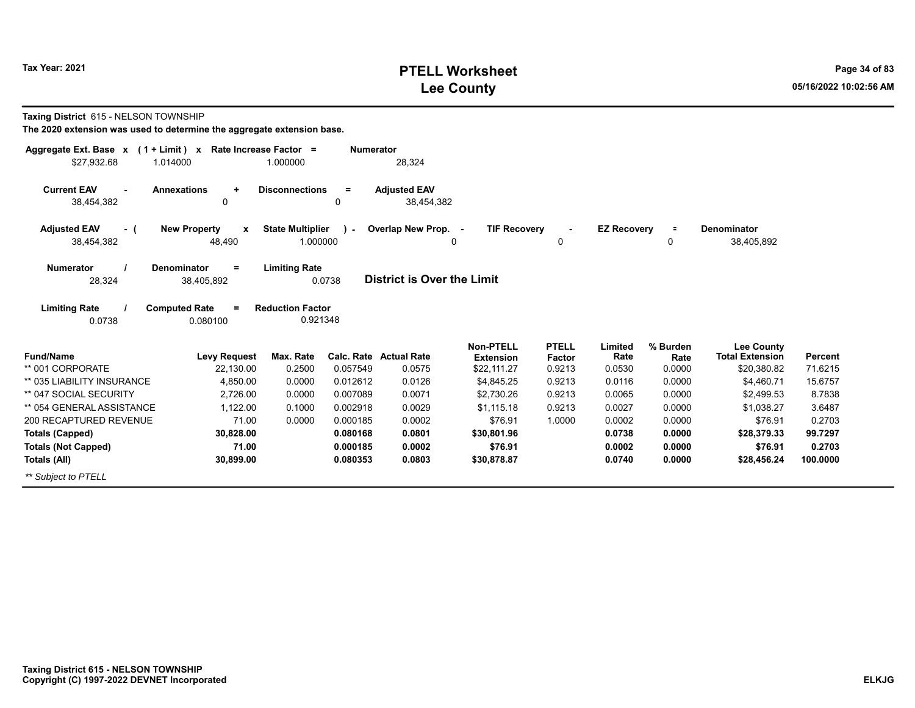# **PTELL Worksheet Tax Year: 2021 Page 34 of 83 Lee County 05/16/2022 10:02:56 AM**

**Taxing District** 615 - NELSON TOWNSHIP

| Aggregate Ext. Base x<br>$(1 + Limit)$ x | Rate Increase Factor =                        |                                     | <b>Numerator</b> |                                   |                                      |                        |                    |                  |                                             |          |
|------------------------------------------|-----------------------------------------------|-------------------------------------|------------------|-----------------------------------|--------------------------------------|------------------------|--------------------|------------------|---------------------------------------------|----------|
| \$27,932.68<br>1.014000                  |                                               | 1.000000                            |                  | 28,324                            |                                      |                        |                    |                  |                                             |          |
| <b>Current EAV</b><br>٠<br>38,454,382    | <b>Annexations</b><br>$\ddot{}$<br>0          | <b>Disconnections</b>               | $=$<br>0         | <b>Adjusted EAV</b><br>38,454,382 |                                      |                        |                    |                  |                                             |          |
| <b>Adjusted EAV</b><br>- (<br>38,454,382 | <b>New Property</b><br>$\mathbf{x}$<br>48,490 | <b>State Multiplier</b><br>1.000000 | . .              | Overlap New Prop. -               | <b>TIF Recovery</b><br>0             | 0                      | <b>EZ Recovery</b> | $\equiv$<br>0    | Denominator<br>38,405,892                   |          |
| <b>Numerator</b><br>28,324               | <b>Denominator</b><br>$=$<br>38,405,892       | <b>Limiting Rate</b>                | 0.0738           | <b>District is Over the Limit</b> |                                      |                        |                    |                  |                                             |          |
| <b>Limiting Rate</b><br>0.0738           | <b>Computed Rate</b><br>$\equiv$<br>0.080100  | <b>Reduction Factor</b><br>0.921348 |                  |                                   |                                      |                        |                    |                  |                                             |          |
| <b>Fund/Name</b>                         | <b>Levy Request</b>                           | Max. Rate                           | Calc. Rate       | <b>Actual Rate</b>                | <b>Non-PTELL</b><br><b>Extension</b> | <b>PTELL</b><br>Factor | Limited<br>Rate    | % Burden<br>Rate | <b>Lee County</b><br><b>Total Extension</b> | Percent  |
| ** 001 CORPORATE                         | 22,130.00                                     | 0.2500                              | 0.057549         | 0.0575                            | \$22,111.27                          | 0.9213                 | 0.0530             | 0.0000           | \$20,380.82                                 | 71.6215  |
| ** 035 LIABILITY INSURANCE               | 4,850.00                                      | 0.0000                              | 0.012612         | 0.0126                            | \$4,845.25                           | 0.9213                 | 0.0116             | 0.0000           | \$4,460.71                                  | 15.6757  |
| ** 047 SOCIAL SECURITY                   | 2,726.00                                      | 0.0000                              | 0.007089         | 0.0071                            | \$2,730.26                           | 0.9213                 | 0.0065             | 0.0000           | \$2,499.53                                  | 8.7838   |
| ** 054 GENERAL ASSISTANCE                | 1,122.00                                      | 0.1000                              | 0.002918         | 0.0029                            | \$1,115.18                           | 0.9213                 | 0.0027             | 0.0000           | \$1.038.27                                  | 3.6487   |
| 200 RECAPTURED REVENUE                   | 71.00                                         | 0.0000                              | 0.000185         | 0.0002                            | \$76.91                              | 1.0000                 | 0.0002             | 0.0000           | \$76.91                                     | 0.2703   |
| <b>Totals (Capped)</b>                   | 30,828.00                                     |                                     | 0.080168         | 0.0801                            | \$30,801.96                          |                        | 0.0738             | 0.0000           | \$28,379.33                                 | 99.7297  |
| <b>Totals (Not Capped)</b>               | 71.00                                         |                                     | 0.000185         | 0.0002                            | \$76.91                              |                        | 0.0002             | 0.0000           | \$76.91                                     | 0.2703   |
| Totals (All)                             | 30,899.00                                     |                                     | 0.080353         | 0.0803                            | \$30,878.87                          |                        | 0.0740             | 0.0000           | \$28,456.24                                 | 100.0000 |
| ** Subject to PTELL                      |                                               |                                     |                  |                                   |                                      |                        |                    |                  |                                             |          |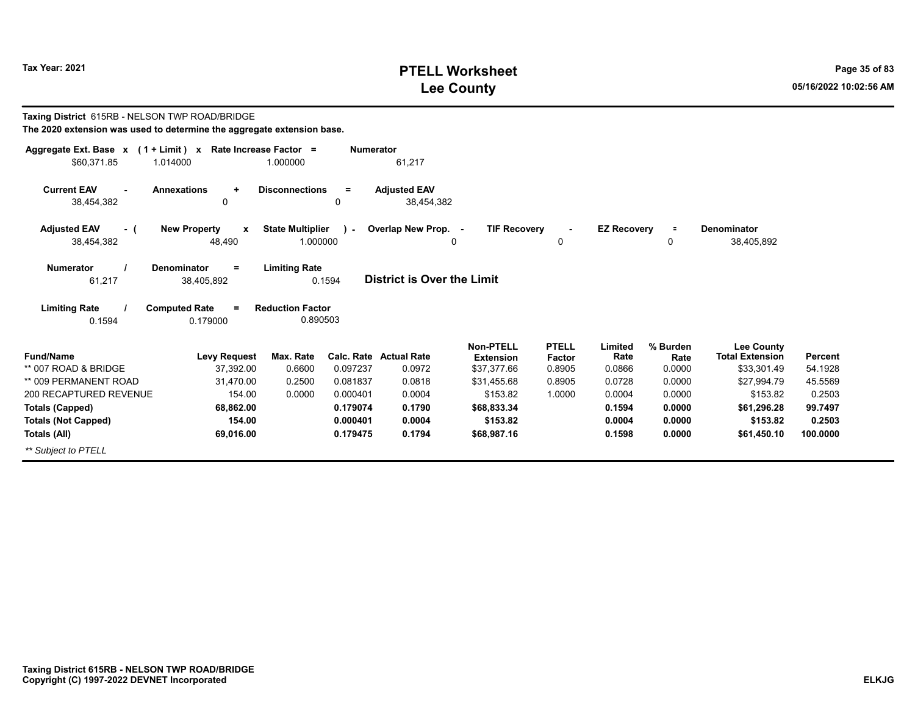# **PTELL Worksheet Tax Year: 2021 Page 35 of 83 Lee County 05/16/2022 10:02:56 AM**

| Taxing District 615RB - NELSON TWP ROAD/BRIDGE<br>The 2020 extension was used to determine the aggregate extension base. |                                                                 |                                                 |                  |                                   |                               |                        |                    |                  |                                             |                |
|--------------------------------------------------------------------------------------------------------------------------|-----------------------------------------------------------------|-------------------------------------------------|------------------|-----------------------------------|-------------------------------|------------------------|--------------------|------------------|---------------------------------------------|----------------|
| Aggregate Ext. Base $x$ (1 + Limit) x Rate Increase Factor =                                                             |                                                                 |                                                 | <b>Numerator</b> |                                   |                               |                        |                    |                  |                                             |                |
| \$60,371.85                                                                                                              | 1.014000                                                        | 1.000000                                        |                  | 61,217                            |                               |                        |                    |                  |                                             |                |
| <b>Current EAV</b><br>38,454,382                                                                                         | <b>Annexations</b><br>$\ddot{}$<br>$\mathbf 0$                  | <b>Disconnections</b>                           | $=$<br>0         | <b>Adjusted EAV</b><br>38,454,382 |                               |                        |                    |                  |                                             |                |
| <b>Adjusted EAV</b><br>- (                                                                                               | <b>New Property</b><br>$\mathbf{x}$                             | <b>State Multiplier</b>                         | $\lambda$        | Overlap New Prop. -               | <b>TIF Recoverv</b>           |                        | <b>EZ Recoverv</b> | $\equiv$         | Denominator                                 |                |
| 38,454,382                                                                                                               | 48,490                                                          | 1.000000                                        |                  |                                   | 0                             | 0                      |                    | 0                | 38,405,892                                  |                |
| <b>Numerator</b><br>61,217<br><b>Limiting Rate</b>                                                                       | <b>Denominator</b><br>$=$<br>38,405,892<br><b>Computed Rate</b> | <b>Limiting Rate</b><br><b>Reduction Factor</b> | 0.1594           | <b>District is Over the Limit</b> |                               |                        |                    |                  |                                             |                |
| 0.1594                                                                                                                   | 0.179000                                                        | 0.890503                                        |                  |                                   |                               |                        |                    |                  |                                             |                |
| <b>Fund/Name</b>                                                                                                         | <b>Levy Request</b>                                             | Max. Rate                                       |                  | <b>Calc. Rate Actual Rate</b>     | Non-PTELL<br><b>Extension</b> | <b>PTELL</b><br>Factor | Limited<br>Rate    | % Burden<br>Rate | <b>Lee County</b><br><b>Total Extension</b> | <b>Percent</b> |
| ** 007 ROAD & BRIDGE                                                                                                     | 37.392.00                                                       | 0.6600                                          | 0.097237         | 0.0972                            | \$37,377.66                   | 0.8905                 | 0.0866             | 0.0000           | \$33,301.49                                 | 54.1928        |
| ** 009 PERMANENT ROAD                                                                                                    | 31.470.00                                                       | 0.2500                                          | 0.081837         | 0.0818                            | \$31,455.68                   | 0.8905                 | 0.0728             | 0.0000           | \$27,994.79                                 | 45.5569        |
| 200 RECAPTURED REVENUE                                                                                                   | 154.00                                                          | 0.0000                                          | 0.000401         | 0.0004                            | \$153.82                      | 1.0000                 | 0.0004             | 0.0000           | \$153.82                                    | 0.2503         |
| <b>Totals (Capped)</b>                                                                                                   | 68,862.00                                                       |                                                 | 0.179074         | 0.1790                            | \$68,833.34                   |                        | 0.1594             | 0.0000           | \$61,296.28                                 | 99.7497        |
| <b>Totals (Not Capped)</b>                                                                                               | 154.00                                                          |                                                 | 0.000401         | 0.0004                            | \$153.82                      |                        | 0.0004             | 0.0000           | \$153.82                                    | 0.2503         |
| Totals (All)                                                                                                             | 69,016.00                                                       |                                                 | 0.179475         | 0.1794                            | \$68,987.16                   |                        | 0.1598             | 0.0000           | \$61,450.10                                 | 100.0000       |
| ** Subiect to PTELL                                                                                                      |                                                                 |                                                 |                  |                                   |                               |                        |                    |                  |                                             |                |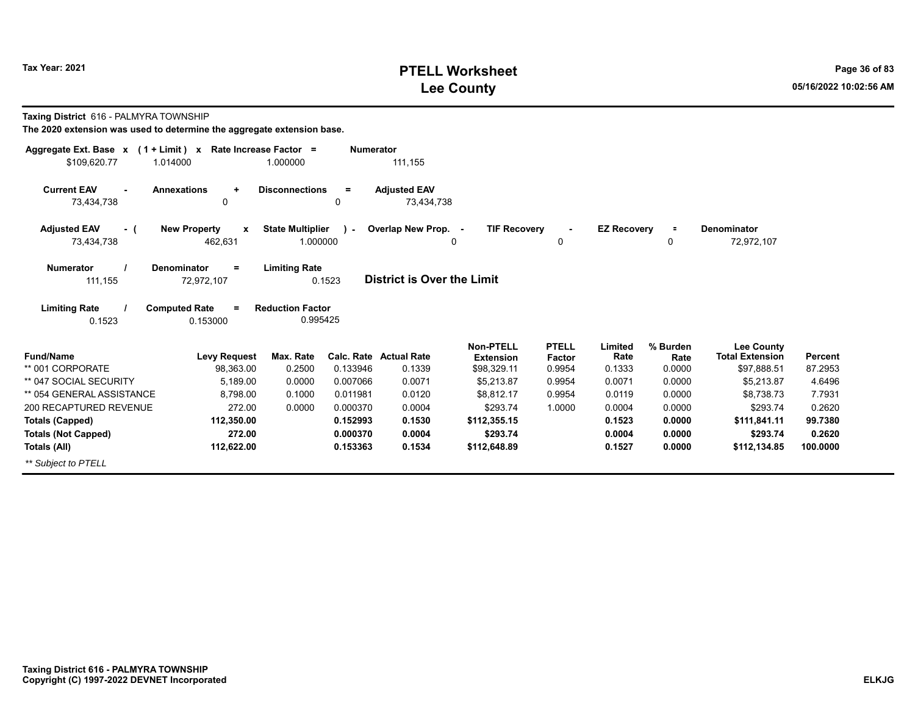# **PTELL Worksheet Tax Year: 2021 Page 36 of 83 Lee County 05/16/2022 10:02:56 AM**

**Taxing District** 616 - PALMYRA TOWNSHIP

| Aggregate Ext. Base x<br>$(1 + Limit) x$           | Rate Increase Factor =                  |                         | <b>Numerator</b>       |                                   |                                                     |                                         |                           |                            |                                                            |                    |
|----------------------------------------------------|-----------------------------------------|-------------------------|------------------------|-----------------------------------|-----------------------------------------------------|-----------------------------------------|---------------------------|----------------------------|------------------------------------------------------------|--------------------|
| \$109,620.77<br>1.014000                           |                                         | 1.000000                |                        | 111,155                           |                                                     |                                         |                           |                            |                                                            |                    |
| <b>Current EAV</b><br>$\blacksquare$<br>73,434,738 | <b>Annexations</b><br>$\ddot{}$<br>0    | <b>Disconnections</b>   | $\equiv$<br>0          | <b>Adjusted EAV</b><br>73,434,738 |                                                     |                                         |                           |                            |                                                            |                    |
| <b>Adjusted EAV</b><br>- (                         | <b>New Property</b><br>$\mathbf{x}$     | <b>State Multiplier</b> | ra l                   | Overlap New Prop. -               | <b>TIF Recovery</b>                                 |                                         | <b>EZ Recovery</b>        | $\equiv$                   | <b>Denominator</b>                                         |                    |
| 73,434,738                                         | 462,631                                 | 1.000000                |                        |                                   | 0                                                   | 0                                       |                           | 0                          | 72,972,107                                                 |                    |
| <b>Numerator</b><br>111,155                        | <b>Denominator</b><br>$=$<br>72,972,107 | <b>Limiting Rate</b>    | 0.1523                 | <b>District is Over the Limit</b> |                                                     |                                         |                           |                            |                                                            |                    |
| <b>Limiting Rate</b>                               | <b>Computed Rate</b><br>$=$             | <b>Reduction Factor</b> |                        |                                   |                                                     |                                         |                           |                            |                                                            |                    |
| 0.1523                                             | 0.153000                                | 0.995425                |                        |                                   |                                                     |                                         |                           |                            |                                                            |                    |
| <b>Fund/Name</b><br>** 001 CORPORATE               | <b>Levy Request</b><br>98,363.00        | Max. Rate<br>0.2500     | Calc. Rate<br>0.133946 | <b>Actual Rate</b><br>0.1339      | <b>Non-PTELL</b><br><b>Extension</b><br>\$98,329.11 | <b>PTELL</b><br><b>Factor</b><br>0.9954 | Limited<br>Rate<br>0.1333 | % Burden<br>Rate<br>0.0000 | <b>Lee County</b><br><b>Total Extension</b><br>\$97,888.51 | Percent<br>87.2953 |
| ** 047 SOCIAL SECURITY                             | 5,189.00                                | 0.0000                  | 0.007066               | 0.0071                            | \$5,213.87                                          | 0.9954                                  | 0.0071                    | 0.0000                     | \$5,213.87                                                 | 4.6496             |
| ** 054 GENERAL ASSISTANCE                          | 8,798.00                                | 0.1000                  | 0.011981               | 0.0120                            | \$8,812.17                                          | 0.9954                                  | 0.0119                    | 0.0000                     | \$8,738.73                                                 | 7.7931             |
| 200 RECAPTURED REVENUE                             | 272.00                                  | 0.0000                  | 0.000370               | 0.0004                            | \$293.74                                            | 1.0000                                  | 0.0004                    | 0.0000                     | \$293.74                                                   | 0.2620             |
| <b>Totals (Capped)</b>                             | 112,350.00                              |                         | 0.152993               | 0.1530                            | \$112,355.15                                        |                                         | 0.1523                    | 0.0000                     | \$111,841.11                                               | 99.7380            |
| <b>Totals (Not Capped)</b>                         | 272.00                                  |                         | 0.000370               | 0.0004                            | \$293.74                                            |                                         | 0.0004                    | 0.0000                     | \$293.74                                                   | 0.2620             |
| Totals (All)                                       | 112,622.00                              |                         | 0.153363               | 0.1534                            | \$112,648.89                                        |                                         | 0.1527                    | 0.0000                     | \$112,134.85                                               | 100.0000           |
| ** Subject to PTELL                                |                                         |                         |                        |                                   |                                                     |                                         |                           |                            |                                                            |                    |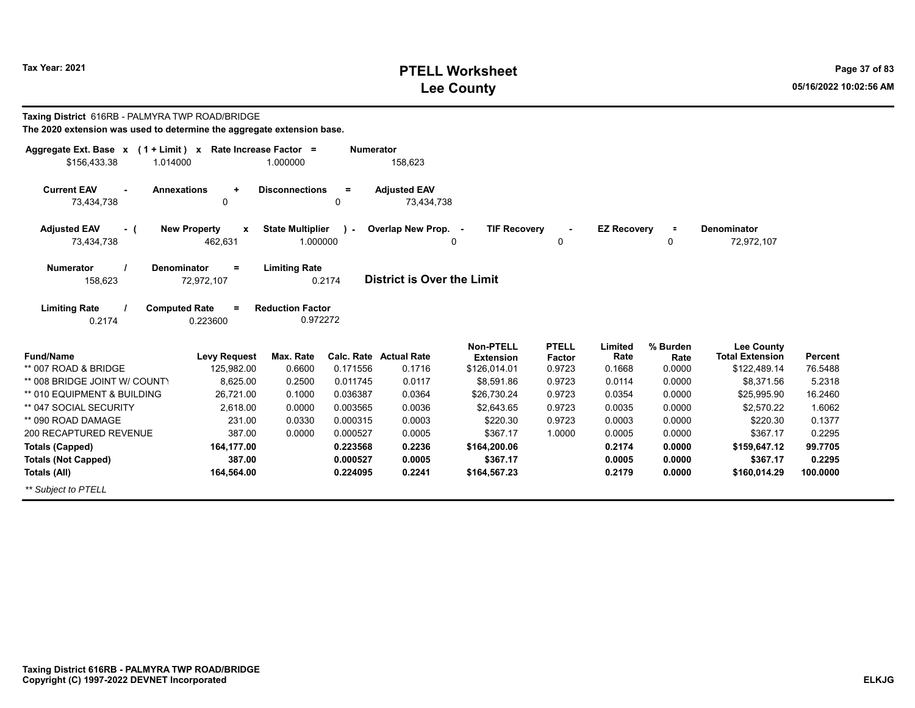# **PTELL Worksheet Tax Year: 2021 Page 37 of 83 Lee County 05/16/2022 10:02:56 AM**

| Taxing District 616RB - PALMYRA TWP ROAD/BRIDGE<br>The 2020 extension was used to determine the aggregate extension base. |                                             |                                     |                  |                                   |                                            |                        |                    |                  |                                             |                |
|---------------------------------------------------------------------------------------------------------------------------|---------------------------------------------|-------------------------------------|------------------|-----------------------------------|--------------------------------------------|------------------------|--------------------|------------------|---------------------------------------------|----------------|
| Aggregate Ext. Base $x$ (1 + Limit) x Rate Increase Factor =<br>\$156,433.38<br>1.014000                                  |                                             | 1.000000                            | <b>Numerator</b> | 158,623                           |                                            |                        |                    |                  |                                             |                |
| <b>Current EAV</b><br>73,434,738                                                                                          | <b>Annexations</b><br>$\ddot{}$<br>$\Omega$ | <b>Disconnections</b>               | $=$<br>0         | <b>Adjusted EAV</b><br>73.434.738 |                                            |                        |                    |                  |                                             |                |
| <b>Adjusted EAV</b><br>- (<br>73,434,738                                                                                  | <b>New Property</b><br>X<br>462,631         | <b>State Multiplier</b><br>1.000000 | $\mathbf{I}$     | Overlap New Prop.                 | <b>TIF Recovery</b><br>$\blacksquare$<br>0 | 0                      | <b>EZ Recovery</b> | $\equiv$<br>0    | <b>Denominator</b><br>72,972,107            |                |
| <b>Numerator</b><br>158,623                                                                                               | <b>Denominator</b><br>$=$<br>72,972,107     | <b>Limiting Rate</b><br>0.2174      |                  | <b>District is Over the Limit</b> |                                            |                        |                    |                  |                                             |                |
| <b>Limiting Rate</b><br>0.2174                                                                                            | <b>Computed Rate</b><br>$=$<br>0.223600     | <b>Reduction Factor</b><br>0.972272 |                  |                                   |                                            |                        |                    |                  |                                             |                |
| <b>Fund/Name</b>                                                                                                          | <b>Levy Request</b>                         | Max. Rate                           |                  | <b>Calc. Rate Actual Rate</b>     | Non-PTELL<br><b>Extension</b>              | <b>PTELL</b><br>Factor | Limited<br>Rate    | % Burden<br>Rate | <b>Lee County</b><br><b>Total Extension</b> | <b>Percent</b> |
| ** 007 ROAD & BRIDGE                                                                                                      | 125,982.00                                  | 0.6600                              | 0.171556         | 0.1716                            | \$126,014.01                               | 0.9723                 | 0.1668             | 0.0000           | \$122,489.14                                | 76.5488        |
| ** 008 BRIDGE JOINT W/ COUNTY                                                                                             | 8,625.00                                    | 0.2500                              | 0.011745         | 0.0117                            | \$8,591.86                                 | 0.9723                 | 0.0114             | 0.0000           | \$8,371.56                                  | 5.2318         |
| ** 010 EQUIPMENT & BUILDING                                                                                               | 26,721.00                                   | 0.1000                              | 0.036387         | 0.0364                            | \$26,730.24                                | 0.9723                 | 0.0354             | 0.0000           | \$25,995.90                                 | 16.2460        |
| ** 047 SOCIAL SECURITY                                                                                                    | 2,618.00                                    | 0.0000                              | 0.003565         | 0.0036                            | \$2,643.65                                 | 0.9723                 | 0.0035             | 0.0000           | \$2,570.22                                  | 1.6062         |
| ** 090 ROAD DAMAGE                                                                                                        | 231.00                                      | 0.0330                              | 0.000315         | 0.0003                            | \$220.30                                   | 0.9723                 | 0.0003             | 0.0000           | \$220.30                                    | 0.1377         |
| 200 RECAPTURED REVENUE                                                                                                    | 387.00                                      | 0.0000                              | 0.000527         | 0.0005                            | \$367.17                                   | 1.0000                 | 0.0005             | 0.0000           | \$367.17                                    | 0.2295         |
| <b>Totals (Capped)</b>                                                                                                    | 164,177.00                                  |                                     | 0.223568         | 0.2236                            | \$164,200.06                               |                        | 0.2174             | 0.0000           | \$159,647.12                                | 99.7705        |
| <b>Totals (Not Capped)</b>                                                                                                | 387.00                                      |                                     | 0.000527         | 0.0005                            | \$367.17                                   |                        | 0.0005             | 0.0000           | \$367.17                                    | 0.2295         |
| <b>Totals (All)</b>                                                                                                       | 164,564.00                                  |                                     | 0.224095         | 0.2241                            | \$164,567.23                               |                        | 0.2179             | 0.0000           | \$160,014.29                                | 100.0000       |
| ** Subiect to PTELL                                                                                                       |                                             |                                     |                  |                                   |                                            |                        |                    |                  |                                             |                |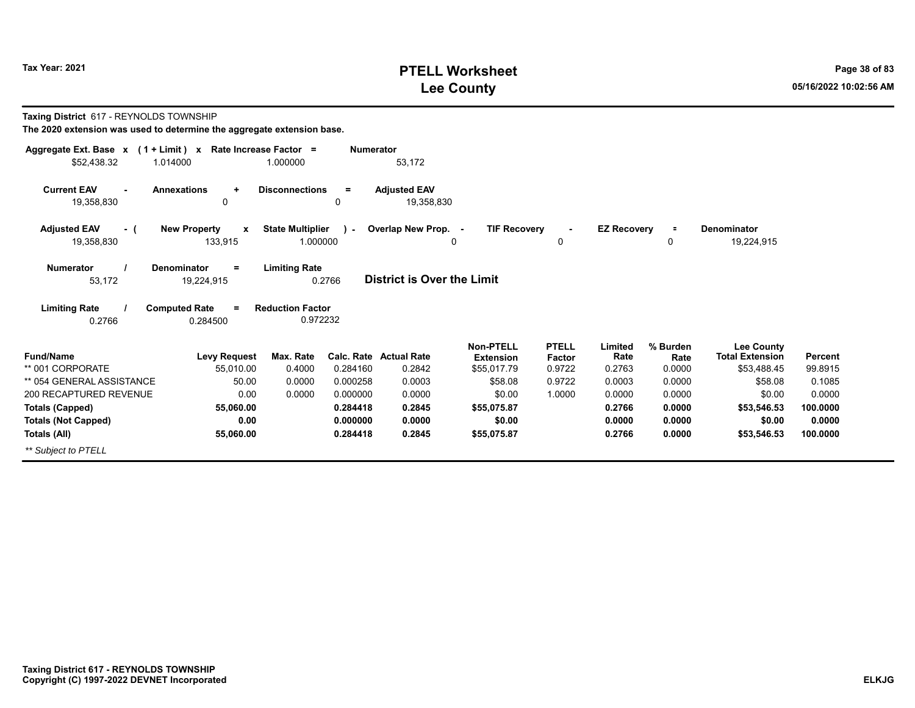# **PTELL Worksheet Tax Year: 2021 Page 38 of 83 Lee County 05/16/2022 10:02:56 AM**

**Taxing District** 617 - REYNOLDS TOWNSHIP

| Aggregate Ext. Base $x$ (1 + Limit) $x$             | Rate Increase Factor =                         |                                     | <b>Numerator</b>     |                                   |                          |                     |                    |                  |                           |                  |
|-----------------------------------------------------|------------------------------------------------|-------------------------------------|----------------------|-----------------------------------|--------------------------|---------------------|--------------------|------------------|---------------------------|------------------|
| \$52,438.32<br>1.014000                             |                                                | 1.000000                            |                      | 53,172                            |                          |                     |                    |                  |                           |                  |
| <b>Current EAV</b><br>$\sim$<br>19,358,830          | <b>Annexations</b><br>$\ddot{}$<br>0           | <b>Disconnections</b>               | $\equiv$<br>0        | <b>Adjusted EAV</b><br>19,358,830 |                          |                     |                    |                  |                           |                  |
|                                                     |                                                |                                     |                      |                                   |                          |                     |                    |                  |                           |                  |
| <b>Adjusted EAV</b><br>- (<br>19,358,830            | <b>New Property</b><br>$\mathbf{x}$<br>133,915 | <b>State Multiplier</b><br>1.000000 | $\mathcal{L}$        | Overlap New Prop. -               | <b>TIF Recovery</b><br>0 | $\blacksquare$<br>0 | <b>EZ Recovery</b> | п.<br>0          | Denominator<br>19,224,915 |                  |
| <b>Numerator</b><br>53,172                          | <b>Denominator</b><br>$=$<br>19,224,915        | <b>Limiting Rate</b>                | 0.2766               | <b>District is Over the Limit</b> |                          |                     |                    |                  |                           |                  |
| <b>Limiting Rate</b><br>0.2766                      | <b>Computed Rate</b><br>$=$<br>0.284500        | <b>Reduction Factor</b><br>0.972232 |                      |                                   |                          |                     |                    |                  |                           |                  |
|                                                     |                                                |                                     |                      |                                   | <b>Non-PTELL</b>         | <b>PTELL</b>        | Limited            | % Burden         | <b>Lee County</b>         |                  |
| <b>Fund/Name</b>                                    | <b>Levy Request</b>                            | Max. Rate                           |                      | Calc. Rate Actual Rate            | <b>Extension</b>         | Factor              | Rate               | Rate             | <b>Total Extension</b>    | Percent          |
| ** 001 CORPORATE                                    | 55,010.00                                      | 0.4000                              | 0.284160             | 0.2842                            | \$55,017.79              | 0.9722              | 0.2763             | 0.0000           | \$53,488.45               | 99.8915          |
| ** 054 GENERAL ASSISTANCE<br>200 RECAPTURED REVENUE | 50.00<br>0.00                                  | 0.0000                              | 0.000258<br>0.000000 | 0.0003<br>0.0000                  | \$58.08<br>\$0.00        | 0.9722<br>1.0000    | 0.0003<br>0.0000   | 0.0000<br>0.0000 | \$58.08<br>\$0.00         | 0.1085<br>0.0000 |
| <b>Totals (Capped)</b>                              | 55,060.00                                      | 0.0000                              | 0.284418             | 0.2845                            | \$55,075.87              |                     | 0.2766             | 0.0000           | \$53,546.53               | 100.0000         |
| <b>Totals (Not Capped)</b>                          | 0.00                                           |                                     | 0.000000             | 0.0000                            | \$0.00                   |                     | 0.0000             | 0.0000           | \$0.00                    | 0.0000           |
| Totals (All)                                        | 55,060.00                                      |                                     | 0.284418             | 0.2845                            | \$55,075.87              |                     | 0.2766             | 0.0000           | \$53,546.53               | 100.0000         |
| ** Subject to PTELL                                 |                                                |                                     |                      |                                   |                          |                     |                    |                  |                           |                  |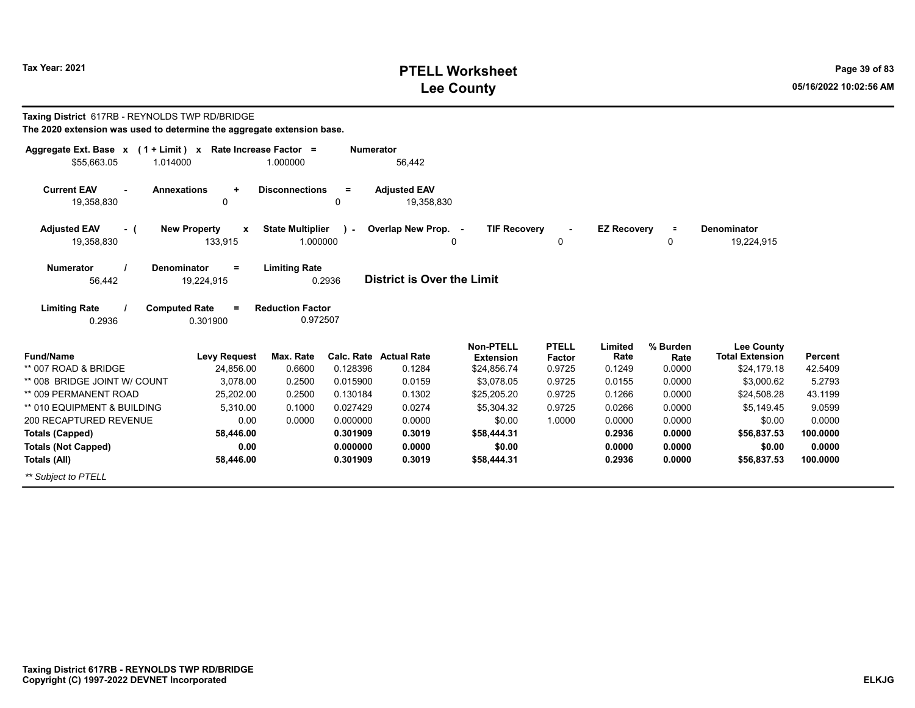# **PTELL Worksheet Tax Year: 2021 Page 39 of 83 Lee County 05/16/2022 10:02:56 AM**

| Taxing District 617RB - REYNOLDS TWP RD/BRIDGE<br>The 2020 extension was used to determine the aggregate extension base. |                                                    |                                     |                      |                                   |                                      |                        |                    |                  |                                             |                    |
|--------------------------------------------------------------------------------------------------------------------------|----------------------------------------------------|-------------------------------------|----------------------|-----------------------------------|--------------------------------------|------------------------|--------------------|------------------|---------------------------------------------|--------------------|
| Aggregate Ext. Base x (1 + Limit) x Rate Increase Factor =<br>\$55.663.05<br>1.014000                                    |                                                    | 1.000000                            | <b>Numerator</b>     | 56,442                            |                                      |                        |                    |                  |                                             |                    |
| <b>Annexations</b><br><b>Current EAV</b><br>19,358,830                                                                   | $\ddot{}$<br>0                                     | <b>Disconnections</b>               | $=$<br>0             | <b>Adjusted EAV</b><br>19,358,830 |                                      |                        |                    |                  |                                             |                    |
| <b>Adjusted EAV</b><br>- (<br>19,358,830                                                                                 | <b>New Property</b><br>$\boldsymbol{x}$<br>133,915 | <b>State Multiplier</b><br>1.000000 | $\lambda$            | Overlap New Prop. -               | <b>TIF Recovery</b><br>0             | 0                      | <b>EZ Recovery</b> | ÷<br>0           | Denominator<br>19,224,915                   |                    |
| <b>Numerator</b><br><b>Denominator</b><br>56,442                                                                         | $\equiv$<br>19,224,915                             | <b>Limiting Rate</b>                | 0.2936               | <b>District is Over the Limit</b> |                                      |                        |                    |                  |                                             |                    |
| <b>Limiting Rate</b><br><b>Computed Rate</b><br>0.2936                                                                   | 0.301900                                           | <b>Reduction Factor</b><br>0.972507 |                      |                                   |                                      |                        |                    |                  |                                             |                    |
| <b>Fund/Name</b>                                                                                                         | <b>Levy Request</b>                                | Max. Rate                           |                      | <b>Calc. Rate Actual Rate</b>     | <b>Non-PTELL</b><br><b>Extension</b> | <b>PTELL</b><br>Factor | Limited<br>Rate    | % Burden<br>Rate | <b>Lee County</b><br><b>Total Extension</b> | <b>Percent</b>     |
| ** 007 ROAD & BRIDGE                                                                                                     | 24,856.00                                          | 0.6600                              | 0.128396             | 0.1284                            | \$24,856.74                          | 0.9725                 | 0.1249             | 0.0000           | \$24,179.18                                 | 42.5409            |
| ** 008 BRIDGE JOINT W/ COUNT                                                                                             | 3.078.00                                           | 0.2500                              | 0.015900             | 0.0159                            | \$3.078.05                           | 0.9725                 | 0.0155             | 0.0000           | \$3,000.62                                  | 5.2793             |
| ** 009 PERMANENT ROAD                                                                                                    | 25.202.00                                          | 0.2500                              | 0.130184             | 0.1302                            | \$25,205.20                          | 0.9725                 | 0.1266             | 0.0000           | \$24,508.28                                 | 43.1199            |
| ** 010 EQUIPMENT & BUILDING                                                                                              | 5.310.00<br>0.00                                   | 0.1000                              | 0.027429<br>0.000000 | 0.0274                            | \$5,304.32                           | 0.9725                 | 0.0266             | 0.0000           | \$5,149.45                                  | 9.0599<br>0.0000   |
| 200 RECAPTURED REVENUE                                                                                                   |                                                    | 0.0000                              |                      | 0.0000                            | \$0.00                               | 1.0000                 | 0.0000             | 0.0000           | \$0.00                                      |                    |
| <b>Totals (Capped)</b>                                                                                                   | 58,446.00                                          |                                     | 0.301909             | 0.3019                            | \$58,444.31                          |                        | 0.2936             | 0.0000           | \$56,837.53                                 | 100.0000           |
| <b>Totals (Not Capped)</b><br>Totals (All)                                                                               | 0.00<br>58,446.00                                  |                                     | 0.000000<br>0.301909 | 0.0000<br>0.3019                  | \$0.00<br>\$58,444.31                |                        | 0.0000<br>0.2936   | 0.0000<br>0.0000 | \$0.00<br>\$56,837.53                       | 0.0000<br>100.0000 |
| ** Subiect to PTELL                                                                                                      |                                                    |                                     |                      |                                   |                                      |                        |                    |                  |                                             |                    |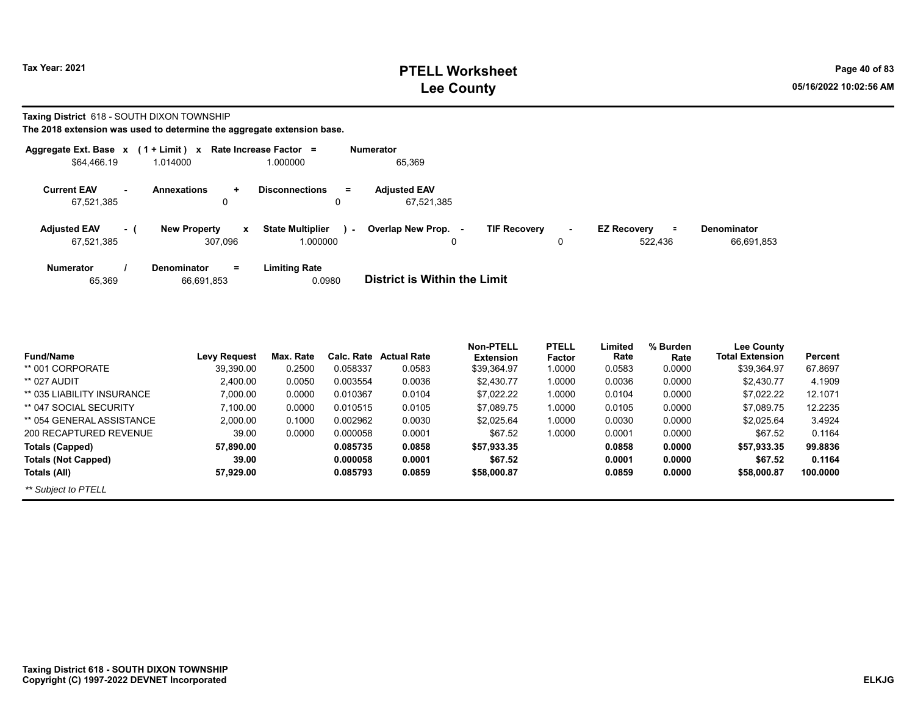# **PTELL Worksheet Tax Year: 2021 Page 40 of 83 Lee County 05/16/2022 10:02:56 AM**

**Taxing District** 618 - SOUTH DIXON TOWNSHIP

| Aggregate Ext. Base x             |     | $(1 + Limit)$ x                                    | Rate Increase Factor =                    | <b>Numerator</b>                                |                               |                                  |
|-----------------------------------|-----|----------------------------------------------------|-------------------------------------------|-------------------------------------------------|-------------------------------|----------------------------------|
| \$64,466.19                       |     | 1.014000                                           | 1.000000                                  | 65,369                                          |                               |                                  |
| <b>Current EAV</b><br>67.521.385  | ۰.  | <b>Annexations</b><br>$\ddot{}$<br>0               | <b>Disconnections</b><br>$=$<br>0         | <b>Adiusted EAV</b><br>67.521.385               |                               |                                  |
| <b>Adjusted EAV</b><br>67,521,385 | - ( | <b>New Property</b><br>$\boldsymbol{x}$<br>307.096 | <b>State Multiplier</b><br>ъ.<br>1.000000 | Overlap New Prop. -<br><b>TIF Recovery</b><br>0 | <b>EZ Recovery</b><br>522,436 | <b>Denominator</b><br>66,691,853 |
| <b>Numerator</b><br>65,369        |     | <b>Denominator</b><br>$\equiv$<br>66,691,853       | <b>Limiting Rate</b><br>0.0980            | <b>District is Within the Limit</b>             |                               |                                  |

|                            |                     |           |            |                    | Non-PTELL        | <b>PTELL</b> | Limited | % Burden | <b>Lee County</b>      |          |
|----------------------------|---------------------|-----------|------------|--------------------|------------------|--------------|---------|----------|------------------------|----------|
| <b>Fund/Name</b>           | <b>Levy Request</b> | Max. Rate | Calc. Rate | <b>Actual Rate</b> | <b>Extension</b> | Factor       | Rate    | Rate     | <b>Total Extension</b> | Percent  |
| ** 001 CORPORATE           | 39.390.00           | 0.2500    | 0.058337   | 0.0583             | \$39,364.97      | 1.0000       | 0.0583  | 0.0000   | \$39,364.97            | 67.8697  |
| ** 027 AUDIT               | 2.400.00            | 0.0050    | 0.003554   | 0.0036             | \$2.430.77       | 1.0000       | 0.0036  | 0.0000   | \$2.430.77             | 4.1909   |
| ** 035 LIABILITY INSURANCE | 7,000.00            | 0.0000    | 0.010367   | 0.0104             | \$7.022.22       | 1.0000       | 0.0104  | 0.0000   | \$7,022.22             | 12.1071  |
| ** 047 SOCIAL SECURITY     | 7,100.00            | 0.0000    | 0.010515   | 0.0105             | \$7.089.75       | 1.0000       | 0.0105  | 0.0000   | \$7.089.75             | 12.2235  |
| ** 054 GENERAL ASSISTANCE  | 2,000.00            | 0.1000    | 0.002962   | 0.0030             | \$2.025.64       | 1.0000       | 0.0030  | 0.0000   | \$2.025.64             | 3.4924   |
| 200 RECAPTURED REVENUE     | 39.00               | 0.0000    | 0.000058   | 0.0001             | \$67.52          | 1.0000       | 0.0001  | 0.0000   | \$67.52                | 0.1164   |
| Totals (Capped)            | 57.890.00           |           | 0.085735   | 0.0858             | \$57,933.35      |              | 0.0858  | 0.0000   | \$57,933.35            | 99.8836  |
| <b>Totals (Not Capped)</b> | 39.00               |           | 0.000058   | 0.0001             | \$67.52          |              | 0.0001  | 0.0000   | \$67.52                | 0.1164   |
| Totals (All)               | 57.929.00           |           | 0.085793   | 0.0859             | \$58,000.87      |              | 0.0859  | 0.0000   | \$58,000.87            | 100.0000 |
| ** Subject to PTELL        |                     |           |            |                    |                  |              |         |          |                        |          |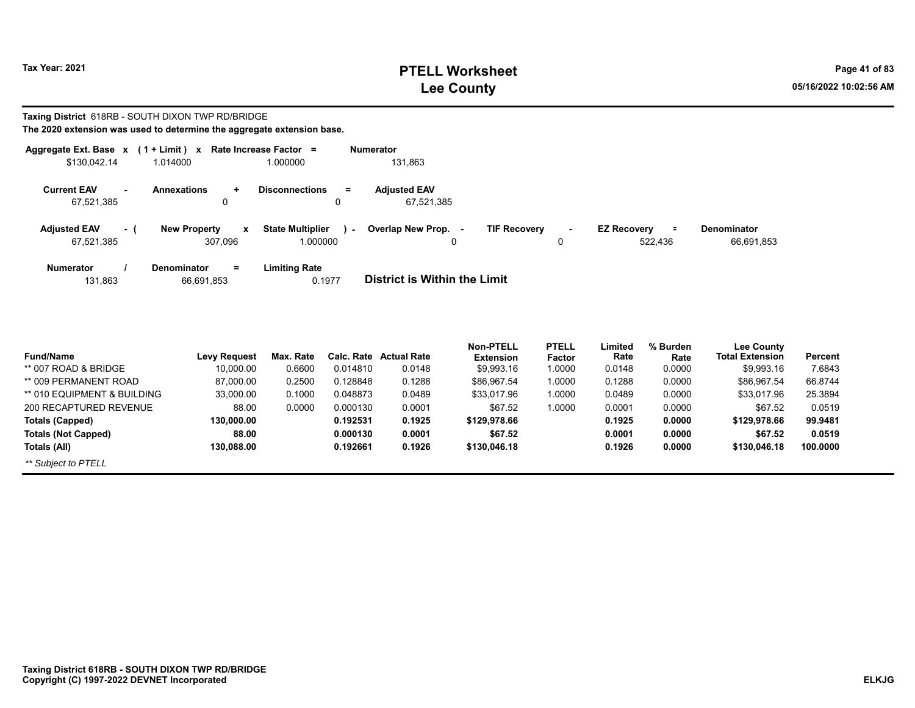# **PTELL Worksheet Tax Year: 2021 Page 41 of 83 Lee County 05/16/2022 10:02:56 AM**

**Taxing District** 618RB - SOUTH DIXON TWP RD/BRIDGE **The 2020 extension was used to determine the aggregate extension base.**

| Aggregate Ext. Base x             |     | (1 + Limit ) x                                 | Rate Increase Factor =              |     | <b>Numerator</b>                    |                     |                               |                                           |                                  |
|-----------------------------------|-----|------------------------------------------------|-------------------------------------|-----|-------------------------------------|---------------------|-------------------------------|-------------------------------------------|----------------------------------|
| \$130,042.14                      |     | 1.014000                                       | 1.000000                            |     | 131,863                             |                     |                               |                                           |                                  |
| <b>Current EAV</b><br>67,521,385  |     | <b>Annexations</b><br>$\ddot{}$<br>0           | <b>Disconnections</b><br>0          | $=$ | <b>Adjusted EAV</b><br>67.521.385   |                     |                               |                                           |                                  |
| <b>Adjusted EAV</b><br>67,521,385 | - ( | <b>New Property</b><br>$\mathbf{x}$<br>307.096 | <b>State Multiplier</b><br>1.000000 | ×.  | Overlap New Prop.<br>$\sim$<br>0    | <b>TIF Recovery</b> | $\overline{\phantom{a}}$<br>0 | <b>EZ Recovery</b><br>$\equiv$<br>522.436 | <b>Denominator</b><br>66,691,853 |
| <b>Numerator</b><br>131,863       |     | $=$<br>Denominator<br>66,691,853               | Limiting Rate<br>0.1977             |     | <b>District is Within the Limit</b> |                     |                               |                                           |                                  |

| <b>Fund/Name</b>            | <b>Levy Request</b> | Max. Rate | Calc. Rate | <b>Actual Rate</b> | <b>Non-PTELL</b><br><b>Extension</b> | <b>PTELL</b> | Limited<br>Rate | % Burden<br>Rate | <b>Lee County</b><br><b>Total Extension</b> | Percent  |
|-----------------------------|---------------------|-----------|------------|--------------------|--------------------------------------|--------------|-----------------|------------------|---------------------------------------------|----------|
|                             |                     |           |            |                    |                                      | Factor       |                 |                  |                                             |          |
| ** 007 ROAD & BRIDGE        | 10.000.00           | 0.6600    | 0.014810   | 0.0148             | \$9,993.16                           | 1.0000       | 0.0148          | 0.0000           | \$9,993.16                                  | 7.6843   |
| ** 009 PERMANENT ROAD       | 87.000.00           | 0.2500    | 0.128848   | 0.1288             | \$86.967.54                          | 1.0000       | 0.1288          | 0.0000           | \$86,967.54                                 | 66.8744  |
| ** 010 EQUIPMENT & BUILDING | 33.000.00           | 0.1000    | 0.048873   | 0.0489             | \$33,017.96                          | 1.0000       | 0.0489          | 0.0000           | \$33,017.96                                 | 25.3894  |
| 200 RECAPTURED REVENUE      | 88.00               | 0.0000    | 0.000130   | 0.0001             | \$67.52                              | 1.0000       | 0.0001          | 0.0000           | \$67.52                                     | 0.0519   |
| Totals (Capped)             | 130.000.00          |           | 0.192531   | 0.1925             | \$129,978.66                         |              | 0.1925          | 0.0000           | \$129,978.66                                | 99.9481  |
| <b>Totals (Not Capped)</b>  | 88.00               |           | 0.000130   | 0.0001             | \$67.52                              |              | 0.0001          | 0.0000           | \$67.52                                     | 0.0519   |
| Totals (All)                | 130,088.00          |           | 0.192661   | 0.1926             | \$130,046.18                         |              | 0.1926          | 0.0000           | \$130,046.18                                | 100.0000 |
| ** Subject to PTELL         |                     |           |            |                    |                                      |              |                 |                  |                                             |          |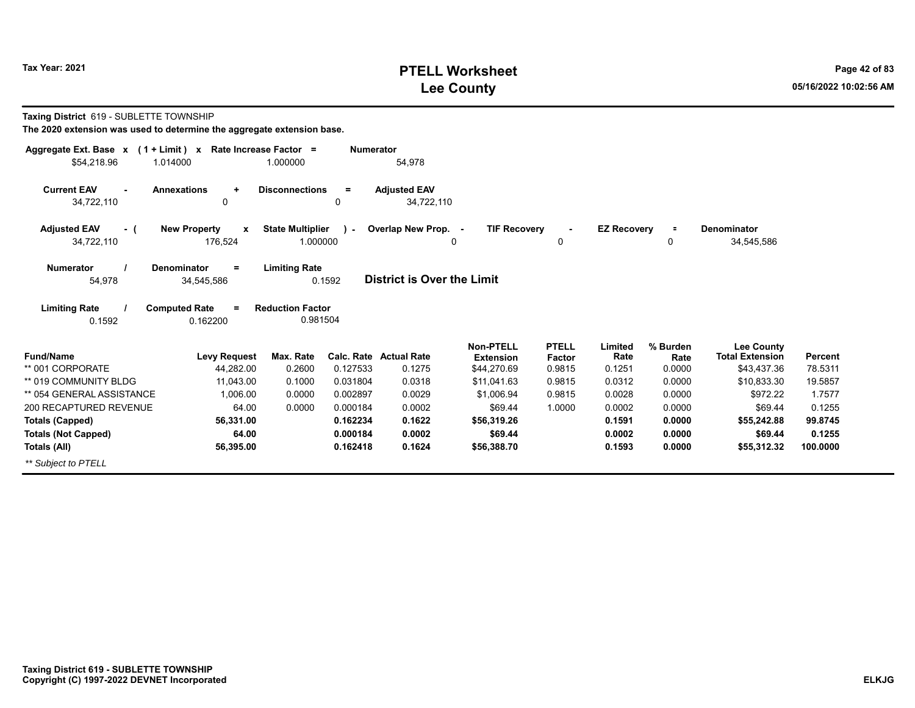# **PTELL Worksheet Tax Year: 2021 Page 42 of 83 Lee County 05/16/2022 10:02:56 AM**

|  | Taxing District 619 - SUBLETTE TOWNSHIP |  |
|--|-----------------------------------------|--|
|--|-----------------------------------------|--|

| Aggregate Ext. Base x<br>$(1 + Limit) x$ | Rate Increase Factor =                       |                                                 | <b>Numerator</b> |                                   |                                 |                  |                    |                |                                             |          |
|------------------------------------------|----------------------------------------------|-------------------------------------------------|------------------|-----------------------------------|---------------------------------|------------------|--------------------|----------------|---------------------------------------------|----------|
| \$54,218.96<br>1.014000                  |                                              | 1.000000                                        |                  | 54,978                            |                                 |                  |                    |                |                                             |          |
| <b>Current EAV</b><br>34,722,110         | <b>Annexations</b><br>$\ddot{}$<br>0         | <b>Disconnections</b>                           | $\equiv$<br>0    | <b>Adjusted EAV</b><br>34,722,110 |                                 |                  |                    |                |                                             |          |
| <b>Adjusted EAV</b><br>- (               | <b>New Property</b><br>$\mathbf{x}$          | <b>State Multiplier</b>                         | $\mathbf{r}$     | Overlap New Prop. -               | <b>TIF Recovery</b>             |                  | <b>EZ Recovery</b> | $\equiv$       | <b>Denominator</b>                          |          |
| 34,722,110                               | 176,524                                      | 1.000000                                        |                  |                                   | 0                               | 0                |                    | 0              | 34,545,586                                  |          |
| <b>Numerator</b><br>54,978               | Denominator<br>$\equiv$<br>34,545,586<br>$=$ | <b>Limiting Rate</b><br><b>Reduction Factor</b> | 0.1592           | <b>District is Over the Limit</b> |                                 |                  |                    |                |                                             |          |
| <b>Limiting Rate</b><br>0.1592           | <b>Computed Rate</b><br>0.162200             | 0.981504                                        |                  |                                   |                                 |                  |                    |                |                                             |          |
| <b>Fund/Name</b>                         |                                              | Max. Rate                                       | Calc. Rate       | <b>Actual Rate</b>                | <b>Non-PTELL</b>                | <b>PTELL</b>     | Limited<br>Rate    | % Burden       | <b>Lee County</b><br><b>Total Extension</b> | Percent  |
| ** 001 CORPORATE                         | <b>Levy Request</b><br>44,282.00             | 0.2600                                          | 0.127533         | 0.1275                            | <b>Extension</b><br>\$44,270.69 | Factor<br>0.9815 | 0.1251             | Rate<br>0.0000 | \$43,437.36                                 | 78.5311  |
| ** 019 COMMUNITY BLDG                    | 11,043.00                                    | 0.1000                                          | 0.031804         | 0.0318                            | \$11,041.63                     | 0.9815           | 0.0312             | 0.0000         | \$10,833.30                                 | 19.5857  |
| ** 054 GENERAL ASSISTANCE                | 1,006.00                                     | 0.0000                                          | 0.002897         | 0.0029                            | \$1,006.94                      | 0.9815           | 0.0028             | 0.0000         | \$972.22                                    | 1.7577   |
| 200 RECAPTURED REVENUE                   | 64.00                                        | 0.0000                                          | 0.000184         | 0.0002                            | \$69.44                         | 1.0000           | 0.0002             | 0.0000         | \$69.44                                     | 0.1255   |
| <b>Totals (Capped)</b>                   | 56,331.00                                    |                                                 | 0.162234         | 0.1622                            | \$56,319.26                     |                  | 0.1591             | 0.0000         | \$55,242.88                                 | 99.8745  |
| <b>Totals (Not Capped)</b>               | 64.00                                        |                                                 | 0.000184         | 0.0002                            | \$69.44                         |                  | 0.0002             | 0.0000         | \$69.44                                     | 0.1255   |
| Totals (All)                             | 56,395.00                                    |                                                 | 0.162418         | 0.1624                            | \$56,388.70                     |                  | 0.1593             | 0.0000         | \$55,312.32                                 | 100.0000 |
| ** Subject to PTELL                      |                                              |                                                 |                  |                                   |                                 |                  |                    |                |                                             |          |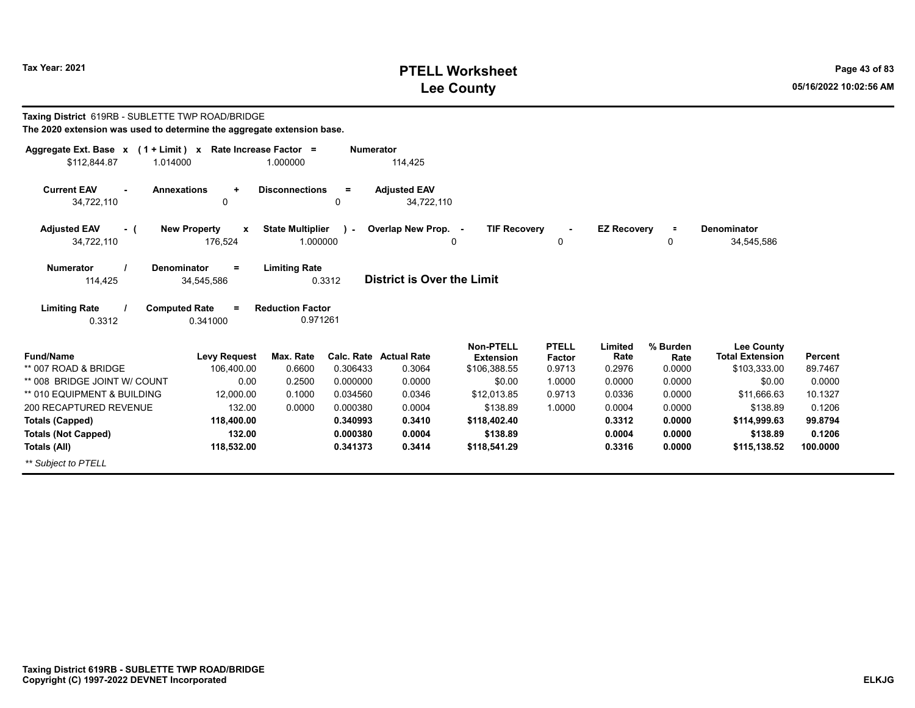# **PTELL Worksheet Tax Year: 2021 Page 43 of 83 Lee County 05/16/2022 10:02:56 AM**

| Taxing District 619RB - SUBLETTE TWP ROAD/BRIDGE<br>The 2020 extension was used to determine the aggregate extension base. |                          |                                     |                  |                                   |                               |                        |                    |                  |                                             |                |
|----------------------------------------------------------------------------------------------------------------------------|--------------------------|-------------------------------------|------------------|-----------------------------------|-------------------------------|------------------------|--------------------|------------------|---------------------------------------------|----------------|
| Aggregate Ext. Base $x$ (1 + Limit) x Rate Increase Factor =                                                               |                          |                                     | <b>Numerator</b> |                                   |                               |                        |                    |                  |                                             |                |
| \$112,844.87<br>1.014000                                                                                                   |                          | 1.000000                            |                  | 114,425                           |                               |                        |                    |                  |                                             |                |
| <b>Current EAV</b><br><b>Annexations</b><br>34,722,110                                                                     | $\ddot{}$<br>0           | <b>Disconnections</b>               | $=$<br>0         | <b>Adjusted EAV</b><br>34.722.110 |                               |                        |                    |                  |                                             |                |
| <b>Adjusted EAV</b><br>- (                                                                                                 | <b>New Property</b><br>X | <b>State Multiplier</b>             | $\lambda$        | Overlap New Prop. -               | <b>TIF Recovery</b>           |                        | <b>EZ Recovery</b> |                  | Denominator                                 |                |
| 34,722,110                                                                                                                 | 176,524                  | 1.000000                            |                  |                                   | 0                             | 0                      |                    | 0                | 34,545,586                                  |                |
| <b>Numerator</b><br>Denominator<br>114,425                                                                                 | $=$<br>34,545,586        | <b>Limiting Rate</b>                | 0.3312           | <b>District is Over the Limit</b> |                               |                        |                    |                  |                                             |                |
| <b>Limiting Rate</b><br><b>Computed Rate</b><br>0.3312                                                                     | 0.341000                 | <b>Reduction Factor</b><br>0.971261 |                  |                                   |                               |                        |                    |                  |                                             |                |
| <b>Fund/Name</b>                                                                                                           | <b>Levy Request</b>      | Max. Rate                           |                  | <b>Calc. Rate Actual Rate</b>     | Non-PTELL<br><b>Extension</b> | <b>PTELL</b><br>Factor | Limited<br>Rate    | % Burden<br>Rate | <b>Lee County</b><br><b>Total Extension</b> | <b>Percent</b> |
| ** 007 ROAD & BRIDGE                                                                                                       | 106,400.00               | 0.6600                              | 0.306433         | 0.3064                            | \$106,388.55                  | 0.9713                 | 0.2976             | 0.0000           | \$103,333.00                                | 89.7467        |
| ** 008 BRIDGE JOINT W/ COUNT                                                                                               | 0.00                     | 0.2500                              | 0.000000         | 0.0000                            | \$0.00                        | 1.0000                 | 0.0000             | 0.0000           | \$0.00                                      | 0.0000         |
| ** 010 EQUIPMENT & BUILDING                                                                                                | 12.000.00                | 0.1000                              | 0.034560         | 0.0346                            | \$12.013.85                   | 0.9713                 | 0.0336             | 0.0000           | \$11.666.63                                 | 10.1327        |
| 200 RECAPTURED REVENUE                                                                                                     | 132.00                   | 0.0000                              | 0.000380         | 0.0004                            | \$138.89                      | 1.0000                 | 0.0004             | 0.0000           | \$138.89                                    | 0.1206         |
| <b>Totals (Capped)</b>                                                                                                     | 118,400.00               |                                     | 0.340993         | 0.3410                            | \$118,402.40                  |                        | 0.3312             | 0.0000           | \$114,999.63                                | 99.8794        |
| <b>Totals (Not Capped)</b>                                                                                                 | 132.00                   |                                     | 0.000380         | 0.0004                            | \$138.89                      |                        | 0.0004             | 0.0000           | \$138.89                                    | 0.1206         |
| Totals (All)                                                                                                               | 118,532.00               |                                     | 0.341373         | 0.3414                            | \$118,541.29                  |                        | 0.3316             | 0.0000           | \$115,138.52                                | 100.0000       |
| ** Subject to PTELL                                                                                                        |                          |                                     |                  |                                   |                               |                        |                    |                  |                                             |                |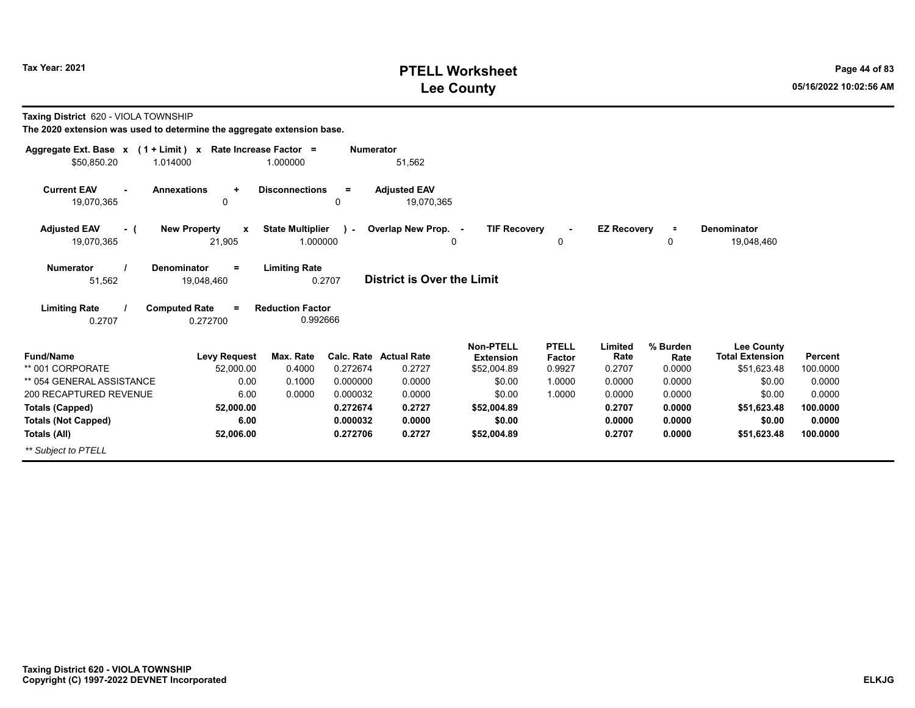# **PTELL Worksheet Tax Year: 2021 Page 44 of 83 Lee County 05/16/2022 10:02:56 AM**

**Taxing District** 620 - VIOLA TOWNSHIP

| Aggregate Ext. Base $x$ (1 + Limit) $x$            | Rate Increase Factor =                        |                                     | <b>Numerator</b> |                                   |                                 |                     |                    |                |                                       |                     |
|----------------------------------------------------|-----------------------------------------------|-------------------------------------|------------------|-----------------------------------|---------------------------------|---------------------|--------------------|----------------|---------------------------------------|---------------------|
| \$50,850.20<br>1.014000                            |                                               | 1.000000                            |                  | 51,562                            |                                 |                     |                    |                |                                       |                     |
| <b>Current EAV</b><br>$\blacksquare$<br>19,070,365 | <b>Annexations</b><br>$\ddot{}$<br>0          | <b>Disconnections</b><br>0          | $\equiv$         | <b>Adjusted EAV</b><br>19,070,365 |                                 |                     |                    |                |                                       |                     |
|                                                    |                                               |                                     |                  |                                   |                                 |                     |                    |                |                                       |                     |
| <b>Adjusted EAV</b><br>- (<br>19,070,365           | <b>New Property</b><br>$\mathbf{x}$<br>21,905 | <b>State Multiplier</b><br>1.000000 | $\mathbf{r}$     | Overlap New Prop. -<br>0          | <b>TIF Recovery</b>             | $\blacksquare$<br>0 | <b>EZ Recovery</b> | $\equiv$<br>0  | Denominator<br>19,048,460             |                     |
| <b>Numerator</b><br>51,562                         | <b>Denominator</b><br>$=$<br>19,048,460       | <b>Limiting Rate</b><br>0.2707      |                  | <b>District is Over the Limit</b> |                                 |                     |                    |                |                                       |                     |
| <b>Limiting Rate</b><br>0.2707                     | <b>Computed Rate</b><br>$=$<br>0.272700       | <b>Reduction Factor</b><br>0.992666 |                  |                                   |                                 |                     |                    |                |                                       |                     |
|                                                    |                                               |                                     |                  |                                   | <b>Non-PTELL</b>                | <b>PTELL</b>        | Limited            | % Burden       | <b>Lee County</b>                     |                     |
| <b>Fund/Name</b><br>** 001 CORPORATE               | <b>Levy Request</b><br>52,000.00              | Max. Rate<br>0.4000                 | 0.272674         | Calc. Rate Actual Rate<br>0.2727  | <b>Extension</b><br>\$52,004.89 | Factor<br>0.9927    | Rate<br>0.2707     | Rate<br>0.0000 | <b>Total Extension</b><br>\$51,623.48 | Percent<br>100.0000 |
| ** 054 GENERAL ASSISTANCE                          | 0.00                                          | 0.1000                              | 0.000000         | 0.0000                            | \$0.00                          | 1.0000              | 0.0000             | 0.0000         | \$0.00                                | 0.0000              |
| 200 RECAPTURED REVENUE                             | 6.00                                          | 0.0000                              | 0.000032         | 0.0000                            | \$0.00                          | 1.0000              | 0.0000             | 0.0000         | \$0.00                                | 0.0000              |
| <b>Totals (Capped)</b>                             | 52,000.00                                     |                                     | 0.272674         | 0.2727                            | \$52,004.89                     |                     | 0.2707             | 0.0000         | \$51,623.48                           | 100.0000            |
| <b>Totals (Not Capped)</b>                         | 6.00                                          |                                     | 0.000032         | 0.0000                            | \$0.00                          |                     | 0.0000             | 0.0000         | \$0.00                                | 0.0000              |
| Totals (All)                                       | 52,006.00                                     |                                     | 0.272706         | 0.2727                            | \$52,004.89                     |                     | 0.2707             | 0.0000         | \$51,623.48                           | 100.0000            |
| ** Subiect to PTELL                                |                                               |                                     |                  |                                   |                                 |                     |                    |                |                                       |                     |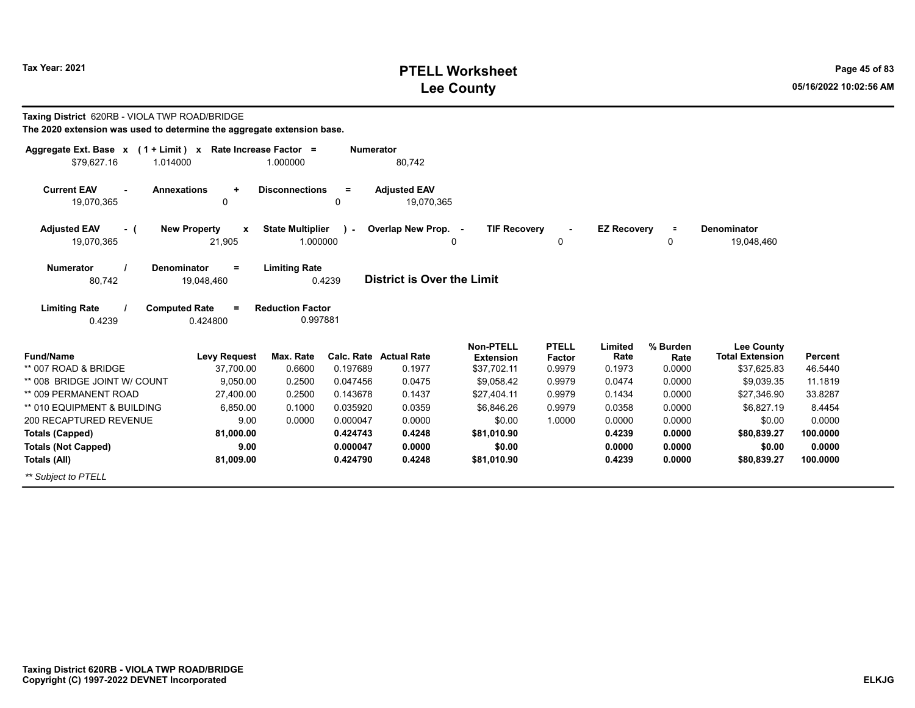# **PTELL Worksheet Tax Year: 2021 Page 45 of 83 Lee County 05/16/2022 10:02:56 AM**

| Taxing District 620RB - VIOLA TWP ROAD/BRIDGE<br>The 2020 extension was used to determine the aggregate extension base. |                                                   |                                     |                      |                                         |                                                     |                                  |                           |                            |                                                            |                           |
|-------------------------------------------------------------------------------------------------------------------------|---------------------------------------------------|-------------------------------------|----------------------|-----------------------------------------|-----------------------------------------------------|----------------------------------|---------------------------|----------------------------|------------------------------------------------------------|---------------------------|
| Aggregate Ext. Base $x$ (1 + Limit) x Rate Increase Factor =<br>\$79.627.16<br>1.014000                                 |                                                   | 1.000000                            | <b>Numerator</b>     | 80,742                                  |                                                     |                                  |                           |                            |                                                            |                           |
| <b>Current EAV</b><br><b>Annexations</b><br>19,070,365                                                                  | $\ddot{}$<br>$\mathbf 0$                          | <b>Disconnections</b>               | $=$<br>0             | <b>Adjusted EAV</b><br>19.070.365       |                                                     |                                  |                           |                            |                                                            |                           |
| <b>Adjusted EAV</b><br>- (<br>19,070,365                                                                                | <b>New Property</b><br>$\boldsymbol{x}$<br>21,905 | <b>State Multiplier</b><br>1.000000 | $\mathcal{L}$        | Overlap New Prop. -                     | <b>TIF Recovery</b><br>$\Omega$                     | 0                                | <b>EZ Recovery</b>        | $\equiv$<br>0              | <b>Denominator</b><br>19,048,460                           |                           |
| Numerator<br><b>Denominator</b><br>80,742                                                                               | $\equiv$<br>19,048,460                            | <b>Limiting Rate</b>                | 0.4239               | <b>District is Over the Limit</b>       |                                                     |                                  |                           |                            |                                                            |                           |
| <b>Limiting Rate</b><br><b>Computed Rate</b><br>0.4239                                                                  | 0.424800                                          | <b>Reduction Factor</b><br>0.997881 |                      |                                         |                                                     |                                  |                           |                            |                                                            |                           |
| <b>Fund/Name</b><br>** 007 ROAD & BRIDGE                                                                                | <b>Levy Request</b><br>37,700.00                  | Max. Rate<br>0.6600                 | 0.197689             | <b>Calc. Rate Actual Rate</b><br>0.1977 | <b>Non-PTELL</b><br><b>Extension</b><br>\$37,702.11 | <b>PTELL</b><br>Factor<br>0.9979 | Limited<br>Rate<br>0.1973 | % Burden<br>Rate<br>0.0000 | <b>Lee County</b><br><b>Total Extension</b><br>\$37,625.83 | <b>Percent</b><br>46.5440 |
| ** 008 BRIDGE JOINT W/ COUNT                                                                                            | 9.050.00                                          | 0.2500                              | 0.047456             | 0.0475                                  | \$9,058.42                                          | 0.9979                           | 0.0474                    | 0.0000                     | \$9.039.35                                                 | 11.1819                   |
| ** 009 PERMANENT ROAD                                                                                                   | 27.400.00                                         | 0.2500                              | 0.143678             | 0.1437                                  | \$27,404.11                                         | 0.9979                           | 0.1434                    | 0.0000                     | \$27,346.90                                                | 33.8287                   |
| ** 010 EQUIPMENT & BUILDING                                                                                             | 6.850.00                                          | 0.1000                              | 0.035920             | 0.0359                                  | \$6,846.26                                          | 0.9979                           | 0.0358                    | 0.0000                     | \$6,827.19                                                 | 8.4454                    |
| 200 RECAPTURED REVENUE                                                                                                  | 9.00                                              | 0.0000                              | 0.000047             | 0.0000                                  | \$0.00                                              | 1.0000                           | 0.0000                    | 0.0000                     | \$0.00                                                     | 0.0000                    |
| <b>Totals (Capped)</b>                                                                                                  | 81.000.00<br>9.00                                 |                                     | 0.424743<br>0.000047 | 0.4248<br>0.0000                        | \$81,010.90<br>\$0.00                               |                                  | 0.4239<br>0.0000          | 0.0000<br>0.0000           | \$80,839.27                                                | 100.0000<br>0.0000        |
| <b>Totals (Not Capped)</b><br>Totals (All)                                                                              | 81,009.00                                         |                                     | 0.424790             | 0.4248                                  | \$81,010.90                                         |                                  | 0.4239                    | 0.0000                     | \$0.00<br>\$80,839.27                                      | 100.0000                  |
| ** Subject to PTELL                                                                                                     |                                                   |                                     |                      |                                         |                                                     |                                  |                           |                            |                                                            |                           |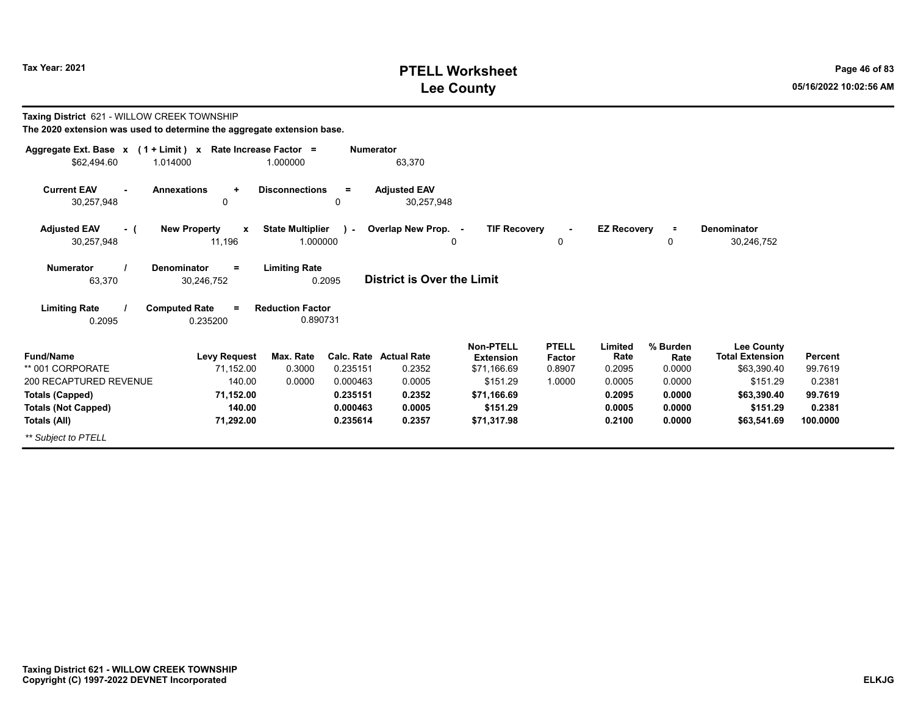# **PTELL Worksheet Tax Year: 2021 Page 46 of 83 Lee County 05/16/2022 10:02:56 AM**

| Taxing District 621 - WILLOW CREEK TOWNSHIP<br>The 2020 extension was used to determine the aggregate extension base. |                                                   |                                     |                        |                                   |                                                     |                                  |                           |                            |                                                            |                           |
|-----------------------------------------------------------------------------------------------------------------------|---------------------------------------------------|-------------------------------------|------------------------|-----------------------------------|-----------------------------------------------------|----------------------------------|---------------------------|----------------------------|------------------------------------------------------------|---------------------------|
| Aggregate Ext. Base x (1 + Limit) x Rate Increase Factor =<br>\$62.494.60                                             | 1.014000                                          | 1.000000                            | <b>Numerator</b>       | 63,370                            |                                                     |                                  |                           |                            |                                                            |                           |
| <b>Current EAV</b><br>30,257,948                                                                                      | <b>Annexations</b><br>$\ddot{}$<br>$\mathbf 0$    | <b>Disconnections</b>               | $=$<br>0               | <b>Adjusted EAV</b><br>30,257,948 |                                                     |                                  |                           |                            |                                                            |                           |
| <b>Adjusted EAV</b><br>$-$ (<br>30,257,948                                                                            | <b>New Property</b><br>$\boldsymbol{x}$<br>11,196 | <b>State Multiplier</b><br>1.000000 | $\sim$                 | Overlap New Prop. -               | <b>TIF Recovery</b><br>0                            | 0                                | <b>EZ Recovery</b>        | $\equiv$<br>0              | Denominator<br>30,246,752                                  |                           |
| Numerator<br>63,370                                                                                                   | <b>Denominator</b><br>$=$<br>30,246,752           | <b>Limiting Rate</b><br>0.2095      |                        | <b>District is Over the Limit</b> |                                                     |                                  |                           |                            |                                                            |                           |
| <b>Limiting Rate</b><br>0.2095                                                                                        | <b>Computed Rate</b><br>0.235200                  | <b>Reduction Factor</b><br>0.890731 |                        |                                   |                                                     |                                  |                           |                            |                                                            |                           |
| <b>Fund/Name</b><br>** 001 CORPORATE                                                                                  | <b>Levy Request</b><br>71,152.00                  | Max. Rate<br>0.3000                 | Calc. Rate<br>0.235151 | <b>Actual Rate</b><br>0.2352      | <b>Non-PTELL</b><br><b>Extension</b><br>\$71,166.69 | <b>PTELL</b><br>Factor<br>0.8907 | Limited<br>Rate<br>0.2095 | % Burden<br>Rate<br>0.0000 | <b>Lee County</b><br><b>Total Extension</b><br>\$63,390.40 | <b>Percent</b><br>99.7619 |
| 200 RECAPTURED REVENUE                                                                                                | 140.00                                            | 0.0000                              | 0.000463               | 0.0005                            | \$151.29                                            | 1.0000                           | 0.0005                    | 0.0000                     | \$151.29                                                   | 0.2381                    |
| <b>Totals (Capped)</b>                                                                                                | 71,152.00                                         |                                     | 0.235151               | 0.2352                            | \$71,166.69                                         |                                  | 0.2095                    | 0.0000                     | \$63,390.40                                                | 99.7619                   |
| <b>Totals (Not Capped)</b>                                                                                            | 140.00                                            |                                     | 0.000463               | 0.0005                            | \$151.29                                            |                                  | 0.0005                    | 0.0000                     | \$151.29                                                   | 0.2381                    |
| Totals (All)<br>** Subject to PTELL                                                                                   | 71,292.00                                         |                                     | 0.235614               | 0.2357                            | \$71,317.98                                         |                                  | 0.2100                    | 0.0000                     | \$63,541.69                                                | 100.0000                  |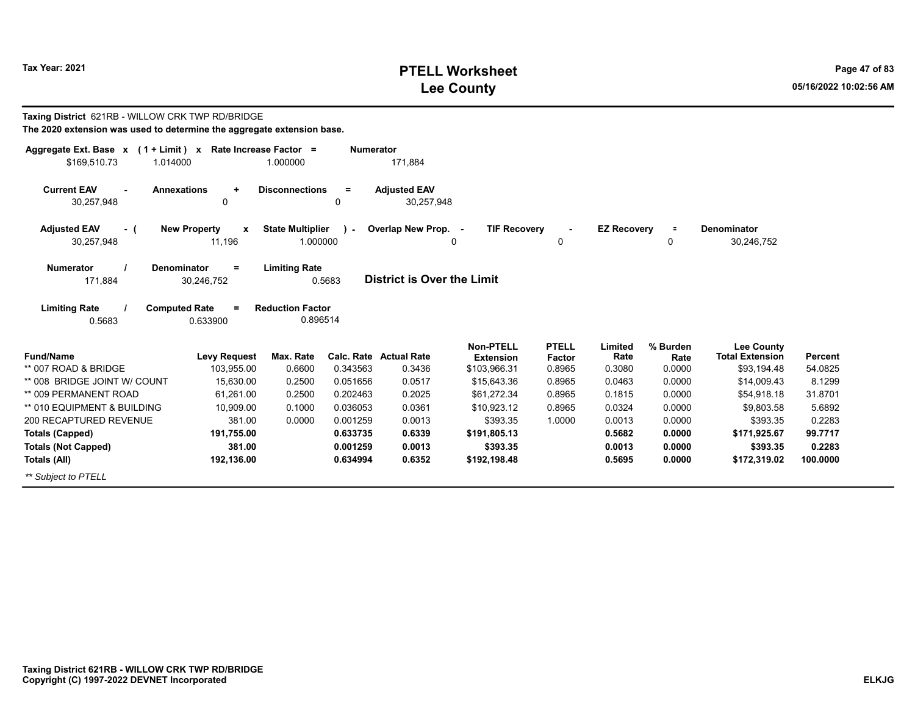# **PTELL Worksheet Tax Year: 2021 Page 47 of 83 Lee County 05/16/2022 10:02:56 AM**

| Taxing District 621RB - WILLOW CRK TWP RD/BRIDGE<br>The 2020 extension was used to determine the aggregate extension base. |                                    |                                     |                  |                                         |                                      |                                  |                           |                            |                                                            |                           |
|----------------------------------------------------------------------------------------------------------------------------|------------------------------------|-------------------------------------|------------------|-----------------------------------------|--------------------------------------|----------------------------------|---------------------------|----------------------------|------------------------------------------------------------|---------------------------|
| Aggregate Ext. Base $x$ (1 + Limit) x Rate Increase Factor =<br>\$169,510.73<br>1.014000                                   |                                    | 1.000000                            | <b>Numerator</b> | 171,884                                 |                                      |                                  |                           |                            |                                                            |                           |
| <b>Current EAV</b><br><b>Annexations</b><br>$\blacksquare$<br>30,257,948                                                   | $\ddot{}$<br>$\mathbf 0$           | <b>Disconnections</b>               | $=$<br>$\Omega$  | <b>Adjusted EAV</b><br>30,257,948       |                                      |                                  |                           |                            |                                                            |                           |
| <b>Adjusted EAV</b><br>- (<br>30,257,948                                                                                   | <b>New Property</b><br>X<br>11,196 | <b>State Multiplier</b><br>1.000000 | $\lambda$        | Overlap New Prop. -                     | <b>TIF Recovery</b><br>$\Omega$      | $\blacksquare$<br>0              | <b>EZ Recovery</b>        | 0                          | Denominator<br>30,246,752                                  |                           |
| <b>Numerator</b><br><b>Denominator</b><br>171,884                                                                          | $=$<br>30,246,752                  | <b>Limiting Rate</b>                | 0.5683           | <b>District is Over the Limit</b>       |                                      |                                  |                           |                            |                                                            |                           |
| <b>Limiting Rate</b><br><b>Computed Rate</b><br>0.5683                                                                     | $\equiv$<br>0.633900               | <b>Reduction Factor</b><br>0.896514 |                  |                                         |                                      |                                  |                           |                            |                                                            |                           |
| Fund/Name<br>** 007 ROAD & BRIDGE                                                                                          | <b>Levy Request</b><br>103,955.00  | Max. Rate<br>0.6600                 | 0.343563         | <b>Calc. Rate Actual Rate</b><br>0.3436 | <b>Non-PTELL</b><br><b>Extension</b> | <b>PTELL</b><br>Factor<br>0.8965 | Limited<br>Rate<br>0.3080 | % Burden<br>Rate<br>0.0000 | <b>Lee County</b><br><b>Total Extension</b><br>\$93,194.48 | <b>Percent</b><br>54.0825 |
| ** 008 BRIDGE JOINT W/ COUNT                                                                                               | 15.630.00                          | 0.2500                              | 0.051656         | 0.0517                                  | \$103,966.31<br>\$15,643.36          | 0.8965                           | 0.0463                    | 0.0000                     | \$14,009.43                                                | 8.1299                    |
| ** 009 PERMANENT ROAD                                                                                                      | 61.261.00                          | 0.2500                              | 0.202463         | 0.2025                                  | \$61,272.34                          | 0.8965                           | 0.1815                    | 0.0000                     | \$54,918.18                                                | 31.8701                   |
| ** 010 EQUIPMENT & BUILDING                                                                                                | 10,909.00                          | 0.1000                              | 0.036053         | 0.0361                                  | \$10,923.12                          | 0.8965                           | 0.0324                    | 0.0000                     | \$9,803.58                                                 | 5.6892                    |
| 200 RECAPTURED REVENUE                                                                                                     | 381.00                             | 0.0000                              | 0.001259         | 0.0013                                  | \$393.35                             | 1.0000                           | 0.0013                    | 0.0000                     | \$393.35                                                   | 0.2283                    |
| <b>Totals (Capped)</b>                                                                                                     | 191,755.00                         |                                     | 0.633735         | 0.6339                                  | \$191,805.13                         |                                  | 0.5682                    | 0.0000                     | \$171,925.67                                               | 99.7717                   |
| <b>Totals (Not Capped)</b>                                                                                                 | 381.00                             |                                     | 0.001259         | 0.0013                                  | \$393.35                             |                                  | 0.0013                    | 0.0000                     | \$393.35                                                   | 0.2283                    |
| Totals (All)                                                                                                               | 192,136.00                         |                                     | 0.634994         | 0.6352                                  | \$192,198.48                         |                                  | 0.5695                    | 0.0000                     | \$172,319.02                                               | 100.0000                  |
| ** Subiect to PTELL                                                                                                        |                                    |                                     |                  |                                         |                                      |                                  |                           |                            |                                                            |                           |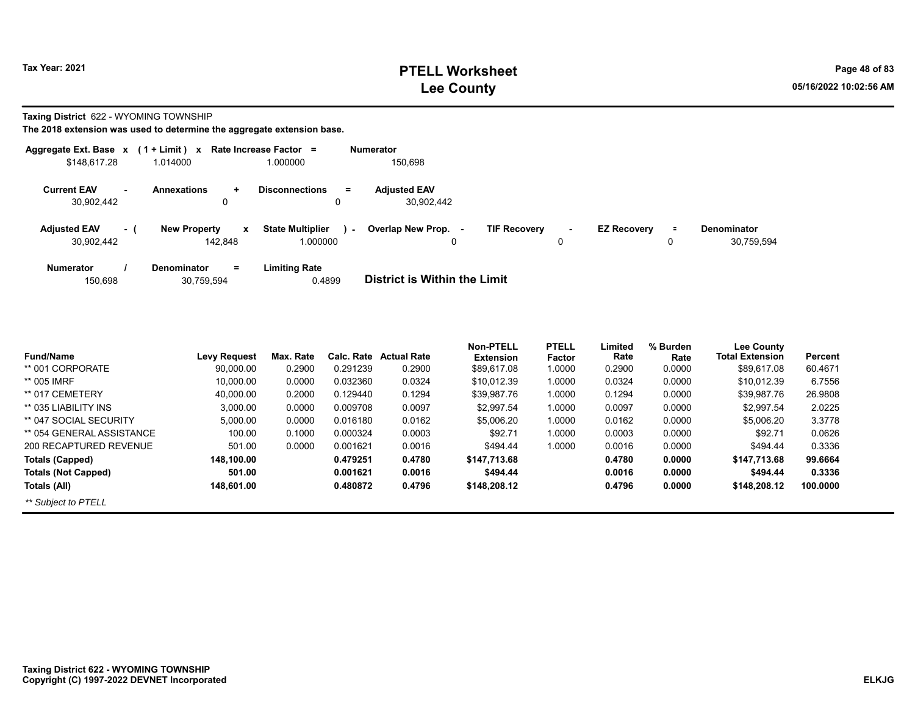**Taxing District** 622 - WYOMING TOWNSHIP

| Aggregate Ext. Base x             |     | $(1 + Limit) x$                                | Rate Increase Factor =                        | <b>Numerator</b>                                |         |                    |               |                                  |
|-----------------------------------|-----|------------------------------------------------|-----------------------------------------------|-------------------------------------------------|---------|--------------------|---------------|----------------------------------|
| \$148,617.28                      |     | 1.014000                                       | 1.000000                                      | 150.698                                         |         |                    |               |                                  |
| <b>Current EAV</b><br>30,902,442  |     | <b>Annexations</b><br>÷<br>0                   | <b>Disconnections</b><br>$=$<br>0             | <b>Adiusted EAV</b><br>30.902.442               |         |                    |               |                                  |
| <b>Adjusted EAV</b><br>30,902,442 | - 1 | <b>New Property</b><br>$\mathbf{x}$<br>142,848 | <b>State Multiplier</b><br>$\sim$<br>1.000000 | Overlap New Prop. -<br><b>TIF Recovery</b><br>0 | ۰.<br>0 | <b>EZ Recovery</b> | $\equiv$<br>0 | <b>Denominator</b><br>30,759,594 |
| <b>Numerator</b><br>150,698       |     | <b>Denominator</b><br>$=$<br>30,759,594        | <b>Limiting Rate</b><br>0.4899                | <b>District is Within the Limit</b>             |         |                    |               |                                  |

| Fund/Name                  | <b>Levy Request</b> | Max. Rate | Calc. Rate | <b>Actual Rate</b> | Non-PTELL<br><b>Extension</b> | <b>PTELL</b><br>Factor | Limited<br>Rate | % Burden<br>Rate | <b>Lee County</b><br><b>Total Extension</b> | Percent  |
|----------------------------|---------------------|-----------|------------|--------------------|-------------------------------|------------------------|-----------------|------------------|---------------------------------------------|----------|
| ** 001 CORPORATE           | 90,000.00           | 0.2900    | 0.291239   | 0.2900             | \$89,617.08                   | 1.0000                 | 0.2900          | 0.0000           | \$89,617.08                                 | 60.4671  |
| ** 005 IMRF                | 10,000.00           | 0.0000    | 0.032360   | 0.0324             | \$10.012.39                   | 1.0000                 | 0.0324          | 0.0000           | \$10,012.39                                 | 6.7556   |
| ** 017 CEMETERY            | 40.000.00           | 0.2000    | 0.129440   | 0.1294             | \$39,987.76                   | 1.0000                 | 0.1294          | 0.0000           | \$39.987.76                                 | 26.9808  |
| ** 035 LIABILITY INS       | 3.000.00            | 0.0000    | 0.009708   | 0.0097             | \$2,997.54                    | 1.0000                 | 0.0097          | 0.0000           | \$2.997.54                                  | 2.0225   |
| ** 047 SOCIAL SECURITY     | 5.000.00            | 0.0000    | 0.016180   | 0.0162             | \$5,006.20                    | 1.0000                 | 0.0162          | 0.0000           | \$5,006.20                                  | 3.3778   |
| ** 054 GENERAL ASSISTANCE  | 100.00              | 0.1000    | 0.000324   | 0.0003             | \$92.71                       | 1.0000                 | 0.0003          | 0.0000           | \$92.71                                     | 0.0626   |
| 200 RECAPTURED REVENUE     | 501.00              | 0.0000    | 0.001621   | 0.0016             | \$494.44                      | 1.0000                 | 0.0016          | 0.0000           | \$494.44                                    | 0.3336   |
| <b>Totals (Capped)</b>     | 148,100.00          |           | 0.479251   | 0.4780             | \$147.713.68                  |                        | 0.4780          | 0.0000           | \$147.713.68                                | 99.6664  |
| <b>Totals (Not Capped)</b> | 501.00              |           | 0.001621   | 0.0016             | \$494.44                      |                        | 0.0016          | 0.0000           | \$494.44                                    | 0.3336   |
| Totals (All)               | 148.601.00          |           | 0.480872   | 0.4796             | \$148,208.12                  |                        | 0.4796          | 0.0000           | \$148,208.12                                | 100.0000 |
| ** Subject to PTELL        |                     |           |            |                    |                               |                        |                 |                  |                                             |          |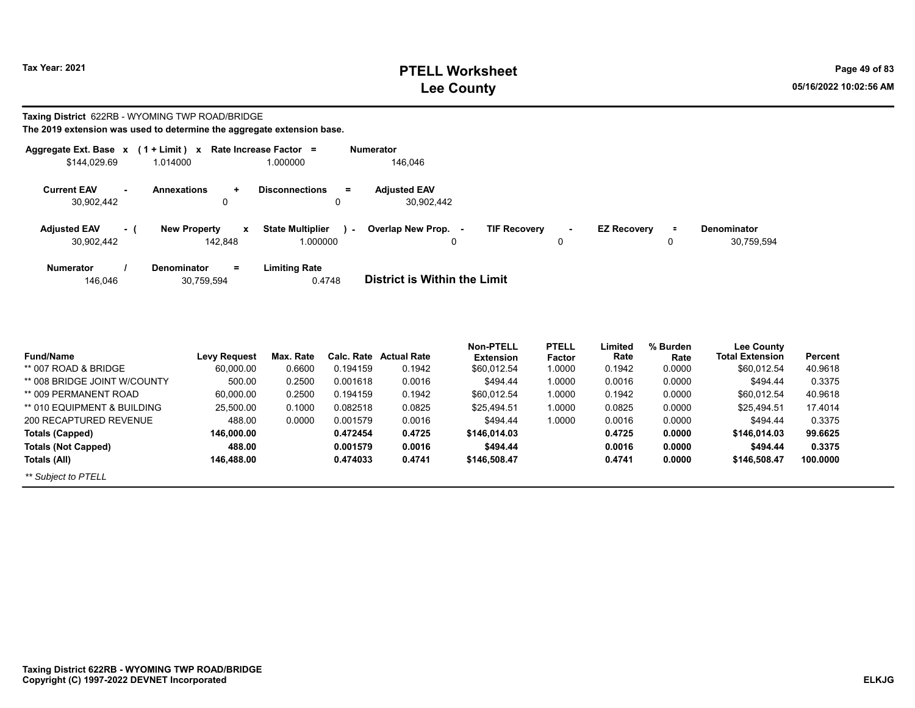# **PTELL Worksheet Tax Year: 2021 Page 49 of 83 Lee County 05/16/2022 10:02:56 AM**

#### **Taxing District** 622RB - WYOMING TWP ROAD/BRIDGE **The 2019 extension was used to determine the aggregate extension base.**

| Aggregate Ext. Base x             |     | $(1 + Limit)$ x                                      | Rate Increase Factor =              |                | <b>Numerator</b>                    |                     |   |                    |                     |                                  |
|-----------------------------------|-----|------------------------------------------------------|-------------------------------------|----------------|-------------------------------------|---------------------|---|--------------------|---------------------|----------------------------------|
| \$144.029.69                      |     | 1.014000                                             | 1.000000                            |                | 146,046                             |                     |   |                    |                     |                                  |
| <b>Current EAV</b><br>30.902.442  |     | <b>Annexations</b><br>÷<br>0                         | <b>Disconnections</b><br>0          | $=$            | <b>Adjusted EAV</b><br>30.902.442   |                     |   |                    |                     |                                  |
| <b>Adjusted EAV</b><br>30.902.442 | - ( | New Property<br>$\boldsymbol{\mathsf{x}}$<br>142.848 | <b>State Multiplier</b><br>1.000000 | <b>Section</b> | Overlap New Prop. -<br>0            | <b>TIF Recovery</b> | 0 | <b>EZ Recovery</b> | $\blacksquare$<br>0 | <b>Denominator</b><br>30,759,594 |
| <b>Numerator</b><br>146.046       |     | $\equiv$<br><b>Denominator</b><br>30,759,594         | Limiting Rate<br>0.4748             |                | <b>District is Within the Limit</b> |                     |   |                    |                     |                                  |

| <b>Fund/Name</b>             | Levy Request | Max. Rate | Calc. Rate | <b>Actual Rate</b> | Non-PTELL<br><b>Extension</b> | <b>PTELL</b><br>Factor | Limited<br>Rate | % Burden<br>Rate | Lee County<br><b>Total Extension</b> | Percent  |
|------------------------------|--------------|-----------|------------|--------------------|-------------------------------|------------------------|-----------------|------------------|--------------------------------------|----------|
| ** 007 ROAD & BRIDGE         | 60,000.00    | 0.6600    | 0.194159   | 0.1942             | \$60,012.54                   | 1.0000                 | 0.1942          | 0.0000           | \$60,012.54                          | 40.9618  |
| ** 008 BRIDGE JOINT W/COUNTY | 500.00       | 0.2500    | 0.001618   | 0.0016             | \$494.44                      | 1.0000                 | 0.0016          | 0.0000           | \$494.44                             | 0.3375   |
| ** 009 PERMANENT ROAD        | 60,000.00    | 0.2500    | 0.194159   | 0.1942             | \$60,012.54                   | 1.0000                 | 0.1942          | 0.0000           | \$60.012.54                          | 40.9618  |
| ** 010 EQUIPMENT & BUILDING  | 25,500.00    | 0.1000    | 0.082518   | 0.0825             | \$25,494.51                   | 1.0000                 | 0.0825          | 0.0000           | \$25,494.51                          | 17.4014  |
| 200 RECAPTURED REVENUE       | 488.00       | 0.0000    | 0.001579   | 0.0016             | \$494.44                      | 1.0000                 | 0.0016          | 0.0000           | \$494.44                             | 0.3375   |
| Totals (Capped)              | 146.000.00   |           | 0.472454   | 0.4725             | \$146,014.03                  |                        | 0.4725          | 0.0000           | \$146,014.03                         | 99.6625  |
| <b>Totals (Not Capped)</b>   | 488.00       |           | 0.001579   | 0.0016             | \$494.44                      |                        | 0.0016          | 0.0000           | \$494.44                             | 0.3375   |
| Totals (All)                 | 146.488.00   |           | 0.474033   | 0.4741             | \$146,508.47                  |                        | 0.4741          | 0.0000           | \$146,508.47                         | 100.0000 |
| ** Subject to PTELL          |              |           |            |                    |                               |                        |                 |                  |                                      |          |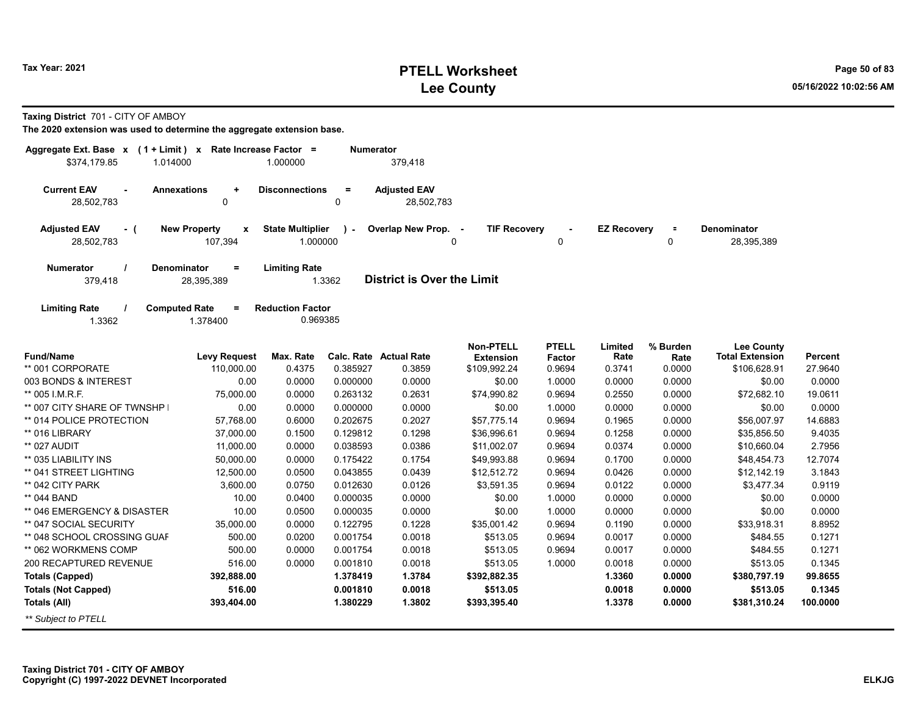#### **PTELL Worksheet Tax Year: 2021 Page 50 of 83 Lee County 05/16/2022 10:02:56 AM**

**Taxing District** 701 - CITY OF AMBOY

| Aggregate Ext. Base x (1 + Limit) x Rate Increase Factor =<br>\$374.179.85<br>1.014000 |                                               | 1.000000                            | Numerator          | 379,418                           |                                      |                        |                    |                         |                                             |          |
|----------------------------------------------------------------------------------------|-----------------------------------------------|-------------------------------------|--------------------|-----------------------------------|--------------------------------------|------------------------|--------------------|-------------------------|---------------------------------------------|----------|
|                                                                                        |                                               |                                     |                    |                                   |                                      |                        |                    |                         |                                             |          |
| <b>Current EAV</b><br><b>Annexations</b><br>28,502,783                                 | ٠<br>$\mathbf 0$                              | <b>Disconnections</b>               | $=$<br>$\mathbf 0$ | <b>Adjusted EAV</b><br>28,502,783 |                                      |                        |                    |                         |                                             |          |
| <b>Adjusted EAV</b><br>$-$ (<br>28,502,783                                             | <b>New Property</b><br>$\mathbf x$<br>107,394 | <b>State Multiplier</b><br>1.000000 | $\lambda$          | Overlap New Prop. -               | <b>TIF Recovery</b><br>$\Omega$      | $\mathbf 0$            | <b>EZ Recovery</b> | $\equiv$<br>$\mathbf 0$ | <b>Denominator</b><br>28,395,389            |          |
| Numerator<br>379,418                                                                   | Denominator<br>$=$<br>28,395,389              | <b>Limiting Rate</b>                | 1.3362             | <b>District is Over the Limit</b> |                                      |                        |                    |                         |                                             |          |
| <b>Limiting Rate</b><br>1.3362                                                         | <b>Computed Rate</b><br>$=$<br>1.378400       | <b>Reduction Factor</b><br>0.969385 |                    |                                   |                                      |                        |                    |                         |                                             |          |
| <b>Fund/Name</b>                                                                       | <b>Levy Request</b>                           | Max. Rate                           |                    | Calc. Rate Actual Rate            | <b>Non-PTELL</b><br><b>Extension</b> | <b>PTELL</b><br>Factor | Limited<br>Rate    | % Burden<br>Rate        | <b>Lee County</b><br><b>Total Extension</b> | Percent  |
| ** 001 CORPORATE                                                                       | 110,000.00                                    | 0.4375                              | 0.385927           | 0.3859                            | \$109,992.24                         | 0.9694                 | 0.3741             | 0.0000                  | \$106,628.91                                | 27.9640  |
| 003 BONDS & INTEREST                                                                   | 0.00                                          | 0.0000                              | 0.000000           | 0.0000                            | \$0.00                               | 1.0000                 | 0.0000             | 0.0000                  | \$0.00                                      | 0.0000   |
| ** 005 I.M.R.F.                                                                        | 75,000.00                                     | 0.0000                              | 0.263132           | 0.2631                            | \$74,990.82                          | 0.9694                 | 0.2550             | 0.0000                  | \$72,682.10                                 | 19.0611  |
| ** 007 CITY SHARE OF TWNSHP                                                            | 0.00                                          | 0.0000                              | 0.000000           | 0.0000                            | \$0.00                               | 1.0000                 | 0.0000             | 0.0000                  | \$0.00                                      | 0.0000   |
| ** 014 POLICE PROTECTION                                                               | 57,768.00                                     | 0.6000                              | 0.202675           | 0.2027                            | \$57,775.14                          | 0.9694                 | 0.1965             | 0.0000                  | \$56,007.97                                 | 14.6883  |
| ** 016 LIBRARY                                                                         | 37,000.00                                     | 0.1500                              | 0.129812           | 0.1298                            | \$36,996.61                          | 0.9694                 | 0.1258             | 0.0000                  | \$35,856.50                                 | 9.4035   |
| ** 027 AUDIT                                                                           | 11,000.00                                     | 0.0000                              | 0.038593           | 0.0386                            | \$11,002.07                          | 0.9694                 | 0.0374             | 0.0000                  | \$10,660.04                                 | 2.7956   |
| ** 035 LIABILITY INS                                                                   | 50,000.00                                     | 0.0000                              | 0.175422           | 0.1754                            | \$49,993.88                          | 0.9694                 | 0.1700             | 0.0000                  | \$48,454.73                                 | 12.7074  |
| ** 041 STREET LIGHTING                                                                 | 12,500.00                                     | 0.0500                              | 0.043855           | 0.0439                            | \$12,512.72                          | 0.9694                 | 0.0426             | 0.0000                  | \$12,142.19                                 | 3.1843   |
| ** 042 CITY PARK                                                                       | 3,600.00                                      | 0.0750                              | 0.012630           | 0.0126                            | \$3,591.35                           | 0.9694                 | 0.0122             | 0.0000                  | \$3,477.34                                  | 0.9119   |
| ** 044 BAND                                                                            | 10.00                                         | 0.0400                              | 0.000035           | 0.0000                            | \$0.00                               | 1.0000                 | 0.0000             | 0.0000                  | \$0.00                                      | 0.0000   |
| ** 046 EMERGENCY & DISASTER                                                            | 10.00                                         | 0.0500                              | 0.000035           | 0.0000                            | \$0.00                               | 1.0000                 | 0.0000             | 0.0000                  | \$0.00                                      | 0.0000   |
| ** 047 SOCIAL SECURITY                                                                 | 35,000.00                                     | 0.0000                              | 0.122795           | 0.1228                            | \$35,001.42                          | 0.9694                 | 0.1190             | 0.0000                  | \$33,918.31                                 | 8.8952   |
| ** 048 SCHOOL CROSSING GUAF                                                            | 500.00                                        | 0.0200                              | 0.001754           | 0.0018                            | \$513.05                             | 0.9694                 | 0.0017             | 0.0000                  | \$484.55                                    | 0.1271   |
| ** 062 WORKMENS COMP                                                                   | 500.00                                        | 0.0000                              | 0.001754           | 0.0018                            | \$513.05                             | 0.9694                 | 0.0017             | 0.0000                  | \$484.55                                    | 0.1271   |
| 200 RECAPTURED REVENUE                                                                 | 516.00                                        | 0.0000                              | 0.001810           | 0.0018                            | \$513.05                             | 1.0000                 | 0.0018             | 0.0000                  | \$513.05                                    | 0.1345   |
| <b>Totals (Capped)</b>                                                                 | 392,888.00                                    |                                     | 1.378419           | 1.3784                            | \$392,882.35                         |                        | 1.3360             | 0.0000                  | \$380,797.19                                | 99.8655  |
| <b>Totals (Not Capped)</b>                                                             | 516.00                                        |                                     | 0.001810           | 0.0018                            | \$513.05                             |                        | 0.0018             | 0.0000                  | \$513.05                                    | 0.1345   |
| <b>Totals (All)</b>                                                                    | 393,404.00                                    |                                     | 1.380229           | 1.3802                            | \$393,395.40                         |                        | 1.3378             | 0.0000                  | \$381,310.24                                | 100.0000 |
| ** Subject to PTELL                                                                    |                                               |                                     |                    |                                   |                                      |                        |                    |                         |                                             |          |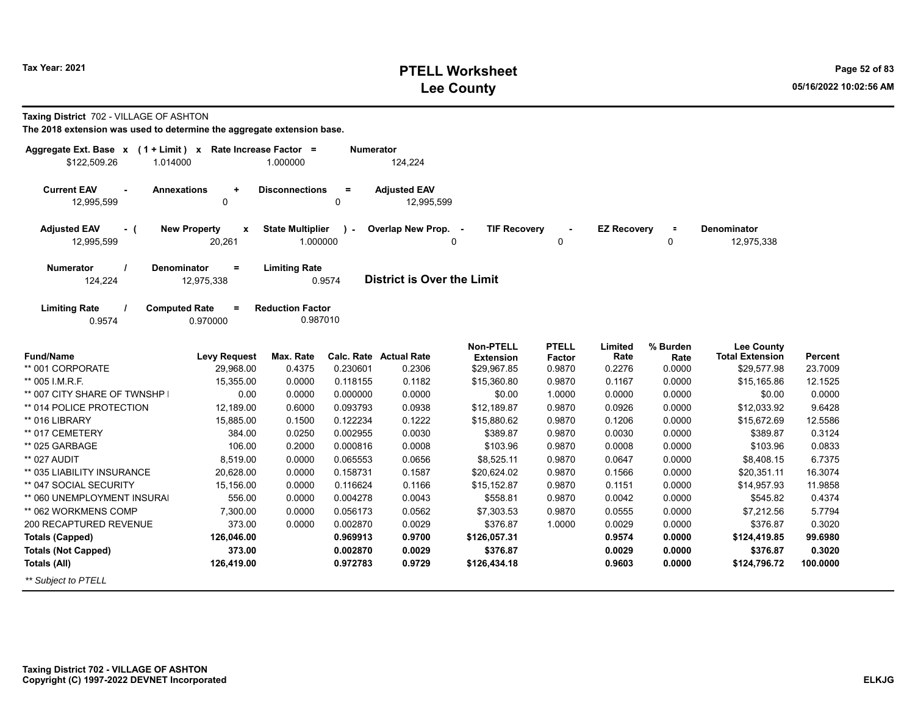## **PTELL Worksheet Tax Year: 2021 Page 52 of 83 Lee County 05/16/2022 10:02:56 AM**

|  | <b>Taxing District</b> 702 - VILLAGE OF ASHTON |  |
|--|------------------------------------------------|--|
|--|------------------------------------------------|--|

| Aggregate Ext. Base $x$ (1 + Limit) x Rate Increase Factor =<br>\$122,509.26<br>1.014000 |                          | 1.000000                            | <b>Numerator</b> | 124,224                           |                                      |                               |                    |                  |                                             |          |
|------------------------------------------------------------------------------------------|--------------------------|-------------------------------------|------------------|-----------------------------------|--------------------------------------|-------------------------------|--------------------|------------------|---------------------------------------------|----------|
| <b>Current EAV</b><br><b>Annexations</b><br>$\blacksquare$<br>12,995,599                 | ٠<br>0                   | <b>Disconnections</b>               | $\equiv$<br>0    | <b>Adjusted EAV</b><br>12,995,599 |                                      |                               |                    |                  |                                             |          |
| <b>Adjusted EAV</b><br>- (                                                               | <b>New Property</b><br>X | <b>State Multiplier</b>             | $\mathcal{L}$    | Overlap New Prop. -               | <b>TIF Recovery</b>                  |                               | <b>EZ Recovery</b> | $\equiv$         | <b>Denominator</b>                          |          |
| 12,995,599                                                                               | 20,261                   | 1.000000                            |                  |                                   | 0                                    | 0                             |                    | 0                | 12,975,338                                  |          |
| Numerator<br><b>Denominator</b><br>124,224                                               | $=$<br>12,975,338        | <b>Limiting Rate</b>                | 0.9574           | <b>District is Over the Limit</b> |                                      |                               |                    |                  |                                             |          |
| <b>Limiting Rate</b><br><b>Computed Rate</b><br>0.9574                                   | $=$<br>0.970000          | <b>Reduction Factor</b><br>0.987010 |                  |                                   |                                      |                               |                    |                  |                                             |          |
| <b>Fund/Name</b>                                                                         | <b>Levy Request</b>      | Max. Rate                           |                  | Calc. Rate Actual Rate            | <b>Non-PTELL</b><br><b>Extension</b> | <b>PTELL</b><br><b>Factor</b> | Limited<br>Rate    | % Burden<br>Rate | <b>Lee County</b><br><b>Total Extension</b> | Percent  |
| ** 001 CORPORATE                                                                         | 29,968.00                | 0.4375                              | 0.230601         | 0.2306                            | \$29,967.85                          | 0.9870                        | 0.2276             | 0.0000           | \$29,577.98                                 | 23.7009  |
| ** 005 I.M.R.F.                                                                          | 15.355.00                | 0.0000                              | 0.118155         | 0.1182                            | \$15,360.80                          | 0.9870                        | 0.1167             | 0.0000           | \$15,165.86                                 | 12.1525  |
| ** 007 CITY SHARE OF TWNSHP                                                              | 0.00                     | 0.0000                              | 0.000000         | 0.0000                            | \$0.00                               | 1.0000                        | 0.0000             | 0.0000           | \$0.00                                      | 0.0000   |
| ** 014 POLICE PROTECTION                                                                 | 12,189.00                | 0.6000                              | 0.093793         | 0.0938                            | \$12,189.87                          | 0.9870                        | 0.0926             | 0.0000           | \$12,033.92                                 | 9.6428   |
| ** 016 LIBRARY                                                                           | 15,885.00                | 0.1500                              | 0.122234         | 0.1222                            | \$15,880.62                          | 0.9870                        | 0.1206             | 0.0000           | \$15,672.69                                 | 12.5586  |
| ** 017 CEMETERY                                                                          | 384.00                   | 0.0250                              | 0.002955         | 0.0030                            | \$389.87                             | 0.9870                        | 0.0030             | 0.0000           | \$389.87                                    | 0.3124   |
| ** 025 GARBAGE                                                                           | 106.00                   | 0.2000                              | 0.000816         | 0.0008                            | \$103.96                             | 0.9870                        | 0.0008             | 0.0000           | \$103.96                                    | 0.0833   |
| ** 027 AUDIT                                                                             | 8,519.00                 | 0.0000                              | 0.065553         | 0.0656                            | \$8,525.11                           | 0.9870                        | 0.0647             | 0.0000           | \$8,408.15                                  | 6.7375   |
| ** 035 LIABILITY INSURANCE                                                               | 20,628.00                | 0.0000                              | 0.158731         | 0.1587                            | \$20,624.02                          | 0.9870                        | 0.1566             | 0.0000           | \$20,351.11                                 | 16.3074  |
| ** 047 SOCIAL SECURITY                                                                   | 15,156.00                | 0.0000                              | 0.116624         | 0.1166                            | \$15,152.87                          | 0.9870                        | 0.1151             | 0.0000           | \$14,957.93                                 | 11.9858  |
| ** 060 UNEMPLOYMENT INSURAI                                                              | 556.00                   | 0.0000                              | 0.004278         | 0.0043                            | \$558.81                             | 0.9870                        | 0.0042             | 0.0000           | \$545.82                                    | 0.4374   |
| ** 062 WORKMENS COMP                                                                     | 7,300.00                 | 0.0000                              | 0.056173         | 0.0562                            | \$7,303.53                           | 0.9870                        | 0.0555             | 0.0000           | \$7,212.56                                  | 5.7794   |
| 200 RECAPTURED REVENUE                                                                   | 373.00                   | 0.0000                              | 0.002870         | 0.0029                            | \$376.87                             | 1.0000                        | 0.0029             | 0.0000           | \$376.87                                    | 0.3020   |
| <b>Totals (Capped)</b>                                                                   | 126,046.00               |                                     | 0.969913         | 0.9700                            | \$126,057.31                         |                               | 0.9574             | 0.0000           | \$124,419.85                                | 99.6980  |
| <b>Totals (Not Capped)</b>                                                               | 373.00                   |                                     | 0.002870         | 0.0029                            | \$376.87                             |                               | 0.0029             | 0.0000           | \$376.87                                    | 0.3020   |
| Totals (All)                                                                             | 126,419.00               |                                     | 0.972783         | 0.9729                            | \$126,434.18                         |                               | 0.9603             | 0.0000           | \$124,796.72                                | 100.0000 |
| ** Subject to PTELL                                                                      |                          |                                     |                  |                                   |                                      |                               |                    |                  |                                             |          |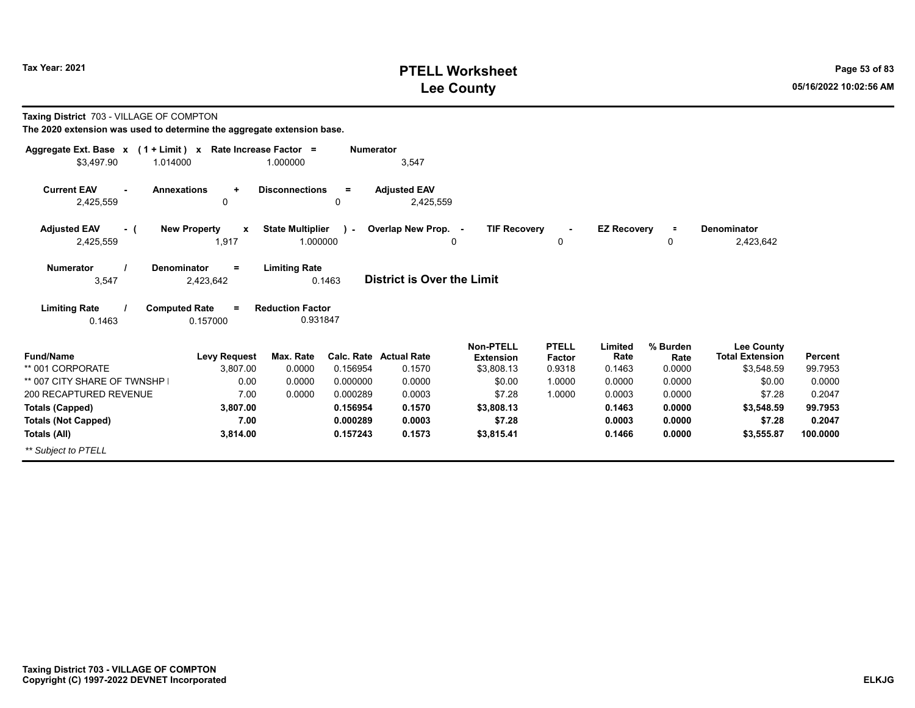# **PTELL Worksheet Tax Year: 2021 Page 53 of 83 Lee County 05/16/2022 10:02:56 AM**

| Taxing District 703 - VILLAGE OF COMPTON<br>The 2020 extension was used to determine the aggregate extension base. |                                                                |                                                 |                  |                                   |                                      |                        |                    |                  |                                             |                |
|--------------------------------------------------------------------------------------------------------------------|----------------------------------------------------------------|-------------------------------------------------|------------------|-----------------------------------|--------------------------------------|------------------------|--------------------|------------------|---------------------------------------------|----------------|
| Aggregate Ext. Base $x$ (1 + Limit) x Rate Increase Factor =                                                       |                                                                |                                                 | <b>Numerator</b> |                                   |                                      |                        |                    |                  |                                             |                |
| \$3,497.90<br>1.014000                                                                                             |                                                                | 1.000000                                        |                  | 3,547                             |                                      |                        |                    |                  |                                             |                |
| <b>Current EAV</b><br>2,425,559                                                                                    | <b>Annexations</b><br>$\ddot{}$<br>0                           | <b>Disconnections</b>                           | $=$<br>0         | <b>Adjusted EAV</b><br>2,425,559  |                                      |                        |                    |                  |                                             |                |
| <b>Adjusted EAV</b><br>- (                                                                                         | <b>New Property</b><br>X                                       | <b>State Multiplier</b>                         | $\lambda$        | Overlap New Prop. -               | <b>TIF Recovery</b>                  | $\blacksquare$         | <b>EZ Recovery</b> | $\equiv$         | Denominator                                 |                |
| 2,425,559                                                                                                          | 1,917                                                          | 1.000000                                        |                  |                                   | $\Omega$                             | 0                      |                    | 0                | 2,423,642                                   |                |
| <b>Numerator</b><br>3,547<br><b>Limiting Rate</b>                                                                  | <b>Denominator</b><br>$=$<br>2,423,642<br><b>Computed Rate</b> | <b>Limiting Rate</b><br><b>Reduction Factor</b> | 0.1463           | <b>District is Over the Limit</b> |                                      |                        |                    |                  |                                             |                |
| 0.1463                                                                                                             | 0.157000                                                       | 0.931847                                        |                  |                                   |                                      |                        |                    |                  |                                             |                |
| <b>Fund/Name</b>                                                                                                   | <b>Levy Request</b>                                            | Max. Rate                                       |                  | <b>Calc. Rate Actual Rate</b>     | <b>Non-PTELL</b><br><b>Extension</b> | <b>PTELL</b><br>Factor | Limited<br>Rate    | % Burden<br>Rate | <b>Lee County</b><br><b>Total Extension</b> | <b>Percent</b> |
| ** 001 CORPORATE                                                                                                   | 3.807.00                                                       | 0.0000                                          | 0.156954         | 0.1570                            | \$3,808.13                           | 0.9318                 | 0.1463             | 0.0000           | \$3,548.59                                  | 99.7953        |
| ** 007 CITY SHARE OF TWNSHP                                                                                        | 0.00                                                           | 0.0000                                          | 0.000000         | 0.0000                            | \$0.00                               | 1.0000                 | 0.0000             | 0.0000           | \$0.00                                      | 0.0000         |
| 200 RECAPTURED REVENUE                                                                                             | 7.00                                                           | 0.0000                                          | 0.000289         | 0.0003                            | \$7.28                               | 1.0000                 | 0.0003             | 0.0000           | \$7.28                                      | 0.2047         |
| <b>Totals (Capped)</b>                                                                                             | 3,807.00                                                       |                                                 | 0.156954         | 0.1570                            | \$3,808.13                           |                        | 0.1463             | 0.0000           | \$3,548.59                                  | 99.7953        |
| <b>Totals (Not Capped)</b>                                                                                         | 7.00                                                           |                                                 | 0.000289         | 0.0003                            | \$7.28                               |                        | 0.0003             | 0.0000           | \$7.28                                      | 0.2047         |
| Totals (All)                                                                                                       | 3,814.00                                                       |                                                 | 0.157243         | 0.1573                            | \$3,815.41                           |                        | 0.1466             | 0.0000           | \$3,555.87                                  | 100.0000       |
| ** Subject to PTELL                                                                                                |                                                                |                                                 |                  |                                   |                                      |                        |                    |                  |                                             |                |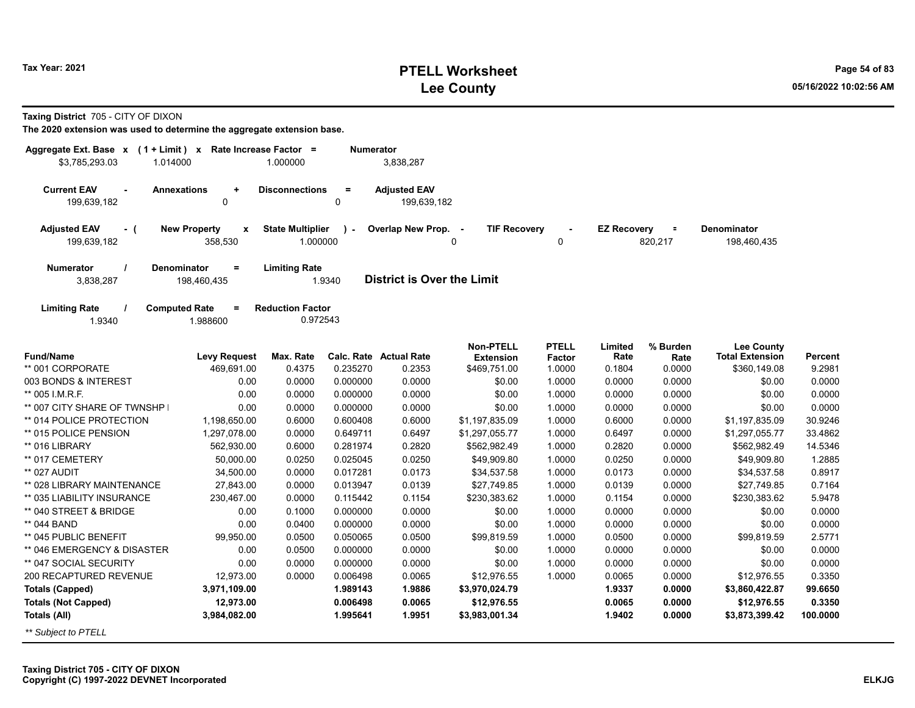# **PTELL Worksheet Tax Year: 2021 Page 54 of 83 Lee County 05/16/2022 10:02:56 AM**

**Taxing District** 705 - CITY OF DIXON

| Aggregate Ext. Base x (1 + Limit) x Rate Increase Factor = |                                     |                         | <b>Numerator</b> |                                   |                     |              |                    |          |                        |          |
|------------------------------------------------------------|-------------------------------------|-------------------------|------------------|-----------------------------------|---------------------|--------------|--------------------|----------|------------------------|----------|
| \$3,785,293.03<br>1.014000                                 |                                     | 1.000000                |                  | 3,838,287                         |                     |              |                    |          |                        |          |
|                                                            |                                     |                         |                  |                                   |                     |              |                    |          |                        |          |
| <b>Current EAV</b><br><b>Annexations</b>                   | $\ddot{}$                           | <b>Disconnections</b>   | $\equiv$         | <b>Adjusted EAV</b>               |                     |              |                    |          |                        |          |
| 199,639,182                                                | $\mathbf 0$                         |                         | 0                | 199.639.182                       |                     |              |                    |          |                        |          |
|                                                            |                                     |                         |                  |                                   |                     |              |                    |          |                        |          |
| <b>Adjusted EAV</b><br>- (                                 | <b>New Property</b><br>$\pmb{\chi}$ | <b>State Multiplier</b> | $\mathcal{L}$    | Overlap New Prop. -               | <b>TIF Recovery</b> |              | <b>EZ Recovery</b> | $\equiv$ | <b>Denominator</b>     |          |
| 199,639,182                                                | 358,530                             | 1.000000                |                  |                                   | 0                   | $\mathbf 0$  |                    | 820,217  | 198,460,435            |          |
|                                                            |                                     |                         |                  |                                   |                     |              |                    |          |                        |          |
| Numerator<br><b>Denominator</b>                            | $\equiv$                            | <b>Limiting Rate</b>    |                  | <b>District is Over the Limit</b> |                     |              |                    |          |                        |          |
| 3,838,287                                                  | 198,460,435                         |                         | 1.9340           |                                   |                     |              |                    |          |                        |          |
| <b>Computed Rate</b>                                       | $\equiv$                            | <b>Reduction Factor</b> |                  |                                   |                     |              |                    |          |                        |          |
| <b>Limiting Rate</b><br>1.9340                             | 1.988600                            | 0.972543                |                  |                                   |                     |              |                    |          |                        |          |
|                                                            |                                     |                         |                  |                                   |                     |              |                    |          |                        |          |
|                                                            |                                     |                         |                  |                                   | <b>Non-PTELL</b>    | <b>PTELL</b> | Limited            | % Burden | <b>Lee County</b>      |          |
| <b>Fund/Name</b>                                           | <b>Levy Request</b>                 | Max. Rate               |                  | Calc. Rate Actual Rate            | <b>Extension</b>    | Factor       | Rate               | Rate     | <b>Total Extension</b> | Percent  |
| ** 001 CORPORATE                                           | 469,691.00                          | 0.4375                  | 0.235270         | 0.2353                            | \$469,751.00        | 1.0000       | 0.1804             | 0.0000   | \$360,149.08           | 9.2981   |
| 003 BONDS & INTEREST                                       | 0.00                                | 0.0000                  | 0.000000         | 0.0000                            | \$0.00              | 1.0000       | 0.0000             | 0.0000   | \$0.00                 | 0.0000   |
| ** 005 I.M.R.F.                                            | 0.00                                | 0.0000                  | 0.000000         | 0.0000                            | \$0.00              | 1.0000       | 0.0000             | 0.0000   | \$0.00                 | 0.0000   |
| ** 007 CITY SHARE OF TWNSHP                                | 0.00                                | 0.0000                  | 0.000000         | 0.0000                            | \$0.00              | 1.0000       | 0.0000             | 0.0000   | \$0.00                 | 0.0000   |
| ** 014 POLICE PROTECTION                                   | 1,198,650.00                        | 0.6000                  | 0.600408         | 0.6000                            | \$1,197,835.09      | 1.0000       | 0.6000             | 0.0000   | \$1,197,835.09         | 30.9246  |
| ** 015 POLICE PENSION                                      | 1,297,078.00                        | 0.0000                  | 0.649711         | 0.6497                            | \$1,297,055.77      | 1.0000       | 0.6497             | 0.0000   | \$1,297,055.77         | 33.4862  |
| ** 016 LIBRARY                                             | 562,930.00                          | 0.6000                  | 0.281974         | 0.2820                            | \$562,982.49        | 1.0000       | 0.2820             | 0.0000   | \$562,982.49           | 14.5346  |
| ** 017 CEMETERY                                            | 50,000.00                           | 0.0250                  | 0.025045         | 0.0250                            | \$49,909.80         | 1.0000       | 0.0250             | 0.0000   | \$49,909.80            | 1.2885   |
| ** 027 AUDIT                                               | 34,500.00                           | 0.0000                  | 0.017281         | 0.0173                            | \$34,537.58         | 1.0000       | 0.0173             | 0.0000   | \$34,537.58            | 0.8917   |
| ** 028 LIBRARY MAINTENANCE                                 | 27,843.00                           | 0.0000                  | 0.013947         | 0.0139                            | \$27,749.85         | 1.0000       | 0.0139             | 0.0000   | \$27,749.85            | 0.7164   |
| ** 035 LIABILITY INSURANCE                                 | 230,467.00                          | 0.0000                  | 0.115442         | 0.1154                            | \$230,383.62        | 1.0000       | 0.1154             | 0.0000   | \$230,383.62           | 5.9478   |
| ** 040 STREET & BRIDGE                                     | 0.00                                | 0.1000                  | 0.000000         | 0.0000                            | \$0.00              | 1.0000       | 0.0000             | 0.0000   | \$0.00                 | 0.0000   |
| ** 044 BAND                                                | 0.00                                | 0.0400                  | 0.000000         | 0.0000                            | \$0.00              | 1.0000       | 0.0000             | 0.0000   | \$0.00                 | 0.0000   |
| ** 045 PUBLIC BENEFIT                                      | 99,950.00                           | 0.0500                  | 0.050065         | 0.0500                            | \$99,819.59         | 1.0000       | 0.0500             | 0.0000   | \$99,819.59            | 2.5771   |
| ** 046 EMERGENCY & DISASTER                                | 0.00                                | 0.0500                  | 0.000000         | 0.0000                            | \$0.00              | 1.0000       | 0.0000             | 0.0000   | \$0.00                 | 0.0000   |
| ** 047 SOCIAL SECURITY                                     | 0.00                                | 0.0000                  | 0.000000         | 0.0000                            | \$0.00              | 1.0000       | 0.0000             | 0.0000   | \$0.00                 | 0.0000   |
| 200 RECAPTURED REVENUE                                     | 12,973.00                           | 0.0000                  | 0.006498         | 0.0065                            | \$12,976.55         | 1.0000       | 0.0065             | 0.0000   | \$12,976.55            | 0.3350   |
| <b>Totals (Capped)</b>                                     | 3,971,109.00                        |                         | 1.989143         | 1.9886                            | \$3,970,024.79      |              | 1.9337             | 0.0000   | \$3,860,422.87         | 99.6650  |
| <b>Totals (Not Capped)</b>                                 | 12,973.00                           |                         | 0.006498         | 0.0065                            | \$12,976.55         |              | 0.0065             | 0.0000   | \$12,976.55            | 0.3350   |
| Totals (All)                                               | 3,984,082.00                        |                         | 1.995641         | 1.9951                            | \$3,983,001.34      |              | 1.9402             | 0.0000   | \$3,873,399.42         | 100.0000 |
| ** Subject to PTELL                                        |                                     |                         |                  |                                   |                     |              |                    |          |                        |          |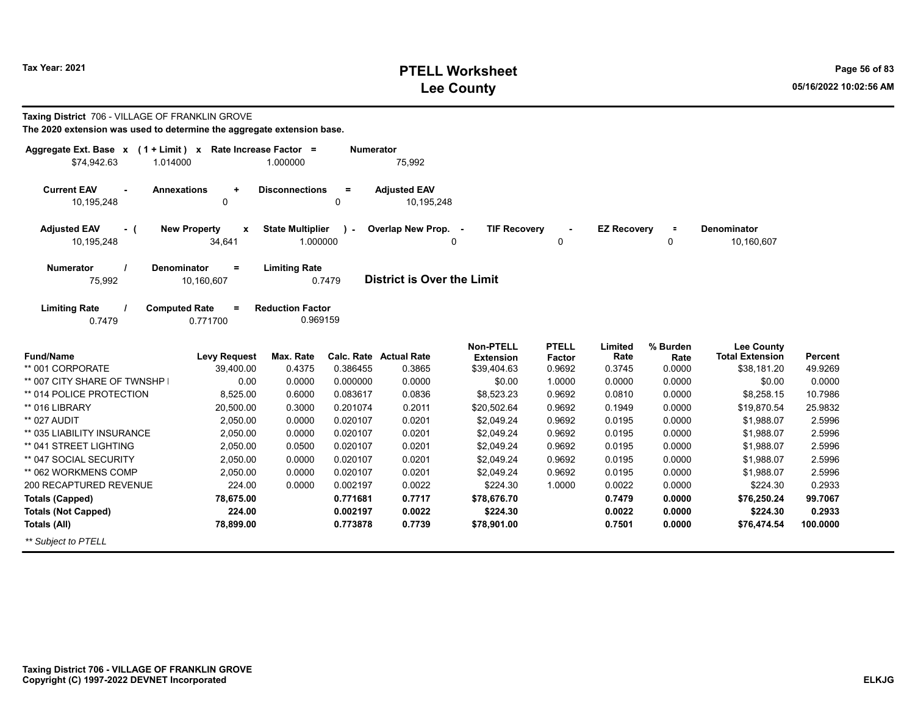# **PTELL Worksheet Tax Year: 2021 Page 56 of 83 Lee County 05/16/2022 10:02:56 AM**

| Taxing District 706 - VILLAGE OF FRANKLIN GROVE<br>The 2020 extension was used to determine the aggregate extension base. |                                              |                                     |                      |                                   |                                      |                        |                    |                  |                                             |                  |
|---------------------------------------------------------------------------------------------------------------------------|----------------------------------------------|-------------------------------------|----------------------|-----------------------------------|--------------------------------------|------------------------|--------------------|------------------|---------------------------------------------|------------------|
| Aggregate Ext. Base x (1 + Limit) x Rate Increase Factor =<br>\$74.942.63<br>1.014000                                     |                                              | 1.000000                            | <b>Numerator</b>     | 75,992                            |                                      |                        |                    |                  |                                             |                  |
| <b>Current EAV</b><br>10,195,248                                                                                          | <b>Annexations</b><br>٠<br>0                 | <b>Disconnections</b>               | $\equiv$<br>0        | <b>Adjusted EAV</b><br>10,195,248 |                                      |                        |                    |                  |                                             |                  |
| <b>Adjusted EAV</b><br>- (<br>10,195,248                                                                                  | <b>New Property</b><br>X<br>34,641           | <b>State Multiplier</b><br>1.000000 | $\mathbf{r}$         | Overlap New Prop. -<br>0          | <b>TIF Recovery</b>                  | 0                      | <b>EZ Recovery</b> | $\equiv$<br>0    | Denominator<br>10.160.607                   |                  |
| <b>Numerator</b><br>75,992                                                                                                | <b>Denominator</b><br>$\equiv$<br>10,160,607 | <b>Limiting Rate</b>                | 0.7479               | <b>District is Over the Limit</b> |                                      |                        |                    |                  |                                             |                  |
| <b>Limiting Rate</b><br>0.7479                                                                                            | <b>Computed Rate</b><br>$\equiv$<br>0.771700 | <b>Reduction Factor</b><br>0.969159 |                      |                                   |                                      |                        |                    |                  |                                             |                  |
| <b>Fund/Name</b>                                                                                                          | <b>Levy Request</b>                          | Max. Rate                           |                      | <b>Calc. Rate Actual Rate</b>     | <b>Non-PTELL</b><br><b>Extension</b> | <b>PTELL</b><br>Factor | Limited<br>Rate    | % Burden<br>Rate | <b>Lee County</b><br><b>Total Extension</b> | <b>Percent</b>   |
| ** 001 CORPORATE                                                                                                          | 39,400.00                                    | 0.4375                              | 0.386455             | 0.3865                            | \$39,404.63                          | 0.9692                 | 0.3745             | 0.0000           | \$38,181.20                                 | 49.9269          |
| ** 007 CITY SHARE OF TWNSHP                                                                                               | 0.00                                         | 0.0000                              | 0.000000             | 0.0000                            | \$0.00                               | 1.0000                 | 0.0000             | 0.0000           | \$0.00                                      | 0.0000           |
| ** 014 POLICE PROTECTION                                                                                                  | 8,525.00                                     | 0.6000                              | 0.083617             | 0.0836                            | \$8,523.23                           | 0.9692                 | 0.0810             | 0.0000           | \$8,258.15                                  | 10.7986          |
| ** 016 LIBRARY                                                                                                            | 20,500.00                                    | 0.3000                              | 0.201074             | 0.2011                            | \$20,502.64                          | 0.9692                 | 0.1949             | 0.0000           | \$19,870.54                                 | 25.9832          |
| ** 027 AUDIT                                                                                                              | 2.050.00                                     | 0.0000                              | 0.020107             | 0.0201                            | \$2,049.24                           | 0.9692                 | 0.0195             | 0.0000           | \$1,988.07                                  | 2.5996           |
| ** 035 LIABILITY INSURANCE                                                                                                | 2,050.00                                     | 0.0000                              | 0.020107             | 0.0201                            | \$2,049.24                           | 0.9692                 | 0.0195             | 0.0000           | \$1,988.07                                  | 2.5996           |
| ** 041 STREET LIGHTING                                                                                                    | 2,050.00                                     | 0.0500                              | 0.020107             | 0.0201                            | \$2,049.24                           | 0.9692                 | 0.0195             | 0.0000           | \$1,988.07                                  | 2.5996           |
| ** 047 SOCIAL SECURITY<br>** 062 WORKMENS COMP                                                                            | 2.050.00<br>2,050.00                         | 0.0000<br>0.0000                    | 0.020107<br>0.020107 | 0.0201<br>0.0201                  | \$2,049.24                           | 0.9692<br>0.9692       | 0.0195<br>0.0195   | 0.0000<br>0.0000 | \$1,988.07                                  | 2.5996<br>2.5996 |
| 200 RECAPTURED REVENUE                                                                                                    | 224.00                                       | 0.0000                              | 0.002197             | 0.0022                            | \$2,049.24<br>\$224.30               | 1.0000                 | 0.0022             | 0.0000           | \$1,988.07<br>\$224.30                      | 0.2933           |
| <b>Totals (Capped)</b>                                                                                                    | 78,675.00                                    |                                     | 0.771681             | 0.7717                            | \$78,676.70                          |                        | 0.7479             | 0.0000           | \$76,250.24                                 | 99.7067          |
| <b>Totals (Not Capped)</b>                                                                                                | 224.00                                       |                                     | 0.002197             | 0.0022                            | \$224.30                             |                        | 0.0022             | 0.0000           | \$224.30                                    | 0.2933           |
| Totals (All)                                                                                                              | 78,899.00                                    |                                     | 0.773878             | 0.7739                            | \$78,901.00                          |                        | 0.7501             | 0.0000           | \$76,474.54                                 | 100.0000         |

*\*\* Subject to PTELL*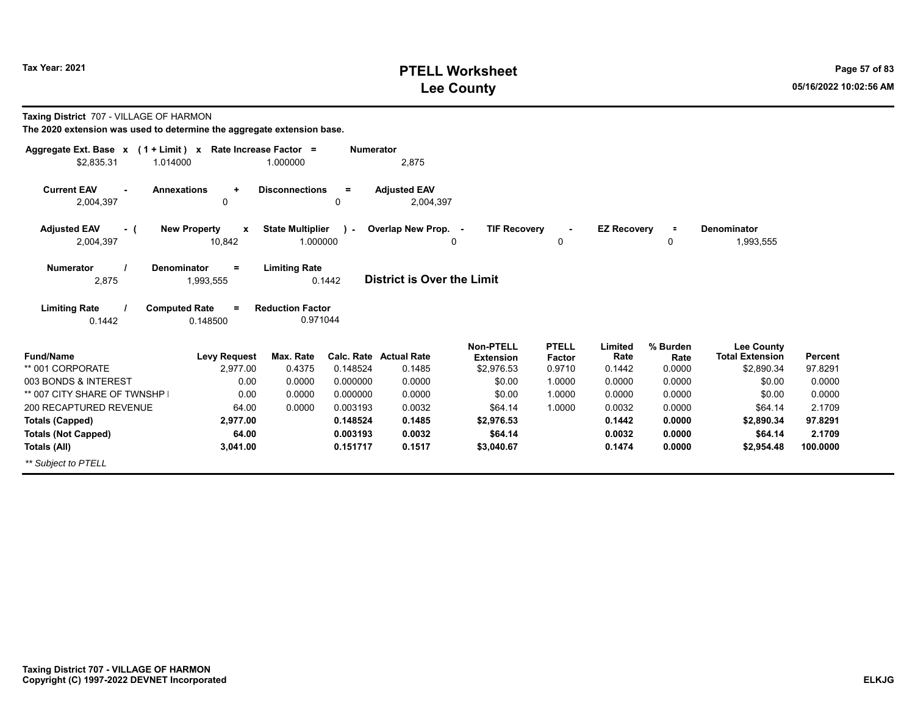## **PTELL Worksheet Tax Year: 2021 Page 57 of 83 Lee County 05/16/2022 10:02:56 AM**

| Taxing District 707 - VILLAGE OF HARMON<br>The 2020 extension was used to determine the aggregate extension base. |                                         |                                     |                  |                                   |                               |                        |                    |                  |                                             |                |
|-------------------------------------------------------------------------------------------------------------------|-----------------------------------------|-------------------------------------|------------------|-----------------------------------|-------------------------------|------------------------|--------------------|------------------|---------------------------------------------|----------------|
| Aggregate Ext. Base $x$ (1 + Limit) x Rate Increase Factor =                                                      |                                         |                                     | <b>Numerator</b> |                                   |                               |                        |                    |                  |                                             |                |
| \$2,835.31<br>1.014000                                                                                            |                                         | 1.000000                            |                  | 2,875                             |                               |                        |                    |                  |                                             |                |
| <b>Current EAV</b><br><b>Annexations</b><br>2,004,397                                                             | $\ddot{}$<br>0                          | <b>Disconnections</b>               | $=$<br>0         | <b>Adjusted EAV</b><br>2,004,397  |                               |                        |                    |                  |                                             |                |
| <b>Adjusted EAV</b><br>- (                                                                                        | <b>New Property</b><br>X                | <b>State Multiplier</b>             | $\lambda$        | Overlap New Prop. -               | <b>TIF Recovery</b>           | $\blacksquare$         | <b>EZ Recovery</b> | $\equiv$         | <b>Denominator</b>                          |                |
| 2,004,397                                                                                                         | 10,842                                  | 1.000000                            |                  |                                   | $\Omega$                      | 0                      |                    | 0                | 1,993,555                                   |                |
| <b>Numerator</b><br>2,875                                                                                         | <b>Denominator</b><br>$=$<br>1,993,555  | <b>Limiting Rate</b>                | 0.1442           | <b>District is Over the Limit</b> |                               |                        |                    |                  |                                             |                |
| <b>Limiting Rate</b><br>0.1442                                                                                    | <b>Computed Rate</b><br>$=$<br>0.148500 | <b>Reduction Factor</b><br>0.971044 |                  |                                   |                               |                        |                    |                  |                                             |                |
| <b>Fund/Name</b>                                                                                                  | <b>Levy Request</b>                     | Max. Rate                           |                  | <b>Calc. Rate Actual Rate</b>     | Non-PTELL<br><b>Extension</b> | <b>PTELL</b><br>Factor | Limited<br>Rate    | % Burden<br>Rate | <b>Lee County</b><br><b>Total Extension</b> | <b>Percent</b> |
| ** 001 CORPORATE                                                                                                  | 2.977.00                                | 0.4375                              | 0.148524         | 0.1485                            | \$2,976.53                    | 0.9710                 | 0.1442             | 0.0000           | \$2,890.34                                  | 97.8291        |
| 003 BONDS & INTEREST                                                                                              | 0.00                                    | 0.0000                              | 0.000000         | 0.0000                            | \$0.00                        | 1.0000                 | 0.0000             | 0.0000           | \$0.00                                      | 0.0000         |
| ** 007 CITY SHARE OF TWNSHP                                                                                       | 0.00                                    | 0.0000                              | 0.000000         | 0.0000                            | \$0.00                        | 1.0000                 | 0.0000             | 0.0000           | \$0.00                                      | 0.0000         |
| 200 RECAPTURED REVENUE                                                                                            | 64.00                                   | 0.0000                              | 0.003193         | 0.0032                            | \$64.14                       | 1.0000                 | 0.0032             | 0.0000           | \$64.14                                     | 2.1709         |
| <b>Totals (Capped)</b>                                                                                            | 2,977.00                                |                                     | 0.148524         | 0.1485                            | \$2,976.53                    |                        | 0.1442             | 0.0000           | \$2,890.34                                  | 97.8291        |
| <b>Totals (Not Capped)</b>                                                                                        | 64.00                                   |                                     | 0.003193         | 0.0032                            | \$64.14                       |                        | 0.0032             | 0.0000           | \$64.14                                     | 2.1709         |
| Totals (All)                                                                                                      | 3,041.00                                |                                     | 0.151717         | 0.1517                            | \$3,040.67                    |                        | 0.1474             | 0.0000           | \$2,954.48                                  | 100.0000       |
| ** Subject to PTELL                                                                                               |                                         |                                     |                  |                                   |                               |                        |                    |                  |                                             |                |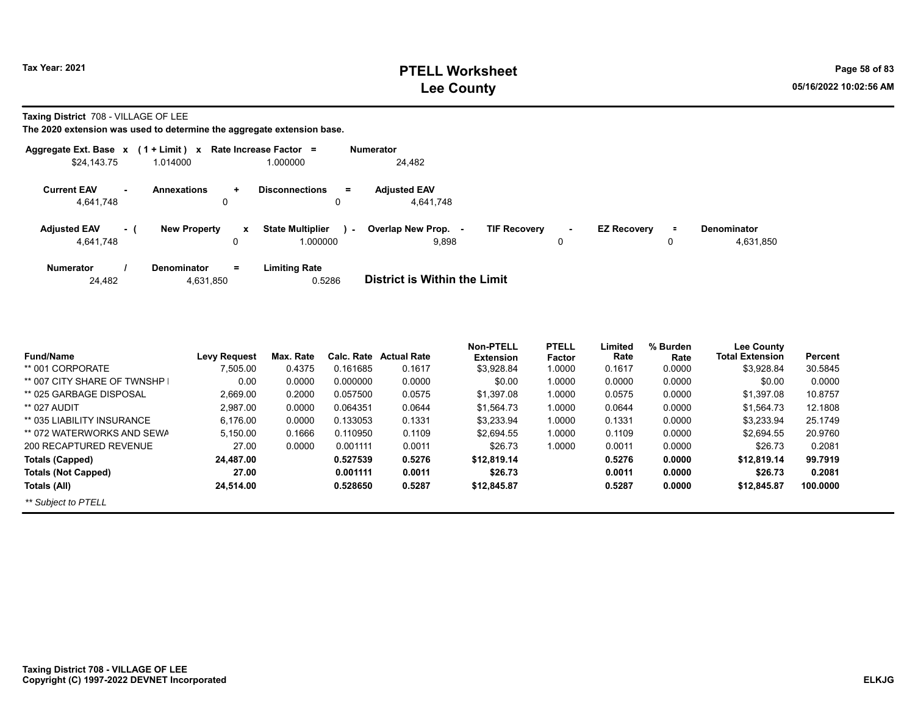**Taxing District** 708 - VILLAGE OF LEE

| Aggregate Ext. Base $x$ (1 + Limit) $x$ |     |                                          | Rate Increase Factor =              |      | Numerator                           |                     |             |                    |               |                                 |
|-----------------------------------------|-----|------------------------------------------|-------------------------------------|------|-------------------------------------|---------------------|-------------|--------------------|---------------|---------------------------------|
| \$24,143.75                             |     | 1.014000                                 | 1.000000                            |      | 24.482                              |                     |             |                    |               |                                 |
| <b>Current EAV</b><br>4,641,748         |     | <b>Annexations</b><br>$\ddot{}$<br>0     | <b>Disconnections</b><br>$=$<br>0   |      | <b>Adiusted EAV</b><br>4,641,748    |                     |             |                    |               |                                 |
| <b>Adjusted EAV</b><br>4,641,748        | - ( | <b>New Property</b><br>$\mathbf{x}$<br>0 | <b>State Multiplier</b><br>1.000000 | ra l | Overlap New Prop.<br>9,898          | <b>TIF Recovery</b> | $\sim$<br>0 | <b>EZ Recovery</b> | $\equiv$<br>0 | <b>Denominator</b><br>4,631,850 |
| <b>Numerator</b><br>24.482              |     | <b>Denominator</b><br>$=$<br>4,631,850   | Limiting Rate<br>0.5286             |      | <b>District is Within the Limit</b> |                     |             |                    |               |                                 |

| <b>Fund/Name</b>            | <b>Levy Reauest</b> | Max. Rate | Calc. Rate | <b>Actual Rate</b> | Non-PTELL<br><b>Extension</b> | <b>PTELL</b><br>Factor | Limited<br>Rate | % Burden<br>Rate | <b>Lee County</b><br><b>Total Extension</b> | Percent  |
|-----------------------------|---------------------|-----------|------------|--------------------|-------------------------------|------------------------|-----------------|------------------|---------------------------------------------|----------|
| ** 001 CORPORATE            | 7,505.00            | 0.4375    | 0.161685   | 0.1617             | \$3,928.84                    | 1.0000                 | 0.1617          | 0.0000           | \$3,928.84                                  | 30.5845  |
| ** 007 CITY SHARE OF TWNSHP | 0.00                | 0.0000    | 0.000000   | 0.0000             | \$0.00                        | 1.0000                 | 0.0000          | 0.0000           | \$0.00                                      | 0.0000   |
| ** 025 GARBAGE DISPOSAL     | 2,669.00            | 0.2000    | 0.057500   | 0.0575             | \$1,397.08                    | 1.0000                 | 0.0575          | 0.0000           | \$1.397.08                                  | 10.8757  |
| ** 027 AUDIT                | 2.987.00            | 0.0000    | 0.064351   | 0.0644             | \$1,564.73                    | 1.0000                 | 0.0644          | 0.0000           | \$1.564.73                                  | 12.1808  |
| ** 035 LIABILITY INSURANCE  | 6.176.00            | 0.0000    | 0.133053   | 0.1331             | \$3.233.94                    | 1.0000                 | 0.1331          | 0.0000           | \$3.233.94                                  | 25.1749  |
| ** 072 WATERWORKS AND SEWA  | 5.150.00            | 0.1666    | 0.110950   | 0.1109             | \$2.694.55                    | 1.0000                 | 0.1109          | 0.0000           | \$2.694.55                                  | 20.9760  |
| 200 RECAPTURED REVENUE      | 27.00               | 0.0000    | 0.001111   | 0.0011             | \$26.73                       | 1.0000                 | 0.0011          | 0.0000           | \$26.73                                     | 0.2081   |
| Totals (Capped)             | 24,487.00           |           | 0.527539   | 0.5276             | \$12,819.14                   |                        | 0.5276          | 0.0000           | \$12,819.14                                 | 99.7919  |
| <b>Totals (Not Capped)</b>  | 27.00               |           | 0.001111   | 0.0011             | \$26.73                       |                        | 0.0011          | 0.0000           | \$26.73                                     | 0.2081   |
| Totals (All)                | 24,514.00           |           | 0.528650   | 0.5287             | \$12,845.87                   |                        | 0.5287          | 0.0000           | \$12,845.87                                 | 100.0000 |
| ** Subject to PTELL         |                     |           |            |                    |                               |                        |                 |                  |                                             |          |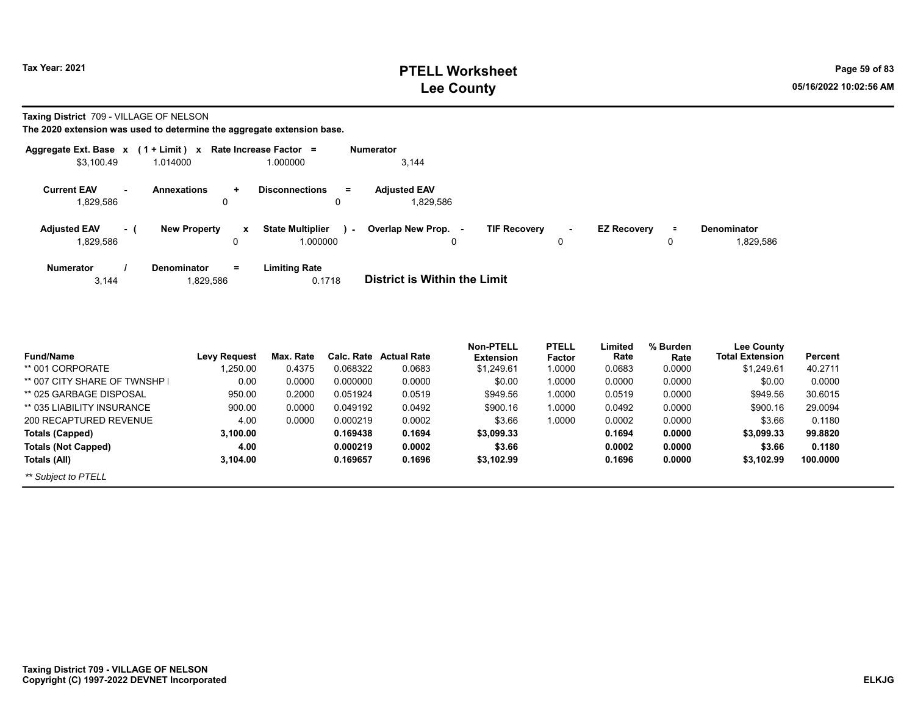**Taxing District** 709 - VILLAGE OF NELSON

|                                 |     | Aggregate Ext. Base $x$ (1 + Limit) x Rate Increase Factor = |                                             | <b>Numerator</b>                           |   |                    |          |                                 |
|---------------------------------|-----|--------------------------------------------------------------|---------------------------------------------|--------------------------------------------|---|--------------------|----------|---------------------------------|
| \$3.100.49                      |     | 1.014000                                                     | 1.000000                                    | 3.144                                      |   |                    |          |                                 |
| <b>Current EAV</b><br>829,586.  |     | <b>Annexations</b><br>÷<br>0                                 | <b>Disconnections</b><br>$\equiv$<br>0      | <b>Adiusted EAV</b><br>1.829.586           |   |                    |          |                                 |
| <b>Adjusted EAV</b><br>829,586. | - 1 | <b>New Property</b><br>$\mathbf{x}$<br>0                     | <b>State Multiplier</b><br>ra i<br>1.000000 | Overlap New Prop. -<br><b>TIF Recovery</b> | 0 | <b>EZ Recovery</b> | $\equiv$ | <b>Denominator</b><br>1,829,586 |
| <b>Numerator</b><br>3,144       |     | $=$<br><b>Denominator</b><br>1,829,586                       | <b>Limiting Rate</b><br>0.1718              | <b>District is Within the Limit</b>        |   |                    |          |                                 |

| <b>Fund/Name</b>              | <b>Levy Request</b> | Max. Rate | Calc. Rate | <b>Actual Rate</b> | <b>Non-PTELL</b><br><b>Extension</b> | <b>PTELL</b><br>Factor | Limited<br>Rate | % Burden<br>Rate | <b>Lee County</b><br><b>Total Extension</b> | Percent  |
|-------------------------------|---------------------|-----------|------------|--------------------|--------------------------------------|------------------------|-----------------|------------------|---------------------------------------------|----------|
| ** 001 CORPORATE              | ,250.00             | 0.4375    | 0.068322   | 0.0683             | \$1,249.61                           | 1.0000                 | 0.0683          | 0.0000           | \$1,249.61                                  | 40.2711  |
| ** 007 CITY SHARE OF TWNSHP I | 0.00                | 0.0000    | 0.000000   | 0.0000             | \$0.00                               | 1.0000                 | 0.0000          | 0.0000           | \$0.00                                      | 0.0000   |
| ** 025 GARBAGE DISPOSAL       | 950.00              | 0.2000    | 0.051924   | 0.0519             | \$949.56                             | 1.0000                 | 0.0519          | 0.0000           | \$949.56                                    | 30.6015  |
| ** 035 LIABILITY INSURANCE    | 900.00              | 0.0000    | 0.049192   | 0.0492             | \$900.16                             | 1.0000                 | 0.0492          | 0.0000           | \$900.16                                    | 29.0094  |
| 200 RECAPTURED REVENUE        | 4.00                | 0.0000    | 0.000219   | 0.0002             | \$3.66                               | 1.0000                 | 0.0002          | 0.0000           | \$3.66                                      | 0.1180   |
| Totals (Capped)               | 3,100.00            |           | 0.169438   | 0.1694             | \$3,099.33                           |                        | 0.1694          | 0.0000           | \$3,099.33                                  | 99.8820  |
| <b>Totals (Not Capped)</b>    | 4.00                |           | 0.000219   | 0.0002             | \$3.66                               |                        | 0.0002          | 0.0000           | \$3.66                                      | 0.1180   |
| Totals (All)                  | 3.104.00            |           | 0.169657   | 0.1696             | \$3,102.99                           |                        | 0.1696          | 0.0000           | \$3,102.99                                  | 100.0000 |
| ** Subject to PTELL           |                     |           |            |                    |                                      |                        |                 |                  |                                             |          |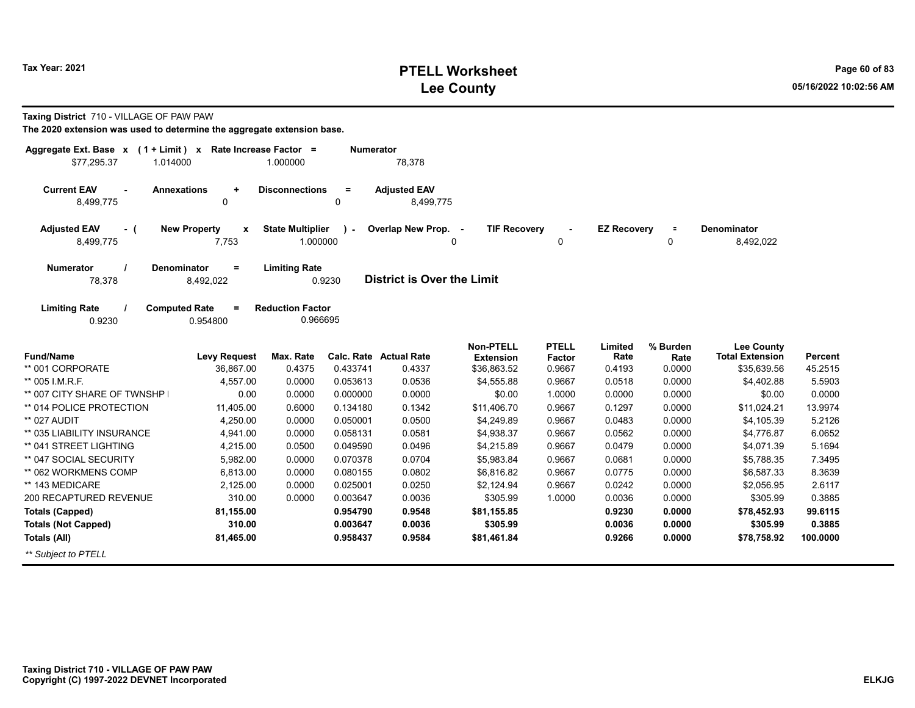| Aggregate Ext. Base x<br>\$77,295.37<br>1.014000                                                                                          | $(1 + Limit)$ x Rate Increase Factor =       | 1.000000                            | <b>Numerator</b> | 78,378                           |                                      |                        |                    |                  |                                             |          |  |  |  |
|-------------------------------------------------------------------------------------------------------------------------------------------|----------------------------------------------|-------------------------------------|------------------|----------------------------------|--------------------------------------|------------------------|--------------------|------------------|---------------------------------------------|----------|--|--|--|
| <b>Current EAV</b><br>÷.<br>8,499,775                                                                                                     | <b>Annexations</b><br>$\ddot{}$<br>0         | <b>Disconnections</b>               | $\equiv$<br>0    | <b>Adjusted EAV</b><br>8,499,775 |                                      |                        |                    |                  |                                             |          |  |  |  |
| <b>Adjusted EAV</b><br>- (<br>8,499,775                                                                                                   | <b>New Property</b><br>$\mathbf{x}$<br>7,753 | <b>State Multiplier</b><br>1.000000 | $\lambda$        | Overlap New Prop. -              | <b>TIF Recovery</b><br>0             | 0                      | <b>EZ Recovery</b> | $\equiv$<br>0    | <b>Denominator</b><br>8,492,022             |          |  |  |  |
| Denominator<br><b>Limiting Rate</b><br><b>Numerator</b><br>$\equiv$<br><b>District is Over the Limit</b><br>78,378<br>8,492,022<br>0.9230 |                                              |                                     |                  |                                  |                                      |                        |                    |                  |                                             |          |  |  |  |
| <b>Limiting Rate</b><br>0.9230                                                                                                            | <b>Computed Rate</b><br>Ξ<br>0.954800        | <b>Reduction Factor</b><br>0.966695 |                  |                                  |                                      |                        |                    |                  |                                             |          |  |  |  |
| <b>Fund/Name</b>                                                                                                                          | <b>Levy Request</b>                          | Max. Rate                           |                  | <b>Calc. Rate Actual Rate</b>    | <b>Non-PTELL</b><br><b>Extension</b> | <b>PTELL</b><br>Factor | Limited<br>Rate    | % Burden<br>Rate | <b>Lee County</b><br><b>Total Extension</b> | Percent  |  |  |  |
| ** 001 CORPORATE                                                                                                                          | 36.867.00                                    | 0.4375                              | 0.433741         | 0.4337                           | \$36,863.52                          | 0.9667                 | 0.4193             | 0.0000           | \$35.639.56                                 | 45.2515  |  |  |  |
| ** 005 I.M.R.F.                                                                                                                           | 4.557.00                                     | 0.0000                              | 0.053613         | 0.0536                           | \$4,555.88                           | 0.9667                 | 0.0518             | 0.0000           | \$4,402.88                                  | 5.5903   |  |  |  |
| ** 007 CITY SHARE OF TWNSHP                                                                                                               | 0.00                                         | 0.0000                              | 0.000000         | 0.0000                           | \$0.00                               | 1.0000                 | 0.0000             | 0.0000           | \$0.00                                      | 0.0000   |  |  |  |
| ** 014 POLICE PROTECTION                                                                                                                  | 11,405.00                                    | 0.6000                              | 0.134180         | 0.1342                           | \$11,406.70                          | 0.9667                 | 0.1297             | 0.0000           | \$11,024.21                                 | 13.9974  |  |  |  |
| ** 027 AUDIT                                                                                                                              | 4.250.00                                     | 0.0000                              | 0.050001         | 0.0500                           | \$4.249.89                           | 0.9667                 | 0.0483             | 0.0000           | \$4.105.39                                  | 5.2126   |  |  |  |
| ** 035 LIABILITY INSURANCE                                                                                                                | 4,941.00                                     | 0.0000                              | 0.058131         | 0.0581                           | \$4,938.37                           | 0.9667                 | 0.0562             | 0.0000           | \$4.776.87                                  | 6.0652   |  |  |  |
| ** 041 STREET LIGHTING                                                                                                                    | 4,215.00                                     | 0.0500                              | 0.049590         | 0.0496                           | \$4,215.89                           | 0.9667                 | 0.0479             | 0.0000           | \$4,071.39                                  | 5.1694   |  |  |  |
| ** 047 SOCIAL SECURITY                                                                                                                    | 5,982.00                                     | 0.0000                              | 0.070378         | 0.0704                           | \$5,983.84                           | 0.9667                 | 0.0681             | 0.0000           | \$5,788.35                                  | 7.3495   |  |  |  |
| ** 062 WORKMENS COMP                                                                                                                      | 6,813.00                                     | 0.0000                              | 0.080155         | 0.0802                           | \$6,816.82                           | 0.9667                 | 0.0775             | 0.0000           | \$6,587.33                                  | 8.3639   |  |  |  |
| ** 143 MEDICARE                                                                                                                           | 2,125.00                                     | 0.0000                              | 0.025001         | 0.0250                           | \$2,124.94                           | 0.9667                 | 0.0242             | 0.0000           | \$2,056.95                                  | 2.6117   |  |  |  |
| 200 RECAPTURED REVENUE                                                                                                                    | 310.00                                       | 0.0000                              | 0.003647         | 0.0036                           | \$305.99                             | 1.0000                 | 0.0036             | 0.0000           | \$305.99                                    | 0.3885   |  |  |  |
| <b>Totals (Capped)</b>                                                                                                                    | 81,155.00                                    |                                     | 0.954790         | 0.9548                           | \$81,155.85                          |                        | 0.9230             | 0.0000           | \$78,452.93                                 | 99.6115  |  |  |  |
| <b>Totals (Not Capped)</b>                                                                                                                | 310.00                                       |                                     | 0.003647         | 0.0036                           | \$305.99                             |                        | 0.0036             | 0.0000           | \$305.99                                    | 0.3885   |  |  |  |
| Totals (All)                                                                                                                              | 81,465.00                                    |                                     | 0.958437         | 0.9584                           | \$81,461.84                          |                        | 0.9266             | 0.0000           | \$78,758.92                                 | 100.0000 |  |  |  |
| ** Subject to PTELL                                                                                                                       |                                              |                                     |                  |                                  |                                      |                        |                    |                  |                                             |          |  |  |  |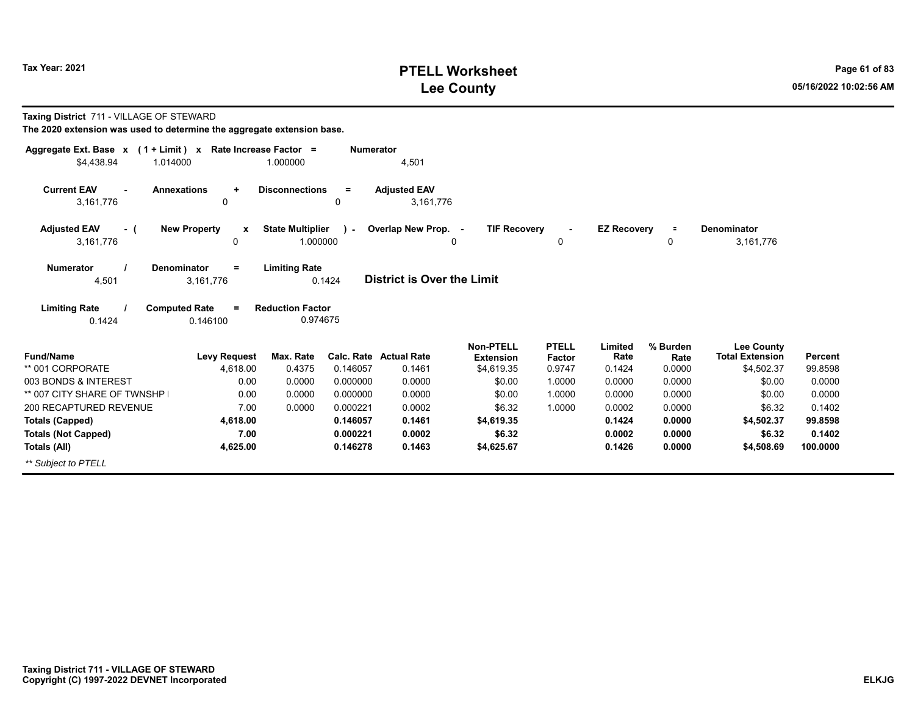## **PTELL Worksheet Tax Year: 2021 Page 61 of 83 Lee County 05/16/2022 10:02:56 AM**

| Taxing District 711 - VILLAGE OF STEWARD<br>The 2020 extension was used to determine the aggregate extension base. |                                                                     |                                                             |                  |                                         |                                |                  |                    |                |                                      |                           |
|--------------------------------------------------------------------------------------------------------------------|---------------------------------------------------------------------|-------------------------------------------------------------|------------------|-----------------------------------------|--------------------------------|------------------|--------------------|----------------|--------------------------------------|---------------------------|
| Aggregate Ext. Base x (1 + Limit) x Rate Increase Factor =                                                         |                                                                     |                                                             | <b>Numerator</b> |                                         |                                |                  |                    |                |                                      |                           |
| \$4.438.94<br>1.014000                                                                                             |                                                                     | 1.000000                                                    |                  | 4,501                                   |                                |                  |                    |                |                                      |                           |
| <b>Current EAV</b><br>3,161,776                                                                                    | <b>Annexations</b><br>$\ddot{}$<br>0                                | <b>Disconnections</b>                                       | $\equiv$<br>0    | <b>Adjusted EAV</b><br>3,161,776        |                                |                  |                    |                |                                      |                           |
| <b>Adjusted EAV</b><br>- (                                                                                         | <b>New Property</b><br>X                                            | <b>State Multiplier</b>                                     | $\mathcal{L}$    | Overlap New Prop. -                     | <b>TIF Recovery</b>            | $\blacksquare$   | <b>EZ Recovery</b> |                | <b>Denominator</b>                   |                           |
| 3,161,776                                                                                                          | 0                                                                   | 1.000000                                                    |                  | $\Omega$                                |                                | 0                |                    | 0              | 3,161,776                            |                           |
| <b>Numerator</b><br>4,501<br><b>Limiting Rate</b><br>0.1424                                                        | Denominator<br>$=$<br>3,161,776<br><b>Computed Rate</b><br>0.146100 | <b>Limiting Rate</b><br><b>Reduction Factor</b><br>0.974675 | 0.1424           | <b>District is Over the Limit</b>       |                                |                  |                    |                |                                      |                           |
|                                                                                                                    |                                                                     |                                                             |                  |                                         | <b>Non-PTELL</b>               | <b>PTELL</b>     | Limited            | % Burden       | <b>Lee County</b>                    |                           |
| <b>Fund/Name</b><br>** 001 CORPORATE                                                                               | <b>Levy Request</b><br>4.618.00                                     | Max. Rate<br>0.4375                                         | 0.146057         | <b>Calc. Rate Actual Rate</b><br>0.1461 | <b>Extension</b><br>\$4,619.35 | Factor<br>0.9747 | Rate<br>0.1424     | Rate<br>0.0000 | <b>Total Extension</b><br>\$4,502.37 | <b>Percent</b><br>99.8598 |
| 003 BONDS & INTEREST                                                                                               | 0.00                                                                | 0.0000                                                      | 0.000000         | 0.0000                                  | \$0.00                         | 1.0000           | 0.0000             | 0.0000         | \$0.00                               | 0.0000                    |
| ** 007 CITY SHARE OF TWNSHP                                                                                        | 0.00                                                                | 0.0000                                                      | 0.000000         | 0.0000                                  | \$0.00                         | 1.0000           | 0.0000             | 0.0000         | \$0.00                               | 0.0000                    |
| 200 RECAPTURED REVENUE                                                                                             | 7.00                                                                | 0.0000                                                      | 0.000221         | 0.0002                                  | \$6.32                         | 1.0000           | 0.0002             | 0.0000         | \$6.32                               | 0.1402                    |
| <b>Totals (Capped)</b>                                                                                             | 4,618.00                                                            |                                                             | 0.146057         | 0.1461                                  | \$4,619.35                     |                  | 0.1424             | 0.0000         | \$4,502.37                           | 99.8598                   |
| <b>Totals (Not Capped)</b>                                                                                         | 7.00                                                                |                                                             | 0.000221         | 0.0002                                  | \$6.32                         |                  | 0.0002             | 0.0000         | \$6.32                               | 0.1402                    |
| Totals (All)                                                                                                       | 4,625.00                                                            |                                                             | 0.146278         | 0.1463                                  | \$4,625.67                     |                  | 0.1426             | 0.0000         | \$4,508.69                           | 100.0000                  |
| ** Subject to PTELL                                                                                                |                                                                     |                                                             |                  |                                         |                                |                  |                    |                |                                      |                           |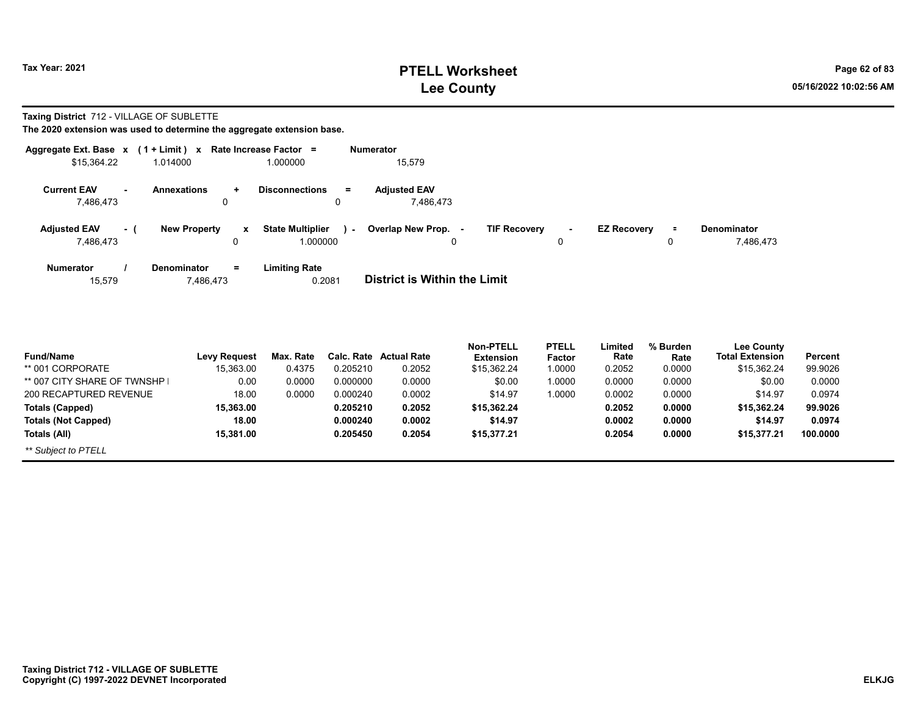## **PTELL Worksheet Tax Year: 2021 Page 62 of 83 Lee County 05/16/2022 10:02:56 AM**

#### **Taxing District** 712 - VILLAGE OF SUBLETTE

| Aggregate Ext. Base $x$ (1 + Limit) $x$ |     |                                        | Rate Increase Factor =                    | Numerator                                                                                                                       |
|-----------------------------------------|-----|----------------------------------------|-------------------------------------------|---------------------------------------------------------------------------------------------------------------------------------|
| \$15,364.22                             |     | 1.014000                               | 1.000000                                  | 15,579                                                                                                                          |
| <b>Current EAV</b><br>۰.<br>7,486,473   |     | <b>Annexations</b><br>÷<br>0           | <b>Disconnections</b><br>$=$<br>0         | <b>Adiusted EAV</b><br>7.486.473                                                                                                |
| <b>Adjusted EAV</b><br>7,486,473        | - 1 | <b>New Property</b><br>x<br>0          | <b>State Multiplier</b><br>х.<br>1.000000 | Overlap New Prop. -<br><b>TIF Recovery</b><br><b>EZ Recovery</b><br><b>Denominator</b><br>$\equiv$<br>۰.<br>7,486,473<br>0<br>0 |
| Numerator<br>15,579                     |     | <b>Denominator</b><br>$=$<br>7,486,473 | <b>Limiting Rate</b><br>0.2081            | District is Within the Limit                                                                                                    |

| <b>Fund/Name</b>              | <b>Levy Request</b> | Max. Rate |          | <b>Calc. Rate Actual Rate</b> | <b>Non-PTELL</b><br><b>Extension</b> | <b>PTELL</b><br><b>Factor</b> | Limited<br>Rate | % Burden<br>Rate | <b>Lee County</b><br><b>Total Extension</b> | Percent  |
|-------------------------------|---------------------|-----------|----------|-------------------------------|--------------------------------------|-------------------------------|-----------------|------------------|---------------------------------------------|----------|
| ** 001 CORPORATE              | 15.363.00           | 0.4375    | 0.205210 | 0.2052                        | \$15,362.24                          | 1.0000                        | 0.2052          | 0.0000           | \$15,362.24                                 | 99.9026  |
| ** 007 CITY SHARE OF TWNSHP I | 0.00                | 0.0000    | 0.000000 | 0.0000                        | \$0.00                               | 1.0000                        | 0.0000          | 0.0000           | \$0.00                                      | 0.0000   |
| 200 RECAPTURED REVENUE        | 18.00               | 0.0000    | 0.000240 | 0.0002                        | \$14.97                              | 1.0000                        | 0.0002          | 0.0000           | \$14.97                                     | 0.0974   |
| <b>Totals (Capped)</b>        | 15,363.00           |           | 0.205210 | 0.2052                        | \$15,362.24                          |                               | 0.2052          | 0.0000           | \$15,362.24                                 | 99.9026  |
| <b>Totals (Not Capped)</b>    | 18.00               |           | 0.000240 | 0.0002                        | \$14.97                              |                               | 0.0002          | 0.0000           | \$14.97                                     | 0.0974   |
| Totals (All)                  | 15.381.00           |           | 0.205450 | 0.2054                        | \$15,377.21                          |                               | 0.2054          | 0.0000           | \$15,377.21                                 | 100.0000 |
| ** Subject to PTELL           |                     |           |          |                               |                                      |                               |                 |                  |                                             |          |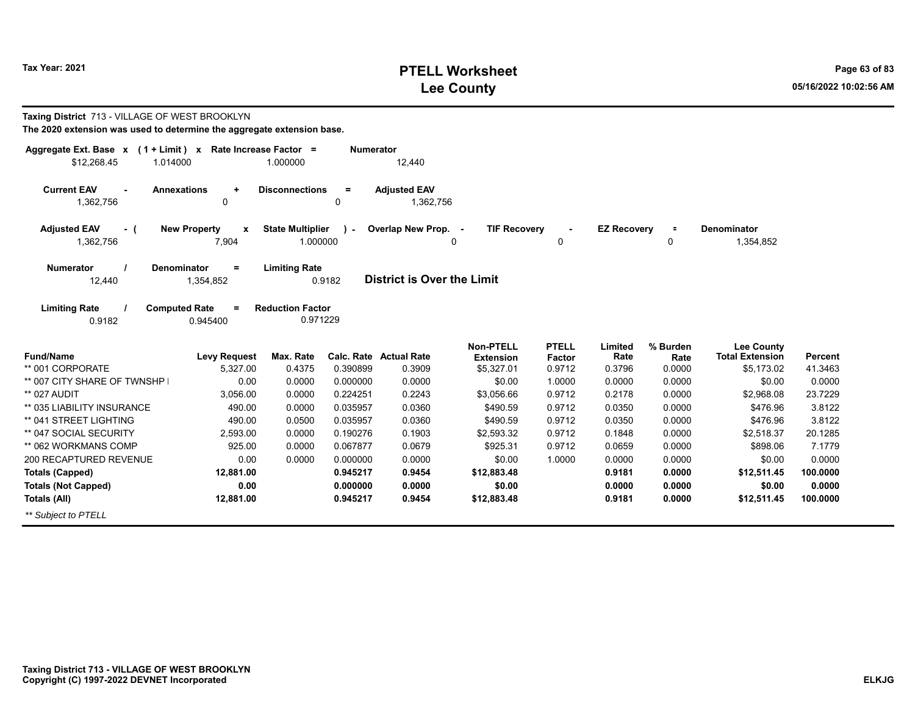## **PTELL Worksheet Tax Year: 2021 Page 63 of 83 Lee County 05/16/2022 10:02:56 AM**

| <b>Taxing District</b> 713 - VILLAGE OF WEST BROOKLYN<br>The 2020 extension was used to determine the aggregate extension base. |                                                           |                                     |                  |                                   |                                      |                        |                    |                  |                                             |                |
|---------------------------------------------------------------------------------------------------------------------------------|-----------------------------------------------------------|-------------------------------------|------------------|-----------------------------------|--------------------------------------|------------------------|--------------------|------------------|---------------------------------------------|----------------|
| Aggregate Ext. Base $x$ (1 + Limit) x Rate Increase Factor =<br>\$12,268.45<br>1.014000                                         |                                                           | 1.000000                            | <b>Numerator</b> | 12,440                            |                                      |                        |                    |                  |                                             |                |
| <b>Current EAV</b><br>1,362,756                                                                                                 | <b>Annexations</b><br>٠<br>0                              | <b>Disconnections</b>               | $=$<br>0         | <b>Adjusted EAV</b><br>1,362,756  |                                      |                        |                    |                  |                                             |                |
| <b>Adjusted EAV</b><br>- (<br>1,362,756                                                                                         | <b>New Property</b><br>$\boldsymbol{\mathsf{x}}$<br>7,904 | <b>State Multiplier</b><br>1.000000 | $\mathbf{r}$     | Overlap New Prop. -<br>0          | <b>TIF Recovery</b>                  | 0                      | <b>EZ Recovery</b> | $\equiv$<br>0    | <b>Denominator</b><br>1,354,852             |                |
| Numerator<br>12,440                                                                                                             | <b>Denominator</b><br>$\equiv$<br>1,354,852               | <b>Limiting Rate</b>                | 0.9182           | <b>District is Over the Limit</b> |                                      |                        |                    |                  |                                             |                |
| <b>Limiting Rate</b><br>0.9182                                                                                                  | <b>Computed Rate</b><br>$\equiv$<br>0.945400              | <b>Reduction Factor</b><br>0.971229 |                  |                                   |                                      |                        |                    |                  |                                             |                |
| <b>Fund/Name</b>                                                                                                                | <b>Levy Request</b>                                       | Max. Rate                           | Calc. Rate       | <b>Actual Rate</b>                | <b>Non-PTELL</b><br><b>Extension</b> | <b>PTELL</b><br>Factor | Limited<br>Rate    | % Burden<br>Rate | <b>Lee County</b><br><b>Total Extension</b> | <b>Percent</b> |
| ** 001 CORPORATE                                                                                                                | 5,327.00                                                  | 0.4375                              | 0.390899         | 0.3909                            | \$5,327.01                           | 0.9712                 | 0.3796             | 0.0000           | \$5,173.02                                  | 41.3463        |
| ** 007 CITY SHARE OF TWNSHP I                                                                                                   | 0.00                                                      | 0.0000                              | 0.000000         | 0.0000                            | \$0.00                               | 1.0000                 | 0.0000             | 0.0000           | \$0.00                                      | 0.0000         |
| ** 027 AUDIT                                                                                                                    | 3.056.00                                                  | 0.0000                              | 0.224251         | 0.2243                            | \$3,056.66                           | 0.9712                 | 0.2178             | 0.0000           | \$2,968.08                                  | 23.7229        |
| ** 035 LIABILITY INSURANCE                                                                                                      | 490.00                                                    | 0.0000                              | 0.035957         | 0.0360                            | \$490.59                             | 0.9712                 | 0.0350             | 0.0000           | \$476.96                                    | 3.8122         |
| ** 041 STREET LIGHTING                                                                                                          | 490.00                                                    | 0.0500                              | 0.035957         | 0.0360                            | \$490.59                             | 0.9712                 | 0.0350             | 0.0000           | \$476.96                                    | 3.8122         |
| ** 047 SOCIAL SECURITY                                                                                                          | 2,593.00                                                  | 0.0000                              | 0.190276         | 0.1903                            | \$2,593.32                           | 0.9712                 | 0.1848             | 0.0000           | \$2,518.37                                  | 20.1285        |
| ** 062 WORKMANS COMP                                                                                                            | 925.00                                                    | 0.0000                              | 0.067877         | 0.0679                            | \$925.31                             | 0.9712                 | 0.0659             | 0.0000           | \$898.06                                    | 7.1779         |
| 200 RECAPTURED REVENUE                                                                                                          | 0.00                                                      | 0.0000                              | 0.000000         | 0.0000                            | \$0.00                               | 1.0000                 | 0.0000             | 0.0000           | \$0.00                                      | 0.0000         |
| <b>Totals (Capped)</b>                                                                                                          | 12,881.00                                                 |                                     | 0.945217         | 0.9454                            | \$12,883.48                          |                        | 0.9181             | 0.0000           | \$12,511.45                                 | 100.0000       |
| <b>Totals (Not Capped)</b>                                                                                                      | 0.00                                                      |                                     | 0.000000         | 0.0000                            | \$0.00                               |                        | 0.0000             | 0.0000           | \$0.00                                      | 0.0000         |
| Totals (All)                                                                                                                    | 12,881.00                                                 |                                     | 0.945217         | 0.9454                            | \$12,883.48                          |                        | 0.9181             | 0.0000           | \$12,511.45                                 | 100.0000       |
| ** Subject to PTELL                                                                                                             |                                                           |                                     |                  |                                   |                                      |                        |                    |                  |                                             |                |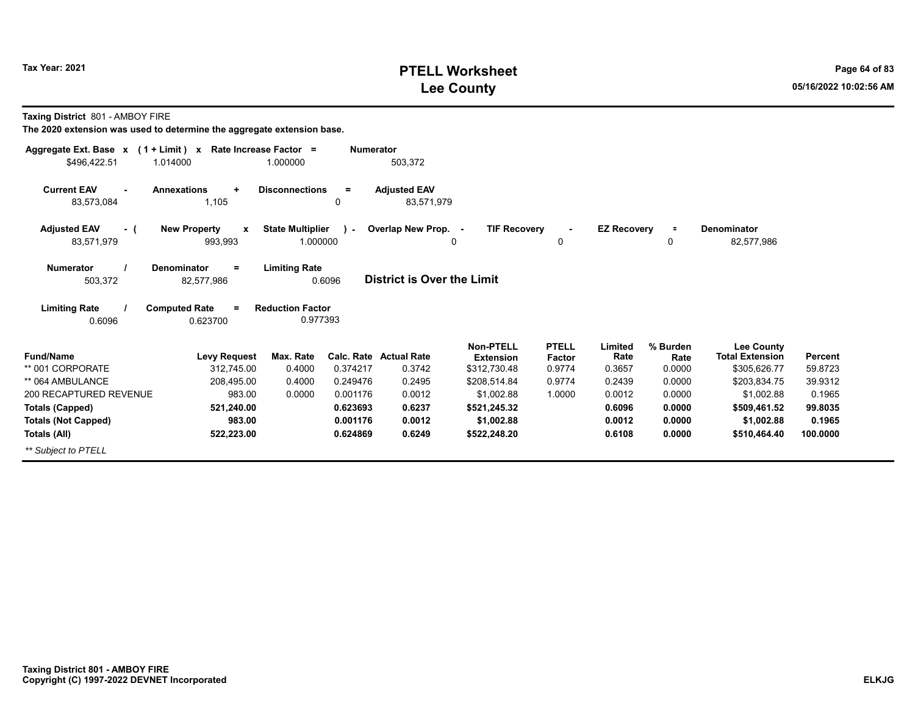## **PTELL Worksheet Tax Year: 2021 Page 64 of 83 Lee County 05/16/2022 10:02:56 AM**

**Taxing District** 801 - AMBOY FIRE

| Aggregate Ext. Base $x$ (1 + Limit) $x$  | Rate Increase Factor =                         |                                     | <b>Numerator</b>     |                               |                              |                     |                    |                  |                              |                    |
|------------------------------------------|------------------------------------------------|-------------------------------------|----------------------|-------------------------------|------------------------------|---------------------|--------------------|------------------|------------------------------|--------------------|
| \$496,422.51                             | 1.014000                                       | 1.000000                            |                      | 503,372                       |                              |                     |                    |                  |                              |                    |
| <b>Current EAV</b><br>$\sim$             | <b>Annexations</b><br>$\ddot{}$                | <b>Disconnections</b>               | $\equiv$             | <b>Adjusted EAV</b>           |                              |                     |                    |                  |                              |                    |
| 83,573,084                               | 1,105                                          |                                     | 0                    | 83,571,979                    |                              |                     |                    |                  |                              |                    |
| <b>Adjusted EAV</b><br>- (<br>83,571,979 | <b>New Property</b><br>$\mathbf{x}$<br>993,993 | <b>State Multiplier</b><br>1.000000 | $\mathcal{L}$        | Overlap New Prop. -           | <b>TIF Recovery</b><br>0     | $\blacksquare$<br>0 | <b>EZ Recovery</b> | $\equiv$<br>0    | Denominator<br>82,577,986    |                    |
| <b>Numerator</b><br>503,372              | <b>Denominator</b><br>$=$<br>82,577,986        | <b>Limiting Rate</b>                | 0.6096               | District is Over the Limit    |                              |                     |                    |                  |                              |                    |
| <b>Limiting Rate</b><br>0.6096           | <b>Computed Rate</b><br>$\equiv$<br>0.623700   | <b>Reduction Factor</b><br>0.977393 |                      |                               |                              |                     |                    |                  |                              |                    |
|                                          |                                                |                                     |                      |                               | <b>Non-PTELL</b>             | <b>PTELL</b>        | Limited            | % Burden         | <b>Lee County</b>            |                    |
| <b>Fund/Name</b>                         | <b>Levy Request</b>                            | Max. Rate                           |                      | <b>Calc. Rate Actual Rate</b> | <b>Extension</b>             | Factor              | Rate               | Rate             | <b>Total Extension</b>       | Percent            |
| ** 001 CORPORATE<br>** 064 AMBULANCE     | 312,745.00<br>208,495.00                       | 0.4000<br>0.4000                    | 0.374217<br>0.249476 | 0.3742<br>0.2495              | \$312,730.48<br>\$208,514.84 | 0.9774<br>0.9774    | 0.3657<br>0.2439   | 0.0000<br>0.0000 | \$305,626.77<br>\$203,834.75 | 59.8723<br>39.9312 |
| 200 RECAPTURED REVENUE                   | 983.00                                         | 0.0000                              | 0.001176             | 0.0012                        | \$1,002.88                   | 1.0000              | 0.0012             | 0.0000           | \$1,002.88                   | 0.1965             |
| <b>Totals (Capped)</b>                   | 521,240.00                                     |                                     | 0.623693             | 0.6237                        | \$521,245.32                 |                     | 0.6096             | 0.0000           | \$509,461.52                 | 99.8035            |
| <b>Totals (Not Capped)</b>               | 983.00                                         |                                     | 0.001176             | 0.0012                        | \$1,002.88                   |                     | 0.0012             | 0.0000           | \$1,002.88                   | 0.1965             |
| Totals (All)                             | 522,223.00                                     |                                     | 0.624869             | 0.6249                        | \$522,248.20                 |                     | 0.6108             | 0.0000           | \$510,464.40                 | 100.0000           |
| ** Subject to PTELL                      |                                                |                                     |                      |                               |                              |                     |                    |                  |                              |                    |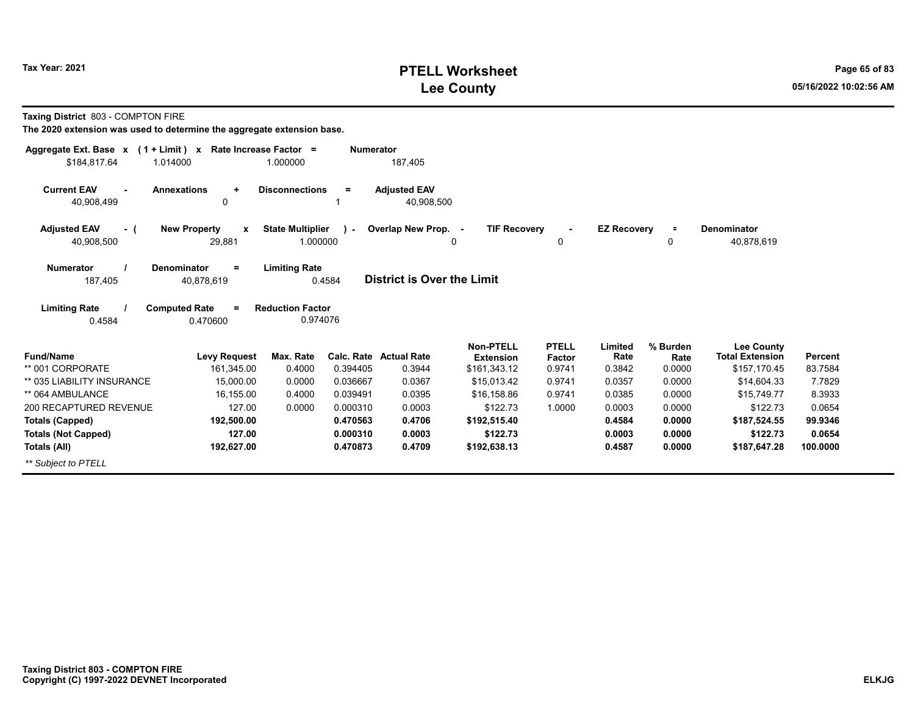## **PTELL Worksheet Tax Year: 2021 Page 65 of 83 Lee County 05/16/2022 10:02:56 AM**

**Taxing District** 803 - COMPTON FIRE

| Aggregate Ext. Base x<br>$(1 + Limit) x$ |                                               | Rate Increase Factor =              | <b>Numerator</b> |                                   |                                      |                        |                    |                  |                                             |          |
|------------------------------------------|-----------------------------------------------|-------------------------------------|------------------|-----------------------------------|--------------------------------------|------------------------|--------------------|------------------|---------------------------------------------|----------|
| \$184.817.64                             | 1.014000                                      | 1.000000                            |                  | 187,405                           |                                      |                        |                    |                  |                                             |          |
| <b>Current EAV</b><br>40,908,499         | <b>Annexations</b><br>٠<br>0                  | <b>Disconnections</b>               | Ξ                | <b>Adjusted EAV</b><br>40,908,500 |                                      |                        |                    |                  |                                             |          |
| <b>Adjusted EAV</b><br>- (<br>40,908,500 | <b>New Property</b><br>$\mathbf{x}$<br>29,881 | <b>State Multiplier</b><br>1.000000 | $\lambda$        | Overlap New Prop. -               | <b>TIF Recovery</b><br>0             | 0                      | <b>EZ Recovery</b> | $\equiv$<br>0    | <b>Denominator</b><br>40,878,619            |          |
| <b>Numerator</b><br>187,405              | <b>Denominator</b><br>$\equiv$<br>40,878,619  | <b>Limiting Rate</b>                | 0.4584           | <b>District is Over the Limit</b> |                                      |                        |                    |                  |                                             |          |
| <b>Limiting Rate</b><br>0.4584           | <b>Computed Rate</b><br>$=$<br>0.470600       | <b>Reduction Factor</b><br>0.974076 |                  |                                   |                                      |                        |                    |                  |                                             |          |
| <b>Fund/Name</b>                         | <b>Levy Request</b>                           | Max. Rate                           | Calc. Rate       | <b>Actual Rate</b>                | <b>Non-PTELL</b><br><b>Extension</b> | <b>PTELL</b><br>Factor | Limited<br>Rate    | % Burden<br>Rate | <b>Lee County</b><br><b>Total Extension</b> | Percent  |
| ** 001 CORPORATE                         | 161,345.00                                    | 0.4000                              | 0.394405         | 0.3944                            | \$161,343.12                         | 0.9741                 | 0.3842             | 0.0000           | \$157,170.45                                | 83.7584  |
| ** 035 LIABILITY INSURANCE               | 15.000.00                                     | 0.0000                              | 0.036667         | 0.0367                            | \$15,013.42                          | 0.9741                 | 0.0357             | 0.0000           | \$14,604.33                                 | 7.7829   |
| ** 064 AMBULANCE                         | 16,155.00                                     | 0.4000                              | 0.039491         | 0.0395                            | \$16,158.86                          | 0.9741                 | 0.0385             | 0.0000           | \$15,749.77                                 | 8.3933   |
| 200 RECAPTURED REVENUE                   | 127.00                                        | 0.0000                              | 0.000310         | 0.0003                            | \$122.73                             | 1.0000                 | 0.0003             | 0.0000           | \$122.73                                    | 0.0654   |
| <b>Totals (Capped)</b>                   | 192,500.00                                    |                                     | 0.470563         | 0.4706                            | \$192,515.40                         |                        | 0.4584             | 0.0000           | \$187,524.55                                | 99.9346  |
| <b>Totals (Not Capped)</b>               | 127.00                                        |                                     | 0.000310         | 0.0003                            | \$122.73                             |                        | 0.0003             | 0.0000           | \$122.73                                    | 0.0654   |
| Totals (All)                             | 192,627.00                                    |                                     | 0.470873         | 0.4709                            | \$192,638.13                         |                        | 0.4587             | 0.0000           | \$187,647.28                                | 100.0000 |
| ** Subject to PTELL                      |                                               |                                     |                  |                                   |                                      |                        |                    |                  |                                             |          |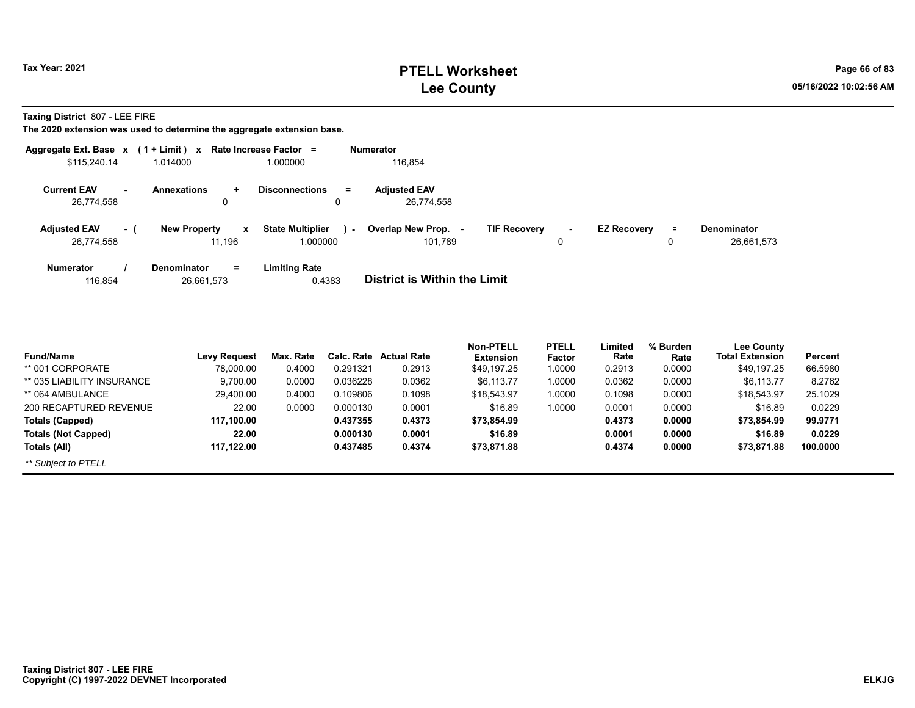## **PTELL Worksheet Tax Year: 2021 Page 66 of 83 Lee County 05/16/2022 10:02:56 AM**

**Taxing District** 807 - LEE FIRE

|                                   |     | Aggregate Ext. Base $x$ (1 + Limit) x Rate Increase Factor = |                                                       | <b>Numerator</b>                                                                                                                                        |
|-----------------------------------|-----|--------------------------------------------------------------|-------------------------------------------------------|---------------------------------------------------------------------------------------------------------------------------------------------------------|
| \$115,240.14                      |     | 1.014000                                                     | 1.000000                                              | 116.854                                                                                                                                                 |
| <b>Current EAV</b><br>26.774.558  | ۰   | <b>Annexations</b><br>÷.<br>0                                | <b>Disconnections</b><br>$=$<br>0                     | <b>Adiusted EAV</b><br>26.774.558                                                                                                                       |
| <b>Adjusted EAV</b><br>26,774,558 | - 1 | <b>New Property</b><br>$\boldsymbol{x}$<br>11,196            | <b>State Multiplier</b><br><b>Service</b><br>1.000000 | Overlap New Prop.<br><b>TIF Recovery</b><br><b>EZ Recovery</b><br><b>Denominator</b><br>$\equiv$<br>$\sim$<br>$\sim$<br>26,661,573<br>101.789<br>0<br>0 |
| Numerator<br>116,854              |     | $=$<br><b>Denominator</b><br>26,661,573                      | <b>Limiting Rate</b><br>0.4383                        | <b>District is Within the Limit</b>                                                                                                                     |

| <b>Fund/Name</b>           | Levy Request | Max. Rate | Calc. Rate | <b>Actual Rate</b> | <b>Non-PTELL</b><br><b>Extension</b> | <b>PTELL</b><br>Factor | Limited<br>Rate | % Burden<br>Rate | <b>Lee County</b><br><b>Total Extension</b> | Percent  |
|----------------------------|--------------|-----------|------------|--------------------|--------------------------------------|------------------------|-----------------|------------------|---------------------------------------------|----------|
| ** 001 CORPORATE           | 78,000.00    | 0.4000    | 0.291321   | 0.2913             | \$49,197.25                          | 1.0000                 | 0.2913          | 0.0000           | \$49.197.25                                 | 66.5980  |
| ** 035 LIABILITY INSURANCE | 9,700.00     | 0.0000    | 0.036228   | 0.0362             | \$6,113.77                           | 1.0000                 | 0.0362          | 0.0000           | \$6,113.77                                  | 8.2762   |
| ** 064 AMBULANCE           | 29,400.00    | 0.4000    | 0.109806   | 0.1098             | \$18,543.97                          | 1.0000                 | 0.1098          | 0.0000           | \$18.543.97                                 | 25.1029  |
| 200 RECAPTURED REVENUE     | 22.00        | 0.0000    | 0.000130   | 0.0001             | \$16.89                              | 1.0000                 | 0.0001          | 0.0000           | \$16.89                                     | 0.0229   |
| Totals (Capped)            | 117.100.00   |           | 0.437355   | 0.4373             | \$73.854.99                          |                        | 0.4373          | 0.0000           | \$73.854.99                                 | 99.9771  |
| <b>Totals (Not Capped)</b> | 22.00        |           | 0.000130   | 0.0001             | \$16.89                              |                        | 0.0001          | 0.0000           | \$16.89                                     | 0.0229   |
| Totals (All)               | 117.122.00   |           | 0.437485   | 0.4374             | \$73,871.88                          |                        | 0.4374          | 0.0000           | \$73,871.88                                 | 100.0000 |
| ** Subject to PTELL        |              |           |            |                    |                                      |                        |                 |                  |                                             |          |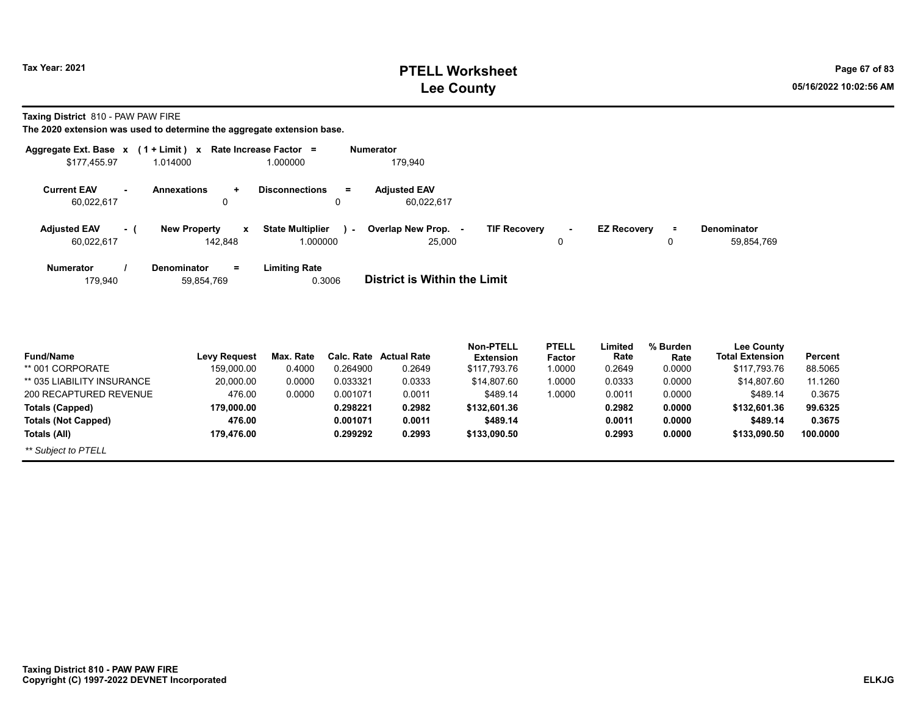## **PTELL Worksheet Tax Year: 2021 Page 67 of 83 Lee County 05/16/2022 10:02:56 AM**

**Taxing District** 810 - PAW PAW FIRE

|                     |        | Aggregate Ext. Base $x$ (1 + Limit) x Rate Increase Factor = |                                          | <b>Numerator</b>             |                     |              |                    |          |                   |
|---------------------|--------|--------------------------------------------------------------|------------------------------------------|------------------------------|---------------------|--------------|--------------------|----------|-------------------|
| \$177,455.97        |        | 1.014000                                                     | 1.000000                                 | 179,940                      |                     |              |                    |          |                   |
| <b>Current EAV</b>  | $\sim$ | <b>Annexations</b><br>÷                                      | <b>Disconnections</b><br>$\equiv$        | <b>Adjusted EAV</b>          |                     |              |                    |          |                   |
| 60,022,617          |        | 0                                                            | $\Omega$                                 | 60,022,617                   |                     |              |                    |          |                   |
| <b>Adjusted EAV</b> | - (    | <b>New Property</b><br>$\mathbf{x}$                          | <b>State Multiplier</b><br>$\mathcal{L}$ | Overlap New Prop. -          | <b>TIF Recovery</b> | $\sim$       | <b>EZ Recovery</b> | Ξ.       | Denominator       |
| 60,022,617          |        | 142,848                                                      | 1.000000                                 | 25,000                       |                     | 0            |                    | 0        | 59,854,769        |
| <b>Numerator</b>    |        | <b>Denominator</b><br>$=$                                    | <b>Limiting Rate</b>                     |                              |                     |              |                    |          |                   |
| 179,940             |        | 59,854,769                                                   | 0.3006                                   | District is Within the Limit |                     |              |                    |          |                   |
|                     |        |                                                              |                                          |                              |                     |              |                    |          |                   |
|                     |        |                                                              |                                          |                              |                     |              |                    |          |                   |
|                     |        |                                                              |                                          |                              | <b>Non-PTELL</b>    | <b>PTELL</b> | Limited            | % Burden | <b>Lee County</b> |

| <b>Fund/Name</b>           | <b>Levy Request</b> | Max. Rate |          | <b>Calc. Rate Actual Rate</b> | <b>Extension</b> | .<br>Factor | -www<br>Rate | $70.001$ uu<br>Rate | <b>LOG OUGHLY</b><br><b>Total Extension</b> | <b>Percent</b> |
|----------------------------|---------------------|-----------|----------|-------------------------------|------------------|-------------|--------------|---------------------|---------------------------------------------|----------------|
| ** 001 CORPORATE           | 159.000.00          | 0.4000    | 0.264900 | 0.2649                        | \$117.793.76     | 1.0000      | 0.2649       | 0.0000              | \$117,793,76                                | 88.5065        |
| ** 035 LIABILITY INSURANCE | 20,000.00           | 0.0000    | 0.033321 | 0.0333                        | \$14,807.60      | 1.0000      | 0.0333       | 0.0000              | \$14,807.60                                 | 11.1260        |
| 200 RECAPTURED REVENUE     | 476.00              | 0.0000    | 0.001071 | 0.0011                        | \$489.14         | 1.0000      | 0.0011       | 0.0000              | \$489.14                                    | 0.3675         |
| Totals (Capped)            | 179.000.00          |           | 0.298221 | 0.2982                        | \$132,601.36     |             | 0.2982       | 0.0000              | \$132,601.36                                | 99.6325        |
| <b>Totals (Not Capped)</b> | 476.00              |           | 0.001071 | 0.0011                        | \$489.14         |             | 0.0011       | 0.0000              | \$489.14                                    | 0.3675         |
| Totals (All)               | 179.476.00          |           | 0.299292 | 0.2993                        | \$133,090.50     |             | 0.2993       | 0.0000              | \$133,090.50                                | 100.0000       |
| ** Subject to PTELL        |                     |           |          |                               |                  |             |              |                     |                                             |                |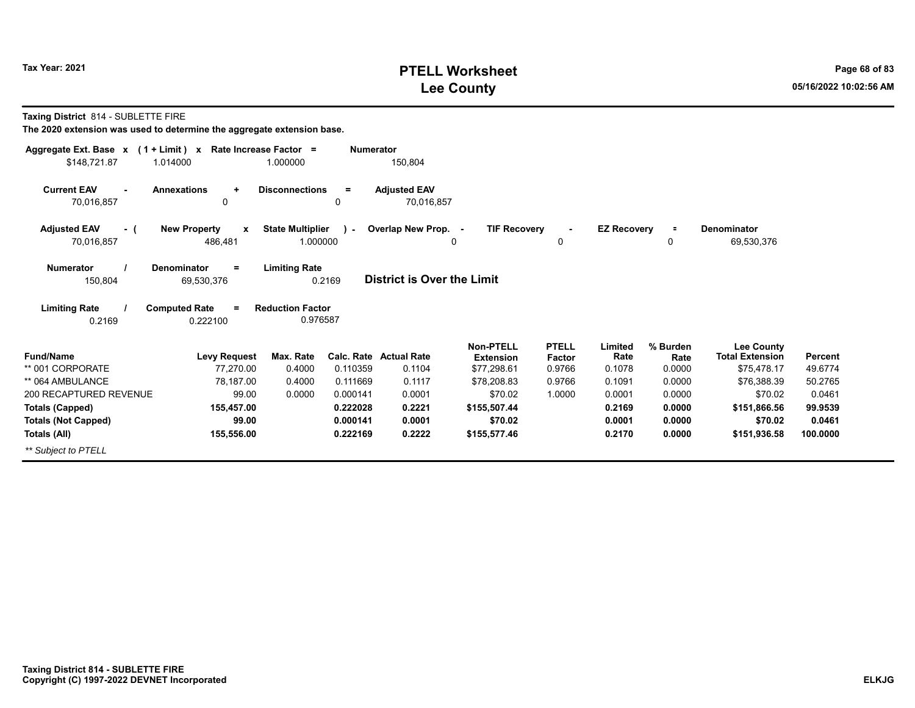## **PTELL Worksheet Tax Year: 2021 Page 68 of 83 Lee County 05/16/2022 10:02:56 AM**

**Taxing District** 814 - SUBLETTE FIRE

| Aggregate Ext. Base $x$ (1 + Limit) $x$  |                                                | Rate Increase Factor =              | <b>Numerator</b> |                                   |                                 |                     |                    |                |                                       |                           |
|------------------------------------------|------------------------------------------------|-------------------------------------|------------------|-----------------------------------|---------------------------------|---------------------|--------------------|----------------|---------------------------------------|---------------------------|
| \$148,721.87<br>1.014000                 |                                                | 1.000000                            |                  | 150,804                           |                                 |                     |                    |                |                                       |                           |
| <b>Current EAV</b><br>÷.<br>70,016,857   | <b>Annexations</b><br>$\ddot{}$<br>0           | <b>Disconnections</b>               | $=$<br>0         | <b>Adjusted EAV</b><br>70,016,857 |                                 |                     |                    |                |                                       |                           |
|                                          |                                                |                                     |                  |                                   |                                 |                     |                    |                |                                       |                           |
| <b>Adjusted EAV</b><br>- (<br>70,016,857 | <b>New Property</b><br>$\mathbf{x}$<br>486,481 | <b>State Multiplier</b><br>1.000000 | $\mathcal{L}$    | Overlap New Prop. -               | <b>TIF Recovery</b><br>0        | $\blacksquare$<br>0 | <b>EZ Recovery</b> | $\equiv$<br>0  | <b>Denominator</b><br>69,530,376      |                           |
| <b>Numerator</b><br>150,804              | <b>Denominator</b><br>$=$<br>69,530,376        | <b>Limiting Rate</b><br>0.2169      |                  | <b>District is Over the Limit</b> |                                 |                     |                    |                |                                       |                           |
| <b>Limiting Rate</b><br>0.2169           | <b>Computed Rate</b><br>$\equiv$<br>0.222100   | <b>Reduction Factor</b><br>0.976587 |                  |                                   |                                 |                     |                    |                |                                       |                           |
|                                          |                                                |                                     |                  |                                   | <b>Non-PTELL</b>                | <b>PTELL</b>        | Limited            | % Burden       | <b>Lee County</b>                     |                           |
| <b>Fund/Name</b><br>** 001 CORPORATE     | <b>Levy Request</b><br>77,270.00               | Max. Rate<br>0.4000                 | 0.110359         | Calc. Rate Actual Rate<br>0.1104  | <b>Extension</b><br>\$77,298.61 | Factor<br>0.9766    | Rate<br>0.1078     | Rate<br>0.0000 | <b>Total Extension</b><br>\$75,478.17 | <b>Percent</b><br>49.6774 |
| ** 064 AMBULANCE                         | 78,187.00                                      | 0.4000                              | 0.111669         | 0.1117                            | \$78,208.83                     | 0.9766              | 0.1091             | 0.0000         | \$76,388.39                           | 50.2765                   |
| 200 RECAPTURED REVENUE                   | 99.00                                          | 0.0000                              | 0.000141         | 0.0001                            | \$70.02                         | 1.0000              | 0.0001             | 0.0000         | \$70.02                               | 0.0461                    |
| <b>Totals (Capped)</b>                   | 155,457.00                                     |                                     | 0.222028         | 0.2221                            | \$155,507.44                    |                     | 0.2169             | 0.0000         | \$151,866.56                          | 99.9539                   |
| <b>Totals (Not Capped)</b>               | 99.00                                          |                                     | 0.000141         | 0.0001                            | \$70.02                         |                     | 0.0001             | 0.0000         | \$70.02                               | 0.0461                    |
| Totals (All)                             | 155,556.00                                     |                                     | 0.222169         | 0.2222                            | \$155,577.46                    |                     | 0.2170             | 0.0000         | \$151,936.58                          | 100.0000                  |
| ** Subject to PTELL                      |                                                |                                     |                  |                                   |                                 |                     |                    |                |                                       |                           |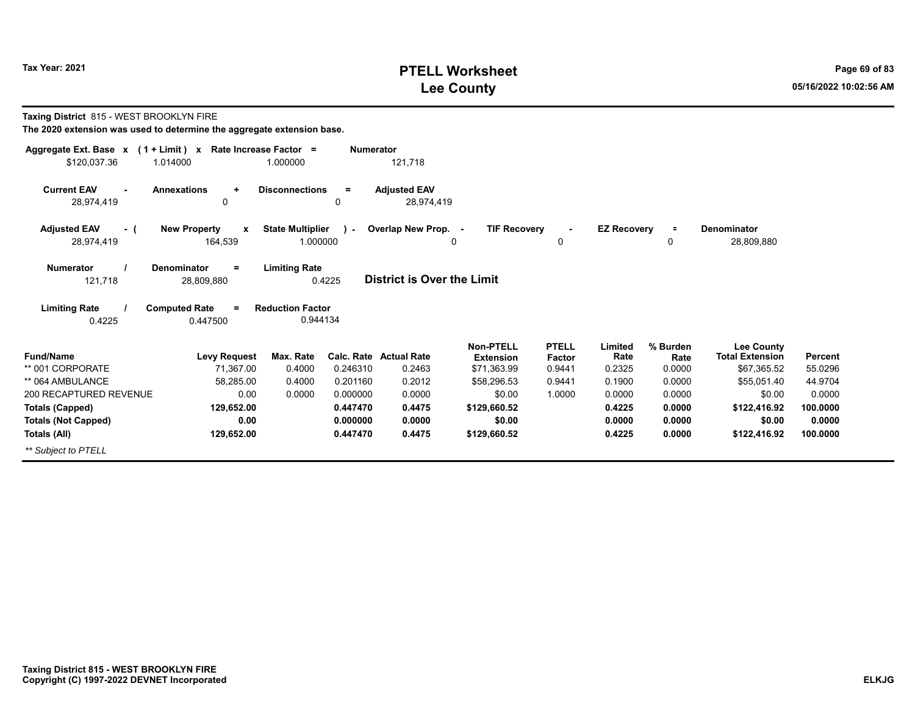## **PTELL Worksheet Tax Year: 2021 Page 69 of 83 Lee County 05/16/2022 10:02:56 AM**

**Taxing District** 815 - WEST BROOKLYN FIRE

| Aggregate Ext. Base $x$ (1 + Limit) $x$ |                                     | Rate Increase Factor =  | <b>Numerator</b> |                                   |                     |              |                    |          |                        |          |
|-----------------------------------------|-------------------------------------|-------------------------|------------------|-----------------------------------|---------------------|--------------|--------------------|----------|------------------------|----------|
| \$120,037.36                            | 1.014000                            | 1.000000                |                  | 121,718                           |                     |              |                    |          |                        |          |
| <b>Current EAV</b>                      | <b>Annexations</b><br>$\ddot{}$     | <b>Disconnections</b>   | $\equiv$         | <b>Adjusted EAV</b>               |                     |              |                    |          |                        |          |
| 28,974,419                              | 0                                   |                         | 0                | 28,974,419                        |                     |              |                    |          |                        |          |
| <b>Adjusted EAV</b><br>- (              | <b>New Property</b><br>$\mathbf{x}$ | <b>State Multiplier</b> | $\mathbf{1}$     | Overlap New Prop. -               | <b>TIF Recovery</b> |              | <b>EZ Recovery</b> | $\equiv$ | <b>Denominator</b>     |          |
| 28,974,419                              | 164,539                             | 1.000000                |                  |                                   | 0                   | 0            |                    | 0        | 28,809,880             |          |
| <b>Numerator</b>                        | <b>Denominator</b><br>$=$           | <b>Limiting Rate</b>    |                  |                                   |                     |              |                    |          |                        |          |
| 121,718                                 | 28,809,880                          |                         | 0.4225           | <b>District is Over the Limit</b> |                     |              |                    |          |                        |          |
| <b>Limiting Rate</b>                    | <b>Computed Rate</b><br>$\equiv$    | <b>Reduction Factor</b> |                  |                                   |                     |              |                    |          |                        |          |
| 0.4225                                  | 0.447500                            | 0.944134                |                  |                                   |                     |              |                    |          |                        |          |
|                                         |                                     |                         |                  |                                   | <b>Non-PTELL</b>    | <b>PTELL</b> | Limited            | % Burden | <b>Lee County</b>      |          |
| <b>Fund/Name</b>                        | <b>Levy Request</b>                 | Max. Rate               |                  | Calc. Rate Actual Rate            | <b>Extension</b>    | Factor       | Rate               | Rate     | <b>Total Extension</b> | Percent  |
| ** 001 CORPORATE                        | 71,367.00                           | 0.4000                  | 0.246310         | 0.2463                            | \$71,363.99         | 0.9441       | 0.2325             | 0.0000   | \$67,365.52            | 55.0296  |
| ** 064 AMBULANCE                        | 58,285.00                           | 0.4000                  | 0.201160         | 0.2012                            | \$58,296.53         | 0.9441       | 0.1900             | 0.0000   | \$55,051.40            | 44.9704  |
| 200 RECAPTURED REVENUE                  | 0.00                                | 0.0000                  | 0.000000         | 0.0000                            | \$0.00              | 1.0000       | 0.0000             | 0.0000   | \$0.00                 | 0.0000   |
| <b>Totals (Capped)</b>                  | 129,652.00                          |                         | 0.447470         | 0.4475                            | \$129,660.52        |              | 0.4225             | 0.0000   | \$122,416.92           | 100.0000 |
| <b>Totals (Not Capped)</b>              | 0.00                                |                         | 0.000000         | 0.0000                            | \$0.00              |              | 0.0000             | 0.0000   | \$0.00                 | 0.0000   |
| Totals (All)                            | 129,652.00                          |                         | 0.447470         | 0.4475                            | \$129,660.52        |              | 0.4225             | 0.0000   | \$122,416.92           | 100.0000 |
| ** Subject to PTELL                     |                                     |                         |                  |                                   |                     |              |                    |          |                        |          |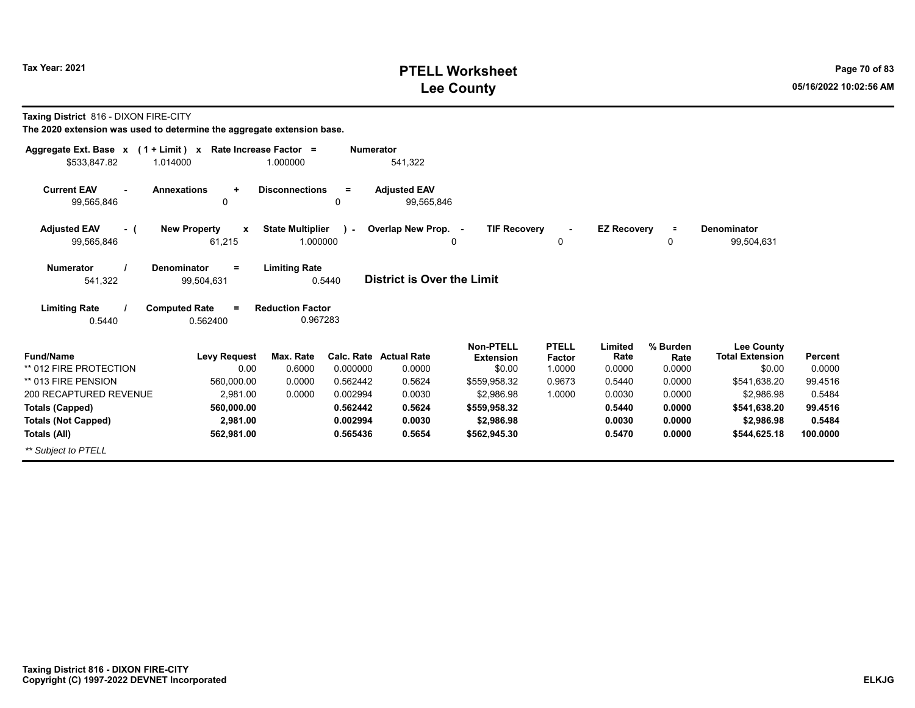## **PTELL Worksheet Tax Year: 2021 Page 70 of 83 Lee County 05/16/2022 10:02:56 AM**

**Taxing District** 816 - DIXON FIRE-CITY

| Aggregate Ext. Base $x$ (1 + Limit) $x$       |                                     | Rate Increase Factor =  | <b>Numerator</b>     |                                   |                            |                  |                    |                  |                            |                   |
|-----------------------------------------------|-------------------------------------|-------------------------|----------------------|-----------------------------------|----------------------------|------------------|--------------------|------------------|----------------------------|-------------------|
| \$533,847.82                                  | 1.014000                            | 1.000000                |                      | 541,322                           |                            |                  |                    |                  |                            |                   |
| <b>Current EAV</b><br>÷.                      | <b>Annexations</b><br>$\ddot{}$     | <b>Disconnections</b>   | $\equiv$             | <b>Adjusted EAV</b>               |                            |                  |                    |                  |                            |                   |
| 99,565,846                                    | 0                                   |                         | 0                    | 99,565,846                        |                            |                  |                    |                  |                            |                   |
| <b>Adjusted EAV</b><br>- (                    | <b>New Property</b><br>$\mathbf{x}$ | <b>State Multiplier</b> | $\mathbf{1}$         | Overlap New Prop. -               | <b>TIF Recovery</b>        |                  | <b>EZ Recovery</b> | $\equiv$         | Denominator                |                   |
| 99,565,846                                    | 61,215                              | 1.000000                |                      |                                   | 0                          | 0                |                    | 0                | 99,504,631                 |                   |
| <b>Numerator</b>                              | <b>Denominator</b><br>$=$           | <b>Limiting Rate</b>    |                      |                                   |                            |                  |                    |                  |                            |                   |
| 541,322                                       | 99,504,631                          |                         | 0.5440               | <b>District is Over the Limit</b> |                            |                  |                    |                  |                            |                   |
| <b>Limiting Rate</b>                          | <b>Computed Rate</b><br>$=$         | <b>Reduction Factor</b> |                      |                                   |                            |                  |                    |                  |                            |                   |
| 0.5440                                        | 0.562400                            | 0.967283                |                      |                                   |                            |                  |                    |                  |                            |                   |
|                                               |                                     |                         |                      |                                   | <b>Non-PTELL</b>           | <b>PTELL</b>     | Limited            | % Burden         | <b>Lee County</b>          |                   |
| <b>Fund/Name</b>                              | <b>Levy Request</b>                 | Max. Rate               |                      | Calc. Rate Actual Rate            | <b>Extension</b>           | Factor           | Rate               | Rate             | <b>Total Extension</b>     | <b>Percent</b>    |
| ** 012 FIRE PROTECTION<br>** 013 FIRE PENSION | 0.00                                | 0.6000                  | 0.000000<br>0.562442 | 0.0000                            | \$0.00                     | 1.0000           | 0.0000<br>0.5440   | 0.0000<br>0.0000 | \$0.00                     | 0.0000<br>99.4516 |
| 200 RECAPTURED REVENUE                        | 560,000.00                          | 0.0000<br>0.0000        | 0.002994             | 0.5624<br>0.0030                  | \$559,958.32               | 0.9673<br>1.0000 | 0.0030             | 0.0000           | \$541,638.20<br>\$2.986.98 | 0.5484            |
|                                               | 2,981.00                            |                         | 0.562442             | 0.5624                            | \$2,986.98                 |                  |                    | 0.0000           |                            | 99.4516           |
| <b>Totals (Capped)</b>                        | 560,000.00                          |                         | 0.002994             | 0.0030                            | \$559,958.32               |                  | 0.5440<br>0.0030   | 0.0000           | \$541,638.20<br>\$2,986.98 | 0.5484            |
| <b>Totals (Not Capped)</b>                    | 2,981.00<br>562,981.00              |                         | 0.565436             | 0.5654                            | \$2,986.98<br>\$562,945.30 |                  | 0.5470             | 0.0000           | \$544,625.18               | 100.0000          |
| Totals (All)                                  |                                     |                         |                      |                                   |                            |                  |                    |                  |                            |                   |
| ** Subject to PTELL                           |                                     |                         |                      |                                   |                            |                  |                    |                  |                            |                   |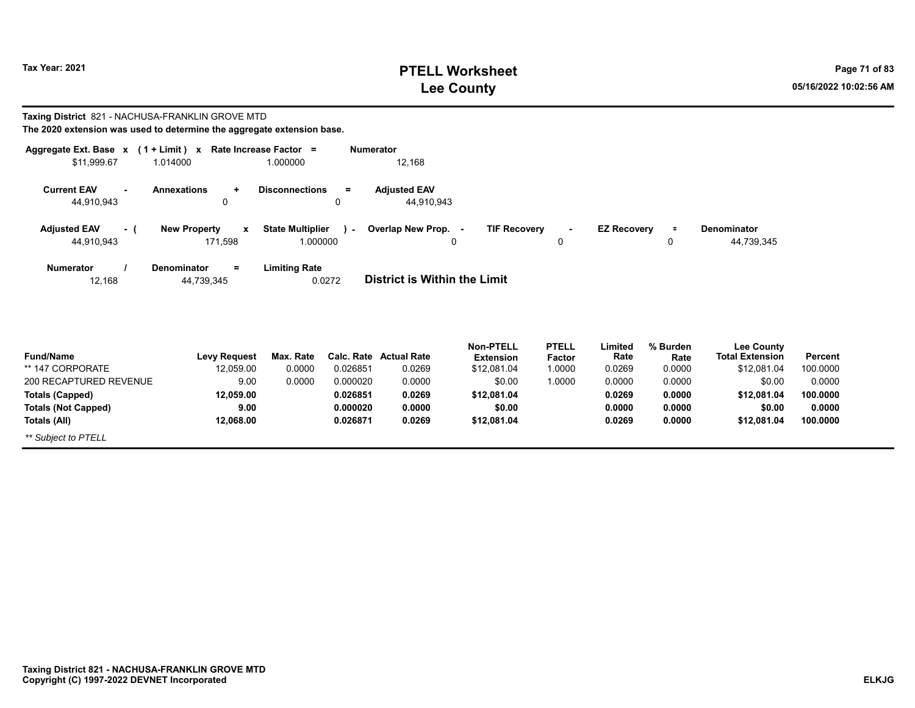## **PTELL Worksheet Tax Year: 2021 Page 71 of 83 Lee County 05/16/2022 10:02:56 AM**

#### **Taxing District** 821 - NACHUSA-FRANKLIN GROVE MTD **The 2020 extension was used to determine the aggregate extension base.**

| \$11,999.67                       |       | Aggregate Ext. Base $x$ (1 + Limit) x Rate Increase Factor =<br>1.014000 | 1.000000                                         | <b>Numerator</b><br>12,168                                                                                                  |
|-----------------------------------|-------|--------------------------------------------------------------------------|--------------------------------------------------|-----------------------------------------------------------------------------------------------------------------------------|
| <b>Current EAV</b><br>44,910,943  |       | <b>Annexations</b><br>0                                                  | <b>Disconnections</b><br>$=$<br>0                | <b>Adjusted EAV</b><br>44,910,943                                                                                           |
| <b>Adjusted EAV</b><br>44,910,943 | $-$ ( | <b>New Property</b><br>$\mathbf{x}$<br>171.598                           | <b>State Multiplier</b><br>$\lambda$<br>1.000000 | Overlap New Prop. -<br><b>TIF Recovery</b><br><b>EZ Recovery</b><br>Denominator<br>Ξ<br>$\sim$<br>44,739,345<br>0<br>0<br>0 |
| <b>Numerator</b><br>12,168        |       | <b>Denominator</b><br>$=$<br>44,739,345                                  | <b>Limiting Rate</b><br>0.0272                   | <b>District is Within the Limit</b>                                                                                         |
|                                   |       |                                                                          |                                                  |                                                                                                                             |

| <b>Fund/Name</b>           | <b>Levy Request</b> | Max. Rate |          | Calc. Rate Actual Rate | <b>Non-PTELL</b><br><b>Extension</b> | <b>PTELL</b><br>Factor | .imited<br>Rate | % Burden<br>Rate | <b>Lee County</b><br><b>Total Extension</b> | Percent  |
|----------------------------|---------------------|-----------|----------|------------------------|--------------------------------------|------------------------|-----------------|------------------|---------------------------------------------|----------|
| ** 147 CORPORATE           | 12.059.00           | 0.0000    | 0.026851 | 0.0269                 | \$12.081.04                          | .0000                  | 0.0269          | 0.0000           | \$12.081.04                                 | 100.0000 |
| 200 RECAPTURED REVENUE     | 9.00                | 0.0000    | 0.000020 | 0.0000                 | \$0.00                               | .0000                  | 0.0000          | 0.0000           | \$0.00                                      | 0.0000   |
| Totals (Capped)            | 12.059.00           |           | 0.026851 | 0.0269                 | \$12,081.04                          |                        | 0.0269          | 0.0000           | \$12.081.04                                 | 100.0000 |
| <b>Totals (Not Capped)</b> | 9.00                |           | 0.000020 | 0.0000                 | \$0.00                               |                        | 0.0000          | 0.0000           | \$0.00                                      | 0.0000   |
| Totals (All)               | 12.068.00           |           | 0.026871 | 0.0269                 | \$12,081.04                          |                        | 0.0269          | 0.0000           | \$12.081.04                                 | 100.0000 |
| ** Subject to PTELL        |                     |           |          |                        |                                      |                        |                 |                  |                                             |          |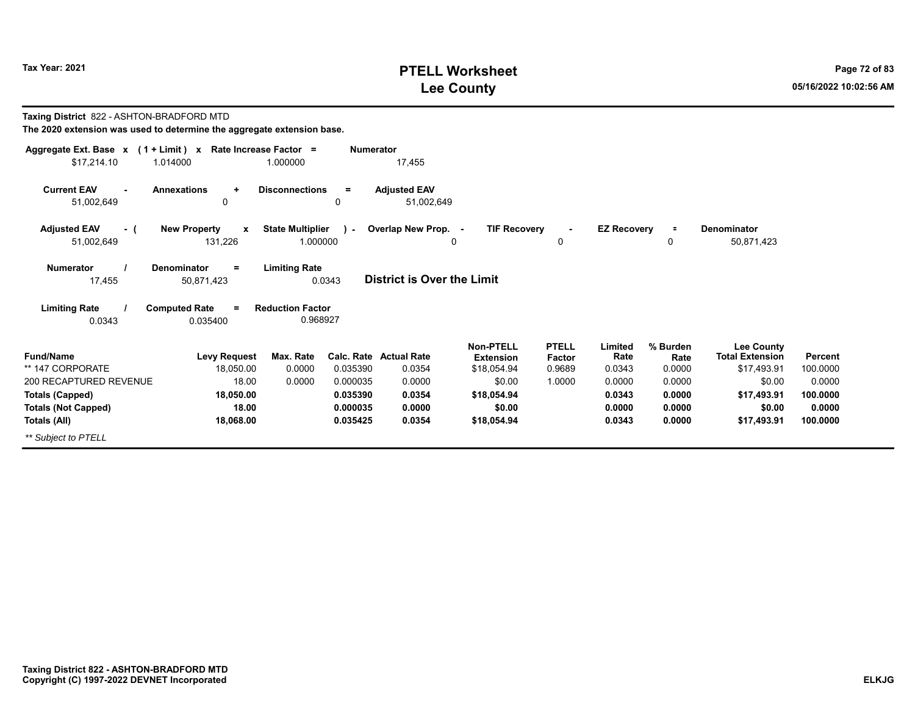## **PTELL Worksheet Tax Year: 2021 Page 72 of 83 Lee County 05/16/2022 10:02:56 AM**

| Taxing District 822 - ASHTON-BRADFORD MTD                              |                                                  |                         |                  |                                   |                     |               |                    |          |                        |          |
|------------------------------------------------------------------------|--------------------------------------------------|-------------------------|------------------|-----------------------------------|---------------------|---------------|--------------------|----------|------------------------|----------|
| The 2020 extension was used to determine the aggregate extension base. |                                                  |                         |                  |                                   |                     |               |                    |          |                        |          |
| Aggregate Ext. Base $x$ (1 + Limit) x Rate Increase Factor =           |                                                  |                         | <b>Numerator</b> |                                   |                     |               |                    |          |                        |          |
| \$17,214.10                                                            | 1.014000                                         | 1.000000                |                  | 17,455                            |                     |               |                    |          |                        |          |
| <b>Current EAV</b>                                                     | <b>Annexations</b><br>$\ddot{}$                  | <b>Disconnections</b>   | $=$              | <b>Adjusted EAV</b>               |                     |               |                    |          |                        |          |
| 51,002,649                                                             | $\Omega$                                         |                         | $\Omega$         | 51.002.649                        |                     |               |                    |          |                        |          |
| <b>Adjusted EAV</b><br>- (                                             | <b>New Property</b><br>$\boldsymbol{\mathsf{x}}$ | <b>State Multiplier</b> | $\sim$           | Overlap New Prop. -               | <b>TIF Recovery</b> |               | <b>EZ Recovery</b> | $\equiv$ | <b>Denominator</b>     |          |
| 51,002,649                                                             | 131,226                                          | 1.000000                |                  | 0                                 |                     | 0             |                    | 0        | 50,871,423             |          |
| <b>Numerator</b>                                                       | Denominator<br>$=$                               | <b>Limiting Rate</b>    |                  |                                   |                     |               |                    |          |                        |          |
| 17.455                                                                 | 50,871,423                                       | 0.0343                  |                  | <b>District is Over the Limit</b> |                     |               |                    |          |                        |          |
| <b>Limiting Rate</b>                                                   | <b>Computed Rate</b><br>$\equiv$                 | <b>Reduction Factor</b> |                  |                                   |                     |               |                    |          |                        |          |
| 0.0343                                                                 | 0.035400                                         | 0.968927                |                  |                                   |                     |               |                    |          |                        |          |
|                                                                        |                                                  |                         |                  |                                   | <b>Non-PTELL</b>    | <b>PTELL</b>  | Limited            | % Burden | <b>Lee County</b>      |          |
| <b>Fund/Name</b>                                                       | <b>Levy Request</b>                              | Max. Rate               | Calc. Rate       | <b>Actual Rate</b>                | <b>Extension</b>    | <b>Factor</b> | Rate               | Rate     | <b>Total Extension</b> | Percent  |
| ** 147 CORPORATE                                                       | 18,050.00                                        | 0.0000                  | 0.035390         | 0.0354                            | \$18,054.94         | 0.9689        | 0.0343             | 0.0000   | \$17,493.91            | 100.0000 |
| 200 RECAPTURED REVENUE                                                 | 18.00                                            | 0.0000                  | 0.000035         | 0.0000                            | \$0.00              | 1.0000        | 0.0000             | 0.0000   | \$0.00                 | 0.0000   |
| <b>Totals (Capped)</b>                                                 | 18,050.00                                        |                         | 0.035390         | 0.0354                            | \$18,054.94         |               | 0.0343             | 0.0000   | \$17,493.91            | 100.0000 |
| <b>Totals (Not Capped)</b>                                             | 18.00                                            |                         | 0.000035         | 0.0000                            | \$0.00              |               | 0.0000             | 0.0000   | \$0.00                 | 0.0000   |
| Totals (All)                                                           | 18,068.00                                        |                         | 0.035425         | 0.0354                            | \$18,054.94         |               | 0.0343             | 0.0000   | \$17,493.91            | 100.0000 |
| ** Subject to PTELL                                                    |                                                  |                         |                  |                                   |                     |               |                    |          |                        |          |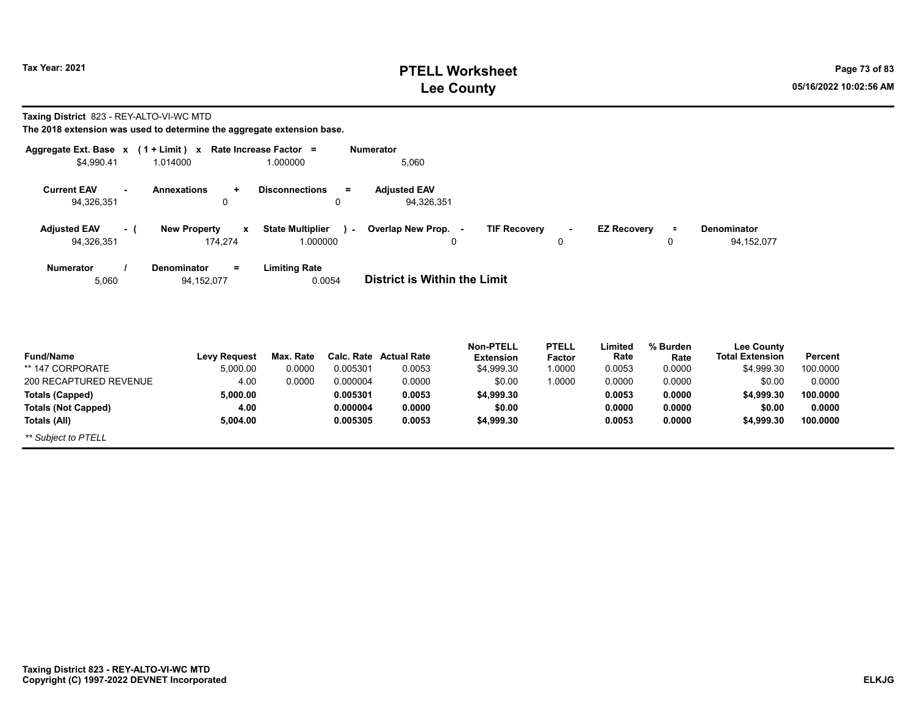## **PTELL Worksheet Tax Year: 2021 Page 73 of 83 Lee County 05/16/2022 10:02:56 AM**

**Taxing District** 823 - REY-ALTO-VI-WC MTD

| Aggregate Ext. Base $x$ (1 + Limit) x Rate Increase Factor =<br>\$4,990.41 | 1.014000                                       | 1.000000                                      | <b>Numerator</b><br>5,060         |                                      |                        |                    |                  |                                             |                |
|----------------------------------------------------------------------------|------------------------------------------------|-----------------------------------------------|-----------------------------------|--------------------------------------|------------------------|--------------------|------------------|---------------------------------------------|----------------|
| <b>Current EAV</b><br>94,326,351                                           | <b>Annexations</b><br>$\ddot{}$<br>0           | <b>Disconnections</b><br>$=$<br>0             | <b>Adjusted EAV</b><br>94,326,351 |                                      |                        |                    |                  |                                             |                |
| <b>Adjusted EAV</b><br>- (<br>94,326,351                                   | <b>New Property</b><br>$\mathbf{x}$<br>174,274 | <b>State Multiplier</b><br>$\sim$<br>1.000000 | Overlap New Prop. -<br>0          | <b>TIF Recovery</b>                  | $\blacksquare$<br>0    | <b>EZ Recovery</b> | $\equiv$<br>0    | Denominator<br>94,152,077                   |                |
| <b>Numerator</b><br>5,060                                                  | <b>Denominator</b><br>$=$<br>94,152,077        | <b>Limiting Rate</b><br>0.0054                | District is Within the Limit      |                                      |                        |                    |                  |                                             |                |
| <b>Fund/Name</b>                                                           | Levy Request                                   | Max. Rate                                     | <b>Calc. Rate Actual Rate</b>     | <b>Non-PTELL</b><br><b>Extension</b> | <b>PTELL</b><br>Factor | Limited<br>Rate    | % Burden<br>Rate | <b>Lee County</b><br><b>Total Extension</b> | <b>Percent</b> |

| סווושוועטווי               | <b>LGAA IZGANGSI</b> | νιαλ. ιναισ |          | <b>Value</b> Actual Rate | ехіеныйн   | гасил  | nalo   | naie   | וטופו בגופווסוטוו | гысы     |  |
|----------------------------|----------------------|-------------|----------|--------------------------|------------|--------|--------|--------|-------------------|----------|--|
| ** 147 CORPORATE           | 5.000.00             | 0.0000      | 0.005301 | 0.0053                   | \$4.999.30 | 1.0000 | 0.0053 | 0.0000 | \$4.999.30        | 100.0000 |  |
| 200 RECAPTURED REVENUE     | 4.00                 | 0.0000      | 0.000004 | 0.0000                   | \$0.00     | 1.0000 | 0.0000 | 0.0000 | \$0.00            | 0.0000   |  |
| <b>Totals (Capped)</b>     | 5.000.00             |             | 0.005301 | 0.0053                   | \$4.999.30 |        | 0.0053 | 0.0000 | \$4,999.30        | 100.0000 |  |
| <b>Totals (Not Capped)</b> | 4.00                 |             | 0.000004 | 0.0000                   | \$0.00     |        | 0.0000 | 0.0000 | \$0.00            | 0.0000   |  |
| Totals (All)               | 5.004.00             |             | 0.005305 | 0.0053                   | \$4,999.30 |        | 0.0053 | 0.0000 | \$4.999.30        | 100.0000 |  |
| ** Subject to PTELL        |                      |             |          |                          |            |        |        |        |                   |          |  |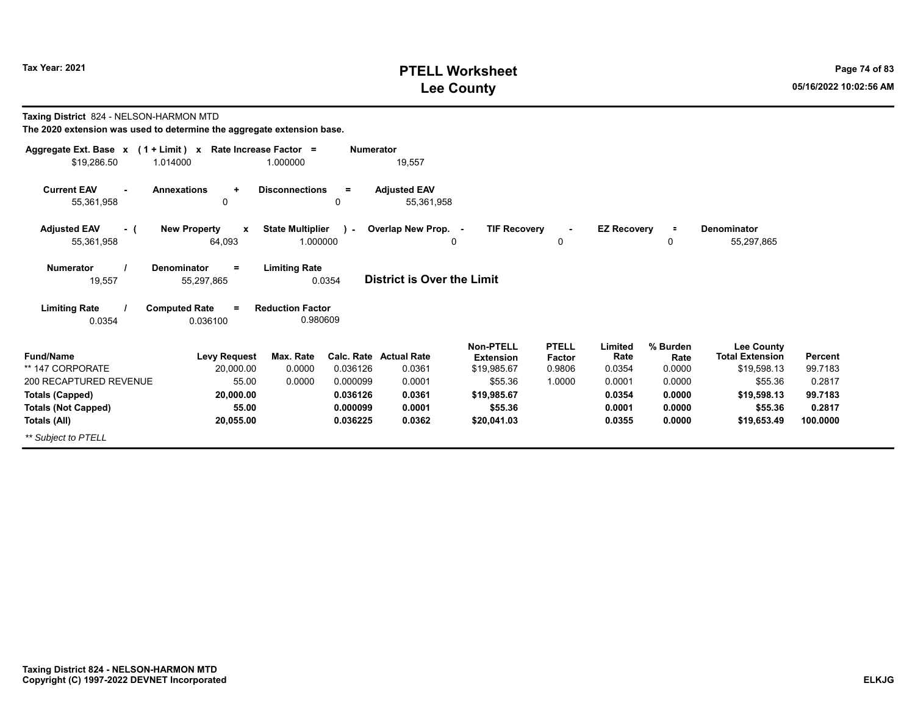## **PTELL Worksheet Tax Year: 2021 Page 74 of 83 Lee County 05/16/2022 10:02:56 AM**

**99.7183 0.2817**

| Taxing District 824 - NELSON-HARMON MTD<br>The 2020 extension was used to determine the aggregate extension base. |                                                   |                                     |                                  |                                         |                                                     |                                  |                            |                            |                                                            |                             |
|-------------------------------------------------------------------------------------------------------------------|---------------------------------------------------|-------------------------------------|----------------------------------|-----------------------------------------|-----------------------------------------------------|----------------------------------|----------------------------|----------------------------|------------------------------------------------------------|-----------------------------|
| Aggregate Ext. Base x (1 + Limit) x Rate Increase Factor =<br>\$19,286.50                                         | 1.014000                                          | 1.000000                            | <b>Numerator</b>                 | 19,557                                  |                                                     |                                  |                            |                            |                                                            |                             |
| <b>Current EAV</b><br>55,361,958                                                                                  | <b>Annexations</b><br>$\ddot{}$<br>0              | <b>Disconnections</b>               | $=$<br>0                         | <b>Adjusted EAV</b><br>55,361,958       |                                                     |                                  |                            |                            |                                                            |                             |
| <b>Adjusted EAV</b><br>- (<br>55,361,958                                                                          | <b>New Property</b><br>$\boldsymbol{x}$<br>64,093 | <b>State Multiplier</b><br>1.000000 | $\sim$                           | Overlap New Prop. -<br>0                | <b>TIF Recovery</b>                                 | 0                                | <b>EZ Recovery</b>         | $\equiv$<br>0              | Denominator<br>55,297,865                                  |                             |
| <b>Numerator</b><br>19,557                                                                                        | <b>Denominator</b><br>$=$<br>55,297,865           | <b>Limiting Rate</b><br>0.0354      |                                  | <b>District is Over the Limit</b>       |                                                     |                                  |                            |                            |                                                            |                             |
| <b>Limiting Rate</b><br>0.0354                                                                                    | <b>Computed Rate</b><br>$=$<br>0.036100           | <b>Reduction Factor</b><br>0.980609 |                                  |                                         |                                                     |                                  |                            |                            |                                                            |                             |
| <b>Fund/Name</b><br>** 147 CORPORATE                                                                              | <b>Levy Request</b><br>20.000.00                  | Max. Rate<br>0.0000                 | 0.036126                         | <b>Calc. Rate Actual Rate</b><br>0.0361 | <b>Non-PTELL</b><br><b>Extension</b><br>\$19,985.67 | <b>PTELL</b><br>Factor<br>0.9806 | Limited<br>Rate<br>0.0354  | % Burden<br>Rate<br>0.0000 | <b>Lee County</b><br><b>Total Extension</b><br>\$19,598.13 | <b>Percent</b><br>99.7183   |
| 200 RECAPTURED REVENUE<br>Totals (Capped)<br><b>Totals (Not Capped)</b>                                           | 55.00<br>20.000.00<br>55.00                       | 0.0000                              | 0.000099<br>0.036126<br>0.000099 | 0.0001<br>0.0361<br>0.0001              | \$55.36<br>\$19.985.67<br>\$55.36                   | 1.0000                           | 0.0001<br>0.0354<br>0.0001 | 0.0000<br>0.0000<br>0.0000 | \$55.36<br>\$19,598.13<br>\$55.36                          | 0.2817<br>99.7183<br>0.2817 |
| Totals (All)<br>** Subject to PTELL                                                                               | 20,055.00                                         |                                     | 0.036225                         | 0.0362                                  | \$20,041.03                                         |                                  | 0.0355                     | 0.0000                     | \$19,653.49                                                | 100.0000                    |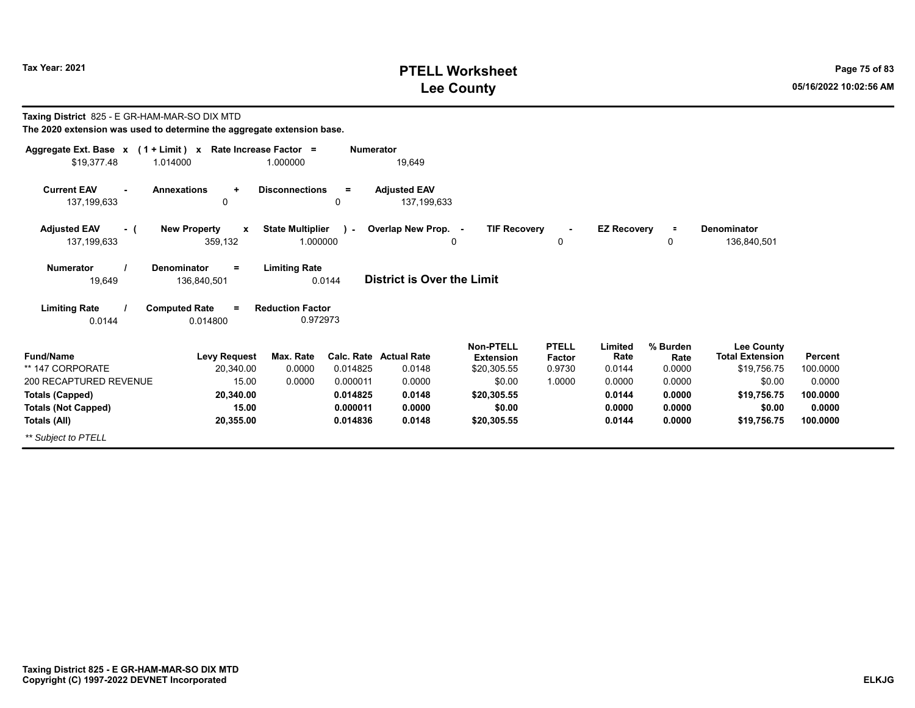## **PTELL Worksheet Tax Year: 2021 Page 75 of 83 Lee County 05/16/2022 10:02:56 AM**

| Taxing District 825 - E GR-HAM-MAR-SO DIX MTD<br>The 2020 extension was used to determine the aggregate extension base. |                                               |                                     |                        |                                    |                                                     |                                  |                           |                            |                                                            |                     |
|-------------------------------------------------------------------------------------------------------------------------|-----------------------------------------------|-------------------------------------|------------------------|------------------------------------|-----------------------------------------------------|----------------------------------|---------------------------|----------------------------|------------------------------------------------------------|---------------------|
| Aggregate Ext. Base x (1 + Limit) x Rate Increase Factor =<br>\$19,377.48                                               | 1.014000                                      | 1.000000                            | <b>Numerator</b>       | 19,649                             |                                                     |                                  |                           |                            |                                                            |                     |
| <b>Current EAV</b><br>137, 199, 633                                                                                     | <b>Annexations</b><br>$\ddot{}$<br>0          | <b>Disconnections</b>               | $\equiv$<br>0          | <b>Adjusted EAV</b><br>137,199,633 |                                                     |                                  |                           |                            |                                                            |                     |
| <b>Adjusted EAV</b><br>$-$ (<br>137,199,633                                                                             | <b>New Property</b><br>X<br>359,132           | <b>State Multiplier</b><br>1.000000 | $\sim$                 | Overlap New Prop. -                | <b>TIF Recovery</b><br>0                            | 0                                | <b>EZ Recovery</b>        | $\equiv$<br>0              | <b>Denominator</b><br>136,840,501                          |                     |
| Numerator<br>19,649                                                                                                     | <b>Denominator</b><br>$\equiv$<br>136,840,501 | <b>Limiting Rate</b><br>0.0144      |                        | <b>District is Over the Limit</b>  |                                                     |                                  |                           |                            |                                                            |                     |
| <b>Limiting Rate</b><br>0.0144                                                                                          | <b>Computed Rate</b><br>$=$<br>0.014800       | <b>Reduction Factor</b><br>0.972973 |                        |                                    |                                                     |                                  |                           |                            |                                                            |                     |
| <b>Fund/Name</b><br>** 147 CORPORATE                                                                                    | <b>Levy Request</b><br>20,340.00              | Max. Rate<br>0.0000                 | Calc. Rate<br>0.014825 | <b>Actual Rate</b><br>0.0148       | <b>Non-PTELL</b><br><b>Extension</b><br>\$20,305.55 | <b>PTELL</b><br>Factor<br>0.9730 | Limited<br>Rate<br>0.0144 | % Burden<br>Rate<br>0.0000 | <b>Lee County</b><br><b>Total Extension</b><br>\$19,756.75 | Percent<br>100.0000 |
| 200 RECAPTURED REVENUE                                                                                                  | 15.00                                         | 0.0000                              | 0.000011               | 0.0000                             | \$0.00                                              | 1.0000                           | 0.0000                    | 0.0000                     | \$0.00                                                     | 0.0000              |
| <b>Totals (Capped)</b>                                                                                                  | 20,340.00                                     |                                     | 0.014825               | 0.0148                             | \$20,305.55                                         |                                  | 0.0144                    | 0.0000                     | \$19,756.75                                                | 100.0000            |
| <b>Totals (Not Capped)</b><br>Totals (All)                                                                              | 15.00<br>20,355.00                            |                                     | 0.000011<br>0.014836   | 0.0000<br>0.0148                   | \$0.00<br>\$20,305.55                               |                                  | 0.0000<br>0.0144          | 0.0000<br>0.0000           | \$0.00<br>\$19,756.75                                      | 0.0000<br>100.0000  |
| ** Subject to PTELL                                                                                                     |                                               |                                     |                        |                                    |                                                     |                                  |                           |                            |                                                            |                     |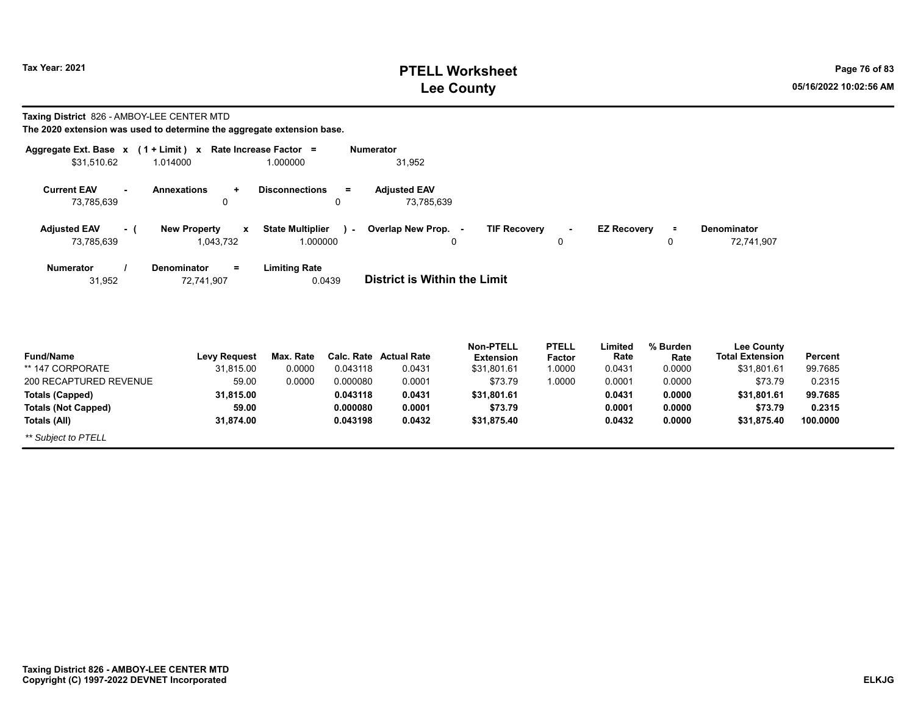**Totals (Not Capped)**

*\*\* Subject to PTELL*

**Totals (All)**

## **PTELL Worksheet Tax Year: 2021 Page 76 of 83 Lee County 05/16/2022 10:02:56 AM**

**0.2315100.0000**

**\$73.79 \$31,875.40**

**Taxing District** 826 - AMBOY-LEE CENTER MTD

**The 2020 extension was used to determine the aggregate extension base.**

**59.0031,874.00**

| Aggregate Ext. Base x                              | $(1 + Limit) x$                                  | Rate Increase Factor =            | <b>Numerator</b>                  |                                      |                                           |                  |                                             |                |
|----------------------------------------------------|--------------------------------------------------|-----------------------------------|-----------------------------------|--------------------------------------|-------------------------------------------|------------------|---------------------------------------------|----------------|
| \$31,510.62                                        | 1.014000                                         | 1.000000                          | 31,952                            |                                      |                                           |                  |                                             |                |
| <b>Current EAV</b><br>$\blacksquare$<br>73,785,639 | <b>Annexations</b><br>$\ddot{}$<br>0             | <b>Disconnections</b><br>$=$<br>0 | <b>Adjusted EAV</b><br>73,785,639 |                                      |                                           |                  |                                             |                |
| <b>Adjusted EAV</b><br>- (                         | <b>New Property</b><br>$\boldsymbol{\mathsf{x}}$ | <b>State Multiplier</b><br>я.     | Overlap New Prop. -               | <b>TIF Recovery</b>                  | <b>EZ Recovery</b><br>$\blacksquare$      | $\equiv$         | <b>Denominator</b>                          |                |
| 73,785,639                                         | 1,043,732                                        | 1.000000                          | 0                                 |                                      | 0                                         | $\Omega$         | 72,741,907                                  |                |
| <b>Numerator</b><br>31,952                         | <b>Denominator</b><br>$=$<br>72,741,907          | <b>Limiting Rate</b><br>0.0439    | District is Within the Limit      |                                      |                                           |                  |                                             |                |
| <b>Fund/Name</b>                                   | <b>Levy Request</b>                              | Max. Rate<br>Calc. Rate           | <b>Actual Rate</b>                | <b>Non-PTELL</b><br><b>Extension</b> | <b>PTELL</b><br>Limited<br>Rate<br>Factor | % Burden<br>Rate | <b>Lee County</b><br><b>Total Extension</b> | <b>Percent</b> |
| ** 147 CORPORATE                                   | 31,815.00                                        | 0.0000<br>0.043118                | 0.0431                            | \$31,801.61                          | 1.0000<br>0.0431                          | 0.0000           | \$31,801.61                                 | 99.7685        |
| 200 RECAPTURED REVENUE                             | 59.00                                            | 0.0000<br>0.000080                | 0.0001                            | \$73.79                              | 1.0000<br>0.0001                          | 0.0000           | \$73.79                                     | 0.2315         |
| <b>Totals (Capped)</b>                             | 31,815.00                                        | 0.043118                          | 0.0431                            | \$31,801.61                          | 0.0431                                    | 0.0000           | \$31,801.61                                 | 99.7685        |

**0.0001**

**\$73.79 \$31,875.40** **0.00010.0432**

**0.00000.0000**

**0.0432**

**0.000080**

**0.043198**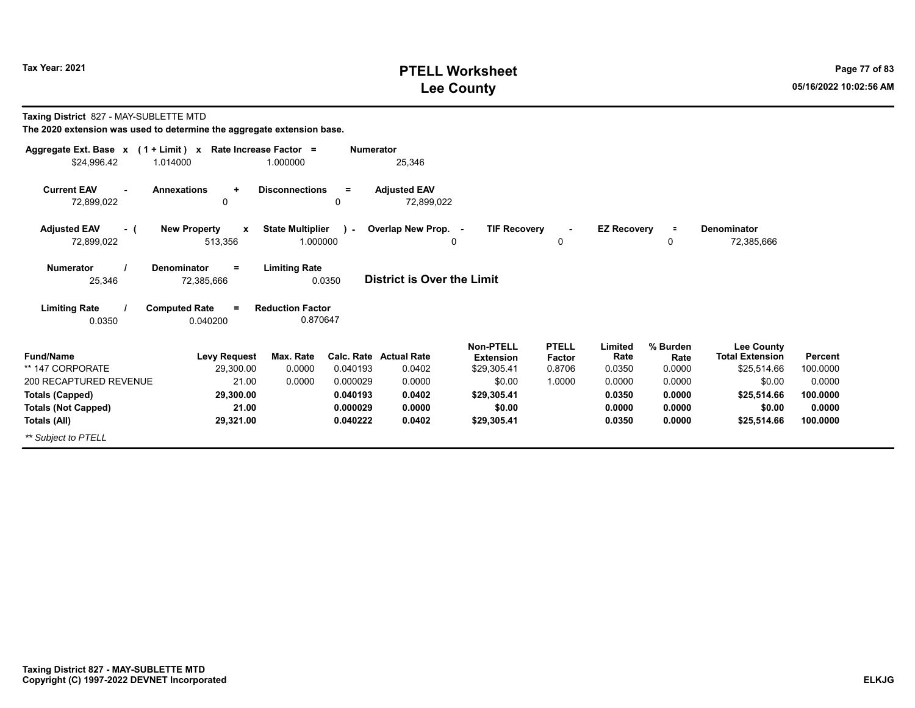## **PTELL Worksheet Tax Year: 2021 Page 77 of 83 Lee County 05/16/2022 10:02:56 AM**

| Taxing District 827 - MAY-SUBLETTE MTD |  |
|----------------------------------------|--|
|----------------------------------------|--|

| Aggregate Ext. Base $x$ (1 + Limit) x Rate Increase Factor = |                                                |                                     | <b>Numerator</b> |                                   |                                      |                               |                    |                      |                                             |          |
|--------------------------------------------------------------|------------------------------------------------|-------------------------------------|------------------|-----------------------------------|--------------------------------------|-------------------------------|--------------------|----------------------|---------------------------------------------|----------|
| \$24,996.42                                                  | 1.014000                                       | 1.000000                            |                  | 25,346                            |                                      |                               |                    |                      |                                             |          |
| <b>Current EAV</b><br>72,899,022                             | <b>Annexations</b><br>÷<br>0                   | <b>Disconnections</b>               | $\equiv$<br>0    | <b>Adjusted EAV</b><br>72,899,022 |                                      |                               |                    |                      |                                             |          |
| <b>Adjusted EAV</b><br>- (<br>72,899,022                     | <b>New Property</b><br>$\mathbf{x}$<br>513,356 | <b>State Multiplier</b><br>1.000000 | $\lambda$        | Overlap New Prop. -<br>0          | <b>TIF Recovery</b>                  | 0                             | <b>EZ Recovery</b> | $\equiv$<br>$\Omega$ | Denominator<br>72,385,666                   |          |
| <b>Numerator</b><br>25,346                                   | <b>Denominator</b><br>$=$<br>72,385,666        | <b>Limiting Rate</b><br>0.0350      |                  | <b>District is Over the Limit</b> |                                      |                               |                    |                      |                                             |          |
| <b>Limiting Rate</b><br>0.0350                               | <b>Computed Rate</b><br>$=$<br>0.040200        | <b>Reduction Factor</b><br>0.870647 |                  |                                   |                                      |                               |                    |                      |                                             |          |
| <b>Fund/Name</b>                                             | <b>Levy Request</b>                            | Max. Rate                           |                  | Calc. Rate Actual Rate            | <b>Non-PTELL</b><br><b>Extension</b> | <b>PTELL</b><br><b>Factor</b> | Limited<br>Rate    | % Burden<br>Rate     | <b>Lee County</b><br><b>Total Extension</b> | Percent  |
| ** 147 CORPORATE                                             | 29,300.00                                      | 0.0000                              | 0.040193         | 0.0402                            | \$29,305.41                          | 0.8706                        | 0.0350             | 0.0000               | \$25,514.66                                 | 100.0000 |
| 200 RECAPTURED REVENUE                                       | 21.00                                          | 0.0000                              | 0.000029         | 0.0000                            | \$0.00                               | 1.0000                        | 0.0000             | 0.0000               | \$0.00                                      | 0.0000   |
| <b>Totals (Capped)</b>                                       | 29,300.00                                      |                                     | 0.040193         | 0.0402                            | \$29,305.41                          |                               | 0.0350             | 0.0000               | \$25,514.66                                 | 100.0000 |
| <b>Totals (Not Capped)</b>                                   | 21.00                                          |                                     | 0.000029         | 0.0000                            | \$0.00                               |                               | 0.0000             | 0.0000               | \$0.00                                      | 0.0000   |
| Totals (All)                                                 | 29,321.00                                      |                                     | 0.040222         | 0.0402                            | \$29,305.41                          |                               | 0.0350             | 0.0000               | \$25,514.66                                 | 100.0000 |
| ** Subject to PTELL                                          |                                                |                                     |                  |                                   |                                      |                               |                    |                      |                                             |          |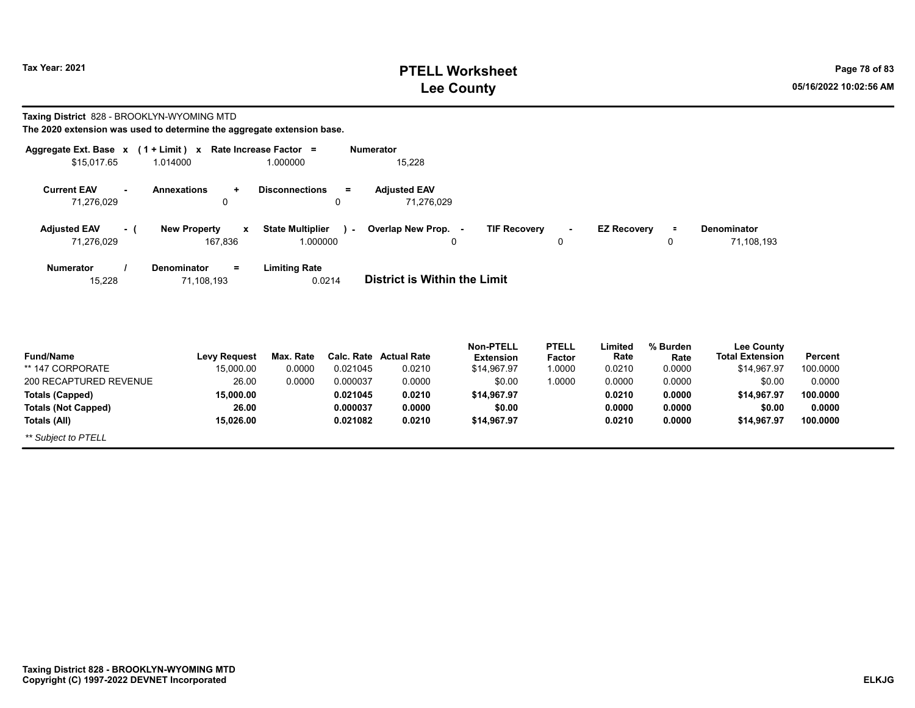## **PTELL Worksheet Tax Year: 2021 Page 78 of 83 Lee County 05/16/2022 10:02:56 AM**

#### **Taxing District** 828 - BROOKLYN-WYOMING MTD

| Aggregate Ext. Base x      | $(1 + Limit) x$                     | Rate Increase Factor =            | <b>Numerator</b>                    |                     |              |                    |          |                        |         |
|----------------------------|-------------------------------------|-----------------------------------|-------------------------------------|---------------------|--------------|--------------------|----------|------------------------|---------|
| \$15,017.65                | 1.014000                            | 1.000000                          | 15,228                              |                     |              |                    |          |                        |         |
| <b>Current EAV</b>         | <b>Annexations</b><br>÷             | <b>Disconnections</b><br>$=$      | <b>Adjusted EAV</b>                 |                     |              |                    |          |                        |         |
| 71,276,029                 | 0                                   |                                   | 71,276,029                          |                     |              |                    |          |                        |         |
| <b>Adjusted EAV</b><br>- ( | <b>New Property</b><br>$\mathbf{x}$ | <b>State Multiplier</b><br>$\sim$ | Overlap New Prop. -                 | <b>TIF Recovery</b> | $\sim$       | <b>EZ Recovery</b> | $\equiv$ | <b>Denominator</b>     |         |
| 71,276,029                 | 167,836                             | 1.000000                          | 0                                   |                     | 0            |                    | 0        | 71,108,193             |         |
| <b>Numerator</b>           | <b>Denominator</b><br>$=$           | <b>Limiting Rate</b>              |                                     |                     |              |                    |          |                        |         |
| 15,228                     | 71,108,193                          | 0.0214                            | <b>District is Within the Limit</b> |                     |              |                    |          |                        |         |
|                            |                                     |                                   |                                     |                     |              |                    |          |                        |         |
|                            |                                     |                                   |                                     | <b>Non-PTELL</b>    | <b>PTELL</b> | Limited            | % Burden | <b>Lee County</b>      |         |
| <b>Fund/Name</b>           | <b>Levy Request</b>                 | Max. Rate                         | <b>Calc. Rate Actual Rate</b>       | <b>Extension</b>    | Factor       | Rate               | Rate     | <b>Total Extension</b> | Percer  |
| ** 147 CORPORATE           | 15.000.00                           | 0.0000<br>0.021045                | 0.0210                              | \$14,967.97         | 1.0000       | 0.0210             | 0.0000   | \$14,967.97            | 100.000 |

| <b>Fund/Name</b>           | <b>Levy Request</b> | Max. Rate |          | <b>Calc. Rate Actual Rate</b> | Extension   | <b>Factor</b> | Rate   | Rate   | <b>Total Extension</b> | Percent  |  |
|----------------------------|---------------------|-----------|----------|-------------------------------|-------------|---------------|--------|--------|------------------------|----------|--|
| ** 147 CORPORATE           | 15.000.00           | 0.0000    | 0.021045 | 0.0210                        | \$14.967.97 | 1.0000        | 0.0210 | 0.0000 | \$14,967.97            | 100.0000 |  |
| 200 RECAPTURED REVENUE     | 26.00               | 0.0000    | 0.000037 | 0.0000                        | \$0.00      | 1.0000        | 0.0000 | 0.0000 | \$0.00                 | 0.0000   |  |
| Totals (Capped)            | 15.000.00           |           | 0.021045 | 0.0210                        | \$14.967.97 |               | 0.0210 | 0.0000 | \$14.967.97            | 100.0000 |  |
| <b>Totals (Not Capped)</b> | 26.00               |           | 0.000037 | 0.0000                        | \$0.00      |               | 0.0000 | 0.0000 | \$0.00                 | 0.0000   |  |
| Totals (All)               | 15.026.00           |           | 0.021082 | 0.0210                        | \$14.967.97 |               | 0.0210 | 0.0000 | \$14.967.97            | 100.0000 |  |
| ** Subject to PTELL        |                     |           |          |                               |             |               |        |        |                        |          |  |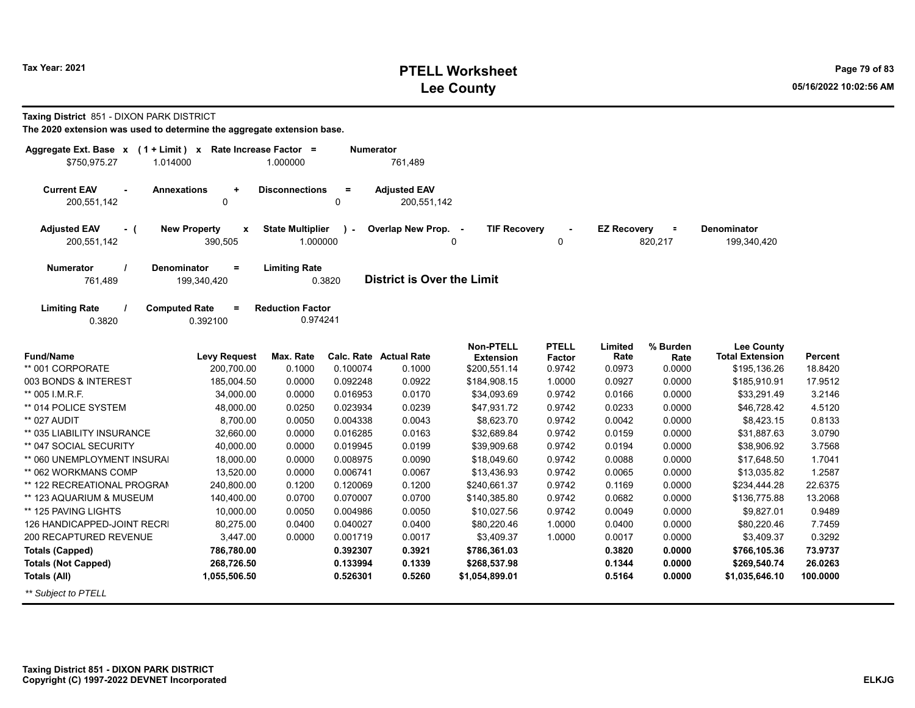|              |          | The 2020 extension was used to determine the aggregate extension base. |
|--------------|----------|------------------------------------------------------------------------|
|              |          | Aggregate Ext. Base $x$ (1 + Limit) x Rate Increase Factor =           |
| \$750.975.27 | 1.014000 | 1.000000                                                               |

**Taxing District** 851 - DIXON PARK DISTRICT

| <b>Current EAV</b> | <b>Annexations</b> | <b>Disconnections</b> | <b>Adjusted EAV</b> |
|--------------------|--------------------|-----------------------|---------------------|
| 200,551,142        |                    |                       | 200.551.142         |

0.3820

| <b>Adiusted EAV</b> | <b>New Property</b><br>$\mathbf{x}$ | <b>State Multiplier</b><br>$\mathbf{r}$ | Overlap New Prop. | <b>TIF Recovery</b> | <b>EZ Recovery</b> | Denominator |
|---------------------|-------------------------------------|-----------------------------------------|-------------------|---------------------|--------------------|-------------|
| 200.551.142         | 390.505                             | .000000                                 |                   |                     | 820.21             | 199,340,420 |

761,489

**Aumerator** 

**=**761,489 **District is Over the Limit Numerator / Denominator Limiting Rate** 199,340,420

**Limiting Rate / Computed Rate <sup>=</sup>** 0.3820 0.392100 **Reduction Factor** 0.974241

| <b>Fund/Name</b>            | <b>Levy Request</b> | Max. Rate | Calc. Rate | <b>Actual Rate</b> | <b>Non-PTELL</b><br><b>Extension</b> | <b>PTELL</b><br>Factor | Limited<br>Rate | % Burden<br>Rate | <b>Lee County</b><br><b>Total Extension</b> | Percent  |
|-----------------------------|---------------------|-----------|------------|--------------------|--------------------------------------|------------------------|-----------------|------------------|---------------------------------------------|----------|
| ** 001 CORPORATE            | 200,700.00          | 0.1000    | 0.100074   | 0.1000             | \$200,551.14                         | 0.9742                 | 0.0973          | 0.0000           | \$195,136.26                                | 18.8420  |
| 003 BONDS & INTEREST        | 185,004.50          | 0.0000    | 0.092248   | 0.0922             | \$184,908.15                         | 1.0000                 | 0.0927          | 0.0000           | \$185,910.91                                | 17.9512  |
| ** 005 I.M.R.F.             | 34,000.00           | 0.0000    | 0.016953   | 0.0170             | \$34,093.69                          | 0.9742                 | 0.0166          | 0.0000           | \$33,291.49                                 | 3.2146   |
| ** 014 POLICE SYSTEM        | 48,000.00           | 0.0250    | 0.023934   | 0.0239             | \$47,931.72                          | 0.9742                 | 0.0233          | 0.0000           | \$46,728.42                                 | 4.5120   |
| ** 027 AUDIT                | 8,700.00            | 0.0050    | 0.004338   | 0.0043             | \$8,623.70                           | 0.9742                 | 0.0042          | 0.0000           | \$8,423.15                                  | 0.8133   |
| ** 035 LIABILITY INSURANCE  | 32,660.00           | 0.0000    | 0.016285   | 0.0163             | \$32,689.84                          | 0.9742                 | 0.0159          | 0.0000           | \$31,887.63                                 | 3.0790   |
| ** 047 SOCIAL SECURITY      | 40,000.00           | 0.0000    | 0.019945   | 0.0199             | \$39,909.68                          | 0.9742                 | 0.0194          | 0.0000           | \$38,906.92                                 | 3.7568   |
| ** 060 UNEMPLOYMENT INSURAL | 18,000.00           | 0.0000    | 0.008975   | 0.0090             | \$18,049.60                          | 0.9742                 | 0.0088          | 0.0000           | \$17,648.50                                 | 1.7041   |
| ** 062 WORKMANS COMP        | 13,520.00           | 0.0000    | 0.006741   | 0.0067             | \$13,436.93                          | 0.9742                 | 0.0065          | 0.0000           | \$13,035.82                                 | 1.2587   |
| ** 122 RECREATIONAL PROGRAM | 240,800.00          | 0.1200    | 0.120069   | 0.1200             | \$240,661.37                         | 0.9742                 | 0.1169          | 0.0000           | \$234,444.28                                | 22.6375  |
| ** 123 AQUARIUM & MUSEUM    | 140,400.00          | 0.0700    | 0.070007   | 0.0700             | \$140,385.80                         | 0.9742                 | 0.0682          | 0.0000           | \$136,775.88                                | 13.2068  |
| ** 125 PAVING LIGHTS        | 10,000.00           | 0.0050    | 0.004986   | 0.0050             | \$10,027.56                          | 0.9742                 | 0.0049          | 0.0000           | \$9,827.01                                  | 0.9489   |
| 126 HANDICAPPED-JOINT RECRI | 80,275.00           | 0.0400    | 0.040027   | 0.0400             | \$80,220.46                          | 1.0000                 | 0.0400          | 0.0000           | \$80,220.46                                 | 7.7459   |
| 200 RECAPTURED REVENUE      | 3,447.00            | 0.0000    | 0.001719   | 0.0017             | \$3,409.37                           | 1.0000                 | 0.0017          | 0.0000           | \$3,409.37                                  | 0.3292   |
| Totals (Capped)             | 786,780.00          |           | 0.392307   | 0.3921             | \$786,361.03                         |                        | 0.3820          | 0.0000           | \$766,105.36                                | 73.9737  |
| <b>Totals (Not Capped)</b>  | 268,726.50          |           | 0.133994   | 0.1339             | \$268,537.98                         |                        | 0.1344          | 0.0000           | \$269,540.74                                | 26.0263  |
| Totals (All)                | 1,055,506.50        |           | 0.526301   | 0.5260             | \$1,054,899.01                       |                        | 0.5164          | 0.0000           | \$1,035,646.10                              | 100.0000 |
| ** Subject to PTELL         |                     |           |            |                    |                                      |                        |                 |                  |                                             |          |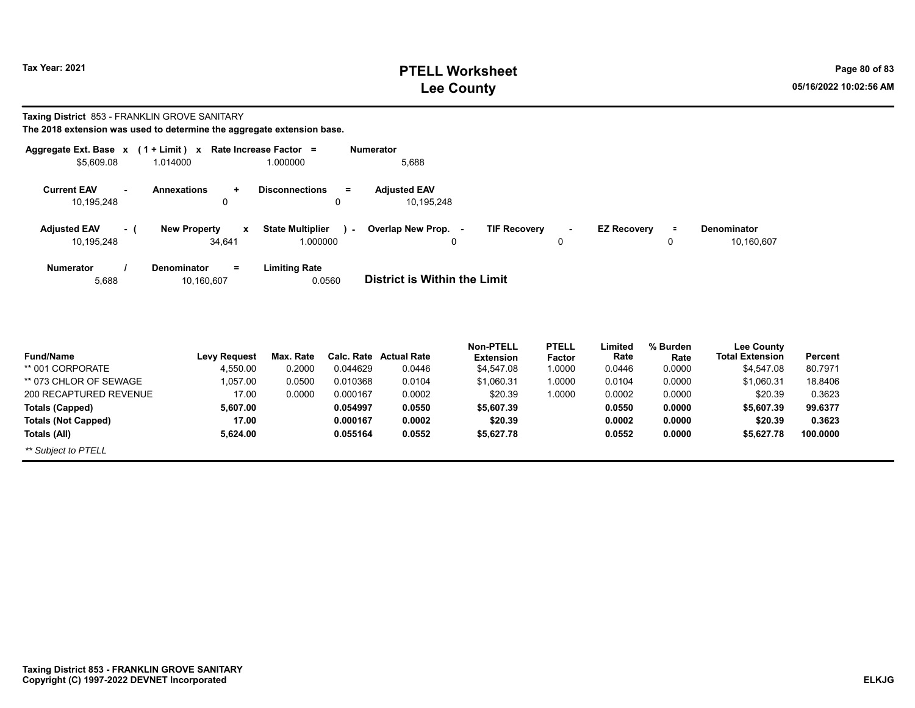## **PTELL Worksheet Tax Year: 2021 Page 80 of 83 Lee County 05/16/2022 10:02:56 AM**

# **Taxing District** 853 - FRANKLIN GROVE SANITARY

|  | The 2018 extension was used to determine the aggregate extension base. |  |  |  |  |  |  |  |  |  |  |  |  |
|--|------------------------------------------------------------------------|--|--|--|--|--|--|--|--|--|--|--|--|
|--|------------------------------------------------------------------------|--|--|--|--|--|--|--|--|--|--|--|--|

| Aggregate Ext. Base $x$ (1 + Limit) $x$ |                                                      | Rate Increase Factor =                        | <b>Numerator</b>                                |                                           |          |                           |
|-----------------------------------------|------------------------------------------------------|-----------------------------------------------|-------------------------------------------------|-------------------------------------------|----------|---------------------------|
| \$5,609.08                              | 1.014000                                             | 1.000000                                      | 5,688                                           |                                           |          |                           |
| <b>Current EAV</b><br>10,195,248        | <b>Annexations</b><br>$\ddot{}$<br>$\Omega$          | <b>Disconnections</b><br>$\equiv$<br>0        | <b>Adiusted EAV</b><br>10,195,248               |                                           |          |                           |
| <b>Adjusted EAV</b><br>10,195,248       | <b>New Property</b><br>$\mathbf{x}$<br>- 1<br>34,641 | <b>State Multiplier</b><br>$\sim$<br>1.000000 | <b>TIF Recovery</b><br>Overlap New Prop. -<br>0 | <b>EZ Recovery</b><br>$\blacksquare$<br>0 | $\equiv$ | Denominator<br>10,160,607 |
| <b>Numerator</b><br>5,688               | <b>Denominator</b><br>$=$<br>10,160,607              | <b>Limiting Rate</b><br>0.0560                | District is Within the Limit                    |                                           |          |                           |

| <b>Fund/Name</b>           | <b>Levy Request</b> | Max. Rate |          | <b>Calc. Rate Actual Rate</b> | <b>Non-PTELL</b><br><b>Extension</b> | <b>PTELL</b><br><b>Factor</b> | Limited<br>Rate | % Burden<br>Rate | <b>Lee County</b><br><b>Total Extension</b> | Percent  |
|----------------------------|---------------------|-----------|----------|-------------------------------|--------------------------------------|-------------------------------|-----------------|------------------|---------------------------------------------|----------|
| ** 001 CORPORATE           | 4.550.00            | 0.2000    | 0.044629 | 0.0446                        | \$4.547.08                           | 1.0000                        | 0.0446          | 0.0000           | \$4,547.08                                  | 80.7971  |
| ** 073 CHLOR OF SEWAGE     | 1.057.00            | 0.0500    | 0.010368 | 0.0104                        | \$1.060.31                           | 1.0000                        | 0.0104          | 0.0000           | \$1.060.31                                  | 18.8406  |
| 200 RECAPTURED REVENUE     | 17.00               | 0.0000    | 0.000167 | 0.0002                        | \$20.39                              | 1.0000                        | 0.0002          | 0.0000           | \$20.39                                     | 0.3623   |
| <b>Totals (Capped)</b>     | 5.607.00            |           | 0.054997 | 0.0550                        | \$5,607.39                           |                               | 0.0550          | 0.0000           | \$5,607.39                                  | 99.6377  |
| <b>Totals (Not Capped)</b> | 17.00               |           | 0.000167 | 0.0002                        | \$20.39                              |                               | 0.0002          | 0.0000           | \$20.39                                     | 0.3623   |
| Totals (All)               | 5.624.00            |           | 0.055164 | 0.0552                        | \$5,627.78                           |                               | 0.0552          | 0.0000           | \$5,627.78                                  | 100.0000 |
| ** Subject to PTELL        |                     |           |          |                               |                                      |                               |                 |                  |                                             |          |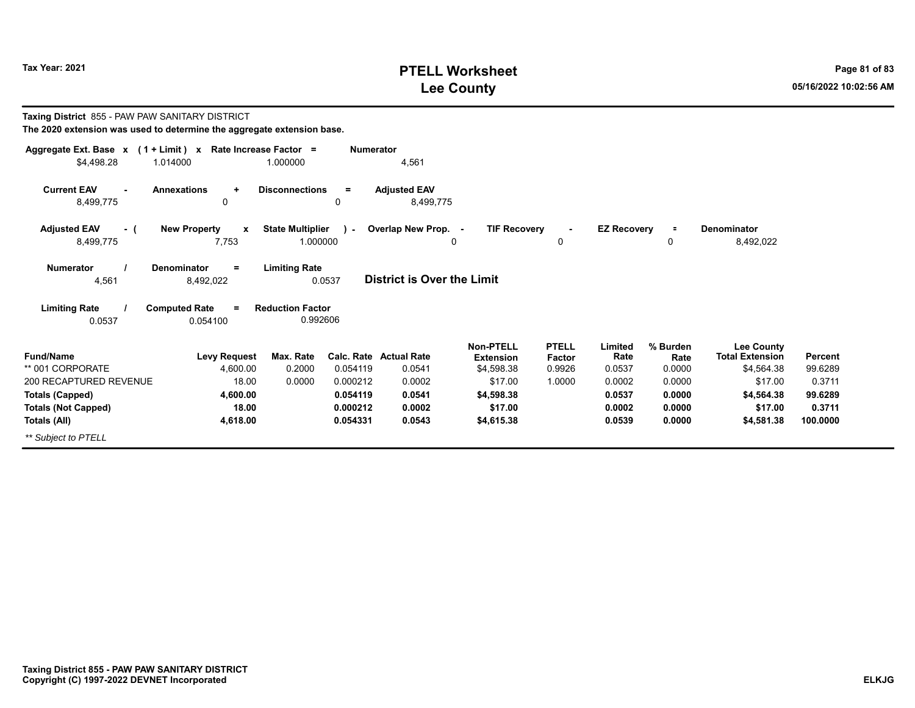## **PTELL Worksheet Tax Year: 2021 Page 81 of 83 Lee County 05/16/2022 10:02:56 AM**

| Taxing District 855 - PAW PAW SANITARY DISTRICT<br>The 2020 extension was used to determine the aggregate extension base. |                                                  |                                     |                  |                                   |                                                    |                                         |                           |                            |                                                           |                    |
|---------------------------------------------------------------------------------------------------------------------------|--------------------------------------------------|-------------------------------------|------------------|-----------------------------------|----------------------------------------------------|-----------------------------------------|---------------------------|----------------------------|-----------------------------------------------------------|--------------------|
| Aggregate Ext. Base x (1 + Limit) x Rate Increase Factor =<br>\$4,498.28                                                  | 1.014000                                         | 1.000000                            | <b>Numerator</b> | 4,561                             |                                                    |                                         |                           |                            |                                                           |                    |
| <b>Current EAV</b><br>8,499,775                                                                                           | <b>Annexations</b><br>$\ddotmark$<br>0           | <b>Disconnections</b><br>$\Omega$   | $\equiv$         | <b>Adjusted EAV</b><br>8.499.775  |                                                    |                                         |                           |                            |                                                           |                    |
| <b>Adjusted EAV</b><br>- (<br>8,499,775                                                                                   | <b>New Property</b><br>$\boldsymbol{x}$<br>7,753 | <b>State Multiplier</b><br>1.000000 | ×щ.              | Overlap New Prop. -<br>0          | <b>TIF Recovery</b>                                | 0                                       | <b>EZ Recovery</b>        | $\equiv$<br>0              | <b>Denominator</b><br>8,492,022                           |                    |
| <b>Numerator</b><br>4,561                                                                                                 | Denominator<br>$=$<br>8,492,022                  | <b>Limiting Rate</b><br>0.0537      |                  | <b>District is Over the Limit</b> |                                                    |                                         |                           |                            |                                                           |                    |
| <b>Limiting Rate</b><br>0.0537                                                                                            | <b>Computed Rate</b><br>$\equiv$<br>0.054100     | <b>Reduction Factor</b><br>0.992606 |                  |                                   |                                                    |                                         |                           |                            |                                                           |                    |
| <b>Fund/Name</b><br>** 001 CORPORATE                                                                                      | <b>Levy Request</b><br>4.600.00                  | Max. Rate<br>0.2000                 | 0.054119         | Calc. Rate Actual Rate<br>0.0541  | <b>Non-PTELL</b><br><b>Extension</b><br>\$4,598.38 | <b>PTELL</b><br><b>Factor</b><br>0.9926 | Limited<br>Rate<br>0.0537 | % Burden<br>Rate<br>0.0000 | <b>Lee County</b><br><b>Total Extension</b><br>\$4.564.38 | Percent<br>99.6289 |
| 200 RECAPTURED REVENUE                                                                                                    | 18.00                                            | 0.0000                              | 0.000212         | 0.0002                            | \$17.00                                            | 1.0000                                  | 0.0002                    | 0.0000                     | \$17.00                                                   | 0.3711             |
| <b>Totals (Capped)</b>                                                                                                    | 4,600.00                                         |                                     | 0.054119         | 0.0541                            | \$4,598.38                                         |                                         | 0.0537                    | 0.0000                     | \$4,564.38                                                | 99.6289            |
| <b>Totals (Not Capped)</b>                                                                                                | 18.00                                            |                                     | 0.000212         | 0.0002                            | \$17.00                                            |                                         | 0.0002                    | 0.0000                     | \$17.00                                                   | 0.3711             |
| Totals (All)                                                                                                              | 4,618.00                                         |                                     | 0.054331         | 0.0543                            | \$4,615.38                                         |                                         | 0.0539                    | 0.0000                     | \$4,581.38                                                | 100.0000           |
| ** Subject to PTELL                                                                                                       |                                                  |                                     |                  |                                   |                                                    |                                         |                           |                            |                                                           |                    |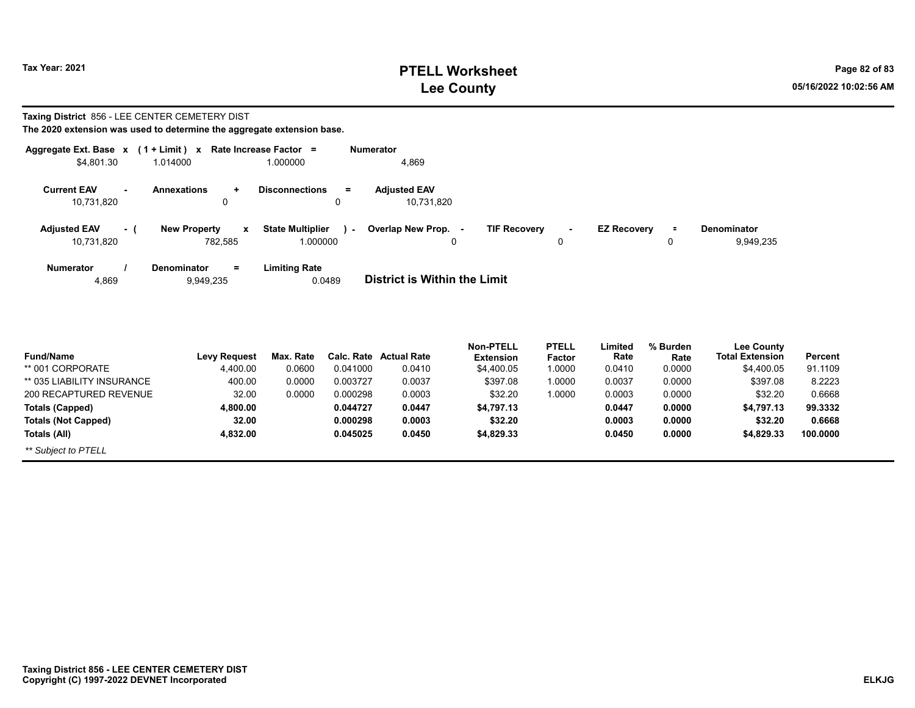## **PTELL Worksheet Tax Year: 2021 Page 82 of 83 Lee County 05/16/2022 10:02:56 AM**

#### **Taxing District** 856 - LEE CENTER CEMETERY DIST

| The 2020 extension was used to determine the aggregate extension base. |  |  |  |  |  |
|------------------------------------------------------------------------|--|--|--|--|--|
|------------------------------------------------------------------------|--|--|--|--|--|

|                           |     | Aggregate Ext. Base $x$ (1 + Limit) x Rate Increase Factor = |                                | <b>Numerator</b>                                                                                                 |
|---------------------------|-----|--------------------------------------------------------------|--------------------------------|------------------------------------------------------------------------------------------------------------------|
| \$4,801.30                |     | 1.014000                                                     | 1.000000                       | 4,869                                                                                                            |
| <b>Current EAV</b>        |     | <b>Annexations</b><br>÷                                      | <b>Disconnections</b><br>$=$   | <b>Adjusted EAV</b>                                                                                              |
| 10,731,820                |     | 0                                                            | 0                              | 10,731,820                                                                                                       |
| <b>Adjusted EAV</b>       | - 1 | <b>New Property</b><br>x                                     | <b>State Multiplier</b><br>×.  | <b>TIF Recovery</b><br>Overlap New Prop.<br><b>EZ Recovery</b><br><b>Denominator</b><br>$\equiv$<br>$\sim$<br>۰. |
| 10,731,820                |     | 782.585                                                      | 1.000000                       | 9,949,235<br>$\mathbf{0}$<br>0<br>0                                                                              |
| <b>Numerator</b><br>4,869 |     | $=$<br><b>Denominator</b><br>9,949,235                       | <b>Limiting Rate</b><br>0.0489 | District is Within the Limit                                                                                     |
|                           |     |                                                              |                                |                                                                                                                  |

| <b>Fund/Name</b>           | <b>Levy Request</b> | Max. Rate |          | Calc. Rate Actual Rate | <b>Non-PTELL</b><br><b>Extension</b> | <b>PTELL</b><br>Factor | Limited<br>Rate | % Burden<br>Rate | <b>Lee County</b><br><b>Total Extension</b> | Percent  |
|----------------------------|---------------------|-----------|----------|------------------------|--------------------------------------|------------------------|-----------------|------------------|---------------------------------------------|----------|
| ** 001 CORPORATE           | 4.400.00            | 0.0600    | 0.041000 | 0.0410                 | \$4,400.05                           | 1.0000                 | 0.0410          | 0.0000           | \$4.400.05                                  | 91.1109  |
| ** 035 LIABILITY INSURANCE | 400.00              | 0.0000    | 0.003727 | 0.0037                 | \$397.08                             | 1.0000                 | 0.0037          | 0.0000           | \$397.08                                    | 8.2223   |
| 200 RECAPTURED REVENUE     | 32.00               | 0.0000    | 0.000298 | 0.0003                 | \$32.20                              | 1.0000                 | 0.0003          | 0.0000           | \$32.20                                     | 0.6668   |
| <b>Totals (Capped)</b>     | 4.800.00            |           | 0.044727 | 0.0447                 | \$4.797.13                           |                        | 0.0447          | 0.0000           | \$4.797.13                                  | 99.3332  |
| <b>Totals (Not Capped)</b> | 32.00               |           | 0.000298 | 0.0003                 | \$32.20                              |                        | 0.0003          | 0.0000           | \$32.20                                     | 0.6668   |
| Totals (All)               | 4.832.00            |           | 0.045025 | 0.0450                 | \$4,829.33                           |                        | 0.0450          | 0.0000           | \$4.829.33                                  | 100.0000 |
| ** Subject to PTELL        |                     |           |          |                        |                                      |                        |                 |                  |                                             |          |